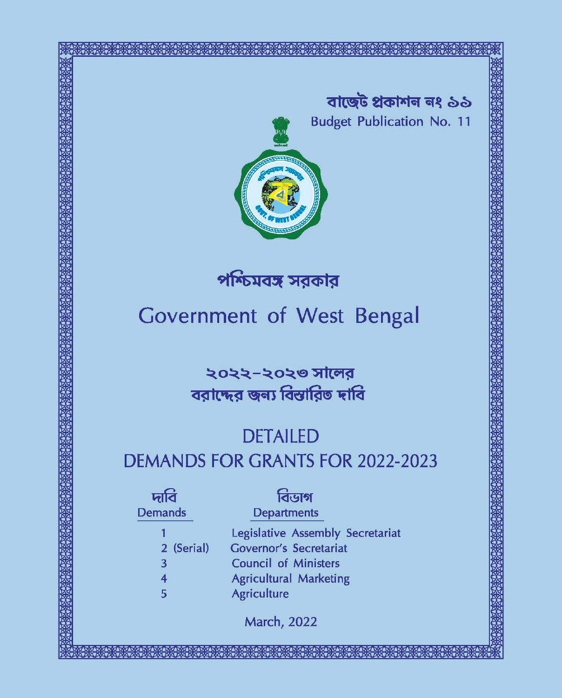

পশ্চিমবঙ্গ সরকার

# **Government of West Bengal**

২০২২-২০২৩ সালের বরাদ্দের জন্য বিস্তারিত দাবি

# **DETAILED DEMANDS FOR GRANTS FOR 2022-2023**

|                         | বিডাগ                            |
|-------------------------|----------------------------------|
| <b>Demands</b>          | <b>Departments</b>               |
|                         | Legislative Assembly Secretariat |
| 2 (Serial)              | <b>Governor's Secretariat</b>    |
| 3                       | <b>Council of Ministers</b>      |
| $\overline{\mathbf{4}}$ | <b>Agricultural Marketing</b>    |
| 5                       | <b>Agriculture</b>               |
|                         | <b>March, 2022</b>               |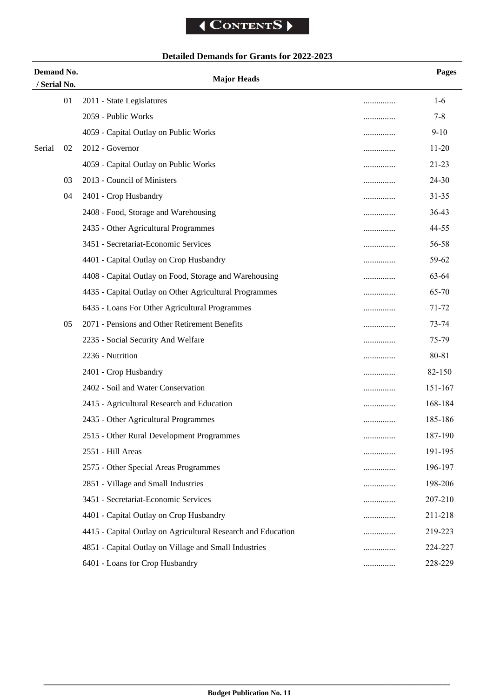### **Detailed Demands for Grants for 2022-2023**

| Demand No.<br>/ Serial No. |    | <b>Major Heads</b>                                           |   | <b>Pages</b> |
|----------------------------|----|--------------------------------------------------------------|---|--------------|
|                            | 01 | 2011 - State Legislatures                                    | . | $1-6$        |
|                            |    | 2059 - Public Works                                          | . | $7 - 8$      |
|                            |    | 4059 - Capital Outlay on Public Works                        | . | $9 - 10$     |
| Serial                     | 02 | 2012 - Governor                                              | . | $11 - 20$    |
|                            |    | 4059 - Capital Outlay on Public Works                        | . | 21-23        |
|                            | 03 | 2013 - Council of Ministers                                  |   | 24-30        |
|                            | 04 | 2401 - Crop Husbandry                                        | . | $31 - 35$    |
|                            |    | 2408 - Food, Storage and Warehousing                         | . | 36-43        |
|                            |    | 2435 - Other Agricultural Programmes                         | . | 44-55        |
|                            |    | 3451 - Secretariat-Economic Services                         | . | 56-58        |
|                            |    | 4401 - Capital Outlay on Crop Husbandry                      |   | 59-62        |
|                            |    | 4408 - Capital Outlay on Food, Storage and Warehousing       |   | 63-64        |
|                            |    | 4435 - Capital Outlay on Other Agricultural Programmes       | . | 65-70        |
|                            |    | 6435 - Loans For Other Agricultural Programmes               |   | 71-72        |
|                            | 05 | 2071 - Pensions and Other Retirement Benefits                | . | 73-74        |
|                            |    | 2235 - Social Security And Welfare                           |   | 75-79        |
|                            |    | 2236 - Nutrition                                             | . | 80-81        |
|                            |    | 2401 - Crop Husbandry                                        |   | 82-150       |
|                            |    | 2402 - Soil and Water Conservation                           | . | 151-167      |
|                            |    | 2415 - Agricultural Research and Education                   | . | 168-184      |
|                            |    | 2435 - Other Agricultural Programmes                         |   | 185-186      |
|                            |    | 2515 - Other Rural Development Programmes                    |   | 187-190      |
|                            |    | 2551 - Hill Areas                                            | . | 191-195      |
|                            |    | 2575 - Other Special Areas Programmes                        | . | 196-197      |
|                            |    | 2851 - Village and Small Industries                          | . | 198-206      |
|                            |    | 3451 - Secretariat-Economic Services                         | . | 207-210      |
|                            |    | 4401 - Capital Outlay on Crop Husbandry                      | . | 211-218      |
|                            |    | 4415 - Capital Outlay on Agricultural Research and Education | . | 219-223      |
|                            |    | 4851 - Capital Outlay on Village and Small Industries        | . | 224-227      |
|                            |    | 6401 - Loans for Crop Husbandry                              | . | 228-229      |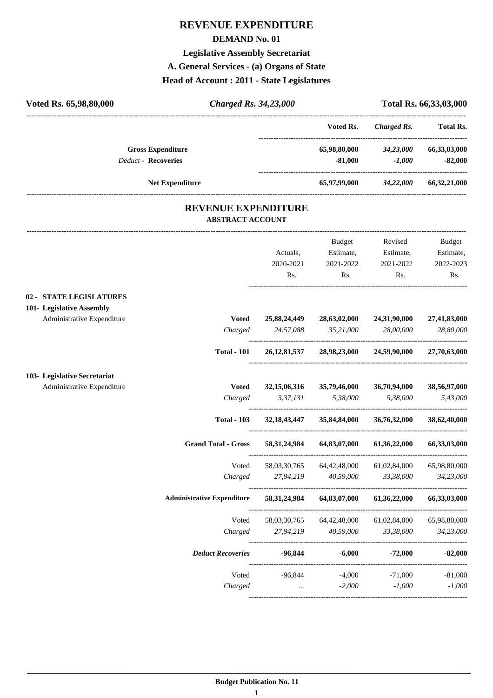#### **REVENUE EXPENDITURE**

#### **DEMAND No. 01**

#### **Legislative Assembly Secretariat**

**A. General Services - (a) Organs of State**

#### **Head of Account : 2011 - State Legislatures**

| Voted Rs. 65,98,80,000                                                             | <b>Charged Rs. 34,23,000</b> |                              |                                         |                                          | Total Rs. 66,33,03,000                  |
|------------------------------------------------------------------------------------|------------------------------|------------------------------|-----------------------------------------|------------------------------------------|-----------------------------------------|
|                                                                                    |                              |                              | Voted Rs.                               | <b>Charged Rs.</b>                       | <b>Total Rs.</b>                        |
| <b>Gross Expenditure</b><br><b>Deduct - Recoveries</b>                             |                              |                              | 65,98,80,000<br>$-81,000$               | 34,23,000<br>$-1,000$                    | 66,33,03,000<br>$-82,000$               |
| <b>Net Expenditure</b>                                                             |                              |                              |                                         | 65,97,99,000 34,22,000                   | 66,32,21,000                            |
|                                                                                    | <b>ABSTRACT ACCOUNT</b>      | <b>REVENUE EXPENDITURE</b>   |                                         |                                          |                                         |
|                                                                                    |                              | Actuals,<br>2020-2021<br>Rs. | Budget<br>Estimate,<br>2021-2022<br>Rs. | Revised<br>Estimate,<br>2021-2022<br>Rs. | Budget<br>Estimate,<br>2022-2023<br>Rs. |
| 02 - STATE LEGISLATURES<br>101- Legislative Assembly<br>Administrative Expenditure | <b>Voted</b><br>Charged      | 25,88,24,449<br>24,57,088    | 28,63,02,000<br>35,21,000               | 24,31,90,000<br>28,00,000                | 27,41,83,000<br>28,80,000               |
|                                                                                    | <b>Total - 101</b>           |                              | 26,12,81,537 28,98,23,000 24,59,90,000  |                                          | 27,70,63,000                            |
| 103- Legislative Secretariat<br>Administrative Expenditure                         | <b>Voted</b><br>Charged      | 32, 15, 06, 316<br>3,37,131  | 35,79,46,000<br>5,38,000                | 36,70,94,000<br>5,38,000                 | 38,56,97,000<br>5,43,000                |
|                                                                                    | <b>Total - 103</b>           | 32, 18, 43, 447              | 35,84,84,000                            | 36,76,32,000                             | 38,62,40,000                            |
|                                                                                    | <b>Grand Total - Gross</b>   | 58,31,24,984                 | 64,83,07,000                            | 61,36,22,000                             | 66,33,03,000                            |
|                                                                                    | Voted<br>Charged             | 58,03,30,765<br>27,94,219    | 64,42,48,000<br>40,59,000               | 61,02,84,000<br>33,38,000                | 65,98,80,000<br>34,23,000               |
| <b>Administrative Expenditure</b>                                                  |                              | 58, 31, 24, 984              | 64,83,07,000                            | 61,36,22,000                             | 66,33,03,000                            |
|                                                                                    | Voted<br>Charged             | 58,03,30,765<br>27,94,219    | 64,42,48,000<br>40,59,000               | 61,02,84,000<br>33,38,000                | 65,98,80,000<br>34,23,000               |
|                                                                                    | <b>Deduct Recoveries</b>     | $-96,844$                    | $-6,000$                                | $-72,000$                                | $-82,000$                               |
|                                                                                    | Voted<br>Charged             | $-96,844$<br>$\cdots$        | $-4,000$<br>$-2,000$                    | $-71,000$<br>$-1,000$                    | $-81,000$<br>$-1,000$                   |

----------------------------------------------------------------------------------------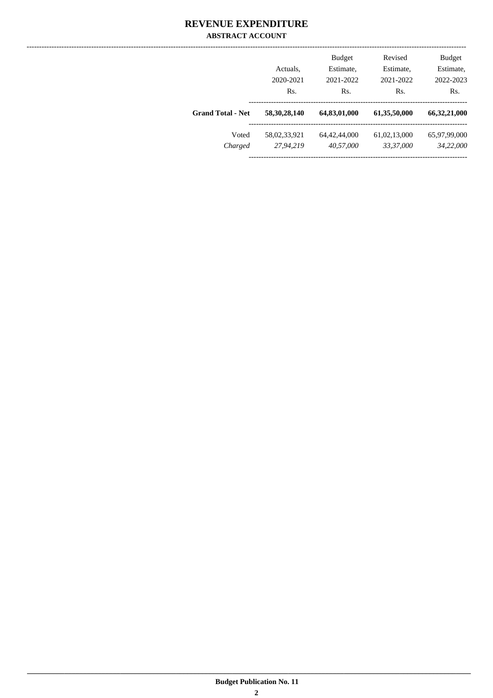#### **REVENUE EXPENDITURE ABSTRACT ACCOUNT**

|                          | Actuals.<br>2020-2021 | <b>Budget</b><br>Estimate,<br>2021-2022 | Revised<br>Estimate,<br>2021-2022 | <b>Budget</b><br>Estimate,<br>2022-2023 |
|--------------------------|-----------------------|-----------------------------------------|-----------------------------------|-----------------------------------------|
|                          | Rs.                   | Rs.                                     | Rs.                               | Rs.                                     |
| <b>Grand Total - Net</b> | 58, 30, 28, 140       | 64,83,01,000                            | 61,35,50,000                      | 66,32,21,000                            |
| Voted                    | 58,02,33,921          | 64, 42, 44, 000                         | 61,02,13,000                      | 65,97,99,000                            |
| Charged                  | 27,94,219             | 40,57,000                               | 33,37,000                         | 34,22,000                               |
|                          |                       |                                         |                                   |                                         |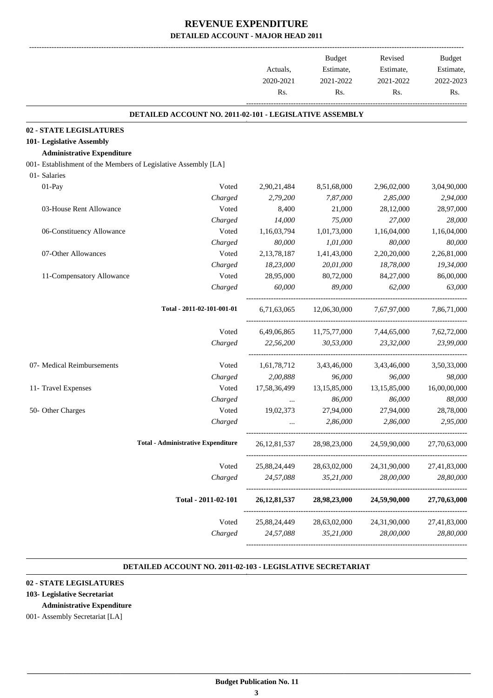|                                                                | Actuals,<br>2020-2021 | <b>Budget</b><br>Estimate,<br>2021-2022 | Revised<br>Estimate,<br>2021-2022 | <b>Budget</b><br>Estimate,<br>2022-2023 |
|----------------------------------------------------------------|-----------------------|-----------------------------------------|-----------------------------------|-----------------------------------------|
|                                                                | Rs.                   | Rs.                                     | Rs.                               | Rs.                                     |
| DETAILED ACCOUNT NO. 2011-02-101 - LEGISLATIVE ASSEMBLY        |                       |                                         |                                   |                                         |
| 02 - STATE LEGISLATURES                                        |                       |                                         |                                   |                                         |
| 101- Legislative Assembly                                      |                       |                                         |                                   |                                         |
| <b>Administrative Expenditure</b>                              |                       |                                         |                                   |                                         |
| 001- Establishment of the Members of Legislative Assembly [LA] |                       |                                         |                                   |                                         |
| 01- Salaries                                                   |                       |                                         |                                   |                                         |
| 01-Pay<br>Voted                                                | 2,90,21,484           | 8,51,68,000                             | 2,96,02,000                       | 3,04,90,000                             |
| Charged                                                        | 2,79,200              | 7,87,000                                | 2,85,000                          | 2,94,000                                |
| Voted<br>03-House Rent Allowance                               | 8,400                 | 21,000                                  | 28,12,000                         | 28,97,000                               |
| Charged                                                        | 14,000                | 75,000                                  | 27,000                            | 28,000                                  |
| Voted<br>06-Constituency Allowance                             | 1,16,03,794           | 1,01,73,000                             | 1,16,04,000                       | 1,16,04,000                             |
| Charged                                                        | 80,000                | 1,01,000                                | 80,000                            | 80,000                                  |
| 07-Other Allowances<br>Voted                                   | 2,13,78,187           | 1,41,43,000                             | 2,20,20,000                       | 2,26,81,000                             |
| Charged                                                        | 18,23,000             | 20,01,000                               | 18,78,000                         | 19,34,000                               |
| Voted<br>11-Compensatory Allowance                             | 28,95,000             | 80,72,000                               | 84,27,000                         | 86,00,000                               |
| Charged                                                        | 60,000                | 89,000                                  | 62,000                            | 63,000                                  |
| Total - 2011-02-101-001-01                                     | 6,71,63,065           | 12,06,30,000                            | 7,67,97,000                       | 7,86,71,000                             |
| Voted                                                          | 6,49,06,865           | 11,75,77,000                            | 7,44,65,000                       | 7,62,72,000                             |
| Charged                                                        | 22,56,200             | 30,53,000                               | 23,32,000                         | 23,99,000                               |
| 07- Medical Reimbursements<br>Voted                            | 1,61,78,712           | 3,43,46,000                             | 3,43,46,000                       | 3,50,33,000                             |
| Charged                                                        | 2,00,888              | 96,000                                  | 96,000                            | 98,000                                  |
| Voted<br>11- Travel Expenses                                   | 17,58,36,499          | 13,15,85,000                            | 13,15,85,000                      | 16,00,00,000                            |
| Charged                                                        |                       | 86,000                                  | 86,000                            | 88,000                                  |
| 50- Other Charges<br>Voted                                     | 19,02,373             | 27,94,000                               | 27,94,000                         | 28,78,000                               |
| Charged                                                        |                       | 2,86,000                                | 2,86,000                          | 2,95,000                                |
| <b>Total - Administrative Expenditure</b>                      | 26, 12, 81, 537       | 28,98,23,000                            | 24,59,90,000                      | 27,70,63,000                            |
| Voted                                                          | 25,88,24,449          | 28,63,02,000                            | 24,31,90,000                      | 27,41,83,000                            |
| Charged                                                        | 24,57,088             | 35,21,000                               | 28,00,000                         | 28,80,000                               |
| Total - 2011-02-101                                            | 26, 12, 81, 537       | 28,98,23,000                            | 24,59,90,000                      | 27,70,63,000                            |
| Voted                                                          | 25,88,24,449          | 28,63,02,000                            | 24,31,90,000                      | 27,41,83,000                            |
| Charged                                                        | 24,57,088             | 35,21,000                               | 28,00,000                         | 28,80,000                               |

#### **DETAILED ACCOUNT NO. 2011-02-103 - LEGISLATIVE SECRETARIAT .**

.

#### **02 - STATE LEGISLATURES**

#### **103- Legislative Secretariat**

#### **Administrative Expenditure**

001- Assembly Secretariat [LA]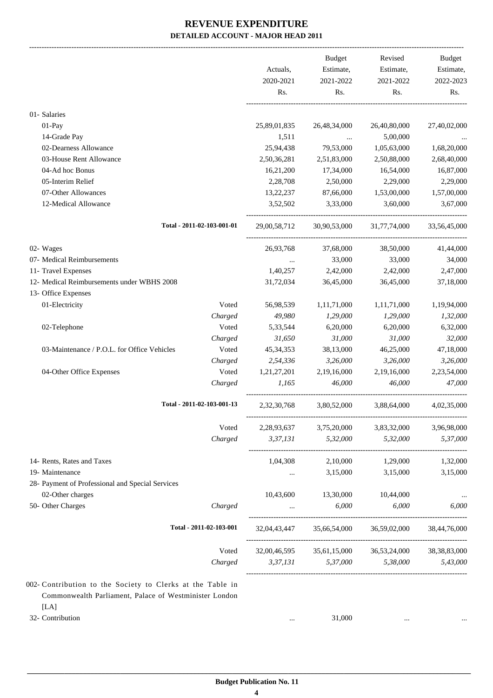|                                                                |                            |              | <b>Budget</b>                              | Revised      | Budget          |
|----------------------------------------------------------------|----------------------------|--------------|--------------------------------------------|--------------|-----------------|
|                                                                |                            | Actuals,     | Estimate,                                  | Estimate,    | Estimate,       |
|                                                                |                            | 2020-2021    | 2021-2022                                  | 2021-2022    | 2022-2023       |
|                                                                |                            | Rs.          | Rs.                                        | Rs.          | Rs.             |
| 01- Salaries                                                   |                            |              |                                            |              |                 |
| 01-Pay                                                         |                            | 25,89,01,835 | 26,48,34,000                               | 26,40,80,000 | 27,40,02,000    |
| 14-Grade Pay                                                   |                            | 1,511        | $\sim 100$ and $\sim 100$                  | 5,00,000     |                 |
| 02-Dearness Allowance                                          |                            | 25,94,438    | 79,53,000                                  | 1,05,63,000  | 1,68,20,000     |
| 03-House Rent Allowance                                        |                            | 2,50,36,281  | 2,51,83,000                                | 2,50,88,000  | 2,68,40,000     |
| 04-Ad hoc Bonus                                                |                            | 16,21,200    | 17,34,000                                  | 16,54,000    | 16,87,000       |
| 05-Interim Relief                                              |                            | 2,28,708     | 2,50,000                                   | 2,29,000     | 2,29,000        |
| 07-Other Allowances                                            |                            | 13,22,237    | 87,66,000                                  | 1,53,00,000  | 1,57,00,000     |
| 12-Medical Allowance                                           |                            | 3,52,502     | 3,33,000                                   | 3,60,000     | 3,67,000        |
|                                                                |                            |              |                                            |              |                 |
|                                                                | Total - 2011-02-103-001-01 | 29,00,58,712 | 30,90,53,000                               | 31,77,74,000 | 33,56,45,000    |
| 02- Wages                                                      |                            | 26,93,768    | 37,68,000                                  | 38,50,000    | 41,44,000       |
| 07- Medical Reimbursements                                     |                            | $\cdots$     | 33,000                                     | 33,000       | 34,000          |
| 11- Travel Expenses                                            |                            | 1,40,257     | 2,42,000                                   | 2,42,000     | 2,47,000        |
| 12- Medical Reimbursements under WBHS 2008                     |                            | 31,72,034    | 36,45,000                                  | 36,45,000    | 37,18,000       |
| 13- Office Expenses                                            |                            |              |                                            |              |                 |
| 01-Electricity                                                 | Voted                      | 56,98,539    | 1,11,71,000                                | 1,11,71,000  | 1,19,94,000     |
|                                                                | Charged                    | 49,980       | 1,29,000                                   | 1,29,000     | 1,32,000        |
| 02-Telephone                                                   | Voted                      | 5,33,544     | 6,20,000                                   | 6,20,000     | 6,32,000        |
|                                                                | Charged                    | 31,650       | 31,000                                     | 31,000       | 32,000          |
| 03-Maintenance / P.O.L. for Office Vehicles                    | Voted                      | 45, 34, 353  | 38,13,000                                  | 46,25,000    | 47,18,000       |
|                                                                | Charged                    | 2,54,336     | 3,26,000                                   | 3,26,000     | 3,26,000        |
| 04-Other Office Expenses                                       | Voted                      | 1,21,27,201  | 2,19,16,000                                | 2,19,16,000  | 2,23,54,000     |
|                                                                | Charged                    | 1,165        | 46,000                                     | 46,000       | 47,000          |
|                                                                | Total - 2011-02-103-001-13 | 2,32,30,768  | 3,80,52,000                                | 3,88,64,000  | 4,02,35,000     |
|                                                                |                            |              |                                            |              |                 |
|                                                                | Voted                      | 2,28,93,637  | 3,75,20,000                                | 3,83,32,000  | 3,96,98,000     |
|                                                                | Charged                    | 3,37,131     | 5,32,000                                   | 5,32,000     | 5,37,000        |
| 14- Rents, Rates and Taxes                                     |                            | 1,04,308     | 2,10,000                                   | 1,29,000     | 1,32,000        |
| 19- Maintenance                                                |                            | $\cdots$     | 3,15,000                                   | 3,15,000     | 3,15,000        |
| 28- Payment of Professional and Special Services               |                            |              |                                            |              |                 |
| 02-Other charges                                               |                            | 10,43,600    | 13,30,000                                  | 10,44,000    |                 |
| 50- Other Charges                                              | Charged                    | $\cdots$     | 6,000                                      | 6,000        | 6.000           |
|                                                                | Total - 2011-02-103-001    |              |                                            |              | 38,44,76,000    |
|                                                                | Voted                      |              | 32,00,46,595   35,61,15,000   36,53,24,000 |              | 38, 38, 83, 000 |
|                                                                | Charged                    |              | 3,37,131 5,37,000 5,38,000                 |              | 5,43,000        |
|                                                                |                            |              |                                            |              |                 |
| 002- Contribution to the Society to Clerks at the Table in     |                            |              |                                            |              |                 |
| Commonwealth Parliament, Palace of Westminister London<br>[LA] |                            |              |                                            |              |                 |

32- Contribution ... 31,000 ... ...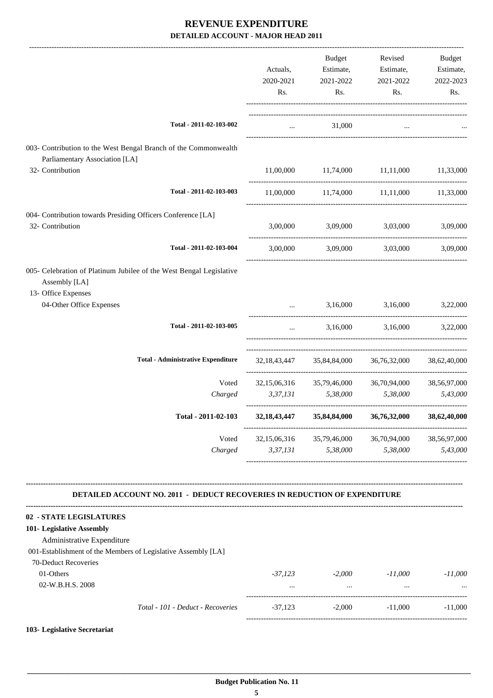|                                                                                                             | Actuals,<br>2020-2021<br>Rs. | <b>Budget</b><br>Estimate,<br>2021-2022<br>Rs. | Revised<br>Estimate,<br>2021-2022<br>Rs.                                                                                 | Budget<br>Estimate,<br>2022-2023<br>Rs. |
|-------------------------------------------------------------------------------------------------------------|------------------------------|------------------------------------------------|--------------------------------------------------------------------------------------------------------------------------|-----------------------------------------|
| Total - 2011-02-103-002                                                                                     | $\dddotsc$                   | 31,000                                         | $\dddotsc$                                                                                                               |                                         |
| 003- Contribution to the West Bengal Branch of the Commonwealth<br>Parliamentary Association [LA]           |                              |                                                |                                                                                                                          |                                         |
| 32- Contribution                                                                                            | 11,00,000                    | 11,74,000                                      | 11,11,000                                                                                                                | 11,33,000                               |
| Total - 2011-02-103-003                                                                                     | 11,00,000                    | 11,74,000                                      | 11,11,000                                                                                                                | 11,33,000                               |
| 004- Contribution towards Presiding Officers Conference [LA]<br>32- Contribution                            | 3,00,000                     | 3,09,000<br>3,03,000                           | 3,03,000<br>3,16,000<br>3,16,000<br>36,76,32,000<br>36,70,94,000<br>5,38,000<br>36,76,32,000<br>36,70,94,000<br>5,38,000 | 3,09,000                                |
| Total - 2011-02-103-004                                                                                     | 3,00,000                     | 3,09,000                                       |                                                                                                                          | 3,09,000                                |
| 005- Celebration of Platinum Jubilee of the West Bengal Legislative<br>Assembly [LA]<br>13- Office Expenses |                              |                                                |                                                                                                                          |                                         |
| 04-Other Office Expenses                                                                                    |                              | 3,16,000                                       |                                                                                                                          | 3,22,000                                |
| Total - 2011-02-103-005                                                                                     | $\ddotsc$                    | 3,16,000                                       |                                                                                                                          | 3,22,000                                |
| <b>Total - Administrative Expenditure</b>                                                                   | 32, 18, 43, 447              | 35,84,84,000                                   |                                                                                                                          | 38,62,40,000                            |
| Voted                                                                                                       | 32,15,06,316                 | 35,79,46,000                                   |                                                                                                                          | 38,56,97,000                            |
| Charged                                                                                                     | 3,37,131                     | 5,38,000                                       |                                                                                                                          | 5,43,000                                |
| Total - 2011-02-103                                                                                         | 32, 18, 43, 447              | 35,84,84,000                                   |                                                                                                                          | 38,62,40,000                            |
| Voted                                                                                                       | 32,15,06,316                 | 35,79,46,000                                   |                                                                                                                          | 38,56,97,000                            |
| Charged                                                                                                     | 3,37,131                     | 5,38,000                                       |                                                                                                                          | 5,43,000                                |

#### **DETAILED ACCOUNT NO. 2011 - DEDUCT RECOVERIES IN REDUCTION OF EXPENDITURE**

**--------------------------------------------------------------------------------------------------------------------------------------------------------------------------------**

| 02 - STATE LEGISLATURES                                       |                                   |           |          |           |           |
|---------------------------------------------------------------|-----------------------------------|-----------|----------|-----------|-----------|
| 101- Legislative Assembly                                     |                                   |           |          |           |           |
| Administrative Expenditure                                    |                                   |           |          |           |           |
| 001-Establishment of the Members of Legislative Assembly [LA] |                                   |           |          |           |           |
| 70-Deduct Recoveries                                          |                                   |           |          |           |           |
| 01-Others                                                     |                                   | $-37.123$ | $-2,000$ | $-11,000$ | -11.000   |
| $02-W.B.H.S. 2008$                                            |                                   | $\cdots$  | $\cdots$ |           | $\cdots$  |
|                                                               | Total - 101 - Deduct - Recoveries | $-37.123$ | $-2.000$ | $-11,000$ | $-11,000$ |
|                                                               |                                   |           |          |           |           |

#### **103- Legislative Secretariat**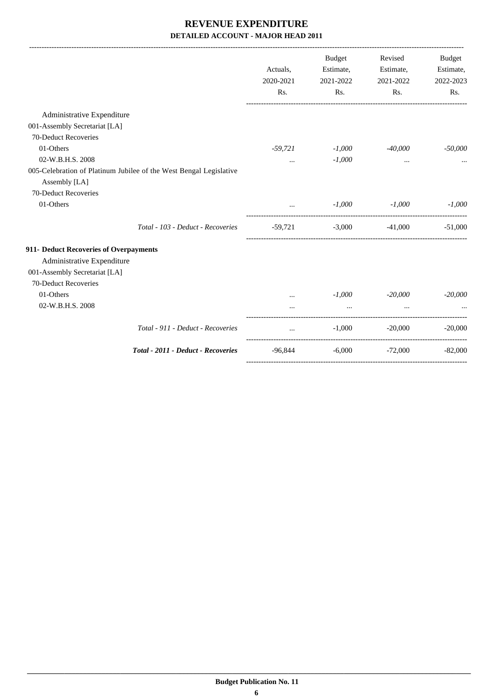|                                        |                                                                    | Actuals,<br>2020-2021 | Budget<br>Estimate,<br>2021-2022 | Revised<br>Estimate,<br>2021-2022 | <b>Budget</b><br>Estimate,<br>2022-2023 |
|----------------------------------------|--------------------------------------------------------------------|-----------------------|----------------------------------|-----------------------------------|-----------------------------------------|
|                                        |                                                                    | Rs.                   | Rs.                              | Rs.                               | Rs.                                     |
| Administrative Expenditure             |                                                                    |                       |                                  |                                   |                                         |
| 001-Assembly Secretariat [LA]          |                                                                    |                       |                                  |                                   |                                         |
| 70-Deduct Recoveries                   |                                                                    |                       |                                  |                                   |                                         |
| 01-Others                              |                                                                    | $-59,721$             | $-1,000$                         | $-40,000$                         | $-50,000$                               |
| 02-W.B.H.S. 2008                       |                                                                    | $\cdots$              | $-1,000$                         | $\cdots$                          |                                         |
| Assembly [LA]                          | 005-Celebration of Platinum Jubilee of the West Bengal Legislative |                       |                                  |                                   |                                         |
| 70-Deduct Recoveries                   |                                                                    |                       |                                  |                                   |                                         |
| 01-Others                              |                                                                    |                       | $-1,000$                         | -1,000                            | $-1,000$                                |
|                                        | Total - 103 - Deduct - Recoveries                                  | $-59,721$             | $-3,000$                         | $-41,000$                         | $-51,000$                               |
| 911- Deduct Recoveries of Overpayments |                                                                    |                       |                                  |                                   |                                         |
| Administrative Expenditure             |                                                                    |                       |                                  |                                   |                                         |
| 001-Assembly Secretariat [LA]          |                                                                    |                       |                                  |                                   |                                         |
| 70-Deduct Recoveries                   |                                                                    |                       |                                  |                                   |                                         |
| 01-Others                              |                                                                    |                       | $-1,000$                         | $-20,000$                         | $-20,000$                               |
| 02-W.B.H.S. 2008                       |                                                                    |                       |                                  |                                   |                                         |
|                                        | Total - 911 - Deduct - Recoveries                                  | $\cdots$              | $-1,000$                         | $-20,000$                         | $-20,000$                               |
|                                        | Total - 2011 - Deduct - Recoveries                                 | -96,844               |                                  | $-6,000$ $-72,000$                | $-82,000$                               |
|                                        |                                                                    |                       |                                  |                                   |                                         |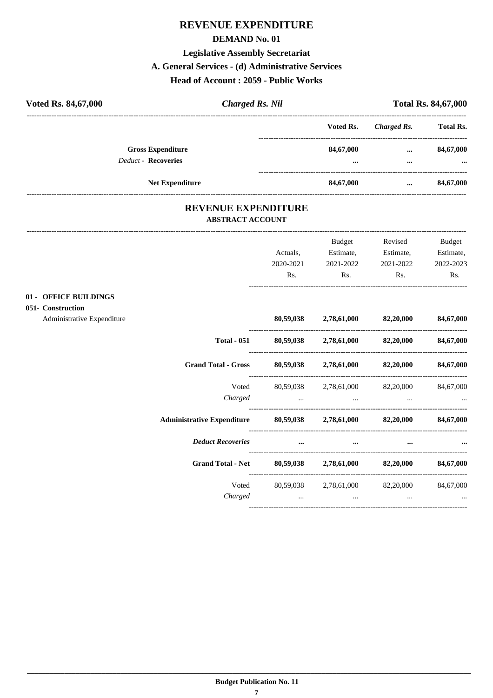#### **REVENUE EXPENDITURE**

#### **DEMAND No. 01**

#### **Legislative Assembly Secretariat**

#### **A. General Services - (d) Administrative Services**

#### **Head of Account : 2059 - Public Works**

| Voted Rs. 84,67,000                                    | <b>Charged Rs. Nil</b> |               | <b>Total Rs. 84,67,000</b> |                        |
|--------------------------------------------------------|------------------------|---------------|----------------------------|------------------------|
|                                                        |                        | Voted Rs.     | Charged Rs.                | <b>Total Rs.</b>       |
| <b>Gross Expenditure</b><br><b>Deduct - Recoveries</b> |                        | 84,67,000<br> | $\cdots$<br>               | 84,67,000<br>$\ddotsc$ |
| <b>Net Expenditure</b>                                 |                        | 84,67,000     | $\cdots$                   | 84,67,000              |

#### **REVENUE EXPENDITURE ABSTRACT ACCOUNT**

|                                                                      | Actuals,  | Budget<br>Estimate,                                             | Revised<br>Estimate, | <b>Budget</b><br>Estimate, |
|----------------------------------------------------------------------|-----------|-----------------------------------------------------------------|----------------------|----------------------------|
|                                                                      | 2020-2021 | 2021-2022                                                       | 2021-2022            | 2022-2023                  |
|                                                                      | Rs.       | Rs.                                                             | Rs.                  | Rs.                        |
| 01 - OFFICE BUILDINGS                                                |           |                                                                 |                      |                            |
| 051- Construction<br>Administrative Expenditure                      |           | 80,59,038 2,78,61,000 82,20,000 84,67,000                       |                      |                            |
|                                                                      |           |                                                                 |                      |                            |
| <b>Total - 051</b>                                                   |           | $80,59,038$ $2,78,61,000$ $82,20,000$ $84,67,000$               |                      |                            |
| <b>Grand Total - Gross</b>                                           |           | 80,59,038 2,78,61,000 82,20,000 84,67,000                       |                      |                            |
| Voted                                                                |           | 80,59,038 2,78,61,000 82,20,000                                 |                      | 84,67,000                  |
| Charged                                                              |           | the contract of the contract of the contract of the contract of |                      |                            |
| Administrative Expenditure 80,59,038 2,78,61,000 82,20,000 84,67,000 |           |                                                                 |                      |                            |
| <b>Deduct Recoveries</b>                                             | $\cdots$  | $\cdots$                                                        |                      |                            |
| <b>Grand Total - Net</b>                                             |           | $80,59,038$ $2,78,61,000$ $82,20,000$                           |                      | 84,67,000                  |
| Voted                                                                |           | 80,59,038 2,78,61,000 82,20,000                                 |                      | 84,67,000                  |
| Charged                                                              | $\cdots$  | $\cdots$                                                        | $\ddots$             |                            |
|                                                                      |           |                                                                 |                      |                            |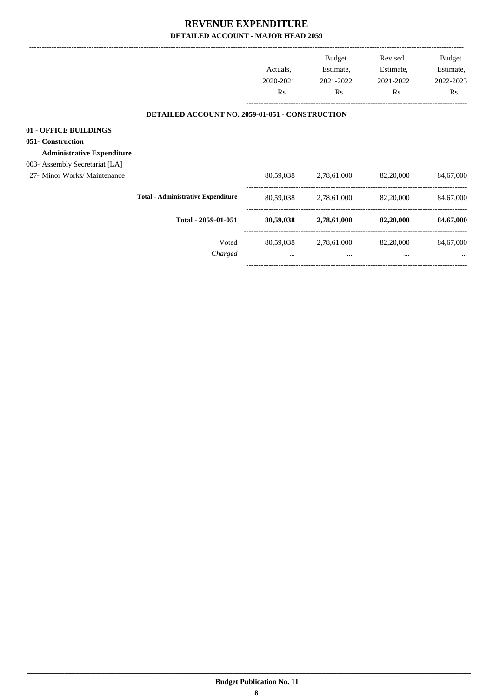|                                                                                 |                                                        | Actuals.<br>2020-2021<br>Rs. | <b>Budget</b><br>Estimate,<br>2021-2022<br>Rs. | Revised<br>Estimate,<br>2021-2022<br>Rs. | Budget<br>Estimate,<br>2022-2023<br>Rs. |
|---------------------------------------------------------------------------------|--------------------------------------------------------|------------------------------|------------------------------------------------|------------------------------------------|-----------------------------------------|
|                                                                                 | <b>DETAILED ACCOUNT NO. 2059-01-051 - CONSTRUCTION</b> |                              |                                                |                                          |                                         |
| 01 - OFFICE BUILDINGS<br>051- Construction<br><b>Administrative Expenditure</b> |                                                        |                              |                                                |                                          |                                         |
| 003- Assembly Secretariat [LA]<br>27- Minor Works/ Maintenance                  |                                                        | 80,59,038                    | 2,78,61,000                                    | 82,20,000                                | 84,67,000                               |
|                                                                                 | <b>Total - Administrative Expenditure</b>              | 80,59,038                    | 2,78,61,000                                    | 82,20,000                                | 84,67,000                               |
|                                                                                 | Total - 2059-01-051                                    | 80,59,038                    | 2,78,61,000                                    | 82,20,000                                | 84,67,000                               |
|                                                                                 | Voted<br>Charged                                       | $\cdots$                     | 80,59,038 2,78,61,000<br>$\cdots$              | 82,20,000<br>$\cdots$                    | 84,67,000                               |
|                                                                                 |                                                        |                              |                                                |                                          |                                         |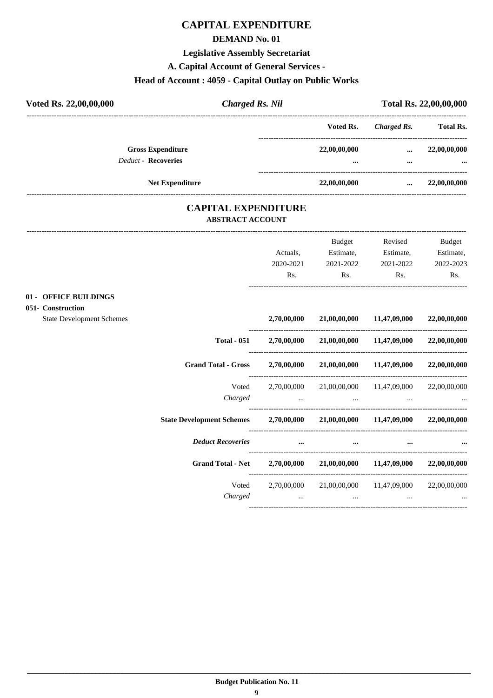### **CAPITAL EXPENDITURE**

#### **DEMAND No. 01**

#### **Legislative Assembly Secretariat**

**A. Capital Account of General Services -**

#### **Head of Account : 4059 - Capital Outlay on Public Works**

| Voted Rs. 22,00,00,000     | <b>Charged Rs. Nil</b> |              |             | Total Rs. 22,00,00,000 |
|----------------------------|------------------------|--------------|-------------|------------------------|
|                            |                        | Voted Rs.    | Charged Rs. | <b>Total Rs.</b>       |
| <b>Gross Expenditure</b>   |                        | 22,00,00,000 |             | 22,00,00,000           |
| <b>Deduct - Recoveries</b> |                        |              |             |                        |
| <b>Net Expenditure</b>     |                        | 22,00,00,000 | $\cdots$    | 22,00,00,000           |

#### **CAPITAL EXPENDITURE ABSTRACT ACCOUNT**

|                                  |                                                                 |                                        | <b>Budget</b> | Revised                                     | <b>Budget</b> |
|----------------------------------|-----------------------------------------------------------------|----------------------------------------|---------------|---------------------------------------------|---------------|
|                                  |                                                                 | Actuals,                               | Estimate,     | Estimate,                                   | Estimate,     |
|                                  |                                                                 | 2020-2021                              | 2021-2022     | 2021-2022                                   | 2022-2023     |
|                                  |                                                                 | Rs.                                    | Rs.           | Rs.                                         | Rs.           |
| 01 - OFFICE BUILDINGS            |                                                                 |                                        |               |                                             |               |
| 051- Construction                |                                                                 |                                        |               |                                             |               |
| <b>State Development Schemes</b> |                                                                 | 2,70,00,000                            |               | 21,00,00,000 11,47,09,000                   | 22,00,00,000  |
|                                  | <b>Total - 051</b>                                              |                                        |               | $2,70,00,000$ $21,00,00,000$ $11,47,09,000$ | 22,00,00,000  |
|                                  | <b>Grand Total - Gross</b>                                      | 2,70,00,000                            |               | 21,00,00,000 11,47,09,000 22,00,00,000      |               |
|                                  | Voted                                                           | 2,70,00,000                            |               | 21,00,00,000 11,47,09,000                   | 22,00,00,000  |
|                                  | Charged                                                         | the control of the control of the con- | $\cdots$      | $\cdots$                                    |               |
|                                  | State Development Schemes 2,70,00,000 21,00,00,000 11,47,09,000 |                                        |               |                                             | 22,00,00,000  |
|                                  | <b>Deduct Recoveries</b>                                        | $\cdots$                               | $\cdots$      |                                             |               |
|                                  | <b>Grand Total - Net</b>                                        | 2,70,00,000                            |               | 21,00,00,000 11,47,09,000                   | 22,00,00,000  |
|                                  | Voted                                                           | 2,70,00,000                            |               | 21,00,00,000 11,47,09,000                   | 22,00,00,000  |
|                                  | Charged                                                         | $\ddots$                               | $\ddots$      | $\cdots$                                    |               |
|                                  |                                                                 |                                        |               |                                             |               |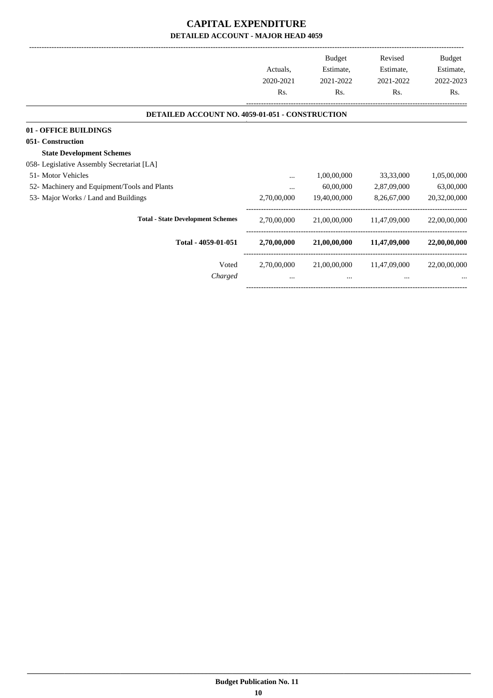#### **CAPITAL EXPENDITURE DETAILED ACCOUNT - MAJOR HEAD 4059**

|                                                 |             | Budget       | Revised      | Budget       |
|-------------------------------------------------|-------------|--------------|--------------|--------------|
|                                                 | Actuals.    | Estimate,    | Estimate,    | Estimate,    |
|                                                 | 2020-2021   | 2021-2022    | 2021-2022    | 2022-2023    |
|                                                 | Rs.         | Rs.          | Rs.          | Rs.          |
| DETAILED ACCOUNT NO. 4059-01-051 - CONSTRUCTION |             |              |              |              |
| 01 - OFFICE BUILDINGS                           |             |              |              |              |
| 051- Construction                               |             |              |              |              |
| <b>State Development Schemes</b>                |             |              |              |              |
| 058- Legislative Assembly Secretariat [LA]      |             |              |              |              |
| 51- Motor Vehicles                              |             | 1,00,00,000  | 33,33,000    | 1,05,00,000  |
| 52- Machinery and Equipment/Tools and Plants    |             | 60,00,000    | 2,87,09,000  | 63,00,000    |
| 53- Major Works / Land and Buildings            | 2,70,00,000 | 19,40,00,000 | 8,26,67,000  | 20,32,00,000 |
| <b>Total - State Development Schemes</b>        | 2,70,00,000 | 21,00,00,000 | 11,47,09,000 | 22,00,00,000 |
| Total - 4059-01-051                             | 2,70,00,000 | 21,00,00,000 | 11,47,09,000 | 22,00,00,000 |
| Voted                                           | 2,70,00,000 | 21,00,00,000 | 11,47,09,000 | 22,00,00,000 |
| Charged                                         | $\cdots$    | $\cdots$     |              |              |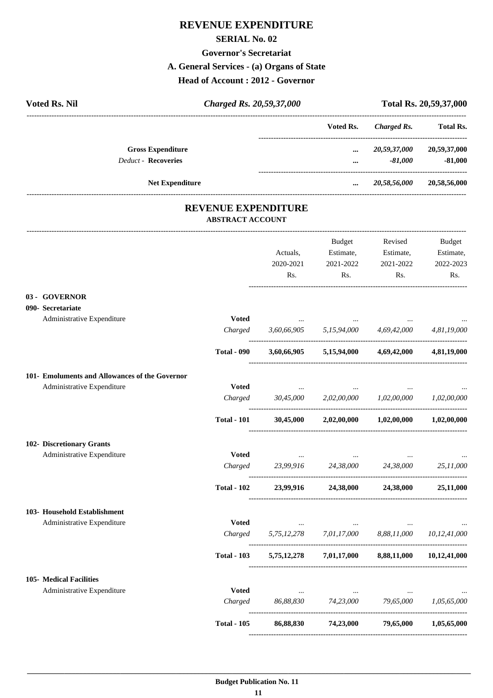#### **REVENUE EXPENDITURE**

#### **SERIAL No. 02**

#### **Governor's Secretariat**

#### **A. General Services - (a) Organs of State**

**Head of Account : 2012 - Governor**

| <b>Voted Rs. Nil</b> | Charged Rs. 20,59,37,000   |           |                           | Total Rs. 20,59,37,000 |  |
|----------------------|----------------------------|-----------|---------------------------|------------------------|--|
|                      |                            | Voted Rs. | Charged Rs.               | <b>Total Rs.</b>       |  |
|                      | <b>Gross Expenditure</b>   | $\cdots$  | 20,59,37,000 20,59,37,000 |                        |  |
|                      | <b>Deduct - Recoveries</b> | $\cdots$  | $-81,000$                 | $-81,000$              |  |
|                      | <b>Net Expenditure</b>     | $\cdots$  | 20,58,56,000              | 20,58,56,000           |  |
|                      | <b>REVENUE EXPENDITURE</b> |           |                           |                        |  |

## **ABSTRACT ACCOUNT**

| 03 - GOVERNOR<br>090- Secretariate<br>Administrative Expenditure<br><b>Voted</b><br>3,60,66,905 5,15,94,000 4,69,42,000<br>Charged<br><b>Total - 090</b><br>$3,60,66,905$ $5,15,94,000$ $4,69,42,000$<br>101- Emoluments and Allowances of the Governor<br>Administrative Expenditure<br><b>Voted</b><br>Charged<br>30,45,000<br>2,02,00,000<br>1,02,00,000<br><b>Total - 101</b><br>1,02,00,000<br>30,45,000<br>2,02,00,000<br>Administrative Expenditure<br><b>Voted</b><br>23,99,916 24,38,000 24,38,000<br>Charged<br><b>Total - 102</b><br>23,99,916<br>24,38,000 24,38,000<br>Administrative Expenditure<br><b>Voted</b><br>$\cdots$<br>5,75,12,278 7,01,17,000<br>Charged<br>8,88,11,000<br>$5,75,12,278$ $7,01,17,000$ $8,88,11,000$<br><b>Total - 103</b><br>Administrative Expenditure<br><b>Voted</b><br>86,88,830 74,23,000 79,65,000<br>Charged<br>86,88,830<br>74,23,000 79,65,000<br><b>Total - 105</b> |  | Actuals,<br>2020-2021<br>Rs. | Budget<br>Estimate,<br>2021-2022<br>Rs. | Revised<br>Estimate,<br>2021-2022<br>Rs. | <b>Budget</b><br>Estimate,<br>2022-2023<br>Rs. |
|------------------------------------------------------------------------------------------------------------------------------------------------------------------------------------------------------------------------------------------------------------------------------------------------------------------------------------------------------------------------------------------------------------------------------------------------------------------------------------------------------------------------------------------------------------------------------------------------------------------------------------------------------------------------------------------------------------------------------------------------------------------------------------------------------------------------------------------------------------------------------------------------------------------------|--|------------------------------|-----------------------------------------|------------------------------------------|------------------------------------------------|
| 102- Discretionary Grants<br>103- Household Establishment<br>105- Medical Facilities                                                                                                                                                                                                                                                                                                                                                                                                                                                                                                                                                                                                                                                                                                                                                                                                                                   |  |                              |                                         |                                          |                                                |
|                                                                                                                                                                                                                                                                                                                                                                                                                                                                                                                                                                                                                                                                                                                                                                                                                                                                                                                        |  |                              |                                         |                                          |                                                |
|                                                                                                                                                                                                                                                                                                                                                                                                                                                                                                                                                                                                                                                                                                                                                                                                                                                                                                                        |  |                              |                                         |                                          | 4,81,19,000                                    |
|                                                                                                                                                                                                                                                                                                                                                                                                                                                                                                                                                                                                                                                                                                                                                                                                                                                                                                                        |  |                              |                                         |                                          | 4,81,19,000                                    |
|                                                                                                                                                                                                                                                                                                                                                                                                                                                                                                                                                                                                                                                                                                                                                                                                                                                                                                                        |  |                              |                                         |                                          |                                                |
|                                                                                                                                                                                                                                                                                                                                                                                                                                                                                                                                                                                                                                                                                                                                                                                                                                                                                                                        |  |                              |                                         |                                          |                                                |
|                                                                                                                                                                                                                                                                                                                                                                                                                                                                                                                                                                                                                                                                                                                                                                                                                                                                                                                        |  |                              |                                         |                                          | 1,02,00,000                                    |
|                                                                                                                                                                                                                                                                                                                                                                                                                                                                                                                                                                                                                                                                                                                                                                                                                                                                                                                        |  |                              |                                         |                                          | 1,02,00,000                                    |
|                                                                                                                                                                                                                                                                                                                                                                                                                                                                                                                                                                                                                                                                                                                                                                                                                                                                                                                        |  |                              |                                         |                                          |                                                |
|                                                                                                                                                                                                                                                                                                                                                                                                                                                                                                                                                                                                                                                                                                                                                                                                                                                                                                                        |  |                              |                                         |                                          |                                                |
|                                                                                                                                                                                                                                                                                                                                                                                                                                                                                                                                                                                                                                                                                                                                                                                                                                                                                                                        |  |                              |                                         |                                          | 25,11,000                                      |
|                                                                                                                                                                                                                                                                                                                                                                                                                                                                                                                                                                                                                                                                                                                                                                                                                                                                                                                        |  |                              |                                         |                                          | 25,11,000                                      |
|                                                                                                                                                                                                                                                                                                                                                                                                                                                                                                                                                                                                                                                                                                                                                                                                                                                                                                                        |  |                              |                                         |                                          |                                                |
|                                                                                                                                                                                                                                                                                                                                                                                                                                                                                                                                                                                                                                                                                                                                                                                                                                                                                                                        |  |                              |                                         |                                          |                                                |
|                                                                                                                                                                                                                                                                                                                                                                                                                                                                                                                                                                                                                                                                                                                                                                                                                                                                                                                        |  |                              |                                         |                                          | 10,12,41,000                                   |
|                                                                                                                                                                                                                                                                                                                                                                                                                                                                                                                                                                                                                                                                                                                                                                                                                                                                                                                        |  |                              |                                         |                                          | 10,12,41,000                                   |
|                                                                                                                                                                                                                                                                                                                                                                                                                                                                                                                                                                                                                                                                                                                                                                                                                                                                                                                        |  |                              |                                         |                                          |                                                |
|                                                                                                                                                                                                                                                                                                                                                                                                                                                                                                                                                                                                                                                                                                                                                                                                                                                                                                                        |  |                              |                                         |                                          |                                                |
|                                                                                                                                                                                                                                                                                                                                                                                                                                                                                                                                                                                                                                                                                                                                                                                                                                                                                                                        |  |                              |                                         |                                          | 1,05,65,000                                    |
|                                                                                                                                                                                                                                                                                                                                                                                                                                                                                                                                                                                                                                                                                                                                                                                                                                                                                                                        |  |                              |                                         |                                          | 1,05,65,000                                    |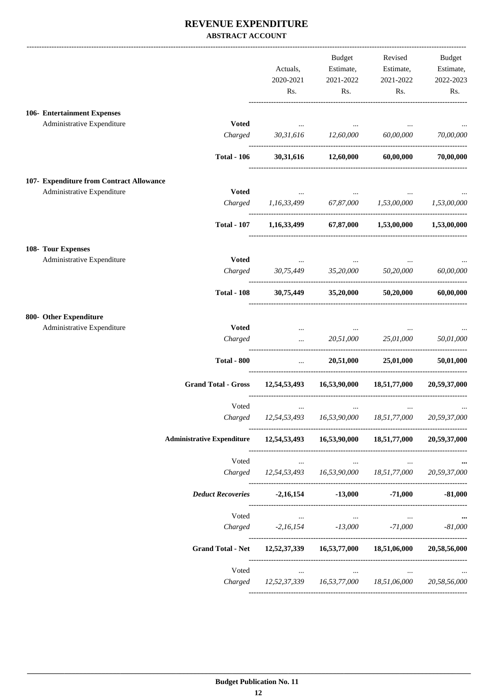#### **REVENUE EXPENDITURE ABSTRACT ACCOUNT**

|                                          |                                   | Actuals,<br>2020-2021                     | Budget<br>Estimate,<br>2021-2022 | Revised<br>Estimate,<br>2021-2022              | Budget<br>Estimate,<br>2022-2023 |
|------------------------------------------|-----------------------------------|-------------------------------------------|----------------------------------|------------------------------------------------|----------------------------------|
|                                          |                                   | Rs.                                       | Rs.                              | Rs.                                            | Rs.                              |
| 106- Entertainment Expenses              |                                   |                                           |                                  |                                                |                                  |
| Administrative Expenditure               | <b>Voted</b>                      |                                           |                                  |                                                |                                  |
|                                          | Charged                           |                                           | 30,31,616 12,60,000 60,00,000    |                                                | 70,00,000                        |
|                                          | <b>Total - 106</b>                |                                           | 30,31,616 12,60,000 60,00,000    |                                                | 70,00,000                        |
| 107- Expenditure from Contract Allowance |                                   |                                           |                                  |                                                |                                  |
| Administrative Expenditure               | <b>Voted</b>                      |                                           |                                  |                                                |                                  |
|                                          |                                   | Charged 1,16,33,499 67,87,000 1,53,00,000 |                                  |                                                | 1,53,00,000                      |
|                                          | <b>Total - 107</b>                |                                           |                                  | 1,16,33,499 67,87,000 1,53,00,000 1,53,00,000  |                                  |
| 108- Tour Expenses                       |                                   |                                           |                                  |                                                |                                  |
| Administrative Expenditure               | <b>Voted</b>                      | <b><i>Committee States</i></b>            |                                  |                                                |                                  |
|                                          | Charged                           | 30,75,449 35,20,000 50,20,000             |                                  |                                                | 60,00,000                        |
|                                          | <b>Total - 108</b>                |                                           | 30,75,449 35,20,000 50,20,000    |                                                | 60,00,000                        |
| 800- Other Expenditure                   |                                   |                                           |                                  |                                                |                                  |
| Administrative Expenditure               | <b>Voted</b>                      | $\cdots$                                  |                                  |                                                |                                  |
|                                          | Charged                           |                                           |                                  | $20,51,000$ $25,01,000$                        | 50,01,000                        |
|                                          | <b>Total - 800</b>                |                                           |                                  | $20,51,000$ $25,01,000$                        | 50,01,000                        |
|                                          | <b>Grand Total - Gross</b>        |                                           |                                  | 12,54,53,493   16,53,90,000   18,51,77,000     | 20,59,37,000                     |
|                                          | Voted                             | $\cdots$                                  |                                  |                                                |                                  |
|                                          | Charged                           |                                           | 12,54,53,493 16,53,90,000        | 18,51,77,000                                   | 20,59,37,000                     |
|                                          | <b>Administrative Expenditure</b> |                                           |                                  | 12,54,53,493   16,53,90,000   18,51,77,000     | 20,59,37,000                     |
|                                          | Voted                             | $\cdots$                                  | $\cdots$                         | $\cdots$                                       |                                  |
|                                          |                                   |                                           |                                  | Charged 12,54,53,493 16,53,90,000 18,51,77,000 | 20,59,37,000                     |
|                                          | <b>Deduct Recoveries</b>          | $-2,16,154$                               | $-13,000$                        | $-71,000$                                      | $-81,000$                        |
|                                          | Voted                             | $\ldots$                                  | $\cdots$                         | $\cdots$                                       |                                  |
|                                          |                                   | Charged -2,16,154 -13,000                 |                                  | -71,000                                        | $-81,000$                        |
|                                          | <b>Grand Total - Net</b>          |                                           |                                  | 12,52,37,339 16,53,77,000 18,51,06,000         | 20,58,56,000                     |
|                                          | Voted                             | $\cdots$                                  | $\cdots$                         | $\cdots$                                       |                                  |
|                                          |                                   |                                           |                                  | Charged 12,52,37,339 16,53,77,000 18,51,06,000 | 20,58,56,000                     |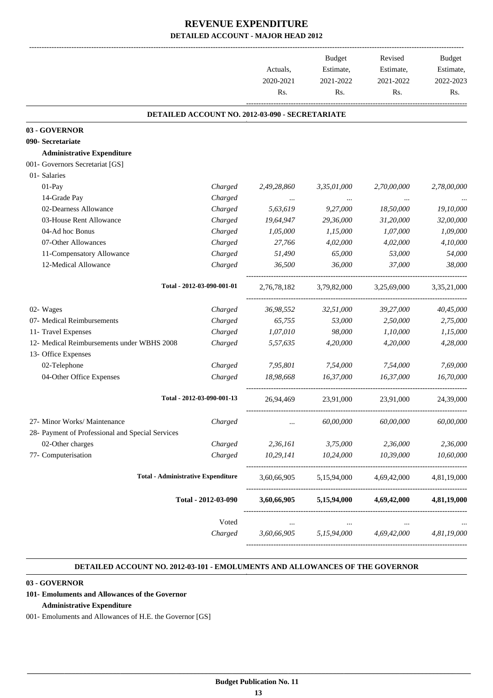|                                                  |                            | Actuals,<br>2020-2021<br>Rs.                    | <b>Budget</b><br>Estimate,<br>2021-2022<br>Rs. | Revised<br>Estimate,<br>2021-2022<br>Rs. | <b>Budget</b><br>Estimate,<br>2022-2023<br>Rs. |
|--------------------------------------------------|----------------------------|-------------------------------------------------|------------------------------------------------|------------------------------------------|------------------------------------------------|
|                                                  |                            |                                                 |                                                |                                          |                                                |
|                                                  |                            | DETAILED ACCOUNT NO. 2012-03-090 - SECRETARIATE |                                                |                                          |                                                |
| 03 - GOVERNOR                                    |                            |                                                 |                                                |                                          |                                                |
| 090- Secretariate                                |                            |                                                 |                                                |                                          |                                                |
| <b>Administrative Expenditure</b>                |                            |                                                 |                                                |                                          |                                                |
| 001- Governors Secretariat [GS]                  |                            |                                                 |                                                |                                          |                                                |
| 01- Salaries                                     |                            |                                                 |                                                |                                          |                                                |
| 01-Pay                                           | Charged                    | 2,49,28,860                                     | 3,35,01,000                                    | 2,70,00,000                              | 2,78,00,000                                    |
| 14-Grade Pay                                     | Charged                    |                                                 |                                                |                                          |                                                |
| 02-Dearness Allowance                            | Charged                    | 5,63,619                                        | 9,27,000                                       | 18,50,000                                | 19,10,000                                      |
| 03-House Rent Allowance                          | Charged                    | 19,64,947                                       | 29,36,000                                      | 31,20,000                                | 32,00,000                                      |
| 04-Ad hoc Bonus                                  | Charged                    | 1,05,000                                        | 1,15,000                                       | 1,07,000                                 | 1,09,000                                       |
| 07-Other Allowances                              | Charged                    | 27,766                                          | 4,02,000                                       | 4,02,000                                 | 4,10,000                                       |
| 11-Compensatory Allowance                        | Charged                    | 51,490                                          | 65,000                                         | 53,000                                   | 54,000                                         |
| 12-Medical Allowance                             | Charged                    | 36,500                                          | 36,000                                         | 37,000                                   | 38,000                                         |
|                                                  | Total - 2012-03-090-001-01 | 2,76,78,182                                     | 3,79,82,000                                    | 3,25,69,000                              | 3,35,21,000                                    |
| 02- Wages                                        | Charged                    | 36,98,552                                       | 32,51,000                                      | 39,27,000                                | 40,45,000                                      |
| 07- Medical Reimbursements                       | Charged                    | 65,755                                          | 53,000                                         | 2,50,000                                 | 2,75,000                                       |
| 11- Travel Expenses                              | Charged                    | 1,07,010                                        | 98,000                                         | 1,10,000                                 | 1,15,000                                       |
| 12- Medical Reimbursements under WBHS 2008       | Charged                    | 5,57,635                                        | 4,20,000                                       | 4,20,000                                 | 4,28,000                                       |
| 13- Office Expenses                              |                            |                                                 |                                                |                                          |                                                |
| 02-Telephone                                     | Charged                    | 7,95,801                                        | 7,54,000                                       | 7,54,000                                 | 7,69,000                                       |
| 04-Other Office Expenses                         | Charged                    | 18,98,668                                       | 16,37,000                                      | 16,37,000                                | 16,70,000                                      |
|                                                  | Total - 2012-03-090-001-13 | 26,94,469                                       | 23,91,000                                      | 23,91,000                                | 24,39,000                                      |
| 27- Minor Works/ Maintenance                     | Charged                    |                                                 | 60,00,000                                      | 60,00,000                                | 60,00,000                                      |
| 28- Payment of Professional and Special Services |                            |                                                 |                                                |                                          |                                                |
| 02-Other charges                                 | Charged                    | 2,36,161                                        | 3,75,000                                       | 2,36,000                                 | 2,36,000                                       |
| 77- Computerisation                              | Charged                    | 10,29,141                                       | 10,24,000                                      | 10,39,000                                | 10,60,000                                      |
| <b>Total - Administrative Expenditure</b>        |                            | 3,60,66,905                                     | 5,15,94,000                                    | 4,69,42,000                              | 4,81,19,000                                    |
|                                                  | Total - 2012-03-090        | 3,60,66,905                                     | 5,15,94,000                                    | 4,69,42,000                              | 4,81,19,000                                    |
|                                                  | Voted                      | $\cdots$                                        | $\cdots$                                       | $\cdots$                                 |                                                |
|                                                  | Charged                    | 3,60,66,905                                     | 5,15,94,000                                    | 4,69,42,000                              | 4,81,19,000                                    |

#### **DETAILED ACCOUNT NO. 2012-03-101 - EMOLUMENTS AND ALLOWANCES OF THE GOVERNOR .**

.

#### **03 - GOVERNOR**

#### **101- Emoluments and Allowances of the Governor**

#### **Administrative Expenditure**

001- Emoluments and Allowances of H.E. the Governor [GS]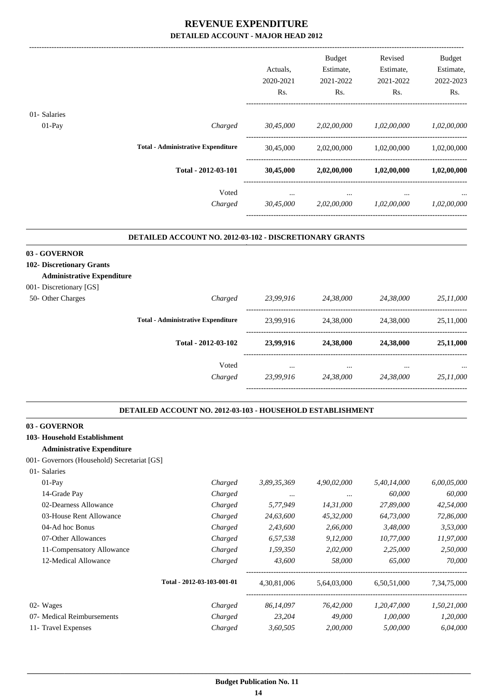|                                                                                                                                                   |                                                            | Actuals,<br>2020-2021<br>Rs. | Budget<br>Estimate,<br>2021-2022<br>Rs. | Revised<br>Estimate,<br>2021-2022<br>Rs.                                                                                                                                                                                                                                                      | Budget<br>Estimate,<br>2022-2023<br>Rs. |
|---------------------------------------------------------------------------------------------------------------------------------------------------|------------------------------------------------------------|------------------------------|-----------------------------------------|-----------------------------------------------------------------------------------------------------------------------------------------------------------------------------------------------------------------------------------------------------------------------------------------------|-----------------------------------------|
| 01- Salaries                                                                                                                                      |                                                            |                              |                                         |                                                                                                                                                                                                                                                                                               |                                         |
| 01-Pay                                                                                                                                            | Charged                                                    |                              | 30,45,000 2,02,00,000 1,02,00,000       |                                                                                                                                                                                                                                                                                               | 1,02,00,000                             |
|                                                                                                                                                   |                                                            |                              |                                         |                                                                                                                                                                                                                                                                                               |                                         |
|                                                                                                                                                   | <b>Total - Administrative Expenditure</b>                  | 30,45,000                    |                                         |                                                                                                                                                                                                                                                                                               | 1,02,00,000                             |
|                                                                                                                                                   | Total - 2012-03-101                                        |                              |                                         |                                                                                                                                                                                                                                                                                               |                                         |
|                                                                                                                                                   | Voted                                                      | $\cdots$                     | $\cdots$                                |                                                                                                                                                                                                                                                                                               |                                         |
|                                                                                                                                                   | Charged                                                    | 30,45,000                    | 2,02,00,000                             |                                                                                                                                                                                                                                                                                               | 1,02,00,000                             |
|                                                                                                                                                   | DETAILED ACCOUNT NO. 2012-03-102 - DISCRETIONARY GRANTS    |                              |                                         |                                                                                                                                                                                                                                                                                               |                                         |
| 03 - GOVERNOR<br>102- Discretionary Grants<br><b>Administrative Expenditure</b><br>001- Discretionary [GS]                                        |                                                            |                              |                                         |                                                                                                                                                                                                                                                                                               |                                         |
| 50- Other Charges                                                                                                                                 |                                                            | Charged 23,99,916 24,38,000  |                                         | 2,02,00,000 1,02,00,000<br>$30,45,000$ $2,02,00,000$ $1,02,00,000$ $1,02,00,000$<br>$\cdots$<br>1,02,00,000<br>24,38,000<br>24,38,000<br>5,40,14,000<br>60,000<br>27,89,000<br>64,73,000<br>3,48,000<br>10,77,000<br>2,25,000<br>65,000<br>6,50,51,000<br>1,20,47,000<br>1,00,000<br>5,00,000 | 25,11,000                               |
|                                                                                                                                                   | <b>Total - Administrative Expenditure</b>                  |                              | 23,99,916 24,38,000 24,38,000           |                                                                                                                                                                                                                                                                                               |                                         |
|                                                                                                                                                   | Total - 2012-03-102                                        | 23,99,916                    | 24,38,000                               |                                                                                                                                                                                                                                                                                               | 25,11,000                               |
|                                                                                                                                                   | Voted                                                      | $\cdots$                     | $\cdots$                                |                                                                                                                                                                                                                                                                                               |                                         |
|                                                                                                                                                   | Charged                                                    |                              | 23,99,916 24,38,000 24,38,000           |                                                                                                                                                                                                                                                                                               | 25,11,000                               |
|                                                                                                                                                   | DETAILED ACCOUNT NO. 2012-03-103 - HOUSEHOLD ESTABLISHMENT |                              |                                         |                                                                                                                                                                                                                                                                                               |                                         |
| 03 - GOVERNOR<br>103- Household Establishment<br><b>Administrative Expenditure</b><br>001- Governors (Household) Secretariat [GS]<br>01- Salaries |                                                            |                              |                                         |                                                                                                                                                                                                                                                                                               |                                         |
| $01-Pay$                                                                                                                                          | Charged                                                    | 3,89,35,369                  | 4,90,02,000                             |                                                                                                                                                                                                                                                                                               | 6,00,05,000                             |
| 14-Grade Pay                                                                                                                                      | Charged                                                    | $\ldots$                     | $\ldots$                                |                                                                                                                                                                                                                                                                                               | 60,000                                  |
| 02-Dearness Allowance                                                                                                                             | Charged                                                    | 5,77,949                     | 14,31,000                               |                                                                                                                                                                                                                                                                                               | 42,54,000                               |
| 03-House Rent Allowance                                                                                                                           | Charged                                                    | 24,63,600                    | 45,32,000                               |                                                                                                                                                                                                                                                                                               | 72,86,000                               |
| 04-Ad hoc Bonus                                                                                                                                   | Charged                                                    | 2,43,600                     | 2,66,000                                |                                                                                                                                                                                                                                                                                               | 3,53,000                                |
| 07-Other Allowances                                                                                                                               | Charged                                                    | 6,57,538                     | 9,12,000                                |                                                                                                                                                                                                                                                                                               | 11,97,000                               |
| 11-Compensatory Allowance                                                                                                                         | Charged                                                    | 1,59,350                     | 2,02,000                                |                                                                                                                                                                                                                                                                                               | 2,50,000                                |
| 12-Medical Allowance                                                                                                                              | Charged                                                    | 43,600                       | 58,000                                  |                                                                                                                                                                                                                                                                                               | 70,000                                  |
|                                                                                                                                                   | Total - 2012-03-103-001-01                                 | 4,30,81,006                  | 5,64,03,000                             |                                                                                                                                                                                                                                                                                               | 7,34,75,000                             |
| 02- Wages                                                                                                                                         | Charged                                                    | 86,14,097                    | 76,42,000                               |                                                                                                                                                                                                                                                                                               | 1,50,21,000                             |
| 07- Medical Reimbursements                                                                                                                        | Charged                                                    | 23,204                       | 49,000                                  |                                                                                                                                                                                                                                                                                               | 1,20,000                                |
| 11- Travel Expenses                                                                                                                               | Charged                                                    | 3,60,505                     | 2,00,000                                |                                                                                                                                                                                                                                                                                               | 6,04,000                                |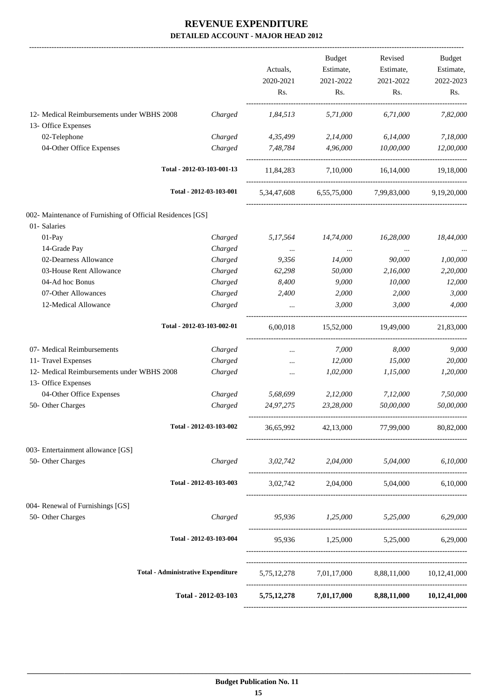|                                                            |                                           | Actuals,<br>2020-2021<br>Rs.        | <b>Budget</b><br>Estimate,<br>2021-2022<br>Rs.   | Revised<br>Estimate,<br>2021-2022<br>Rs. | Budget<br>Estimate,<br>2022-2023<br>Rs. |
|------------------------------------------------------------|-------------------------------------------|-------------------------------------|--------------------------------------------------|------------------------------------------|-----------------------------------------|
| 12- Medical Reimbursements under WBHS 2008                 | Charged                                   | 1,84,513                            | 5,71,000                                         | 6,71,000                                 | 7,82,000                                |
| 13- Office Expenses                                        |                                           |                                     |                                                  |                                          |                                         |
| 02-Telephone                                               | Charged                                   | 4,35,499                            | 2,14,000                                         | 6,14,000                                 | 7,18,000                                |
| 04-Other Office Expenses                                   | Charged                                   | 7,48,784                            | 4,96,000                                         | 10.00.000                                | 12,00,000                               |
|                                                            | Total - 2012-03-103-001-13                | 11,84,283                           | 7,10,000 16,14,000                               |                                          | 19,18,000                               |
|                                                            | Total - 2012-03-103-001                   | 5,34,47,608                         | 6,55,75,000                                      | 7,99,83,000                              | 9,19,20,000                             |
| 002- Maintenance of Furnishing of Official Residences [GS] |                                           |                                     |                                                  |                                          |                                         |
| 01- Salaries                                               |                                           |                                     |                                                  |                                          |                                         |
| 01-Pay                                                     | Charged                                   | 5,17,564                            | 14,74,000                                        | 16,28,000                                | 18,44,000                               |
| 14-Grade Pay                                               | Charged                                   | $\cdots$                            | $\ldots$                                         | $\cdots$                                 |                                         |
| 02-Dearness Allowance                                      | Charged                                   | 9,356                               | 14,000                                           | 90,000                                   | 1,00,000                                |
| 03-House Rent Allowance                                    | Charged                                   | 62,298                              | 50,000                                           | 2,16,000                                 | 2,20,000                                |
| 04-Ad hoc Bonus                                            | Charged                                   | 8,400                               | 9,000                                            | 10,000                                   | 12,000                                  |
| 07-Other Allowances                                        | Charged                                   | 2,400                               | 2,000                                            | 2,000                                    | 3,000                                   |
| 12-Medical Allowance                                       | Charged                                   |                                     | 3,000                                            | 3,000                                    | 4,000                                   |
|                                                            | Total - 2012-03-103-002-01                | 6,00,018                            | 15,52,000                                        | 19,49,000                                | 21,83,000                               |
| 07- Medical Reimbursements                                 | Charged                                   | $\cdots$                            | 7,000                                            | 8,000                                    | 9,000                                   |
| 11- Travel Expenses                                        | Charged                                   | $\cdots$                            | 12,000                                           | 15,000                                   | 20,000                                  |
| 12- Medical Reimbursements under WBHS 2008                 | Charged                                   | $\cdots$                            | 1,02,000                                         | 1,15,000                                 | 1,20,000                                |
| 13- Office Expenses                                        |                                           |                                     |                                                  |                                          |                                         |
| 04-Other Office Expenses                                   | Charged                                   | 5,68,699                            | 2,12,000                                         | 7,12,000                                 | 7,50,000                                |
| 50- Other Charges                                          | Charged                                   | 24,97,275                           | 23,28,000                                        | 50,00,000                                | 50,00,000                               |
|                                                            | Total - 2012-03-103-002                   | 36,65,992                           |                                                  | 42,13,000 77,99,000                      | 80,82,000                               |
| 003- Entertainment allowance [GS]                          |                                           |                                     |                                                  |                                          |                                         |
| 50- Other Charges                                          | Charged                                   | 3,02,742 2,04,000 5,04,000 6,10,000 |                                                  |                                          |                                         |
|                                                            | Total - 2012-03-103-003                   |                                     | 3,02,742 2,04,000 5,04,000 6,10,000              |                                          |                                         |
| 004- Renewal of Furnishings [GS]                           |                                           |                                     |                                                  |                                          |                                         |
| 50- Other Charges                                          | Charged                                   | 95,936 1,25,000 5,25,000 6,29,000   |                                                  |                                          |                                         |
|                                                            | Total - 2012-03-103-004                   |                                     | 95,936 1,25,000 5,25,000 6,29,000                |                                          |                                         |
|                                                            | <b>Total - Administrative Expenditure</b> |                                     | 5,75,12,278 7,01,17,000 8,88,11,000 10,12,41,000 |                                          |                                         |
|                                                            | Total - 2012-03-103                       |                                     | 5,75,12,278 7,01,17,000 8,88,11,000 10,12,41,000 |                                          |                                         |
|                                                            |                                           |                                     |                                                  |                                          |                                         |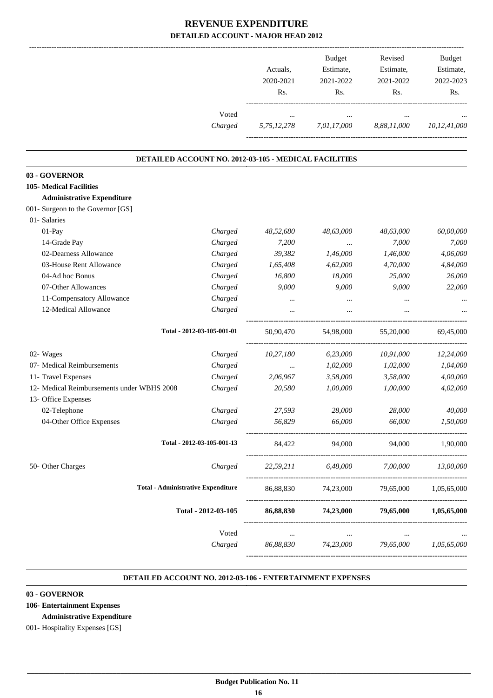| Voted<br>Charged                                      | $\cdots$  | $\cdots$<br>5,75,12,278 7,01,17,000 8,88,11,000 | $\cdots$                        |                 |
|-------------------------------------------------------|-----------|-------------------------------------------------|---------------------------------|-----------------|
|                                                       |           |                                                 |                                 | 10,12,41,000    |
|                                                       |           |                                                 |                                 |                 |
| DETAILED ACCOUNT NO. 2012-03-105 - MEDICAL FACILITIES |           |                                                 |                                 |                 |
| 03 - GOVERNOR                                         |           |                                                 |                                 |                 |
| <b>105- Medical Facilities</b>                        |           |                                                 |                                 |                 |
| <b>Administrative Expenditure</b>                     |           |                                                 |                                 |                 |
| 001- Surgeon to the Governor [GS]                     |           |                                                 |                                 |                 |
| 01- Salaries                                          |           |                                                 |                                 |                 |
| 01-Pay<br>Charged                                     | 48,52,680 | 48,63,000                                       | 48,63,000                       | 60,00,000       |
| 14-Grade Pay<br>Charged                               | 7,200     | $\cdots$                                        | 7,000                           | 7,000           |
| 02-Dearness Allowance<br>Charged                      | 39,382    | 1,46,000                                        | 1,46,000                        | 4,06,000        |
| 03-House Rent Allowance<br>Charged                    | 1,65,408  | 4,62,000                                        | 4,70,000                        | 4,84,000        |
| 04-Ad hoc Bonus<br>Charged                            | 16,800    | 18,000                                          | 25,000                          | 26,000          |
| 07-Other Allowances<br>Charged                        | 9,000     | 9,000                                           | 9,000                           | 22,000          |
| 11-Compensatory Allowance<br>Charged                  | $\cdots$  | $\cdots$                                        | $\cdots$                        |                 |
| 12-Medical Allowance<br>Charged                       | $\cdots$  | $\cdots$                                        | $\cdots$                        |                 |
| Total - 2012-03-105-001-01                            | 50,90,470 | 54,98,000                                       | 55,20,000                       | 69,45,000       |
| 02- Wages<br>Charged                                  | 10,27,180 | 6,23,000                                        | 10,91,000                       | 12,24,000       |
| 07- Medical Reimbursements<br>Charged                 | $\cdots$  | 1,02,000                                        | 1,02,000                        | 1,04,000        |
| 11- Travel Expenses<br>Charged                        | 2,06,967  | 3,58,000                                        | 3,58,000                        | 4,00,000        |
| 12- Medical Reimbursements under WBHS 2008<br>Charged | 20,580    | 1,00,000                                        | 1,00,000                        | 4,02,000        |
| 13- Office Expenses                                   |           |                                                 |                                 |                 |
| 02-Telephone<br>Charged                               | 27,593    | 28,000                                          | 28,000                          | 40,000          |
| Charged<br>04-Other Office Expenses                   | 56,829    | 66,000                                          | 66,000                          | 1,50,000        |
| Total - 2012-03-105-001-13                            |           | 84,422 94,000                                   |                                 | 94,000 1,90,000 |
| 50- Other Charges<br>Charged                          |           | 22,59,211 6,48,000 7,00,000                     |                                 | 13,00,000       |
| <b>Total - Administrative Expenditure</b>             |           | 86,88,830 74,23,000 79,65,000 1,05,65,000       |                                 |                 |
| Total - 2012-03-105                                   | 86,88,830 |                                                 | 74,23,000 79,65,000 1,05,65,000 |                 |
| Voted                                                 | $\ldots$  | $\ldots$                                        | $\cdots$                        |                 |
| Charged                                               | 86,88,830 | 74,23,000                                       | 79,65,000                       | 1,05,65,000     |

#### **DETAILED ACCOUNT NO. 2012-03-106 - ENTERTAINMENT EXPENSES .**

.

#### **03 - GOVERNOR**

- **106- Entertainment Expenses** 
	- **Administrative Expenditure**

001- Hospitality Expenses [GS]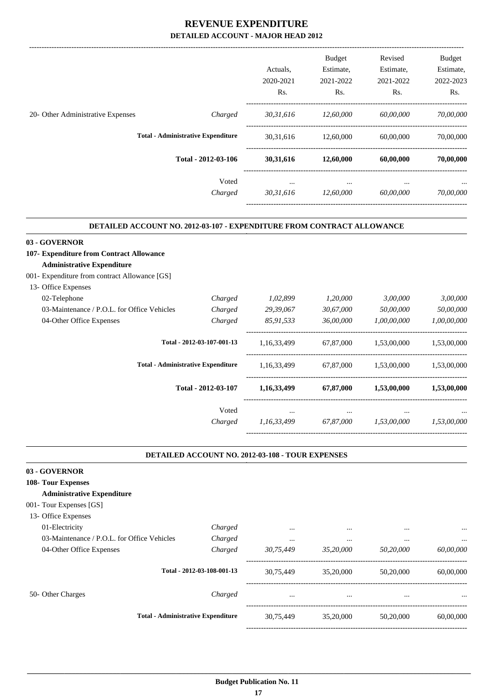|                                   |                                           | Actuals.<br>2020-2021 | <b>Budget</b><br>Estimate,<br>2021-2022 | Revised<br>Estimate,<br>2021-2022 | <b>Budget</b><br>Estimate,<br>2022-2023 |
|-----------------------------------|-------------------------------------------|-----------------------|-----------------------------------------|-----------------------------------|-----------------------------------------|
|                                   |                                           | Rs.                   | Rs.                                     | Rs.                               | R <sub>s</sub> .                        |
| 20- Other Administrative Expenses | Charged                                   | 30,31,616             | 12,60,000                               | 60,00,000                         | 70,00,000                               |
|                                   | <b>Total - Administrative Expenditure</b> | 30, 31, 616           | 12,60,000                               | 60,00,000                         | 70,00,000                               |
|                                   | Total - 2012-03-106                       | 30,31,616             | 12,60,000                               | 60,00,000                         | 70,00,000                               |
|                                   | Voted<br>Charged                          | $\cdots$<br>30,31,616 | $\cdots$<br>12,60,000                   | $\cdots$<br>60,00,000             | $\cdots$<br>70,00,000                   |
|                                   |                                           |                       |                                         |                                   |                                         |

#### **DETAILED ACCOUNT NO. 2012-03-107 - EXPENDITURE FROM CONTRACT ALLOWANCE**

.

.

| 03 - GOVERNOR                                  |                            |             |           |                                                       |             |
|------------------------------------------------|----------------------------|-------------|-----------|-------------------------------------------------------|-------------|
| 107- Expenditure from Contract Allowance       |                            |             |           |                                                       |             |
| <b>Administrative Expenditure</b>              |                            |             |           |                                                       |             |
| 001 - Expenditure from contract Allowance [GS] |                            |             |           |                                                       |             |
| 13- Office Expenses                            |                            |             |           |                                                       |             |
| 02-Telephone                                   | Charged                    | 1,02,899    | 1,20,000  | 3,00,000                                              | 3,00,000    |
| 03-Maintenance / P.O.L. for Office Vehicles    | Charged                    | 29,39,067   | 30,67,000 | 50,00,000                                             | 50,00,000   |
| 04-Other Office Expenses                       | Charged                    | 85,91,533   | 36,00,000 | 1,00,00,000                                           | 1,00,00,000 |
|                                                | Total - 2012-03-107-001-13 | 1,16,33,499 | 67,87,000 | 1,53,00,000                                           | 1,53,00,000 |
| <b>Total - Administrative Expenditure</b>      |                            | 1,16,33,499 | 67,87,000 | 1,53,00,000<br>1,53,00,000<br>$\cdots$<br>1,53,00,000 | 1,53,00,000 |
|                                                | Total - 2012-03-107        | 1,16,33,499 | 67,87,000 |                                                       | 1,53,00,000 |
|                                                | Voted                      | $\cdots$    | $\cdots$  |                                                       | $\cdots$    |
|                                                | Charged                    | 1,16,33,499 | 67,87,000 |                                                       | 1,53,00,000 |
|                                                |                            |             |           |                                                       |             |

#### **DETAILED ACCOUNT NO. 2012-03-108 - TOUR EXPENSES**

| 03 - GOVERNOR                               |                            |           |           |           |           |
|---------------------------------------------|----------------------------|-----------|-----------|-----------|-----------|
| 108- Tour Expenses                          |                            |           |           |           |           |
| <b>Administrative Expenditure</b>           |                            |           |           |           |           |
| 001- Tour Expenses [GS]                     |                            |           |           |           |           |
| 13- Office Expenses                         |                            |           |           |           |           |
| 01-Electricity                              | Charged                    | $\cdots$  | $\cdots$  | $\cdots$  | $\ddotsc$ |
| 03-Maintenance / P.O.L. for Office Vehicles | Charged                    | $\cdots$  |           | $\cdots$  |           |
| 04-Other Office Expenses                    | Charged                    | 30,75,449 | 35,20,000 | 50,20,000 | 60,00,000 |
|                                             | Total - 2012-03-108-001-13 | 30,75,449 | 35,20,000 | 50,20,000 | 60,00,000 |
| 50- Other Charges                           | Charged                    | $\cdots$  | $\cdots$  | $\cdots$  | $\ddotsc$ |
| <b>Total - Administrative Expenditure</b>   |                            | 30,75,449 | 35,20,000 | 50,20,000 | 60,00,000 |
|                                             |                            |           |           |           |           |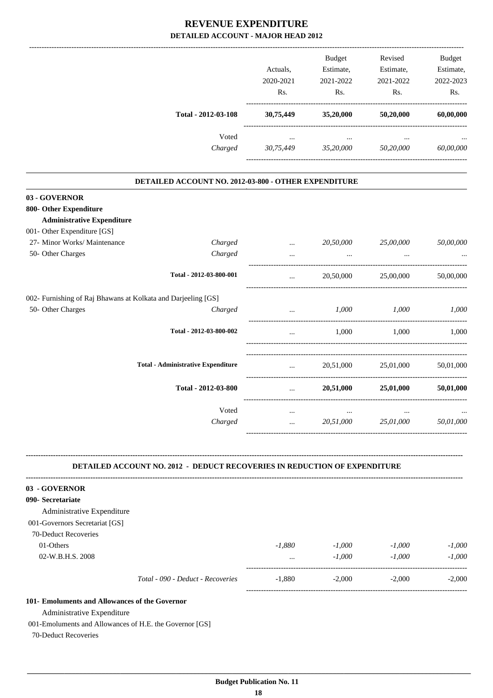|                                                                                                                                                                 |                                                                                  | Actuals,<br>2020-2021<br>Rs. | Budget<br>Estimate,<br>2021-2022<br>Rs.                        | Revised<br>Estimate,<br>2021-2022<br>Rs. | <b>Budget</b><br>Estimate,<br>2022-2023<br>Rs. |
|-----------------------------------------------------------------------------------------------------------------------------------------------------------------|----------------------------------------------------------------------------------|------------------------------|----------------------------------------------------------------|------------------------------------------|------------------------------------------------|
|                                                                                                                                                                 | Total - 2012-03-108                                                              | 30,75,449                    | 35,20,000                                                      | 50,20,000                                | 60,00,000                                      |
|                                                                                                                                                                 | Voted                                                                            | $\cdots$                     | $\cdots$                                                       |                                          |                                                |
|                                                                                                                                                                 | Charged                                                                          | 30,75,449                    | 35,20,000                                                      | 50,20,000                                | 60,00,000                                      |
|                                                                                                                                                                 | DETAILED ACCOUNT NO. 2012-03-800 - OTHER EXPENDITURE                             |                              |                                                                |                                          |                                                |
| 03 - GOVERNOR                                                                                                                                                   |                                                                                  |                              |                                                                |                                          |                                                |
| 800- Other Expenditure                                                                                                                                          |                                                                                  |                              |                                                                |                                          |                                                |
| <b>Administrative Expenditure</b>                                                                                                                               |                                                                                  |                              |                                                                |                                          |                                                |
| 001- Other Expenditure [GS]<br>27- Minor Works/ Maintenance                                                                                                     | Charged                                                                          |                              | 20,50,000                                                      | 25,00,000                                | 50,00,000                                      |
| 50- Other Charges                                                                                                                                               | Charged                                                                          | $\cdots$<br>$\cdots$         |                                                                |                                          |                                                |
|                                                                                                                                                                 | Total - 2012-03-800-001                                                          |                              |                                                                |                                          |                                                |
|                                                                                                                                                                 |                                                                                  | $\cdots$                     | 20,50,000                                                      | 25,00,000                                | 50,00,000                                      |
| 002- Furnishing of Raj Bhawans at Kolkata and Darjeeling [GS]                                                                                                   |                                                                                  |                              |                                                                |                                          |                                                |
| 50- Other Charges                                                                                                                                               | Charged                                                                          | $\cdots$                     | 1,000                                                          | 1,000                                    | 1,000                                          |
|                                                                                                                                                                 | Total - 2012-03-800-002                                                          | $\ddotsc$                    | 1,000                                                          | 1,000                                    | 1,000                                          |
|                                                                                                                                                                 | <b>Total - Administrative Expenditure</b>                                        | $\cdots$                     | 20,51,000                                                      | 25,01,000                                | 50,01,000                                      |
|                                                                                                                                                                 | Total - 2012-03-800                                                              | $\cdots$                     | 20,51,000                                                      | 25,01,000                                | 50,01,000                                      |
|                                                                                                                                                                 | Voted                                                                            |                              |                                                                |                                          |                                                |
|                                                                                                                                                                 | Charged                                                                          | $\cdots$                     | 20,51,000                                                      | 25,01,000                                | 50,01,000                                      |
|                                                                                                                                                                 | <b>DETAILED ACCOUNT NO. 2012 - DEDUCT RECOVERIES IN REDUCTION OF EXPENDITURE</b> |                              |                                                                |                                          |                                                |
| 03 - GOVERNOR                                                                                                                                                   |                                                                                  |                              |                                                                |                                          |                                                |
| 090- Secretariate                                                                                                                                               |                                                                                  |                              |                                                                |                                          |                                                |
| Administrative Expenditure                                                                                                                                      |                                                                                  |                              |                                                                |                                          |                                                |
| 001-Governors Secretariat [GS]                                                                                                                                  |                                                                                  |                              |                                                                |                                          |                                                |
| 70-Deduct Recoveries                                                                                                                                            |                                                                                  |                              |                                                                |                                          |                                                |
| 01-Others                                                                                                                                                       |                                                                                  | $-1,880$                     | -1,000                                                         | $-1,000$                                 | $-1,000$                                       |
| 02-W.B.H.S. 2008                                                                                                                                                |                                                                                  |                              | $-1,000$<br>$\mathbf{m}$ and $\mathbf{m}$ are all $\mathbf{m}$ | $-1,000$                                 | $-1,000$                                       |
|                                                                                                                                                                 | Total - 090 - Deduct - Recoveries                                                | $-1,880$                     | $-2,000$                                                       | $-2,000$                                 | $-2,000$                                       |
| 101- Emoluments and Allowances of the Governor<br>Administrative Expenditure<br>001-Emoluments and Allowances of H.E. the Governor [GS]<br>70-Deduct Recoveries |                                                                                  |                              |                                                                |                                          |                                                |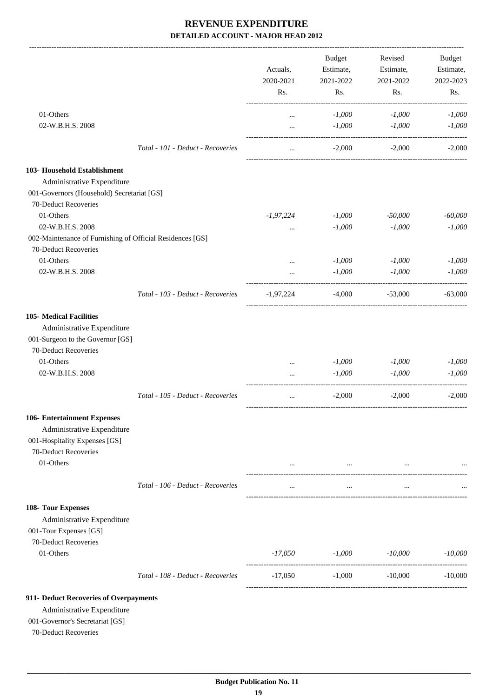-------------------------------------------------------------------------------------------------------------------------------------------------------------------------------

|                                                                    |                                   | Actuals,<br>2020-2021 | <b>Budget</b><br>Estimate,<br>2021-2022 | Revised<br>Estimate,<br>2021-2022 | <b>Budget</b><br>Estimate,<br>2022-2023 |
|--------------------------------------------------------------------|-----------------------------------|-----------------------|-----------------------------------------|-----------------------------------|-----------------------------------------|
|                                                                    |                                   | Rs.                   | Rs.                                     | Rs.                               | Rs.                                     |
| 01-Others                                                          |                                   | $\cdots$              | $-1,000$                                | $-1,000$                          | $-1,000$                                |
| 02-W.B.H.S. 2008                                                   |                                   | $\cdots$              | $-1,000$                                | $-1,000$                          | $-1,000$                                |
|                                                                    | Total - 101 - Deduct - Recoveries | $\ddotsc$             | $-2,000$                                | $-2,000$                          | $-2.000$                                |
| 103- Household Establishment                                       |                                   |                       |                                         |                                   |                                         |
| Administrative Expenditure                                         |                                   |                       |                                         |                                   |                                         |
| 001-Governors (Household) Secretariat [GS]<br>70-Deduct Recoveries |                                   |                       |                                         |                                   |                                         |
| 01-Others                                                          |                                   | $-1,97,224$           | $-1,000$                                | $-50,000$                         | $-60,000$                               |
| 02-W.B.H.S. 2008                                                   |                                   |                       | $-1,000$                                | $-1,000$                          | $-1,000$                                |
| 002-Maintenance of Furnishing of Official Residences [GS]          |                                   |                       |                                         |                                   |                                         |
| 70-Deduct Recoveries                                               |                                   |                       |                                         |                                   |                                         |
| 01-Others                                                          |                                   |                       | $-1,000$                                | $-1,000$                          | $-1,000$                                |
| 02-W.B.H.S. 2008                                                   |                                   |                       | $-1,000$                                | $-1,000$                          | $-1.000$                                |
|                                                                    | Total - 103 - Deduct - Recoveries | $-1,97,224$           | $-4,000$                                | $-53,000$                         | $-63,000$                               |
| <b>105- Medical Facilities</b>                                     |                                   |                       |                                         |                                   |                                         |
| Administrative Expenditure                                         |                                   |                       |                                         |                                   |                                         |
| 001-Surgeon to the Governor [GS]                                   |                                   |                       |                                         |                                   |                                         |
| 70-Deduct Recoveries                                               |                                   |                       |                                         |                                   |                                         |
| 01-Others                                                          |                                   | $\cdots$              | $-1,000$                                | $-1,000$                          | $-1,000$                                |
| 02-W.B.H.S. 2008                                                   |                                   |                       | $-1,000$                                | $-1,000$                          | $-1,000$                                |
|                                                                    | Total - 105 - Deduct - Recoveries |                       | $-2,000$                                | $-2,000$                          | $-2,000$                                |
| 106- Entertainment Expenses                                        |                                   |                       |                                         |                                   |                                         |
| Administrative Expenditure                                         |                                   |                       |                                         |                                   |                                         |
| 001-Hospitality Expenses [GS]                                      |                                   |                       |                                         |                                   |                                         |
| 70-Deduct Recoveries                                               |                                   |                       |                                         |                                   |                                         |
| 01-Others                                                          |                                   | $\ldots$              | $\cdots$                                | $\cdots$                          |                                         |
|                                                                    | Total - 106 - Deduct - Recoveries | $\cdots$              | $\cdots$                                | $\cdots$                          |                                         |
| 108- Tour Expenses<br>Administrative Expenditure                   |                                   |                       |                                         |                                   |                                         |
| 001-Tour Expenses [GS]                                             |                                   |                       |                                         |                                   |                                         |
| 70-Deduct Recoveries                                               |                                   |                       |                                         |                                   |                                         |
| 01-Others                                                          |                                   | -17,050               | $-1,000$                                | -10,000                           | $-10,000$                               |
|                                                                    | Total - 108 - Deduct - Recoveries | -17,050               | $-1,000$                                | $-10,000$                         | $-10,000$                               |
| 911- Deduct Recoveries of Overpayments                             |                                   |                       |                                         |                                   |                                         |
| Administrative Expenditure                                         |                                   |                       |                                         |                                   |                                         |
| 001-Governor's Secretariat [GS]                                    |                                   |                       |                                         |                                   |                                         |
| 70-Deduct Recoveries                                               |                                   |                       |                                         |                                   |                                         |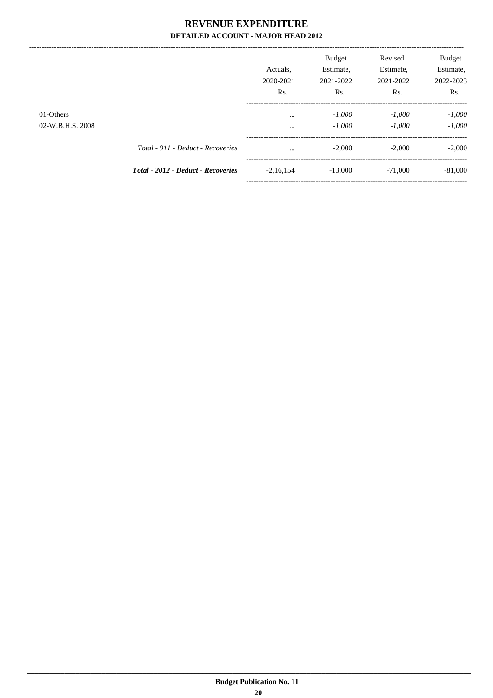|                               |                                           | Actuals.<br>2020-2021<br>Rs. | <b>Budget</b><br>Estimate,<br>2021-2022<br>Rs. | Revised<br>Estimate,<br>2021-2022<br>Rs. | Budget<br>Estimate,<br>2022-2023<br>Rs. |
|-------------------------------|-------------------------------------------|------------------------------|------------------------------------------------|------------------------------------------|-----------------------------------------|
| 01-Others<br>02-W.B.H.S. 2008 |                                           | $\cdots$<br>$\cdots$         | $-1,000$<br>$-1,000$                           | $-1,000$<br>$-1.000$                     | $-1,000$<br>$-1,000$                    |
|                               | Total - 911 - Deduct - Recoveries         | $\cdots$                     | $-2,000$                                       | $-2.000$                                 | $-2,000$                                |
|                               | <b>Total - 2012 - Deduct - Recoveries</b> | $-2,16,154$                  | $-13,000$                                      | $-71,000$                                | $-81,000$                               |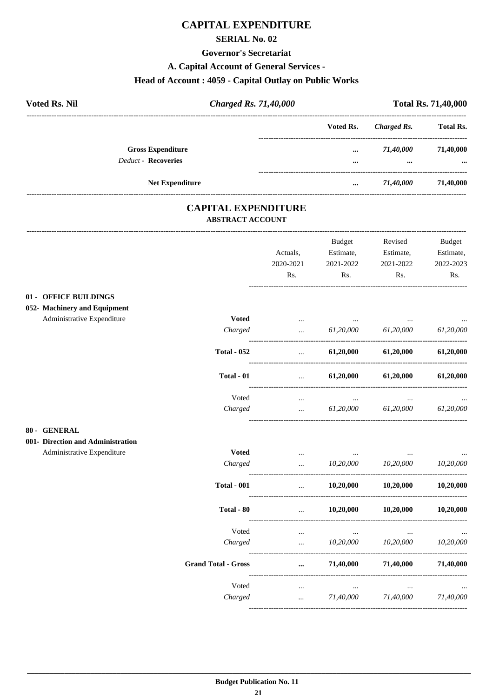### **CAPITAL EXPENDITURE**

#### **SERIAL No. 02**

#### **Governor's Secretariat**

A. Capital Account of General Services -

## Head of Account: 4059 - Capital Outlay on Public Works

| <b>Voted Rs. Nil</b>       | <b>Charged Rs. 71,40,000</b> |                         | <b>Total Rs. 71,40,000</b> |                  |  |
|----------------------------|------------------------------|-------------------------|----------------------------|------------------|--|
|                            |                              | Voted Rs.               | Charged Rs.                | <b>Total Rs.</b> |  |
| <b>Gross Expenditure</b>   |                              | $\cdots$                | 71,40,000                  | 71,40,000        |  |
| <b>Deduct - Recoveries</b> |                              | $\bullet\bullet\bullet$ | $\cdots$                   | $\cdots$         |  |
|                            | <b>Net Expenditure</b>       |                         | 71,40,000                  | 71,40,000        |  |

#### **CAPITAL EXPENDITURE ABSTRACT ACCOUNT**

|                                   |                            | Actuals,<br>2020-2021<br>Rs. | <b>Budget</b><br>Estimate,<br>2021-2022<br>Rs. | Revised<br>Estimate,<br>2021-2022<br>Rs. | <b>Budget</b><br>Estimate,<br>2022-2023<br>Rs. |
|-----------------------------------|----------------------------|------------------------------|------------------------------------------------|------------------------------------------|------------------------------------------------|
| 01 - OFFICE BUILDINGS             |                            |                              |                                                |                                          |                                                |
| 052- Machinery and Equipment      |                            |                              |                                                |                                          |                                                |
| Administrative Expenditure        | <b>Voted</b>               | $\cdots$                     |                                                |                                          |                                                |
|                                   | Charged                    | $\ddotsc$                    | 61,20,000                                      | 61,20,000                                | 61,20,000                                      |
|                                   | <b>Total - 052</b>         | $\ddotsc$                    | 61,20,000                                      | 61,20,000                                | 61,20,000                                      |
|                                   | Total - 01                 | $\cdots$                     | 61,20,000                                      | 61,20,000                                | 61,20,000                                      |
|                                   | Voted                      | $\cdots$                     | $\cdots$                                       |                                          |                                                |
|                                   | Charged                    | $\cdots$                     | 61,20,000                                      | 61,20,000                                | 61,20,000                                      |
| 80 - GENERAL                      |                            |                              |                                                |                                          |                                                |
| 001- Direction and Administration |                            |                              |                                                |                                          |                                                |
| Administrative Expenditure        | <b>Voted</b>               | $\cdots$                     | $\cdots$                                       | $\ddotsc$                                |                                                |
|                                   | Charged                    |                              | 10,20,000                                      | 10,20,000                                | 10,20,000                                      |
|                                   | <b>Total - 001</b>         | $\ddotsc$                    | 10,20,000                                      | 10,20,000                                | 10,20,000                                      |
|                                   | Total - 80                 | $\ddotsc$                    | 10,20,000                                      | 10,20,000                                | 10,20,000                                      |
|                                   | Voted                      | $\cdots$                     | $\cdots$                                       | $\ddotsc$                                |                                                |
|                                   | Charged                    | $\ddotsc$                    | 10,20,000                                      | 10,20,000                                | 10,20,000                                      |
|                                   | <b>Grand Total - Gross</b> | $\cdots$                     | 71,40,000                                      | 71,40,000                                | 71,40,000                                      |
|                                   | Voted                      | $\ldots$                     | $\ldots$                                       |                                          |                                                |
|                                   | Charged                    | $\cdots$                     | 71,40,000                                      | 71,40,000                                | 71,40,000                                      |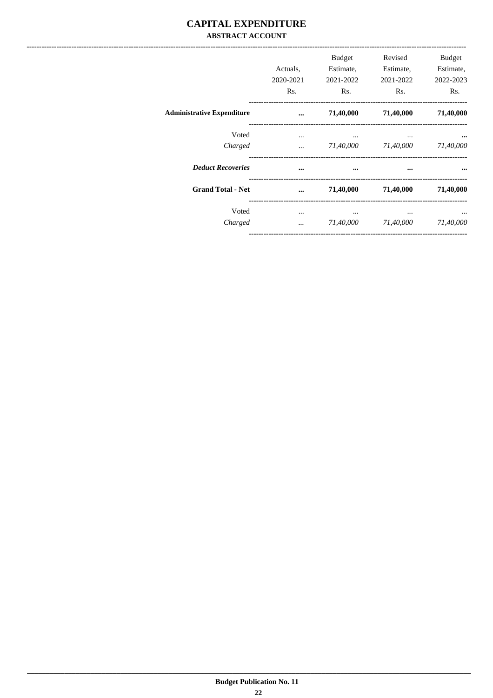#### **CAPITAL EXPENDITURE ABSTRACT ACCOUNT**

|                                   | Actuals.<br>2020-2021<br>Rs. | Budget<br>Estimate.<br>2021-2022<br>R <sub>s</sub> . | Revised<br>Estimate,<br>2021-2022<br>R <sub>s</sub> . | Budget<br>Estimate,<br>2022-2023<br>Rs. |
|-----------------------------------|------------------------------|------------------------------------------------------|-------------------------------------------------------|-----------------------------------------|
| <b>Administrative Expenditure</b> | $\cdots$                     | 71,40,000                                            | 71,40,000                                             | 71,40,000                               |
| Voted<br>Charged                  | $\cdots$<br>$\cdots$         | $\cdots$<br>71,40,000                                | $\cdots$<br>71,40,000                                 | $\cdots$<br>71,40,000                   |
| <b>Deduct Recoveries</b>          | $\cdots$                     | $\cdots$                                             | $\cdots$                                              | $\bullet \bullet \bullet$               |
| <b>Grand Total - Net</b>          | $\ddotsc$                    | 71,40,000                                            | 71,40,000                                             | 71,40,000                               |
| Voted<br>Charged                  | $\cdots$<br>$\cdots$         | $\cdots$<br>71,40,000                                | $\cdots$<br>71,40,000                                 | <br>71,40,000                           |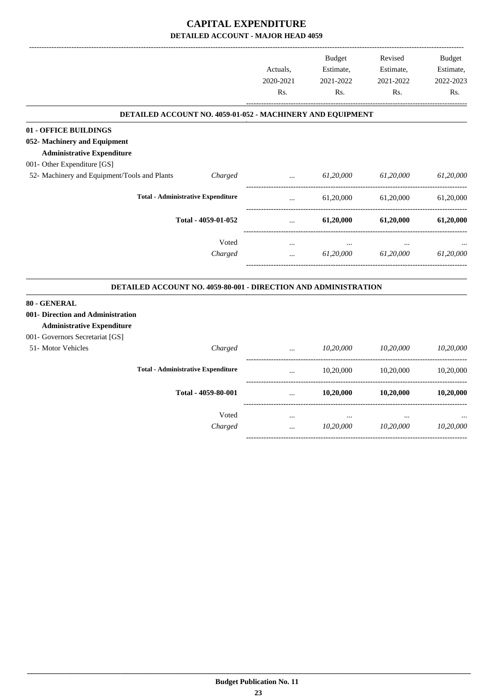#### **CAPITAL EXPENDITURE DETAILED ACCOUNT - MAJOR HEAD 4059**

|                                                                        |                                           |           | <b>Budget</b> | Revised   | <b>Budget</b> |
|------------------------------------------------------------------------|-------------------------------------------|-----------|---------------|-----------|---------------|
|                                                                        |                                           | Actuals,  | Estimate,     | Estimate, | Estimate,     |
|                                                                        |                                           | 2020-2021 | 2021-2022     | 2021-2022 | 2022-2023     |
|                                                                        |                                           | Rs.       | Rs.           | Rs.       | Rs.           |
| DETAILED ACCOUNT NO. 4059-01-052 - MACHINERY AND EQUIPMENT             |                                           |           |               |           |               |
| 01 - OFFICE BUILDINGS                                                  |                                           |           |               |           |               |
| 052- Machinery and Equipment                                           |                                           |           |               |           |               |
| <b>Administrative Expenditure</b>                                      |                                           |           |               |           |               |
| 001- Other Expenditure [GS]                                            |                                           |           |               |           |               |
| 52- Machinery and Equipment/Tools and Plants                           | Charged                                   | $\ddotsc$ | 61,20,000     | 61,20,000 | 61,20,000     |
| <b>Total - Administrative Expenditure</b>                              |                                           | $\ddotsc$ | 61,20,000     | 61,20,000 | 61,20,000     |
|                                                                        | Total - 4059-01-052                       |           | 61,20,000     | 61,20,000 | 61,20,000     |
|                                                                        | Voted                                     | $\cdots$  |               |           |               |
|                                                                        | Charged                                   |           | 61,20,000     | 61,20,000 | 61,20,000     |
| DETAILED ACCOUNT NO. 4059-80-001 - DIRECTION AND ADMINISTRATION        |                                           |           |               |           |               |
| 80 - GENERAL                                                           |                                           |           |               |           |               |
| 001- Direction and Administration<br><b>Administrative Expenditure</b> |                                           |           |               |           |               |
| 001- Governors Secretariat [GS]                                        |                                           |           |               |           |               |
| 51- Motor Vehicles                                                     | Charged                                   |           | 10,20,000     | 10,20,000 | 10,20,000     |
|                                                                        | <b>Total - Administrative Expenditure</b> |           | 10,20,000     | 10,20,000 | 10,20,000     |
|                                                                        | Total - 4059-80-001                       | $\cdots$  | 10,20,000     | 10,20,000 | 10,20,000     |
|                                                                        | Voted                                     | $\ldots$  | $\ldots$      | $\ldots$  |               |
|                                                                        | Charged                                   | $\ddotsc$ | 10,20,000     | 10,20,000 | 10,20,000     |
|                                                                        |                                           |           |               |           |               |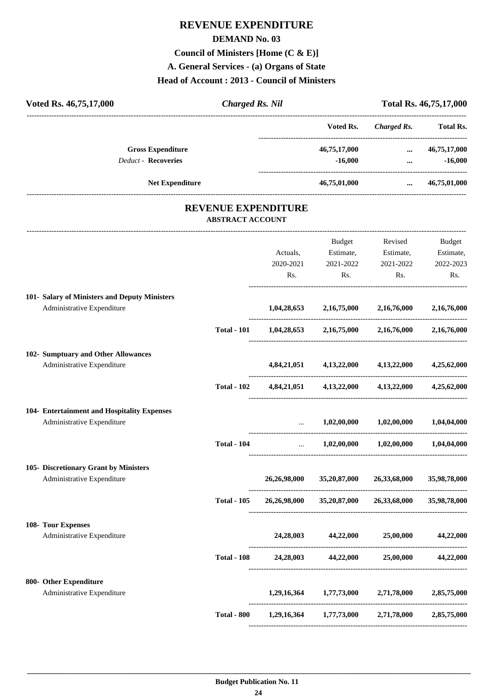## **REVENUE EXPENDITURE DEMAND No. 03 Council of Ministers [Home (C & E)] A. General Services - (a) Organs of State Head of Account : 2013 - Council of Ministers**

| Voted Rs. 46,75,17,000                                                      | <b>Charged Rs. Nil</b>                                |                              |                                                     | Total Rs. 46,75,17,000<br>--------------------------- |                                                           |
|-----------------------------------------------------------------------------|-------------------------------------------------------|------------------------------|-----------------------------------------------------|-------------------------------------------------------|-----------------------------------------------------------|
|                                                                             |                                                       |                              | Voted Rs.                                           | <b>Charged Rs.</b>                                    | <b>Total Rs.</b>                                          |
| <b>Gross Expenditure</b><br><b>Deduct - Recoveries</b>                      |                                                       |                              | 46,75,17,000<br>$-16,000$                           | --------------------------------<br>$\cdots$          | 46,75,17,000<br>$-16,000$<br>$\cdots$ . The same $\cdots$ |
| <b>Net Expenditure</b>                                                      |                                                       |                              | 46,75,01,000                                        | $\cdots$                                              | 46,75,01,000                                              |
|                                                                             | <b>REVENUE EXPENDITURE</b><br><b>ABSTRACT ACCOUNT</b> |                              |                                                     |                                                       |                                                           |
|                                                                             |                                                       |                              |                                                     |                                                       |                                                           |
|                                                                             |                                                       | Actuals,<br>2020-2021<br>Rs. | Budget<br>Estimate,<br>2021-2022<br>Rs.             | Revised<br>Estimate,<br>2021-2022<br>Rs.              | Budget<br>Estimate,<br>2022-2023<br>Rs.                   |
| 101- Salary of Ministers and Deputy Ministers<br>Administrative Expenditure |                                                       |                              | $1,04,28,653$ $2,16,75,000$ $2,16,76,000$           |                                                       | 2,16,76,000                                               |
|                                                                             | <b>Total - 101</b>                                    |                              | $1,04,28,653$ $2,16,75,000$ $2,16,76,000$           |                                                       | 2,16,76,000                                               |
| 102- Sumptuary and Other Allowances<br>Administrative Expenditure           |                                                       |                              | 4,84,21,051 4,13,22,000 4,13,22,000                 |                                                       | 4,25,62,000                                               |
|                                                                             | <b>Total - 102</b>                                    |                              | $4,84,21,051$ $4,13,22,000$ $4,13,22,000$           |                                                       | 4,25,62,000                                               |
| 104- Entertainment and Hospitality Expenses<br>Administrative Expenditure   |                                                       | $\cdots$                     |                                                     | $1,02,00,000$ $1,02,00,000$                           | 1,04,04,000                                               |
|                                                                             | <b>Total - 104</b>                                    | $\cdots$                     | 1,02,00,000                                         | 1,02,00,000                                           | 1,04,04,000                                               |
| 105- Discretionary Grant by Ministers<br>Administrative Expenditure         |                                                       | 26,26,98,000                 | 35,20,87,000                                        | 26,33,68,000                                          | 35,98,78,000                                              |
|                                                                             | <b>Total - 105</b>                                    |                              | 26,26,98,000 35,20,87,000 26,33,68,000 35,98,78,000 |                                                       |                                                           |
| 108- Tour Expenses<br>Administrative Expenditure                            |                                                       |                              | 24,28,003 44,22,000 25,00,000 44,22,000             |                                                       |                                                           |
|                                                                             | <b>Total - 108</b>                                    |                              | 24,28,003 44,22,000 25,00,000 44,22,000             |                                                       |                                                           |
| 800- Other Expenditure                                                      |                                                       |                              |                                                     |                                                       |                                                           |
| Administrative Expenditure                                                  |                                                       |                              | 1,29,16,364 1,77,73,000 2,71,78,000 2,85,75,000     |                                                       |                                                           |
|                                                                             | <b>Total - 800</b>                                    |                              | 1,29,16,364 1,77,73,000 2,71,78,000 2,85,75,000     |                                                       |                                                           |
|                                                                             |                                                       |                              |                                                     |                                                       |                                                           |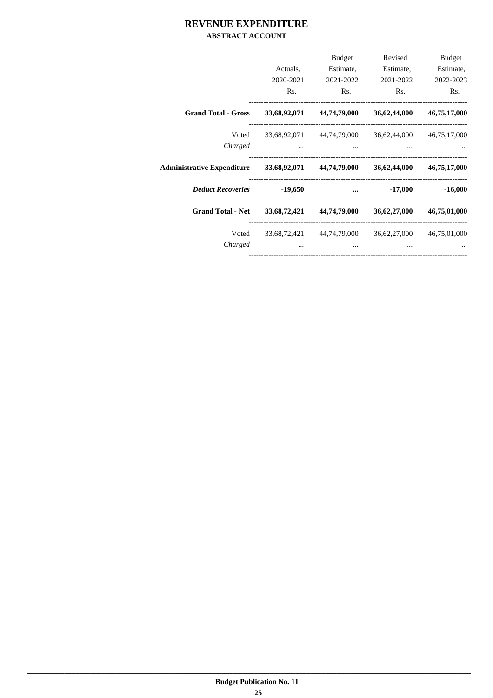#### REVENUE EXPENDITURE **ABSTRACT ACCOUNT**

|                                                      | Actuals,<br>2020-2021<br>Rs. | <b>Budget</b><br>Estimate,<br>2021-2022<br>R <sub>s</sub> . | Revised<br>Estimate,<br>2021-2022<br>Rs. | Budget<br>Estimate,<br>2022-2023<br>Rs. |
|------------------------------------------------------|------------------------------|-------------------------------------------------------------|------------------------------------------|-----------------------------------------|
| <b>Grand Total - Gross</b>                           |                              | 33,68,92,071 44,74,79,000                                   | 36,62,44,000                             | 46,75,17,000                            |
| Voted<br>Charged                                     |                              | 33,68,92,071 44,74,79,000 36,62,44,000 46,75,17,000         |                                          |                                         |
| Administrative Expenditure 33,68,92,071 44,74,79,000 |                              |                                                             | 36,62,44,000                             | 46,75,17,000                            |
| <b>Deduct Recoveries</b>                             | $-19,650$                    | $\cdots$                                                    | -17,000                                  | $-16,000$                               |
| <b>Grand Total - Net</b>                             |                              | 33,68,72,421 44,74,79,000                                   | 36,62,27,000                             | 46,75,01,000                            |
| Voted<br>Charged                                     |                              | 33,68,72,421 44,74,79,000<br>                               | 36,62,27,000<br>$\cdots$                 | 46,75,01,000                            |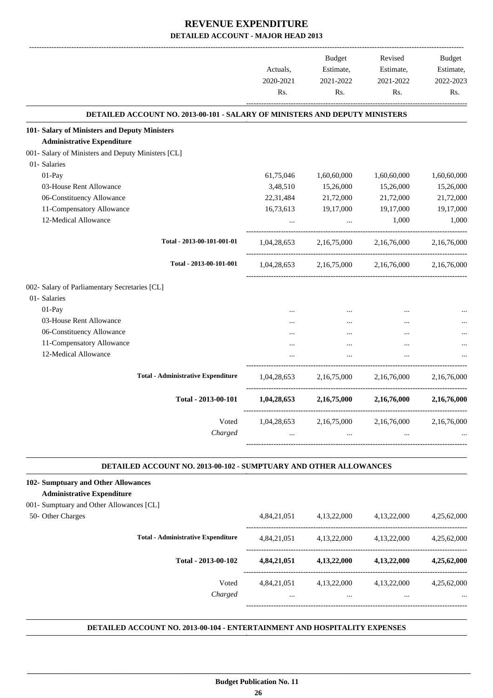|                                                                                    | Actuals,<br>2020-2021<br>Rs. | Budget<br>Estimate,<br>2021-2022<br>Rs. | Revised<br>Estimate,<br>2021-2022<br>Rs.                    | Budget<br>Estimate,<br>2022-2023<br>Rs. |
|------------------------------------------------------------------------------------|------------------------------|-----------------------------------------|-------------------------------------------------------------|-----------------------------------------|
| <b>DETAILED ACCOUNT NO. 2013-00-101 - SALARY OF MINISTERS AND DEPUTY MINISTERS</b> |                              |                                         |                                                             |                                         |
| 101- Salary of Ministers and Deputy Ministers                                      |                              |                                         |                                                             |                                         |
| <b>Administrative Expenditure</b>                                                  |                              |                                         |                                                             |                                         |
| 001- Salary of Ministers and Deputy Ministers [CL]                                 |                              |                                         |                                                             |                                         |
| 01- Salaries                                                                       |                              |                                         |                                                             |                                         |
| 01-Pay                                                                             | 61,75,046                    | 1,60,60,000                             | 1,60,60,000                                                 | 1,60,60,000                             |
| 03-House Rent Allowance                                                            | 3,48,510                     | 15,26,000                               | 15,26,000                                                   | 15,26,000                               |
| 06-Constituency Allowance                                                          | 22,31,484                    | 21,72,000                               | 21,72,000                                                   | 21,72,000                               |
| 11-Compensatory Allowance                                                          | 16,73,613                    | 19,17,000                               | 19,17,000                                                   | 19,17,000                               |
| 12-Medical Allowance                                                               |                              | $\cdots$                                | 1,000                                                       | 1,000                                   |
| Total - 2013-00-101-001-01                                                         | 1,04,28,653                  |                                         | 2,16,75,000 2,16,76,000                                     | 2,16,76,000                             |
| Total - 2013-00-101-001                                                            |                              |                                         | $1,04,28,653$ $2,16,75,000$ $2,16,76,000$ $2,16,76,000$     |                                         |
| 002- Salary of Parliamentary Secretaries [CL]                                      |                              |                                         |                                                             |                                         |
| 01- Salaries                                                                       |                              |                                         |                                                             |                                         |
| 01-Pay                                                                             |                              |                                         |                                                             |                                         |
| 03-House Rent Allowance                                                            |                              |                                         | $\cdots$                                                    |                                         |
| 06-Constituency Allowance                                                          |                              |                                         | $\ddotsc$                                                   |                                         |
| 11-Compensatory Allowance                                                          |                              |                                         |                                                             |                                         |
| 12-Medical Allowance                                                               |                              |                                         | $\ddotsc$                                                   |                                         |
| <b>Total - Administrative Expenditure</b>                                          |                              |                                         | $1.04.28.653$ $2.16.75.000$ $2.16.76.000$                   | 2.16.76.000                             |
| Total - 2013-00-101                                                                |                              |                                         | $1,04,28,653$ $2,16,75,000$ $2,16,76,000$ $2,16,76,000$     |                                         |
| Voted                                                                              | 1,04,28,653                  | 2,16,75,000                             | 2,16,76,000                                                 | 2,16,76,000                             |
| Charged                                                                            | $\cdots$                     |                                         | and the state of the state<br>$\cdots$                      |                                         |
|                                                                                    |                              |                                         |                                                             |                                         |
| DETAILED ACCOUNT NO. 2013-00-102 - SUMPTUARY AND OTHER ALLOWANCES                  |                              |                                         |                                                             |                                         |
| 102- Sumptuary and Other Allowances                                                |                              |                                         |                                                             |                                         |
| <b>Administrative Expenditure</b>                                                  |                              |                                         |                                                             |                                         |
| 001- Sumptuary and Other Allowances [CL]                                           |                              |                                         |                                                             |                                         |
| 50- Other Charges                                                                  |                              |                                         | 4,84,21,051 4,13,22,000 4,13,22,000 4,25,62,000             |                                         |
| <b>Total - Administrative Expenditure</b>                                          |                              |                                         | 4,84,21,051 4,13,22,000 4,13,22,000 4,25,62,000             |                                         |
| Total - 2013-00-102                                                                |                              |                                         | $4,84,21,051$ $4,13,22,000$ $4,13,22,000$ $4,25,62,000$     |                                         |
| Voted<br>Charged                                                                   | $\sim 10^{-10}$              | $\cdots$                                | 4,84,21,051 4,13,22,000 4,13,22,000 4,25,62,000<br>$\cdots$ |                                         |

**.**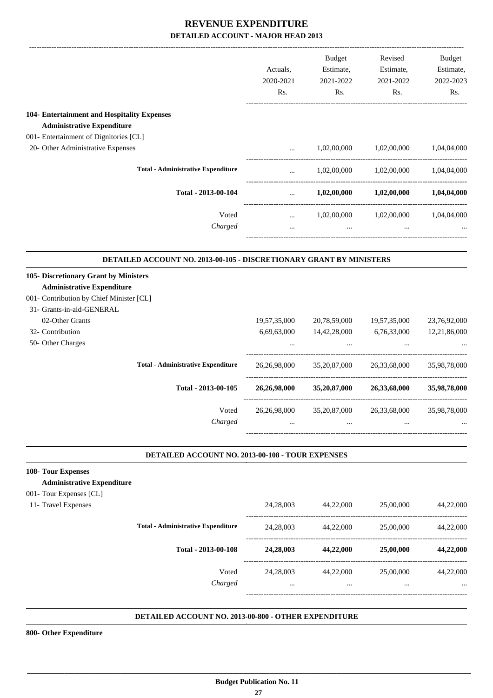|                                                                       | Actuals,<br>2020-2021<br>Rs. | Budget<br>Estimate,<br>2021-2022<br>Rs. | Revised<br>Estimate,<br>2021-2022<br>Rs.            | <b>Budget</b><br>Estimate,<br>2022-2023<br>Rs. |
|-----------------------------------------------------------------------|------------------------------|-----------------------------------------|-----------------------------------------------------|------------------------------------------------|
| 104- Entertainment and Hospitality Expenses                           |                              |                                         |                                                     |                                                |
| <b>Administrative Expenditure</b>                                     |                              |                                         |                                                     |                                                |
| 001- Entertainment of Dignitories [CL]                                |                              |                                         |                                                     |                                                |
| 20- Other Administrative Expenses                                     | $\cdots$                     | 1,02,00,000                             | 1,02,00,000                                         | 1,04,04,000                                    |
| <b>Total - Administrative Expenditure</b>                             | $\cdots$                     |                                         | $1,02,00,000$ $1,02,00,000$ $1,04,04,000$           |                                                |
| Total - 2013-00-104                                                   | $\cdots$                     | 1,02,00,000                             | $1,\!02,\!00,\!000$                                 | 1,04,04,000                                    |
| Voted                                                                 | $\cdots$                     | 1,02,00,000                             | 1,02,00,000                                         | 1,04,04,000                                    |
| Charged                                                               | $\cdots$                     | and the contract of the contract of     | $\ddots$                                            |                                                |
| DETAILED ACCOUNT NO. 2013-00-105 - DISCRETIONARY GRANT BY MINISTERS   |                              |                                         |                                                     |                                                |
| 105- Discretionary Grant by Ministers                                 |                              |                                         |                                                     |                                                |
| <b>Administrative Expenditure</b>                                     |                              |                                         |                                                     |                                                |
| 001- Contribution by Chief Minister [CL]<br>31- Grants-in-aid-GENERAL |                              |                                         |                                                     |                                                |
| 02-Other Grants                                                       | 19,57,35,000                 | 20,78,59,000                            | 19,57,35,000                                        | 23,76,92,000                                   |
| 32- Contribution                                                      | 6,69,63,000                  | 14,42,28,000                            | 6,76,33,000                                         | 12,21,86,000                                   |
| 50- Other Charges                                                     |                              |                                         |                                                     |                                                |
| <b>Total - Administrative Expenditure</b>                             | 26, 26, 98, 000              | 35,20,87,000                            | 26,33,68,000                                        | 35,98,78,000                                   |
| Total - 2013-00-105                                                   | 26,26,98,000                 | 35,20,87,000                            | 26,33,68,000                                        | 35,98,78,000                                   |
| Voted                                                                 | 26,26,98,000                 | 35,20,87,000                            | 26,33,68,000                                        | 35,98,78,000                                   |
| Charged                                                               |                              |                                         |                                                     |                                                |
| DETAILED ACCOUNT NO. 2013-00-108 - TOUR EXPENSES                      |                              |                                         |                                                     |                                                |
| 108- Tour Expenses                                                    |                              |                                         |                                                     |                                                |
| <b>Administrative Expenditure</b>                                     |                              |                                         |                                                     |                                                |
| 001- Tour Expenses [CL]                                               |                              |                                         |                                                     |                                                |
| 11- Travel Expenses                                                   |                              | 24,28,003 44,22,000                     | 25,00,000                                           | 44,22,000                                      |
| <b>Total - Administrative Expenditure</b>                             |                              | 24,28,003 44,22,000                     | 25,00,000                                           | 44,22,000                                      |
| Total - 2013-00-108                                                   | 24,28,003                    |                                         | 44,22,000 25,00,000                                 | 44,22,000                                      |
| Voted<br>Charged                                                      | $\cdots$                     | $\cdots$                                | 24,28,003 44,22,000 25,00,000 44,22,000<br>$\cdots$ |                                                |
| DETAILED ACCOUNT NO. 2013-00-800 - OTHER EXPENDITURE                  |                              |                                         |                                                     |                                                |

**800- Other Expenditure**

 **\_\_\_\_\_\_\_\_\_\_\_\_\_\_\_\_\_\_\_\_\_\_\_\_\_\_\_\_\_\_\_\_\_\_\_\_\_\_\_\_\_\_\_\_\_\_\_\_\_\_\_\_\_\_\_\_\_\_\_\_\_\_\_\_\_\_\_\_\_\_\_\_\_\_\_\_\_\_\_\_\_\_\_\_\_\_\_\_\_\_\_\_\_\_\_\_\_\_\_\_\_\_\_\_\_\_\_\_\_\_\_\_\_\_\_\_\_\_\_**

**.**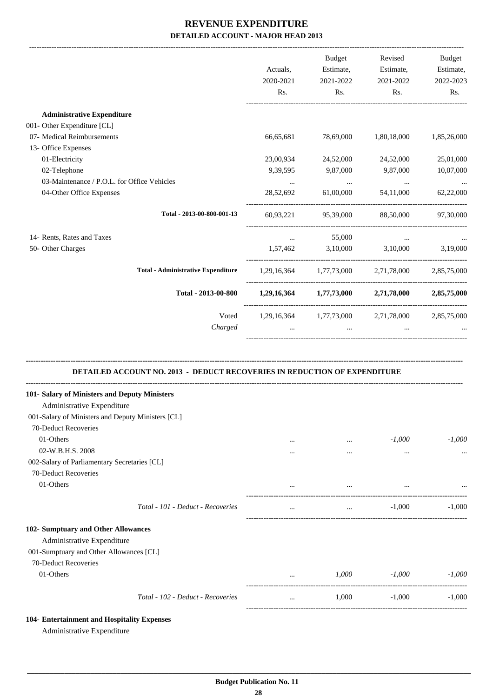|                                                                           | Actuals,<br>2020-2021<br>Rs. | Budget<br>Estimate,<br>2021-2022<br>Rs. | Revised<br>Estimate,<br>2021-2022<br>Rs.        | Budget<br>Estimate,<br>2022-2023<br>Rs. |
|---------------------------------------------------------------------------|------------------------------|-----------------------------------------|-------------------------------------------------|-----------------------------------------|
| <b>Administrative Expenditure</b>                                         |                              |                                         |                                                 |                                         |
| 001- Other Expenditure [CL]                                               |                              |                                         |                                                 |                                         |
| 07- Medical Reimbursements                                                | 66,65,681                    | 78,69,000                               | 1,80,18,000                                     | 1,85,26,000                             |
| 13- Office Expenses                                                       |                              |                                         |                                                 |                                         |
| 01-Electricity                                                            | 23,00,934                    | 24,52,000                               | 24,52,000                                       | 25,01,000                               |
| 02-Telephone                                                              | 9,39,595                     | 9,87,000                                | 9,87,000                                        | 10,07,000                               |
| 03-Maintenance / P.O.L. for Office Vehicles                               | $\ldots$                     | <b>Contract Contract</b>                | $\ldots$                                        | $\ldots$                                |
| 04-Other Office Expenses                                                  | 28,52,692                    | 61,00,000                               | 54,11,000                                       | 62,22,000                               |
| Total - 2013-00-800-001-13                                                |                              |                                         | 60,93,221 95,39,000 88,50,000 97,30,000         |                                         |
| 14- Rents, Rates and Taxes                                                | $\cdots$                     | 55,000                                  | $\cdots$                                        |                                         |
| 50- Other Charges                                                         |                              |                                         | 1,57,462 3,10,000 3,10,000 3,19,000             |                                         |
| <b>Total - Administrative Expenditure</b>                                 |                              |                                         | 1,29,16,364 1,77,73,000 2,71,78,000 2,85,75,000 |                                         |
| Total - 2013-00-800                                                       |                              |                                         | 1,29,16,364 1,77,73,000 2,71,78,000 2,85,75,000 |                                         |
| Voted<br>Charged                                                          | $\cdots$                     | $\sim 10^{-10}$                         | 1,29,16,364 1,77,73,000 2,71,78,000 2,85,75,000 |                                         |
| DETAILED ACCOUNT NO. 2013 - DEDUCT RECOVERIES IN REDUCTION OF EXPENDITURE |                              |                                         |                                                 |                                         |
| 101- Salary of Ministers and Deputy Ministers                             |                              |                                         |                                                 |                                         |
| Administrative Expenditure                                                |                              |                                         |                                                 |                                         |
| 001-Salary of Ministers and Deputy Ministers [CL]                         |                              |                                         |                                                 |                                         |
| 70-Deduct Recoveries                                                      |                              |                                         |                                                 |                                         |
| 01-Others                                                                 | $\cdots$                     | $\cdots$                                | $-1,000$                                        | $-1,000$                                |
| 02-W.B.H.S. 2008                                                          | $\cdots$                     | $\cdots$                                | $\ldots$                                        |                                         |
| 002-Salary of Parliamentary Secretaries [CL]                              |                              |                                         |                                                 |                                         |
| 70-Deduct Recoveries                                                      |                              |                                         |                                                 |                                         |
| 01-Others                                                                 |                              | $\cdots$                                | $\cdots$                                        |                                         |
| Total - 101 - Deduct - Recoveries                                         | $\cdots$                     | $\ddots$                                | $-1,000$                                        | $-1,000$                                |
| 102- Sumptuary and Other Allowances                                       |                              |                                         |                                                 |                                         |
| Administrative Expenditure                                                |                              |                                         |                                                 |                                         |
| 001-Sumptuary and Other Allowances [CL]                                   |                              |                                         |                                                 |                                         |
| 70-Deduct Recoveries                                                      |                              |                                         |                                                 |                                         |
| 01-Others                                                                 | $\cdots$                     | 1,000                                   | $-1,000$                                        | $-1,000$                                |
| Total - 102 - Deduct - Recoveries                                         | $\cdots$                     | 1,000                                   | $-1,000$                                        | $-1,000$                                |
| 104- Entertainment and Hospitality Expenses                               |                              |                                         |                                                 |                                         |

Administrative Expenditure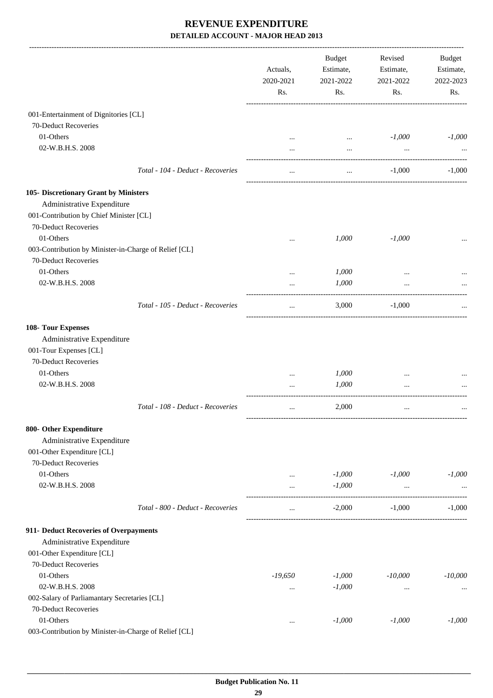|                                                       |                                   | Actuals,<br>2020-2021<br>Rs. | <b>Budget</b><br>Estimate,<br>2021-2022<br>Rs. | Revised<br>Estimate,<br>2021-2022<br>Rs. | <b>Budget</b><br>Estimate,<br>2022-2023<br>Rs. |
|-------------------------------------------------------|-----------------------------------|------------------------------|------------------------------------------------|------------------------------------------|------------------------------------------------|
|                                                       |                                   |                              |                                                |                                          |                                                |
| 001-Entertainment of Dignitories [CL]                 |                                   |                              |                                                |                                          |                                                |
| 70-Deduct Recoveries                                  |                                   |                              |                                                |                                          |                                                |
| 01-Others                                             |                                   |                              | $\cdots$                                       | $-1,000$                                 | $-1,000$                                       |
| 02-W.B.H.S. 2008                                      |                                   |                              | $\cdots$                                       | $\cdots$                                 |                                                |
|                                                       | Total - 104 - Deduct - Recoveries |                              | $\cdots$                                       | $-1,000$                                 | $-1,000$                                       |
| 105- Discretionary Grant by Ministers                 |                                   |                              |                                                |                                          |                                                |
| Administrative Expenditure                            |                                   |                              |                                                |                                          |                                                |
| 001-Contribution by Chief Minister [CL]               |                                   |                              |                                                |                                          |                                                |
| 70-Deduct Recoveries                                  |                                   |                              |                                                |                                          |                                                |
| 01-Others                                             |                                   |                              | 1,000                                          | $-1,000$                                 |                                                |
| 003-Contribution by Minister-in-Charge of Relief [CL] |                                   |                              |                                                |                                          |                                                |
| 70-Deduct Recoveries                                  |                                   |                              |                                                |                                          |                                                |
| 01-Others                                             |                                   |                              | 1,000                                          | $\cdots$                                 |                                                |
| 02-W.B.H.S. 2008                                      |                                   | $\cdots$                     | 1,000                                          | $\cdots$                                 |                                                |
|                                                       | Total - 105 - Deduct - Recoveries | $\cdots$                     | 3,000                                          | $-1,000$                                 |                                                |
|                                                       |                                   |                              |                                                |                                          |                                                |
| 108- Tour Expenses                                    |                                   |                              |                                                |                                          |                                                |
| Administrative Expenditure                            |                                   |                              |                                                |                                          |                                                |
| 001-Tour Expenses [CL]                                |                                   |                              |                                                |                                          |                                                |
| 70-Deduct Recoveries                                  |                                   |                              |                                                |                                          |                                                |
| 01-Others                                             |                                   | $\cdots$                     | 1,000                                          |                                          |                                                |
| 02-W.B.H.S. 2008                                      |                                   |                              | 1,000                                          |                                          |                                                |
|                                                       | Total - 108 - Deduct - Recoveries | $\cdots$                     | 2,000                                          | $\cdots$                                 |                                                |
| 800- Other Expenditure                                |                                   |                              |                                                |                                          |                                                |
| Administrative Expenditure                            |                                   |                              |                                                |                                          |                                                |
| 001-Other Expenditure [CL]                            |                                   |                              |                                                |                                          |                                                |
| 70-Deduct Recoveries                                  |                                   |                              |                                                |                                          |                                                |
| 01-Others                                             |                                   | $\ldots$                     | $-1,000$                                       | $-1,000$                                 | $-1,000$                                       |
| 02-W.B.H.S. 2008                                      |                                   | $\cdots$                     | $-1,000$                                       | $\cdots$                                 | $\ddotsc$                                      |
|                                                       | Total - 800 - Deduct - Recoveries | $\cdots$                     | $-2,000$                                       | $-1,000$                                 | $-1,000$                                       |
| 911- Deduct Recoveries of Overpayments                |                                   |                              |                                                |                                          |                                                |
| Administrative Expenditure                            |                                   |                              |                                                |                                          |                                                |
| 001-Other Expenditure [CL]                            |                                   |                              |                                                |                                          |                                                |
| 70-Deduct Recoveries                                  |                                   |                              |                                                |                                          |                                                |
| 01-Others                                             |                                   | $-19,650$                    | $-1,000$                                       | $-10,000$                                | $-10,000$                                      |
| 02-W.B.H.S. 2008                                      |                                   | $\cdots$                     | $-1,000$                                       | $\cdots$                                 | $\cdots$                                       |
| 002-Salary of Parliamantary Secretaries [CL]          |                                   |                              |                                                |                                          |                                                |
| 70-Deduct Recoveries                                  |                                   |                              |                                                |                                          |                                                |
| 01-Others                                             |                                   | $\cdots$                     | $-1,000$                                       | $-1,000$                                 | $-1,000$                                       |
| 003-Contribution by Minister-in-Charge of Relief [CL] |                                   |                              |                                                |                                          |                                                |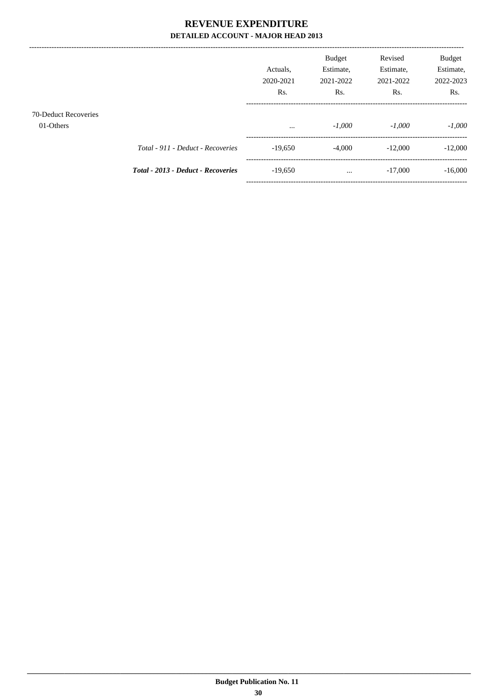|                                   |                                    | Actuals.<br>2020-2021<br>Rs. | <b>Budget</b><br>Estimate,<br>2021-2022<br>Rs. | Revised<br>Estimate,<br>2021-2022<br>Rs. | <b>Budget</b><br>Estimate,<br>2022-2023<br>Rs. |
|-----------------------------------|------------------------------------|------------------------------|------------------------------------------------|------------------------------------------|------------------------------------------------|
| 70-Deduct Recoveries<br>01-Others |                                    | $\cdots$                     | $-1,000$                                       | $-1.000$                                 | $-1,000$                                       |
|                                   | Total - 911 - Deduct - Recoveries  | $-19,650$                    | $-4,000$                                       | $-12,000$                                | $-12,000$                                      |
|                                   | Total - 2013 - Deduct - Recoveries | $-19,650$                    | $\cdots$                                       | $-17,000$                                | $-16,000$                                      |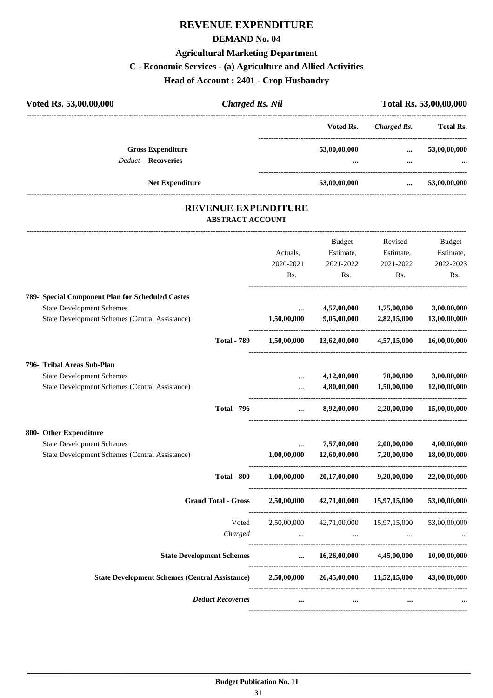### **REVENUE EXPENDITURE**

#### **DEMAND No. 04**

#### **Agricultural Marketing Department**

#### **C - Economic Services - (a) Agriculture and Allied Activities**

**Head of Account : 2401 - Crop Husbandry**

| Voted Rs. 53,00,00,000                                 | <b>Charged Rs. Nil</b> |                  | Total Rs. 53,00,00,000 |                  |  |
|--------------------------------------------------------|------------------------|------------------|------------------------|------------------|--|
|                                                        |                        | Voted Rs.        | Charged Rs.            | <b>Total Rs.</b> |  |
| <b>Gross Expenditure</b><br><b>Deduct - Recoveries</b> |                        | 53,00,00,000<br> | $\cdots$<br>$\cdots$   | 53,00,00,000<br> |  |
| <b>Net Expenditure</b>                                 |                        | 53,00,00,000     | $\cdots$               | 53,00,00,000     |  |
|                                                        |                        |                  |                        |                  |  |

#### **REVENUE EXPENDITURE ABSTRACT ACCOUNT**

---------------------------------------------------------------------------------------------------------------------------------------------------------------------------------

|                                                            |                    |             | <b>Budget</b> | Revised                                                       | <b>Budget</b> |
|------------------------------------------------------------|--------------------|-------------|---------------|---------------------------------------------------------------|---------------|
|                                                            |                    | Actuals,    | Estimate,     | Estimate,                                                     | Estimate,     |
|                                                            |                    | 2020-2021   | 2021-2022     | 2021-2022                                                     | 2022-2023     |
|                                                            |                    | Rs.         | Rs.           | Rs.                                                           | Rs.           |
| 789- Special Component Plan for Scheduled Castes           |                    |             |               |                                                               |               |
| <b>State Development Schemes</b>                           |                    | $\cdots$    | 4,57,00,000   | 1,75,00,000                                                   | 3,00,00,000   |
| <b>State Development Schemes (Central Assistance)</b>      |                    | 1,50,00,000 | 9,05,00,000   | 2,82,15,000                                                   | 13,00,00,000  |
|                                                            | <b>Total - 789</b> | 1,50,00,000 |               | $13,62,00,000$ $4,57,15,000$                                  | 16,00,00,000  |
| 796- Tribal Areas Sub-Plan                                 |                    |             |               |                                                               |               |
| <b>State Development Schemes</b>                           |                    | $\ddotsc$   | 4,12,00,000   | 70,00,000                                                     | 3,00,00,000   |
| State Development Schemes (Central Assistance)             |                    | $\ddotsc$   | 4,80,00,000   | 1,50,00,000                                                   | 12,00,00,000  |
|                                                            | <b>Total - 796</b> | $\ddotsc$   | 8,92,00,000   | 2,20,00,000                                                   | 15,00,00,000  |
| 800- Other Expenditure                                     |                    |             |               |                                                               |               |
| <b>State Development Schemes</b>                           |                    |             | 7,57,00,000   | 2,00,00,000                                                   | 4,00,00,000   |
| State Development Schemes (Central Assistance)             |                    | 1,00,00,000 | 12,60,00,000  | 7,20,00,000                                                   | 18,00,00,000  |
|                                                            | <b>Total - 800</b> | 1,00,00,000 | 20,17,00,000  | 9,20,00,000                                                   | 22,00,00,000  |
| <b>Grand Total - Gross</b>                                 |                    | 2,50,00,000 | 42,71,00,000  | 15,97,15,000                                                  | 53,00,00,000  |
|                                                            | Voted              | 2,50,00,000 |               | 42,71,00,000 15,97,15,000                                     | 53,00,00,000  |
|                                                            | Charged            |             |               | $\mathbf{r}$ and $\mathbf{r}$ are all the set of $\mathbf{r}$ |               |
| <b>State Development Schemes</b>                           |                    | $\cdots$    |               | $16,26,00,000$ $4,45,00,000$                                  | 10,00,00,000  |
| State Development Schemes (Central Assistance) 2,50,00,000 |                    |             |               | 26,45,00,000 11,52,15,000                                     | 43,00,00,000  |
| <b>Deduct Recoveries</b>                                   |                    | $\cdots$    |               |                                                               |               |
|                                                            |                    |             |               |                                                               |               |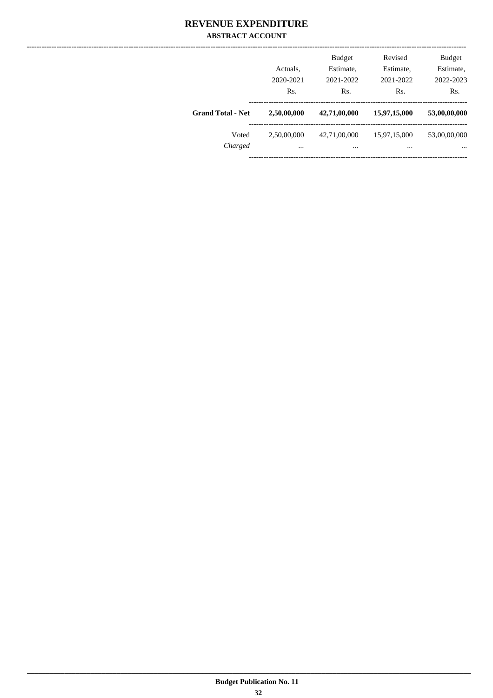#### **REVENUE EXPENDITURE ABSTRACT ACCOUNT**

|                          | Actuals,<br>2020-2021 | <b>Budget</b><br>Estimate,<br>2021-2022 | Revised<br>Estimate,<br>2021-2022 | <b>Budget</b><br>Estimate,<br>2022-2023 |
|--------------------------|-----------------------|-----------------------------------------|-----------------------------------|-----------------------------------------|
|                          | Rs.                   | Rs.                                     | Rs.                               | Rs.                                     |
| <b>Grand Total - Net</b> | 2,50,00,000           | 42,71,00,000                            | 15,97,15,000                      | 53,00,00,000                            |
| Voted                    | 2,50,00,000           | 42,71,00,000                            | 15,97,15,000                      | 53,00,00,000                            |
| Charged                  | $\cdots$              |                                         | $\cdots$                          | $\cdots$                                |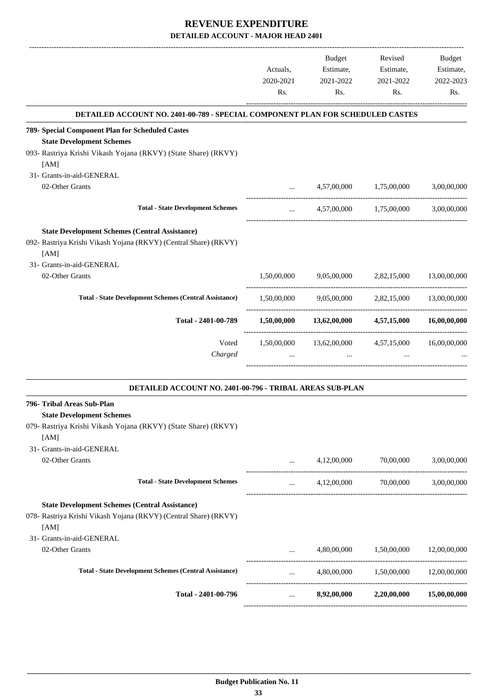|                                                                                | Actuals,<br>2020-2021<br>Rs. | Budget<br>Estimate,<br>2021-2022<br>Rs. | Revised<br>Estimate,<br>2021-2022<br>Rs. | <b>Budget</b><br>Estimate,<br>2022-2023<br>Rs. |
|--------------------------------------------------------------------------------|------------------------------|-----------------------------------------|------------------------------------------|------------------------------------------------|
| DETAILED ACCOUNT NO. 2401-00-789 - SPECIAL COMPONENT PLAN FOR SCHEDULED CASTES |                              |                                         |                                          |                                                |
| 789- Special Component Plan for Scheduled Castes                               |                              |                                         |                                          |                                                |
| <b>State Development Schemes</b>                                               |                              |                                         |                                          |                                                |
| 093- Rastriya Krishi Vikash Yojana (RKVY) (State Share) (RKVY)                 |                              |                                         |                                          |                                                |
| [AM]                                                                           |                              |                                         |                                          |                                                |
| 31- Grants-in-aid-GENERAL                                                      |                              |                                         |                                          |                                                |
| 02-Other Grants                                                                | $\cdots$                     | 4,57,00,000                             | 1,75,00,000                              | 3,00,00,000                                    |
| <b>Total - State Development Schemes</b>                                       | $\cdots$                     |                                         | 4,57,00,000 1,75,00,000                  | 3,00,00,000                                    |
| <b>State Development Schemes (Central Assistance)</b>                          |                              |                                         |                                          |                                                |
| 092- Rastriya Krishi Vikash Yojana (RKVY) (Central Share) (RKVY)               |                              |                                         |                                          |                                                |
| [AM]                                                                           |                              |                                         |                                          |                                                |
| 31- Grants-in-aid-GENERAL                                                      |                              |                                         |                                          |                                                |
| 02-Other Grants                                                                | 1.50.00.000                  | 9,05,00,000                             | 2.82,15,000                              | 13,00,00,000                                   |
|                                                                                |                              |                                         |                                          |                                                |
| <b>Total - State Development Schemes (Central Assistance)</b>                  | 1,50,00,000                  | 9,05,00,000                             | 2,82,15,000                              | 13,00,00,000                                   |
| Total - 2401-00-789                                                            |                              | $1,50,00,000$ $13,62,00,000$            | 4,57,15,000                              | 16,00,00,000                                   |
| Voted                                                                          | 1,50,00,000                  | 13,62,00,000                            | 4,57,15,000                              | 16,00,00,000                                   |
| Charged                                                                        |                              | $\cdots$                                |                                          |                                                |
| DETAILED ACCOUNT NO. 2401-00-796 - TRIBAL AREAS SUB-PLAN                       |                              |                                         |                                          |                                                |
| 796- Tribal Areas Sub-Plan                                                     |                              |                                         |                                          |                                                |
| <b>State Development Schemes</b>                                               |                              |                                         |                                          |                                                |
| 079- Rastriya Krishi Vikash Yojana (RKVY) (State Share) (RKVY)                 |                              |                                         |                                          |                                                |
| [AM]<br>31- Grants-in-aid-GENERAL                                              |                              |                                         |                                          |                                                |
| 02-Other Grants                                                                |                              | 4,12,00,000                             | 70,00,000                                | 3,00,00,000                                    |
|                                                                                | $\cdots$                     |                                         |                                          |                                                |
| <b>Total - State Development Schemes</b>                                       | $\cdots$                     |                                         | 4,12,00,000 70,00,000                    | 3,00,00,000                                    |
| <b>State Development Schemes (Central Assistance)</b>                          |                              |                                         |                                          |                                                |
| 078- Rastriya Krishi Vikash Yojana (RKVY) (Central Share) (RKVY)               |                              |                                         |                                          |                                                |
| [AM]                                                                           |                              |                                         |                                          |                                                |
| 31- Grants-in-aid-GENERAL                                                      |                              |                                         |                                          |                                                |
| 02-Other Grants                                                                |                              | 4,80,00,000                             | 1,50,00,000                              | 12,00,00,000                                   |
| <b>Total - State Development Schemes (Central Assistance)</b>                  |                              |                                         | 4,80,00,000 1,50,00,000                  | 12,00,00,000                                   |
|                                                                                | $\cdots$                     |                                         |                                          |                                                |
| Total - 2401-00-796                                                            | $\cdots$                     | 8,92,00,000                             | 2,20,00,000                              | 15,00,00,000                                   |
|                                                                                |                              |                                         |                                          |                                                |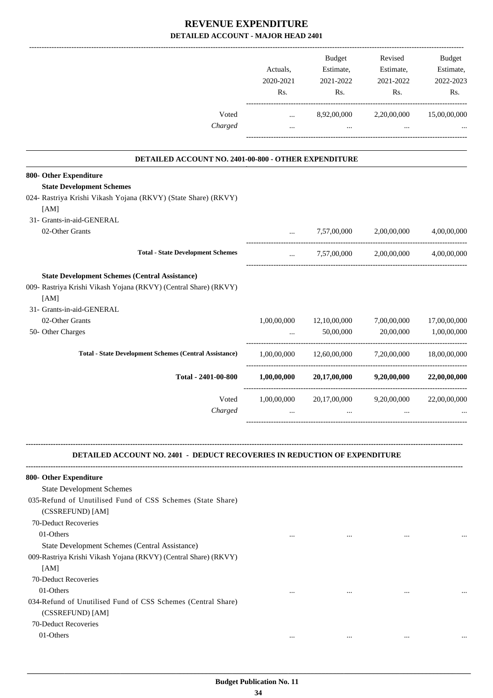|                                                                                                                                                                | Actuals,<br>2020-2021<br>Rs. | Budget<br>Estimate,<br>2021-2022<br>Rs.                   | Revised<br>Estimate,<br>2021-2022<br>Rs. | Budget<br>Estimate,<br>2022-2023<br>Rs. |
|----------------------------------------------------------------------------------------------------------------------------------------------------------------|------------------------------|-----------------------------------------------------------|------------------------------------------|-----------------------------------------|
| Voted                                                                                                                                                          | $\cdots$                     | 8,92,00,000                                               | 2,20,00,000                              | 15,00,00,000                            |
| Charged                                                                                                                                                        | $\cdots$                     | $\cdots$                                                  | $\cdots$                                 |                                         |
| DETAILED ACCOUNT NO. 2401-00-800 - OTHER EXPENDITURE                                                                                                           |                              |                                                           |                                          |                                         |
| 800- Other Expenditure                                                                                                                                         |                              |                                                           |                                          |                                         |
| <b>State Development Schemes</b>                                                                                                                               |                              |                                                           |                                          |                                         |
| 024- Rastriya Krishi Vikash Yojana (RKVY) (State Share) (RKVY)                                                                                                 |                              |                                                           |                                          |                                         |
| [AM]<br>31- Grants-in-aid-GENERAL                                                                                                                              |                              |                                                           |                                          |                                         |
| 02-Other Grants                                                                                                                                                | $\cdots$                     | 7,57,00,000                                               | 2,00,00,000                              | 4,00,00,000                             |
|                                                                                                                                                                |                              |                                                           |                                          |                                         |
| <b>Total - State Development Schemes</b>                                                                                                                       | $\ddotsc$                    |                                                           | 7,57,00,000 2,00,00,000                  | 4,00,00,000                             |
| <b>State Development Schemes (Central Assistance)</b><br>009- Rastriya Krishi Vikash Yojana (RKVY) (Central Share) (RKVY)<br>[AM]<br>31- Grants-in-aid-GENERAL |                              |                                                           |                                          |                                         |
| 02-Other Grants                                                                                                                                                | 1,00,00,000                  | 12,10,00,000                                              | 7,00,00,000                              | 17,00,00,000                            |
| 50- Other Charges                                                                                                                                              | $\cdots$                     | 50,00,000                                                 | 20,00,000                                | 1,00,00,000                             |
| <b>Total - State Development Schemes (Central Assistance)</b>                                                                                                  | 1,00,00,000                  |                                                           | 12,60,00,000 7,20,00,000 18,00,00,000    |                                         |
| Total - 2401-00-800                                                                                                                                            |                              | $1,00,00,000$ $20,17,00,000$ $9,20,00,000$ $22,00,00,000$ |                                          |                                         |
|                                                                                                                                                                |                              |                                                           |                                          |                                         |
| Voted<br>Charged                                                                                                                                               | 1,00,00,000<br>$\cdots$      | 20,17,00,000<br>$\cdots$                                  | 9,20,00,000<br>$\cdots$                  | 22,00,00,000                            |
| <b>DETAILED ACCOUNT NO. 2401 - DEDUCT RECOVERIES IN REDUCTION OF EXPENDITURE</b>                                                                               |                              |                                                           |                                          |                                         |
|                                                                                                                                                                |                              |                                                           |                                          |                                         |
| 800- Other Expenditure                                                                                                                                         |                              |                                                           |                                          |                                         |
| <b>State Development Schemes</b><br>035-Refund of Unutilised Fund of CSS Schemes (State Share)<br>(CSSREFUND) [AM]                                             |                              |                                                           |                                          |                                         |
| 70-Deduct Recoveries                                                                                                                                           |                              |                                                           |                                          |                                         |
| 01-Others                                                                                                                                                      | $\cdots$                     |                                                           |                                          |                                         |
| State Development Schemes (Central Assistance)                                                                                                                 |                              |                                                           |                                          |                                         |
| 009-Rastriya Krishi Vikash Yojana (RKVY) (Central Share) (RKVY)<br>[AM]                                                                                        |                              |                                                           |                                          |                                         |
| 70-Deduct Recoveries                                                                                                                                           |                              |                                                           |                                          |                                         |
| 01-Others                                                                                                                                                      | $\cdots$                     | $\cdots$                                                  |                                          |                                         |
| 034-Refund of Unutilised Fund of CSS Schemes (Central Share)<br>(CSSREFUND) [AM]                                                                               |                              |                                                           |                                          |                                         |
| 70-Deduct Recoveries                                                                                                                                           |                              |                                                           |                                          |                                         |
| 01-Others                                                                                                                                                      | $\cdots$                     | $\cdots$                                                  | $\cdots$                                 |                                         |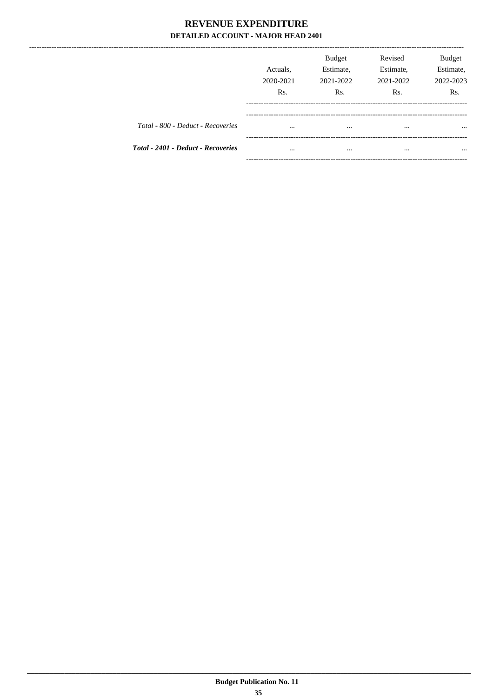|                                    | Actuals.<br>2020-2021<br>Rs. | Budget<br>Estimate,<br>2021-2022<br>Rs. | Revised<br>Estimate,<br>2021-2022<br>R <sub>s</sub> . | <b>Budget</b><br>Estimate,<br>2022-2023<br>R <sub>s</sub> . |
|------------------------------------|------------------------------|-----------------------------------------|-------------------------------------------------------|-------------------------------------------------------------|
| Total - 800 - Deduct - Recoveries  | $\cdots$                     | $\cdots$                                |                                                       |                                                             |
| Total - 2401 - Deduct - Recoveries | $\cdots$                     | $\cdots$                                |                                                       | $\cdots$                                                    |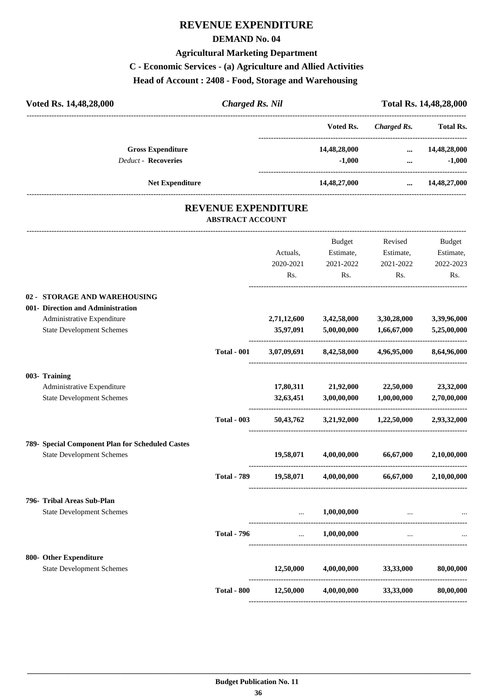# **REVENUE EXPENDITURE**

#### **DEMAND No. 04**

# **Agricultural Marketing Department**

# **C - Economic Services - (a) Agriculture and Allied Activities**

**Head of Account : 2408 - Food, Storage and Warehousing** 

| Voted Rs. 14,48,28,000                                          | <b>Charged Rs. Nil</b>                                |               |                    | Total Rs. 14,48,28,000 |
|-----------------------------------------------------------------|-------------------------------------------------------|---------------|--------------------|------------------------|
|                                                                 |                                                       | Voted Rs.     | <b>Charged Rs.</b> | <b>Total Rs.</b>       |
| <b>Gross Expenditure</b>                                        |                                                       | 14,48,28,000  | $\cdots$           | 14,48,28,000           |
| <b>Deduct - Recoveries</b>                                      |                                                       | $-1,000$      | $\cdots$           | $-1,000$               |
| <b>Net Expenditure</b>                                          |                                                       | 14,48,27,000  | $\cdots$           | 14,48,27,000           |
|                                                                 | <b>REVENUE EXPENDITURE</b><br><b>ABSTRACT ACCOUNT</b> |               |                    |                        |
|                                                                 |                                                       | <b>Budget</b> | Revised            | Budget                 |
|                                                                 | Actuals,                                              | Estimate,     | Estimate,          | Estimate,              |
|                                                                 | 2020-2021                                             | 2021-2022     | 2021-2022          | 2022-2023              |
|                                                                 | Rs.                                                   | Rs.           | Rs.                | Rs.                    |
| 02 - STORAGE AND WAREHOUSING                                    |                                                       |               |                    |                        |
| 001- Direction and Administration<br>Administrative Expenditure | 2,71,12,600                                           | 3,42,58,000   | 3,30,28,000        | 3,39,96,000            |

|                                                  |                    |                          | Budget                                  | Revised                                                   | <b>Budget</b>    |
|--------------------------------------------------|--------------------|--------------------------|-----------------------------------------|-----------------------------------------------------------|------------------|
|                                                  |                    | Actuals,                 | Estimate,                               | Estimate,                                                 | Estimate,        |
|                                                  |                    | 2020-2021                | 2021-2022                               | 2021-2022                                                 | 2022-2023        |
|                                                  |                    | Rs.                      | Rs.                                     | Rs.                                                       | R <sub>s</sub> . |
| 02 - STORAGE AND WAREHOUSING                     |                    |                          |                                         |                                                           |                  |
| 001- Direction and Administration                |                    |                          |                                         |                                                           |                  |
| Administrative Expenditure                       |                    |                          | 2,71,12,600 3,42,58,000 3,30,28,000     |                                                           | 3,39,96,000      |
| <b>State Development Schemes</b>                 |                    |                          | 35,97,091 5,00,00,000 1,66,67,000       |                                                           | 5,25,00,000      |
|                                                  | <b>Total - 001</b> |                          |                                         | $3,07,09,691$ $8,42,58,000$ $4,96,95,000$                 | 8,64,96,000      |
| 003- Training                                    |                    |                          |                                         |                                                           |                  |
| Administrative Expenditure                       |                    |                          | 17,80,311 21,92,000 22,50,000           |                                                           | 23,32,000        |
| <b>State Development Schemes</b>                 |                    |                          | $32,63,451$ $3,00,00,000$ $1,00,00,000$ |                                                           | 2,70,00,000      |
|                                                  | <b>Total - 003</b> |                          |                                         | $50,43,762$ $3,21,92,000$ $1,22,50,000$                   | 2,93,32,000      |
| 789- Special Component Plan for Scheduled Castes |                    |                          |                                         |                                                           |                  |
| <b>State Development Schemes</b>                 |                    |                          | $19,58,071$ $4,00,00,000$ $66,67,000$   |                                                           | 2,10,00,000      |
|                                                  | <b>Total - 789</b> |                          |                                         | $19,58,071$ $4,00,00,000$ $66,67,000$ $2,10,00,000$       |                  |
| 796- Tribal Areas Sub-Plan                       |                    |                          |                                         |                                                           |                  |
| <b>State Development Schemes</b>                 |                    |                          | $\dots$ 1,00,00,000                     | $\mathbf{r}$ and $\mathbf{r}$ are the set of $\mathbf{r}$ |                  |
|                                                  | <b>Total - 796</b> | <b>Contract Contract</b> | 1,00,00,000                             | $\cdots$                                                  |                  |
| 800- Other Expenditure                           |                    |                          |                                         |                                                           |                  |
| <b>State Development Schemes</b>                 |                    |                          |                                         | $12,50,000$ $4,00,00,000$ $33,33,000$ $80,00,000$         |                  |
|                                                  | <b>Total - 800</b> | 12,50,000                |                                         | $4,00,00,000$ $33,33,000$                                 | 80,00,000        |
|                                                  |                    |                          |                                         |                                                           |                  |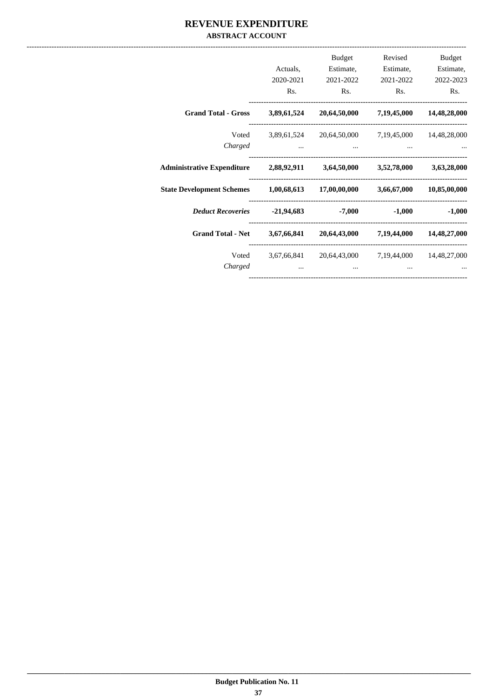#### **REVENUE EXPENDITURE ABSTRACT ACCOUNT**

|                                                                     |                                                                                                                                                                                                                                      | Budget                                                  | Revised                  | Budget       |
|---------------------------------------------------------------------|--------------------------------------------------------------------------------------------------------------------------------------------------------------------------------------------------------------------------------------|---------------------------------------------------------|--------------------------|--------------|
|                                                                     | Actuals,                                                                                                                                                                                                                             | Estimate,                                               | Estimate,                | Estimate,    |
|                                                                     | 2020-2021                                                                                                                                                                                                                            | 2021-2022                                               | 2021-2022                | 2022-2023    |
|                                                                     | Rs.                                                                                                                                                                                                                                  | Rs.                                                     | Rs.                      | Rs.          |
| <b>Grand Total - Gross</b>                                          | 3,89,61,524                                                                                                                                                                                                                          |                                                         | 20,64,50,000 7,19,45,000 | 14,48,28,000 |
|                                                                     |                                                                                                                                                                                                                                      | Voted 3,89,61,524 20,64,50,000 7,19,45,000 14,48,28,000 |                          |              |
| Charged                                                             | <u>and the community of the community of the community of the community of the community of the community of the community of the community of the community of the community of the community of the community of the community</u> | and the contract of the contract of                     |                          |              |
| Administrative Expenditure 2,88,92,911 3,64,50,000 3,52,78,000      |                                                                                                                                                                                                                                      |                                                         |                          | 3,63,28,000  |
| State Development Schemes 1,00,68,613 17,00,00,000 3,66,67,000      |                                                                                                                                                                                                                                      |                                                         |                          | 10,85,00,000 |
| <i>Deduct Recoveries</i> -21,94,683 -7,000                          |                                                                                                                                                                                                                                      |                                                         | $-1,000$                 | $-1,000$     |
| Grand Total - Net 3,67,66,841 20,64,43,000 7,19,44,000 14,48,27,000 |                                                                                                                                                                                                                                      |                                                         |                          |              |
|                                                                     |                                                                                                                                                                                                                                      | Voted 3,67,66,841 20,64,43,000 7,19,44,000 14,48,27,000 |                          |              |
| Charged                                                             | $\cdots$                                                                                                                                                                                                                             | $\cdots$                                                |                          |              |
|                                                                     |                                                                                                                                                                                                                                      |                                                         |                          |              |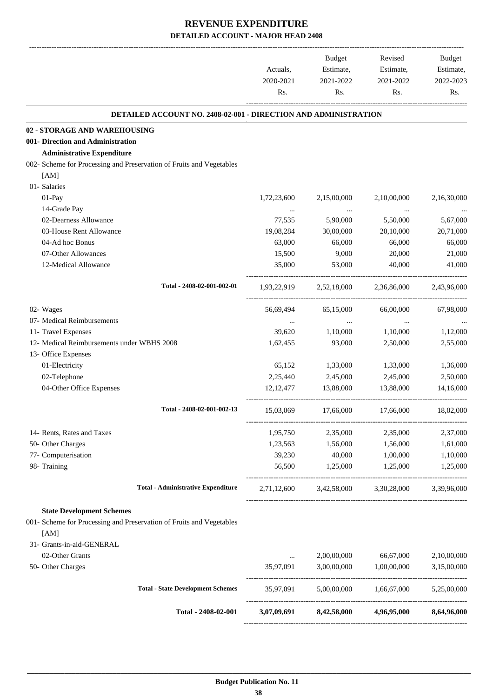-------------------------------------------------------------------------------------------------------------------------------------------------------------------------------

| Rs.<br>Rs.<br>Rs.<br>Rs.<br><b>DETAILED ACCOUNT NO. 2408-02-001 - DIRECTION AND ADMINISTRATION</b><br>02 - STORAGE AND WAREHOUSING<br>001- Direction and Administration<br><b>Administrative Expenditure</b><br>002- Scheme for Processing and Preservation of Fruits and Vegetables<br>[AM]<br>01- Salaries<br>01-Pay<br>2,10,00,000<br>2,16,30,000<br>1,72,23,600<br>2,15,00,000<br>14-Grade Pay<br>$\cdots$<br>$\cdots$<br>$\cdots$<br>02-Dearness Allowance<br>77,535<br>5,90,000<br>5,50,000<br>5,67,000<br>03-House Rent Allowance<br>19,08,284<br>30,00,000<br>20,71,000<br>20,10,000<br>04-Ad hoc Bonus<br>63,000<br>66,000<br>66,000<br>66,000<br>07-Other Allowances<br>15,500<br>9,000<br>20,000<br>21,000<br>12-Medical Allowance<br>35,000<br>53,000<br>40,000<br>41,000<br>Total - 2408-02-001-002-01<br>2,36,86,000<br>1,93,22,919<br>2,52,18,000<br>02- Wages<br>56,69,494<br>65,15,000<br>66,00,000<br>07- Medical Reimbursements<br>$\ddots$<br>$\cdots$<br>$\ldots$<br>11- Travel Expenses<br>39,620<br>1,10,000<br>1,10,000<br>12- Medical Reimbursements under WBHS 2008<br>1,62,455<br>93,000<br>2,50,000<br>13- Office Expenses<br>01-Electricity<br>1,33,000<br>65,152<br>1,33,000<br>02-Telephone<br>2,25,440<br>2,45,000<br>2,45,000<br>04-Other Office Expenses<br>12, 12, 477<br>13,88,000<br>13,88,000<br>Total - 2408-02-001-002-13<br>15,03,069<br>17,66,000<br>17,66,000<br>14- Rents, Rates and Taxes<br>1,95,750<br>2,35,000<br>2,35,000<br>50- Other Charges<br>1,23,563<br>1,56,000<br>1,56,000<br>77- Computerisation<br>39,230<br>40,000<br>1,00,000<br>98- Training<br>56,500<br>1,25,000<br>1,25,000<br><b>Total - Administrative Expenditure</b><br>2,71,12,600<br>3,42,58,000<br>3,30,28,000<br><b>State Development Schemes</b><br>001- Scheme for Processing and Preservation of Fruits and Vegetables<br>[AM]<br>31- Grants-in-aid-GENERAL<br>02-Other Grants<br>2,00,00,000<br>66,67,000<br><br>50- Other Charges<br>35,97,091<br>3,00,00,000<br>1,00,00,000<br><b>Total - State Development Schemes</b><br>35,97,091<br>5,00,00,000<br>1,66,67,000<br>4,96,95,000<br>Total - 2408-02-001<br>3,07,09,691<br>8,42,58,000 | Actuals,<br>2020-2021 | <b>Budget</b><br>Estimate,<br>2021-2022 | Revised<br>Estimate,<br>2021-2022 | <b>Budget</b><br>Estimate,<br>2022-2023 |
|-----------------------------------------------------------------------------------------------------------------------------------------------------------------------------------------------------------------------------------------------------------------------------------------------------------------------------------------------------------------------------------------------------------------------------------------------------------------------------------------------------------------------------------------------------------------------------------------------------------------------------------------------------------------------------------------------------------------------------------------------------------------------------------------------------------------------------------------------------------------------------------------------------------------------------------------------------------------------------------------------------------------------------------------------------------------------------------------------------------------------------------------------------------------------------------------------------------------------------------------------------------------------------------------------------------------------------------------------------------------------------------------------------------------------------------------------------------------------------------------------------------------------------------------------------------------------------------------------------------------------------------------------------------------------------------------------------------------------------------------------------------------------------------------------------------------------------------------------------------------------------------------------------------------------------------------------------------------------------------------------------------------------------------------------------------------------------------------------------------------------------------------------------------------------|-----------------------|-----------------------------------------|-----------------------------------|-----------------------------------------|
|                                                                                                                                                                                                                                                                                                                                                                                                                                                                                                                                                                                                                                                                                                                                                                                                                                                                                                                                                                                                                                                                                                                                                                                                                                                                                                                                                                                                                                                                                                                                                                                                                                                                                                                                                                                                                                                                                                                                                                                                                                                                                                                                                                       |                       |                                         |                                   |                                         |
|                                                                                                                                                                                                                                                                                                                                                                                                                                                                                                                                                                                                                                                                                                                                                                                                                                                                                                                                                                                                                                                                                                                                                                                                                                                                                                                                                                                                                                                                                                                                                                                                                                                                                                                                                                                                                                                                                                                                                                                                                                                                                                                                                                       |                       |                                         |                                   |                                         |
|                                                                                                                                                                                                                                                                                                                                                                                                                                                                                                                                                                                                                                                                                                                                                                                                                                                                                                                                                                                                                                                                                                                                                                                                                                                                                                                                                                                                                                                                                                                                                                                                                                                                                                                                                                                                                                                                                                                                                                                                                                                                                                                                                                       |                       |                                         |                                   |                                         |
|                                                                                                                                                                                                                                                                                                                                                                                                                                                                                                                                                                                                                                                                                                                                                                                                                                                                                                                                                                                                                                                                                                                                                                                                                                                                                                                                                                                                                                                                                                                                                                                                                                                                                                                                                                                                                                                                                                                                                                                                                                                                                                                                                                       |                       |                                         |                                   |                                         |
|                                                                                                                                                                                                                                                                                                                                                                                                                                                                                                                                                                                                                                                                                                                                                                                                                                                                                                                                                                                                                                                                                                                                                                                                                                                                                                                                                                                                                                                                                                                                                                                                                                                                                                                                                                                                                                                                                                                                                                                                                                                                                                                                                                       |                       |                                         |                                   |                                         |
|                                                                                                                                                                                                                                                                                                                                                                                                                                                                                                                                                                                                                                                                                                                                                                                                                                                                                                                                                                                                                                                                                                                                                                                                                                                                                                                                                                                                                                                                                                                                                                                                                                                                                                                                                                                                                                                                                                                                                                                                                                                                                                                                                                       |                       |                                         |                                   |                                         |
|                                                                                                                                                                                                                                                                                                                                                                                                                                                                                                                                                                                                                                                                                                                                                                                                                                                                                                                                                                                                                                                                                                                                                                                                                                                                                                                                                                                                                                                                                                                                                                                                                                                                                                                                                                                                                                                                                                                                                                                                                                                                                                                                                                       |                       |                                         |                                   |                                         |
|                                                                                                                                                                                                                                                                                                                                                                                                                                                                                                                                                                                                                                                                                                                                                                                                                                                                                                                                                                                                                                                                                                                                                                                                                                                                                                                                                                                                                                                                                                                                                                                                                                                                                                                                                                                                                                                                                                                                                                                                                                                                                                                                                                       |                       |                                         |                                   |                                         |
|                                                                                                                                                                                                                                                                                                                                                                                                                                                                                                                                                                                                                                                                                                                                                                                                                                                                                                                                                                                                                                                                                                                                                                                                                                                                                                                                                                                                                                                                                                                                                                                                                                                                                                                                                                                                                                                                                                                                                                                                                                                                                                                                                                       |                       |                                         |                                   |                                         |
|                                                                                                                                                                                                                                                                                                                                                                                                                                                                                                                                                                                                                                                                                                                                                                                                                                                                                                                                                                                                                                                                                                                                                                                                                                                                                                                                                                                                                                                                                                                                                                                                                                                                                                                                                                                                                                                                                                                                                                                                                                                                                                                                                                       |                       |                                         |                                   |                                         |
|                                                                                                                                                                                                                                                                                                                                                                                                                                                                                                                                                                                                                                                                                                                                                                                                                                                                                                                                                                                                                                                                                                                                                                                                                                                                                                                                                                                                                                                                                                                                                                                                                                                                                                                                                                                                                                                                                                                                                                                                                                                                                                                                                                       |                       |                                         |                                   |                                         |
|                                                                                                                                                                                                                                                                                                                                                                                                                                                                                                                                                                                                                                                                                                                                                                                                                                                                                                                                                                                                                                                                                                                                                                                                                                                                                                                                                                                                                                                                                                                                                                                                                                                                                                                                                                                                                                                                                                                                                                                                                                                                                                                                                                       |                       |                                         |                                   |                                         |
|                                                                                                                                                                                                                                                                                                                                                                                                                                                                                                                                                                                                                                                                                                                                                                                                                                                                                                                                                                                                                                                                                                                                                                                                                                                                                                                                                                                                                                                                                                                                                                                                                                                                                                                                                                                                                                                                                                                                                                                                                                                                                                                                                                       |                       |                                         |                                   |                                         |
|                                                                                                                                                                                                                                                                                                                                                                                                                                                                                                                                                                                                                                                                                                                                                                                                                                                                                                                                                                                                                                                                                                                                                                                                                                                                                                                                                                                                                                                                                                                                                                                                                                                                                                                                                                                                                                                                                                                                                                                                                                                                                                                                                                       |                       |                                         |                                   |                                         |
|                                                                                                                                                                                                                                                                                                                                                                                                                                                                                                                                                                                                                                                                                                                                                                                                                                                                                                                                                                                                                                                                                                                                                                                                                                                                                                                                                                                                                                                                                                                                                                                                                                                                                                                                                                                                                                                                                                                                                                                                                                                                                                                                                                       |                       |                                         |                                   |                                         |
|                                                                                                                                                                                                                                                                                                                                                                                                                                                                                                                                                                                                                                                                                                                                                                                                                                                                                                                                                                                                                                                                                                                                                                                                                                                                                                                                                                                                                                                                                                                                                                                                                                                                                                                                                                                                                                                                                                                                                                                                                                                                                                                                                                       |                       |                                         |                                   | 2,43,96,000                             |
|                                                                                                                                                                                                                                                                                                                                                                                                                                                                                                                                                                                                                                                                                                                                                                                                                                                                                                                                                                                                                                                                                                                                                                                                                                                                                                                                                                                                                                                                                                                                                                                                                                                                                                                                                                                                                                                                                                                                                                                                                                                                                                                                                                       |                       |                                         |                                   | 67,98,000                               |
|                                                                                                                                                                                                                                                                                                                                                                                                                                                                                                                                                                                                                                                                                                                                                                                                                                                                                                                                                                                                                                                                                                                                                                                                                                                                                                                                                                                                                                                                                                                                                                                                                                                                                                                                                                                                                                                                                                                                                                                                                                                                                                                                                                       |                       |                                         |                                   |                                         |
|                                                                                                                                                                                                                                                                                                                                                                                                                                                                                                                                                                                                                                                                                                                                                                                                                                                                                                                                                                                                                                                                                                                                                                                                                                                                                                                                                                                                                                                                                                                                                                                                                                                                                                                                                                                                                                                                                                                                                                                                                                                                                                                                                                       |                       |                                         |                                   | 1,12,000                                |
|                                                                                                                                                                                                                                                                                                                                                                                                                                                                                                                                                                                                                                                                                                                                                                                                                                                                                                                                                                                                                                                                                                                                                                                                                                                                                                                                                                                                                                                                                                                                                                                                                                                                                                                                                                                                                                                                                                                                                                                                                                                                                                                                                                       |                       |                                         |                                   | 2,55,000                                |
|                                                                                                                                                                                                                                                                                                                                                                                                                                                                                                                                                                                                                                                                                                                                                                                                                                                                                                                                                                                                                                                                                                                                                                                                                                                                                                                                                                                                                                                                                                                                                                                                                                                                                                                                                                                                                                                                                                                                                                                                                                                                                                                                                                       |                       |                                         |                                   |                                         |
|                                                                                                                                                                                                                                                                                                                                                                                                                                                                                                                                                                                                                                                                                                                                                                                                                                                                                                                                                                                                                                                                                                                                                                                                                                                                                                                                                                                                                                                                                                                                                                                                                                                                                                                                                                                                                                                                                                                                                                                                                                                                                                                                                                       |                       |                                         |                                   | 1,36,000                                |
|                                                                                                                                                                                                                                                                                                                                                                                                                                                                                                                                                                                                                                                                                                                                                                                                                                                                                                                                                                                                                                                                                                                                                                                                                                                                                                                                                                                                                                                                                                                                                                                                                                                                                                                                                                                                                                                                                                                                                                                                                                                                                                                                                                       |                       |                                         |                                   | 2,50,000                                |
|                                                                                                                                                                                                                                                                                                                                                                                                                                                                                                                                                                                                                                                                                                                                                                                                                                                                                                                                                                                                                                                                                                                                                                                                                                                                                                                                                                                                                                                                                                                                                                                                                                                                                                                                                                                                                                                                                                                                                                                                                                                                                                                                                                       |                       |                                         |                                   | 14,16,000                               |
|                                                                                                                                                                                                                                                                                                                                                                                                                                                                                                                                                                                                                                                                                                                                                                                                                                                                                                                                                                                                                                                                                                                                                                                                                                                                                                                                                                                                                                                                                                                                                                                                                                                                                                                                                                                                                                                                                                                                                                                                                                                                                                                                                                       |                       |                                         |                                   | 18,02,000                               |
|                                                                                                                                                                                                                                                                                                                                                                                                                                                                                                                                                                                                                                                                                                                                                                                                                                                                                                                                                                                                                                                                                                                                                                                                                                                                                                                                                                                                                                                                                                                                                                                                                                                                                                                                                                                                                                                                                                                                                                                                                                                                                                                                                                       |                       |                                         |                                   | 2,37,000                                |
|                                                                                                                                                                                                                                                                                                                                                                                                                                                                                                                                                                                                                                                                                                                                                                                                                                                                                                                                                                                                                                                                                                                                                                                                                                                                                                                                                                                                                                                                                                                                                                                                                                                                                                                                                                                                                                                                                                                                                                                                                                                                                                                                                                       |                       |                                         |                                   | 1,61,000                                |
|                                                                                                                                                                                                                                                                                                                                                                                                                                                                                                                                                                                                                                                                                                                                                                                                                                                                                                                                                                                                                                                                                                                                                                                                                                                                                                                                                                                                                                                                                                                                                                                                                                                                                                                                                                                                                                                                                                                                                                                                                                                                                                                                                                       |                       |                                         |                                   | 1,10,000                                |
|                                                                                                                                                                                                                                                                                                                                                                                                                                                                                                                                                                                                                                                                                                                                                                                                                                                                                                                                                                                                                                                                                                                                                                                                                                                                                                                                                                                                                                                                                                                                                                                                                                                                                                                                                                                                                                                                                                                                                                                                                                                                                                                                                                       |                       |                                         |                                   | 1,25,000                                |
|                                                                                                                                                                                                                                                                                                                                                                                                                                                                                                                                                                                                                                                                                                                                                                                                                                                                                                                                                                                                                                                                                                                                                                                                                                                                                                                                                                                                                                                                                                                                                                                                                                                                                                                                                                                                                                                                                                                                                                                                                                                                                                                                                                       |                       |                                         |                                   | 3,39,96,000                             |
|                                                                                                                                                                                                                                                                                                                                                                                                                                                                                                                                                                                                                                                                                                                                                                                                                                                                                                                                                                                                                                                                                                                                                                                                                                                                                                                                                                                                                                                                                                                                                                                                                                                                                                                                                                                                                                                                                                                                                                                                                                                                                                                                                                       |                       |                                         |                                   |                                         |
|                                                                                                                                                                                                                                                                                                                                                                                                                                                                                                                                                                                                                                                                                                                                                                                                                                                                                                                                                                                                                                                                                                                                                                                                                                                                                                                                                                                                                                                                                                                                                                                                                                                                                                                                                                                                                                                                                                                                                                                                                                                                                                                                                                       |                       |                                         |                                   |                                         |
|                                                                                                                                                                                                                                                                                                                                                                                                                                                                                                                                                                                                                                                                                                                                                                                                                                                                                                                                                                                                                                                                                                                                                                                                                                                                                                                                                                                                                                                                                                                                                                                                                                                                                                                                                                                                                                                                                                                                                                                                                                                                                                                                                                       |                       |                                         |                                   |                                         |
|                                                                                                                                                                                                                                                                                                                                                                                                                                                                                                                                                                                                                                                                                                                                                                                                                                                                                                                                                                                                                                                                                                                                                                                                                                                                                                                                                                                                                                                                                                                                                                                                                                                                                                                                                                                                                                                                                                                                                                                                                                                                                                                                                                       |                       |                                         |                                   | 2,10,00,000                             |
|                                                                                                                                                                                                                                                                                                                                                                                                                                                                                                                                                                                                                                                                                                                                                                                                                                                                                                                                                                                                                                                                                                                                                                                                                                                                                                                                                                                                                                                                                                                                                                                                                                                                                                                                                                                                                                                                                                                                                                                                                                                                                                                                                                       |                       |                                         |                                   | 3,15,00,000                             |
|                                                                                                                                                                                                                                                                                                                                                                                                                                                                                                                                                                                                                                                                                                                                                                                                                                                                                                                                                                                                                                                                                                                                                                                                                                                                                                                                                                                                                                                                                                                                                                                                                                                                                                                                                                                                                                                                                                                                                                                                                                                                                                                                                                       |                       |                                         |                                   | 5,25,00,000                             |
|                                                                                                                                                                                                                                                                                                                                                                                                                                                                                                                                                                                                                                                                                                                                                                                                                                                                                                                                                                                                                                                                                                                                                                                                                                                                                                                                                                                                                                                                                                                                                                                                                                                                                                                                                                                                                                                                                                                                                                                                                                                                                                                                                                       |                       |                                         |                                   | 8,64,96,000                             |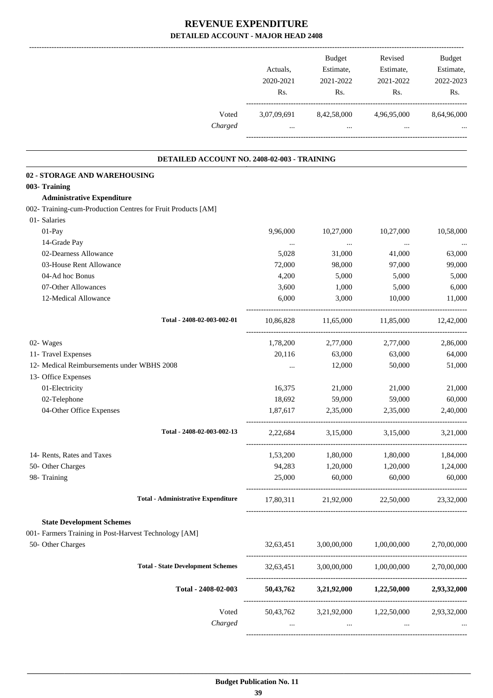|                                                              | Actuals,<br>2020-2021<br>Rs. | Budget<br>Estimate,<br>2021-2022<br>Rs. | Revised<br>Estimate,<br>2021-2022<br>Rs.              | Budget<br>Estimate,<br>2022-2023<br>Rs. |
|--------------------------------------------------------------|------------------------------|-----------------------------------------|-------------------------------------------------------|-----------------------------------------|
| Voted<br>Charged                                             | 3,07,09,691<br>$\cdots$      | 8,42,58,000<br>$\sim$ $\sim$            | 4,96,95,000<br>$\cdots$                               | 8,64,96,000                             |
| DETAILED ACCOUNT NO. 2408-02-003 - TRAINING                  |                              |                                         |                                                       |                                         |
| 02 - STORAGE AND WAREHOUSING                                 |                              |                                         |                                                       |                                         |
| 003- Training                                                |                              |                                         |                                                       |                                         |
| <b>Administrative Expenditure</b>                            |                              |                                         |                                                       |                                         |
| 002- Training-cum-Production Centres for Fruit Products [AM] |                              |                                         |                                                       |                                         |
| 01- Salaries                                                 |                              |                                         |                                                       |                                         |
| 01-Pay                                                       | 9,96,000                     | 10,27,000                               | 10,27,000                                             | 10,58,000                               |
| 14-Grade Pay                                                 | $\ldots$                     | $\cdots$                                | $\ldots$                                              |                                         |
| 02-Dearness Allowance                                        | 5,028                        | 31,000                                  | 41,000                                                | 63,000                                  |
| 03-House Rent Allowance                                      | 72,000                       | 98,000                                  | 97,000                                                | 99,000                                  |
| 04-Ad hoc Bonus                                              | 4,200                        | 5,000                                   | 5,000                                                 | 5,000                                   |
| 07-Other Allowances                                          | 3,600                        | 1,000                                   | 5,000                                                 | 6,000                                   |
| 12-Medical Allowance                                         | 6,000                        | 3,000                                   | 10,000                                                | 11,000                                  |
| Total - 2408-02-003-002-01                                   | 10,86,828                    | 11,65,000                               | 11,85,000                                             | 12,42,000                               |
| 02- Wages                                                    | 1,78,200                     | 2,77,000                                | 2,77,000                                              | 2,86,000                                |
| 11- Travel Expenses                                          | 20,116                       | 63,000                                  | 63,000                                                | 64,000                                  |
| 12- Medical Reimbursements under WBHS 2008                   | $\cdots$                     | 12,000                                  | 50,000                                                | 51,000                                  |
| 13- Office Expenses                                          |                              |                                         |                                                       |                                         |
| 01-Electricity                                               | 16,375                       | 21,000                                  | 21,000                                                | 21,000                                  |
| 02-Telephone                                                 | 18,692                       | 59,000                                  | 59,000                                                | 60,000                                  |
| 04-Other Office Expenses                                     | 1,87,617                     | 2,35,000                                | 2,35,000                                              | 2,40,000                                |
| Total - 2408-02-003-002-13                                   |                              |                                         | 2,22,684 3,15,000 3,15,000 3,21,000                   |                                         |
| 14- Rents, Rates and Taxes                                   | 1,53,200                     | 1,80,000                                | 1,80,000                                              | 1,84,000                                |
| 50- Other Charges                                            |                              |                                         | 94,283 1,20,000 1,20,000                              | 1,24,000                                |
| 98- Training                                                 | 25,000                       | 60,000                                  | 60,000                                                | 60,000                                  |
| <b>Total - Administrative Expenditure</b>                    |                              |                                         | 17,80,311 21,92,000 22,50,000 23,32,000               |                                         |
| <b>State Development Schemes</b>                             |                              |                                         |                                                       |                                         |
| 001- Farmers Training in Post-Harvest Technology [AM]        |                              |                                         |                                                       |                                         |
| 50- Other Charges                                            |                              | 32,63,451 3,00,00,000                   | 1,00,00,000                                           | 2,70,00,000                             |
| <b>Total - State Development Schemes</b>                     |                              |                                         | 32,63,451 3,00,00,000 1,00,00,000 2,70,00,000         |                                         |
| Total - 2408-02-003                                          |                              |                                         | $50,43,762$ $3,21,92,000$ $1,22,50,000$ $2,93,32,000$ |                                         |
| Voted                                                        |                              |                                         | 50,43,762 3,21,92,000 1,22,50,000 2,93,32,000         |                                         |
| Charged                                                      | $\cdots$                     | $\cdots$                                |                                                       |                                         |
|                                                              |                              |                                         |                                                       |                                         |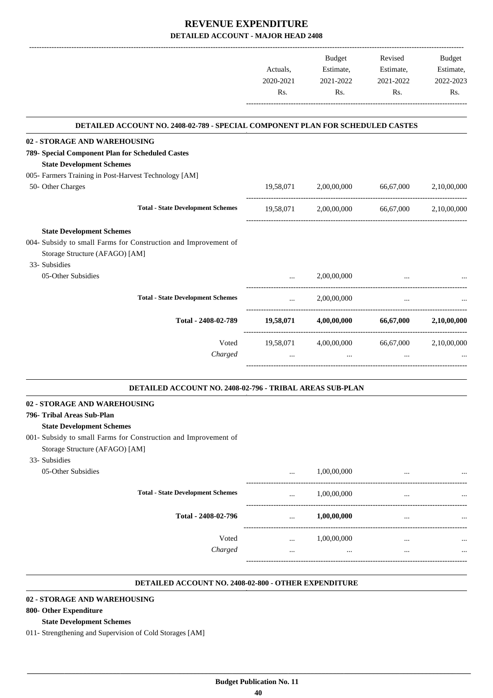|           | Budget      | Revised   | Budget                                                                                                                                                                                        |
|-----------|-------------|-----------|-----------------------------------------------------------------------------------------------------------------------------------------------------------------------------------------------|
| Actuals,  | Estimate,   | Estimate, | Estimate,                                                                                                                                                                                     |
| 2020-2021 | 2021-2022   | 2021-2022 | 2022-2023                                                                                                                                                                                     |
| Rs.       | Rs.         | Rs.       | Rs.                                                                                                                                                                                           |
|           |             |           |                                                                                                                                                                                               |
|           |             |           |                                                                                                                                                                                               |
|           |             |           |                                                                                                                                                                                               |
|           |             |           |                                                                                                                                                                                               |
|           | 2,00,00,000 | 66,67,000 | 2,10,00,000                                                                                                                                                                                   |
|           |             |           |                                                                                                                                                                                               |
|           |             |           |                                                                                                                                                                                               |
|           |             |           |                                                                                                                                                                                               |
|           |             |           |                                                                                                                                                                                               |
|           |             |           |                                                                                                                                                                                               |
| $\cdots$  | 2,00,00,000 |           |                                                                                                                                                                                               |
| $\cdots$  | 2,00,00,000 | $\cdots$  |                                                                                                                                                                                               |
|           |             |           | 66,67,000 2,10,00,000                                                                                                                                                                         |
|           |             |           | 2,10,00,000                                                                                                                                                                                   |
|           | $\cdots$    |           |                                                                                                                                                                                               |
|           |             | 19,58,071 | DETAILED ACCOUNT NO. 2408-02-789 - SPECIAL COMPONENT PLAN FOR SCHEDULED CASTES<br>19,58,071 2,00,00,000 66,67,000 2,10,00,000<br>$19,58,071$ $4,00,00,000$<br>19,58,071 4,00,00,000 66,67,000 |

#### **02 - STORAGE AND WAREHOUSING**

#### **796- Tribal Areas Sub-Plan**

#### **State Development Schemes**

- 001- Subsidy to small Farms for Construction and Improvement of
- Storage Structure (AFAGO) [AM]

| 33- Subsidies      |                                          |          |             |          |           |
|--------------------|------------------------------------------|----------|-------------|----------|-----------|
| 05-Other Subsidies |                                          | $\cdots$ | 1,00,00,000 | $\cdots$ | $\cdots$  |
|                    | <b>Total - State Development Schemes</b> | $\cdots$ | 1,00,00,000 |          | $\cdots$  |
|                    | Total - 2408-02-796                      |          | 1,00,00,000 | $\cdots$ | $\ddotsc$ |
|                    | Voted                                    |          | 1,00,00,000 | $\cdots$ | $\ddotsc$ |
|                    | Charged                                  |          |             | $\cdots$ | $\cdots$  |
|                    |                                          |          |             |          |           |

**.**

#### **DETAILED ACCOUNT NO. 2408-02-800 - OTHER EXPENDITURE .**

.

#### **02 - STORAGE AND WAREHOUSING**

#### **800- Other Expenditure**

#### **State Development Schemes**

011- Strengthening and Supervision of Cold Storages [AM]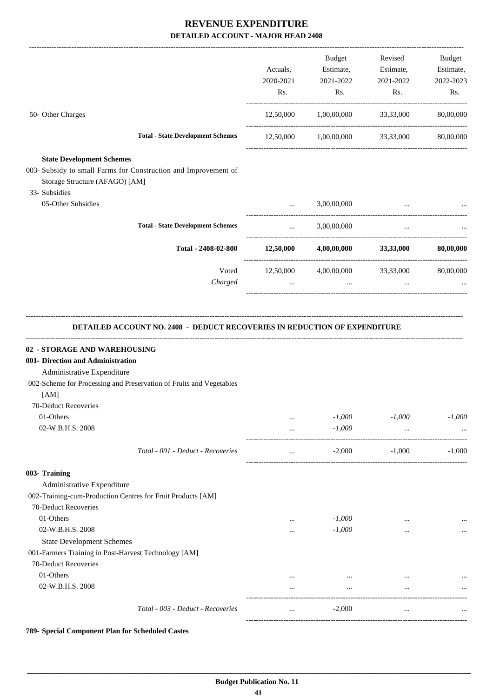|                                                                                                                                                                                      | Actuals,<br>2020-2021<br>Rs. | Budget<br>Estimate,<br>2021-2022<br>Rs.           | Revised<br>Estimate,<br>2021-2022<br>Rs. | Budget<br>Estimate,<br>2022-2023<br>Rs. |
|--------------------------------------------------------------------------------------------------------------------------------------------------------------------------------------|------------------------------|---------------------------------------------------|------------------------------------------|-----------------------------------------|
| 50- Other Charges                                                                                                                                                                    |                              | 12,50,000 1,00,00,000 33,33,000                   |                                          | 80,00,000                               |
| <b>Total - State Development Schemes</b>                                                                                                                                             |                              | $12,50,000$ $1,00,00,000$ $33,33,000$             |                                          | 80,00,000                               |
| <b>State Development Schemes</b>                                                                                                                                                     |                              |                                                   |                                          |                                         |
| 003- Subsidy to small Farms for Construction and Improvement of<br>Storage Structure (AFAGO) [AM]<br>33- Subsidies                                                                   |                              |                                                   |                                          |                                         |
| 05-Other Subsidies                                                                                                                                                                   | $\cdots$                     | 3,00,00,000                                       | $\cdots$                                 |                                         |
| <b>Total - State Development Schemes</b>                                                                                                                                             | $\cdots$                     | 3,00,00,000                                       | $\cdots$                                 |                                         |
| Total - 2408-02-800 $12,50,000$ $4,00,00,000$ $33,33,000$                                                                                                                            |                              |                                                   |                                          | 80,00,000                               |
| Voted<br>Charged                                                                                                                                                                     | $\cdots$                     | $12,50,000$ $4,00,00,000$ $33,33,000$<br>$\ddots$ | $\cdots$                                 | 80,00,000                               |
| <b>DETAILED ACCOUNT NO. 2408 - DEDUCT RECOVERIES IN REDUCTION OF EXPENDITURE</b><br>02 - STORAGE AND WAREHOUSING<br>001- Direction and Administration                                |                              |                                                   |                                          |                                         |
| Administrative Expenditure<br>002-Scheme for Processing and Preservation of Fruits and Vegetables<br>[AM]<br>70-Deduct Recoveries<br>01-Others                                       | $\cdots$                     | $-1,000$                                          | $-1,000$                                 | $-1,000$                                |
| 02-W.B.H.S. 2008                                                                                                                                                                     | $\cdots$                     | $-1,000$                                          | $\cdots$                                 |                                         |
| Total - 001 - Deduct - Recoveries<br>003- Training<br>Administrative Expenditure<br>002-Training-cum-Production Centres for Fruit Products [AM]<br>70-Deduct Recoveries<br>01-Others | $\cdots$<br>                 | $-2,000$<br>$-1,000$                              | $-1,000$<br>$\cdots$                     |                                         |
| 02-W.B.H.S. 2008<br><b>State Development Schemes</b><br>001-Farmers Training in Post-Harvest Technology [AM]<br>70-Deduct Recoveries                                                 | $\cdots$                     | $-1,000$                                          | $\cdots$                                 | $-1,000$<br>$\cdots$                    |
| 01-Others<br>02-W.B.H.S. 2008                                                                                                                                                        | <br>                         | $\cdots$<br>$\cdots$                              | $\cdots$<br>$\cdots$                     | $\cdots$                                |

**789- Special Component Plan for Scheduled Castes**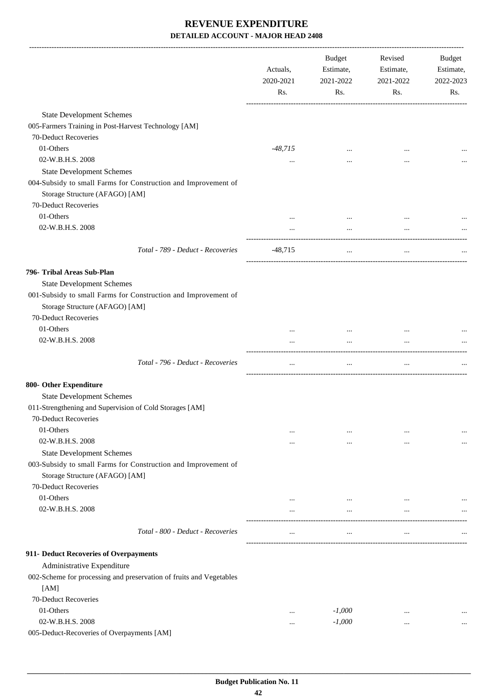|                                                                                                  | Actuals,<br>2020-2021<br>Rs. | Budget<br>Estimate,<br>2021-2022<br>Rs. | Revised<br>Estimate,<br>2021-2022<br>Rs. | <b>Budget</b><br>Estimate,<br>2022-2023<br>Rs. |
|--------------------------------------------------------------------------------------------------|------------------------------|-----------------------------------------|------------------------------------------|------------------------------------------------|
|                                                                                                  |                              |                                         |                                          |                                                |
| <b>State Development Schemes</b>                                                                 |                              |                                         |                                          |                                                |
| 005-Farmers Training in Post-Harvest Technology [AM]<br>70-Deduct Recoveries                     |                              |                                         |                                          |                                                |
| 01-Others                                                                                        |                              |                                         |                                          |                                                |
|                                                                                                  | $-48,715$                    |                                         |                                          |                                                |
| 02-W.B.H.S. 2008                                                                                 | $\cdots$                     |                                         | $\cdots$                                 |                                                |
| <b>State Development Schemes</b>                                                                 |                              |                                         |                                          |                                                |
| 004-Subsidy to small Farms for Construction and Improvement of<br>Storage Structure (AFAGO) [AM] |                              |                                         |                                          |                                                |
| 70-Deduct Recoveries                                                                             |                              |                                         |                                          |                                                |
| 01-Others                                                                                        |                              |                                         | $\ddotsc$                                |                                                |
| 02-W.B.H.S. 2008                                                                                 |                              | $\cdots$                                | $\ddotsc$                                |                                                |
| Total - 789 - Deduct - Recoveries                                                                | $-48,715$                    | $\cdots$                                | $\cdots$                                 |                                                |
| 796- Tribal Areas Sub-Plan                                                                       |                              |                                         |                                          |                                                |
| <b>State Development Schemes</b>                                                                 |                              |                                         |                                          |                                                |
| 001-Subsidy to small Farms for Construction and Improvement of<br>Storage Structure (AFAGO) [AM] |                              |                                         |                                          |                                                |
| 70-Deduct Recoveries                                                                             |                              |                                         |                                          |                                                |
| 01-Others                                                                                        | $\cdots$                     |                                         |                                          |                                                |
| 02-W.B.H.S. 2008                                                                                 | $\cdots$                     | $\cdots$                                | $\cdots$                                 |                                                |
| Total - 796 - Deduct - Recoveries                                                                | $\cdots$                     | $\cdots$                                | $\cdots$                                 |                                                |
| 800- Other Expenditure                                                                           |                              |                                         |                                          |                                                |
| <b>State Development Schemes</b>                                                                 |                              |                                         |                                          |                                                |
| 011-Strengthening and Supervision of Cold Storages [AM]                                          |                              |                                         |                                          |                                                |
| 70-Deduct Recoveries                                                                             |                              |                                         |                                          |                                                |
| 01-Others                                                                                        | $\cdots$                     | $\cdots$                                | $\ddotsc$                                |                                                |
| 02-W.B.H.S. 2008                                                                                 | $\cdots$                     | $\cdots$                                |                                          |                                                |
| <b>State Development Schemes</b>                                                                 |                              |                                         |                                          |                                                |
| 003-Subsidy to small Farms for Construction and Improvement of                                   |                              |                                         |                                          |                                                |
| Storage Structure (AFAGO) [AM]                                                                   |                              |                                         |                                          |                                                |
| 70-Deduct Recoveries                                                                             |                              |                                         |                                          |                                                |
| 01-Others                                                                                        |                              | $\cdots$                                |                                          |                                                |
| 02-W.B.H.S. 2008                                                                                 | $\cdots$                     | $\cdots$                                | $\ddotsc$                                |                                                |
| Total - 800 - Deduct - Recoveries                                                                |                              | $\cdots$                                | $\cdots$                                 |                                                |
| 911- Deduct Recoveries of Overpayments                                                           |                              |                                         |                                          |                                                |
| Administrative Expenditure                                                                       |                              |                                         |                                          |                                                |
| 002-Scheme for processing and preservation of fruits and Vegetables                              |                              |                                         |                                          |                                                |
| [AM]                                                                                             |                              |                                         |                                          |                                                |
| 70-Deduct Recoveries                                                                             |                              |                                         |                                          |                                                |
| 01-Others                                                                                        |                              | $-1,000$                                | $\cdots$                                 |                                                |
| 02-W.B.H.S. 2008                                                                                 |                              | $-1,000$                                | $\cdots$                                 | $\cdots$                                       |
| 005-Deduct-Recoveries of Overpayments [AM]                                                       |                              |                                         |                                          |                                                |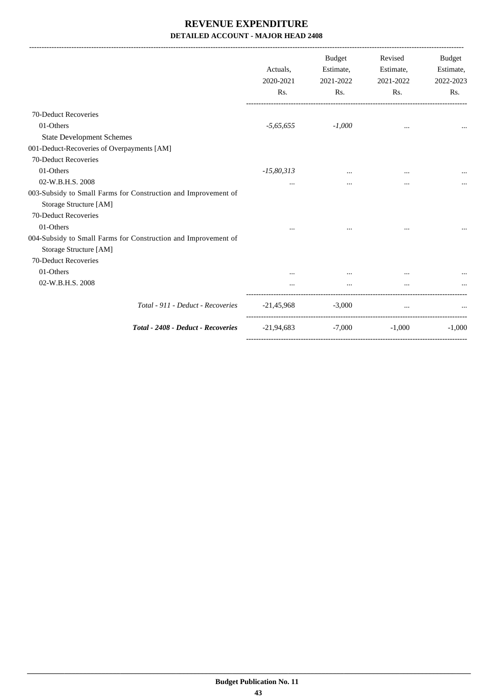|                                                                | Actuals.<br>2020-2021<br>Rs. | Budget<br>Estimate,<br>2021-2022<br>Rs. | Revised<br>Estimate,<br>2021-2022<br>Rs. | <b>Budget</b><br>Estimate,<br>2022-2023<br>Rs. |
|----------------------------------------------------------------|------------------------------|-----------------------------------------|------------------------------------------|------------------------------------------------|
| 70-Deduct Recoveries                                           |                              |                                         |                                          |                                                |
| 01-Others                                                      | $-5,65,655$                  | $-1,000$                                | $\cdots$                                 |                                                |
| <b>State Development Schemes</b>                               |                              |                                         |                                          |                                                |
| 001-Deduct-Recoveries of Overpayments [AM]                     |                              |                                         |                                          |                                                |
| 70-Deduct Recoveries                                           |                              |                                         |                                          |                                                |
| 01-Others                                                      | $-15,80,313$                 | $\cdots$                                | $\cdots$                                 |                                                |
| 02-W.B.H.S. 2008                                               | $\cdots$                     | $\cdots$                                | $\cdots$                                 |                                                |
| 003-Subsidy to Small Farms for Construction and Improvement of |                              |                                         |                                          |                                                |
| Storage Structure [AM]                                         |                              |                                         |                                          |                                                |
| 70-Deduct Recoveries                                           |                              |                                         |                                          |                                                |
| 01-Others                                                      |                              |                                         | $\cdots$                                 |                                                |
| 004-Subsidy to Small Farms for Construction and Improvement of |                              |                                         |                                          |                                                |
| Storage Structure [AM]                                         |                              |                                         |                                          |                                                |
| 70-Deduct Recoveries                                           |                              |                                         |                                          |                                                |
| 01-Others                                                      |                              |                                         | $\cdots$                                 |                                                |
| 02-W.B.H.S. 2008                                               |                              | $\cdots$                                |                                          |                                                |
| Total - 911 - Deduct - Recoveries                              | $-21,45,968$                 | $-3,000$                                | $\cdots$                                 |                                                |
| Total - 2408 - Deduct - Recoveries                             | -21,94,683                   | $-7,000$                                | $-1,000$                                 | $-1,000$                                       |
|                                                                |                              |                                         |                                          |                                                |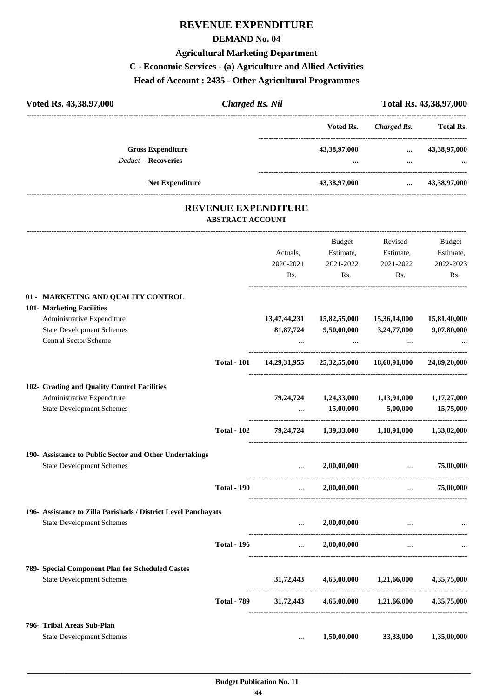# **REVENUE EXPENDITURE**

#### **DEMAND No. 04**

# **Agricultural Marketing Department**

# **C - Economic Services - (a) Agriculture and Allied Activities**

**Head of Account : 2435 - Other Agricultural Programmes**

|                    |             |                                                                                        |                           | Total Rs. 43,38,97,000                                                                                             |
|--------------------|-------------|----------------------------------------------------------------------------------------|---------------------------|--------------------------------------------------------------------------------------------------------------------|
|                    |             | Voted Rs.                                                                              |                           | <b>Total Rs.</b>                                                                                                   |
|                    |             |                                                                                        |                           | $\dots$ 43,38,97,000                                                                                               |
|                    |             |                                                                                        | $\cdots$                  |                                                                                                                    |
|                    |             | 43,38,97,000                                                                           |                           | $\dots$ 43,38,97,000                                                                                               |
|                    |             |                                                                                        |                           |                                                                                                                    |
|                    |             | Budget                                                                                 | Revised                   | Budget                                                                                                             |
|                    | Actuals,    | Estimate,                                                                              | Estimate,                 | Estimate,                                                                                                          |
|                    | 2020-2021   | 2021-2022                                                                              | 2021-2022                 | 2022-2023                                                                                                          |
|                    |             | Rs.                                                                                    |                           | Rs.                                                                                                                |
|                    |             |                                                                                        |                           |                                                                                                                    |
|                    |             |                                                                                        |                           | 15,81,40,000                                                                                                       |
|                    | 81, 87, 724 | 9,50,00,000                                                                            |                           | 9,07,80,000                                                                                                        |
|                    |             |                                                                                        |                           |                                                                                                                    |
| <b>Total - 101</b> |             |                                                                                        |                           | 24,89,20,000                                                                                                       |
|                    |             | <b>Charged Rs. Nil</b><br><b>REVENUE EXPENDITURE</b><br><b>ABSTRACT ACCOUNT</b><br>Rs. | 13,47,44,231 15,82,55,000 | <b>Charged Rs.</b><br>43,38,97,000<br>Rs.<br>15,36,14,000<br>3,24,77,000<br>14,29,31,955 25,32,55,000 18,60,91,000 |

| 101- Marketing Facilities                                      |                    |                                    |                         |                                                                                                                |                         |
|----------------------------------------------------------------|--------------------|------------------------------------|-------------------------|----------------------------------------------------------------------------------------------------------------|-------------------------|
| Administrative Expenditure                                     |                    | 13,47,44,231                       | 15,82,55,000            | 15,36,14,000                                                                                                   | 15,81,40,000            |
| <b>State Development Schemes</b>                               |                    | 81,87,724                          | 9,50,00,000 3,24,77,000 |                                                                                                                | 9,07,80,000             |
| Central Sector Scheme                                          |                    |                                    |                         |                                                                                                                |                         |
|                                                                | <b>Total - 101</b> |                                    |                         | 14,29,31,955 25,32,55,000 18,60,91,000 24,89,20,000                                                            |                         |
| 102- Grading and Quality Control Facilities                    |                    |                                    |                         |                                                                                                                |                         |
| Administrative Expenditure                                     |                    |                                    |                         | 79,24,724 1,24,33,000 1,13,91,000 1,17,27,000                                                                  |                         |
| <b>State Development Schemes</b>                               |                    |                                    |                         | $15,00,000$ $5,00,000$ $15,75,000$                                                                             |                         |
|                                                                | <b>Total - 102</b> |                                    |                         | 79,24,724 1,39,33,000 1,18,91,000 1,33,02,000                                                                  |                         |
| 190- Assistance to Public Sector and Other Undertakings        |                    |                                    |                         |                                                                                                                |                         |
| <b>State Development Schemes</b>                               |                    | $\mathbf{11.1}$ and $\mathbf{1.1}$ | 2,00,00,000             | <b>Contract Contract Contract Contract</b>                                                                     | 75,00,000               |
|                                                                | <b>Total - 190</b> |                                    | $\ldots$ 2,00,00,000    |                                                                                                                | $\ldots$ 75,00,000      |
| 196- Assistance to Zilla Parishads / District Level Panchayats |                    |                                    |                         |                                                                                                                |                         |
| <b>State Development Schemes</b>                               |                    |                                    | 2,00,00,000             | المستخدم المستخدم المستخدم المستخدم المستخدم المستخدم المستخدم المستخدم المستخدم المستخدم المستخدم المستخدم ال |                         |
|                                                                | <b>Total - 196</b> |                                    | $\ldots$ 2,00,00,000    |                                                                                                                |                         |
| 789- Special Component Plan for Scheduled Castes               |                    |                                    |                         |                                                                                                                |                         |
| <b>State Development Schemes</b>                               |                    |                                    |                         | 31,72,443 4,65,00,000 1,21,66,000 4,35,75,000                                                                  |                         |
|                                                                | <b>Total - 789</b> | 31,72,443                          | 4,65,00,000             |                                                                                                                | 1,21,66,000 4,35,75,000 |
| 796- Tribal Areas Sub-Plan                                     |                    |                                    |                         |                                                                                                                |                         |
| <b>State Development Schemes</b>                               |                    | $\cdots$                           | 1,50,00,000             | 33,33,000                                                                                                      | 1,35,00,000             |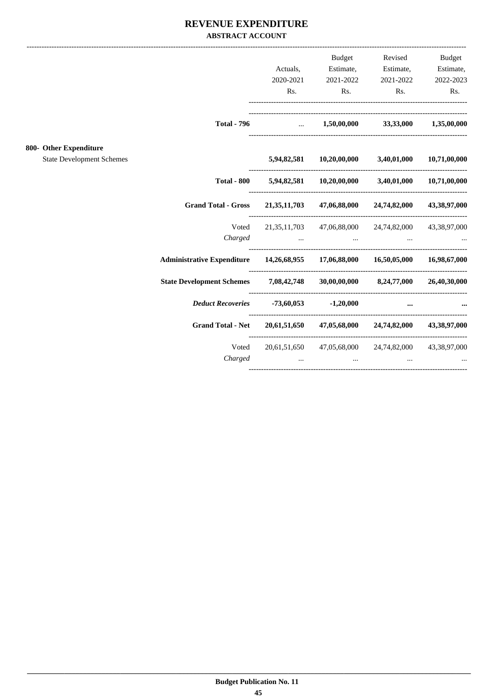#### REVENUE EXPENDITURE **ABSTRACT ACCOUNT**

|                                                            |                                                                                |                                                                 | Budget         | Revised                                                                                                                                                                                                                                                                                     | <b>Budget</b> |
|------------------------------------------------------------|--------------------------------------------------------------------------------|-----------------------------------------------------------------|----------------|---------------------------------------------------------------------------------------------------------------------------------------------------------------------------------------------------------------------------------------------------------------------------------------------|---------------|
|                                                            |                                                                                | Actuals,                                                        | Estimate,      | Estimate,                                                                                                                                                                                                                                                                                   | Estimate,     |
|                                                            |                                                                                | 2020-2021                                                       | 2021-2022      | 2021-2022                                                                                                                                                                                                                                                                                   | 2022-2023     |
|                                                            |                                                                                | Rs.                                                             | $\mathbf{Rs.}$ | $\mathbf{Rs.}$                                                                                                                                                                                                                                                                              | Rs.           |
|                                                            |                                                                                |                                                                 |                | Total - 796  1,50,00,000 33,33,000 1,35,00,000                                                                                                                                                                                                                                              |               |
| 800- Other Expenditure<br><b>State Development Schemes</b> |                                                                                |                                                                 |                | 5,94,82,581 10,20,00,000 3,40,01,000 10,71,00,000                                                                                                                                                                                                                                           |               |
|                                                            |                                                                                |                                                                 |                |                                                                                                                                                                                                                                                                                             |               |
|                                                            | <b>Total - 800</b>                                                             |                                                                 |                | 5,94,82,581 10,20,00,000 3,40,01,000 10,71,00,000                                                                                                                                                                                                                                           |               |
|                                                            | <b>Grand Total - Gross</b>                                                     |                                                                 |                | 21, 35, 11, 703 47, 06, 88, 000 24, 74, 82, 000 43, 38, 97, 000                                                                                                                                                                                                                             |               |
|                                                            |                                                                                |                                                                 |                | Voted 21,35,11,703 47,06,88,000 24,74,82,000 43,38,97,000                                                                                                                                                                                                                                   |               |
|                                                            |                                                                                | Charged                                                         |                | the contract of the contract of the contract of                                                                                                                                                                                                                                             |               |
|                                                            | Administrative Expenditure 14,26,68,955 17,06,88,000 16,50,05,000 16,98,67,000 |                                                                 |                |                                                                                                                                                                                                                                                                                             |               |
|                                                            | State Development Schemes 7,08,42,748 30,00,00,000 8,24,77,000 26,40,30,000    |                                                                 |                |                                                                                                                                                                                                                                                                                             |               |
|                                                            | <i>Deduct Recoveries</i> -73,60,053 -1,20,000                                  |                                                                 |                | $\cdots$                                                                                                                                                                                                                                                                                    |               |
|                                                            | <b>Grand Total - Net</b>                                                       |                                                                 |                | 20,61,51,650 47,05,68,000 24,74,82,000 43,38,97,000                                                                                                                                                                                                                                         |               |
|                                                            | Voted<br>Charged                                                               | $\mathbf{r}$ and $\mathbf{r}$ and $\mathbf{r}$ are $\mathbf{r}$ | $\mathbf{r}$   | 20,61,51,650 47,05,68,000 24,74,82,000 43,38,97,000<br><u>and the contract of the contract of the contract of the contract of the contract of the contract of the contract of the contract of the contract of the contract of the contract of the contract of the contract of the contr</u> |               |
|                                                            |                                                                                |                                                                 |                |                                                                                                                                                                                                                                                                                             |               |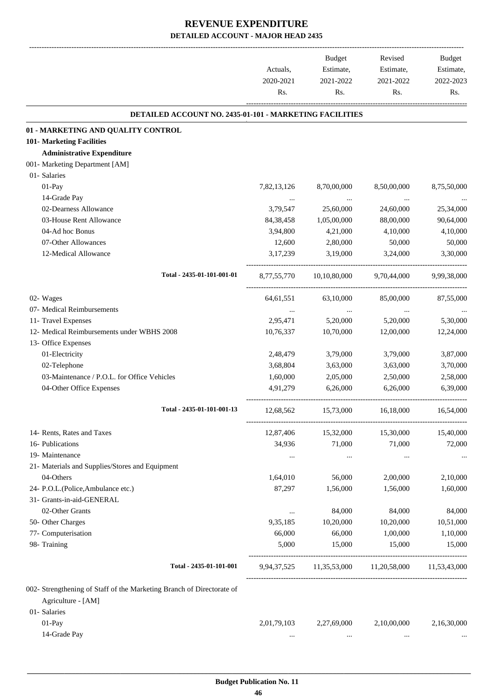|                                                                                                             | Actuals.<br>2020-2021<br>Rs. | <b>Budget</b><br>Estimate,<br>2021-2022<br>Rs. | Revised<br>Estimate,<br>2021-2022<br>Rs. | <b>Budget</b><br>Estimate,<br>2022-2023<br>Rs. |
|-------------------------------------------------------------------------------------------------------------|------------------------------|------------------------------------------------|------------------------------------------|------------------------------------------------|
| <b>DETAILED ACCOUNT NO. 2435-01-101 - MARKETING FACILITIES</b>                                              |                              |                                                |                                          |                                                |
| 01 - MARKETING AND QUALITY CONTROL                                                                          |                              |                                                |                                          |                                                |
| 101- Marketing Facilities                                                                                   |                              |                                                |                                          |                                                |
| <b>Administrative Expenditure</b>                                                                           |                              |                                                |                                          |                                                |
| 001- Marketing Department [AM]                                                                              |                              |                                                |                                          |                                                |
| 01- Salaries                                                                                                |                              |                                                |                                          |                                                |
| 01-Pay                                                                                                      | 7,82,13,126                  | 8,70,00,000                                    | 8,50,00,000                              | 8,75,50,000                                    |
| 14-Grade Pay                                                                                                | $\cdots$                     | $\cdots$                                       | $\cdots$                                 |                                                |
| 02-Dearness Allowance                                                                                       | 3,79,547                     | 25,60,000                                      | 24,60,000                                | 25,34,000                                      |
| 03-House Rent Allowance                                                                                     | 84, 38, 458                  | 1,05,00,000                                    | 88,00,000                                | 90,64,000                                      |
| 04-Ad hoc Bonus                                                                                             | 3,94,800                     | 4,21,000                                       | 4,10,000                                 | 4,10,000                                       |
| 07-Other Allowances                                                                                         | 12,600                       | 2,80,000                                       | 50,000                                   | 50,000                                         |
| 12-Medical Allowance                                                                                        | 3,17,239                     | 3,19,000                                       | 3,24,000                                 | 3,30,000                                       |
| Total - 2435-01-101-001-01                                                                                  | 8,77,55,770                  | 10,10,80,000                                   | 9,70,44,000                              | 9.99.38.000                                    |
| 02- Wages                                                                                                   | 64, 61, 551                  | 63,10,000                                      | 85,00,000                                | 87,55,000                                      |
| 07- Medical Reimbursements                                                                                  | $\cdots$                     | $\cdots$                                       | $\cdots$                                 |                                                |
| 11- Travel Expenses                                                                                         | 2,95,471                     | 5,20,000                                       | 5,20,000                                 | 5,30,000                                       |
| 12- Medical Reimbursements under WBHS 2008                                                                  | 10,76,337                    | 10,70,000                                      | 12,00,000                                | 12,24,000                                      |
| 13- Office Expenses                                                                                         |                              |                                                |                                          |                                                |
| 01-Electricity                                                                                              | 2,48,479                     | 3,79,000                                       | 3,79,000                                 | 3,87,000                                       |
| 02-Telephone                                                                                                | 3,68,804                     | 3,63,000                                       | 3,63,000                                 | 3,70,000                                       |
| 03-Maintenance / P.O.L. for Office Vehicles                                                                 | 1,60,000                     | 2,05,000                                       | 2,50,000                                 | 2,58,000                                       |
| 04-Other Office Expenses                                                                                    | 4.91.279                     | 6,26,000                                       | 6,26,000                                 | 6,39,000                                       |
| Total - 2435-01-101-001-13                                                                                  | 12,68,562                    | 15,73,000                                      | 16,18,000                                | 16,54,000                                      |
| 14- Rents, Rates and Taxes                                                                                  | 12,87,406                    | 15,32,000                                      | 15,30,000                                | 15,40,000                                      |
| 16- Publications                                                                                            | 34,936                       | 71,000                                         | 71,000                                   | 72,000                                         |
| 19- Maintenance                                                                                             | $\cdots$                     | $\ldots$                                       | $\cdots$                                 |                                                |
| 21- Materials and Supplies/Stores and Equipment                                                             |                              |                                                |                                          |                                                |
| 04-Others                                                                                                   | 1,64,010                     | 56,000                                         | 2,00,000                                 | 2,10,000                                       |
| 24- P.O.L.(Police, Ambulance etc.)                                                                          | 87,297                       | 1,56,000                                       | 1,56,000                                 | 1,60,000                                       |
| 31- Grants-in-aid-GENERAL                                                                                   |                              |                                                |                                          |                                                |
| 02-Other Grants                                                                                             | $\cdots$                     | 84,000                                         | 84,000                                   | 84,000                                         |
| 50- Other Charges                                                                                           | 9,35,185                     | 10,20,000                                      | 10,20,000                                | 10,51,000                                      |
| 77- Computerisation                                                                                         | 66,000                       | 66,000                                         | 1,00,000                                 | 1,10,000                                       |
| 98- Training                                                                                                | 5,000                        | 15,000                                         | 15,000                                   | 15,000                                         |
| Total - 2435-01-101-001                                                                                     |                              |                                                | 9,94,37,525 11,35,53,000 11,20,58,000    | 11,53,43,000                                   |
| 002- Strengthening of Staff of the Marketing Branch of Directorate of<br>Agriculture - [AM]<br>01- Salaries |                              |                                                |                                          |                                                |
| $01-Pay$                                                                                                    | 2,01,79,103                  | 2,27,69,000                                    | 2,10,00,000                              | 2,16,30,000                                    |
| 14-Grade Pay                                                                                                | $\cdots$                     | $\cdots$                                       | $\cdots$                                 |                                                |
|                                                                                                             |                              |                                                |                                          |                                                |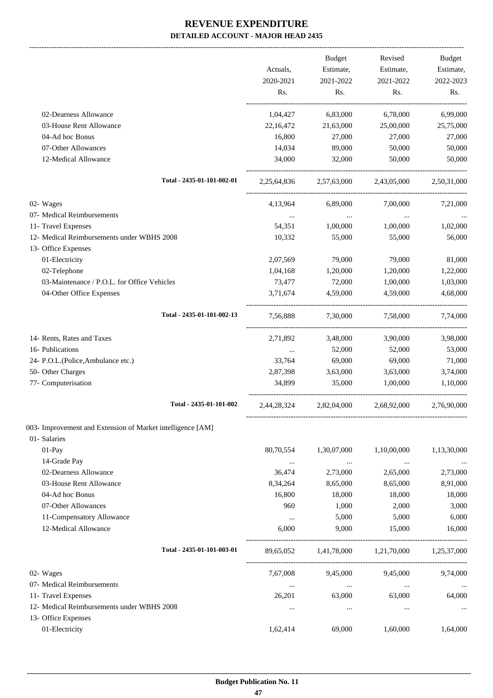-------------------------------------------------------------------------------------------------------------------------------------------------------------------------------

|                                                                   | Actuals,                                       | <b>Budget</b><br>Estimate,                      | Revised<br>Estimate,                | Budget<br>Estimate, |
|-------------------------------------------------------------------|------------------------------------------------|-------------------------------------------------|-------------------------------------|---------------------|
|                                                                   | 2020-2021<br>Rs.                               | 2021-2022<br>Rs.                                | 2021-2022<br>Rs.                    | 2022-2023<br>Rs.    |
| 02-Dearness Allowance                                             |                                                | 1,04,427 6,83,000                               | 6,78,000                            | 6,99,000            |
| 03-House Rent Allowance                                           | 22,16,472                                      | 21,63,000                                       | 25,00,000                           | 25,75,000           |
| 04-Ad hoc Bonus                                                   | 16,800                                         | 27,000                                          | 27,000                              | 27,000              |
| 07-Other Allowances                                               | 14.034                                         | 89,000                                          | 50,000                              | 50,000              |
| 12-Medical Allowance                                              | 34,000                                         | 32,000                                          | 50,000                              | 50,000              |
| Total - 2435-01-101-002-01                                        |                                                | 2,25,64,836 2,57,63,000 2,43,05,000 2,50,31,000 |                                     |                     |
| 02- Wages                                                         |                                                | 4,13,964 6,89,000                               | 7,00,000                            | 7,21,000            |
| 07- Medical Reimbursements                                        | $\sim 10^{-10}$ m $^{-1}$                      | <b>Contract Contract</b>                        | and the state of the                | $\ldots$            |
| 11- Travel Expenses                                               | 54,351                                         | 1,00,000                                        | 1,00,000                            | 1,02,000            |
| 12- Medical Reimbursements under WBHS 2008<br>13- Office Expenses | 10,332                                         | 55,000                                          | 55,000                              | 56,000              |
| 01-Electricity                                                    | 2,07,569                                       | 79,000                                          | 79,000                              | 81,000              |
| 02-Telephone                                                      | 1,04,168                                       | 1,20,000                                        | 1,20,000                            | 1,22,000            |
| 03-Maintenance / P.O.L. for Office Vehicles                       | 73,477                                         | 72,000                                          | 1,00,000                            | 1,03,000            |
| 04-Other Office Expenses                                          | 3,71,674                                       | 4,59,000                                        | 4,59,000                            | 4,68,000            |
| Total - 2435-01-101-002-13                                        |                                                | 7,56,888 7,30,000 7,58,000 7,74,000             |                                     |                     |
| 14- Rents, Rates and Taxes                                        |                                                | 2,71,892 3,48,000                               | 3,90,000                            | 3,98,000            |
| 16- Publications                                                  | $\mathbf{r}$ and $\mathbf{r}$ and $\mathbf{r}$ | 52,000                                          | 52,000                              | 53,000              |
| 24- P.O.L.(Police, Ambulance etc.)                                |                                                | 33,764 69,000                                   | 69,000                              | 71,000              |
| 50- Other Charges                                                 | 2,87,398                                       | 3,63,000                                        | 3,63,000                            | 3,74,000            |
| 77- Computerisation                                               | 34,899                                         | 35,000                                          | 1,00,000                            | 1,10,000            |
| Total - 2435-01-101-002                                           |                                                | 2,44,28,324 2,82,04,000 2,68,92,000 2,76,90,000 |                                     |                     |
| 003- Improvement and Extension of Market intelligence [AM]        |                                                |                                                 |                                     |                     |
| 01- Salaries                                                      |                                                |                                                 |                                     |                     |
| $01-Pay$                                                          | 80,70,554                                      | 1,30,07,000                                     | 1,10,00,000                         | 1,13,30,000         |
| 14-Grade Pay                                                      | $\ldots$                                       | $\cdots$                                        | $\cdots$                            | $\ldots$            |
| 02-Dearness Allowance                                             | 36,474                                         | 2,73,000                                        | 2,65,000                            | 2,73,000            |
| 03-House Rent Allowance                                           | 8,34,264                                       | 8,65,000                                        | 8,65,000                            | 8,91,000            |
| 04-Ad hoc Bonus<br>07-Other Allowances                            | 16,800<br>960                                  | 18,000                                          | 18,000                              | 18,000              |
|                                                                   |                                                | 1,000<br>5,000                                  | 2,000<br>5,000                      | 3,000<br>6,000      |
| 11-Compensatory Allowance<br>12-Medical Allowance                 | $\cdots$<br>6,000                              | 9,000                                           | 15,000                              | 16,000              |
| Total - 2435-01-101-003-01                                        | 89,65,052                                      |                                                 | 1,41,78,000 1,21,70,000 1,25,37,000 |                     |
|                                                                   | 7,67,008                                       | 9,45,000                                        | 9,45,000                            |                     |
| 02- Wages<br>07- Medical Reimbursements                           |                                                |                                                 |                                     | 9,74,000            |
| 11- Travel Expenses                                               | $\ldots$<br>26,201                             | $\sim 100$ km s $^{-1}$<br>63,000               | $\ldots$<br>63,000                  | $\cdots$<br>64,000  |
| 12- Medical Reimbursements under WBHS 2008                        |                                                |                                                 |                                     |                     |
| 13- Office Expenses                                               | $\cdots$                                       | $\cdots$                                        | $\cdots$                            | $\cdots$            |
| 01-Electricity                                                    | 1,62,414                                       | 69,000                                          | 1,60,000                            | 1,64,000            |
|                                                                   |                                                |                                                 |                                     |                     |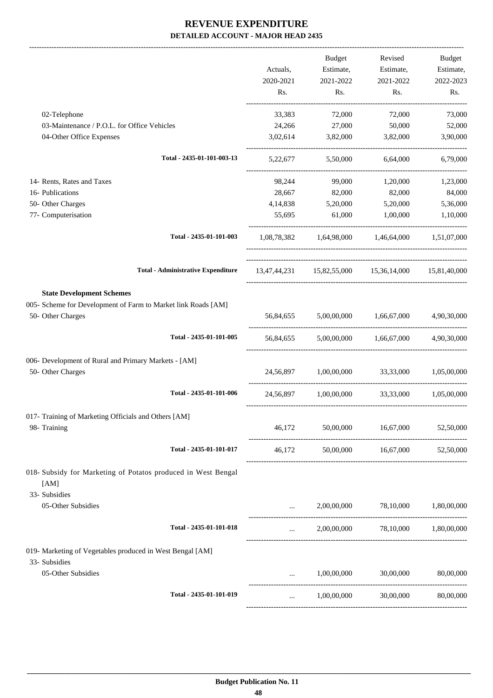-------------------------------------------------------------------------------------------------------------------------------------------------------------------------------

|                                                                                                                        | Actuals,<br>2020-2021<br>Rs.                       | <b>Budget</b><br>Estimate,<br>2021-2022<br>Rs.      | Revised<br>Estimate,<br>2021-2022<br>Rs. | Budget<br>Estimate,<br>2022-2023<br>Rs. |
|------------------------------------------------------------------------------------------------------------------------|----------------------------------------------------|-----------------------------------------------------|------------------------------------------|-----------------------------------------|
|                                                                                                                        |                                                    |                                                     |                                          |                                         |
| 02-Telephone                                                                                                           | 33,383                                             | 72,000                                              | 72,000                                   | 73,000                                  |
| 03-Maintenance / P.O.L. for Office Vehicles<br>04-Other Office Expenses                                                | 24,266<br>3,02,614                                 | 27,000<br>3,82,000                                  | 50,000<br>3,82,000                       | 52,000<br>3,90,000                      |
| Total - 2435-01-101-003-13                                                                                             | 5,22,677                                           | 5,50,000                                            | 6,64,000                                 | 6,79,000                                |
| 14- Rents, Rates and Taxes                                                                                             | 98,244                                             | 99,000                                              | 1,20,000                                 | 1,23,000                                |
| 16- Publications                                                                                                       | 28,667                                             | 82,000                                              | 82,000                                   | 84,000                                  |
| 50- Other Charges                                                                                                      | 4,14,838                                           | 5,20,000                                            | 5,20,000                                 | 5,36,000                                |
| 77- Computerisation                                                                                                    | 55,695                                             | 61,000                                              | 1,00,000                                 | 1,10,000                                |
| Total - 2435-01-101-003                                                                                                |                                                    | 1,08,78,382 1,64,98,000 1,46,64,000 1,51,07,000     |                                          |                                         |
| <b>Total - Administrative Expenditure</b>                                                                              |                                                    | 13,47,44,231 15,82,55,000 15,36,14,000 15,81,40,000 |                                          |                                         |
| <b>State Development Schemes</b><br>005- Scheme for Development of Farm to Market link Roads [AM]<br>50- Other Charges |                                                    | 56,84,655 5,00,00,000 1,66,67,000 4,90,30,000       |                                          |                                         |
| Total - 2435-01-101-005                                                                                                | 56,84,655                                          |                                                     | 5,00,00,000 1,66,67,000 4,90,30,000      |                                         |
| 006- Development of Rural and Primary Markets - [AM]<br>50- Other Charges                                              |                                                    | 24,56,897 1,00,00,000 33,33,000                     |                                          | 1,05,00,000                             |
| Total - 2435-01-101-006                                                                                                |                                                    | 24,56,897 1,00,00,000 33,33,000 1,05,00,000         |                                          |                                         |
| 017- Training of Marketing Officials and Others [AM]                                                                   |                                                    |                                                     |                                          |                                         |
| 98- Training                                                                                                           | 46,172                                             | 50,00,000                                           | 16,67,000                                | 52,50,000                               |
| Total - 2435-01-101-017                                                                                                | 46,172                                             |                                                     | 50,00,000 16,67,000                      | 52,50,000                               |
| 018- Subsidy for Marketing of Potatos produced in West Bengal<br>[AM]<br>33- Subsidies                                 |                                                    |                                                     |                                          |                                         |
| 05-Other Subsidies                                                                                                     | $\cdots$                                           |                                                     | 2,00,00,000 78,10,000                    | 1,80,00,000                             |
| Total - 2435-01-101-018                                                                                                | $\mathbf{1}$ , and $\mathbf{1}$ , and $\mathbf{1}$ |                                                     | 2,00,00,000 78,10,000 1,80,00,000        |                                         |
| 019- Marketing of Vegetables produced in West Bengal [AM]<br>33- Subsidies                                             |                                                    |                                                     |                                          |                                         |
| 05-Other Subsidies                                                                                                     | $\cdots$                                           | 1,00,00,000                                         | 30,00,000                                | 80,00,000                               |
| Total - 2435-01-101-019                                                                                                |                                                    | 1,00,00,000                                         | 30,00,000                                | 80,00,000                               |
|                                                                                                                        |                                                    |                                                     |                                          |                                         |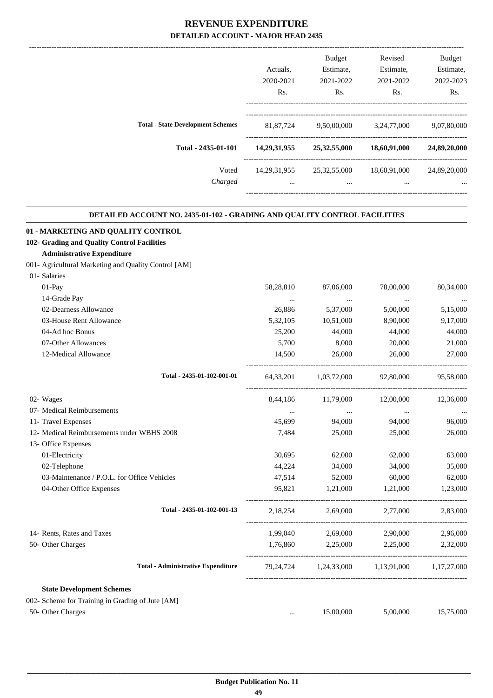|                                          | Actuals.         | <b>Budget</b><br>Estimate, | Revised<br>Estimate, | <b>Budget</b><br>Estimate, |
|------------------------------------------|------------------|----------------------------|----------------------|----------------------------|
|                                          | 2020-2021        | 2021-2022                  | 2021-2022            | 2022-2023                  |
|                                          | R <sub>s</sub> . | R <sub>s</sub> .           | Rs.                  | Rs.                        |
|                                          |                  |                            |                      |                            |
| <b>Total - State Development Schemes</b> | 81,87,724        | 9,50,00,000                | 3,24,77,000          | 9,07,80,000                |
| Total - 2435-01-101                      | 14,29,31,955     | 25, 32, 55, 000            | 18,60,91,000         | 24,89,20,000               |
| Voted                                    | 14, 29, 31, 955  | 25,32,55,000               | 18,60,91,000         | 24,89,20,000               |
| Charged                                  | $\cdots$         |                            | $\cdots$             | $\cdots$                   |
|                                          |                  |                            |                      |                            |

.

#### **DETAILED ACCOUNT NO. 2435-01-102 - GRADING AND QUALITY CONTROL FACILITIES**

| 01 - MARKETING AND QUALITY CONTROL                   |           |                            |                                               |           |
|------------------------------------------------------|-----------|----------------------------|-----------------------------------------------|-----------|
| 102- Grading and Quality Control Facilities          |           |                            |                                               |           |
| <b>Administrative Expenditure</b>                    |           |                            |                                               |           |
| 001- Agricultural Marketing and Quality Control [AM] |           |                            |                                               |           |
| 01- Salaries                                         |           |                            |                                               |           |
| $01-Pay$                                             | 58,28,810 | 87,06,000                  | 78,00,000                                     | 80,34,000 |
| 14-Grade Pay                                         | $\cdots$  | $\cdots$                   | $\ddots$                                      |           |
| 02-Dearness Allowance                                | 26,886    | 5,37,000                   | 5,00,000                                      | 5,15,000  |
| 03-House Rent Allowance                              | 5,32,105  | 10,51,000                  | 8,90,000                                      | 9,17,000  |
| 04-Ad hoc Bonus                                      | 25,200    | 44,000                     | 44,000                                        | 44,000    |
| 07-Other Allowances                                  | 5,700     | 8,000                      | 20,000                                        | 21,000    |
| 12-Medical Allowance                                 | 14.500    | 26,000                     | 26,000                                        | 27,000    |
| Total - 2435-01-102-001-01                           |           | 64,33,201 1,03,72,000      | 92,80,000                                     | 95,58,000 |
| 02- Wages                                            |           | 8,44,186 11,79,000         | 12,00,000                                     | 12,36,000 |
| 07- Medical Reimbursements                           | $\cdots$  | $\cdots$                   | $\ddots$                                      |           |
| 11- Travel Expenses                                  | 45.699    | 94,000                     | 94,000                                        | 96,000    |
| 12- Medical Reimbursements under WBHS 2008           | 7,484     | 25,000                     | 25,000                                        | 26,000    |
| 13- Office Expenses                                  |           |                            |                                               |           |
| 01-Electricity                                       | 30,695    | 62,000                     | 62,000                                        | 63,000    |
| 02-Telephone                                         | 44,224    | 34,000                     | 34,000                                        | 35,000    |
| 03-Maintenance / P.O.L. for Office Vehicles          | 47,514    | 52,000                     | 60,000                                        | 62,000    |
| 04-Other Office Expenses                             | 95,821    | 1,21,000                   | 1,21,000                                      | 1,23,000  |
| Total - 2435-01-102-001-13                           |           | 2,18,254 2,69,000 2,77,000 |                                               | 2,83,000  |
| 14- Rents, Rates and Taxes                           | 1,99,040  | 2,69,000                   | 2,90,000                                      | 2,96,000  |
| 50- Other Charges                                    | 1,76,860  | 2,25,000                   | 2,25,000                                      | 2,32,000  |
| <b>Total - Administrative Expenditure</b>            |           |                            | 79,24,724 1,24,33,000 1,13,91,000 1,17,27,000 |           |
| <b>State Development Schemes</b>                     |           |                            |                                               |           |
| 002- Scheme for Training in Grading of Jute [AM]     |           |                            |                                               |           |
| 50- Other Charges                                    | $\ddotsc$ | 15,00,000                  | 5,00,000                                      | 15,75,000 |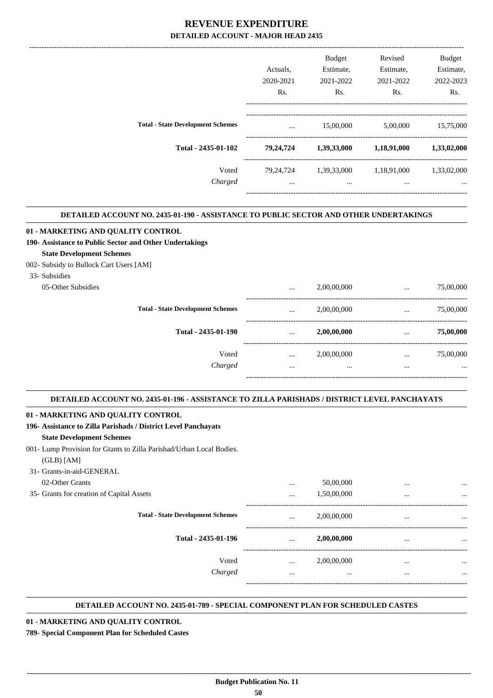|                                          | Actuals.    | <b>Budget</b><br>Estimate, | Revised<br>Estimate, | <b>Budget</b><br>Estimate, |
|------------------------------------------|-------------|----------------------------|----------------------|----------------------------|
|                                          | 2020-2021   | 2021-2022                  | 2021-2022            | 2022-2023                  |
|                                          | Rs.         | Rs.                        | Rs.                  | Rs.                        |
| <b>Total - State Development Schemes</b> | $\cdots$    | 15,00,000                  | 5,00,000             | 15,75,000                  |
| Total - 2435-01-102                      | 79,24,724   | 1,39,33,000                | 1,18,91,000          | 1,33,02,000                |
| Voted                                    | 79, 24, 724 | 1,39,33,000                | 1,18,91,000          | 1,33,02,000                |
| Charged                                  |             | $\cdots$                   |                      | $\cdots$                   |
|                                          |             |                            |                      |                            |

.

.

.

#### **DETAILED ACCOUNT NO. 2435-01-190 - ASSISTANCE TO PUBLIC SECTOR AND OTHER UNDERTAKINGS**

| 01 - MARKETING AND QUALITY CONTROL                      |          |             |          |           |
|---------------------------------------------------------|----------|-------------|----------|-----------|
| 190- Assistance to Public Sector and Other Undertakings |          |             |          |           |
| <b>State Development Schemes</b>                        |          |             |          |           |
| 002- Subsidy to Bullock Cart Users [AM]                 |          |             |          |           |
| 33- Subsidies                                           |          |             |          |           |
| 05-Other Subsidies                                      | $\cdots$ | 2,00,00,000 | $\cdots$ | 75,00,000 |
| <b>Total - State Development Schemes</b>                | $\cdots$ | 2,00,00,000 | $\cdots$ | 75,00,000 |
| Total - 2435-01-190                                     | $\cdots$ | 2,00,00,000 | $\cdots$ | 75,00,000 |
| Voted                                                   | $\cdots$ | 2,00,00,000 | $\cdots$ | 75,00,000 |
| Charged                                                 |          | $\cdots$    | $\cdots$ | $\cdots$  |
|                                                         |          |             |          |           |

#### **DETAILED ACCOUNT NO. 2435-01-196 - ASSISTANCE TO ZILLA PARISHADS / DISTRICT LEVEL PANCHAYATS .**

#### **01 - MARKETING AND QUALITY CONTROL**

| 196- Assistance to Zilla Parishads / District Level Panchayats       |          |             |          |          |
|----------------------------------------------------------------------|----------|-------------|----------|----------|
| <b>State Development Schemes</b>                                     |          |             |          |          |
| 001- Lump Provision for Gtants to Zilla Parishad/Urban Local Bodies. |          |             |          |          |
| $(GLB)$ [AM]                                                         |          |             |          |          |
| 31- Grants-in-aid-GENERAL                                            |          |             |          |          |
| 02-Other Grants                                                      | $\cdots$ | 50,00,000   | $\cdots$ | $\cdots$ |
| 35- Grants for creation of Capital Assets                            | $\cdots$ | 1,50,00,000 | $\cdots$ | $\cdots$ |
| <b>Total - State Development Schemes</b>                             | $\cdots$ | 2,00,00,000 | $\cdots$ | $\cdots$ |
| Total - 2435-01-196                                                  | $\cdots$ | 2,00,00,000 | $\cdots$ | $\cdots$ |
| Voted                                                                | $\cdots$ | 2,00,00,000 | $\cdots$ | $\cdots$ |
| Charged                                                              | $\cdots$ | $\cdots$    | $\cdots$ | $\cdots$ |
|                                                                      |          |             |          |          |

#### **DETAILED ACCOUNT NO. 2435-01-789 - SPECIAL COMPONENT PLAN FOR SCHEDULED CASTES .**

**01 - MARKETING AND QUALITY CONTROL**

**789- Special Component Plan for Scheduled Castes**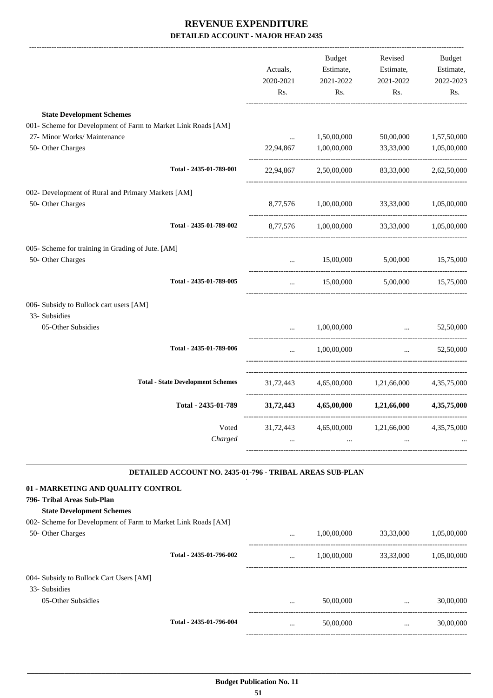|                                                                         |                                                          | Actuals,<br>2020-2021<br>Rs. | Budget<br>Estimate,<br>2021-2022<br>Rs.       | Revised<br>Estimate,<br>2021-2022<br>Rs. | Budget<br>Estimate,<br>2022-2023<br>Rs. |
|-------------------------------------------------------------------------|----------------------------------------------------------|------------------------------|-----------------------------------------------|------------------------------------------|-----------------------------------------|
| <b>State Development Schemes</b>                                        |                                                          |                              |                                               |                                          |                                         |
| 001- Scheme for Development of Farm to Market Link Roads [AM]           |                                                          |                              |                                               |                                          |                                         |
| 27- Minor Works/ Maintenance                                            |                                                          | $\cdots$                     | 1,50,00,000                                   | 50,00,000                                | 1,57,50,000                             |
| 50- Other Charges                                                       |                                                          | 22,94,867                    | 1,00,00,000                                   | 33,33,000                                | 1,05,00,000                             |
|                                                                         | Total - 2435-01-789-001                                  |                              | 22,94,867 2,50,00,000 83,33,000 2,62,50,000   |                                          |                                         |
| 002- Development of Rural and Primary Markets [AM]<br>50- Other Charges |                                                          |                              | 8,77,576 1,00,00,000 33,33,000                |                                          | 1,05,00,000                             |
|                                                                         | Total - 2435-01-789-002                                  |                              | 8,77,576 1,00,00,000 33,33,000 1,05,00,000    |                                          |                                         |
| 005- Scheme for training in Grading of Jute. [AM]                       |                                                          |                              |                                               |                                          |                                         |
| 50- Other Charges                                                       |                                                          | $\ddotsc$                    | 15,00,000 5,00,000 15,75,000                  |                                          |                                         |
|                                                                         | Total - 2435-01-789-005                                  | $\cdots$                     |                                               | 15,00,000 5,00,000 15,75,000             |                                         |
| 006- Subsidy to Bullock cart users [AM]                                 |                                                          |                              |                                               |                                          |                                         |
| 33- Subsidies<br>05-Other Subsidies                                     |                                                          | $\cdots$                     | 1,00,00,000                                   | <b>Section</b> of the state              | 52,50,000                               |
|                                                                         |                                                          |                              |                                               |                                          |                                         |
|                                                                         | Total - 2435-01-789-006                                  | $\cdots$                     | 1,00,00,000                                   |                                          | $\ldots$ 52,50,000                      |
|                                                                         | <b>Total - State Development Schemes</b>                 |                              | 31,72,443 4,65,00,000 1,21,66,000 4,35,75,000 |                                          |                                         |
|                                                                         | Total - 2435-01-789                                      | 31,72,443                    |                                               | 4,65,00,000 1,21,66,000                  | 4,35,75,000                             |
|                                                                         | Voted<br>Charged                                         | 31,72,443<br>$\cdots$        | 4,65,00,000<br>$\cdots$                       | 1,21,66,000                              | 4, 35, 75, 000                          |
|                                                                         | DETAILED ACCOUNT NO. 2435-01-796 - TRIBAL AREAS SUB-PLAN |                              |                                               |                                          |                                         |
| 01 - MARKETING AND QUALITY CONTROL                                      |                                                          |                              |                                               |                                          |                                         |
| 796- Tribal Areas Sub-Plan<br><b>State Development Schemes</b>          |                                                          |                              |                                               |                                          |                                         |
| 002- Scheme for Development of Farm to Market Link Roads [AM]           |                                                          |                              |                                               |                                          |                                         |
| 50- Other Charges                                                       |                                                          |                              | 1,00,00,000                                   | 33,33,000                                | 1,05,00,000                             |
|                                                                         | Total - 2435-01-796-002                                  | $\cdots$                     | 1,00,00,000                                   | 33,33,000                                | 1,05,00,000                             |
| 004- Subsidy to Bullock Cart Users [AM]<br>33- Subsidies                |                                                          |                              |                                               |                                          |                                         |
| 05-Other Subsidies                                                      |                                                          |                              | 50,00,000                                     | $\mathbf{r}$ and $\mathbf{r}$            | 30,00,000                               |
|                                                                         | Total - 2435-01-796-004                                  |                              | 50,00,000                                     | <b>Sales Committee</b>                   | 30,00,000                               |
|                                                                         |                                                          |                              |                                               |                                          |                                         |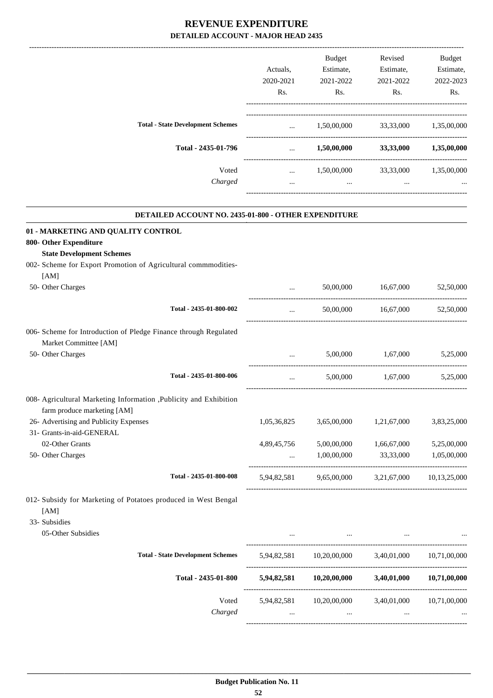|                                          |           | <b>Budget</b> | Revised   | <b>Budget</b> |
|------------------------------------------|-----------|---------------|-----------|---------------|
|                                          | Actuals.  | Estimate,     | Estimate, | Estimate,     |
|                                          | 2020-2021 | 2021-2022     | 2021-2022 | 2022-2023     |
|                                          | Rs.       | Rs.           | Rs.       | Rs.           |
| <b>Total - State Development Schemes</b> | $\cdots$  | 1,50,00,000   | 33,33,000 | 1,35,00,000   |
| Total - 2435-01-796                      | $\cdots$  | 1,50,00,000   | 33,33,000 | 1,35,00,000   |
| Voted                                    | $\cdots$  | 1,50,00,000   | 33,33,000 | 1,35,00,000   |
| Charged                                  | $\cdots$  | $\cdots$      | $\cdots$  |               |
|                                          |           |               |           |               |

.

| <b>DETAILED ACCOUNT NO. 2435-01-800 - OTHER EXPENDITURE</b>                                       |             |                                                                                                                          |             |              |
|---------------------------------------------------------------------------------------------------|-------------|--------------------------------------------------------------------------------------------------------------------------|-------------|--------------|
| 01 - MARKETING AND QUALITY CONTROL                                                                |             |                                                                                                                          |             |              |
| 800- Other Expenditure                                                                            |             |                                                                                                                          |             |              |
| <b>State Development Schemes</b>                                                                  |             |                                                                                                                          |             |              |
| 002- Scheme for Export Promotion of Agricultural commmodities-                                    |             |                                                                                                                          |             |              |
| [AM]                                                                                              |             |                                                                                                                          |             |              |
| 50- Other Charges                                                                                 | $\ddotsc$   | 50,00,000                                                                                                                | 16,67,000   | 52,50,000    |
| Total - 2435-01-800-002                                                                           | $\cdots$    | 50,00,000                                                                                                                | 16,67,000   | 52,50,000    |
| 006- Scheme for Introduction of Pledge Finance through Regulated<br>Market Committee [AM]         |             |                                                                                                                          |             |              |
| 50- Other Charges                                                                                 | $\sim$      | 5,00,000                                                                                                                 | 1,67,000    | 5,25,000     |
| Total - 2435-01-800-006                                                                           | $\ddotsc$   | 5,00,000                                                                                                                 | 1,67,000    | 5,25,000     |
| 008- Agricultural Marketing Information , Publicity and Exhibition<br>farm produce marketing [AM] |             |                                                                                                                          |             |              |
| 26- Advertising and Publicity Expenses                                                            | 1,05,36,825 | 3,65,00,000                                                                                                              | 1,21,67,000 | 3,83,25,000  |
| 31- Grants-in-aid-GENERAL                                                                         |             |                                                                                                                          |             |              |
| 02-Other Grants                                                                                   | 4,89,45,756 | 5,00,00,000                                                                                                              | 1,66,67,000 | 5,25,00,000  |
| 50- Other Charges                                                                                 | $\cdots$    | 1,00,00,000                                                                                                              | 33,33,000   | 1,05,00,000  |
| Total - 2435-01-800-008                                                                           |             | 5,94,82,581 9,65,00,000 3,21,67,000 10,13,25,000                                                                         |             |              |
| 012- Subsidy for Marketing of Potatoes produced in West Bengal<br>[AM]<br>33- Subsidies           |             |                                                                                                                          |             |              |
| 05-Other Subsidies                                                                                |             |                                                                                                                          |             |              |
| <b>Total - State Development Schemes</b>                                                          |             | $5{,}94{,}82{,}581 \qquad \  \  10{,}20{,}00{,}000 \qquad \quad \  3{,}40{,}01{,}000 \qquad \quad \  10{,}71{,}00{,}000$ |             |              |
| Total - 2435-01-800                                                                               |             | 5,94,82,581 10,20,00,000 3,40,01,000                                                                                     |             | 10,71,00,000 |
| Voted<br>Charged                                                                                  |             | 5,94,82,581 10,20,00,000                                                                                                 | 3,40,01,000 | 10,71,00,000 |
|                                                                                                   |             |                                                                                                                          |             |              |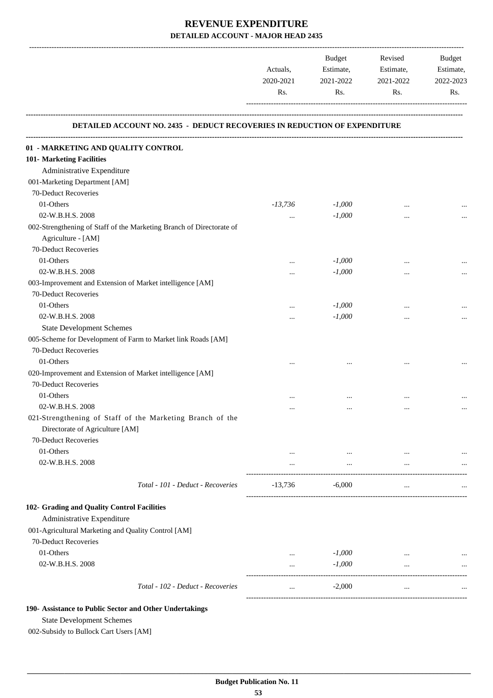|           | Budget    | Revised   | <b>Budget</b> |
|-----------|-----------|-----------|---------------|
| Actuals.  | Estimate, | Estimate, | Estimate,     |
| 2020-2021 | 2021-2022 | 2021-2022 | 2022-2023     |
| Rs.       | Rs.       | Rs        | Rs.           |
|           |           |           |               |
|           |           |           |               |

#### **DETAILED ACCOUNT NO. 2435 - DEDUCT RECOVERIES IN REDUCTION OF EXPENDITURE**

| 01 - MARKETING AND QUALITY CONTROL                      |                                                                      |           |          |           |          |
|---------------------------------------------------------|----------------------------------------------------------------------|-----------|----------|-----------|----------|
| 101- Marketing Facilities                               |                                                                      |           |          |           |          |
| Administrative Expenditure                              |                                                                      |           |          |           |          |
| 001-Marketing Department [AM]                           |                                                                      |           |          |           |          |
| 70-Deduct Recoveries                                    |                                                                      |           |          |           |          |
| 01-Others                                               |                                                                      | $-13,736$ | $-1,000$ | $\ddotsc$ |          |
| 02-W.B.H.S. 2008                                        |                                                                      | $\cdots$  | $-1,000$ |           |          |
|                                                         | 002-Strengthening of Staff of the Marketing Branch of Directorate of |           |          |           |          |
| Agriculture - [AM]                                      |                                                                      |           |          |           |          |
| 70-Deduct Recoveries                                    |                                                                      |           |          |           |          |
| 01-Others                                               |                                                                      | $\cdots$  | $-1,000$ |           |          |
| 02-W.B.H.S. 2008                                        |                                                                      | $\cdots$  | $-1,000$ |           |          |
|                                                         | 003-Improvement and Extension of Market intelligence [AM]            |           |          |           |          |
| 70-Deduct Recoveries                                    |                                                                      |           |          |           |          |
| 01-Others                                               |                                                                      | $\cdots$  | $-1,000$ | $\cdots$  |          |
| 02-W.B.H.S. 2008                                        |                                                                      | $\cdots$  | $-1,000$ |           | $\cdots$ |
| <b>State Development Schemes</b>                        |                                                                      |           |          |           |          |
|                                                         | 005-Scheme for Development of Farm to Market link Roads [AM]         |           |          |           |          |
| 70-Deduct Recoveries                                    |                                                                      |           |          |           |          |
| 01-Others                                               |                                                                      |           |          |           |          |
|                                                         | 020-Improvement and Extension of Market intelligence [AM]            |           |          |           |          |
| 70-Deduct Recoveries                                    |                                                                      |           |          |           |          |
| 01-Others                                               |                                                                      | $\cdots$  | $\cdots$ | $\cdots$  |          |
| 02-W.B.H.S. 2008                                        |                                                                      |           |          |           | $\cdots$ |
|                                                         | 021-Strengthening of Staff of the Marketing Branch of the            |           |          |           |          |
| Directorate of Agriculture [AM]                         |                                                                      |           |          |           |          |
| 70-Deduct Recoveries                                    |                                                                      |           |          |           |          |
| 01-Others                                               |                                                                      |           | $\cdots$ |           |          |
| 02-W.B.H.S. 2008                                        |                                                                      | $\cdots$  | $\cdots$ | $\cdots$  |          |
|                                                         | Total - 101 - Deduct - Recoveries                                    | $-13,736$ | $-6.000$ | $\ddotsc$ |          |
| 102- Grading and Quality Control Facilities             |                                                                      |           |          |           |          |
| Administrative Expenditure                              |                                                                      |           |          |           |          |
| 001-Agricultural Marketing and Quality Control [AM]     |                                                                      |           |          |           |          |
| 70-Deduct Recoveries                                    |                                                                      |           |          |           |          |
| 01-Others                                               |                                                                      | $\ldots$  | $-1,000$ |           |          |
| 02-W.B.H.S. 2008                                        |                                                                      | $\cdots$  | $-1,000$ | $\cdots$  |          |
|                                                         |                                                                      |           |          |           |          |
|                                                         | Total - 102 - Deduct - Recoveries                                    | $\cdots$  | $-2,000$ | $\ldots$  |          |
| 190- Assistance to Public Sector and Other Undertakings |                                                                      |           |          |           |          |

State Development Schemes

002-Subsidy to Bullock Cart Users [AM]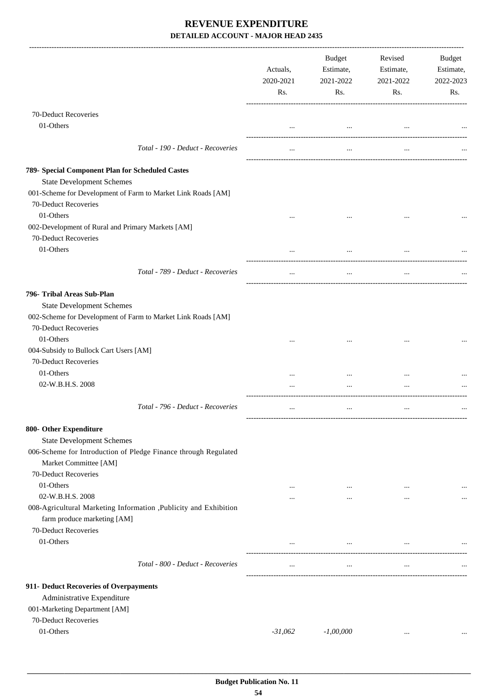|                                                                                                                                                                                | Actuals,<br>2020-2021<br>Rs. | Budget<br>Estimate,<br>2021-2022<br>Rs. | Revised<br>Estimate,<br>2021-2022<br>Rs. | <b>Budget</b><br>Estimate,<br>2022-2023<br>Rs. |
|--------------------------------------------------------------------------------------------------------------------------------------------------------------------------------|------------------------------|-----------------------------------------|------------------------------------------|------------------------------------------------|
| 70-Deduct Recoveries                                                                                                                                                           |                              |                                         |                                          |                                                |
| 01-Others                                                                                                                                                                      | $\cdots$                     | $\cdots$                                | $\cdots$                                 |                                                |
| Total - 190 - Deduct - Recoveries                                                                                                                                              | $\cdots$                     | $\cdots$                                | $\cdots$                                 |                                                |
| 789- Special Component Plan for Scheduled Castes<br><b>State Development Schemes</b><br>001-Scheme for Development of Farm to Market Link Roads [AM]                           |                              |                                         |                                          |                                                |
| 70-Deduct Recoveries<br>01-Others                                                                                                                                              |                              |                                         |                                          |                                                |
| 002-Development of Rural and Primary Markets [AM]<br>70-Deduct Recoveries<br>01-Others                                                                                         | $\cdots$                     | $\cdots$                                |                                          |                                                |
|                                                                                                                                                                                | $\cdots$                     | $\cdots$                                | $\cdots$                                 |                                                |
| Total - 789 - Deduct - Recoveries                                                                                                                                              | $\cdots$                     | $\cdots$                                | $\cdots$                                 |                                                |
| 796- Tribal Areas Sub-Plan<br><b>State Development Schemes</b><br>002-Scheme for Development of Farm to Market Link Roads [AM]<br>70-Deduct Recoveries                         |                              |                                         |                                          |                                                |
| 01-Others<br>004-Subsidy to Bullock Cart Users [AM]<br>70-Deduct Recoveries<br>01-Others                                                                                       | $\cdots$<br>                 |                                         |                                          |                                                |
| 02-W.B.H.S. 2008                                                                                                                                                               |                              |                                         |                                          |                                                |
| Total - 796 - Deduct - Recoveries                                                                                                                                              | $\cdots$                     | $\cdots$                                | $\ddotsc$                                |                                                |
| 800- Other Expenditure<br><b>State Development Schemes</b><br>006-Scheme for Introduction of Pledge Finance through Regulated<br>Market Committee [AM]<br>70-Deduct Recoveries |                              |                                         |                                          |                                                |
| 01-Others                                                                                                                                                                      | $\cdots$                     | $\cdots$                                |                                          |                                                |
| 02-W.B.H.S. 2008<br>008-Agricultural Marketing Information , Publicity and Exhibition<br>farm produce marketing [AM]<br>70-Deduct Recoveries                                   |                              | $\cdots$                                |                                          |                                                |
| 01-Others                                                                                                                                                                      | $\cdots$                     | $\cdots$                                | $\cdots$                                 |                                                |
| Total - 800 - Deduct - Recoveries                                                                                                                                              | $\cdots$                     | $\cdots$                                | $\cdots$                                 |                                                |
| 911- Deduct Recoveries of Overpayments<br>Administrative Expenditure<br>001-Marketing Department [AM]<br>70-Deduct Recoveries                                                  |                              |                                         |                                          |                                                |
| 01-Others                                                                                                                                                                      | $-31,062$                    | $-1,00,000$                             | $\cdots$                                 |                                                |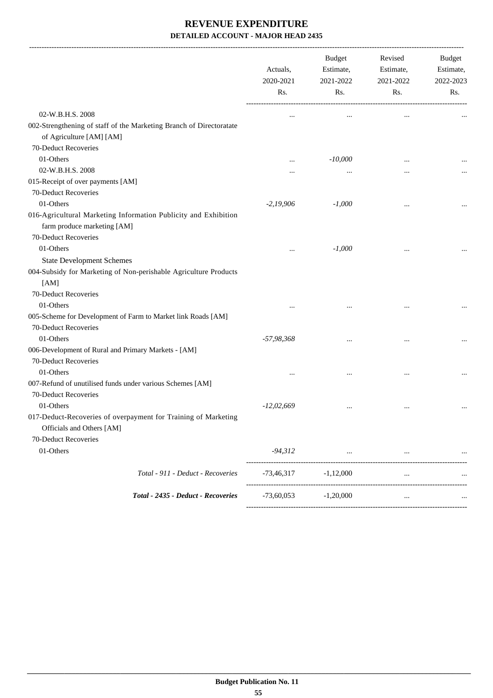|                                                                                                 | Actuals,<br>2020-2021<br>Rs. | Budget<br>Revised<br>Estimate,<br>Estimate,<br>2021-2022<br>2021-2022 |          | Budget<br>Estimate,<br>2022-2023 |
|-------------------------------------------------------------------------------------------------|------------------------------|-----------------------------------------------------------------------|----------|----------------------------------|
|                                                                                                 |                              | Rs.                                                                   | Rs.      | Rs.                              |
| 02-W.B.H.S. 2008                                                                                | $\cdots$                     |                                                                       |          |                                  |
| 002-Strengthening of staff of the Marketing Branch of Directoratate<br>of Agriculture [AM] [AM] |                              |                                                                       |          |                                  |
| 70-Deduct Recoveries                                                                            |                              |                                                                       |          |                                  |
| 01-Others                                                                                       |                              | $-10,000$                                                             |          |                                  |
| 02-W.B.H.S. 2008                                                                                |                              |                                                                       |          |                                  |
| 015-Receipt of over payments [AM]                                                               |                              |                                                                       |          |                                  |
| 70-Deduct Recoveries                                                                            |                              |                                                                       |          |                                  |
| 01-Others                                                                                       | $-2,19,906$                  | $-1,000$                                                              |          |                                  |
| 016-Agricultural Marketing Information Publicity and Exhibition<br>farm produce marketing [AM]  |                              |                                                                       |          |                                  |
| 70-Deduct Recoveries                                                                            |                              |                                                                       |          |                                  |
| 01-Others                                                                                       |                              | $-1,000$                                                              |          |                                  |
| <b>State Development Schemes</b>                                                                |                              |                                                                       |          |                                  |
| 004-Subsidy for Marketing of Non-perishable Agriculture Products                                |                              |                                                                       |          |                                  |
| [AM]                                                                                            |                              |                                                                       |          |                                  |
| 70-Deduct Recoveries                                                                            |                              |                                                                       |          |                                  |
| 01-Others                                                                                       |                              |                                                                       |          |                                  |
| 005-Scheme for Development of Farm to Market link Roads [AM]                                    |                              |                                                                       |          |                                  |
| 70-Deduct Recoveries                                                                            |                              |                                                                       |          |                                  |
| 01-Others                                                                                       | $-57,98,368$                 |                                                                       |          |                                  |
| 006-Development of Rural and Primary Markets - [AM]                                             |                              |                                                                       |          |                                  |
| 70-Deduct Recoveries                                                                            |                              |                                                                       |          |                                  |
| 01-Others                                                                                       |                              |                                                                       |          |                                  |
| 007-Refund of unutilised funds under various Schemes [AM]                                       |                              |                                                                       |          |                                  |
| 70-Deduct Recoveries                                                                            |                              |                                                                       |          |                                  |
| 01-Others                                                                                       | $-12,02,669$                 |                                                                       |          |                                  |
| 017-Deduct-Recoveries of overpayment for Training of Marketing<br>Officials and Others [AM]     |                              |                                                                       |          |                                  |
| 70-Deduct Recoveries                                                                            |                              |                                                                       |          |                                  |
| 01-Others                                                                                       | $-94,312$                    | $\cdots$                                                              | $\cdots$ |                                  |
| Total - 911 - Deduct - Recoveries                                                               | $-73,46,317$                 | $-1,12,000$                                                           |          |                                  |
| Total - 2435 - Deduct - Recoveries                                                              | ------------<br>$-73,60,053$ | $-1,20,000$                                                           | $\cdots$ |                                  |
|                                                                                                 |                              |                                                                       |          |                                  |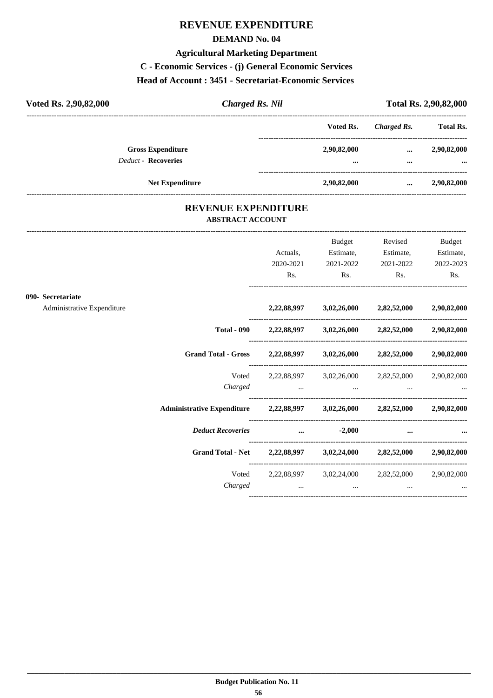# **REVENUE EXPENDITURE**

#### **DEMAND No. 04**

#### **Agricultural Marketing Department**

**C - Economic Services - (j) General Economic Services**

#### **Head of Account : 3451 - Secretariat-Economic Services**

| Voted Rs. 2,90,82,000 |                                                        | <b>Charged Rs. Nil</b> |                         |             |                         |
|-----------------------|--------------------------------------------------------|------------------------|-------------------------|-------------|-------------------------|
|                       |                                                        |                        | Voted Rs.               | Charged Rs. | <b>Total Rs.</b>        |
|                       | <b>Gross Expenditure</b><br><b>Deduct - Recoveries</b> |                        | 2,90,82,000<br>$\cdots$ | <br>        | 2,90,82,000<br>$\cdots$ |
|                       | <b>Net Expenditure</b>                                 |                        | 2,90,82,000             |             | 2,90,82,000             |

#### **REVENUE EXPENDITURE ABSTRACT ACCOUNT**

---------------------------------------------------------------------------------------------------------------------------------------------------------------------------------

|                            |                                                                            | Actuals,<br>2020-2021                                                                                                                                                                                                          | Budget<br>Estimate,<br>2021-2022                                                                    | Revised<br>Estimate,<br>2021-2022 | <b>Budget</b><br>Estimate,<br>2022-2023 |
|----------------------------|----------------------------------------------------------------------------|--------------------------------------------------------------------------------------------------------------------------------------------------------------------------------------------------------------------------------|-----------------------------------------------------------------------------------------------------|-----------------------------------|-----------------------------------------|
|                            |                                                                            | Rs.                                                                                                                                                                                                                            | $\mathbf{Rs.}$                                                                                      | $\mathbf{Rs.}$                    | Rs.                                     |
| 090- Secretariate          |                                                                            |                                                                                                                                                                                                                                |                                                                                                     |                                   |                                         |
| Administrative Expenditure |                                                                            |                                                                                                                                                                                                                                | 2,22,88,997 3,02,26,000 2,82,52,000 2,90,82,000                                                     |                                   |                                         |
|                            |                                                                            |                                                                                                                                                                                                                                | Total - 090 2,22,88,997 3,02,26,000 2,82,52,000 2,90,82,000                                         |                                   |                                         |
|                            | Grand Total - Gross 2,22,88,997 3,02,26,000 2,82,52,000 2,90,82,000        |                                                                                                                                                                                                                                |                                                                                                     |                                   |                                         |
|                            |                                                                            |                                                                                                                                                                                                                                | Voted 2,22,88,997 3,02,26,000 2,82,52,000 2,90,82,000                                               |                                   |                                         |
|                            |                                                                            |                                                                                                                                                                                                                                |                                                                                                     |                                   |                                         |
|                            | Administrative Expenditure 2,22,88,997 3,02,26,000 2,82,52,000 2,90,82,000 |                                                                                                                                                                                                                                |                                                                                                     |                                   |                                         |
|                            | Deduct Recoveries  2,000                                                   |                                                                                                                                                                                                                                |                                                                                                     | $\cdots$                          |                                         |
|                            | Grand Total - Net 2,22,88,997 3,02,24,000 2,82,52,000 2,90,82,000          |                                                                                                                                                                                                                                |                                                                                                     |                                   |                                         |
|                            |                                                                            |                                                                                                                                                                                                                                | Voted 2,22,88,997 3,02,24,000 2,82,52,000 2,90,82,000                                               |                                   |                                         |
|                            | Charged                                                                    | and the contract of the contract of the contract of the contract of the contract of the contract of the contract of the contract of the contract of the contract of the contract of the contract of the contract of the contra | the contract of the contract of the contract of the contract of the contract of the contract of the |                                   |                                         |
|                            |                                                                            |                                                                                                                                                                                                                                |                                                                                                     |                                   |                                         |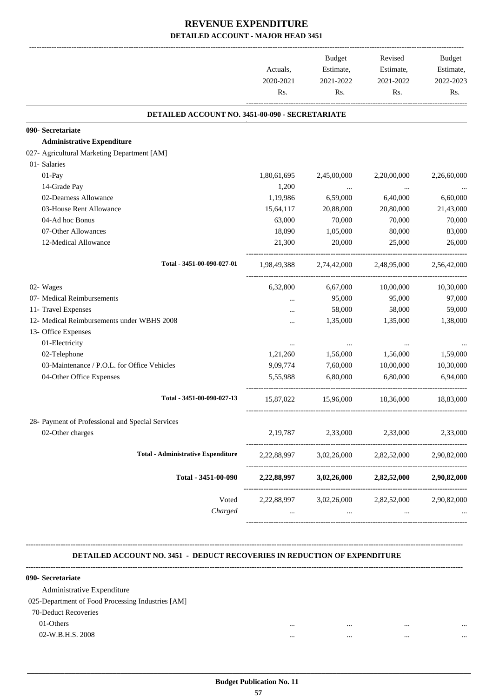|                                                  |             | <b>Budget</b> | Revised                 | Budget      |
|--------------------------------------------------|-------------|---------------|-------------------------|-------------|
|                                                  | Actuals,    | Estimate,     | Estimate,               | Estimate,   |
|                                                  | 2020-2021   | 2021-2022     | 2021-2022               | 2022-2023   |
|                                                  | Rs.         | Rs.           | Rs.                     | Rs.         |
| DETAILED ACCOUNT NO. 3451-00-090 - SECRETARIATE  |             |               |                         |             |
| 090- Secretariate                                |             |               |                         |             |
| <b>Administrative Expenditure</b>                |             |               |                         |             |
| 027- Agricultural Marketing Department [AM]      |             |               |                         |             |
| 01- Salaries                                     |             |               |                         |             |
| 01-Pay                                           | 1,80,61,695 | 2,45,00,000   | 2,20,00,000             | 2,26,60,000 |
| 14-Grade Pay                                     | 1,200       | $\cdots$      | $\ldots$                |             |
| 02-Dearness Allowance                            | 1,19,986    | 6,59,000      | 6,40,000                | 6,60,000    |
| 03-House Rent Allowance                          | 15,64,117   | 20,88,000     | 20,80,000               | 21,43,000   |
| 04-Ad hoc Bonus                                  | 63,000      | 70,000        | 70,000                  | 70,000      |
| 07-Other Allowances                              | 18,090      | 1,05,000      | 80,000                  | 83,000      |
| 12-Medical Allowance                             | 21,300      | 20,000        | 25,000                  | 26,000      |
| Total - 3451-00-090-027-01                       | 1,98,49,388 |               | 2,74,42,000 2,48,95,000 | 2,56,42,000 |
| 02- Wages                                        | 6,32,800    | 6,67,000      | 10,00,000               | 10,30,000   |
| 07- Medical Reimbursements                       |             | 95,000        | 95,000                  | 97,000      |
| 11- Travel Expenses                              |             | 58,000        | 58,000                  | 59,000      |
| 12- Medical Reimbursements under WBHS 2008       |             | 1,35,000      | 1,35,000                | 1,38,000    |
| 13- Office Expenses                              |             |               |                         |             |
| 01-Electricity                                   |             | $\cdots$      | $\cdots$                |             |
| 02-Telephone                                     | 1,21,260    | 1,56,000      | 1,56,000                | 1,59,000    |
| 03-Maintenance / P.O.L. for Office Vehicles      | 9,09,774    | 7,60,000      | 10,00,000               | 10,30,000   |
| 04-Other Office Expenses                         | 5,55,988    | 6,80,000      | 6.80,000                | 6,94,000    |
| Total - 3451-00-090-027-13                       | 15,87,022   | 15,96,000     | 18,36,000               | 18,83,000   |
| 28- Payment of Professional and Special Services |             |               |                         |             |
| 02-Other charges                                 | 2,19,787    | 2,33,000      | 2,33,000                | 2,33,000    |
| <b>Total - Administrative Expenditure</b>        | 2,22,88,997 | 3,02,26,000   | 2,82,52,000             | 2,90,82,000 |
| Total - 3451-00-090                              | 2,22,88,997 | 3,02,26,000   | 2,82,52,000             | 2,90,82,000 |
| Voted                                            | 2,22,88,997 | 3,02,26,000   | 2,82,52,000             | 2,90,82,000 |
| Charged                                          |             |               |                         |             |

#### **DETAILED ACCOUNT NO. 3451 - DEDUCT RECOVERIES IN REDUCTION OF EXPENDITURE**

**--------------------------------------------------------------------------------------------------------------------------------------------------------------------------------**

| $\cdots$ | <br> | $\cdots$ |
|----------|------|----------|
|          | <br> | $\cdots$ |
|          |      |          |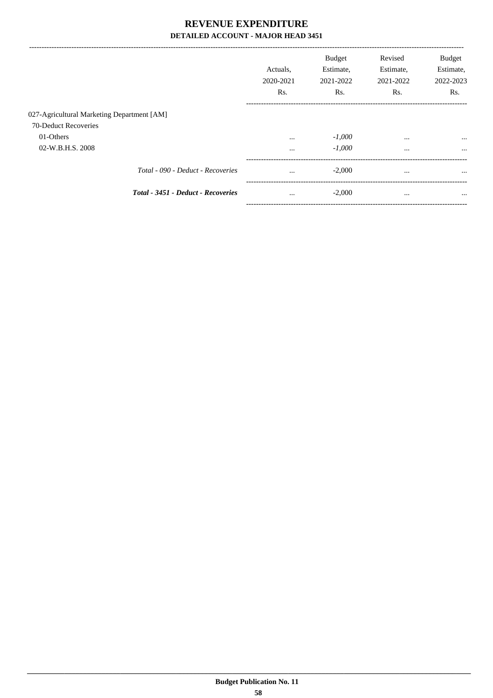|                                            | Actuals.<br>2020-2021<br>Rs. | <b>Budget</b><br>Estimate,<br>2021-2022<br>Rs. | Revised<br>Estimate,<br>2021-2022<br>Rs. | <b>Budget</b><br>Estimate,<br>2022-2023<br>Rs. |
|--------------------------------------------|------------------------------|------------------------------------------------|------------------------------------------|------------------------------------------------|
| 027-Agricultural Marketing Department [AM] |                              |                                                |                                          |                                                |
| 70-Deduct Recoveries                       |                              |                                                |                                          |                                                |
| 01-Others                                  | $\cdots$                     | $-1,000$                                       | $\cdots$                                 | $\cdots$                                       |
| 02-W.B.H.S. 2008                           | $\cdots$                     | $-1,000$                                       | $\cdots$                                 | $\cdots$                                       |
| Total - 090 - Deduct - Recoveries          | $\cdots$                     | $-2,000$                                       | $\cdots$                                 | $\cdots$                                       |
| Total - 3451 - Deduct - Recoveries         | $\cdots$<br>---------------  | $-2,000$                                       | $\cdots$                                 | $\cdots$                                       |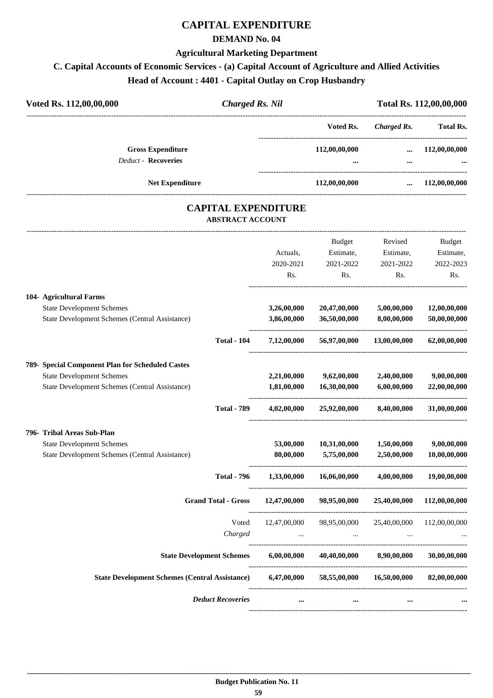# **CAPITAL EXPENDITURE**

#### **DEMAND No. 04**

#### **Agricultural Marketing Department**

#### **C. Capital Accounts of Economic Services - (a) Capital Account of Agriculture and Allied Activities**

**Head of Account : 4401 - Capital Outlay on Crop Husbandry**

| Voted Rs. 112,00,00,000<br><b>Charged Rs. Nil</b>      |  |                           | Total Rs. 112,00,00,000 |                           |  |
|--------------------------------------------------------|--|---------------------------|-------------------------|---------------------------|--|
|                                                        |  | Voted Rs.                 | Charged Rs.             | <b>Total Rs.</b>          |  |
| <b>Gross Expenditure</b><br><b>Deduct - Recoveries</b> |  | 112,00,00,000<br>$\cdots$ | $\ddotsc$<br>$\cdots$   | 112,00,00,000<br>$\cdots$ |  |
| <b>Net Expenditure</b>                                 |  | 112,00,00,000             | $\cdots$                | 112,00,00,000             |  |

#### **CAPITAL EXPENDITURE ABSTRACT ACCOUNT**

---------------------------------------------------------------------------------------------------------------------------------------------------------------------------------

|                                                                                           |                    | Actuals,                   | <b>Budget</b><br>Estimate,   | Revised<br>Estimate,       | <b>Budget</b><br>Estimate,   |
|-------------------------------------------------------------------------------------------|--------------------|----------------------------|------------------------------|----------------------------|------------------------------|
|                                                                                           |                    | 2020-2021<br>Rs.           | 2021-2022<br>Rs.             | 2021-2022<br>Rs.           | 2022-2023<br>Rs.             |
| 104- Agricultural Farms                                                                   |                    |                            |                              |                            |                              |
| <b>State Development Schemes</b><br><b>State Development Schemes (Central Assistance)</b> |                    | 3,26,00,000<br>3,86,00,000 | 20,47,00,000<br>36,50,00,000 | 5,00,00,000<br>8,00,00,000 | 12,00,00,000<br>50,00,00,000 |
|                                                                                           | <b>Total - 104</b> | 7,12,00,000                | 56,97,00,000                 | 13,00,00,000               | 62,00,00,000                 |
| 789- Special Component Plan for Scheduled Castes                                          |                    |                            |                              |                            |                              |
| <b>State Development Schemes</b>                                                          |                    | 2,21,00,000                | 9,62,00,000                  | 2,40,00,000                | 9,00,00,000                  |
| State Development Schemes (Central Assistance)                                            |                    | 1,81,00,000                | 16,30,00,000                 | 6,00,00,000                | 22,00,00,000                 |
|                                                                                           | <b>Total - 789</b> | 4,02,00,000                | 25,92,00,000                 | 8,40,00,000                | 31,00,00,000                 |
| 796- Tribal Areas Sub-Plan                                                                |                    |                            |                              |                            |                              |
| <b>State Development Schemes</b>                                                          |                    | 53,00,000                  | 10,31,00,000                 | 1,50,00,000                | 9,00,00,000                  |
| <b>State Development Schemes (Central Assistance)</b>                                     |                    | 80,00,000                  | 5,75,00,000                  | 2,50,00,000                | 10,00,00,000                 |
|                                                                                           | <b>Total - 796</b> | 1,33,00,000                | 16,06,00,000                 | 4,00,00,000                | 19,00,00,000                 |
| <b>Grand Total - Gross</b>                                                                |                    | 12,47,00,000               | 98,95,00,000                 | 25,40,00,000               | 112,00,00,000                |
|                                                                                           | Voted              | 12,47,00,000               | 98,95,00,000                 |                            | 25,40,00,000 112,00,00,000   |
|                                                                                           | Charged            |                            |                              |                            |                              |
| <b>State Development Schemes</b>                                                          |                    | 6,00,00,000                | 40,40,00,000                 | 8,90,00,000                | 30,00,00,000                 |
| <b>State Development Schemes (Central Assistance)</b>                                     |                    | 6,47,00,000                |                              | 58,55,00,000 16,50,00,000  | 82,00,00,000                 |
| <b>Deduct Recoveries</b>                                                                  |                    | $\cdots$                   |                              | $\cdots$                   |                              |
|                                                                                           |                    |                            |                              |                            |                              |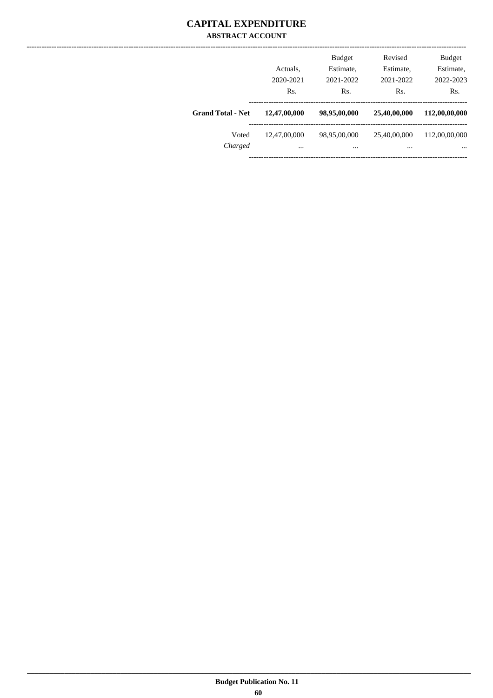#### **CAPITAL EXPENDITURE ABSTRACT ACCOUNT**

|                          | Actuals.<br>2020-2021<br>Rs. | Revised<br><b>Budget</b><br>Estimate,<br>Estimate,<br>2021-2022<br>2021-2022<br>Rs.<br>Rs. |                          | <b>Budget</b><br>Estimate,<br>2022-2023<br>Rs. |
|--------------------------|------------------------------|--------------------------------------------------------------------------------------------|--------------------------|------------------------------------------------|
| <b>Grand Total - Net</b> | 12,47,00,000                 | 98,95,00,000                                                                               | 25,40,00,000             | 112,00,00,000                                  |
| Voted<br>Charged         | 12,47,00,000<br>$\cdots$     | 98,95,00,000<br>$\cdots$                                                                   | 25,40,00,000<br>$\cdots$ | 112,00,00,000<br>$\cdots$                      |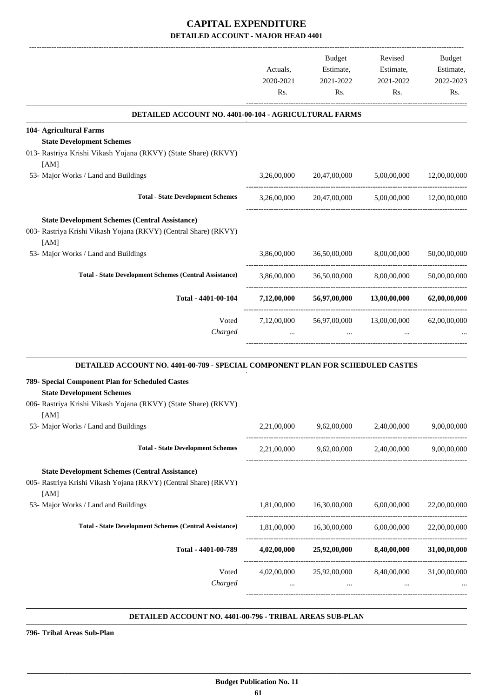|                                                                                                                                                        |                       | Budget<br>Estimate,                                            | Revised<br>Estimate,                  | Budget<br>Estimate, |
|--------------------------------------------------------------------------------------------------------------------------------------------------------|-----------------------|----------------------------------------------------------------|---------------------------------------|---------------------|
|                                                                                                                                                        | Actuals,<br>2020-2021 | 2021-2022                                                      | 2021-2022                             | 2022-2023           |
|                                                                                                                                                        | Rs.                   | Rs.                                                            | Rs.                                   | Rs.                 |
| DETAILED ACCOUNT NO. 4401-00-104 - AGRICULTURAL FARMS                                                                                                  |                       |                                                                |                                       |                     |
| 104- Agricultural Farms                                                                                                                                |                       |                                                                |                                       |                     |
| <b>State Development Schemes</b><br>013- Rastriya Krishi Vikash Yojana (RKVY) (State Share) (RKVY)<br>[AM]                                             |                       |                                                                |                                       |                     |
| 53- Major Works / Land and Buildings                                                                                                                   | 3,26,00,000           |                                                                | 20,47,00,000 5,00,00,000 12,00,00,000 |                     |
| <b>Total - State Development Schemes</b>                                                                                                               | 3,26,00,000           | 20,47,00,000                                                   | 5,00,00,000                           | 12,00,00,000        |
| <b>State Development Schemes (Central Assistance)</b><br>003- Rastriya Krishi Vikash Yojana (RKVY) (Central Share) (RKVY)<br>[AM]                      |                       |                                                                |                                       |                     |
| 53- Major Works / Land and Buildings                                                                                                                   | 3,86,00,000           | 36,50,00,000                                                   | 8,00,00,000                           | 50,00,00,000        |
| <b>Total - State Development Schemes (Central Assistance)</b>                                                                                          | 3,86,00,000           | 36,50,00,000                                                   | 8,00,00,000                           | 50,00,00,000        |
| Total - 4401-00-104                                                                                                                                    | 7,12,00,000           | 56,97,00,000                                                   | 13,00,00,000                          | 62,00,00,000        |
| Voted                                                                                                                                                  | 7,12,00,000           | 56,97,00,000                                                   | 13,00,00,000                          | 62,00,00,000        |
| Charged                                                                                                                                                |                       |                                                                |                                       |                     |
| DETAILED ACCOUNT NO. 4401-00-789 - SPECIAL COMPONENT PLAN FOR SCHEDULED CASTES                                                                         |                       |                                                                |                                       |                     |
| 789- Special Component Plan for Scheduled Castes<br><b>State Development Schemes</b><br>006- Rastriya Krishi Vikash Yojana (RKVY) (State Share) (RKVY) |                       |                                                                |                                       |                     |
| [AM]<br>53- Major Works / Land and Buildings                                                                                                           | 2,21,00,000           | 9,62,00,000                                                    | 2,40,00,000                           | 9,00,00,000         |
| <b>Total - State Development Schemes</b>                                                                                                               |                       | 2,21,00,000 9,62,00,000 2,40,00,000 9,00,00,000                |                                       |                     |
| <b>State Development Schemes (Central Assistance)</b><br>005- Rastriya Krishi Vikash Yojana (RKVY) (Central Share) (RKVY)<br>[AM]                      |                       |                                                                |                                       |                     |
| 53- Major Works / Land and Buildings                                                                                                                   | 1,81,00,000           | 16,30,00,000                                                   | 6,00,00,000                           | 22,00,00,000        |
| <b>Total - State Development Schemes (Central Assistance)</b>                                                                                          |                       | 1,81,00,000  16,30,00,000  6,00,00,000                         |                                       | 22,00,00,000        |
| Total - 4401-00-789                                                                                                                                    | 4,02,00,000           |                                                                | 25,92,00,000 8,40,00,000              | 31,00,00,000        |
| Voted<br>Charged                                                                                                                                       |                       | 4,02,00,000 25,92,00,000 8,40,00,000 31,00,00,000<br>$\ddotsc$ |                                       |                     |
|                                                                                                                                                        |                       |                                                                |                                       |                     |

#### **DETAILED ACCOUNT NO. 4401-00-796 - TRIBAL AREAS SUB-PLAN .**

**796- Tribal Areas Sub-Plan**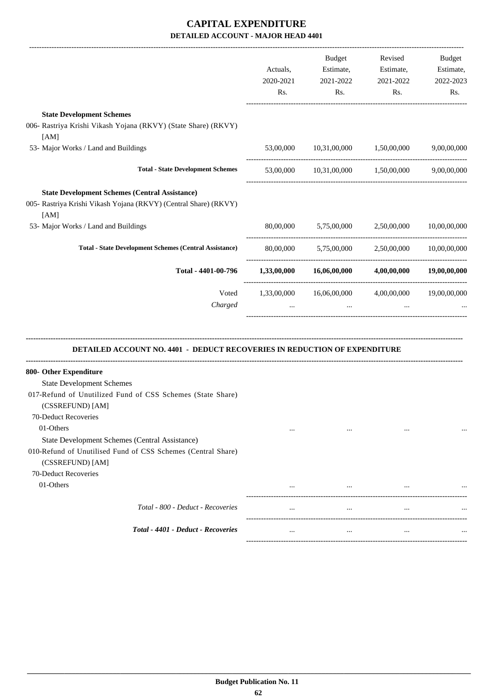|                                                                                                                                                                         | Actuals,<br>2020-2021<br>Rs. | Budget<br>Estimate,<br>2021-2022<br>Rs.                | Revised<br>Estimate,<br>2021-2022<br>Rs. | Budget<br>Estimate,<br>2022-2023<br>Rs. |
|-------------------------------------------------------------------------------------------------------------------------------------------------------------------------|------------------------------|--------------------------------------------------------|------------------------------------------|-----------------------------------------|
| <b>State Development Schemes</b><br>006- Rastriya Krishi Vikash Yojana (RKVY) (State Share) (RKVY)<br>[AM]                                                              |                              |                                                        |                                          |                                         |
| 53- Major Works / Land and Buildings                                                                                                                                    | 53,00,000                    | 10,31,00,000 1,50,00,000                               |                                          | 9,00,00,000                             |
| <b>Total - State Development Schemes</b>                                                                                                                                |                              | $53,00,000$ $10,31,00,000$ $1,50,00,000$ $9,00,00,000$ |                                          |                                         |
| <b>State Development Schemes (Central Assistance)</b><br>005- Rastriya Krishi Vikash Yojana (RKVY) (Central Share) (RKVY)<br>[AM]                                       |                              |                                                        |                                          |                                         |
| 53- Major Works / Land and Buildings                                                                                                                                    |                              | 80,00,000 5,75,00,000                                  | 2,50,00,000                              | 10,00,00,000                            |
| <b>Total - State Development Schemes (Central Assistance)</b>                                                                                                           |                              | 80,00,000 5,75,00,000 2,50,00,000                      |                                          | 10,00,00,000                            |
| Total - 4401-00-796                                                                                                                                                     |                              | $1,33,00,000$ $16,06,00,000$ $4,00,00,000$             |                                          | 19,00,00,000                            |
| Voted<br>Charged                                                                                                                                                        | 1,33,00,000                  | 16,06,00,000                                           | 4,00,00,000                              | 19,00,00,000                            |
| <b>DETAILED ACCOUNT NO. 4401 - DEDUCT RECOVERIES IN REDUCTION OF EXPENDITURE</b>                                                                                        |                              |                                                        |                                          |                                         |
| 800- Other Expenditure<br><b>State Development Schemes</b><br>017-Refund of Unutilized Fund of CSS Schemes (State Share)<br>(CSSREFUND) [AM]<br>70-Deduct Recoveries    |                              |                                                        |                                          |                                         |
| 01-Others<br>State Development Schemes (Central Assistance)<br>010-Refund of Unutilised Fund of CSS Schemes (Central Share)<br>(CSSREFUND) [AM]<br>70-Deduct Recoveries | $\cdots$                     |                                                        | $\cdots$                                 |                                         |
| 01-Others                                                                                                                                                               |                              | $\cdots$                                               |                                          |                                         |
| Total - 800 - Deduct - Recoveries                                                                                                                                       | $\cdots$                     | $\ldots$                                               | $\ldots$                                 |                                         |
| Total - 4401 - Deduct - Recoveries                                                                                                                                      | $\cdots$                     | $\cdots$                                               | $\cdots$                                 |                                         |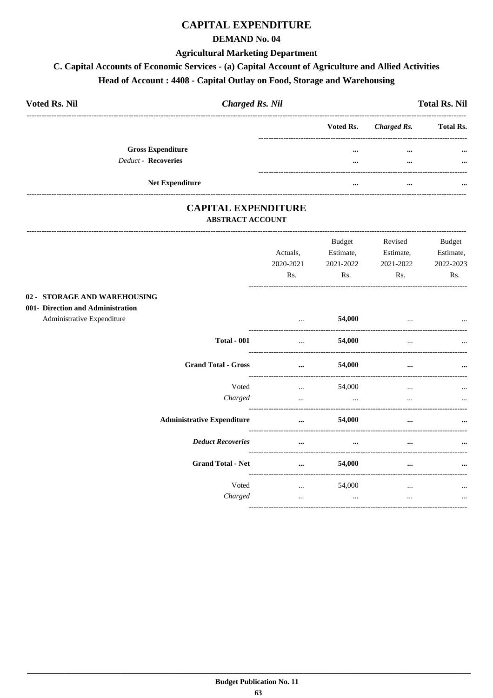# **CAPITAL EXPENDITURE**

#### **DEMAND No. 04**

#### **Agricultural Marketing Department**

#### C. Capital Accounts of Economic Services - (a) Capital Account of Agriculture and Allied Activities

# Head of Account: 4408 - Capital Outlay on Food, Storage and Warehousing

| <b>Voted Rs. Nil</b> |                            | <b>Charged Rs. Nil</b> |           |             | <b>Total Rs. Nil</b> |
|----------------------|----------------------------|------------------------|-----------|-------------|----------------------|
|                      |                            |                        | Voted Rs. | Charged Rs. | <b>Total Rs.</b>     |
|                      | <b>Gross Expenditure</b>   |                        | $\cdots$  | $\cdots$    | $\cdots$             |
|                      | <b>Deduct - Recoveries</b> |                        | $\cdots$  | $\cdots$    | $\cdots$             |
|                      |                            |                        |           |             |                      |
|                      | <b>Net Expenditure</b>     |                        | $\cdots$  | $\cdots$    | $\cdots$             |

#### **CAPITAL EXPENDITURE ABSTRACT ACCOUNT**

|                                                                                                 | Actuals.<br>2020-2021<br>Rs. | <b>Budget</b><br>Estimate,<br>2021-2022<br>Rs.   | Revised<br>Estimate,<br>2021-2022<br>Rs. | <b>Budget</b><br>Estimate,<br>2022-2023<br>Rs. |
|-------------------------------------------------------------------------------------------------|------------------------------|--------------------------------------------------|------------------------------------------|------------------------------------------------|
| 02 - STORAGE AND WAREHOUSING<br>001- Direction and Administration<br>Administrative Expenditure | $\cdots$                     | 54,000                                           |                                          |                                                |
| <b>Total - 001</b>                                                                              | $\cdots$                     | 54,000                                           |                                          |                                                |
| <b>Grand Total - Gross</b>                                                                      | $\cdots$                     | 54,000                                           | $\cdots$                                 | $\cdots$                                       |
| Voted<br>Charged                                                                                | $\cdots$<br>$\cdots$         | 54,000<br>$\cdots$                               | $\cdots$<br>$\cdots$                     | $\cdots$                                       |
| <b>Administrative Expenditure</b>                                                               | $\cdots$                     | --------------------------------------<br>54,000 | $\cdots$                                 | $\ddotsc$                                      |
| <b>Deduct Recoveries</b>                                                                        | $\cdots$                     | $\cdots$                                         | $\cdots$                                 | $\cdots$                                       |
| <b>Grand Total - Net</b>                                                                        | $\cdots$                     | 54,000                                           | $\cdots$                                 | $\cdots$                                       |
| Voted<br>Charged                                                                                | $\cdots$<br>$\cdots$         | 54,000<br>$\cdots$                               | $\cdots$<br>$\cdots$                     | $\cdots$<br>$\cdots$                           |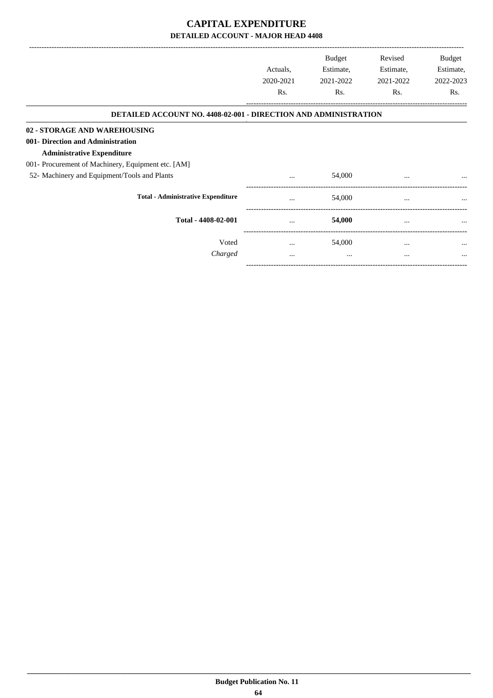|                                                                 | Actuals,  | <b>Budget</b><br>Estimate, | Revised<br>Estimate, | Budget<br>Estimate, |
|-----------------------------------------------------------------|-----------|----------------------------|----------------------|---------------------|
|                                                                 | 2020-2021 | 2021-2022                  | 2021-2022            | 2022-2023           |
|                                                                 | Rs.       | Rs.                        | Rs.                  | Rs.                 |
| DETAILED ACCOUNT NO. 4408-02-001 - DIRECTION AND ADMINISTRATION |           |                            |                      |                     |
| 02 - STORAGE AND WAREHOUSING                                    |           |                            |                      |                     |
| 001- Direction and Administration                               |           |                            |                      |                     |
| <b>Administrative Expenditure</b>                               |           |                            |                      |                     |
| 001- Procurement of Machinery, Equipment etc. [AM]              |           |                            |                      |                     |
| 52- Machinery and Equipment/Tools and Plants                    | $\cdots$  | 54,000                     | $\cdots$             |                     |
| <b>Total - Administrative Expenditure</b>                       |           | 54,000                     | $\cdots$             | $\cdots$            |
| Total - 4408-02-001                                             |           | 54,000                     | $\cdots$             |                     |
| Voted                                                           | $\cdots$  | 54,000                     | $\cdots$             | $\cdots$            |
| Charged                                                         | $\cdots$  | $\cdots$                   |                      |                     |
|                                                                 |           |                            |                      |                     |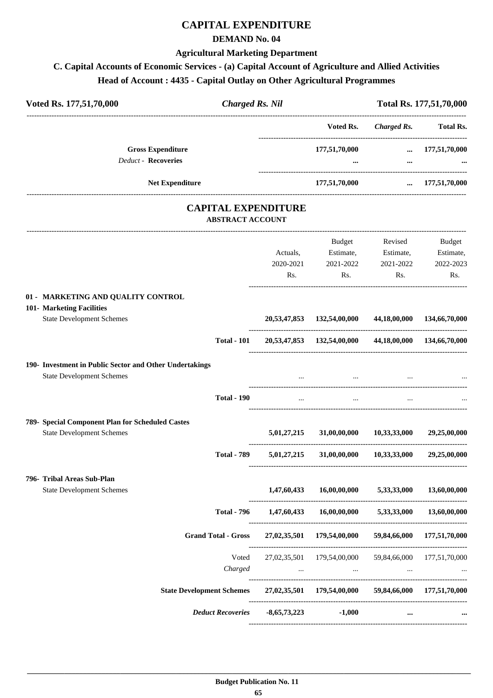# **CAPITAL EXPENDITURE**

#### **DEMAND No. 04**

#### **Agricultural Marketing Department**

# **C. Capital Accounts of Economic Services - (a) Capital Account of Agriculture and Allied Activities Head of Account : 4435 - Capital Outlay on Other Agricultural Programmes**

| Voted Rs. 177,51,70,000                                       |         | <b>Charged Rs. Nil</b>     |                                                       |              | Total Rs. 177,51,70,000    |
|---------------------------------------------------------------|---------|----------------------------|-------------------------------------------------------|--------------|----------------------------|
|                                                               |         |                            | Voted Rs.                                             | Charged Rs.  | Total Rs.                  |
| <b>Gross Expenditure</b>                                      |         |                            | 177,51,70,000                                         |              | $\ldots$ 177,51,70,000     |
| <b>Deduct - Recoveries</b>                                    |         |                            |                                                       | $\cdots$     |                            |
| <b>Net Expenditure</b>                                        |         |                            | 177,51,70,000                                         |              | $\dots$ 177,51,70,000      |
|                                                               |         | <b>CAPITAL EXPENDITURE</b> |                                                       |              |                            |
|                                                               |         | <b>ABSTRACT ACCOUNT</b>    |                                                       |              |                            |
|                                                               |         |                            | Budget                                                | Revised      | Budget                     |
|                                                               |         | Actuals,                   | Estimate,                                             | Estimate,    | Estimate,                  |
|                                                               |         | 2020-2021                  | 2021-2022                                             | 2021-2022    | 2022-2023                  |
|                                                               |         | $\mathbf{Rs.}$             | Rs.                                                   | Rs.          | Rs.                        |
| 01 - MARKETING AND QUALITY CONTROL                            |         |                            |                                                       |              |                            |
| 101- Marketing Facilities<br><b>State Development Schemes</b> |         |                            | 20,53,47,853 132,54,00,000 44,18,00,000 134,66,70,000 |              |                            |
| <b>Total - 101</b>                                            |         |                            | 20,53,47,853 132,54,00,000                            |              | 44,18,00,000 134,66,70,000 |
|                                                               |         |                            |                                                       |              |                            |
| 190- Investment in Public Sector and Other Undertakings       |         |                            |                                                       |              |                            |
| <b>State Development Schemes</b>                              |         |                            |                                                       |              |                            |
| <b>Total - 190</b>                                            |         | $\cdots$                   | $\cdots$                                              | $\cdots$     |                            |
| 789- Special Component Plan for Scheduled Castes              |         |                            |                                                       |              |                            |
| <b>State Development Schemes</b>                              |         | 5,01,27,215                | 31,00,00,000                                          | 10,33,33,000 | 29,25,00,000               |
| <b>Total - 789</b>                                            |         | 5,01,27,215                | 31,00,00,000                                          | 10,33,33,000 | 29,25,00,000               |
| 796- Tribal Areas Sub-Plan                                    |         |                            |                                                       |              |                            |
| <b>State Development Schemes</b>                              |         | 1,47,60,433                | 16,00,00,000                                          | 5,33,33,000  | 13,60,00,000               |
| <b>Total - 796</b>                                            |         | 1,47,60,433                | 16,00,00,000                                          | 5,33,33,000  | 13,60,00,000               |
| <b>Grand Total - Gross</b>                                    |         | 27,02,35,501               | 179,54,00,000                                         | 59,84,66,000 | 177,51,70,000              |
|                                                               | Voted   |                            | 27,02,35,501 179,54,00,000 59,84,66,000 177,51,70,000 |              |                            |
|                                                               | Charged |                            | and the state of the state of the                     | $\cdots$     |                            |
| <b>State Development Schemes</b>                              |         |                            | 27,02,35,501 179,54,00,000 59,84,66,000 177,51,70,000 |              |                            |
| <b>Deduct Recoveries</b>                                      |         | $-8,65,73,223$             | $-1,000$                                              | $\cdots$     |                            |
|                                                               |         |                            |                                                       |              |                            |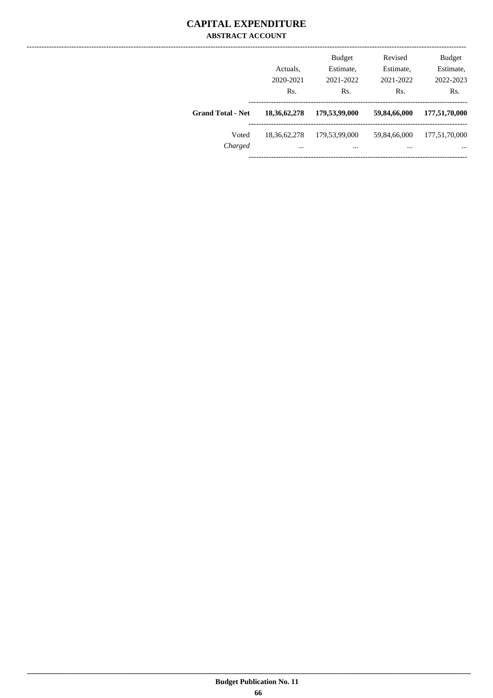#### **CAPITAL EXPENDITURE ABSTRACT ACCOUNT**

|                          | <b>Budget</b><br>Estimate,<br>Actuals,<br>2021-2022<br>2020-2021<br>Rs.<br>Rs. |                   | Revised<br>Estimate,<br>2021-2022<br>Rs. | <b>Budget</b><br>Estimate,<br>2022-2023<br>Rs. |  |
|--------------------------|--------------------------------------------------------------------------------|-------------------|------------------------------------------|------------------------------------------------|--|
| <b>Grand Total - Net</b> | 18, 36, 62, 278                                                                | 179,53,99,000     | 59,84,66,000                             | 177,51,70,000                                  |  |
| Voted<br>Charged         | 18, 36, 62, 278<br>$\cdots$                                                    | 179,53,99,000<br> | 59,84,66,000<br>                         | 177,51,70,000<br>$\cdots$                      |  |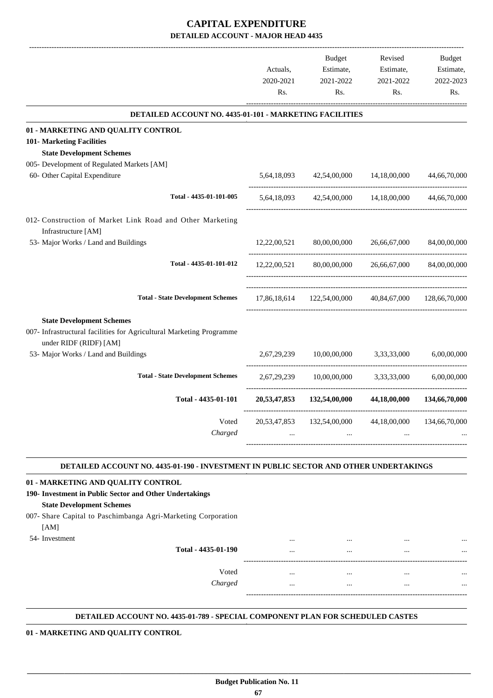|                                                                                                                                   | Actuals,<br>2020-2021<br>Rs. | Budget<br>Estimate,<br>2021-2022<br>Rs.                  | Revised<br>Estimate,<br>2021-2022<br>Rs. | Budget<br>Estimate,<br>2022-2023<br>Rs. |
|-----------------------------------------------------------------------------------------------------------------------------------|------------------------------|----------------------------------------------------------|------------------------------------------|-----------------------------------------|
| DETAILED ACCOUNT NO. 4435-01-101 - MARKETING FACILITIES                                                                           |                              |                                                          |                                          |                                         |
| 01 - MARKETING AND QUALITY CONTROL                                                                                                |                              |                                                          |                                          |                                         |
| 101- Marketing Facilities                                                                                                         |                              |                                                          |                                          |                                         |
| <b>State Development Schemes</b>                                                                                                  |                              |                                                          |                                          |                                         |
| 005- Development of Regulated Markets [AM]                                                                                        |                              |                                                          |                                          |                                         |
| 60- Other Capital Expenditure                                                                                                     |                              | 5,64,18,093 42,54,00,000 14,18,00,000 44,66,70,000       |                                          |                                         |
| Total - 4435-01-101-005                                                                                                           |                              | 5,64,18,093 42,54,00,000 14,18,00,000 44,66,70,000       |                                          |                                         |
| 012- Construction of Market Link Road and Other Marketing<br>Infrastructure [AM]                                                  |                              |                                                          |                                          |                                         |
| 53- Major Works / Land and Buildings                                                                                              |                              | 12,22,00,521 80,00,00,000 26,66,67,000                   |                                          | 84,00,00,000                            |
| Total - 4435-01-101-012                                                                                                           | 12,22,00,521                 |                                                          | 80,00,00,000 26,66,67,000                | 84,00,00,000                            |
| <b>Total - State Development Schemes</b>                                                                                          |                              | 17,86,18,614  122,54,00,000  40,84,67,000  128,66,70,000 |                                          |                                         |
| <b>State Development Schemes</b>                                                                                                  |                              |                                                          |                                          |                                         |
| 007- Infrastructural facilities for Agricultural Marketing Programme<br>under RIDF (RIDF) [AM]                                    |                              |                                                          |                                          |                                         |
| 53- Major Works / Land and Buildings                                                                                              |                              | 2,67,29,239 10,00,00,000 3,33,33,000                     |                                          | 6,00,00,000                             |
| <b>Total - State Development Schemes</b>                                                                                          |                              | 2,67,29,239 10,00,00,000 3,33,33,000                     |                                          | 6.00.00.000                             |
| Total - 4435-01-101                                                                                                               |                              | 20,53,47,853 132,54,00,000 44,18,00,000 134,66,70,000    |                                          |                                         |
| Voted<br>Charged                                                                                                                  | 20,53,47,853                 | 132,54,00,000<br>$\cdots$                                | 44,18,00,000                             | 134,66,70,000                           |
| DETAILED ACCOUNT NO. 4435-01-190 - INVESTMENT IN PUBLIC SECTOR AND OTHER UNDERTAKINGS                                             |                              |                                                          |                                          |                                         |
|                                                                                                                                   |                              |                                                          |                                          |                                         |
| 01 - MARKETING AND QUALITY CONTROL<br>190- Investment in Public Sector and Other Undertakings<br><b>State Development Schemes</b> |                              |                                                          |                                          |                                         |

007- Share Capital to Paschimbanga Agri-Marketing Corporation [AM]

54- Investment

| Total - 4435-01-190 | <br><br><br> | <br><br>$\cdots$<br>$\cdots$ |
|---------------------|--------------|------------------------------|
| Voted               | <br>         | <br>                         |
| Charged             | <br>         | <br>$\cdots$                 |

.

#### **DETAILED ACCOUNT NO. 4435-01-789 - SPECIAL COMPONENT PLAN FOR SCHEDULED CASTES .**

 **\_\_\_\_\_\_\_\_\_\_\_\_\_\_\_\_\_\_\_\_\_\_\_\_\_\_\_\_\_\_\_\_\_\_\_\_\_\_\_\_\_\_\_\_\_\_\_\_\_\_\_\_\_\_\_\_\_\_\_\_\_\_\_\_\_\_\_\_\_\_\_\_\_\_\_\_\_\_\_\_\_\_\_\_\_\_\_\_\_\_\_\_\_\_\_\_\_\_\_\_\_\_\_\_\_\_\_\_\_\_\_\_\_\_\_\_\_\_\_**

**01 - MARKETING AND QUALITY CONTROL**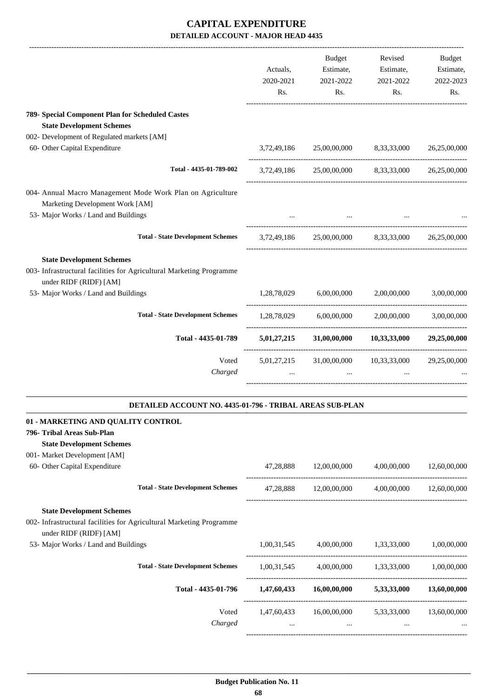|                                                                                                | Actuals,<br>2020-2021<br>Rs. | Budget<br>Estimate,<br>2021-2022<br>Rs. | Revised<br>Estimate,<br>2021-2022<br>Rs.                | Budget<br>Estimate,<br>2022-2023<br>Rs. |
|------------------------------------------------------------------------------------------------|------------------------------|-----------------------------------------|---------------------------------------------------------|-----------------------------------------|
| 789- Special Component Plan for Scheduled Castes                                               |                              |                                         |                                                         |                                         |
| <b>State Development Schemes</b>                                                               |                              |                                         |                                                         |                                         |
| 002- Development of Regulated markets [AM]                                                     |                              |                                         |                                                         |                                         |
| 60- Other Capital Expenditure                                                                  |                              | 3,72,49,186 25,00,00,000                | 8,33,33,000                                             | 26,25,00,000                            |
| Total - 4435-01-789-002                                                                        |                              |                                         | 3,72,49,186 25,00,00,000 8,33,33,000 26,25,00,000       |                                         |
| 004- Annual Macro Management Mode Work Plan on Agriculture                                     |                              |                                         |                                                         |                                         |
| Marketing Development Work [AM]                                                                |                              |                                         |                                                         |                                         |
| 53- Major Works / Land and Buildings                                                           |                              |                                         |                                                         |                                         |
| <b>Total - State Development Schemes</b>                                                       |                              |                                         | 3,72,49,186 25,00,00,000 8,33,33,000                    | 26,25,00,000                            |
| <b>State Development Schemes</b>                                                               |                              |                                         |                                                         |                                         |
| 003- Infrastructural facilities for Agricultural Marketing Programme<br>under RIDF (RIDF) [AM] |                              |                                         |                                                         |                                         |
| 53- Major Works / Land and Buildings                                                           | 1,28,78,029                  | 6,00,00,000                             | 2,00,00,000                                             | 3,00,00,000                             |
| <b>Total - State Development Schemes</b>                                                       | 1,28,78,029                  | 6,00,00,000                             | 2,00,00,000                                             | 3,00,00,000                             |
| Total - 4435-01-789                                                                            |                              |                                         | 5,01,27,215 31,00,00,000 10,33,33,000 29,25,00,000      |                                         |
| Voted                                                                                          | 5,01,27,215                  |                                         | 31,00,00,000 10,33,33,000                               | 29,25,00,000                            |
| Charged                                                                                        |                              | $\cdots$                                |                                                         |                                         |
| DETAILED ACCOUNT NO. 4435-01-796 - TRIBAL AREAS SUB-PLAN                                       |                              |                                         |                                                         |                                         |
| 01 - MARKETING AND QUALITY CONTROL                                                             |                              |                                         |                                                         |                                         |
| 796- Tribal Areas Sub-Plan                                                                     |                              |                                         |                                                         |                                         |
| <b>State Development Schemes</b>                                                               |                              |                                         |                                                         |                                         |
| 001- Market Development [AM]                                                                   |                              |                                         |                                                         |                                         |
| 60- Other Capital Expenditure                                                                  |                              |                                         | $47,28,888$ $12,00,00,000$ $4,00,00,000$ $12,60,00,000$ |                                         |
| <b>Total - State Development Schemes</b>                                                       |                              |                                         | 47,28,888 12,00,00,000 4,00,00,000 12,60,00,000         |                                         |
| <b>State Development Schemes</b>                                                               |                              |                                         |                                                         |                                         |
| 002- Infrastructural facilities for Agricultural Marketing Programme<br>under RIDF (RIDF) [AM] |                              |                                         |                                                         |                                         |
| 53- Major Works / Land and Buildings                                                           |                              |                                         | $1,00,31,545$ $4,00,00,000$ $1,33,33,000$ $1,00,00,000$ |                                         |
| <b>Total - State Development Schemes</b>                                                       |                              |                                         | 1,00,31,545 4,00,00,000 1,33,33,000 1,00,00,000         |                                         |

**Total - 4435-01-796 1,47,60,433 16,00,00,000 5,33,33,000 13,60,00,000**

Voted 1,47,60,433 16,00,00,000 5,33,33,000 13,60,00,000 *Charged* ... ... ... ...

------------------------------------------------------------------------------------------

-----------------------------------------------------------------------------------------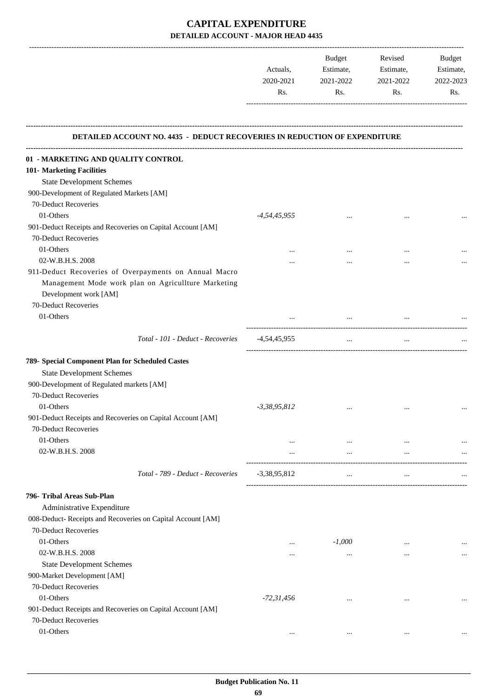-------------------------------------------------------------------------------------------------------------------------------------------------------------------------------

|                                                                                  | Actuals,<br>2020-2021<br>Rs. | <b>Budget</b><br>Estimate,<br>2021-2022<br>Rs. | Revised<br>Estimate,<br>2021-2022<br>Rs. | <b>Budget</b><br>Estimate,<br>2022-2023<br>Rs. |
|----------------------------------------------------------------------------------|------------------------------|------------------------------------------------|------------------------------------------|------------------------------------------------|
| <b>DETAILED ACCOUNT NO. 4435 - DEDUCT RECOVERIES IN REDUCTION OF EXPENDITURE</b> |                              |                                                |                                          |                                                |
| 01 - MARKETING AND QUALITY CONTROL                                               |                              |                                                |                                          |                                                |
| 101- Marketing Facilities                                                        |                              |                                                |                                          |                                                |
| <b>State Development Schemes</b>                                                 |                              |                                                |                                          |                                                |
| 900-Development of Regulated Markets [AM]                                        |                              |                                                |                                          |                                                |
| 70-Deduct Recoveries                                                             |                              |                                                |                                          |                                                |
| 01-Others                                                                        | $-4,54,45,955$               | $\cdots$                                       |                                          |                                                |
| 901-Deduct Receipts and Recoveries on Capital Account [AM]                       |                              |                                                |                                          |                                                |
| 70-Deduct Recoveries                                                             |                              |                                                |                                          |                                                |
| 01-Others                                                                        |                              |                                                | $\ddotsc$                                |                                                |
| 02-W.B.H.S. 2008                                                                 | $\cdots$                     |                                                |                                          |                                                |
| 911-Deduct Recoveries of Overpayments on Annual Macro                            |                              |                                                |                                          |                                                |
| Management Mode work plan on Agricullture Marketing<br>Development work [AM]     |                              |                                                |                                          |                                                |
| 70-Deduct Recoveries                                                             |                              |                                                |                                          |                                                |
| 01-Others                                                                        |                              |                                                |                                          |                                                |
| Total - 101 - Deduct - Recoveries                                                | -4,54,45,955                 | $\cdots$                                       | $\cdots$                                 |                                                |
|                                                                                  |                              |                                                |                                          |                                                |
| 789- Special Component Plan for Scheduled Castes                                 |                              |                                                |                                          |                                                |
| <b>State Development Schemes</b>                                                 |                              |                                                |                                          |                                                |
| 900-Development of Regulated markets [AM]<br>70-Deduct Recoveries                |                              |                                                |                                          |                                                |
| 01-Others                                                                        |                              |                                                |                                          |                                                |
| 901-Deduct Receipts and Recoveries on Capital Account [AM]                       | $-3,38,95,812$               |                                                |                                          |                                                |
| 70-Deduct Recoveries                                                             |                              |                                                |                                          |                                                |
| 01-Others                                                                        |                              |                                                |                                          |                                                |
| 02-W.B.H.S. 2008                                                                 | $\cdots$                     | $\cdots$<br>$\cdots$                           | $\cdots$<br>$\cdots$                     |                                                |
|                                                                                  | $\cdots$                     |                                                |                                          | $\ldots$                                       |
| Total - 789 - Deduct - Recoveries                                                | $-3,38,95,812$               | $\cdots$                                       | $\cdots$                                 |                                                |
| 796- Tribal Areas Sub-Plan                                                       |                              |                                                |                                          |                                                |
| Administrative Expenditure                                                       |                              |                                                |                                          |                                                |
| 008-Deduct- Receipts and Recoveries on Capital Account [AM]                      |                              |                                                |                                          |                                                |
| 70-Deduct Recoveries                                                             |                              |                                                |                                          |                                                |
| 01-Others                                                                        | $\cdots$                     | $-1,000$                                       | $\cdots$                                 |                                                |
| 02-W.B.H.S. 2008                                                                 |                              | $\cdots$                                       | $\cdots$                                 | $\cdots$                                       |
| <b>State Development Schemes</b>                                                 |                              |                                                |                                          |                                                |
| 900-Market Development [AM]                                                      |                              |                                                |                                          |                                                |
| 70-Deduct Recoveries                                                             |                              |                                                |                                          |                                                |
| 01-Others                                                                        | $-72,31,456$                 | $\cdots$                                       | $\cdots$                                 |                                                |
| 901-Deduct Receipts and Recoveries on Capital Account [AM]                       |                              |                                                |                                          |                                                |
| 70-Deduct Recoveries                                                             |                              |                                                |                                          |                                                |
| 01-Others                                                                        |                              | $\cdots$                                       | $\cdots$                                 |                                                |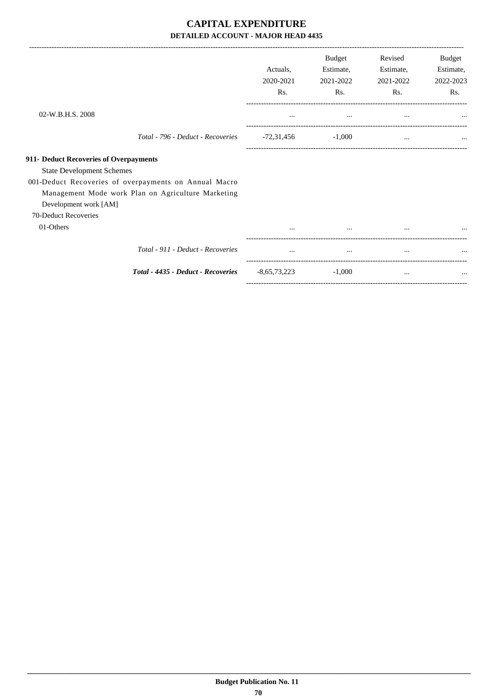## **CAPITAL EXPENDITURE DETAILED ACCOUNT - MAJOR HEAD 4435**

|                                                                                                                                                                                                                                            | Actuals,<br>2020-2021<br>Rs. | <b>Budget</b><br>Estimate,<br>2021-2022<br>Rs. | Revised<br>Estimate,<br>2021-2022<br>Rs. | Budget<br>Estimate,<br>2022-2023<br>Rs. |
|--------------------------------------------------------------------------------------------------------------------------------------------------------------------------------------------------------------------------------------------|------------------------------|------------------------------------------------|------------------------------------------|-----------------------------------------|
| 02-W.B.H.S. 2008                                                                                                                                                                                                                           | $\cdots$                     | $\cdots$                                       | $\cdots$                                 |                                         |
| Total - 796 - Deduct - Recoveries                                                                                                                                                                                                          | -72,31,456                   | $-1.000$                                       | $\cdots$                                 |                                         |
| 911- Deduct Recoveries of Overpayments<br><b>State Development Schemes</b><br>001-Deduct Recoveries of overpayments on Annual Macro<br>Management Mode work Plan on Agriculture Marketing<br>Development work [AM]<br>70-Deduct Recoveries |                              |                                                |                                          |                                         |
| 01-Others                                                                                                                                                                                                                                  |                              | $\cdots$                                       |                                          |                                         |
| Total - 911 - Deduct - Recoveries                                                                                                                                                                                                          | $\cdots$                     | $\cdots$                                       | $\cdots$                                 |                                         |
| Total - 4435 - Deduct - Recoveries                                                                                                                                                                                                         | $-8,65,73,223$               | $-1,000$                                       | $\cdots$                                 |                                         |
|                                                                                                                                                                                                                                            |                              |                                                |                                          |                                         |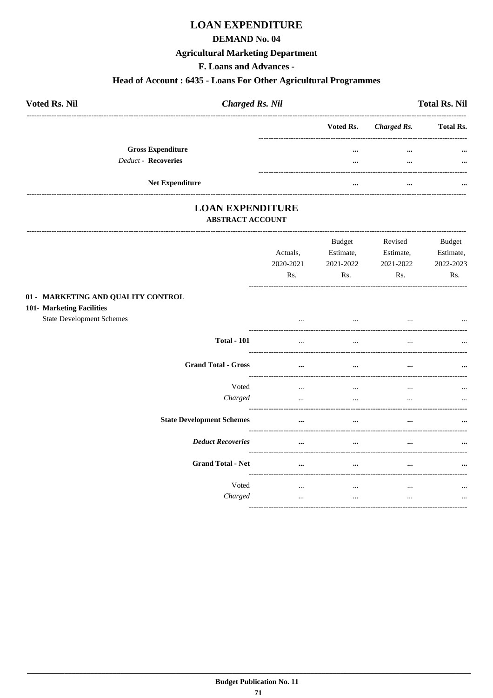## **LOAN EXPENDITURE**

#### **DEMAND No. 04**

#### **Agricultural Marketing Department**

F. Loans and Advances -

#### Head of Account: 6435 - Loans For Other Agricultural Programmes

| <b>Voted Rs. Nil</b>       | <b>Charged Rs. Nil</b> |                       | <b>Total Rs. Nil</b> |
|----------------------------|------------------------|-----------------------|----------------------|
|                            |                        | Voted Rs. Charged Rs. | <b>Total Rs.</b>     |
| <b>Gross Expenditure</b>   |                        | $\cdots$<br>$\cdots$  | $\cdots$             |
| <b>Deduct - Recoveries</b> |                        | $\cdots$<br>$\cdots$  | $\cdots$             |
| <b>Net Expenditure</b>     |                        | <br>$\cdots$          |                      |

# **LOAN EXPENDITURE**

-----------------------------------

#### **ABSTRACT ACCOUNT**

|                                                                                                     | Actuals,<br>2020-2021<br>Rs. | <b>Budget</b><br>Estimate,<br>2021-2022<br>Rs. | Revised<br>Estimate,<br>2021-2022<br>Rs. | <b>Budget</b><br>Estimate,<br>2022-2023<br>Rs. |
|-----------------------------------------------------------------------------------------------------|------------------------------|------------------------------------------------|------------------------------------------|------------------------------------------------|
| 01 - MARKETING AND QUALITY CONTROL<br>101- Marketing Facilities<br><b>State Development Schemes</b> |                              | $\cdots$                                       |                                          |                                                |
| <b>Total - 101</b>                                                                                  |                              | $\cdots$                                       | $\cdots$                                 | $\cdots$                                       |
| <b>Grand Total - Gross</b>                                                                          | $\cdots$                     | $\cdots$                                       | $\cdots$                                 | $\cdots$                                       |
| Voted<br>Charged                                                                                    | $\cdots$<br>$\cdots$         | $\cdots$<br>$\cdots$                           | $\cdots$<br>                             | $\cdots$<br>$\cdots$                           |
| <b>State Development Schemes</b>                                                                    | $\cdots$                     | $\cdots$                                       | $\cdots$                                 |                                                |
| <b>Deduct Recoveries</b>                                                                            | $\cdots$                     | $\cdots$                                       | $\cdots$                                 |                                                |
| <b>Grand Total - Net</b>                                                                            | $\cdots$                     | $\cdots$                                       | $\cdots$                                 | $\cdots$                                       |
| Voted<br>Charged                                                                                    | $\cdots$<br>$\cdots$         | $\cdots$<br>$\cdots$                           | $\cdots$<br>$\cdots$                     | $\cdots$<br>$\cdots$                           |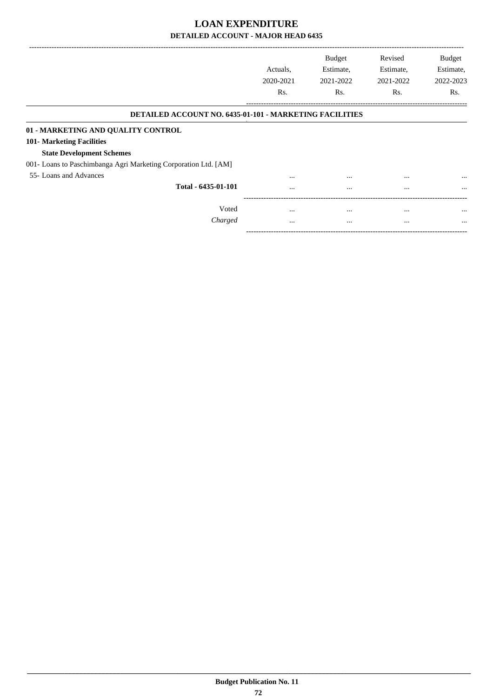|                                                                  | Actuals.<br>2020-2021<br>Rs. | <b>Budget</b><br>Estimate,<br>2021-2022<br>R <sub>s</sub> . | Revised<br>Estimate,<br>2021-2022<br>Rs. | <b>Budget</b><br>Estimate,<br>2022-2023<br>Rs. |
|------------------------------------------------------------------|------------------------------|-------------------------------------------------------------|------------------------------------------|------------------------------------------------|
|                                                                  |                              |                                                             |                                          |                                                |
| <b>DETAILED ACCOUNT NO. 6435-01-101 - MARKETING FACILITIES</b>   |                              |                                                             |                                          |                                                |
| 01 - MARKETING AND QUALITY CONTROL                               |                              |                                                             |                                          |                                                |
| 101- Marketing Facilities                                        |                              |                                                             |                                          |                                                |
| <b>State Development Schemes</b>                                 |                              |                                                             |                                          |                                                |
| 001 - Loans to Paschimbanga Agri Marketing Corporation Ltd. [AM] |                              |                                                             |                                          |                                                |
| 55- Loans and Advances                                           | $\cdots$                     | $\cdots$                                                    | $\cdots$                                 | $\cdots$                                       |
| Total - 6435-01-101                                              |                              | $\cdots$                                                    | $\cdots$                                 | $\cdots$                                       |
|                                                                  |                              |                                                             |                                          |                                                |
| Voted                                                            | $\cdots$                     | $\cdots$                                                    | $\cdots$                                 | $\cdots$                                       |
| Charged                                                          | $\cdots$                     | $\cdots$                                                    | $\cdots$                                 | $\cdots$                                       |

-----------------------------------------------------------------------------------------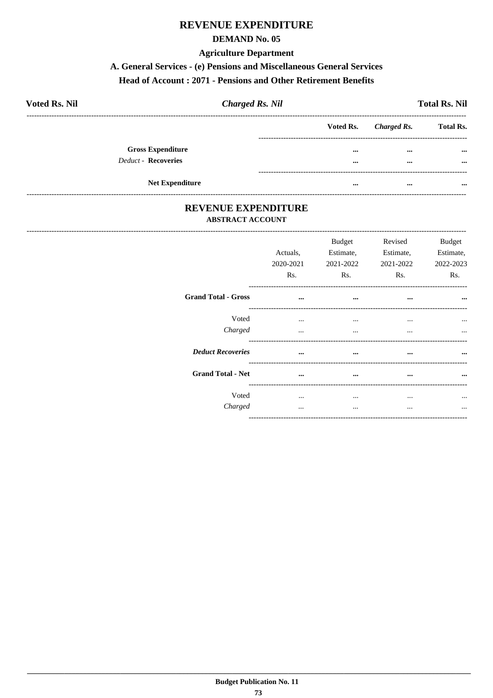## **REVENUE EXPENDITURE**

#### **DEMAND No. 05**

#### **Agriculture Department**

#### A. General Services - (e) Pensions and Miscellaneous General Services

#### Head of Account: 2071 - Pensions and Other Retirement Benefits

| <b>Voted Rs. Nil</b>       | <b>Charged Rs. Nil</b> |          |                       | <b>Total Rs. Nil</b> |
|----------------------------|------------------------|----------|-----------------------|----------------------|
|                            |                        |          | Voted Rs. Charged Rs. | <b>Total Rs.</b>     |
| <b>Gross Expenditure</b>   |                        | $\cdots$ | $\cdots$              | $\cdots$             |
| <b>Deduct - Recoveries</b> |                        |          | $\cdots$              | $\cdots$             |
| <b>Net Expenditure</b>     |                        | $\cdots$ | $\cdots$              | $\cdots$             |

#### REVENUE EXPENDITURE **ABSTRACT ACCOUNT**

|                            | Actuals,<br>2020-2021<br>Rs. | Budget<br>Estimate,<br>2021-2022<br>Rs. | Revised<br>Estimate,<br>2021-2022<br>Rs. | <b>Budget</b><br>Estimate,<br>2022-2023<br>Rs. |
|----------------------------|------------------------------|-----------------------------------------|------------------------------------------|------------------------------------------------|
| <b>Grand Total - Gross</b> | $\cdots$                     | $\cdots$                                | $\cdots$                                 | $\cdots$                                       |
| Voted<br>Charged           | $\cdots$<br>$\cdots$         | $\cdots$<br>$\cdots$                    | $\cdots$<br>$\cdots$                     | $\cdots$<br>$\cdots$                           |
| <b>Deduct Recoveries</b>   | $\ddotsc$                    | $\cdots$                                |                                          |                                                |
| <b>Grand Total - Net</b>   | $\cdots$                     | $\cdots$                                | $\cdots$                                 | $\cdots$                                       |
| Voted<br>Charged           | $\cdots$                     | $\cdots$<br>$\cdots$                    | <br>$\ddotsc$                            |                                                |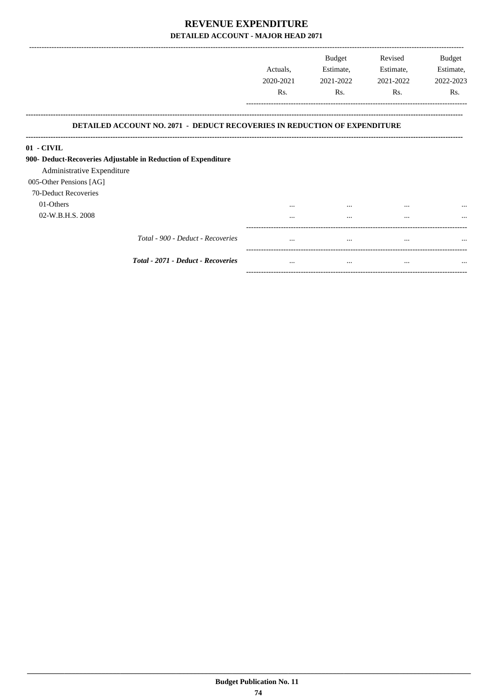|                                                                                  |                  | <b>Budget</b> | Revised   | <b>Budget</b> |
|----------------------------------------------------------------------------------|------------------|---------------|-----------|---------------|
|                                                                                  | Actuals,         | Estimate,     | Estimate, | Estimate,     |
|                                                                                  | 2020-2021        | 2021-2022     | 2021-2022 | 2022-2023     |
|                                                                                  | R <sub>s</sub> . | Rs.           | Rs.       | Rs.           |
| <b>DETAILED ACCOUNT NO. 2071 - DEDUCT RECOVERIES IN REDUCTION OF EXPENDITURE</b> |                  |               |           |               |
| 01 - CIVIL                                                                       |                  |               |           |               |
| 900- Deduct-Recoveries Adjustable in Reduction of Expenditure                    |                  |               |           |               |
| Administrative Expenditure                                                       |                  |               |           |               |
| 005-Other Pensions [AG]                                                          |                  |               |           |               |
| 70-Deduct Recoveries                                                             |                  |               |           |               |
| 01-Others                                                                        | $\cdots$         | $\cdots$      | $\cdots$  | $\cdots$      |
| 02-W.B.H.S. 2008                                                                 | $\cdots$         | $\cdots$      | $\cdots$  |               |
| Total - 900 - Deduct - Recoveries                                                | $\cdots$         | $\cdots$      | $\cdots$  | $\ddotsc$     |
| Total - 2071 - Deduct - Recoveries                                               | $\cdots$         | $\cdots$      | $\cdots$  | $\cdots$      |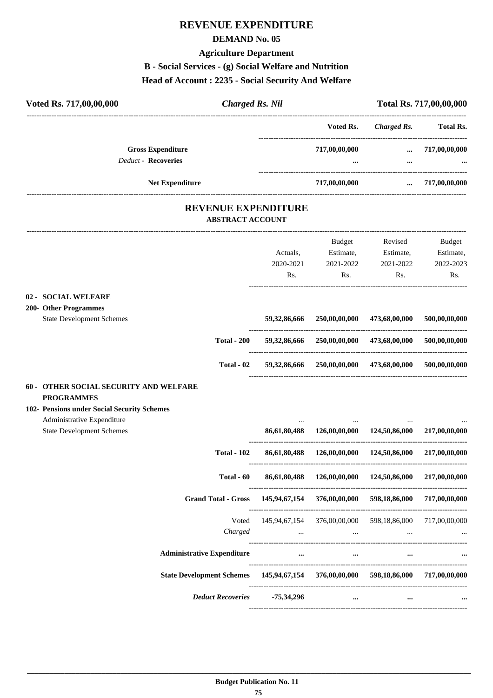## **REVENUE EXPENDITURE**

#### **DEMAND No. 05**

#### **Agriculture Department**

**B - Social Services - (g) Social Welfare and Nutrition**

#### **Head of Account : 2235 - Social Security And Welfare**

| Voted Rs. 717,00,00,000                                             |                    | <b>Charged Rs. Nil</b>                                |                                                                                                              |                    | Total Rs. 717,00,00,000 |
|---------------------------------------------------------------------|--------------------|-------------------------------------------------------|--------------------------------------------------------------------------------------------------------------|--------------------|-------------------------|
|                                                                     |                    |                                                       | Voted Rs.                                                                                                    | <b>Charged Rs.</b> | <b>Total Rs.</b>        |
| <b>Gross Expenditure</b>                                            |                    |                                                       | 717,00,00,000                                                                                                | $\cdots$           | 717,00,00,000           |
| Deduct - Recoveries                                                 |                    |                                                       |                                                                                                              |                    |                         |
| <b>Net Expenditure</b>                                              |                    |                                                       | -----------------------------------<br>717,00,00,000                                                         | $\cdots$           | 717,00,00,000           |
|                                                                     |                    | <b>REVENUE EXPENDITURE</b><br><b>ABSTRACT ACCOUNT</b> |                                                                                                              |                    |                         |
|                                                                     |                    |                                                       | Budget                                                                                                       | Revised            | <b>Budget</b>           |
|                                                                     |                    | Actuals,                                              | Estimate,                                                                                                    | Estimate,          | Estimate,               |
|                                                                     |                    | 2020-2021                                             | 2021-2022                                                                                                    | 2021-2022          | 2022-2023               |
|                                                                     |                    | Rs.                                                   | Rs.                                                                                                          | Rs.                | Rs.                     |
| <b>SOCIAL WELFARE</b><br>$02 -$                                     |                    |                                                       |                                                                                                              |                    |                         |
| 200- Other Programmes                                               |                    |                                                       |                                                                                                              |                    |                         |
| <b>State Development Schemes</b>                                    |                    | 59,32,86,666                                          | 250,00,00,000                                                                                                | 473,68,00,000      | 500,00,00,000           |
|                                                                     | <b>Total - 200</b> |                                                       | 59,32,86,666 250,00,00,000 473,68,00,000                                                                     |                    | 500,00,00,000           |
|                                                                     | Total - 02         |                                                       | 59,32,86,666 250,00,00,000                                                                                   | 473,68,00,000      | 500,00,00,000           |
| 60 - OTHER SOCIAL SECURITY AND WELFARE                              |                    |                                                       |                                                                                                              |                    |                         |
| <b>PROGRAMMES</b>                                                   |                    |                                                       |                                                                                                              |                    |                         |
| 102- Pensions under Social Security Schemes                         |                    |                                                       |                                                                                                              |                    |                         |
| Administrative Expenditure<br><b>State Development Schemes</b>      |                    | $\ddotsc$                                             | 86,61,80,488 126,00,00,000 124,50,86,000                                                                     |                    | 217,00,00,000           |
| <b>Total - 102</b>                                                  |                    | 86,61,80,488                                          | 126,00,00,000                                                                                                | 124,50,86,000      | 217,00,00,000           |
|                                                                     | Total - 60         |                                                       | 86,61,80,488 126,00,00,000 124,50,86,000                                                                     |                    | 217,00,00,000           |
| <b>Grand Total - Gross</b>                                          |                    |                                                       | 145,94,67,154 376,00,00,000 598,18,86,000                                                                    |                    | 717,00,00,000           |
|                                                                     | Voted              |                                                       | 145,94,67,154 376,00,00,000 598,18,86,000 717,00,00,000                                                      |                    |                         |
|                                                                     | Charged            |                                                       | and the control of the control of the control of the control of the control of the control of the control of | $\cdots$           |                         |
| <b>Administrative Expenditure</b>                                   |                    |                                                       | <b>Section Advisory</b><br>$\cdots$                                                                          | $\cdots$           |                         |
| State Development Schemes 145,94,67,154 376,00,00,000 598,18,86,000 |                    |                                                       |                                                                                                              |                    | 717,00,00,000           |
| <b>Deduct Recoveries</b>                                            |                    | -75,34,296                                            |                                                                                                              | $\cdots$           | $\cdots$                |

----------------------------------------------------------------------------------------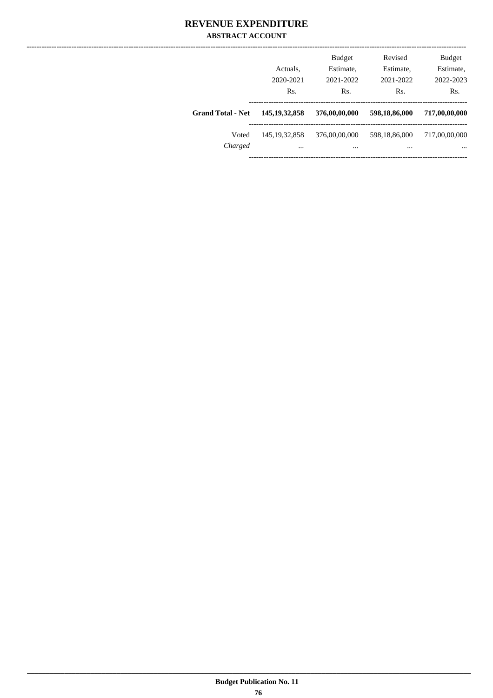|                          | Actuals,<br>2020-2021<br>Rs. | <b>Budget</b><br>Estimate,<br>2021-2022<br>Rs. | Revised<br>Estimate,<br>2021-2022<br>Rs. | <b>Budget</b><br>Estimate,<br>2022-2023<br>Rs. |
|--------------------------|------------------------------|------------------------------------------------|------------------------------------------|------------------------------------------------|
| <b>Grand Total - Net</b> | 145, 19, 32, 858             | 376,00,00,000                                  | 598,18,86,000                            | 717,00,00,000                                  |
| Voted<br>Charged         | 145, 19, 32, 858<br>$\cdots$ | 376,00,00,000<br>                              | 598,18,86,000<br>                        | 717,00,00,000<br>$\cdots$                      |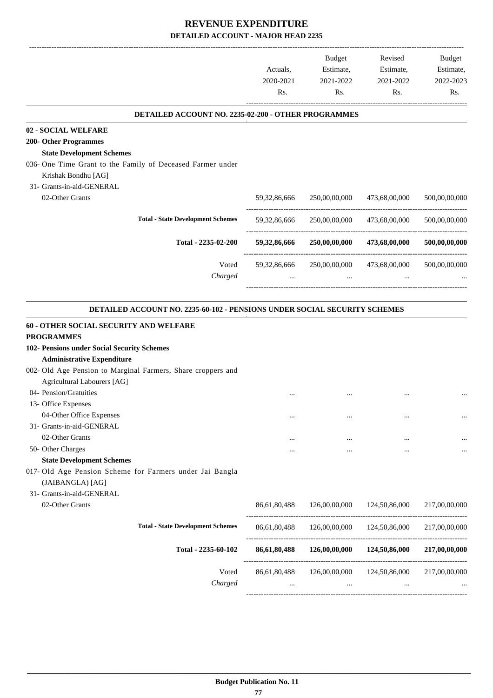-------------------------------------------------------------------------------------------------------------------------------------------------------------------------------

|                                                                                  | Actuals,<br>2020-2021<br>Rs. | <b>Budget</b><br>Estimate,<br>2021-2022<br>Rs. | Revised<br>Estimate,<br>2021-2022<br>Rs. | <b>Budget</b><br>Estimate,<br>2022-2023<br>Rs. |
|----------------------------------------------------------------------------------|------------------------------|------------------------------------------------|------------------------------------------|------------------------------------------------|
| DETAILED ACCOUNT NO. 2235-02-200 - OTHER PROGRAMMES                              |                              |                                                |                                          |                                                |
| 02 - SOCIAL WELFARE                                                              |                              |                                                |                                          |                                                |
| <b>200- Other Programmes</b>                                                     |                              |                                                |                                          |                                                |
| <b>State Development Schemes</b>                                                 |                              |                                                |                                          |                                                |
| 036- One Time Grant to the Family of Deceased Farmer under                       |                              |                                                |                                          |                                                |
| Krishak Bondhu [AG]                                                              |                              |                                                |                                          |                                                |
| 31- Grants-in-aid-GENERAL                                                        |                              |                                                |                                          |                                                |
| 02-Other Grants                                                                  | 59, 32, 86, 666              | 250,00,00,000                                  | 473,68,00,000                            | 500,00,00,000                                  |
| <b>Total - State Development Schemes</b>                                         | 59, 32, 86, 666              | 250,00,00,000                                  | 473,68,00,000                            | 500,00,00,000                                  |
| Total - 2235-02-200                                                              | 59,32,86,666                 | 250,00,00,000                                  | 473,68,00,000                            | 500,00,00,000                                  |
| Voted                                                                            | 59,32,86,666                 | 250,00,00,000                                  | 473,68,00,000                            | 500,00,00,000                                  |
| Charged                                                                          | $\cdots$                     | $\cdots$                                       | $\cdots$                                 |                                                |
|                                                                                  |                              |                                                |                                          |                                                |
| <b>DETAILED ACCOUNT NO. 2235-60-102 - PENSIONS UNDER SOCIAL SECURITY SCHEMES</b> |                              |                                                |                                          |                                                |
| 60 - OTHER SOCIAL SECURITY AND WELFARE                                           |                              |                                                |                                          |                                                |
| <b>PROGRAMMES</b>                                                                |                              |                                                |                                          |                                                |
| 102- Pensions under Social Security Schemes                                      |                              |                                                |                                          |                                                |
| <b>Administrative Expenditure</b>                                                |                              |                                                |                                          |                                                |
| 002- Old Age Pension to Marginal Farmers, Share croppers and                     |                              |                                                |                                          |                                                |
| Agricultural Labourers [AG]                                                      |                              |                                                |                                          |                                                |
| 04- Pension/Gratuities                                                           |                              |                                                |                                          |                                                |
| 13- Office Expenses                                                              |                              |                                                |                                          |                                                |
| 04-Other Office Expenses                                                         |                              |                                                |                                          | $\ddotsc$                                      |
| 31- Grants-in-aid-GENERAL                                                        |                              |                                                |                                          |                                                |
| 02-Other Grants                                                                  |                              |                                                |                                          |                                                |
| 50- Other Charges                                                                |                              |                                                |                                          |                                                |
| <b>State Development Schemes</b>                                                 |                              |                                                |                                          |                                                |
| 017- Old Age Pension Scheme for Farmers under Jai Bangla                         |                              |                                                |                                          |                                                |
| (JAIBANGLA) [AG]                                                                 |                              |                                                |                                          |                                                |
| 31- Grants-in-aid-GENERAL                                                        |                              |                                                |                                          |                                                |
| 02-Other Grants                                                                  | 86,61,80,488                 | 126,00,00,000                                  | 124,50,86,000                            | 217,00,00,000                                  |
| <b>Total - State Development Schemes</b>                                         | 86,61,80,488                 | 126,00,00,000                                  | 124,50,86,000                            | 217,00,00,000                                  |
| Total - 2235-60-102                                                              | 86,61,80,488                 | 126,00,00,000                                  | 124,50,86,000                            | 217,00,00,000                                  |
| Voted                                                                            | 86,61,80,488                 | 126,00,00,000                                  | 124,50,86,000                            | 217,00,00,000                                  |
| Charged                                                                          |                              | $\cdots$                                       |                                          |                                                |
|                                                                                  |                              |                                                |                                          |                                                |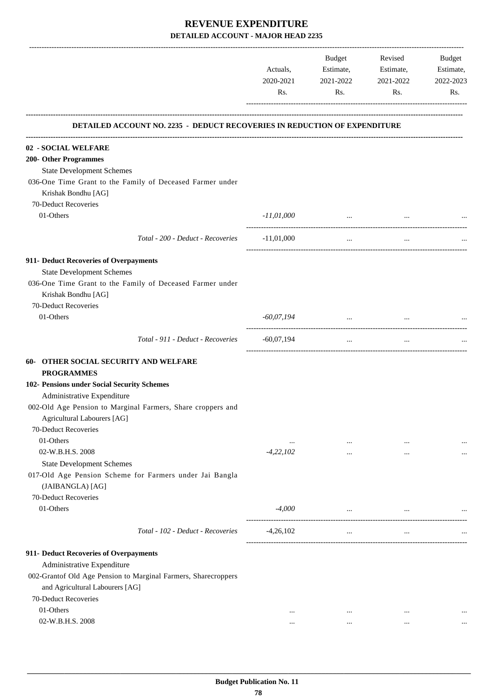|                                                                           | Actuals,<br>2020-2021<br>Rs. | Budget<br>Estimate,<br>2021-2022<br>Rs. | Revised<br>Estimate,<br>2021-2022<br>Rs. | Budget<br>Estimate,<br>2022-2023<br>Rs. |
|---------------------------------------------------------------------------|------------------------------|-----------------------------------------|------------------------------------------|-----------------------------------------|
| DETAILED ACCOUNT NO. 2235 - DEDUCT RECOVERIES IN REDUCTION OF EXPENDITURE |                              |                                         |                                          |                                         |
| 02 - SOCIAL WELFARE                                                       |                              |                                         |                                          |                                         |
| 200- Other Programmes                                                     |                              |                                         |                                          |                                         |
| <b>State Development Schemes</b>                                          |                              |                                         |                                          |                                         |
| 036-One Time Grant to the Family of Deceased Farmer under                 |                              |                                         |                                          |                                         |
| Krishak Bondhu [AG]                                                       |                              |                                         |                                          |                                         |
| 70-Deduct Recoveries                                                      |                              |                                         |                                          |                                         |
| 01-Others                                                                 | $-11,01,000$                 | and the company of the company of       |                                          |                                         |
|                                                                           |                              |                                         |                                          |                                         |
| Total - 200 - Deduct - Recoveries                                         | $-11,01,000$                 | $\mathbf{1}$                            | $\cdots$                                 |                                         |
| 911- Deduct Recoveries of Overpayments                                    |                              |                                         |                                          |                                         |
| <b>State Development Schemes</b>                                          |                              |                                         |                                          |                                         |
| 036-One Time Grant to the Family of Deceased Farmer under                 |                              |                                         |                                          |                                         |
| Krishak Bondhu [AG]                                                       |                              |                                         |                                          |                                         |
| 70-Deduct Recoveries                                                      |                              |                                         |                                          |                                         |
| 01-Others                                                                 | $-60,07,194$                 | $\sim$ $\sim$                           |                                          |                                         |
|                                                                           |                              |                                         |                                          |                                         |
| Total - 911 - Deduct - Recoveries                                         | $-60,07,194$                 | $\cdots$                                | $\ldots$                                 |                                         |
| 60- OTHER SOCIAL SECURITY AND WELFARE                                     |                              |                                         |                                          |                                         |
| <b>PROGRAMMES</b>                                                         |                              |                                         |                                          |                                         |
| 102- Pensions under Social Security Schemes                               |                              |                                         |                                          |                                         |
| Administrative Expenditure                                                |                              |                                         |                                          |                                         |
| 002-Old Age Pension to Marginal Farmers, Share croppers and               |                              |                                         |                                          |                                         |
| Agricultural Labourers [AG]                                               |                              |                                         |                                          |                                         |
| 70-Deduct Recoveries                                                      |                              |                                         |                                          |                                         |
| 01-Others                                                                 | $\cdots$                     | $\cdots$                                | $\cdots$                                 |                                         |
| 02-W.B.H.S. 2008                                                          | $-4,22,102$                  | $\cdots$                                | $\cdots$                                 |                                         |
| <b>State Development Schemes</b>                                          |                              |                                         |                                          |                                         |
| 017-Old Age Pension Scheme for Farmers under Jai Bangla                   |                              |                                         |                                          |                                         |
| (JAIBANGLA) [AG]                                                          |                              |                                         |                                          |                                         |
| 70-Deduct Recoveries                                                      |                              |                                         |                                          |                                         |
| 01-Others                                                                 | $-4,000$                     | $\cdots$                                |                                          |                                         |
| Total - 102 - Deduct - Recoveries                                         | $-4,26,102$                  | $\cdots$                                | $\cdots$                                 |                                         |
| 911- Deduct Recoveries of Overpayments                                    |                              |                                         |                                          |                                         |
| Administrative Expenditure                                                |                              |                                         |                                          |                                         |
| 002-Grantof Old Age Pension to Marginal Farmers, Sharecroppers            |                              |                                         |                                          |                                         |
| and Agricultural Labourers [AG]                                           |                              |                                         |                                          |                                         |
| 70-Deduct Recoveries                                                      |                              |                                         |                                          |                                         |
| 01-Others                                                                 | $\cdots$                     | $\cdots$                                | $\ddotsc$                                |                                         |
| 02-W.B.H.S. 2008                                                          | $\cdots$                     | $\cdots$                                |                                          |                                         |
|                                                                           |                              |                                         |                                          |                                         |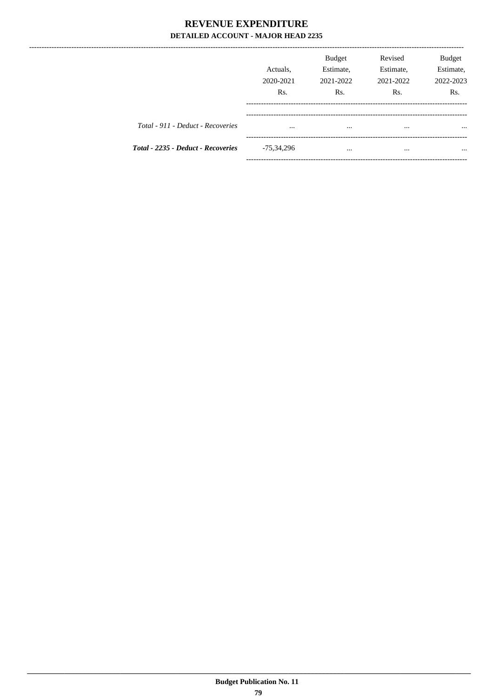|                                    | Actuals,<br>2020-2021<br>R <sub>s</sub> . | <b>Budget</b><br>Estimate,<br>2021-2022<br>R <sub>s</sub> . | Revised<br>Estimate,<br>2021-2022<br>R <sub>s</sub> . | Budget<br>Estimate,<br>2022-2023<br>Rs. |
|------------------------------------|-------------------------------------------|-------------------------------------------------------------|-------------------------------------------------------|-----------------------------------------|
| Total - 911 - Deduct - Recoveries  | $\cdots$                                  | $\cdots$                                                    | $\cdots$                                              | $\cdots$                                |
| Total - 2235 - Deduct - Recoveries | $-75,34,296$                              | $\cdots$                                                    |                                                       | $\cdots$                                |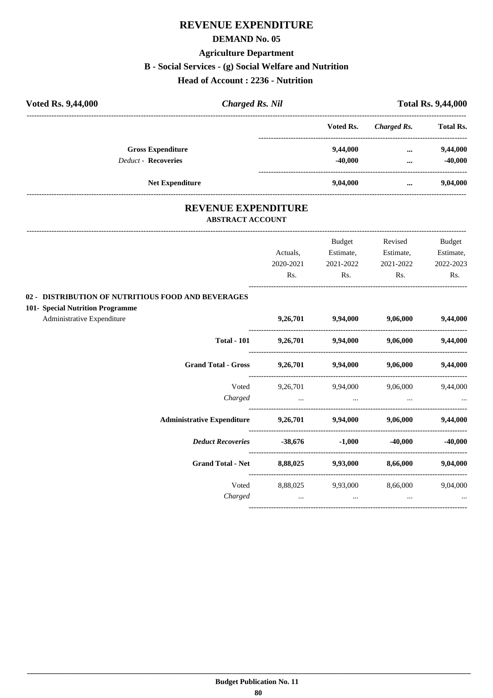## **REVENUE EXPENDITURE**

#### **DEMAND No. 05**

#### **Agriculture Department**

#### **B - Social Services - (g) Social Welfare and Nutrition**

#### **Head of Account : 2236 - Nutrition**

| <b>Voted Rs. 9,44,000</b><br><b>Charged Rs. Nil</b> |  |           |             | <b>Total Rs. 9,44,000</b> |  |
|-----------------------------------------------------|--|-----------|-------------|---------------------------|--|
|                                                     |  | Voted Rs. | Charged Rs. | <b>Total Rs.</b>          |  |
| <b>Gross Expenditure</b>                            |  | 9,44,000  | $\cdots$    | 9,44,000                  |  |
| <b>Deduct - Recoveries</b>                          |  | $-40,000$ | $\cdots$    | $-40,000$                 |  |
| <b>Net Expenditure</b>                              |  | 9,04,000  | $\cdots$    | 9,04,000                  |  |

#### **REVENUE EXPENDITURE ABSTRACT ACCOUNT**

|                                                    |           | Budget                     | Revised                             | <b>Budget</b> |
|----------------------------------------------------|-----------|----------------------------|-------------------------------------|---------------|
|                                                    | Actuals,  | Estimate,                  | Estimate,                           | Estimate,     |
|                                                    | 2020-2021 | 2021-2022                  | 2021-2022                           | 2022-2023     |
|                                                    | Rs.       | Rs.                        | Rs.                                 | Rs.           |
| 02 - DISTRIBUTION OF NUTRITIOUS FOOD AND BEVERAGES |           |                            |                                     |               |
| 101- Special Nutrition Programme                   |           |                            |                                     |               |
| Administrative Expenditure                         | 9,26,701  |                            | 9,94,000 9,06,000                   | 9,44,000      |
| <b>Total - 101</b>                                 |           | 9,26,701 9,94,000 9,06,000 |                                     | 9,44,000      |
| <b>Grand Total - Gross</b>                         |           |                            | 9,26,701 9,94,000 9,06,000 9,44,000 |               |
| Voted                                              | 9,26,701  |                            | 9,94,000 9,06,000                   | 9,44,000      |
| Charged                                            | $\cdots$  | $\cdots$                   |                                     |               |
| <b>Administrative Expenditure</b>                  |           |                            | 9,26,701 9,94,000 9,06,000 9,44,000 |               |
| <b>Deduct Recoveries</b>                           | $-38,676$ | $-1,000$                   | $-40,000$                           | $-40,000$     |
| <b>Grand Total - Net</b>                           | 8,88,025  | 9,93,000                   | 8,66,000                            | 9,04,000      |
| Voted                                              | 8,88,025  |                            | 9,93,000 8,66,000                   | 9,04,000      |
| Charged                                            | $\cdots$  | $\cdots$                   | $\cdots$                            |               |
|                                                    |           |                            |                                     |               |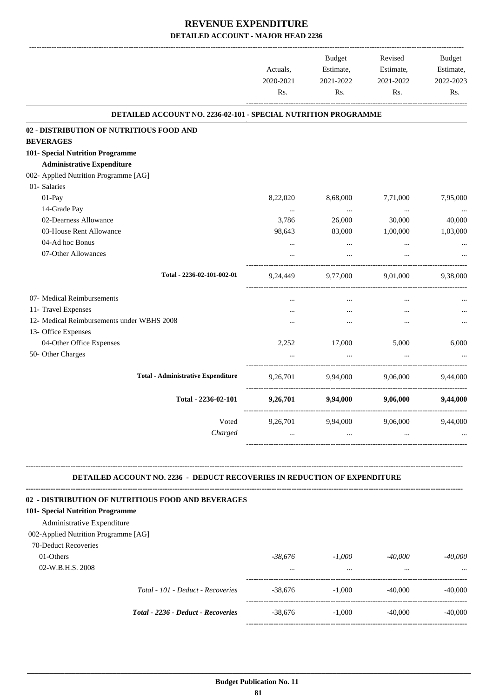|                                                                |                       |                        | <b>Budget</b>          | Revised                |  | <b>Budget</b> |
|----------------------------------------------------------------|-----------------------|------------------------|------------------------|------------------------|--|---------------|
|                                                                | Actuals,<br>2020-2021 | Estimate,<br>2021-2022 | Estimate,<br>2021-2022 | Estimate,<br>2022-2023 |  |               |
|                                                                | Rs.                   | Rs.                    | Rs.                    | Rs.                    |  |               |
| DETAILED ACCOUNT NO. 2236-02-101 - SPECIAL NUTRITION PROGRAMME |                       |                        |                        |                        |  |               |
| 02 - DISTRIBUTION OF NUTRITIOUS FOOD AND                       |                       |                        |                        |                        |  |               |
| <b>BEVERAGES</b>                                               |                       |                        |                        |                        |  |               |
| 101- Special Nutrition Programme                               |                       |                        |                        |                        |  |               |
| <b>Administrative Expenditure</b>                              |                       |                        |                        |                        |  |               |
| 002- Applied Nutrition Programme [AG]                          |                       |                        |                        |                        |  |               |
| 01- Salaries                                                   |                       |                        |                        |                        |  |               |
| $01-Pay$                                                       | 8,22,020              | 8,68,000               | 7,71,000               | 7,95,000               |  |               |
| 14-Grade Pay                                                   | $\cdots$              | $\cdots$               | $\cdots$               |                        |  |               |
| 02-Dearness Allowance                                          | 3,786                 | 26,000                 | 30,000                 | 40,000                 |  |               |
| 03-House Rent Allowance                                        | 98,643                | 83,000                 | 1,00,000               | 1,03,000               |  |               |
| 04-Ad hoc Bonus                                                | $\ldots$              | $\cdots$               | $\ldots$               |                        |  |               |
| 07-Other Allowances                                            |                       |                        |                        |                        |  |               |
| Total - 2236-02-101-002-01                                     | 9,24,449              | 9,77,000               | 9,01,000               | 9,38,000               |  |               |
| 07- Medical Reimbursements                                     | $\cdots$              | $\cdots$               | $\cdots$               |                        |  |               |
| 11- Travel Expenses                                            |                       | $\ddotsc$              | $\ddotsc$              |                        |  |               |
| 12- Medical Reimbursements under WBHS 2008                     |                       |                        |                        |                        |  |               |
| 13- Office Expenses                                            |                       |                        |                        |                        |  |               |
| 04-Other Office Expenses                                       | 2,252                 | 17,000                 | 5,000                  | 6,000                  |  |               |
| 50- Other Charges                                              |                       |                        |                        |                        |  |               |
| <b>Total - Administrative Expenditure</b>                      | 9,26,701              | 9,94,000               | 9,06,000               | 9,44,000               |  |               |
| Total - 2236-02-101                                            | 9,26,701              | 9,94,000               | 9,06,000               | 9,44,000               |  |               |
| Voted                                                          | 9,26,701              | 9,94,000               | 9,06,000               | 9,44,000               |  |               |
| Charged                                                        |                       | $\mathcal{L}$          |                        |                        |  |               |

#### **DETAILED ACCOUNT NO. 2236 - DEDUCT RECOVERIES IN REDUCTION OF EXPENDITURE**

**--------------------------------------------------------------------------------------------------------------------------------------------------------------------------------**

| 02 - DISTRIBUTION OF NUTRITIOUS FOOD AND BEVERAGES |           |          |           |           |
|----------------------------------------------------|-----------|----------|-----------|-----------|
| 101- Special Nutrition Programme                   |           |          |           |           |
| Administrative Expenditure                         |           |          |           |           |
| 002-Applied Nutrition Programme [AG]               |           |          |           |           |
| 70-Deduct Recoveries                               |           |          |           |           |
| 01-Others                                          | -38.676   | $-1.000$ | $-40,000$ | $-40,000$ |
| 02-W.B.H.S. 2008                                   | $\cdots$  | $\cdots$ | $\cdots$  | $\cdots$  |
| Total - 101 - Deduct - Recoveries                  | $-38.676$ | $-1.000$ | $-40,000$ | $-40,000$ |
| Total - 2236 - Deduct - Recoveries                 | $-38.676$ | $-1,000$ | $-40,000$ | $-40,000$ |
|                                                    |           |          |           |           |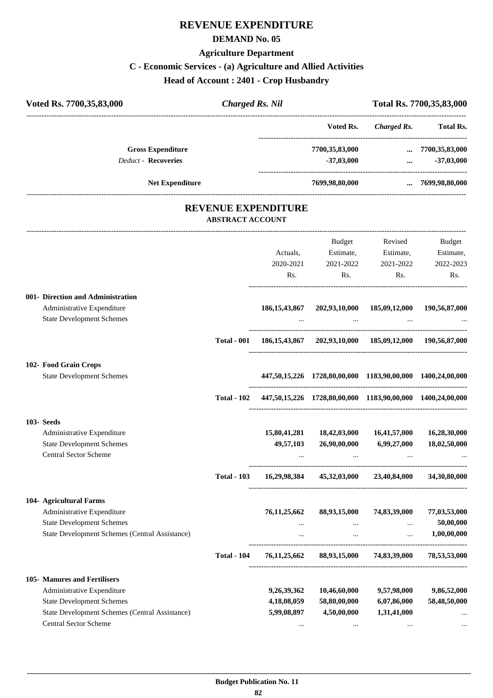## **REVENUE EXPENDITURE**

#### **DEMAND No. 05**

## **Agriculture Department**

## **C - Economic Services - (a) Agriculture and Allied Activities**

**Head of Account : 2401 - Crop Husbandry**

| Voted Rs. 7700,35,83,000                               | <b>Charged Rs. Nil</b>                                |                 |                                                                        |                                                | Total Rs. 7700,35,83,000 |  |
|--------------------------------------------------------|-------------------------------------------------------|-----------------|------------------------------------------------------------------------|------------------------------------------------|--------------------------|--|
|                                                        |                                                       |                 |                                                                        | Voted Rs. Charged Rs. Total Rs.                |                          |  |
| <b>Gross Expenditure</b><br><b>Deduct - Recoveries</b> |                                                       |                 |                                                                        | 7700,35,83,000  7700,35,83,000<br>$-37,03,000$ | $-37,03,000$             |  |
| <b>Net Expenditure</b>                                 |                                                       |                 |                                                                        | 7699,98,80,000  7699,98,80,000                 |                          |  |
|                                                        | <b>REVENUE EXPENDITURE</b><br><b>ABSTRACT ACCOUNT</b> |                 |                                                                        |                                                |                          |  |
|                                                        |                                                       |                 |                                                                        | Budget Revised                                 | Budget                   |  |
|                                                        |                                                       | Actuals,        | Estimate, Estimate,                                                    |                                                | Estimate,                |  |
|                                                        |                                                       |                 | 2020-2021 2021-2022                                                    | 2021-2022                                      | 2022-2023                |  |
|                                                        |                                                       |                 | Rs.                                                                    | $\mathbf{Rs.}$                                 | Rs.<br>$\mathbf{Rs.}$    |  |
| 001- Direction and Administration                      |                                                       |                 |                                                                        |                                                |                          |  |
| Administrative Expenditure                             |                                                       |                 | 186, 15, 43, 867 202, 93, 10, 000 185, 09, 12, 000 190, 56, 87, 000    |                                                |                          |  |
| <b>State Development Schemes</b>                       |                                                       | $\cdots$        | and the contract of the contract of                                    |                                                |                          |  |
|                                                        |                                                       |                 | Total - 001 186,15,43,867 202,93,10,000 185,09,12,000 190,56,87,000    |                                                |                          |  |
| 102- Food Grain Crops                                  |                                                       |                 |                                                                        |                                                |                          |  |
| <b>State Development Schemes</b>                       |                                                       |                 | 447,50,15,226 1728,80,00,000 1183,90,00,000 1400,24,00,000             |                                                |                          |  |
|                                                        |                                                       |                 | Total - 102 447,50,15,226 1728,80,00,000 1183,90,00,000 1400,24,00,000 |                                                |                          |  |
| 103-Seeds                                              |                                                       |                 |                                                                        |                                                |                          |  |
| Administrative Expenditure                             |                                                       | 15,80,41,281    | 18,42,03,000                                                           | 16,41,57,000                                   | 16,28,30,000             |  |
| <b>State Development Schemes</b>                       |                                                       | 49,57,103       | 26,90,00,000                                                           | 6,99,27,000                                    | 18,02,50,000             |  |
| Central Sector Scheme                                  |                                                       |                 |                                                                        |                                                |                          |  |
|                                                        | <b>Total - 103</b>                                    | 16,29,98,384    |                                                                        | 45,32,03,000 23,40,84,000                      | 34,30,80,000             |  |
| 104- Agricultural Farms                                |                                                       |                 |                                                                        |                                                |                          |  |
| Administrative Expenditure                             |                                                       | 76, 11, 25, 662 | 88,93,15,000                                                           | 74,83,39,000                                   | 77,03,53,000             |  |
| <b>State Development Schemes</b>                       |                                                       |                 | $\cdots$                                                               | $\cdots$                                       | 50,00,000                |  |
| State Development Schemes (Central Assistance)         |                                                       | $\cdots$        | $\cdots$                                                               | $\ldots$                                       | 1,00,00,000              |  |
|                                                        | <b>Total - 104</b>                                    | 76,11,25,662    |                                                                        | 88,93,15,000 74,83,39,000                      | 78,53,53,000             |  |
| 105- Manures and Fertilisers                           |                                                       |                 |                                                                        |                                                |                          |  |
| Administrative Expenditure                             |                                                       | 9,26,39,362     | 10,46,60,000                                                           | 9,57,98,000                                    | 9,86,52,000              |  |
| <b>State Development Schemes</b>                       |                                                       | 4,18,08,059     | 58,80,00,000                                                           | 6,07,86,000                                    | 58,48,50,000             |  |
| State Development Schemes (Central Assistance)         |                                                       | 5,99,08,897     | 4,50,00,000                                                            | 1,31,41,000                                    |                          |  |
| Central Sector Scheme                                  |                                                       |                 | $\cdots$                                                               | $\cdots$                                       |                          |  |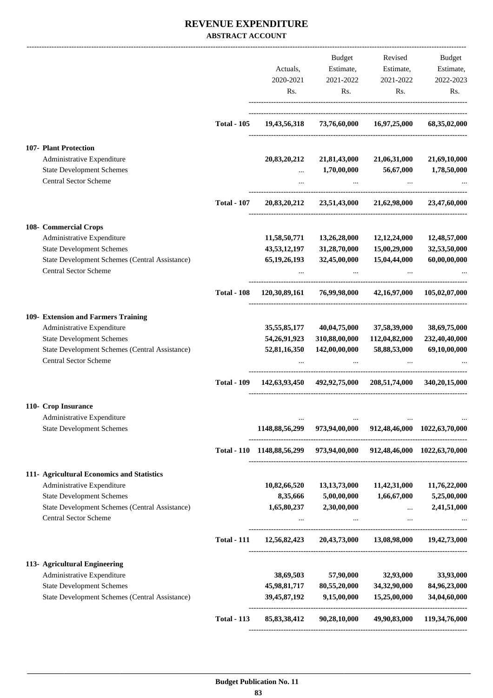|                                                                                    |                    |                                                                       | Budget                                                  | Revised                                             | Budget                        |
|------------------------------------------------------------------------------------|--------------------|-----------------------------------------------------------------------|---------------------------------------------------------|-----------------------------------------------------|-------------------------------|
|                                                                                    |                    | Actuals,                                                              | Estimate,                                               | Estimate,                                           | Estimate,                     |
|                                                                                    |                    | 2020-2021                                                             | 2021-2022                                               | 2021-2022                                           | 2022-2023                     |
|                                                                                    |                    | Rs.                                                                   | Rs.                                                     | Rs.                                                 | Rs.                           |
|                                                                                    | <b>Total - 105</b> |                                                                       | 19,43,56,318 73,76,60,000 16,97,25,000                  |                                                     | 68,35,02,000                  |
| 107- Plant Protection                                                              |                    |                                                                       |                                                         |                                                     |                               |
| Administrative Expenditure                                                         |                    | 20,83,20,212                                                          | 21,81,43,000                                            | 21,06,31,000                                        | 21,69,10,000                  |
| <b>State Development Schemes</b><br><b>Central Sector Scheme</b>                   |                    | $\cdots$<br>$\cdots$                                                  | $1{,}70{,}00{,}000$<br>$\cdots$                         | 56,67,000<br>$\ddots$                               | 1,78,50,000                   |
|                                                                                    | <b>Total - 107</b> | 20,83,20,212                                                          | 23,51,43,000                                            | 21,62,98,000                                        | 23,47,60,000                  |
|                                                                                    |                    |                                                                       |                                                         |                                                     |                               |
| 108- Commercial Crops<br>Administrative Expenditure                                |                    | 11,58,50,771                                                          | 13,26,28,000                                            | 12,12,24,000                                        | 12,48,57,000                  |
| <b>State Development Schemes</b>                                                   |                    | 43,53,12,197                                                          | 31,28,70,000                                            | 15,00,29,000                                        | 32,53,50,000                  |
| State Development Schemes (Central Assistance)<br><b>Central Sector Scheme</b>     |                    | 65, 19, 26, 193                                                       | 32,45,00,000                                            | 15,04,44,000                                        | 60,00,00,000                  |
|                                                                                    |                    |                                                                       |                                                         |                                                     |                               |
|                                                                                    | <b>Total - 108</b> | 120,30,89,161                                                         | 76,99,98,000                                            |                                                     | 42,16,97,000 105,02,07,000    |
| 109- Extension and Farmers Training                                                |                    |                                                                       |                                                         |                                                     |                               |
| Administrative Expenditure                                                         |                    | 35,55,85,177                                                          | 40,04,75,000                                            | 37,58,39,000                                        | 38,69,75,000                  |
| <b>State Development Schemes</b><br>State Development Schemes (Central Assistance) |                    | 54, 26, 91, 923<br>52,81,16,350                                       | 310,88,00,000<br>142,00,00,000                          | 112,04,82,000<br>58,88,53,000                       | 232,40,40,000<br>69,10,00,000 |
| <b>Central Sector Scheme</b>                                                       |                    |                                                                       |                                                         |                                                     |                               |
|                                                                                    | <b>Total - 109</b> |                                                                       | 142,63,93,450 492,92,75,000 208,51,74,000 340,20,15,000 |                                                     |                               |
| 110- Crop Insurance                                                                |                    |                                                                       |                                                         |                                                     |                               |
| Administrative Expenditure<br><b>State Development Schemes</b>                     |                    | 1148,88,56,299                                                        |                                                         | 973,94,00,000 912,48,46,000 1022,63,70,000          |                               |
|                                                                                    |                    | Total - 110 1148,88,56,299 973,94,00,000 912,48,46,000 1022,63,70,000 |                                                         |                                                     |                               |
| 111- Agricultural Economics and Statistics                                         |                    |                                                                       |                                                         |                                                     |                               |
| Administrative Expenditure                                                         |                    | 10,82,66,520                                                          | 13, 13, 73, 000                                         | 11,42,31,000                                        | 11,76,22,000                  |
| <b>State Development Schemes</b>                                                   |                    | 8,35,666                                                              | 5,00,00,000                                             | 1,66,67,000                                         | 5,25,00,000                   |
| State Development Schemes (Central Assistance)<br><b>Central Sector Scheme</b>     |                    | 1,65,80,237                                                           | 2,30,00,000                                             | $\cdots$<br>$\cdots$                                | 2,41,51,000                   |
|                                                                                    | <b>Total - 111</b> |                                                                       | 12,56,82,423 20,43,73,000                               |                                                     | 13,08,98,000 19,42,73,000     |
| 113- Agricultural Engineering                                                      |                    |                                                                       |                                                         |                                                     |                               |
| Administrative Expenditure                                                         |                    | 38,69,503                                                             | 57,90,000                                               | 32,93,000                                           | 33,93,000                     |
| <b>State Development Schemes</b>                                                   |                    | 45,98,81,717                                                          | 80,55,20,000                                            | 34,32,90,000                                        | 84,96,23,000                  |
| State Development Schemes (Central Assistance)                                     |                    | 39, 45, 87, 192                                                       | 9,15,00,000                                             | 15,25,00,000<br>----------------------------------- | 34,04,60,000                  |
|                                                                                    | <b>Total - 113</b> | 85, 83, 38, 412                                                       | 90,28,10,000                                            | 49,90,83,000                                        | 119,34,76,000                 |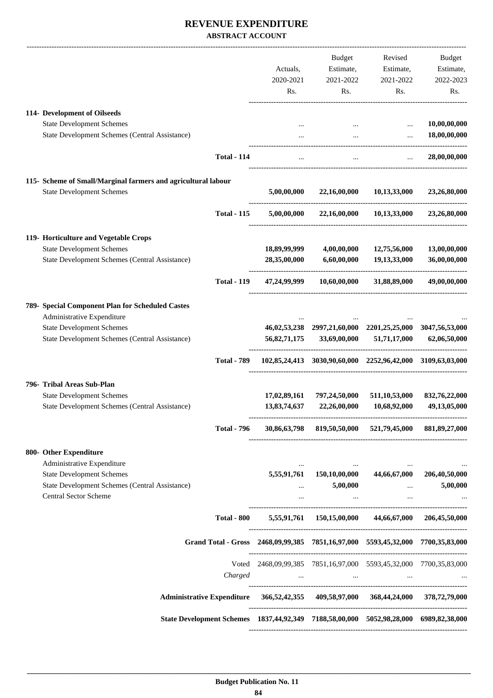|                                                                                       |                    |              | Budget                                                                                                              | Revised                                                                         | Budget        |
|---------------------------------------------------------------------------------------|--------------------|--------------|---------------------------------------------------------------------------------------------------------------------|---------------------------------------------------------------------------------|---------------|
|                                                                                       |                    | Actuals,     | Estimate,                                                                                                           | Estimate,                                                                       | Estimate,     |
|                                                                                       |                    | 2020-2021    | 2021-2022                                                                                                           | 2021-2022                                                                       | 2022-2023     |
|                                                                                       |                    | Rs.          | Rs.                                                                                                                 | Rs.                                                                             | Rs.           |
|                                                                                       |                    |              |                                                                                                                     |                                                                                 |               |
| 114- Development of Oilseeds<br><b>State Development Schemes</b>                      |                    |              |                                                                                                                     |                                                                                 | 10,00,00,000  |
| State Development Schemes (Central Assistance)                                        |                    |              |                                                                                                                     |                                                                                 | 18,00,00,000  |
|                                                                                       |                    |              | $\cdots$                                                                                                            | $\cdots$                                                                        |               |
|                                                                                       | <b>Total - 114</b> | $\ddots$     | $\sim$                                                                                                              | $\cdots$                                                                        | 28,00,00,000  |
| 115- Scheme of Small/Marginal farmers and agricultural labour                         |                    |              |                                                                                                                     |                                                                                 |               |
| <b>State Development Schemes</b>                                                      |                    | 5,00,00,000  | 22,16,00,000                                                                                                        | 10,13,33,000                                                                    | 23,26,80,000  |
|                                                                                       | <b>Total - 115</b> | 5,00,00,000  | 22,16,00,000                                                                                                        | 10,13,33,000                                                                    | 23,26,80,000  |
| 119- Horticulture and Vegetable Crops                                                 |                    |              |                                                                                                                     |                                                                                 |               |
| <b>State Development Schemes</b>                                                      |                    | 18,89,99,999 | 4,00,00,000                                                                                                         | 12,75,56,000                                                                    | 13,00,00,000  |
| State Development Schemes (Central Assistance)                                        |                    | 28,35,00,000 | 6,60,00,000                                                                                                         | 19, 13, 33, 000                                                                 | 36,00,00,000  |
|                                                                                       | <b>Total - 119</b> | 47,24,99,999 | 10,60,00,000                                                                                                        | 31,88,89,000                                                                    | 49,00,00,000  |
| 789- Special Component Plan for Scheduled Castes                                      |                    |              |                                                                                                                     |                                                                                 |               |
| Administrative Expenditure                                                            |                    |              |                                                                                                                     |                                                                                 |               |
| <b>State Development Schemes</b>                                                      |                    |              |                                                                                                                     | 46,02,53,238 2997,21,60,000 2201,25,25,000 3047,56,53,000                       |               |
| State Development Schemes (Central Assistance)                                        |                    | 56,82,71,175 | 33,69,00,000                                                                                                        | 51,71,17,000                                                                    | 62,06,50,000  |
|                                                                                       | <b>Total - 789</b> |              |                                                                                                                     | 102,85,24,413 3030,90,60,000 2252,96,42,000 3109,63,03,000                      |               |
| 796- Tribal Areas Sub-Plan                                                            |                    |              |                                                                                                                     |                                                                                 |               |
| <b>State Development Schemes</b>                                                      |                    | 17,02,89,161 | 797,24,50,000                                                                                                       | 511, 10, 53, 000                                                                | 832,76,22,000 |
| State Development Schemes (Central Assistance)                                        |                    | 13,83,74,637 | 22,26,00,000                                                                                                        | 10,68,92,000                                                                    | 49,13,05,000  |
|                                                                                       | <b>Total - 796</b> |              |                                                                                                                     | 30,86,63,798 819,50,50,000 521,79,45,000 881,89,27,000                          |               |
| 800- Other Expenditure                                                                |                    |              |                                                                                                                     |                                                                                 |               |
| Administrative Expenditure                                                            |                    |              |                                                                                                                     |                                                                                 |               |
| <b>State Development Schemes</b>                                                      |                    |              |                                                                                                                     | 5,55,91,761 150,10,00,000 44,66,67,000 206,40,50,000                            |               |
| State Development Schemes (Central Assistance)<br><b>Central Sector Scheme</b>        |                    |              | 5,00,000                                                                                                            | $\cdots$                                                                        | 5,00,000      |
|                                                                                       |                    | $\cdots$     | $\cdots$                                                                                                            | $\cdots$                                                                        |               |
|                                                                                       | <b>Total - 800</b> |              |                                                                                                                     | 5,55,91,761 150,15,00,000 44,66,67,000 206,45,50,000                            |               |
|                                                                                       |                    |              |                                                                                                                     | Grand Total - Gross 2468,09,99,385 7851,16,97,000 5593,45,32,000 7700,35,83,000 |               |
|                                                                                       |                    |              |                                                                                                                     | Voted 2468,09,99,385 7851,16,97,000 5593,45,32,000 7700,35,83,000               |               |
|                                                                                       | Charged            |              | and the contract of the contract of the contract of the contract of the contract of the contract of the contract of |                                                                                 |               |
| Administrative Expenditure 366,52,42,355 409,58,97,000 368,44,24,000 378,72,79,000    |                    |              |                                                                                                                     |                                                                                 |               |
| State Development Schemes 1837,44,92,349 7188,58,00,000 5052,98,28,000 6989,82,38,000 |                    |              |                                                                                                                     |                                                                                 |               |
|                                                                                       |                    |              |                                                                                                                     |                                                                                 |               |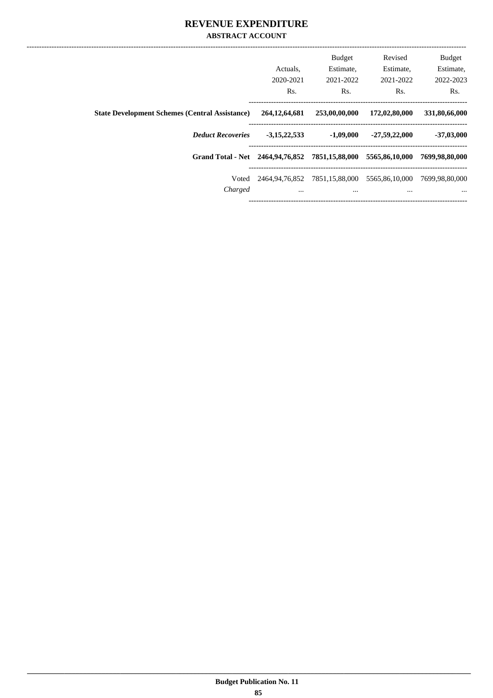|                                                       |                  | <b>Budget</b>                 | Revised         | <b>Budget</b>  |
|-------------------------------------------------------|------------------|-------------------------------|-----------------|----------------|
|                                                       | Actuals.         | Estimate.                     | Estimate,       | Estimate,      |
|                                                       | 2020-2021        | 2021-2022                     | 2021-2022       | 2022-2023      |
|                                                       | Rs.              | Rs.                           | Rs.             | Rs.            |
| <b>State Development Schemes (Central Assistance)</b> | 264, 12, 64, 681 | 253,00,00,000                 | 172,02,80,000   | 331,80,66,000  |
| <b>Deduct Recoveries</b>                              | $-3,15,22,533$   | $-1,09,000$                   | $-27,59,22,000$ | $-37,03,000$   |
| Grand Total - Net 2464,94,76,852 7851,15,88,000       |                  |                               | 5565,86,10,000  | 7699,98,80,000 |
| Voted                                                 |                  | 2464,94,76,852 7851,15,88,000 | 5565,86,10,000  | 7699,98,80,000 |
| Charged                                               | $\cdots$         | $\cdots$                      | $\cdots$        | $\cdots$       |
|                                                       |                  |                               |                 |                |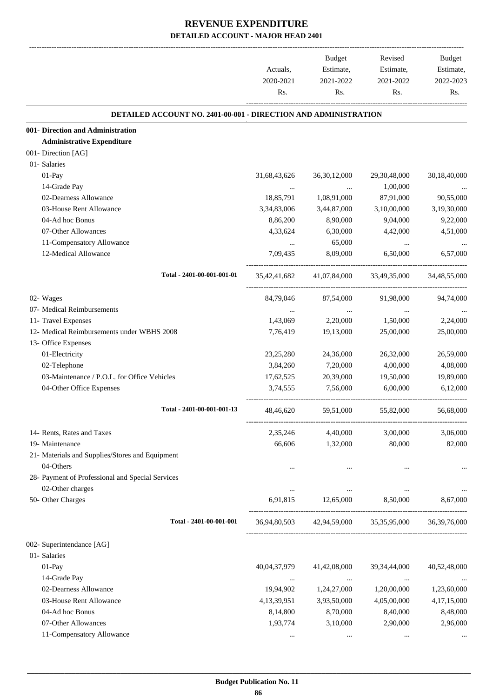|                                                                        | Actuals,<br>2020-2021<br>Rs. | Budget<br>Estimate,<br>2021-2022<br>Rs. | Revised<br>Estimate,<br>2021-2022<br>Rs.            | Budget<br>Estimate,<br>2022-2023<br>Rs. |
|------------------------------------------------------------------------|------------------------------|-----------------------------------------|-----------------------------------------------------|-----------------------------------------|
| <b>DETAILED ACCOUNT NO. 2401-00-001 - DIRECTION AND ADMINISTRATION</b> |                              |                                         |                                                     |                                         |
| 001- Direction and Administration                                      |                              |                                         |                                                     |                                         |
| <b>Administrative Expenditure</b>                                      |                              |                                         |                                                     |                                         |
| 001- Direction [AG]                                                    |                              |                                         |                                                     |                                         |
| 01- Salaries                                                           |                              |                                         |                                                     |                                         |
| 01-Pay                                                                 | 31,68,43,626                 | 36, 30, 12, 000                         | 29,30,48,000                                        | 30,18,40,000                            |
| 14-Grade Pay                                                           |                              |                                         | 1,00,000                                            |                                         |
| 02-Dearness Allowance                                                  | 18,85,791                    | 1,08,91,000                             | 87,91,000                                           | 90,55,000                               |
| 03-House Rent Allowance                                                | 3,34,83,006                  | 3,44,87,000                             | 3,10,00,000                                         | 3,19,30,000                             |
| 04-Ad hoc Bonus                                                        | 8,86,200                     | 8,90,000                                | 9,04,000                                            | 9,22,000                                |
| 07-Other Allowances                                                    | 4,33,624                     | 6,30,000                                | 4,42,000                                            | 4,51,000                                |
| 11-Compensatory Allowance                                              |                              | 65,000                                  | $\cdots$                                            |                                         |
| 12-Medical Allowance                                                   | 7,09,435                     | 8,09,000                                | 6,50,000                                            | 6,57,000                                |
| Total - 2401-00-001-001-01                                             | 35,42,41,682                 | 41,07,84,000                            | 33,49,35,000                                        | 34,48,55,000                            |
| 02- Wages                                                              | 84,79,046                    | 87,54,000                               | 91,98,000                                           | 94,74,000                               |
| 07- Medical Reimbursements                                             | $\cdots$                     | $\cdots$                                | $\cdots$                                            |                                         |
| 11- Travel Expenses                                                    | 1,43,069                     | 2,20,000                                | 1,50,000                                            | 2,24,000                                |
| 12- Medical Reimbursements under WBHS 2008                             | 7,76,419                     | 19,13,000                               | 25,00,000                                           | 25,00,000                               |
| 13- Office Expenses                                                    |                              |                                         |                                                     |                                         |
| 01-Electricity                                                         | 23, 25, 280                  | 24,36,000                               | 26,32,000                                           | 26,59,000                               |
| 02-Telephone                                                           | 3,84,260                     | 7,20,000                                | 4,00,000                                            | 4,08,000                                |
| 03-Maintenance / P.O.L. for Office Vehicles                            | 17,62,525                    | 20,39,000                               | 19,50,000                                           | 19,89,000                               |
| 04-Other Office Expenses                                               | 3,74,555                     | 7,56,000                                | 6,00,000                                            | 6,12,000                                |
| Total - 2401-00-001-001-13                                             | 48,46,620                    | 59,51,000                               | 55,82,000                                           | 56,68,000                               |
| 14- Rents, Rates and Taxes                                             | 2,35,246                     | 4,40,000                                | 3,00,000                                            | 3,06,000                                |
| 19- Maintenance                                                        | 66,606                       | 1,32,000                                | 80,000                                              | 82,000                                  |
| 21- Materials and Supplies/Stores and Equipment                        |                              |                                         |                                                     |                                         |
| 04-Others                                                              |                              |                                         |                                                     |                                         |
| 28- Payment of Professional and Special Services                       |                              |                                         |                                                     |                                         |
| 02-Other charges                                                       | $\cdots$                     |                                         |                                                     |                                         |
| 50- Other Charges                                                      | 6,91,815                     | 12,65,000                               | 8,50,000                                            | 8,67,000                                |
| Total - 2401-00-001-001                                                |                              |                                         | 36,94,80,503 42,94,59,000 35,35,95,000 36,39,76,000 |                                         |
| 002- Superintendance [AG]                                              |                              |                                         |                                                     |                                         |
| 01- Salaries                                                           |                              |                                         |                                                     |                                         |
| 01-Pay                                                                 | 40,04,37,979                 | 41,42,08,000                            | 39, 34, 44, 000                                     | 40,52,48,000                            |
| 14-Grade Pay                                                           | $\cdots$                     |                                         | $\cdots$                                            |                                         |
| 02-Dearness Allowance                                                  | 19,94,902                    | 1,24,27,000                             | 1,20,00,000                                         | 1,23,60,000                             |
| 03-House Rent Allowance                                                | 4, 13, 39, 951               | 3,93,50,000                             | 4,05,00,000                                         | 4,17,15,000                             |
| 04-Ad hoc Bonus                                                        | 8,14,800                     | 8,70,000                                | 8,40,000                                            | 8,48,000                                |
| 07-Other Allowances                                                    | 1,93,774                     | 3,10,000                                | 2,90,000                                            | 2,96,000                                |
| 11-Compensatory Allowance                                              | $\cdots$                     | $\cdots$                                | $\cdots$                                            |                                         |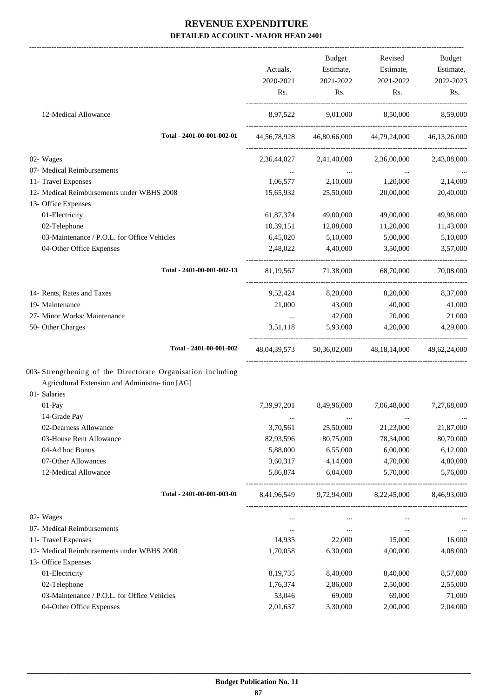-------------------------------------------------------------------------------------------------------------------------------------------------------------------------------

|                                                              | Actuals,         | Budget<br>Estimate,                                   | Revised<br>Estimate,                                | <b>Budget</b><br>Estimate, |
|--------------------------------------------------------------|------------------|-------------------------------------------------------|-----------------------------------------------------|----------------------------|
|                                                              | 2020-2021<br>Rs. | 2021-2022<br>Rs.                                      | 2021-2022<br>Rs.                                    | 2022-2023<br>Rs.           |
| 12-Medical Allowance                                         |                  |                                                       | 8,97,522 9,01,000 8,50,000 8,59,000                 |                            |
| Total - 2401-00-001-002-01                                   |                  |                                                       | 44,56,78,928 46,80,66,000 44,79,24,000 46,13,26,000 |                            |
| 02- Wages                                                    | 2,36,44,027      |                                                       | 2,41,40,000 2,36,00,000 2,43,08,000                 |                            |
| 07- Medical Reimbursements                                   |                  | <b>Section</b> 1997                                   |                                                     |                            |
| 11- Travel Expenses                                          |                  |                                                       | $1,06,577$ $2,10,000$ $1,20,000$                    | 2,14,000                   |
| 12- Medical Reimbursements under WBHS 2008                   | 15,65,932        | 25,50,000                                             | 20,00,000                                           | 20,40,000                  |
| 13- Office Expenses                                          |                  |                                                       |                                                     |                            |
| 01-Electricity                                               | 61,87,374        | 49,00,000                                             | 49,00,000                                           | 49,98,000                  |
| 02-Telephone                                                 | 10,39,151        | 12,88,000                                             | 11,20,000                                           | 11,43,000                  |
| 03-Maintenance / P.O.L. for Office Vehicles                  |                  | 6,45,020 5,10,000                                     | 5,00,000                                            | 5,10,000                   |
| 04-Other Office Expenses                                     | 2,48,022         | 4,40,000                                              | 3,50,000                                            | 3,57,000                   |
| Total - 2401-00-001-002-13                                   |                  | 81,19,567 71,38,000                                   | 68,70,000                                           | 70,08,000                  |
| 14- Rents, Rates and Taxes                                   |                  | 9,52,424 8,20,000                                     | 8,20,000                                            | 8,37,000                   |
| 19- Maintenance                                              | 21,000           | 43,000                                                | 40,000                                              | 41,000                     |
| 27- Minor Works/ Maintenance                                 |                  | 42,000                                                | 20,000                                              | 21,000                     |
| 50- Other Charges                                            |                  | 3,51,118 5,93,000 4,20,000                            |                                                     | 4,29,000                   |
| Total - 2401-00-001-002                                      |                  |                                                       | 48,04,39,573 50,36,02,000 48,18,14,000 49,62,24,000 |                            |
| 003- Strengthening of the Directorate Organisation including |                  |                                                       |                                                     |                            |
| Agricultural Extension and Administra- tion [AG]             |                  |                                                       |                                                     |                            |
| 01- Salaries                                                 |                  |                                                       |                                                     |                            |
| 01-Pay                                                       |                  | 7,39,97,201 8,49,96,000                               | 7,06,48,000                                         | 7,27,68,000                |
| 14-Grade Pay                                                 | $\cdots$         | $\cdots$                                              | $\cdots$                                            |                            |
| 02-Dearness Allowance                                        | 3,70,561         | 25,50,000                                             | 21,23,000                                           | 21,87,000                  |
| 03-House Rent Allowance                                      | 82,93,596        | 80,75,000                                             | 78,34,000                                           | 80,70,000                  |
| 04-Ad hoc Bonus                                              | 5,88,000         | 6,55,000                                              | 6,00,000                                            | 6,12,000                   |
| 07-Other Allowances                                          | 3,60,317         | 4,14,000                                              | 4,70,000                                            | 4,80,000                   |
| 12-Medical Allowance                                         | 5,86,874         | 6,04,000                                              | 5,70,000                                            | 5,76,000                   |
| Total - 2401-00-001-003-01                                   | 8,41,96,549      | --------------------------------------<br>9,72,94,000 | 8,22,45,000                                         | 8,46,93,000                |
| 02- Wages                                                    | $\cdots$         | $\cdots$                                              | $\cdots$                                            |                            |
| 07- Medical Reimbursements                                   | $\cdots$         | $\cdots$                                              | $\cdots$                                            | $\cdots$                   |
| 11- Travel Expenses                                          | 14,935           | 22,000                                                | 15,000                                              | 16,000                     |
| 12- Medical Reimbursements under WBHS 2008                   | 1,70,058         | 6,30,000                                              | 4,00,000                                            | 4,08,000                   |
| 13- Office Expenses                                          |                  |                                                       |                                                     |                            |
| 01-Electricity                                               | 8, 19, 735       | 8,40,000                                              | 8,40,000                                            | 8,57,000                   |
| 02-Telephone                                                 | 1,76,374         | 2,86,000                                              | 2,50,000                                            | 2,55,000                   |
| 03-Maintenance / P.O.L. for Office Vehicles                  | 53,046           | 69,000                                                | 69,000                                              | 71,000                     |
| 04-Other Office Expenses                                     | 2,01,637         | 3,30,000                                              | 2,00,000                                            | 2,04,000                   |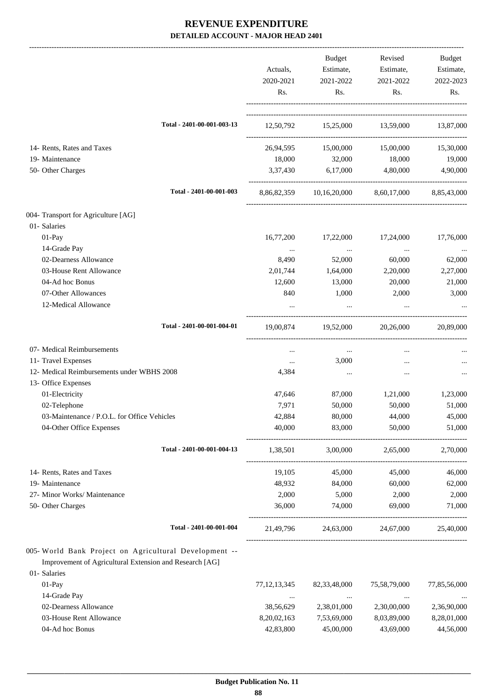|                                                         | Actuals,        | <b>Budget</b><br>Estimate,                       | Revised<br>Estimate, | Budget<br>Estimate, |
|---------------------------------------------------------|-----------------|--------------------------------------------------|----------------------|---------------------|
|                                                         | 2020-2021       | 2021-2022                                        | 2021-2022            | 2022-2023           |
|                                                         | Rs.             | Rs.                                              | Rs.                  | Rs.                 |
| Total - 2401-00-001-003-13                              |                 | 12,50,792 15,25,000 13,59,000 13,87,000          |                      |                     |
| 14- Rents, Rates and Taxes                              | 26,94,595       | 15,00,000                                        | 15,00,000            | 15,30,000           |
| 19- Maintenance                                         | 18,000          | 32,000                                           | 18,000               | 19,000              |
| 50- Other Charges                                       | 3,37,430        | 6,17,000                                         | 4,80,000             | 4,90,000            |
|                                                         |                 |                                                  |                      |                     |
| Total - 2401-00-001-003                                 |                 | 8,86,82,359 10,16,20,000 8,60,17,000 8,85,43,000 |                      |                     |
| 004- Transport for Agriculture [AG]                     |                 |                                                  |                      |                     |
| 01- Salaries                                            |                 |                                                  |                      |                     |
| 01-Pay                                                  | 16,77,200       | 17,22,000                                        | 17,24,000            | 17,76,000           |
| 14-Grade Pay                                            | $\cdots$        | $\cdots$                                         | $\ldots$             |                     |
| 02-Dearness Allowance                                   | 8,490           | 52,000                                           | 60,000               | 62,000              |
| 03-House Rent Allowance                                 | 2,01,744        | 1,64,000                                         | 2,20,000             | 2,27,000            |
| 04-Ad hoc Bonus                                         | 12,600          | 13,000                                           | 20,000               | 21,000              |
| 07-Other Allowances                                     | 840             | 1,000                                            | 2,000                | 3,000               |
| 12-Medical Allowance                                    |                 |                                                  |                      |                     |
| Total - 2401-00-001-004-01                              | 19,00,874       | 19,52,000                                        | 20,26,000            | 20,89,000           |
| 07- Medical Reimbursements                              | $\cdots$        | $\ldots$                                         | $\cdots$             |                     |
| 11- Travel Expenses                                     | $\ldots$        | 3,000                                            | $\cdots$             |                     |
| 12- Medical Reimbursements under WBHS 2008              | 4,384           | $\cdots$                                         | $\cdots$             |                     |
| 13- Office Expenses                                     |                 |                                                  |                      |                     |
| 01-Electricity                                          | 47,646          | 87,000                                           | 1,21,000             | 1,23,000            |
| 02-Telephone                                            | 7,971           | 50,000                                           | 50,000               | 51,000              |
| 03-Maintenance / P.O.L. for Office Vehicles             | 42,884          | 80,000                                           | 44,000               | 45,000              |
| 04-Other Office Expenses                                | 40,000          | 83,000                                           | 50,000               | 51,000              |
| Total - 2401-00-001-004-13                              | 1,38,501        |                                                  | 3,00,000 2,65,000    | 2,70,000            |
| 14- Rents, Rates and Taxes                              | 19,105          | 45,000                                           | 45,000               | 46,000              |
| 19- Maintenance                                         | 48,932          | 84,000                                           | 60,000               | 62,000              |
| 27- Minor Works/ Maintenance                            | 2,000           | 5,000                                            | 2,000                | 2,000               |
| 50- Other Charges                                       | 36,000          | 74,000                                           | 69,000               | 71,000              |
| Total - 2401-00-001-004                                 |                 | 21,49,796 24,63,000 24,67,000                    |                      | 25,40,000           |
| 005- World Bank Project on Agricultural Development --  |                 |                                                  |                      |                     |
| Improvement of Agricultural Extension and Research [AG] |                 |                                                  |                      |                     |
| 01- Salaries                                            |                 |                                                  |                      |                     |
| 01-Pay                                                  | 77, 12, 13, 345 | 82, 33, 48, 000                                  | 75,58,79,000         | 77,85,56,000        |
| 14-Grade Pay                                            | $\cdots$        | $\cdots$                                         | $\ldots$             |                     |
| 02-Dearness Allowance                                   | 38,56,629       | 2,38,01,000                                      | 2,30,00,000          | 2,36,90,000         |
| 03-House Rent Allowance                                 | 8,20,02,163     | 7,53,69,000                                      | 8,03,89,000          | 8,28,01,000         |
| 04-Ad hoc Bonus                                         | 42,83,800       | 45,00,000                                        | 43,69,000            | 44,56,000           |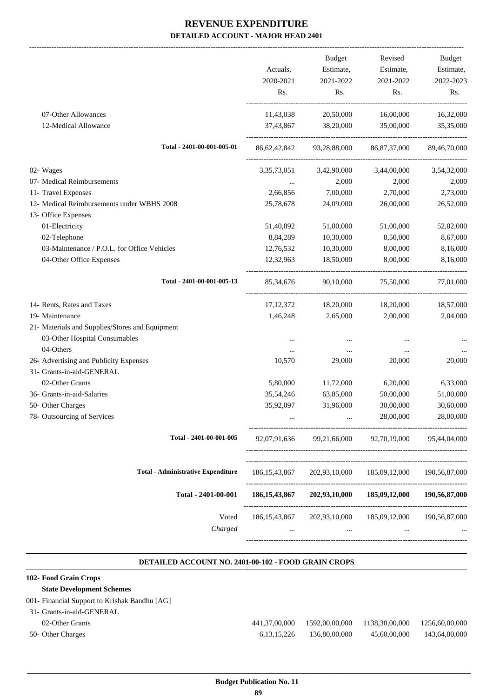-------------------------------------------------------------------------------------------------------------------------------------------------------------------------------

|                                                 | Actuals,<br>2020-2021<br>Rs. | <b>Budget</b><br>Estimate,<br>2021-2022<br>Rs. | Revised<br>Estimate,<br>2021-2022<br>Rs. | <b>Budget</b><br>Estimate,<br>2022-2023<br>Rs. |
|-------------------------------------------------|------------------------------|------------------------------------------------|------------------------------------------|------------------------------------------------|
| 07-Other Allowances<br>12-Medical Allowance     | 11,43,038<br>37,43,867       | 20,50,000<br>38,20,000                         | 16,00,000<br>35,00,000                   | 16,32,000<br>35,35,000                         |
| Total - 2401-00-001-005-01                      | 86,62,42,842                 | 93,28,88,000                                   | 86, 87, 37, 000                          | 89,46,70,000                                   |
| 02- Wages                                       | 3, 35, 73, 051               | 3,42,90,000                                    | 3,44,00,000                              | 3,54,32,000                                    |
| 07- Medical Reimbursements                      |                              | 2,000                                          | 2,000                                    | 2,000                                          |
| 11- Travel Expenses                             | 2,66,856                     | 7,00,000                                       | 2,70,000                                 | 2,73,000                                       |
| 12- Medical Reimbursements under WBHS 2008      | 25,78,678                    | 24,09,000                                      | 26,00,000                                | 26,52,000                                      |
| 13- Office Expenses                             |                              |                                                |                                          |                                                |
| 01-Electricity                                  | 51,40,892                    | 51,00,000                                      | 51,00,000                                | 52,02,000                                      |
| 02-Telephone                                    | 8,84,289                     | 10,30,000                                      | 8,50,000                                 | 8,67,000                                       |
| 03-Maintenance / P.O.L. for Office Vehicles     | 12,76,532                    | 10,30,000                                      | 8,00,000                                 | 8,16,000                                       |
| 04-Other Office Expenses                        | 12,32,963                    | 18,50,000                                      | 8,00,000                                 | 8,16,000                                       |
| Total - 2401-00-001-005-13                      | 85, 34, 676                  | 90.10.000                                      | 75,50,000                                | 77,01,000                                      |
| 14- Rents, Rates and Taxes                      | 17, 12, 372                  | 18,20,000                                      | 18,20,000                                | 18,57,000                                      |
| 19- Maintenance                                 | 1,46,248                     | 2,65,000                                       | 2,00,000                                 | 2,04,000                                       |
| 21- Materials and Supplies/Stores and Equipment |                              |                                                |                                          |                                                |
| 03-Other Hospital Consumables                   | $\cdots$                     | $\cdots$                                       |                                          |                                                |
| 04-Others                                       | $\cdots$                     | $\cdots$                                       | $\cdots$                                 |                                                |
| 26- Advertising and Publicity Expenses          | 10,570                       | 29,000                                         | 20,000                                   | 20,000                                         |
| 31- Grants-in-aid-GENERAL                       |                              |                                                |                                          |                                                |
| 02-Other Grants                                 | 5,80,000                     | 11,72,000                                      | 6,20,000                                 | 6,33,000                                       |
| 36- Grants-in-aid-Salaries                      | 35,54,246                    | 63,85,000                                      | 50,00,000                                | 51,00,000                                      |
| 50- Other Charges                               | 35,92,097                    | 31,96,000                                      | 30,00,000                                | 30,60,000                                      |
| 78- Outsourcing of Services                     | $\ddotsc$                    | $\cdots$                                       | 28,00,000                                | 28,00,000                                      |
| Total - 2401-00-001-005                         | 92,07,91,636                 | 99,21,66,000                                   | 92,70,19,000                             | 95,44,04,000                                   |
| <b>Total - Administrative Expenditure</b>       | 186, 15, 43, 867             | 202,93,10,000                                  | 185,09,12,000                            | 190, 56, 87, 000                               |
| Total - 2401-00-001                             | 186, 15, 43, 867             | 202,93,10,000                                  | 185,09,12,000                            | 190,56,87,000                                  |
| Voted<br>Charged                                | 186, 15, 43, 867             | 202,93,10,000                                  | 185,09,12,000 190,56,87,000              |                                                |

#### **DETAILED ACCOUNT NO. 2401-00-102 - FOOD GRAIN CROPS .**

.

| 102- Food Grain Crops                         |                |                |                |                |
|-----------------------------------------------|----------------|----------------|----------------|----------------|
| <b>State Development Schemes</b>              |                |                |                |                |
| 001- Financial Support to Krishak Bandhu [AG] |                |                |                |                |
| 31- Grants-in-aid-GENERAL                     |                |                |                |                |
| 02-Other Grants                               | 441,37,00,000  | 1592,00,00,000 | 1138,30,00,000 | 1256,60,00,000 |
| 50- Other Charges                             | 6, 13, 15, 226 | 136,80,00,000  | 45,60,00,000   | 143,64,00,000  |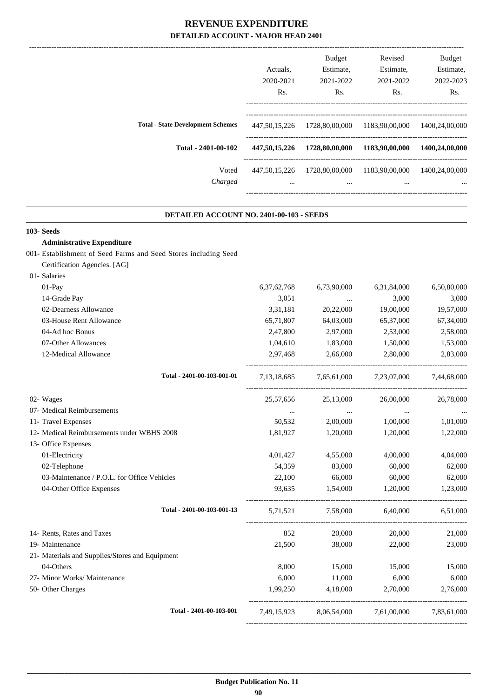|                                          | Actuals.<br>2020-2021<br>R <sub>s</sub> . | <b>Budget</b><br>Estimate,<br>2021-2022<br>Rs. | Revised<br>Estimate,<br>2021-2022<br>Rs. | <b>Budget</b><br>Estimate.<br>2022-2023<br>Rs. |
|------------------------------------------|-------------------------------------------|------------------------------------------------|------------------------------------------|------------------------------------------------|
| <b>Total - State Development Schemes</b> | 447, 50, 15, 226                          | 1728,80,00,000                                 | 1183,90,00,000                           | 1400,24,00,000                                 |
| Total - 2401-00-102                      | 447,50,15,226                             | 1728,80,00,000                                 | 1183,90,00,000                           | 1400,24,00,000                                 |
| Voted<br>Charged                         | 447, 50, 15, 226<br>$\cdots$              | 1728,80,00,000<br>$\cdots$                     | 1183,90,00,000<br>$\cdots$               | 1400,24,00,000<br>$\cdots$                     |

.

#### **DETAILED ACCOUNT NO. 2401-00-103 - SEEDS .**

| 103-Seeds                                                       |                |               |                         |             |
|-----------------------------------------------------------------|----------------|---------------|-------------------------|-------------|
| <b>Administrative Expenditure</b>                               |                |               |                         |             |
| 001- Establishment of Seed Farms and Seed Stores including Seed |                |               |                         |             |
| Certification Agencies. [AG]                                    |                |               |                         |             |
| 01- Salaries                                                    |                |               |                         |             |
| 01-Pay                                                          | 6, 37, 62, 768 | 6,73,90,000   | 6,31,84,000             | 6,50,80,000 |
| 14-Grade Pay                                                    | 3,051          | $\cdots$      | 3,000                   | 3,000       |
| 02-Dearness Allowance                                           | 3,31,181       | 20,22,000     | 19,00,000               | 19,57,000   |
| 03-House Rent Allowance                                         | 65,71,807      | 64,03,000     | 65,37,000               | 67,34,000   |
| 04-Ad hoc Bonus                                                 | 2,47,800       | 2,97,000      | 2,53,000                | 2,58,000    |
| 07-Other Allowances                                             | 1,04,610       | 1,83,000      | 1,50,000                | 1,53,000    |
| 12-Medical Allowance                                            | 2,97,468       | 2,66,000      | 2,80,000                | 2,83,000    |
| Total - 2401-00-103-001-01                                      | 7, 13, 18, 685 |               | 7,65,61,000 7,23,07,000 | 7,44,68,000 |
| 02- Wages                                                       | 25,57,656      | 25,13,000     | 26,00,000               | 26,78,000   |
| 07- Medical Reimbursements                                      | $\sim$         | $\sim$ $\sim$ | $\sim$                  |             |
| 11- Travel Expenses                                             | 50,532         | 2,00,000      | 1,00,000                | 1,01,000    |
| 12- Medical Reimbursements under WBHS 2008                      | 1,81,927       | 1,20,000      | 1,20,000                | 1,22,000    |
| 13- Office Expenses                                             |                |               |                         |             |
| 01-Electricity                                                  | 4,01,427       | 4,55,000      | 4,00,000                | 4,04,000    |
| 02-Telephone                                                    | 54,359         | 83,000        | 60,000                  | 62,000      |
| 03-Maintenance / P.O.L. for Office Vehicles                     | 22,100         | 66,000        | 60,000                  | 62,000      |
| 04-Other Office Expenses                                        | 93,635         | 1,54,000      | 1,20,000                | 1,23,000    |
| Total - 2401-00-103-001-13                                      | 5,71,521       | 7,58,000      | 6,40,000                | 6,51,000    |
| 14- Rents, Rates and Taxes                                      | 852            | 20,000        | 20,000                  | 21,000      |
| 19- Maintenance                                                 | 21,500         | 38,000        | 22,000                  | 23,000      |
| 21- Materials and Supplies/Stores and Equipment                 |                |               |                         |             |
| 04-Others                                                       | 8,000          | 15,000        | 15,000                  | 15,000      |
| 27- Minor Works/ Maintenance                                    | 6,000          | 11,000        | 6,000                   | 6,000       |
| 50- Other Charges                                               | 1,99,250       | 4,18,000      | 2,70,000                | 2,76,000    |
| Total - 2401-00-103-001                                         | 7.49.15.923    |               | 8,06,54,000 7,61,00,000 | 7,83,61,000 |
|                                                                 |                |               |                         |             |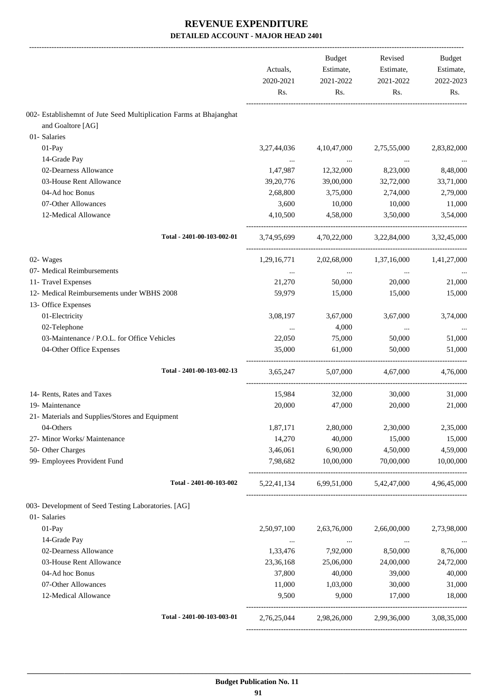|                                                                    | Actuals,<br>2020-2021<br>Rs. | <b>Budget</b><br>Estimate,<br>2021-2022<br>Rs. | Revised<br>Estimate,<br>2021-2022<br>Rs. | <b>Budget</b><br>Estimate,<br>2022-2023<br>Rs. |
|--------------------------------------------------------------------|------------------------------|------------------------------------------------|------------------------------------------|------------------------------------------------|
| 002- Establishemnt of Jute Seed Multiplication Farms at Bhajanghat |                              |                                                |                                          |                                                |
| and Goaltore [AG]                                                  |                              |                                                |                                          |                                                |
| 01- Salaries                                                       |                              |                                                |                                          |                                                |
| 01-Pay                                                             | 3,27,44,036                  | 4, 10, 47, 000                                 | 2,75,55,000                              | 2,83,82,000                                    |
| 14-Grade Pay                                                       |                              | $\ldots$                                       | $\cdots$                                 |                                                |
| 02-Dearness Allowance                                              | 1,47,987                     | 12,32,000                                      | 8,23,000                                 | 8,48,000                                       |
| 03-House Rent Allowance                                            | 39, 20, 776                  | 39,00,000                                      | 32,72,000                                | 33,71,000                                      |
| 04-Ad hoc Bonus                                                    | 2,68,800                     | 3,75,000                                       | 2,74,000                                 | 2,79,000                                       |
| 07-Other Allowances                                                | 3,600                        | 10,000                                         | 10,000                                   | 11,000                                         |
| 12-Medical Allowance                                               | 4,10,500                     | 4,58,000                                       | 3,50,000                                 | 3,54,000                                       |
| Total - 2401-00-103-002-01                                         | 3.74.95.699                  | 4,70,22,000                                    | 3,22,84,000                              | 3,32,45,000                                    |
| 02- Wages                                                          | 1,29,16,771                  | 2,02,68,000                                    | 1,37,16,000                              | 1,41,27,000                                    |
| 07- Medical Reimbursements                                         | $\cdots$                     | $\ldots$                                       | $\cdots$                                 |                                                |
| 11- Travel Expenses                                                | 21,270                       | 50,000                                         | 20,000                                   | 21,000                                         |
| 12- Medical Reimbursements under WBHS 2008                         | 59,979                       | 15,000                                         | 15,000                                   | 15,000                                         |
| 13- Office Expenses                                                |                              |                                                |                                          |                                                |
| 01-Electricity                                                     | 3,08,197                     | 3,67,000                                       | 3,67,000                                 | 3,74,000                                       |
| 02-Telephone                                                       | $\cdots$                     | 4,000                                          | $\cdots$                                 |                                                |
| 03-Maintenance / P.O.L. for Office Vehicles                        | 22,050                       | 75,000                                         | 50,000                                   | 51,000                                         |
| 04-Other Office Expenses                                           | 35,000                       | 61,000                                         | 50,000                                   | 51,000                                         |
| Total - 2401-00-103-002-13                                         | 3,65,247                     | 5,07,000                                       | 4,67,000                                 | 4,76,000                                       |
| 14- Rents, Rates and Taxes                                         | 15,984                       | 32,000                                         | 30,000                                   | 31,000                                         |
| 19- Maintenance                                                    | 20,000                       | 47,000                                         | 20,000                                   | 21,000                                         |
| 21- Materials and Supplies/Stores and Equipment                    |                              |                                                |                                          |                                                |
| 04-Others                                                          | 1,87,171                     | 2,80,000                                       | 2,30,000                                 | 2,35,000                                       |
| 27- Minor Works/ Maintenance                                       | 14,270                       | 40,000                                         | 15,000                                   | 15,000                                         |
| 50- Other Charges                                                  | 3,46,061                     | 6,90,000                                       | 4,50,000                                 | 4,59,000                                       |
| 99- Employees Provident Fund                                       | 7,98,682                     | 10,00,000                                      | 70,00,000                                | 10,00,000                                      |
| Total - 2401-00-103-002                                            |                              | 5,22,41,134 6,99,51,000                        | 5,42,47,000                              | 4,96,45,000                                    |
| 003- Development of Seed Testing Laboratories. [AG]                |                              |                                                |                                          |                                                |
| 01- Salaries                                                       |                              |                                                |                                          |                                                |
| 01-Pay                                                             | 2,50,97,100                  | 2,63,76,000                                    | 2,66,00,000                              | 2,73,98,000                                    |
| 14-Grade Pay                                                       | $\ldots$                     | $\sim$ $\sim$                                  | $\ldots$                                 |                                                |
| 02-Dearness Allowance                                              | 1,33,476                     | 7,92,000                                       | 8,50,000                                 | 8,76,000                                       |
| 03-House Rent Allowance                                            | 23,36,168                    | 25,06,000                                      | 24,00,000                                | 24,72,000                                      |
| 04-Ad hoc Bonus                                                    | 37,800                       | 40,000                                         | 39,000                                   | 40,000                                         |
| 07-Other Allowances                                                | 11,000                       | 1,03,000                                       | 30,000                                   | 31,000                                         |
| 12-Medical Allowance                                               | 9,500                        | 9,000                                          | 17,000                                   | 18,000                                         |
| Total - 2401-00-103-003-01                                         | 2,76,25,044                  | 2,98,26,000                                    | 2,99,36,000                              | 3,08,35,000                                    |
|                                                                    |                              |                                                |                                          |                                                |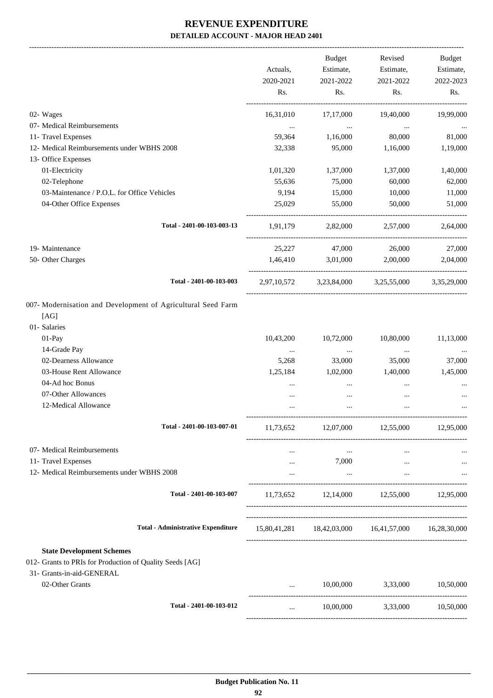|                                                                                              |           | Budget            | Revised                                             | Budget               |
|----------------------------------------------------------------------------------------------|-----------|-------------------|-----------------------------------------------------|----------------------|
|                                                                                              | Actuals,  | Estimate,         | Estimate,                                           | Estimate,            |
|                                                                                              | 2020-2021 | 2021-2022         | 2021-2022                                           | 2022-2023            |
|                                                                                              | Rs.       | Rs.               | Rs.                                                 | Rs.                  |
| 02- Wages                                                                                    | 16,31,010 | 17,17,000         | 19,40,000                                           | 19,99,000            |
| 07- Medical Reimbursements                                                                   | $\cdots$  | $\ldots$          | $\cdots$                                            |                      |
| 11- Travel Expenses                                                                          | 59,364    | 1,16,000          | 80,000                                              | 81,000               |
| 12- Medical Reimbursements under WBHS 2008                                                   | 32,338    | 95,000            | 1,16,000                                            | 1,19,000             |
| 13- Office Expenses                                                                          |           |                   |                                                     |                      |
| 01-Electricity                                                                               | 1,01,320  | 1,37,000          | 1,37,000                                            | 1,40,000             |
| 02-Telephone                                                                                 | 55,636    | 75,000            | 60,000                                              | 62,000               |
| 03-Maintenance / P.O.L. for Office Vehicles                                                  | 9,194     | 15,000            | 10,000                                              | 11,000               |
| 04-Other Office Expenses                                                                     | 25,029    | 55,000            | 50,000                                              | 51,000               |
| Total - 2401-00-103-003-13                                                                   |           |                   | 1,91,179 2,82,000 2,57,000                          | 2,64,000             |
| 19- Maintenance                                                                              | 25,227    | 47,000            | 26,000                                              | 27,000               |
| 50- Other Charges                                                                            |           | 1,46,410 3,01,000 | 2,00,000                                            | 2,04,000             |
|                                                                                              |           |                   |                                                     |                      |
| Total - 2401-00-103-003                                                                      |           |                   | 2,97,10,572 3,23,84,000 3,25,55,000 3,35,29,000     |                      |
| 007- Modernisation and Development of Agricultural Seed Farm                                 |           |                   |                                                     |                      |
| [AG]                                                                                         |           |                   |                                                     |                      |
| 01- Salaries                                                                                 |           |                   |                                                     |                      |
| 01-Pay                                                                                       | 10,43,200 | 10,72,000         | 10,80,000                                           | 11,13,000            |
| 14-Grade Pay                                                                                 | $\cdots$  | $\ldots$          | $\cdots$                                            |                      |
| 02-Dearness Allowance                                                                        | 5,268     | 33,000            | 35,000                                              | 37,000               |
| 03-House Rent Allowance                                                                      | 1,25,184  | 1,02,000          | 1,40,000                                            | 1,45,000             |
| 04-Ad hoc Bonus                                                                              |           | $\cdots$          | $\cdots$                                            |                      |
| 07-Other Allowances                                                                          |           |                   |                                                     |                      |
| 12-Medical Allowance                                                                         |           |                   |                                                     |                      |
| Total - 2401-00-103-007-01                                                                   | 11,73,652 |                   | 12,07,000 12,55,000 12,95,000                       |                      |
| 07- Medical Reimbursements                                                                   |           |                   |                                                     |                      |
| 11- Travel Expenses                                                                          | $\cdots$  | $\cdots$<br>7,000 | $\cdots$                                            |                      |
| 12- Medical Reimbursements under WBHS 2008                                                   | $\cdots$  | $\ldots$          | $\cdots$<br>$\cdots$                                | $\cdots$<br>$\cdots$ |
|                                                                                              |           |                   |                                                     |                      |
| Total - 2401-00-103-007                                                                      |           |                   | $11,73,652$ $12,14,000$ $12,55,000$ $12,95,000$     |                      |
| <b>Total - Administrative Expenditure</b>                                                    |           |                   | 15,80,41,281 18,42,03,000 16,41,57,000 16,28,30,000 |                      |
|                                                                                              |           |                   |                                                     |                      |
| <b>State Development Schemes</b><br>012- Grants to PRIs for Production of Quality Seeds [AG] |           |                   |                                                     |                      |
| 31- Grants-in-aid-GENERAL                                                                    |           |                   |                                                     |                      |
| 02-Other Grants                                                                              | $\cdots$  |                   | $10,00,000$ $3,33,000$ $10,50,000$                  |                      |
| Total - 2401-00-103-012                                                                      | $\cdots$  |                   | 10,00,000 3,33,000                                  | 10,50,000            |
|                                                                                              |           |                   |                                                     |                      |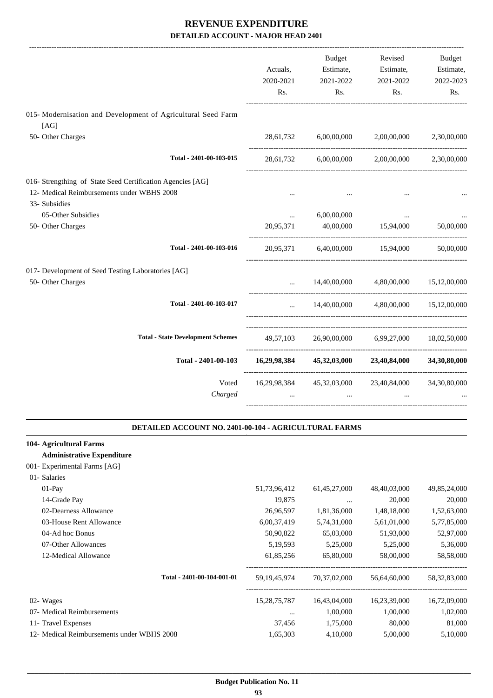|                                                                      | Actuals,       | Budget<br>Estimate, | Revised<br>Estimate,                   | Budget<br>Estimate, |
|----------------------------------------------------------------------|----------------|---------------------|----------------------------------------|---------------------|
|                                                                      | 2020-2021      | 2021-2022           | 2021-2022                              | 2022-2023           |
|                                                                      | Rs.            | Rs.                 | Rs.                                    | Rs.                 |
| 015- Modernisation and Development of Agricultural Seed Farm<br>[AG] |                |                     |                                        |                     |
| 50- Other Charges                                                    | 28,61,732      | 6,00,00,000         | 2,00,00,000                            | 2,30,00,000         |
| Total - 2401-00-103-015                                              |                |                     | 28,61,732 6,00,00,000 2,00,00,000      | 2,30,00,000         |
| 016- Strengthing of State Seed Certification Agencies [AG]           |                |                     |                                        |                     |
| 12- Medical Reimbursements under WBHS 2008                           |                |                     |                                        |                     |
| 33- Subsidies                                                        |                |                     |                                        |                     |
| 05-Other Subsidies                                                   | $\cdots$       | 6,00,00,000         |                                        |                     |
| 50- Other Charges                                                    | 20,95,371      | 40,00,000           | 15,94,000                              | 50,00,000           |
| Total - 2401-00-103-016                                              | 20,95,371      | 6,40,00,000         | 15,94,000                              | 50,00,000           |
| 017- Development of Seed Testing Laboratories [AG]                   |                |                     |                                        |                     |
| 50- Other Charges                                                    | $\cdots$       |                     | 14,40,00,000 4,80,00,000 15,12,00,000  |                     |
| Total - 2401-00-103-017                                              |                |                     | 14,40,00,000 4,80,00,000 15,12,00,000  |                     |
| <b>Total - State Development Schemes</b>                             |                |                     | 49,57,103 26,90,00,000 6,99,27,000     | 18,02,50,000        |
| Total - 2401-00-103                                                  | 16,29,98,384   | 45,32,03,000        | 23,40,84,000                           | 34,30,80,000        |
| Voted                                                                |                |                     | 16,29,98,384 45,32,03,000 23,40,84,000 | 34,30,80,000        |
| Charged                                                              | $\overline{a}$ | $\cdots$            | $\ddotsc$                              |                     |
|                                                                      |                |                     |                                        |                     |

#### **DETAILED ACCOUNT NO. 2401-00-104 - AGRICULTURAL FARMS .**

.

| 104- Agricultural Farms                    |                 |              |              |                 |
|--------------------------------------------|-----------------|--------------|--------------|-----------------|
| <b>Administrative Expenditure</b>          |                 |              |              |                 |
| 001- Experimental Farms [AG]               |                 |              |              |                 |
| 01- Salaries                               |                 |              |              |                 |
| $01-Pay$                                   | 51,73,96,412    | 61,45,27,000 | 48,40,03,000 | 49,85,24,000    |
| 14-Grade Pay                               | 19,875          | $\cdots$     | 20,000       | 20,000          |
| 02-Dearness Allowance                      | 26,96,597       | 1,81,36,000  | 1,48,18,000  | 1,52,63,000     |
| 03-House Rent Allowance                    | 6,00,37,419     | 5,74,31,000  | 5,61,01,000  | 5,77,85,000     |
| 04-Ad hoc Bonus                            | 50,90,822       | 65,03,000    | 51,93,000    | 52,97,000       |
| 07-Other Allowances                        | 5, 19, 593      | 5,25,000     | 5,25,000     | 5,36,000        |
| 12-Medical Allowance                       | 61,85,256       | 65,80,000    | 58,00,000    | 58,58,000       |
| Total - 2401-00-104-001-01                 | 59, 19, 45, 974 | 70,37,02,000 | 56,64,60,000 | 58, 32, 83, 000 |
| 02- Wages                                  | 15,28,75,787    | 16,43,04,000 | 16,23,39,000 | 16,72,09,000    |
| 07- Medical Reimbursements                 | $\cdots$        | 1,00,000     | 1,00,000     | 1,02,000        |
| 11- Travel Expenses                        | 37,456          | 1,75,000     | 80,000       | 81,000          |
| 12- Medical Reimbursements under WBHS 2008 | 1,65,303        | 4,10,000     | 5,00,000     | 5,10,000        |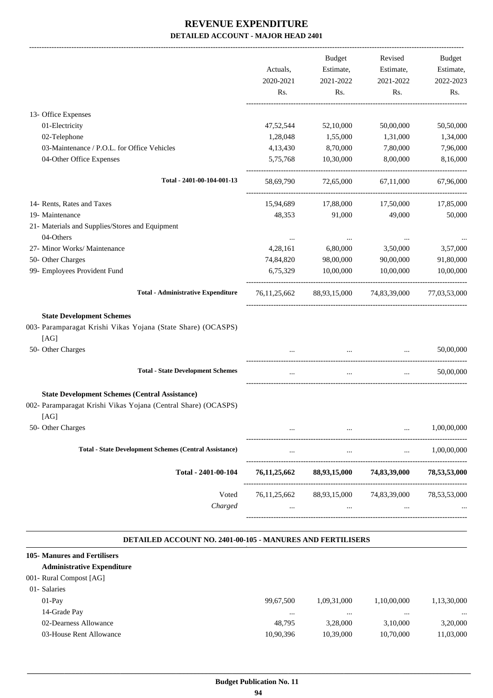|                                                                                                          |                              | Budget                   | Revised                   | Budget       |
|----------------------------------------------------------------------------------------------------------|------------------------------|--------------------------|---------------------------|--------------|
|                                                                                                          | Actuals,                     | Estimate,                | Estimate,                 | Estimate,    |
|                                                                                                          | 2020-2021                    | 2021-2022                | 2021-2022                 | 2022-2023    |
|                                                                                                          | Rs.                          | Rs.                      | Rs.                       | Rs.          |
| 13- Office Expenses                                                                                      |                              |                          |                           |              |
| 01-Electricity                                                                                           | 47,52,544                    | 52,10,000                | 50,00,000                 | 50,50,000    |
| 02-Telephone                                                                                             | 1,28,048                     | 1,55,000                 | 1,31,000                  | 1,34,000     |
| 03-Maintenance / P.O.L. for Office Vehicles                                                              | 4,13,430                     | 8,70,000                 | 7,80,000                  | 7,96,000     |
| 04-Other Office Expenses                                                                                 | 5,75,768                     | 10,30,000                | 8,00,000                  | 8,16,000     |
| Total - 2401-00-104-001-13                                                                               | 58,69,790                    | 72,65,000                | 67,11,000                 | 67,96,000    |
| 14- Rents, Rates and Taxes                                                                               | 15,94,689                    | 17,88,000                | 17,50,000                 | 17,85,000    |
| 19- Maintenance                                                                                          | 48,353                       | 91,000                   | 49,000                    | 50,000       |
| 21- Materials and Supplies/Stores and Equipment<br>04-Others                                             |                              |                          |                           |              |
| 27- Minor Works/ Maintenance                                                                             | $\cdots$<br>4,28,161         | $\cdots$<br>6,80,000     | $\ddotsc$<br>3,50,000     | 3,57,000     |
| 50- Other Charges                                                                                        | 74,84,820                    | 98,00,000                | 90,00,000                 | 91,80,000    |
| 99- Employees Provident Fund                                                                             | 6,75,329                     | 10,00,000                | 10,00,000                 | 10,00,000    |
| <b>Total - Administrative Expenditure</b>                                                                | 76, 11, 25, 662              |                          | 88,93,15,000 74,83,39,000 | 77,03,53,000 |
| <b>State Development Schemes</b><br>003- Paramparagat Krishi Vikas Yojana (State Share) (OCASPS)<br>[AG] |                              |                          |                           |              |
| 50- Other Charges                                                                                        |                              | $\ddotsc$                |                           | 50,00,000    |
| <b>Total - State Development Schemes</b>                                                                 | $\ldots$                     | $\ldots$                 | $\ddots$                  | 50,00,000    |
| <b>State Development Schemes (Central Assistance)</b>                                                    |                              |                          |                           |              |
| 002- Paramparagat Krishi Vikas Yojana (Central Share) (OCASPS)<br>[AG]                                   |                              |                          |                           |              |
| 50- Other Charges                                                                                        |                              |                          |                           | 1,00,00,000  |
| <b>Total - State Development Schemes (Central Assistance)</b>                                            |                              | $\cdots$                 |                           | 1,00,00,000  |
| Total - 2401-00-104                                                                                      | 76, 11, 25, 662              | 88,93,15,000             | 74,83,39,000              | 78,53,53,000 |
| Voted<br>Charged                                                                                         | 76, 11, 25, 662<br>$\ddotsc$ | 88,93,15,000<br>$\cdots$ | 74,83,39,000<br>$\ddotsc$ | 78,53,53,000 |
|                                                                                                          |                              |                          |                           |              |

#### **DETAILED ACCOUNT NO. 2401-00-105 - MANURES AND FERTILISERS .**

| 105- Manures and Fertilisers      |           |             |             |             |
|-----------------------------------|-----------|-------------|-------------|-------------|
| <b>Administrative Expenditure</b> |           |             |             |             |
| 001- Rural Compost [AG]           |           |             |             |             |
| 01- Salaries                      |           |             |             |             |
| $01-Pav$                          | 99.67.500 | 1,09,31,000 | 1,10,00,000 | 1,13,30,000 |
| 14-Grade Pay                      | $\cdots$  | $\cdots$    | $\cdots$    | $\cdots$    |
| 02-Dearness Allowance             | 48.795    | 3.28,000    | 3.10.000    | 3,20,000    |
| 03-House Rent Allowance           | 10,90,396 | 10,39,000   | 10,70,000   | 11,03,000   |
|                                   |           |             |             |             |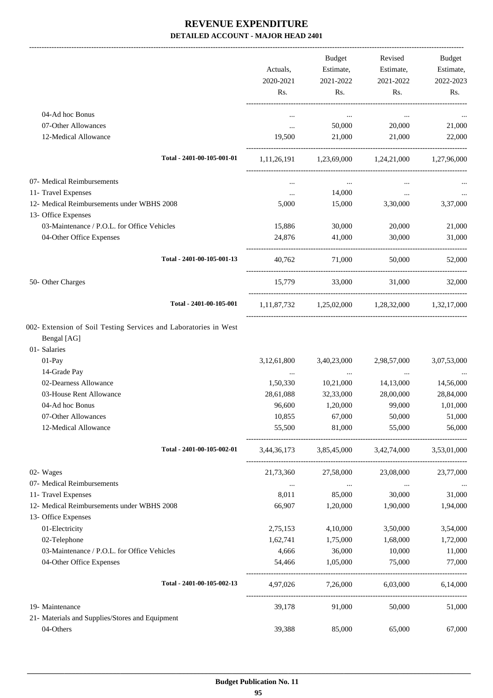|                                                                                 |             | Budget                     | Revised                                                 | Budget      |
|---------------------------------------------------------------------------------|-------------|----------------------------|---------------------------------------------------------|-------------|
|                                                                                 | Actuals,    | Estimate,                  | Estimate,                                               | Estimate,   |
|                                                                                 | 2020-2021   | 2021-2022                  | 2021-2022                                               | 2022-2023   |
|                                                                                 | Rs.         | Rs.                        | Rs.                                                     | Rs.         |
| 04-Ad hoc Bonus                                                                 | $\cdots$    | $\cdots$                   | $\cdots$                                                |             |
| 07-Other Allowances                                                             | $\cdots$    | 50,000                     | 20,000                                                  | 21,000      |
| 12-Medical Allowance                                                            | 19,500      | 21,000                     | 21,000                                                  | 22,000      |
| Total - 2401-00-105-001-01                                                      |             |                            | $1,11,26,191$ $1,23,69,000$ $1,24,21,000$ $1,27,96,000$ |             |
| 07- Medical Reimbursements                                                      | $\cdots$    | $\cdots$                   |                                                         |             |
| 11- Travel Expenses                                                             | $\cdots$    | 14,000                     | $\ldots$                                                |             |
| 12- Medical Reimbursements under WBHS 2008                                      | 5,000       | 15,000                     | 3,30,000                                                | 3,37,000    |
| 13- Office Expenses                                                             |             |                            |                                                         |             |
| 03-Maintenance / P.O.L. for Office Vehicles                                     | 15,886      | 30,000                     | 20,000                                                  | 21,000      |
| 04-Other Office Expenses                                                        | 24,876      | 41,000                     | 30,000                                                  | 31,000      |
| Total - 2401-00-105-001-13                                                      | 40.762      | 71,000                     | 50,000                                                  | 52,000      |
| 50- Other Charges                                                               | 15,779      | 33,000                     | 31,000                                                  | 32,000      |
| Total - 2401-00-105-001                                                         |             |                            | 1,11,87,732 1,25,02,000 1,28,32,000 1,32,17,000         |             |
| 002- Extension of Soil Testing Services and Laboratories in West<br>Bengal [AG] |             |                            |                                                         |             |
| 01- Salaries                                                                    |             |                            |                                                         |             |
| 01-Pay                                                                          | 3,12,61,800 | 3,40,23,000                | 2,98,57,000                                             | 3,07,53,000 |
| 14-Grade Pay                                                                    | $\cdots$    | $\cdots$                   | $\ldots$                                                |             |
| 02-Dearness Allowance                                                           | 1,50,330    | 10,21,000                  | 14,13,000                                               | 14,56,000   |
| 03-House Rent Allowance                                                         | 28,61,088   | 32,33,000                  | 28,00,000                                               | 28,84,000   |
| 04-Ad hoc Bonus                                                                 | 96,600      | 1,20,000                   | 99,000                                                  | 1,01,000    |
| 07-Other Allowances                                                             | 10,855      | 67,000                     | 50,000                                                  | 51,000      |
| 12-Medical Allowance                                                            | 55,500      | 81,000                     | 55,000                                                  | 56,000      |
| Total - 2401-00-105-002-01                                                      |             |                            | 3,44,36,173 3,85,45,000 3,42,74,000 3,53,01,000         |             |
| 02- Wages                                                                       | 21,73,360   | 27,58,000                  | 23,08,000                                               | 23,77,000   |
| 07- Medical Reimbursements                                                      | $\cdots$    | $\cdots$                   | $\cdots$                                                | $\cdots$    |
| 11- Travel Expenses                                                             | 8,011       | 85,000                     | 30,000                                                  | 31,000      |
| 12- Medical Reimbursements under WBHS 2008                                      | 66,907      | 1,20,000                   | 1,90,000                                                | 1,94,000    |
| 13- Office Expenses                                                             |             |                            |                                                         |             |
| 01-Electricity                                                                  | 2,75,153    | 4,10,000                   | 3,50,000                                                | 3,54,000    |
| 02-Telephone                                                                    | 1,62,741    | 1,75,000                   | 1,68,000                                                | 1,72,000    |
| 03-Maintenance / P.O.L. for Office Vehicles                                     | 4,666       | 36,000                     | 10,000                                                  | 11,000      |
| 04-Other Office Expenses                                                        | 54,466      | 1,05,000                   | 75,000                                                  | 77,000      |
| Total - 2401-00-105-002-13                                                      |             | 4,97,026 7,26,000 6,03,000 |                                                         | 6,14,000    |
| 19- Maintenance                                                                 | 39,178      | 91,000                     | 50,000                                                  | 51,000      |
| 21- Materials and Supplies/Stores and Equipment                                 |             |                            |                                                         |             |
| 04-Others                                                                       | 39,388      | 85,000                     | 65,000                                                  | 67,000      |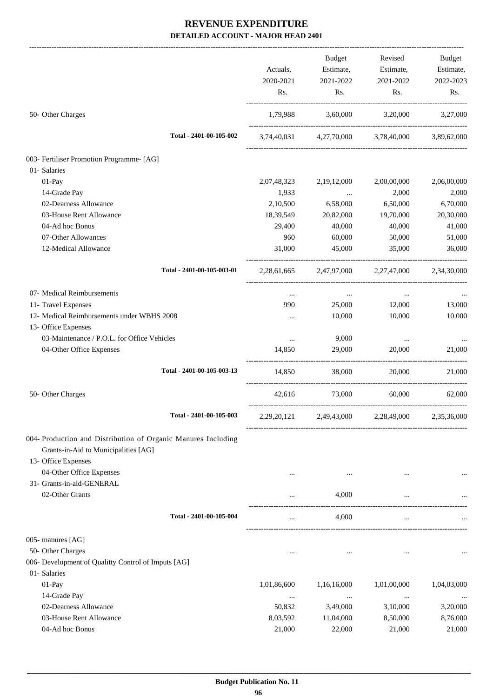|                                                               |             | Budget         | Revised                                         | Budget      |
|---------------------------------------------------------------|-------------|----------------|-------------------------------------------------|-------------|
|                                                               | Actuals,    | Estimate,      | Estimate,                                       | Estimate,   |
|                                                               | 2020-2021   | 2021-2022      | 2021-2022                                       | 2022-2023   |
|                                                               | Rs.         | Rs.            | Rs.                                             | Rs.         |
| 50- Other Charges                                             | 1,79,988    |                | 3,60,000 3,20,000 3,27,000                      |             |
| Total - 2401-00-105-002                                       |             |                | 3,74,40,031 4,27,70,000 3,78,40,000 3,89,62,000 |             |
| 003- Fertiliser Promotion Programme- [AG]                     |             |                |                                                 |             |
| 01- Salaries                                                  |             |                |                                                 |             |
| 01-Pay                                                        | 2,07,48,323 | 2, 19, 12, 000 | 2,00,00,000                                     | 2,06,00,000 |
| 14-Grade Pay                                                  | 1,933       | $\cdots$       | 2,000                                           | 2,000       |
| 02-Dearness Allowance                                         | 2,10,500    | 6,58,000       | 6,50,000                                        | 6,70,000    |
| 03-House Rent Allowance                                       | 18,39,549   | 20,82,000      | 19,70,000                                       | 20,30,000   |
| 04-Ad hoc Bonus                                               | 29,400      | 40,000         | 40,000                                          | 41,000      |
| 07-Other Allowances                                           | 960         | 60,000         | 50,000                                          | 51,000      |
| 12-Medical Allowance                                          | 31,000      | 45,000         | 35,000                                          | 36,000      |
| Total - 2401-00-105-003-01                                    |             |                | 2,28,61,665 2,47,97,000 2,27,47,000 2,34,30,000 |             |
| 07- Medical Reimbursements                                    | $\cdots$    | $\ldots$       | $\cdots$                                        |             |
| 11- Travel Expenses                                           | 990         | 25,000         | 12,000                                          | 13,000      |
| 12- Medical Reimbursements under WBHS 2008                    | $\cdots$    | 10,000         | 10,000                                          | 10,000      |
| 13- Office Expenses                                           |             |                |                                                 |             |
| 03-Maintenance / P.O.L. for Office Vehicles                   | $\cdots$    | 9,000          | $\cdots$                                        |             |
| 04-Other Office Expenses                                      | 14,850      | 29,000         | 20,000                                          | 21,000      |
| Total - 2401-00-105-003-13                                    | 14,850      | 38,000         | 20,000                                          | 21,000      |
| 50- Other Charges                                             | 42.616      | 73,000         | 60,000                                          | 62,000      |
| Total - 2401-00-105-003                                       |             |                | 2,29,20,121 2,49,43,000 2,28,49,000 2,35,36,000 |             |
| 004- Production and Distribution of Organic Manures Including |             |                |                                                 |             |
| Grants-in-Aid to Municipalities [AG]                          |             |                |                                                 |             |
| 13- Office Expenses                                           |             |                |                                                 |             |
| 04-Other Office Expenses                                      | $\cdots$    | $\cdots$       |                                                 |             |
| 31- Grants-in-aid-GENERAL                                     |             |                |                                                 |             |
| 02-Other Grants                                               |             | 4,000          |                                                 |             |
| Total - 2401-00-105-004                                       | $\ldots$    | 4,000          | $\ldots$                                        |             |
| 005- manures [AG]                                             |             |                |                                                 |             |
| 50- Other Charges                                             | $\cdots$    | $\cdots$       |                                                 |             |
| 006- Development of Qualitty Control of Imputs [AG]           |             |                |                                                 |             |
| 01- Salaries                                                  |             |                |                                                 |             |
| 01-Pay                                                        | 1,01,86,600 | 1,16,16,000    | 1,01,00,000                                     | 1,04,03,000 |
| 14-Grade Pay                                                  | $\cdots$    | $\ldots$       | $\cdots$                                        |             |
| 02-Dearness Allowance                                         | 50,832      | 3,49,000       | 3,10,000                                        | 3,20,000    |
| 03-House Rent Allowance                                       | 8,03,592    | 11,04,000      | 8,50,000                                        | 8,76,000    |
| 04-Ad hoc Bonus                                               | 21,000      | 22,000         | 21,000                                          | 21,000      |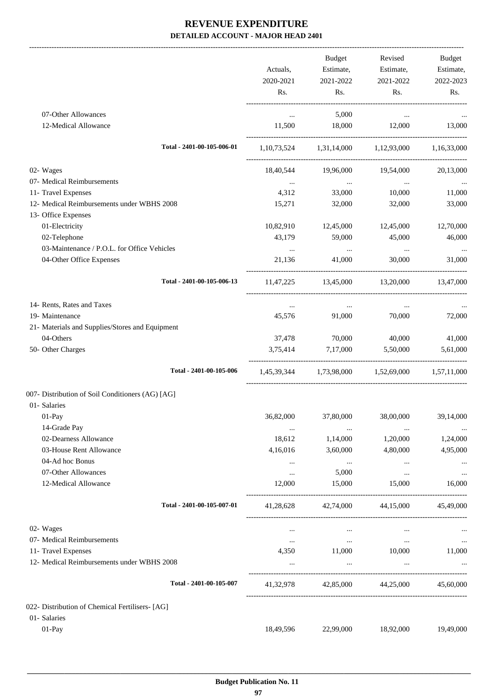| <b>Budget</b><br>Revised<br><b>Budget</b><br>Actuals,<br>Estimate,<br>Estimate,<br>Estimate,<br>2020-2021<br>2021-2022<br>2021-2022<br>Rs.<br>Rs.<br>Rs.<br>Rs.<br>07-Other Allowances<br>5,000<br>$\cdots$<br>$\cdots$<br>12-Medical Allowance<br>11,500<br>18,000<br>12,000<br>Total - 2401-00-105-006-01<br>$1,10,73,524$ $1,31,14,000$ $1,12,93,000$ $1,16,33,000$<br>02- Wages<br>18,40,544<br>19,96,000<br>19,54,000<br>07- Medical Reimbursements<br>$\cdots$<br>$\cdots$<br>$\cdots$<br>11- Travel Expenses<br>4,312<br>33,000<br>10,000<br>12- Medical Reimbursements under WBHS 2008<br>15,271<br>32,000<br>32,000<br>13- Office Expenses<br>01-Electricity<br>10,82,910<br>12,45,000<br>12,45,000<br>02-Telephone<br>43,179<br>59,000<br>45,000<br>03-Maintenance / P.O.L. for Office Vehicles<br>$\cdots$<br>$\cdots$<br>$\cdots$<br>04-Other Office Expenses<br>21.136<br>41,000<br>30,000<br>Total - 2401-00-105-006-13<br>13,45,000<br>13,20,000<br>11,47,225<br>14- Rents, Rates and Taxes<br>$\cdots$<br>$\cdots$<br>$\cdots$<br>19- Maintenance<br>70,000<br>45,576<br>91,000<br>21- Materials and Supplies/Stores and Equipment<br>04-Others<br>70,000<br>37,478<br>40,000<br>50- Other Charges<br>3,75,414<br>7,17,000<br>5,50,000<br>Total - 2401-00-105-006<br>1,45,39,344 1,73,98,000 1,52,69,000 1,57,11,000<br>01- Salaries<br>36,82,000<br>01-Pay<br>37,80,000<br>38,00,000<br>14-Grade Pay<br>$\cdots$<br>$\cdots$<br>$\cdots$<br>02-Dearness Allowance<br>18,612<br>1,20,000<br>1,14,000<br>03-House Rent Allowance<br>4,16,016<br>3,60,000<br>4,80,000<br>04-Ad hoc Bonus<br>$\sim 100$ and $\sim 100$<br>$\cdots$<br>$\cdots$<br>07-Other Allowances<br>5,000<br>$\cdots$<br>$\cdots$<br>12-Medical Allowance<br>12,000<br>15,000<br>15,000<br>Total - 2401-00-105-007-01<br>42,74,000<br>44,15,000<br>41,28,628<br>02- Wages<br>$\cdots$<br>$\ldots$<br>$\cdots$<br>07- Medical Reimbursements<br>$\ldots$<br>$\sim 100$ and $\sim 100$<br>$\ldots$<br>11,000 10,000<br>11- Travel Expenses<br>4,350<br>12- Medical Reimbursements under WBHS 2008<br>$\cdots$<br>$\cdots$<br>Total - 2401-00-105-007<br>42,85,000 44,25,000<br>41,32,978<br>01- Salaries<br>01-Pay<br>18,49,596<br>22,99,000<br>18,92,000 |                                                  |  |           |
|-------------------------------------------------------------------------------------------------------------------------------------------------------------------------------------------------------------------------------------------------------------------------------------------------------------------------------------------------------------------------------------------------------------------------------------------------------------------------------------------------------------------------------------------------------------------------------------------------------------------------------------------------------------------------------------------------------------------------------------------------------------------------------------------------------------------------------------------------------------------------------------------------------------------------------------------------------------------------------------------------------------------------------------------------------------------------------------------------------------------------------------------------------------------------------------------------------------------------------------------------------------------------------------------------------------------------------------------------------------------------------------------------------------------------------------------------------------------------------------------------------------------------------------------------------------------------------------------------------------------------------------------------------------------------------------------------------------------------------------------------------------------------------------------------------------------------------------------------------------------------------------------------------------------------------------------------------------------------------------------------------------------------------------------------------------------------------------------------------------------------------------------------------------------------------------------------------------------------------------------|--------------------------------------------------|--|-----------|
|                                                                                                                                                                                                                                                                                                                                                                                                                                                                                                                                                                                                                                                                                                                                                                                                                                                                                                                                                                                                                                                                                                                                                                                                                                                                                                                                                                                                                                                                                                                                                                                                                                                                                                                                                                                                                                                                                                                                                                                                                                                                                                                                                                                                                                           |                                                  |  |           |
|                                                                                                                                                                                                                                                                                                                                                                                                                                                                                                                                                                                                                                                                                                                                                                                                                                                                                                                                                                                                                                                                                                                                                                                                                                                                                                                                                                                                                                                                                                                                                                                                                                                                                                                                                                                                                                                                                                                                                                                                                                                                                                                                                                                                                                           |                                                  |  |           |
|                                                                                                                                                                                                                                                                                                                                                                                                                                                                                                                                                                                                                                                                                                                                                                                                                                                                                                                                                                                                                                                                                                                                                                                                                                                                                                                                                                                                                                                                                                                                                                                                                                                                                                                                                                                                                                                                                                                                                                                                                                                                                                                                                                                                                                           |                                                  |  | 2022-2023 |
|                                                                                                                                                                                                                                                                                                                                                                                                                                                                                                                                                                                                                                                                                                                                                                                                                                                                                                                                                                                                                                                                                                                                                                                                                                                                                                                                                                                                                                                                                                                                                                                                                                                                                                                                                                                                                                                                                                                                                                                                                                                                                                                                                                                                                                           |                                                  |  |           |
|                                                                                                                                                                                                                                                                                                                                                                                                                                                                                                                                                                                                                                                                                                                                                                                                                                                                                                                                                                                                                                                                                                                                                                                                                                                                                                                                                                                                                                                                                                                                                                                                                                                                                                                                                                                                                                                                                                                                                                                                                                                                                                                                                                                                                                           |                                                  |  |           |
|                                                                                                                                                                                                                                                                                                                                                                                                                                                                                                                                                                                                                                                                                                                                                                                                                                                                                                                                                                                                                                                                                                                                                                                                                                                                                                                                                                                                                                                                                                                                                                                                                                                                                                                                                                                                                                                                                                                                                                                                                                                                                                                                                                                                                                           |                                                  |  | 13,000    |
|                                                                                                                                                                                                                                                                                                                                                                                                                                                                                                                                                                                                                                                                                                                                                                                                                                                                                                                                                                                                                                                                                                                                                                                                                                                                                                                                                                                                                                                                                                                                                                                                                                                                                                                                                                                                                                                                                                                                                                                                                                                                                                                                                                                                                                           |                                                  |  |           |
|                                                                                                                                                                                                                                                                                                                                                                                                                                                                                                                                                                                                                                                                                                                                                                                                                                                                                                                                                                                                                                                                                                                                                                                                                                                                                                                                                                                                                                                                                                                                                                                                                                                                                                                                                                                                                                                                                                                                                                                                                                                                                                                                                                                                                                           |                                                  |  |           |
|                                                                                                                                                                                                                                                                                                                                                                                                                                                                                                                                                                                                                                                                                                                                                                                                                                                                                                                                                                                                                                                                                                                                                                                                                                                                                                                                                                                                                                                                                                                                                                                                                                                                                                                                                                                                                                                                                                                                                                                                                                                                                                                                                                                                                                           |                                                  |  | 20,13,000 |
|                                                                                                                                                                                                                                                                                                                                                                                                                                                                                                                                                                                                                                                                                                                                                                                                                                                                                                                                                                                                                                                                                                                                                                                                                                                                                                                                                                                                                                                                                                                                                                                                                                                                                                                                                                                                                                                                                                                                                                                                                                                                                                                                                                                                                                           |                                                  |  |           |
|                                                                                                                                                                                                                                                                                                                                                                                                                                                                                                                                                                                                                                                                                                                                                                                                                                                                                                                                                                                                                                                                                                                                                                                                                                                                                                                                                                                                                                                                                                                                                                                                                                                                                                                                                                                                                                                                                                                                                                                                                                                                                                                                                                                                                                           |                                                  |  | 11,000    |
|                                                                                                                                                                                                                                                                                                                                                                                                                                                                                                                                                                                                                                                                                                                                                                                                                                                                                                                                                                                                                                                                                                                                                                                                                                                                                                                                                                                                                                                                                                                                                                                                                                                                                                                                                                                                                                                                                                                                                                                                                                                                                                                                                                                                                                           |                                                  |  | 33,000    |
|                                                                                                                                                                                                                                                                                                                                                                                                                                                                                                                                                                                                                                                                                                                                                                                                                                                                                                                                                                                                                                                                                                                                                                                                                                                                                                                                                                                                                                                                                                                                                                                                                                                                                                                                                                                                                                                                                                                                                                                                                                                                                                                                                                                                                                           |                                                  |  |           |
|                                                                                                                                                                                                                                                                                                                                                                                                                                                                                                                                                                                                                                                                                                                                                                                                                                                                                                                                                                                                                                                                                                                                                                                                                                                                                                                                                                                                                                                                                                                                                                                                                                                                                                                                                                                                                                                                                                                                                                                                                                                                                                                                                                                                                                           |                                                  |  | 12,70,000 |
|                                                                                                                                                                                                                                                                                                                                                                                                                                                                                                                                                                                                                                                                                                                                                                                                                                                                                                                                                                                                                                                                                                                                                                                                                                                                                                                                                                                                                                                                                                                                                                                                                                                                                                                                                                                                                                                                                                                                                                                                                                                                                                                                                                                                                                           |                                                  |  | 46,000    |
|                                                                                                                                                                                                                                                                                                                                                                                                                                                                                                                                                                                                                                                                                                                                                                                                                                                                                                                                                                                                                                                                                                                                                                                                                                                                                                                                                                                                                                                                                                                                                                                                                                                                                                                                                                                                                                                                                                                                                                                                                                                                                                                                                                                                                                           |                                                  |  |           |
|                                                                                                                                                                                                                                                                                                                                                                                                                                                                                                                                                                                                                                                                                                                                                                                                                                                                                                                                                                                                                                                                                                                                                                                                                                                                                                                                                                                                                                                                                                                                                                                                                                                                                                                                                                                                                                                                                                                                                                                                                                                                                                                                                                                                                                           |                                                  |  | 31,000    |
|                                                                                                                                                                                                                                                                                                                                                                                                                                                                                                                                                                                                                                                                                                                                                                                                                                                                                                                                                                                                                                                                                                                                                                                                                                                                                                                                                                                                                                                                                                                                                                                                                                                                                                                                                                                                                                                                                                                                                                                                                                                                                                                                                                                                                                           |                                                  |  | 13,47,000 |
|                                                                                                                                                                                                                                                                                                                                                                                                                                                                                                                                                                                                                                                                                                                                                                                                                                                                                                                                                                                                                                                                                                                                                                                                                                                                                                                                                                                                                                                                                                                                                                                                                                                                                                                                                                                                                                                                                                                                                                                                                                                                                                                                                                                                                                           |                                                  |  |           |
|                                                                                                                                                                                                                                                                                                                                                                                                                                                                                                                                                                                                                                                                                                                                                                                                                                                                                                                                                                                                                                                                                                                                                                                                                                                                                                                                                                                                                                                                                                                                                                                                                                                                                                                                                                                                                                                                                                                                                                                                                                                                                                                                                                                                                                           |                                                  |  | 72,000    |
|                                                                                                                                                                                                                                                                                                                                                                                                                                                                                                                                                                                                                                                                                                                                                                                                                                                                                                                                                                                                                                                                                                                                                                                                                                                                                                                                                                                                                                                                                                                                                                                                                                                                                                                                                                                                                                                                                                                                                                                                                                                                                                                                                                                                                                           |                                                  |  |           |
|                                                                                                                                                                                                                                                                                                                                                                                                                                                                                                                                                                                                                                                                                                                                                                                                                                                                                                                                                                                                                                                                                                                                                                                                                                                                                                                                                                                                                                                                                                                                                                                                                                                                                                                                                                                                                                                                                                                                                                                                                                                                                                                                                                                                                                           |                                                  |  | 41,000    |
|                                                                                                                                                                                                                                                                                                                                                                                                                                                                                                                                                                                                                                                                                                                                                                                                                                                                                                                                                                                                                                                                                                                                                                                                                                                                                                                                                                                                                                                                                                                                                                                                                                                                                                                                                                                                                                                                                                                                                                                                                                                                                                                                                                                                                                           |                                                  |  | 5,61,000  |
|                                                                                                                                                                                                                                                                                                                                                                                                                                                                                                                                                                                                                                                                                                                                                                                                                                                                                                                                                                                                                                                                                                                                                                                                                                                                                                                                                                                                                                                                                                                                                                                                                                                                                                                                                                                                                                                                                                                                                                                                                                                                                                                                                                                                                                           |                                                  |  |           |
|                                                                                                                                                                                                                                                                                                                                                                                                                                                                                                                                                                                                                                                                                                                                                                                                                                                                                                                                                                                                                                                                                                                                                                                                                                                                                                                                                                                                                                                                                                                                                                                                                                                                                                                                                                                                                                                                                                                                                                                                                                                                                                                                                                                                                                           | 007- Distribution of Soil Conditioners (AG) [AG] |  |           |
|                                                                                                                                                                                                                                                                                                                                                                                                                                                                                                                                                                                                                                                                                                                                                                                                                                                                                                                                                                                                                                                                                                                                                                                                                                                                                                                                                                                                                                                                                                                                                                                                                                                                                                                                                                                                                                                                                                                                                                                                                                                                                                                                                                                                                                           |                                                  |  |           |
|                                                                                                                                                                                                                                                                                                                                                                                                                                                                                                                                                                                                                                                                                                                                                                                                                                                                                                                                                                                                                                                                                                                                                                                                                                                                                                                                                                                                                                                                                                                                                                                                                                                                                                                                                                                                                                                                                                                                                                                                                                                                                                                                                                                                                                           |                                                  |  | 39,14,000 |
|                                                                                                                                                                                                                                                                                                                                                                                                                                                                                                                                                                                                                                                                                                                                                                                                                                                                                                                                                                                                                                                                                                                                                                                                                                                                                                                                                                                                                                                                                                                                                                                                                                                                                                                                                                                                                                                                                                                                                                                                                                                                                                                                                                                                                                           |                                                  |  | $\cdots$  |
|                                                                                                                                                                                                                                                                                                                                                                                                                                                                                                                                                                                                                                                                                                                                                                                                                                                                                                                                                                                                                                                                                                                                                                                                                                                                                                                                                                                                                                                                                                                                                                                                                                                                                                                                                                                                                                                                                                                                                                                                                                                                                                                                                                                                                                           |                                                  |  | 1,24,000  |
|                                                                                                                                                                                                                                                                                                                                                                                                                                                                                                                                                                                                                                                                                                                                                                                                                                                                                                                                                                                                                                                                                                                                                                                                                                                                                                                                                                                                                                                                                                                                                                                                                                                                                                                                                                                                                                                                                                                                                                                                                                                                                                                                                                                                                                           |                                                  |  | 4,95,000  |
|                                                                                                                                                                                                                                                                                                                                                                                                                                                                                                                                                                                                                                                                                                                                                                                                                                                                                                                                                                                                                                                                                                                                                                                                                                                                                                                                                                                                                                                                                                                                                                                                                                                                                                                                                                                                                                                                                                                                                                                                                                                                                                                                                                                                                                           |                                                  |  |           |
|                                                                                                                                                                                                                                                                                                                                                                                                                                                                                                                                                                                                                                                                                                                                                                                                                                                                                                                                                                                                                                                                                                                                                                                                                                                                                                                                                                                                                                                                                                                                                                                                                                                                                                                                                                                                                                                                                                                                                                                                                                                                                                                                                                                                                                           |                                                  |  | $\cdots$  |
|                                                                                                                                                                                                                                                                                                                                                                                                                                                                                                                                                                                                                                                                                                                                                                                                                                                                                                                                                                                                                                                                                                                                                                                                                                                                                                                                                                                                                                                                                                                                                                                                                                                                                                                                                                                                                                                                                                                                                                                                                                                                                                                                                                                                                                           |                                                  |  | 16,000    |
|                                                                                                                                                                                                                                                                                                                                                                                                                                                                                                                                                                                                                                                                                                                                                                                                                                                                                                                                                                                                                                                                                                                                                                                                                                                                                                                                                                                                                                                                                                                                                                                                                                                                                                                                                                                                                                                                                                                                                                                                                                                                                                                                                                                                                                           |                                                  |  | 45,49,000 |
|                                                                                                                                                                                                                                                                                                                                                                                                                                                                                                                                                                                                                                                                                                                                                                                                                                                                                                                                                                                                                                                                                                                                                                                                                                                                                                                                                                                                                                                                                                                                                                                                                                                                                                                                                                                                                                                                                                                                                                                                                                                                                                                                                                                                                                           |                                                  |  |           |
|                                                                                                                                                                                                                                                                                                                                                                                                                                                                                                                                                                                                                                                                                                                                                                                                                                                                                                                                                                                                                                                                                                                                                                                                                                                                                                                                                                                                                                                                                                                                                                                                                                                                                                                                                                                                                                                                                                                                                                                                                                                                                                                                                                                                                                           |                                                  |  | $\ldots$  |
|                                                                                                                                                                                                                                                                                                                                                                                                                                                                                                                                                                                                                                                                                                                                                                                                                                                                                                                                                                                                                                                                                                                                                                                                                                                                                                                                                                                                                                                                                                                                                                                                                                                                                                                                                                                                                                                                                                                                                                                                                                                                                                                                                                                                                                           |                                                  |  | 11,000    |
|                                                                                                                                                                                                                                                                                                                                                                                                                                                                                                                                                                                                                                                                                                                                                                                                                                                                                                                                                                                                                                                                                                                                                                                                                                                                                                                                                                                                                                                                                                                                                                                                                                                                                                                                                                                                                                                                                                                                                                                                                                                                                                                                                                                                                                           |                                                  |  |           |
|                                                                                                                                                                                                                                                                                                                                                                                                                                                                                                                                                                                                                                                                                                                                                                                                                                                                                                                                                                                                                                                                                                                                                                                                                                                                                                                                                                                                                                                                                                                                                                                                                                                                                                                                                                                                                                                                                                                                                                                                                                                                                                                                                                                                                                           |                                                  |  | 45,60,000 |
|                                                                                                                                                                                                                                                                                                                                                                                                                                                                                                                                                                                                                                                                                                                                                                                                                                                                                                                                                                                                                                                                                                                                                                                                                                                                                                                                                                                                                                                                                                                                                                                                                                                                                                                                                                                                                                                                                                                                                                                                                                                                                                                                                                                                                                           | 022- Distribution of Chemical Fertilisers- [AG]  |  |           |
|                                                                                                                                                                                                                                                                                                                                                                                                                                                                                                                                                                                                                                                                                                                                                                                                                                                                                                                                                                                                                                                                                                                                                                                                                                                                                                                                                                                                                                                                                                                                                                                                                                                                                                                                                                                                                                                                                                                                                                                                                                                                                                                                                                                                                                           |                                                  |  |           |
|                                                                                                                                                                                                                                                                                                                                                                                                                                                                                                                                                                                                                                                                                                                                                                                                                                                                                                                                                                                                                                                                                                                                                                                                                                                                                                                                                                                                                                                                                                                                                                                                                                                                                                                                                                                                                                                                                                                                                                                                                                                                                                                                                                                                                                           |                                                  |  | 19,49,000 |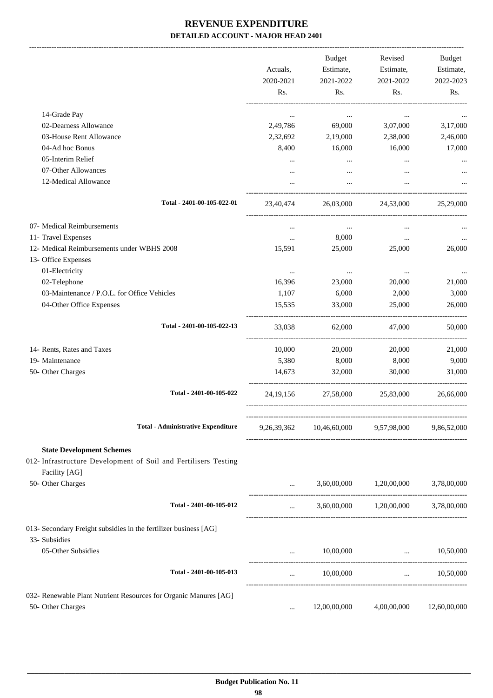|                                                                                                                      | Actuals,<br>2020-2021<br>Rs. | Budget<br>Estimate,<br>2021-2022<br>Rs. | Revised<br>Estimate,<br>2021-2022<br>Rs.                        | Budget<br>Estimate,<br>2022-2023<br>Rs. |
|----------------------------------------------------------------------------------------------------------------------|------------------------------|-----------------------------------------|-----------------------------------------------------------------|-----------------------------------------|
| 14-Grade Pay                                                                                                         |                              |                                         |                                                                 |                                         |
| 02-Dearness Allowance                                                                                                | $\cdots$<br>2,49,786         | $\cdots$<br>69,000                      | $\cdots$<br>3,07,000                                            | 3,17,000                                |
| 03-House Rent Allowance                                                                                              | 2,32,692                     | 2,19,000                                | 2,38,000                                                        | 2,46,000                                |
| 04-Ad hoc Bonus                                                                                                      | 8,400                        | 16,000                                  | 16,000                                                          | 17,000                                  |
| 05-Interim Relief                                                                                                    |                              |                                         |                                                                 |                                         |
| 07-Other Allowances                                                                                                  |                              |                                         |                                                                 |                                         |
| 12-Medical Allowance                                                                                                 |                              | $\cdots$                                | $\cdots$                                                        |                                         |
| Total - 2401-00-105-022-01                                                                                           | 23,40,474                    | 26,03,000                               | 24,53,000                                                       | 25,29,000                               |
| 07- Medical Reimbursements                                                                                           | $\cdots$                     | $\ldots$                                | $\cdots$                                                        |                                         |
| 11- Travel Expenses                                                                                                  | $\cdots$                     | 8,000                                   | $\cdots$                                                        |                                         |
| 12- Medical Reimbursements under WBHS 2008                                                                           | 15,591                       | 25,000                                  | 25,000                                                          | 26,000                                  |
| 13- Office Expenses                                                                                                  |                              |                                         |                                                                 |                                         |
| 01-Electricity                                                                                                       | $\ldots$                     | $\cdots$                                | $\cdots$                                                        |                                         |
| 02-Telephone                                                                                                         | 16,396                       | 23,000                                  | 20,000                                                          | 21,000                                  |
| 03-Maintenance / P.O.L. for Office Vehicles                                                                          | 1,107                        | 6,000                                   | 2,000                                                           | 3,000                                   |
| 04-Other Office Expenses                                                                                             | 15,535                       | 33,000                                  | 25,000                                                          | 26,000                                  |
| Total - 2401-00-105-022-13                                                                                           | 33,038                       | 62,000                                  | 47.000                                                          | 50,000                                  |
| 14- Rents, Rates and Taxes                                                                                           | 10,000                       | 20,000                                  | 20,000                                                          | 21,000                                  |
| 19- Maintenance                                                                                                      | 5,380                        | 8,000                                   | 8,000                                                           | 9,000                                   |
| 50- Other Charges                                                                                                    | 14,673                       | 32,000                                  | 30,000                                                          | 31,000                                  |
| Total - 2401-00-105-022                                                                                              | 24, 19, 156                  | 27,58,000                               | 25,83,000                                                       | 26,66,000                               |
| <b>Total - Administrative Expenditure</b>                                                                            | 9,26,39,362                  | 10,46,60,000 9,57,98,000                |                                                                 | 9,86,52,000                             |
|                                                                                                                      |                              |                                         |                                                                 |                                         |
| <b>State Development Schemes</b><br>012- Infrastructure Development of Soil and Fertilisers Testing<br>Facility [AG] |                              |                                         |                                                                 |                                         |
| 50- Other Charges                                                                                                    |                              |                                         | 3,60,00,000 1,20,00,000                                         | 3,78,00,000                             |
| Total - 2401-00-105-012                                                                                              | $\cdots$                     |                                         | 3,60,00,000 1,20,00,000                                         | 3,78,00,000                             |
| 013- Secondary Freight subsidies in the fertilizer business [AG]<br>33- Subsidies                                    |                              |                                         |                                                                 |                                         |
| 05-Other Subsidies                                                                                                   | $\cdots$                     | 10,00,000                               | $\mathbf{r}$ and $\mathbf{r}$ and $\mathbf{r}$ and $\mathbf{r}$ | 10,50,000                               |
| Total - 2401-00-105-013                                                                                              | $\cdots$                     | 10,00,000                               | $\mathbf{1}$ and $\mathbf{1}$ and $\mathbf{1}$                  | 10,50,000                               |
| 032- Renewable Plant Nutrient Resources for Organic Manures [AG]                                                     |                              |                                         |                                                                 |                                         |
| 50- Other Charges                                                                                                    | $\cdots$                     | 12,00,00,000                            | 4,00,00,000                                                     | 12,60,00,000                            |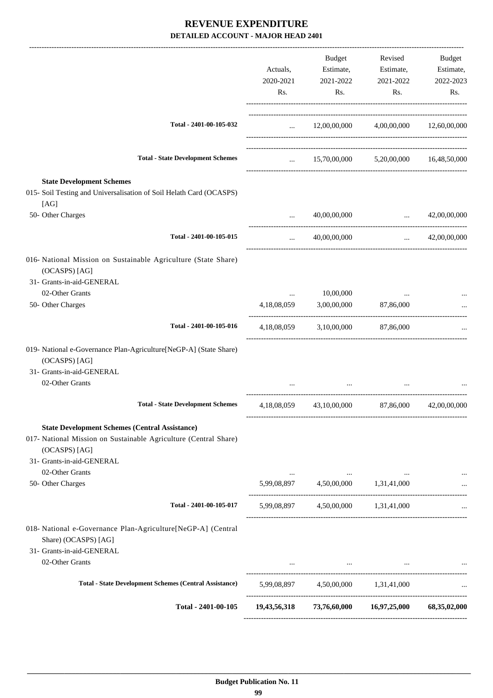|                                                                                      |               | Budget                                              | Revised               | Budget                |
|--------------------------------------------------------------------------------------|---------------|-----------------------------------------------------|-----------------------|-----------------------|
|                                                                                      | Actuals,      | Estimate,                                           | Estimate,             | Estimate,             |
|                                                                                      | 2020-2021     | 2021-2022                                           | 2021-2022             | 2022-2023             |
|                                                                                      | Rs.           | Rs.                                                 | Rs.                   | Rs.                   |
| Total - 2401-00-105-032                                                              |               | $\ldots$ 12,00,00,000 4,00,00,000 12,60,00,000      |                       |                       |
|                                                                                      |               |                                                     |                       |                       |
| <b>Total - State Development Schemes</b>                                             |               | $15,70,00,000$ $5,20,00,000$ $16,48,50,000$         |                       |                       |
| <b>State Development Schemes</b>                                                     |               |                                                     |                       |                       |
| 015- Soil Testing and Universalisation of Soil Helath Card (OCASPS)<br>[AG]          |               |                                                     |                       |                       |
| 50- Other Charges                                                                    | $\sim$ $\sim$ | 40,00,00,000                                        | $\ldots$ 42,00,00,000 |                       |
| Total - 2401-00-105-015                                                              | $\cdots$      | 40,00,00,000                                        |                       | $\ldots$ 42,00,00,000 |
| 016- National Mission on Sustainable Agriculture (State Share)<br>(OCASPS) [AG]      |               |                                                     |                       |                       |
| 31- Grants-in-aid-GENERAL                                                            |               |                                                     |                       |                       |
| 02-Other Grants                                                                      | $\cdots$      | 10,00,000                                           |                       |                       |
| 50- Other Charges                                                                    | 4,18,08,059   |                                                     | 3,00,00,000 87,86,000 |                       |
| Total - 2401-00-105-016                                                              |               | 4,18,08,059 3,10,00,000 87,86,000                   |                       |                       |
| 019- National e-Governance Plan-Agriculture[NeGP-A] (State Share)<br>(OCASPS) [AG]   |               |                                                     |                       |                       |
| 31- Grants-in-aid-GENERAL                                                            |               |                                                     |                       |                       |
| 02-Other Grants                                                                      |               |                                                     |                       |                       |
| <b>Total - State Development Schemes</b>                                             |               | 4,18,08,059 43,10,00,000                            | 87,86,000             | 42,00,00,000          |
| <b>State Development Schemes (Central Assistance)</b>                                |               |                                                     |                       |                       |
| 017- National Mission on Sustainable Agriculture (Central Share)                     |               |                                                     |                       |                       |
| (OCASPS) [AG]                                                                        |               |                                                     |                       |                       |
| 31- Grants-in-aid-GENERAL                                                            |               |                                                     |                       |                       |
| 02-Other Grants<br>50- Other Charges                                                 |               |                                                     |                       |                       |
|                                                                                      |               | 5,99,08,897 4,50,00,000 1,31,41,000                 |                       |                       |
| Total - 2401-00-105-017                                                              |               | 5,99,08,897 4,50,00,000 1,31,41,000                 |                       |                       |
| 018- National e-Governance Plan-Agriculture[NeGP-A] (Central<br>Share) (OCASPS) [AG] |               |                                                     |                       |                       |
| 31- Grants-in-aid-GENERAL                                                            |               |                                                     |                       |                       |
| 02-Other Grants                                                                      |               | the contract of the contract of the contract of     |                       |                       |
| <b>Total - State Development Schemes (Central Assistance)</b>                        |               | 5,99,08,897 4,50,00,000 1,31,41,000                 |                       |                       |
| Total - 2401-00-105                                                                  |               | 19,43,56,318 73,76,60,000 16,97,25,000 68,35,02,000 |                       |                       |
|                                                                                      |               |                                                     |                       |                       |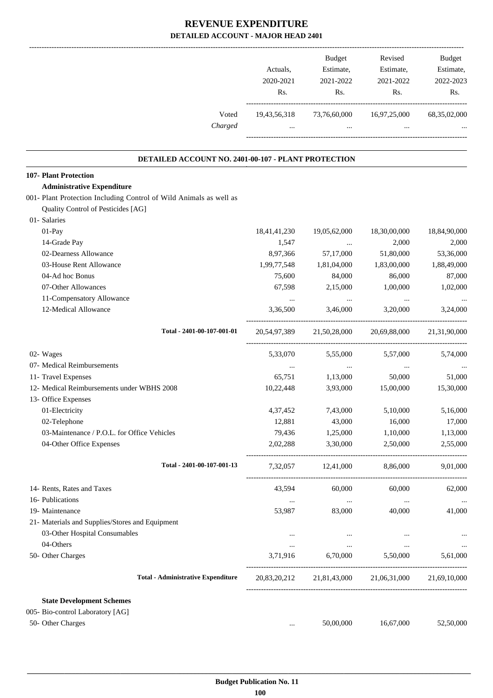|                                                                    |                  | Actuals,<br>2020-2021<br>Rs. | Budget<br>Estimate,<br>2021-2022<br>Rs.         | Revised<br>Estimate,<br>2021-2022<br>Rs.            | Budget<br>Estimate,<br>2022-2023<br>Rs. |
|--------------------------------------------------------------------|------------------|------------------------------|-------------------------------------------------|-----------------------------------------------------|-----------------------------------------|
|                                                                    | Voted<br>Charged | $\cdots$                     | 19,43,56,318 73,76,60,000<br><b>See College</b> | 16,97,25,000<br>$\cdots$                            | 68, 35, 02, 000                         |
| DETAILED ACCOUNT NO. 2401-00-107 - PLANT PROTECTION                |                  |                              |                                                 |                                                     |                                         |
| 107- Plant Protection                                              |                  |                              |                                                 |                                                     |                                         |
| <b>Administrative Expenditure</b>                                  |                  |                              |                                                 |                                                     |                                         |
| 001- Plant Protection Including Control of Wild Animals as well as |                  |                              |                                                 |                                                     |                                         |
| Quality Control of Pesticides [AG]                                 |                  |                              |                                                 |                                                     |                                         |
| 01- Salaries                                                       |                  |                              |                                                 |                                                     |                                         |
| 01-Pay                                                             |                  | 18,41,41,230                 | 19,05,62,000                                    | 18,30,00,000                                        | 18,84,90,000                            |
| 14-Grade Pay                                                       |                  | 1,547                        | $\cdots$                                        | 2,000                                               | 2,000                                   |
| 02-Dearness Allowance                                              |                  | 8,97,366                     | 57,17,000                                       | 51,80,000                                           | 53,36,000                               |
| 03-House Rent Allowance                                            |                  | 1,99,77,548                  | 1,81,04,000                                     | 1,83,00,000                                         | 1,88,49,000                             |
| 04-Ad hoc Bonus                                                    |                  | 75,600                       | 84,000                                          | 86,000                                              | 87,000                                  |
| 07-Other Allowances                                                |                  | 67,598                       | 2,15,000                                        | 1,00,000                                            | 1,02,000                                |
| 11-Compensatory Allowance                                          |                  | $\cdots$                     | $\cdots$                                        | $\ldots$                                            | $\ddots$                                |
| 12-Medical Allowance                                               |                  | 3,36,500                     | 3,46,000                                        | 3,20,000                                            | 3,24,000                                |
| Total - 2401-00-107-001-01                                         |                  |                              |                                                 | 20,54,97,389 21,50,28,000 20,69,88,000 21,31,90,000 |                                         |
| 02- Wages                                                          |                  | 5,33,070                     | 5,55,000                                        | 5,57,000                                            | 5,74,000                                |
| 07- Medical Reimbursements                                         |                  | $\cdots$                     | $\cdots$                                        | $\cdots$                                            | $\cdots$                                |
| 11- Travel Expenses                                                |                  | 65,751                       | 1,13,000                                        | 50,000                                              | 51,000                                  |
| 12- Medical Reimbursements under WBHS 2008                         |                  | 10,22,448                    | 3,93,000                                        | 15,00,000                                           | 15,30,000                               |
| 13- Office Expenses                                                |                  |                              |                                                 |                                                     |                                         |
| 01-Electricity                                                     |                  | 4,37,452                     | 7,43,000                                        | 5,10,000                                            | 5,16,000                                |
| 02-Telephone                                                       |                  | 12,881                       | 43,000                                          | 16,000                                              | 17,000                                  |
| 03-Maintenance / P.O.L. for Office Vehicles                        |                  | 79,436                       | 1,25,000                                        | 1,10,000                                            | 1,13,000                                |
| 04-Other Office Expenses                                           |                  | 2,02,288                     | 3,30,000                                        | 2,50,000                                            | 2,55,000                                |
| Total - 2401-00-107-001-13                                         |                  |                              | 7,32,057 12,41,000 8,86,000                     |                                                     | 9,01,000                                |
| 14- Rents, Rates and Taxes                                         |                  | 43,594                       | 60,000                                          | 60,000                                              | 62,000                                  |
| 16- Publications                                                   |                  | $\ldots$                     | $\ldots$                                        | $\cdots$                                            | $\ddots$                                |
| 19- Maintenance                                                    |                  | 53,987                       | 83,000                                          | 40,000                                              | 41,000                                  |
| 21- Materials and Supplies/Stores and Equipment                    |                  |                              |                                                 |                                                     |                                         |
| 03-Other Hospital Consumables                                      |                  | $\cdots$                     | $\cdots$                                        | $\cdots$                                            |                                         |
| 04-Others                                                          |                  | $\cdots$                     | $\ldots$                                        | $\ldots$                                            | $\ddots$                                |
| 50- Other Charges                                                  |                  |                              |                                                 | 3,71,916 6,70,000 5,50,000 5,61,000                 |                                         |
| <b>Total - Administrative Expenditure</b>                          |                  |                              |                                                 | 20,83,20,212 21,81,43,000 21,06,31,000 21,69,10,000 |                                         |
| <b>State Development Schemes</b>                                   |                  |                              |                                                 |                                                     |                                         |
| 005- Bio-control Laboratory [AG]                                   |                  |                              |                                                 |                                                     |                                         |
| 50- Other Charges                                                  |                  | $\cdots$                     | 50,00,000                                       | 16,67,000                                           | 52,50,000                               |
|                                                                    |                  |                              |                                                 |                                                     |                                         |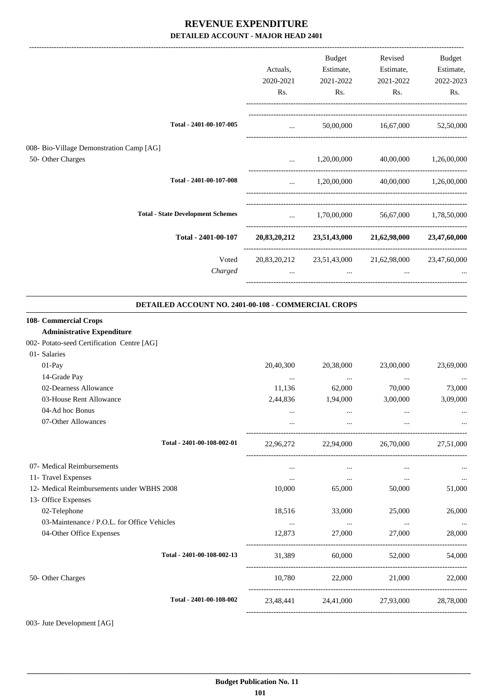|                                                                                                                          | Actuals,<br>2020-2021<br>Rs.    | Budget<br>Estimate,<br>2021-2022<br>Rs. | Revised<br>Estimate,<br>2021-2022<br>Rs. | <b>Budget</b><br>Estimate,<br>2022-2023<br>Rs. |
|--------------------------------------------------------------------------------------------------------------------------|---------------------------------|-----------------------------------------|------------------------------------------|------------------------------------------------|
| Total - 2401-00-107-005                                                                                                  | $\mathbf{r}$                    |                                         | 50,00,000 16,67,000                      | 52,50,000                                      |
| 008- Bio-Village Demonstration Camp [AG]<br>50- Other Charges                                                            | $\cdots$                        | 1,20,00,000                             | 40,00,000                                | 1,26,00,000                                    |
| Total - 2401-00-107-008                                                                                                  | $\cdots$                        | 1,20,00,000                             | 40,00,000                                | 1,26,00,000                                    |
| <b>Total - State Development Schemes</b>                                                                                 | $\mathbf{r}$ and $\mathbf{r}$   | 1,70,00,000                             |                                          | 56,67,000 1,78,50,000                          |
| Total - 2401-00-107                                                                                                      |                                 |                                         | 20,83,20,212 23,51,43,000 21,62,98,000   | 23,47,60,000                                   |
| Voted<br>Charged                                                                                                         | 20,83,20,212<br>$\cdots$        | 23,51,43,000<br>$\cdots$                | 21,62,98,000<br>$\cdots$                 | 23,47,60,000                                   |
| DETAILED ACCOUNT NO. 2401-00-108 - COMMERCIAL CROPS                                                                      |                                 |                                         |                                          |                                                |
| 108- Commercial Crops<br><b>Administrative Expenditure</b><br>002- Potato-seed Certification Centre [AG]<br>01- Salaries |                                 |                                         |                                          |                                                |
| 01-Pay<br>14-Grade Pay                                                                                                   | 20,40,300<br>$\cdots$           | 20,38,000<br>$\cdots$                   | 23,00,000<br>$\cdots$                    | 23,69,000                                      |
| 02-Dearness Allowance<br>03-House Rent Allowance<br>04-Ad hoc Bonus<br>07-Other Allowances                               | 11,136<br>2,44,836<br>$\ddotsc$ | 62,000<br>1,94,000                      | 70,000<br>3,00,000<br>$\ddotsc$          | 73,000<br>3,09,000                             |
| Total - 2401-00-108-002-01                                                                                               | 22,96,272                       | 22,94,000                               | 26,70,000                                | 27,51,000                                      |
| 07- Medical Reimbursements<br>11- Travel Expenses                                                                        | $\cdots$<br>$\cdots$            | $\ldots$<br>$\cdots$                    | $\cdots$<br>$\cdots$                     | $\ldots$                                       |
| 12- Medical Reimbursements under WBHS 2008<br>13- Office Expenses                                                        | 10,000                          | 65,000                                  | 50,000                                   | 51,000                                         |
| 02-Telephone<br>03-Maintenance / P.O.L. for Office Vehicles                                                              | 18,516<br>$\cdots$              | 33,000<br>$\sim 100$ and $\sim 100$     | 25,000<br>$\cdots$                       | 26,000                                         |
| 04-Other Office Expenses                                                                                                 | 12,873                          | 27,000                                  | 27,000                                   | $\ldots$<br>28,000                             |
| Total - 2401-00-108-002-13                                                                                               | 31,389                          | 60,000                                  | 52,000                                   | 54,000                                         |
| 50- Other Charges                                                                                                        | 10,780                          | 22,000                                  | 21,000                                   | 22,000                                         |
| Total - 2401-00-108-002                                                                                                  |                                 |                                         | 23,48,441 24,41,000 27,93,000            | 28,78,000                                      |

003- Jute Development [AG]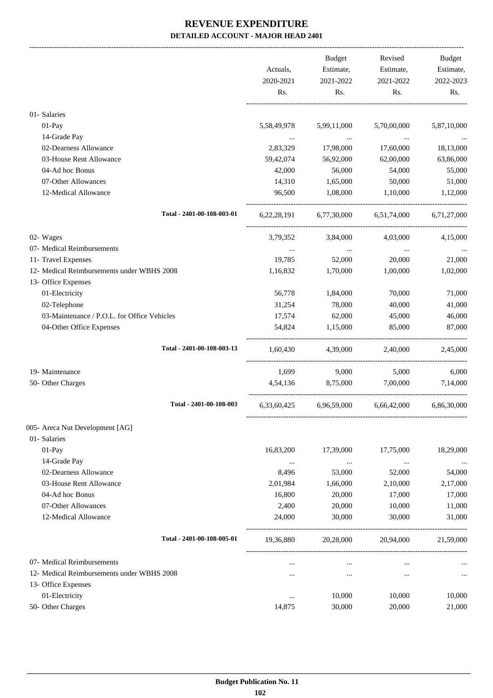|                                                                         | Actuals,<br>2020-2021 | Budget<br>Estimate,<br>2021-2022    | Revised<br>Estimate,<br>2021-2022   | Budget<br>Estimate,<br>2022-2023 |
|-------------------------------------------------------------------------|-----------------------|-------------------------------------|-------------------------------------|----------------------------------|
|                                                                         | Rs.                   | Rs.                                 | Rs.                                 | Rs.                              |
| 01- Salaries                                                            |                       |                                     |                                     |                                  |
| 01-Pay                                                                  | 5,58,49,978           | 5,99,11,000                         | 5,70,00,000                         | 5,87,10,000                      |
| 14-Grade Pay                                                            |                       | $\sim 100$ and                      | $\cdots$                            |                                  |
| 02-Dearness Allowance                                                   | 2,83,329              | 17,98,000                           | 17,60,000                           | 18,13,000                        |
| 03-House Rent Allowance                                                 | 59,42,074             | 56,92,000                           | 62,00,000                           | 63,86,000                        |
| 04-Ad hoc Bonus                                                         | 42,000                | 56,000                              | 54,000                              | 55,000                           |
| 07-Other Allowances                                                     | 14,310                | 1,65,000                            | 50,000                              | 51,000                           |
| 12-Medical Allowance                                                    | 96,500                | 1,08,000                            | 1,10,000                            | 1,12,000                         |
| Total - 2401-00-108-003-01                                              | 6, 22, 28, 191        |                                     | 6,77,30,000 6,51,74,000 6,71,27,000 |                                  |
| 02- Wages                                                               | 3,79,352              | 3,84,000                            | 4,03,000                            | 4,15,000                         |
| 07- Medical Reimbursements                                              |                       |                                     |                                     |                                  |
| 11- Travel Expenses                                                     | $\ldots$<br>19,785    | $\ldots$<br>52,000                  | $\ldots$<br>20,000                  | 21,000                           |
| 12- Medical Reimbursements under WBHS 2008                              |                       |                                     |                                     |                                  |
|                                                                         | 1,16,832              | 1,70,000                            | 1,00,000                            | 1,02,000                         |
| 13- Office Expenses                                                     |                       |                                     |                                     |                                  |
| 01-Electricity                                                          | 56,778                | 1,84,000                            | 70,000                              | 71,000                           |
| 02-Telephone                                                            | 31,254                | 78,000                              | 40,000                              | 41,000                           |
| 03-Maintenance / P.O.L. for Office Vehicles<br>04-Other Office Expenses | 17,574<br>54,824      | 62,000<br>1,15,000                  | 45,000<br>85,000                    | 46,000<br>87,000                 |
|                                                                         |                       |                                     |                                     |                                  |
| Total - 2401-00-108-003-13                                              | 1,60,430              | 4,39,000                            | 2,40,000                            | 2,45,000                         |
| 19- Maintenance                                                         | 1,699                 | 9,000                               | 5,000                               | 6,000                            |
| 50- Other Charges                                                       | 4,54,136              | 8,75,000                            | 7,00,000                            | 7,14,000                         |
| Total - 2401-00-108-003                                                 |                       | 6,33,60,425 6,96,59,000 6,66,42,000 |                                     | 6,86,30,000                      |
| 005- Areca Nut Development [AG]                                         |                       |                                     |                                     |                                  |
| 01- Salaries                                                            |                       |                                     |                                     |                                  |
| 01-Pay                                                                  | 16,83,200             | 17,39,000                           | 17,75,000                           | 18,29,000                        |
| 14-Grade Pay                                                            | $\cdots$              | $\cdots$                            | $\ddotsc$                           |                                  |
| 02-Dearness Allowance                                                   | 8,496                 | 53,000                              | 52,000                              | 54,000                           |
| 03-House Rent Allowance                                                 | 2,01,984              | 1,66,000                            | 2,10,000                            | 2,17,000                         |
| 04-Ad hoc Bonus                                                         | 16,800                | 20,000                              | 17,000                              | 17,000                           |
| 07-Other Allowances                                                     | 2,400                 | 20,000                              | 10,000                              | 11,000                           |
| 12-Medical Allowance                                                    | 24,000                | 30,000                              | 30,000                              | 31,000                           |
| Total - 2401-00-108-005-01                                              | 19,36,880             | 20,28,000                           | 20,94,000                           | 21,59,000                        |
| 07- Medical Reimbursements                                              |                       | $\cdots$                            |                                     |                                  |
| 12- Medical Reimbursements under WBHS 2008                              |                       | $\cdots$                            | $\cdots$                            |                                  |
| 13- Office Expenses                                                     |                       |                                     |                                     |                                  |
| 01-Electricity                                                          | $\cdots$              | 10,000                              | 10,000                              | 10,000                           |
| 50- Other Charges                                                       | 14,875                | 30,000                              | 20,000                              | 21,000                           |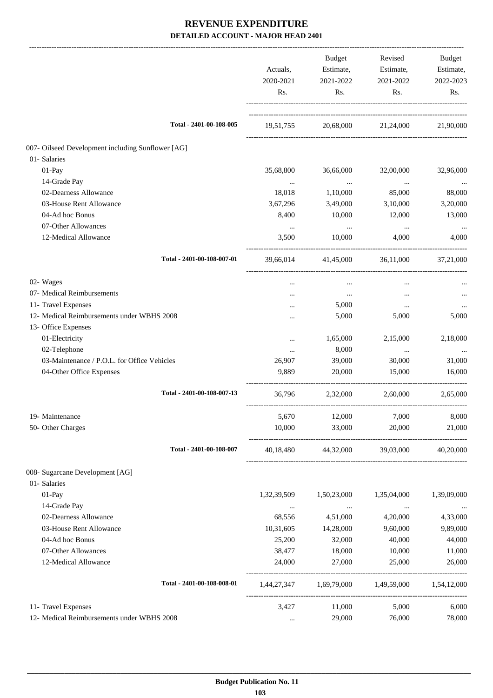|                                                   | Actuals,<br>2020-2021 | Budget<br>Estimate,<br>2021-2022                | Revised<br>Estimate,<br>2021-2022 | Budget<br>Estimate,<br>2022-2023 |
|---------------------------------------------------|-----------------------|-------------------------------------------------|-----------------------------------|----------------------------------|
|                                                   | Rs.                   | Rs.                                             | Rs.                               | Rs.                              |
| Total - 2401-00-108-005                           | 19,51,755             |                                                 | 20,68,000 21,24,000 21,90,000     |                                  |
| 007- Oilseed Development including Sunflower [AG] |                       |                                                 |                                   |                                  |
| 01- Salaries                                      |                       |                                                 |                                   |                                  |
| $01-Pay$                                          | 35,68,800             | 36,66,000                                       | 32,00,000                         | 32,96,000                        |
| 14-Grade Pay                                      | $\cdots$              | $\ldots$                                        | $\cdots$                          | $\cdots$                         |
| 02-Dearness Allowance                             | 18,018                | 1,10,000                                        | 85,000                            | 88,000                           |
| 03-House Rent Allowance                           | 3,67,296              | 3,49,000                                        | 3,10,000                          | 3,20,000                         |
| 04-Ad hoc Bonus                                   | 8,400                 | 10,000                                          | 12,000                            | 13,000                           |
| 07-Other Allowances                               | $\cdots$              | $\sim$ 100 $\mu$                                | $\cdots$                          | $\cdots$                         |
| 12-Medical Allowance                              | 3,500                 | 10,000                                          | 4.000                             | 4,000                            |
| Total - 2401-00-108-007-01                        |                       | 39,66,014 41,45,000                             |                                   | 36,11,000 37,21,000              |
| 02- Wages                                         | $\cdots$              | $\cdots$                                        | $\cdots$                          |                                  |
| 07- Medical Reimbursements                        | $\cdots$              | $\cdots$                                        |                                   |                                  |
| 11- Travel Expenses                               |                       | 5,000                                           | $\cdots$                          |                                  |
| 12- Medical Reimbursements under WBHS 2008        |                       | 5,000                                           | 5,000                             | 5,000                            |
| 13- Office Expenses                               |                       |                                                 |                                   |                                  |
| 01-Electricity                                    | $\cdots$              | 1,65,000                                        | 2,15,000                          | 2,18,000                         |
| 02-Telephone                                      | $\cdots$              | 8,000                                           | $\ddotsc$                         | $\ldots$                         |
| 03-Maintenance / P.O.L. for Office Vehicles       | 26,907                | 39,000                                          | 30,000                            | 31,000                           |
| 04-Other Office Expenses                          | 9,889                 | 20,000                                          | 15,000                            | 16,000                           |
| Total - 2401-00-108-007-13                        | 36,796                |                                                 | 2,32,000 2,60,000                 | 2,65,000                         |
| 19- Maintenance                                   | 5,670                 | 12,000 7,000                                    |                                   | 8,000                            |
| 50- Other Charges                                 | 10,000                | 33,000                                          | 20,000                            | 21,000                           |
| Total - 2401-00-108-007                           |                       | 40,18,480 44,32,000 39,03,000 40,20,000         |                                   |                                  |
| 008- Sugarcane Development [AG]                   |                       |                                                 |                                   |                                  |
| 01- Salaries                                      |                       |                                                 |                                   |                                  |
| 01-Pay                                            | 1,32,39,509           | 1,50,23,000                                     | 1,35,04,000                       | 1,39,09,000                      |
| 14-Grade Pay                                      | $\cdots$              | $\ldots$                                        | $\ldots$                          | $\cdots$                         |
| 02-Dearness Allowance                             | 68,556                | 4,51,000                                        | 4,20,000                          | 4,33,000                         |
| 03-House Rent Allowance                           | 10,31,605             | 14,28,000                                       | 9,60,000                          | 9,89,000                         |
| 04-Ad hoc Bonus                                   | 25,200                | 32,000                                          | 40,000                            | 44,000                           |
| 07-Other Allowances                               | 38,477                | 18,000                                          | 10,000                            | 11,000                           |
| 12-Medical Allowance                              | 24,000                | 27,000                                          | 25,000                            | 26,000                           |
| Total - 2401-00-108-008-01                        |                       | 1,44,27,347 1,69,79,000 1,49,59,000 1,54,12,000 |                                   |                                  |
| 11- Travel Expenses                               | 3,427                 | 11,000                                          | 5,000                             | 6,000                            |
| 12- Medical Reimbursements under WBHS 2008        | $\cdots$              | 29,000                                          | 76,000                            | 78,000                           |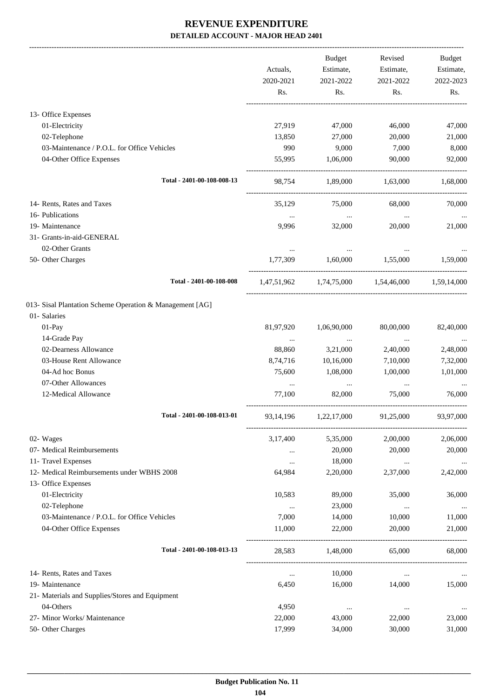|                                                          |                  | <b>Budget</b>    | Revised          | Budget           |
|----------------------------------------------------------|------------------|------------------|------------------|------------------|
|                                                          | Actuals,         | Estimate,        | Estimate,        | Estimate,        |
|                                                          | 2020-2021<br>Rs. | 2021-2022<br>Rs. | 2021-2022<br>Rs. | 2022-2023<br>Rs. |
|                                                          |                  |                  |                  |                  |
| 13- Office Expenses                                      |                  |                  |                  |                  |
| 01-Electricity                                           | 27,919           | 47,000           | 46,000           | 47,000           |
| 02-Telephone                                             | 13,850           | 27,000           | 20,000           | 21,000           |
| 03-Maintenance / P.O.L. for Office Vehicles              | 990              | 9,000            | 7,000            | 8,000            |
| 04-Other Office Expenses                                 | 55,995           | 1,06,000         | 90,000           | 92,000           |
| Total - 2401-00-108-008-13                               | 98,754           | 1,89,000         | 1,63,000         | 1,68,000         |
| 14- Rents, Rates and Taxes                               | 35,129           | 75,000           | 68,000           | 70,000           |
| 16- Publications                                         | $\cdots$         | $\cdots$         | $\cdots$         |                  |
| 19- Maintenance                                          | 9,996            | 32,000           | 20,000           | 21,000           |
| 31- Grants-in-aid-GENERAL                                |                  |                  |                  |                  |
| 02-Other Grants                                          | $\cdots$         | $\cdots$         | $\cdots$         |                  |
| 50- Other Charges                                        | 1,77,309         | 1,60,000         | 1.55.000         | 1,59,000         |
| Total - 2401-00-108-008                                  | 1,47,51,962      | 1,74,75,000      | 1,54,46,000      | 1,59,14,000      |
| 013- Sisal Plantation Scheme Operation & Management [AG] |                  |                  |                  |                  |
| 01- Salaries                                             |                  |                  |                  |                  |
| 01-Pay                                                   | 81,97,920        | 1,06,90,000      | 80,00,000        | 82,40,000        |
| 14-Grade Pay                                             | $\cdots$         | $\cdots$         | $\ddotsc$        |                  |
| 02-Dearness Allowance                                    | 88,860           | 3,21,000         | 2,40,000         | 2,48,000         |
| 03-House Rent Allowance                                  | 8,74,716         | 10,16,000        | 7,10,000         | 7,32,000         |
| 04-Ad hoc Bonus                                          | 75,600           | 1,08,000         | 1,00,000         | 1,01,000         |
| 07-Other Allowances                                      | $\cdots$         | $\ldots$         | $\cdots$         |                  |
| 12-Medical Allowance                                     | 77,100           | 82,000           | 75,000           | 76,000           |
| Total - 2401-00-108-013-01                               | 93,14,196        | 1,22,17,000      | 91,25,000        | 93,97,000        |
| 02- Wages                                                | 3,17,400         | 5,35,000         | 2,00,000         | 2,06,000         |
| 07- Medical Reimbursements                               | $\cdots$         | 20,000           | 20,000           | 20,000           |
| 11- Travel Expenses                                      | $\cdots$         | 18,000           | $\cdots$         | $\cdots$         |
| 12- Medical Reimbursements under WBHS 2008               | 64,984           | 2,20,000         | 2,37,000         | 2,42,000         |
| 13- Office Expenses                                      |                  |                  |                  |                  |
| 01-Electricity                                           | 10,583           | 89,000           | 35,000           | 36,000           |
| 02-Telephone                                             | $\cdots$         | 23,000           | $\cdots$         | $\cdots$         |
| 03-Maintenance / P.O.L. for Office Vehicles              | 7,000            | 14,000           | 10,000           | 11,000           |
| 04-Other Office Expenses                                 | 11,000           | 22,000           | 20,000           | 21,000           |
| Total - 2401-00-108-013-13                               | 28,583           | 1,48,000         | 65,000           | 68,000           |
| 14- Rents, Rates and Taxes                               | $\cdots$         | 10,000           | $\cdots$         |                  |
| 19- Maintenance                                          | 6,450            | 16,000           | 14,000           | 15,000           |
| 21- Materials and Supplies/Stores and Equipment          |                  |                  |                  |                  |
| 04-Others                                                | 4,950            | $\cdots$         | $\cdots$         | $\cdots$         |
| 27- Minor Works/ Maintenance                             | 22,000           | 43,000           | 22,000           | 23,000           |
| 50- Other Charges                                        | 17,999           | 34,000           | 30,000           | 31,000           |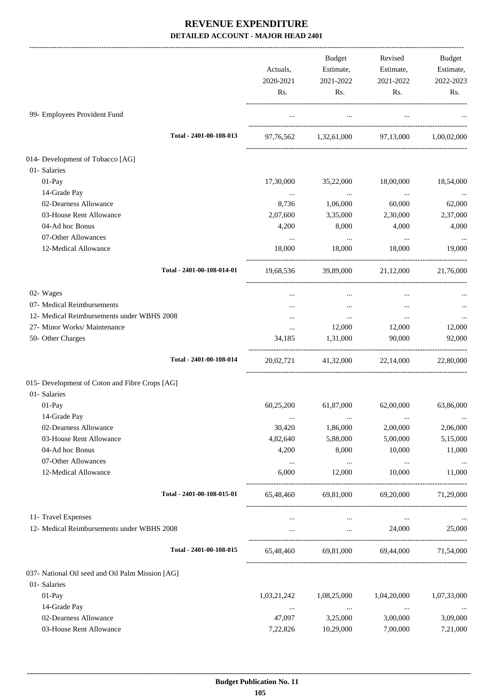|                                                  | Actuals,    | Budget<br>Estimate,                         | Revised<br>Estimate,                        | Budget<br>Estimate, |
|--------------------------------------------------|-------------|---------------------------------------------|---------------------------------------------|---------------------|
|                                                  | 2020-2021   | 2021-2022                                   | 2021-2022                                   | 2022-2023           |
|                                                  | Rs.         | Rs.                                         | Rs.                                         | Rs.                 |
| 99- Employees Provident Fund                     | $\cdots$    | $\cdots$                                    | $\ldots$                                    |                     |
| Total - 2401-00-108-013                          |             | 97,76,562 1,32,61,000 97,13,000 1,00,02,000 |                                             |                     |
| 014- Development of Tobacco [AG]                 |             |                                             |                                             |                     |
| 01- Salaries                                     |             |                                             |                                             |                     |
| 01-Pay                                           | 17,30,000   | 35,22,000                                   | 18,00,000                                   | 18,54,000           |
| 14-Grade Pay                                     | $\cdots$    | $\cdots$                                    | $\ldots$                                    |                     |
| 02-Dearness Allowance                            | 8,736       | 1,06,000                                    | 60,000                                      | $\cdots$<br>62,000  |
| 03-House Rent Allowance                          | 2,07,600    | 3,35,000                                    | 2,30,000                                    | 2,37,000            |
| 04-Ad hoc Bonus                                  | 4,200       | 8,000                                       | 4,000                                       | 4,000               |
| 07-Other Allowances                              | $\cdots$    | $\ldots$                                    | $\ldots$                                    |                     |
| 12-Medical Allowance                             | 18,000      | 18,000                                      | 18,000                                      | 19,000              |
| Total - 2401-00-108-014-01                       |             | 19,68,536 39,89,000                         | 21,12,000                                   | 21,76,000           |
| 02- Wages                                        | $\cdots$    | $\cdots$                                    | $\cdots$                                    |                     |
| 07- Medical Reimbursements                       |             | $\cdots$                                    | $\cdots$                                    |                     |
| 12- Medical Reimbursements under WBHS 2008       | $\cdots$    | $\cdots$                                    | $\cdots$                                    | $\cdots$            |
| 27- Minor Works/ Maintenance                     | $\cdots$    | 12,000                                      | 12,000                                      | 12,000              |
| 50- Other Charges                                | 34,185      | 1,31,000                                    | 90,000                                      | 92,000              |
| Total - 2401-00-108-014                          |             | 20,02,721 41,32,000 22,14,000               |                                             | 22,80,000           |
| 015- Development of Coton and Fibre Crops [AG]   |             |                                             |                                             |                     |
| 01- Salaries                                     |             |                                             |                                             |                     |
| 01-Pay                                           | 60,25,200   | 61,87,000                                   | 62,00,000                                   | 63,86,000           |
| 14-Grade Pay                                     |             |                                             |                                             | $\cdots$            |
| 02-Dearness Allowance                            | 30,420      | 1,86,000                                    | 2,00,000                                    | 2,06,000            |
| 03-House Rent Allowance                          | 4,82,640    | 5,88,000                                    | 5,00,000                                    | 5,15,000            |
| 04-Ad hoc Bonus                                  | 4,200       | 8,000                                       | 10,000                                      | 11,000              |
| 07-Other Allowances                              | $\cdots$    | $\ldots$                                    | $\ldots$                                    | $\ldots$            |
| 12-Medical Allowance                             | 6,000       | 12,000                                      | 10,000                                      | 11,000              |
| Total - 2401-00-108-015-01                       | 65,48,460   | 69,81,000                                   | 69,20,000                                   | 71,29,000           |
| 11- Travel Expenses                              | $\cdots$    | $\ldots$                                    | $\cdots$                                    |                     |
| 12- Medical Reimbursements under WBHS 2008       |             |                                             | 24,000<br><b>Contract Contract Contract</b> | 25,000              |
| Total - 2401-00-108-015                          |             | 65,48,460 69,81,000 69,44,000 71,54,000     |                                             |                     |
| 037- National Oil seed and Oil Palm Mission [AG] |             |                                             |                                             |                     |
| 01- Salaries                                     |             |                                             |                                             |                     |
| 01-Pay                                           | 1,03,21,242 | 1,08,25,000                                 | 1,04,20,000                                 | 1,07,33,000         |
| 14-Grade Pay                                     | $\cdots$    | $\cdots$                                    | $\cdots$                                    | $\cdots$            |
| 02-Dearness Allowance                            | 47,097      | 3,25,000                                    | 3,00,000                                    | 3,09,000            |
| 03-House Rent Allowance                          | 7,22,826    | 10,29,000                                   | 7,00,000                                    | 7,21,000            |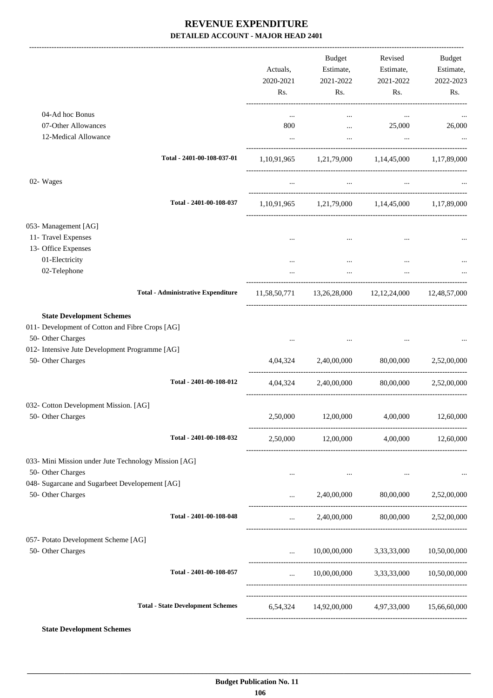|                                                                     | Actuals,<br>2020-2021<br>Rs. | Budget<br>Estimate,<br>2021-2022<br>Rs. | Revised<br>Estimate,<br>2021-2022<br>Rs.            | Budget<br>Estimate,<br>2022-2023<br>Rs. |
|---------------------------------------------------------------------|------------------------------|-----------------------------------------|-----------------------------------------------------|-----------------------------------------|
| 04-Ad hoc Bonus                                                     | $\cdots$                     | $\cdots$                                | $\cdots$                                            |                                         |
| 07-Other Allowances                                                 | 800                          |                                         | 25,000<br>and the state of the                      | 26,000                                  |
| 12-Medical Allowance                                                | $\ddotsc$                    | $\cdots$                                | $\cdots$                                            |                                         |
| Total - 2401-00-108-037-01                                          |                              |                                         | 1,10,91,965 1,21,79,000 1,14,45,000 1,17,89,000     |                                         |
| 02- Wages                                                           | $\cdots$                     | <b>Section</b>                          | $\cdots$                                            |                                         |
| Total - 2401-00-108-037                                             |                              |                                         | 1,10,91,965 1,21,79,000 1,14,45,000 1,17,89,000     |                                         |
| 053- Management [AG]                                                |                              |                                         |                                                     |                                         |
| 11- Travel Expenses                                                 |                              |                                         |                                                     |                                         |
| 13- Office Expenses                                                 |                              |                                         |                                                     |                                         |
| 01-Electricity                                                      |                              |                                         |                                                     |                                         |
| 02-Telephone                                                        | $\cdots$                     | $\cdots$                                | $\ddots$                                            |                                         |
| <b>Total - Administrative Expenditure</b>                           |                              |                                         | 11,58,50,771 13,26,28,000 12,12,24,000 12,48,57,000 |                                         |
| <b>State Development Schemes</b>                                    |                              |                                         |                                                     |                                         |
| 011- Development of Cotton and Fibre Crops [AG]                     |                              |                                         |                                                     |                                         |
| 50- Other Charges<br>012- Intensive Jute Development Programme [AG] | $\cdots$                     |                                         |                                                     |                                         |
| 50- Other Charges                                                   |                              |                                         | 4,04,324 2,40,00,000 80,00,000 2,52,00,000          |                                         |
|                                                                     |                              |                                         |                                                     |                                         |
| Total - 2401-00-108-012                                             | 4,04,324                     | 2,40,00,000                             | 80,00,000                                           | 2,52,00,000                             |
| 032- Cotton Development Mission. [AG]                               |                              |                                         |                                                     |                                         |
| 50- Other Charges                                                   | 2,50,000                     | 12,00,000                               | 4,00,000                                            | 12,60,000                               |
| Total - 2401-00-108-032                                             |                              |                                         | 2,50,000 12,00,000 4,00,000 12,60,000               |                                         |
| 033- Mini Mission under Jute Technology Mission [AG]                |                              |                                         |                                                     |                                         |
| 50- Other Charges                                                   | $\cdots$                     | $\cdots$                                | $\cdots$                                            | $\cdots$                                |
| 048- Sugarcane and Sugarbeet Developement [AG]                      |                              |                                         |                                                     |                                         |
| 50- Other Charges                                                   | $\cdots$                     |                                         | 2,40,00,000 80,00,000 2,52,00,000                   |                                         |
| Total - 2401-00-108-048                                             | $\cdots$                     |                                         | 2,40,00,000 80,00,000 2,52,00,000                   |                                         |
| 057- Potato Development Scheme [AG]                                 |                              |                                         |                                                     |                                         |
| 50- Other Charges                                                   | and the state                |                                         | $10,00,00,000$ $3,33,33,000$ $10,50,00,000$         |                                         |
| Total - 2401-00-108-057                                             |                              |                                         | $10,00,00,000$ $3,33,33,000$ $10,50,00,000$         |                                         |
| <b>Total - State Development Schemes</b>                            |                              |                                         | 6,54,324 14,92,00,000 4,97,33,000 15,66,60,000      |                                         |
|                                                                     |                              |                                         |                                                     |                                         |

**State Development Schemes**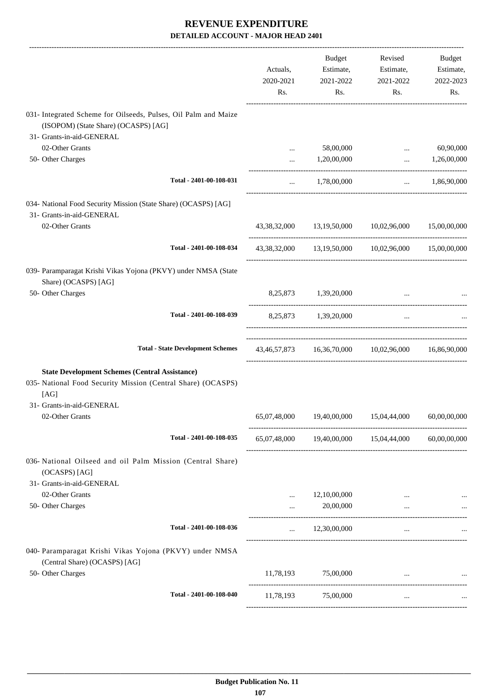|                                                                                                         | Actuals,<br>2020-2021<br>Rs. | Budget<br>Estimate,<br>2021-2022<br>Rs. | Revised<br>Estimate,<br>2021-2022<br>Rs.            | Budget<br>Estimate,<br>2022-2023<br>Rs. |
|---------------------------------------------------------------------------------------------------------|------------------------------|-----------------------------------------|-----------------------------------------------------|-----------------------------------------|
| 031- Integrated Scheme for Oilseeds, Pulses, Oil Palm and Maize<br>(ISOPOM) (State Share) (OCASPS) [AG] |                              |                                         |                                                     |                                         |
| 31- Grants-in-aid-GENERAL                                                                               |                              |                                         |                                                     |                                         |
| 02-Other Grants                                                                                         | $\cdots$                     | 58,00,000                               | $\cdots$                                            | 60,90,000                               |
| 50- Other Charges                                                                                       | $\cdots$                     | 1,20,00,000                             | and the state                                       | 1,26,00,000                             |
| Total - 2401-00-108-031                                                                                 | $\cdots$                     | 1,78,00,000                             |                                                     | $\ldots$ 1,86,90,000                    |
| 034- National Food Security Mission (State Share) (OCASPS) [AG]<br>31- Grants-in-aid-GENERAL            |                              |                                         |                                                     |                                         |
| 02-Other Grants                                                                                         |                              |                                         | 43,38,32,000 13,19,50,000 10,02,96,000 15,00,00,000 |                                         |
| Total - 2401-00-108-034                                                                                 |                              |                                         | 43,38,32,000 13,19,50,000 10,02,96,000 15,00,00,000 |                                         |
| 039- Paramparagat Krishi Vikas Yojona (PKVY) under NMSA (State<br>Share) (OCASPS) [AG]                  |                              |                                         |                                                     |                                         |
| 50- Other Charges                                                                                       |                              | 8,25,873 1,39,20,000                    | $\cdots$                                            |                                         |
| Total - 2401-00-108-039                                                                                 |                              | 8,25,873 1,39,20,000                    | $\cdots$                                            |                                         |
| <b>Total - State Development Schemes</b>                                                                |                              |                                         | 43,46,57,873 16,36,70,000 10,02,96,000 16,86,90,000 |                                         |
| <b>State Development Schemes (Central Assistance)</b>                                                   |                              |                                         |                                                     |                                         |
| 035- National Food Security Mission (Central Share) (OCASPS)<br>[AG]                                    |                              |                                         |                                                     |                                         |
| 31- Grants-in-aid-GENERAL                                                                               |                              |                                         |                                                     |                                         |
| 02-Other Grants                                                                                         | 65,07,48,000                 |                                         | 19,40,00,000  15,04,44,000  60,00,00,000            |                                         |
| Total - 2401-00-108-035                                                                                 |                              |                                         | 65,07,48,000 19,40,00,000 15,04,44,000 60,00,00,000 |                                         |
| 036- National Oilseed and oil Palm Mission (Central Share)<br>(OCASPS) [AG]                             |                              |                                         |                                                     |                                         |
| 31- Grants-in-aid-GENERAL                                                                               |                              |                                         |                                                     |                                         |
| 02-Other Grants                                                                                         |                              | 12,10,00,000                            |                                                     |                                         |
| 50- Other Charges                                                                                       | $\cdots$                     | 20,00,000                               | $\cdots$                                            |                                         |
| Total - 2401-00-108-036                                                                                 | $\cdots$                     | 12,30,00,000                            | $\cdots$                                            |                                         |
| 040- Paramparagat Krishi Vikas Yojona (PKVY) under NMSA<br>(Central Share) (OCASPS) [AG]                |                              |                                         |                                                     |                                         |
| 50- Other Charges                                                                                       |                              | 11,78,193 75,00,000                     |                                                     |                                         |
| Total - 2401-00-108-040                                                                                 | 11,78,193                    | 75,00,000                               | $\cdots$                                            |                                         |
|                                                                                                         |                              |                                         |                                                     |                                         |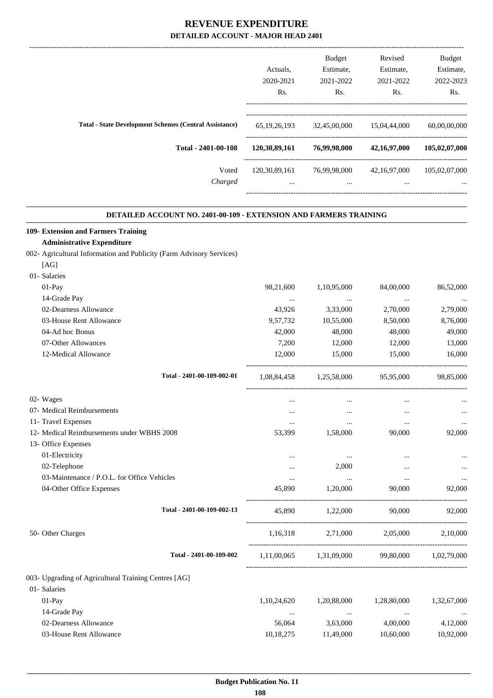|                  | <b>Budget</b>                                                                                                                     | Revised                | <b>Budget</b><br>Estimate, |
|------------------|-----------------------------------------------------------------------------------------------------------------------------------|------------------------|----------------------------|
|                  |                                                                                                                                   |                        | 2022-2023                  |
| Rs.              | Rs.                                                                                                                               | Rs.                    | Rs.                        |
| 65, 19, 26, 193  | 32,45,00,000                                                                                                                      | 15,04,44,000           | 60,00,00,000               |
| 120,30,89,161    | 76,99,98,000                                                                                                                      | 42,16,97,000           | 105,02,07,000              |
| 120, 30, 89, 161 | 76,99,98,000                                                                                                                      | 42,16,97,000           | 105,02,07,000              |
| $\cdots$         | $\cdots$                                                                                                                          | $\cdots$               | $\cdots$                   |
|                  | Actuals.<br>2020-2021<br><b>Total - State Development Schemes (Central Assistance)</b><br>Total - 2401-00-108<br>Voted<br>Charged | Estimate,<br>2021-2022 | Estimate,<br>2021-2022     |

.

### **DETAILED ACCOUNT NO. 2401-00-109 - EXTENSION AND FARMERS TRAINING**

| 109- Extension and Farmers Training                                  |             |                         |             |                       |
|----------------------------------------------------------------------|-------------|-------------------------|-------------|-----------------------|
| <b>Administrative Expenditure</b>                                    |             |                         |             |                       |
| 002- Agricultural Information and Publicity (Farm Advisory Services) |             |                         |             |                       |
| [AG]                                                                 |             |                         |             |                       |
| 01- Salaries                                                         |             |                         |             |                       |
| $01-Pay$                                                             | 98,21,600   | 1,10,95,000             | 84,00,000   | 86,52,000             |
| 14-Grade Pay                                                         | $\cdots$    | $\cdots$                | $\cdots$    |                       |
| 02-Dearness Allowance                                                | 43,926      | 3,33,000                | 2,70,000    | 2,79,000              |
| 03-House Rent Allowance                                              | 9,57,732    | 10,55,000               | 8,50,000    | 8,76,000              |
| 04-Ad hoc Bonus                                                      | 42,000      | 48,000                  | 48,000      | 49,000                |
| 07-Other Allowances                                                  | 7,200       | 12,000                  | 12,000      | 13,000                |
| 12-Medical Allowance                                                 | 12,000      | 15,000                  | 15,000      | 16,000                |
| Total - 2401-00-109-002-01                                           | 1,08,84,458 | 1,25,58,000             | 95,95,000   | 98,85,000             |
| 02- Wages                                                            | $\cdots$    | $\cdots$                | $\cdots$    |                       |
| 07- Medical Reimbursements                                           | $\cdots$    | $\cdots$                | $\cdots$    |                       |
| 11- Travel Expenses                                                  | $\cdots$    | $\cdots$                | $\cdots$    |                       |
| 12- Medical Reimbursements under WBHS 2008                           | 53,399      | 1,58,000                | 90,000      | 92,000                |
| 13- Office Expenses                                                  |             |                         |             |                       |
| 01-Electricity                                                       | $\cdots$    | $\cdots$                | $\cdots$    |                       |
| 02-Telephone                                                         | $\cdots$    | 2,000                   | $\cdots$    |                       |
| 03-Maintenance / P.O.L. for Office Vehicles                          | $\cdots$    | $\cdots$                | $\cdots$    |                       |
| 04-Other Office Expenses                                             | 45,890      | 1,20,000                | 90,000      | 92,000                |
| Total - 2401-00-109-002-13                                           | 45,890      | 1,22,000                | 90,000      | 92,000                |
| 50- Other Charges                                                    | 1,16,318    | 2,71,000                | 2,05,000    | 2,10,000              |
| Total - 2401-00-109-002                                              |             | 1,11,00,065 1,31,09,000 |             | 99,80,000 1,02,79,000 |
| 003- Upgrading of Agricultural Training Centres [AG]                 |             |                         |             |                       |
| 01- Salaries                                                         |             |                         |             |                       |
| 01-Pay                                                               | 1,10,24,620 | 1,20,88,000             | 1,28,80,000 | 1,32,67,000           |
| 14-Grade Pay                                                         |             |                         |             |                       |
| 02-Dearness Allowance                                                | 56,064      | 3,63,000                | 4,00,000    | 4,12,000              |
| 03-House Rent Allowance                                              | 10,18,275   | 11,49,000               | 10,60,000   | 10,92,000             |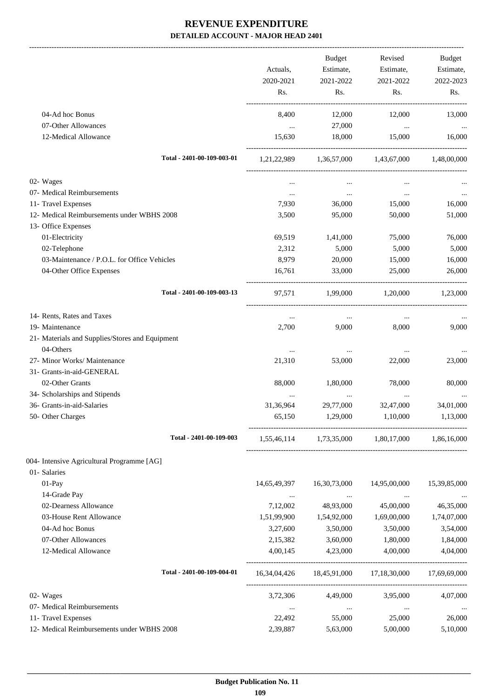-------------------------------------------------------------------------------------------------------------------------------------------------------------------------------

|                                                 | Actuals,<br>2020-2021 | <b>Budget</b><br>Estimate,<br>2021-2022 | Revised<br>Estimate,<br>2021-2022                      | <b>Budget</b><br>Estimate,<br>2022-2023 |
|-------------------------------------------------|-----------------------|-----------------------------------------|--------------------------------------------------------|-----------------------------------------|
|                                                 | Rs.                   | Rs.                                     | Rs.                                                    | Rs.                                     |
| 04-Ad hoc Bonus                                 | 8,400                 | 12,000                                  | 12,000                                                 | 13,000                                  |
| 07-Other Allowances                             | $\cdots$              | 27,000                                  | $\ldots$                                               |                                         |
| 12-Medical Allowance                            | 15,630                | 18,000                                  | 15,000                                                 | 16,000                                  |
| Total - 2401-00-109-003-01                      | 1,21,22,989           | 1,36,57,000                             | 1,43,67,000                                            | 1,48,00,000                             |
| 02- Wages                                       | $\cdots$              | $\cdots$                                | $\cdots$                                               |                                         |
| 07- Medical Reimbursements                      | $\cdots$              | $\cdots$                                | $\ldots$                                               | $\cdots$                                |
| 11- Travel Expenses                             | 7,930                 | 36,000                                  | 15,000                                                 | 16,000                                  |
| 12- Medical Reimbursements under WBHS 2008      | 3,500                 | 95,000                                  | 50,000                                                 | 51,000                                  |
| 13- Office Expenses                             |                       |                                         |                                                        |                                         |
| 01-Electricity                                  | 69,519                | 1,41,000                                | 75,000                                                 | 76,000                                  |
| 02-Telephone                                    | 2,312                 | 5,000                                   | 5,000                                                  | 5,000                                   |
| 03-Maintenance / P.O.L. for Office Vehicles     | 8,979                 | 20,000                                  | 15,000                                                 | 16,000                                  |
| 04-Other Office Expenses                        | 16,761                | 33,000                                  | 25,000                                                 | 26,000                                  |
| Total - 2401-00-109-003-13                      | 97,571                | 1,99,000                                | 1,20,000                                               | 1,23,000                                |
| 14- Rents, Rates and Taxes                      | $\cdots$              | $\cdots$                                | $\cdots$                                               |                                         |
| 19- Maintenance                                 | 2,700                 | 9,000                                   | 8,000                                                  | 9,000                                   |
| 21- Materials and Supplies/Stores and Equipment |                       |                                         |                                                        |                                         |
| 04-Others                                       | $\cdots$              | $\cdots$                                | $\cdots$                                               |                                         |
| 27- Minor Works/ Maintenance                    | 21,310                | 53,000                                  | 22,000                                                 | 23,000                                  |
| 31- Grants-in-aid-GENERAL                       |                       |                                         |                                                        |                                         |
| 02-Other Grants                                 | 88,000                | 1,80,000                                | 78,000                                                 | 80,000                                  |
| 34- Scholarships and Stipends                   | $\cdots$              | $\cdots$                                | $\cdots$                                               |                                         |
| 36- Grants-in-aid-Salaries                      | 31,36,964             | 29,77,000                               | 32,47,000                                              | 34,01,000                               |
| 50- Other Charges                               | 65,150                | 1,29,000                                | 1,10,000                                               | 1,13,000                                |
| Total - 2401-00-109-003                         |                       |                                         | 1,55,46,114 1,73,35,000 1,80,17,000 1,86,16,000        |                                         |
| 004- Intensive Agricultural Programme [AG]      |                       |                                         |                                                        |                                         |
| 01- Salaries                                    |                       |                                         |                                                        |                                         |
| 01-Pay                                          | 14,65,49,397          | 16,30,73,000                            | 14,95,00,000                                           | 15,39,85,000                            |
| 14-Grade Pay                                    | $\cdots$              | <b>Contractor</b>                       | <b>Contract</b>                                        |                                         |
| 02-Dearness Allowance                           | 7,12,002              | 48,93,000                               | 45,00,000                                              | 46,35,000                               |
| 03-House Rent Allowance                         | 1,51,99,900           | 1,54,92,000                             | 1,69,00,000                                            | 1,74,07,000                             |
| 04-Ad hoc Bonus                                 | 3,27,600              | 3,50,000                                | 3,50,000                                               | 3,54,000                                |
| 07-Other Allowances                             | 2,15,382              | 3,60,000                                | 1,80,000                                               | 1,84,000                                |
| 12-Medical Allowance                            | 4,00,145              | 4,23,000                                | 4,00,000                                               | 4,04,000                                |
| Total - 2401-00-109-004-01                      |                       |                                         | 16,34,04,426  18,45,91,000  17,18,30,000  17,69,69,000 |                                         |
| 02- Wages                                       |                       | 3,72,306 4,49,000                       | 3,95,000                                               | 4,07,000                                |
| 07- Medical Reimbursements                      | $\ldots$              | $\ldots$                                | $\ldots$                                               |                                         |
| 11- Travel Expenses                             | 22,492                | 55,000                                  | 25,000                                                 | 26,000                                  |
| 12- Medical Reimbursements under WBHS 2008      | 2,39,887              | 5,63,000                                | 5,00,000                                               | 5,10,000                                |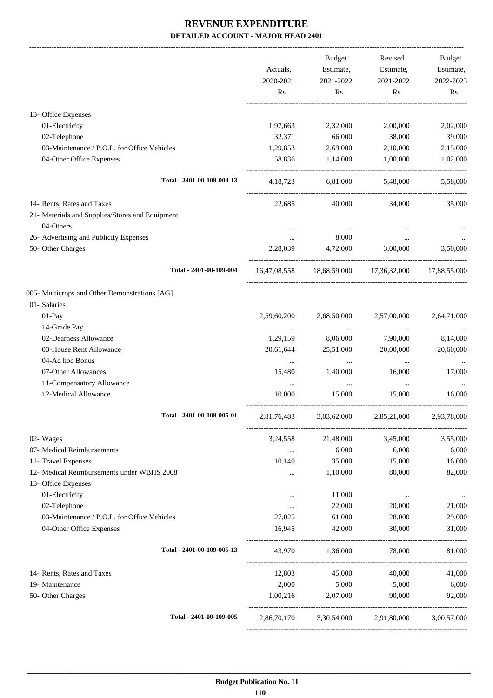|                                                 |              | <b>Budget</b> | Revised                                         | Budget       |
|-------------------------------------------------|--------------|---------------|-------------------------------------------------|--------------|
|                                                 | Actuals,     | Estimate,     | Estimate,                                       | Estimate,    |
|                                                 | 2020-2021    | 2021-2022     | 2021-2022                                       | 2022-2023    |
|                                                 | Rs.          | Rs.           | Rs.                                             | Rs.          |
| 13- Office Expenses                             |              |               |                                                 |              |
| 01-Electricity                                  | 1,97,663     | 2,32,000      | 2,00,000                                        | 2,02,000     |
| 02-Telephone                                    | 32,371       | 66,000        | 38,000                                          | 39,000       |
| 03-Maintenance / P.O.L. for Office Vehicles     | 1,29,853     | 2,69,000      | 2,10,000                                        | 2,15,000     |
| 04-Other Office Expenses                        | 58,836       | 1,14,000      | 1,00,000                                        | 1,02,000     |
| Total - 2401-00-109-004-13                      | 4, 18, 723   | 6,81,000      | 5,48,000                                        | 5,58,000     |
|                                                 |              |               |                                                 |              |
| 14- Rents, Rates and Taxes                      | 22,685       | 40,000        | 34,000                                          | 35,000       |
| 21- Materials and Supplies/Stores and Equipment |              |               |                                                 |              |
| 04-Others                                       | $\cdots$     | $\cdots$      |                                                 |              |
| 26- Advertising and Publicity Expenses          | $\cdots$     | 8,000         | $\cdots$                                        |              |
| 50- Other Charges                               | 2,28,039     | 4,72,000      | 3,00,000                                        | 3.50,000     |
| Total - 2401-00-109-004                         | 16,47,08,558 |               | 18,68,59,000 17,36,32,000                       | 17,88,55,000 |
| 005- Multicrops and Other Demonstrations [AG]   |              |               |                                                 |              |
| 01- Salaries                                    |              |               |                                                 |              |
| 01-Pay                                          | 2,59,60,200  | 2,68,50,000   | 2,57,00,000                                     | 2,64,71,000  |
| 14-Grade Pay                                    | $\cdots$     | $\cdots$      | $\cdots$                                        |              |
| 02-Dearness Allowance                           | 1,29,159     | 8,06,000      | 7,90,000                                        | 8,14,000     |
| 03-House Rent Allowance                         | 20,61,644    | 25,51,000     | 20,00,000                                       | 20,60,000    |
| 04-Ad hoc Bonus                                 | $\cdots$     | $\ldots$      | $\cdots$                                        |              |
| 07-Other Allowances                             | 15,480       | 1,40,000      | 16,000                                          | 17,000       |
| 11-Compensatory Allowance                       | $\cdots$     | $\cdots$      | $\cdots$                                        |              |
| 12-Medical Allowance                            | 10,000       | 15,000        | 15,000                                          | 16,000       |
| Total - 2401-00-109-005-01                      | 2,81,76,483  | 3,03,62,000   | 2,85,21,000                                     | 2,93,78,000  |
| 02- Wages                                       | 3,24,558     | 21,48,000     | 3,45,000                                        | 3,55,000     |
| 07- Medical Reimbursements                      | $\cdots$     | 6,000         | 6,000                                           | 6,000        |
| 11- Travel Expenses                             | 10.140       | 35,000        | 15,000                                          | 16,000       |
| 12- Medical Reimbursements under WBHS 2008      | $\ldots$     | 1,10,000      | 80,000                                          | 82,000       |
| 13- Office Expenses                             |              |               |                                                 |              |
| 01-Electricity                                  | $\cdots$     | 11,000        | $\cdots$                                        | $\cdots$     |
| 02-Telephone                                    | $\cdots$     | 22,000        | 20,000                                          | 21,000       |
| 03-Maintenance / P.O.L. for Office Vehicles     | 27,025       | 61,000        | 28,000                                          | 29,000       |
| 04-Other Office Expenses                        | 16,945       | 42,000        | 30,000                                          | 31,000       |
| Total - 2401-00-109-005-13                      | 43,970       | 1,36,000      | 78,000                                          | 81,000       |
| 14- Rents, Rates and Taxes                      | 12,803       | 45,000        | 40,000                                          | 41,000       |
| 19- Maintenance                                 | 2,000        | 5,000         | 5,000                                           | 6,000        |
| 50- Other Charges                               | 1,00,216     | 2,07,000      | 90,000                                          | 92,000       |
| Total - 2401-00-109-005                         |              |               | 2,86,70,170 3,30,54,000 2,91,80,000 3,00,57,000 |              |
|                                                 |              |               |                                                 |              |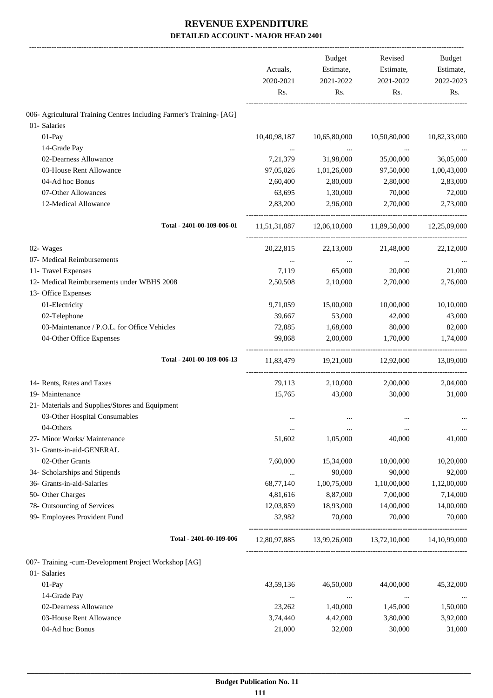|                                                                      | Actuals,<br>2020-2021<br>Rs. | <b>Budget</b><br>Estimate,<br>2021-2022<br>Rs. | Revised<br>Estimate,<br>2021-2022<br>Rs. | Budget<br>Estimate,<br>2022-2023<br>Rs. |
|----------------------------------------------------------------------|------------------------------|------------------------------------------------|------------------------------------------|-----------------------------------------|
| 006- Agricultural Training Centres Including Farmer's Training- [AG] |                              |                                                |                                          |                                         |
| 01- Salaries                                                         |                              |                                                |                                          |                                         |
| 01-Pay                                                               | 10,40,98,187                 | 10,65,80,000                                   | 10,50,80,000                             | 10,82,33,000                            |
| 14-Grade Pay                                                         |                              | $\ldots$                                       |                                          |                                         |
| 02-Dearness Allowance                                                | 7,21,379                     | 31,98,000                                      | 35,00,000                                | 36,05,000                               |
| 03-House Rent Allowance                                              | 97,05,026                    | 1,01,26,000                                    | 97,50,000                                | 1,00,43,000                             |
| 04-Ad hoc Bonus                                                      | 2,60,400                     | 2,80,000                                       | 2,80,000                                 | 2,83,000                                |
| 07-Other Allowances                                                  | 63,695                       | 1,30,000                                       | 70,000                                   | 72,000                                  |
| 12-Medical Allowance                                                 | 2,83,200                     | 2,96,000                                       | 2,70,000                                 | 2,73,000                                |
| Total - 2401-00-109-006-01                                           |                              |                                                | 11,51,31,887 12,06,10,000 11,89,50,000   | 12,25,09,000                            |
| 02- Wages                                                            | 20,22,815                    | 22,13,000                                      | 21,48,000                                | 22,12,000                               |
| 07- Medical Reimbursements                                           | $\cdots$                     | $\cdots$                                       | $\ldots$                                 |                                         |
| 11- Travel Expenses                                                  | 7,119                        | 65,000                                         | 20,000                                   | 21,000                                  |
| 12- Medical Reimbursements under WBHS 2008                           | 2,50,508                     | 2,10,000                                       | 2,70,000                                 | 2,76,000                                |
| 13- Office Expenses                                                  |                              |                                                |                                          |                                         |
| 01-Electricity                                                       | 9,71,059                     | 15,00,000                                      | 10,00,000                                | 10,10,000                               |
| 02-Telephone                                                         | 39,667                       | 53,000                                         | 42,000                                   | 43,000                                  |
| 03-Maintenance / P.O.L. for Office Vehicles                          | 72,885                       | 1,68,000                                       | 80,000                                   | 82,000                                  |
| 04-Other Office Expenses                                             | 99,868                       | 2,00,000                                       | 1,70,000                                 | 1,74,000                                |
| Total - 2401-00-109-006-13                                           | 11,83,479                    | 19,21,000                                      | 12,92,000                                | 13,09,000                               |
| 14- Rents, Rates and Taxes                                           | 79,113                       | 2,10,000                                       | 2,00,000                                 | 2,04,000                                |
| 19- Maintenance                                                      | 15,765                       | 43,000                                         | 30,000                                   | 31,000                                  |
| 21- Materials and Supplies/Stores and Equipment                      |                              |                                                |                                          |                                         |
| 03-Other Hospital Consumables                                        |                              |                                                |                                          |                                         |
| 04-Others                                                            |                              |                                                |                                          |                                         |
| 27- Minor Works/ Maintenance                                         | 51,602                       | 1,05,000                                       | 40,000                                   | 41,000                                  |
| 31- Grants-in-aid-GENERAL                                            |                              |                                                |                                          |                                         |
| 02-Other Grants                                                      | 7,60,000                     | 15,34,000                                      | 10,00,000                                | 10,20,000                               |
| 34- Scholarships and Stipends                                        | $\cdots$                     | 90,000                                         | 90,000                                   | 92,000                                  |
| 36- Grants-in-aid-Salaries                                           | 68,77,140                    | 1,00,75,000                                    | 1,10,00,000                              | 1,12,00,000                             |
| 50- Other Charges                                                    | 4,81,616                     | 8,87,000                                       | 7,00,000                                 | 7,14,000                                |
| 78- Outsourcing of Services                                          | 12,03,859                    | 18,93,000                                      | 14,00,000                                | 14,00,000                               |
| 99- Employees Provident Fund                                         | 32,982                       | 70,000                                         | 70,000                                   | 70,000                                  |
| Total - 2401-00-109-006                                              | 12,80,97,885                 |                                                | 13,99,26,000 13,72,10,000                | 14,10,99,000                            |
| 007- Training -cum-Development Project Workshop [AG]                 |                              |                                                |                                          |                                         |
| 01- Salaries                                                         |                              |                                                |                                          |                                         |
| 01-Pay                                                               | 43,59,136                    | 46,50,000                                      | 44,00,000                                | 45,32,000                               |
| 14-Grade Pay                                                         | $\cdots$                     | $\ldots$                                       | $\cdots$                                 | $\cdots$                                |
| 02-Dearness Allowance                                                | 23,262                       | 1,40,000                                       | 1,45,000                                 | 1,50,000                                |
| 03-House Rent Allowance                                              | 3,74,440                     | 4,42,000                                       | 3,80,000                                 | 3,92,000                                |
| 04-Ad hoc Bonus                                                      | 21,000                       | 32,000                                         | 30,000                                   | 31,000                                  |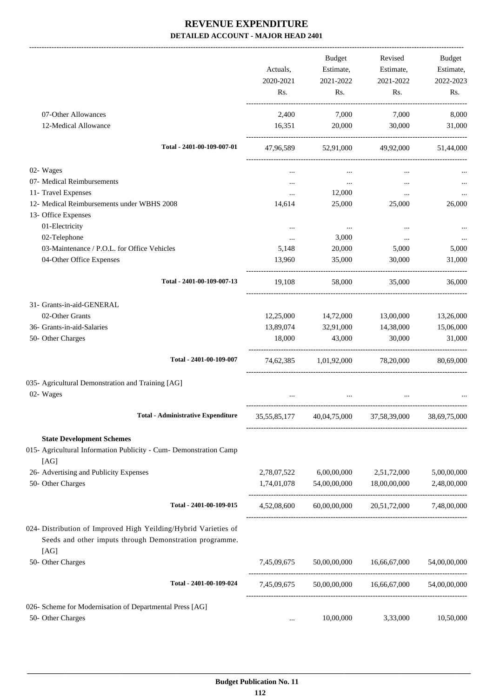|                                                                                                                                    | Actuals,<br>2020-2021 | Budget<br>Estimate,<br>2021-2022 | Revised<br>Estimate,<br>2021-2022 | Budget<br>Estimate,<br>2022-2023 |
|------------------------------------------------------------------------------------------------------------------------------------|-----------------------|----------------------------------|-----------------------------------|----------------------------------|
|                                                                                                                                    | Rs.                   | Rs.                              | Rs.                               | Rs.                              |
| 07-Other Allowances                                                                                                                | 2,400                 | 7,000                            | 7,000                             | 8,000                            |
| 12-Medical Allowance                                                                                                               | 16,351                | 20,000                           | 30,000                            | 31,000                           |
| Total - 2401-00-109-007-01                                                                                                         | 47,96,589             |                                  | 52,91,000 49,92,000               | 51,44,000                        |
| 02- Wages                                                                                                                          |                       |                                  |                                   |                                  |
| 07- Medical Reimbursements                                                                                                         | $\cdots$              | $\cdots$                         | $\cdots$                          |                                  |
| 11- Travel Expenses                                                                                                                | $\cdots$              | 12,000                           | $\cdots$                          |                                  |
| 12- Medical Reimbursements under WBHS 2008                                                                                         | 14,614                | 25,000                           | 25,000                            | 26,000                           |
| 13- Office Expenses                                                                                                                |                       |                                  |                                   |                                  |
| 01-Electricity                                                                                                                     | $\cdots$              | $\cdots$                         | $\cdots$                          |                                  |
| 02-Telephone                                                                                                                       | $\cdots$              | 3,000                            | $\cdots$                          |                                  |
| 03-Maintenance / P.O.L. for Office Vehicles                                                                                        | 5,148                 | 20,000                           | 5,000                             | 5,000                            |
| 04-Other Office Expenses                                                                                                           | 13,960                | 35,000                           | 30,000                            | 31,000                           |
| Total - 2401-00-109-007-13                                                                                                         | 19,108                | 58,000                           | 35,000                            | 36,000                           |
| 31- Grants-in-aid-GENERAL                                                                                                          |                       |                                  |                                   |                                  |
| 02-Other Grants                                                                                                                    | 12,25,000             | 14,72,000                        | 13,00,000                         | 13,26,000                        |
| 36- Grants-in-aid-Salaries                                                                                                         | 13,89,074             | 32,91,000                        | 14,38,000                         | 15,06,000                        |
| 50- Other Charges                                                                                                                  | 18,000                | 43,000                           | 30,000                            | 31,000                           |
| Total - 2401-00-109-007                                                                                                            |                       | 74,62,385 1,01,92,000            | 78,20,000                         | 80,69,000                        |
| 035- Agricultural Demonstration and Training [AG]<br>02- Wages                                                                     |                       |                                  |                                   |                                  |
| <b>Total - Administrative Expenditure</b>                                                                                          | 35, 55, 85, 177       |                                  | 40,04,75,000 37,58,39,000         | 38,69,75,000                     |
| <b>State Development Schemes</b>                                                                                                   |                       |                                  |                                   |                                  |
| 015- Agricultural Information Publicity - Cum- Demonstration Camp<br>[AG]                                                          |                       |                                  |                                   |                                  |
| 26- Advertising and Publicity Expenses                                                                                             | 2,78,07,522           | 6,00,00,000                      | 2,51,72,000                       | 5,00,00,000                      |
| 50- Other Charges                                                                                                                  | 1,74,01,078           | 54,00,00,000                     | 18,00,00,000                      | 2,48,00,000                      |
| Total - 2401-00-109-015                                                                                                            | 4,52,08,600           | 60,00,00,000                     | 20,51,72,000                      | 7,48,00,000                      |
| 024- Distribution of Improved High Yeilding/Hybrid Varieties of<br>Seeds and other imputs through Demonstration programme.<br>[AG] |                       |                                  |                                   |                                  |
| 50- Other Charges                                                                                                                  | 7,45,09,675           | 50,00,00,000                     | 16,66,67,000                      | 54,00,00,000                     |
| Total - 2401-00-109-024                                                                                                            | 7,45,09,675           |                                  | 50,00,00,000 16,66,67,000         | 54,00,00,000                     |
| 026- Scheme for Modernisation of Departmental Press [AG]                                                                           |                       |                                  |                                   |                                  |
| 50- Other Charges                                                                                                                  | $\cdots$              | 10,00,000                        | 3,33,000                          | 10,50,000                        |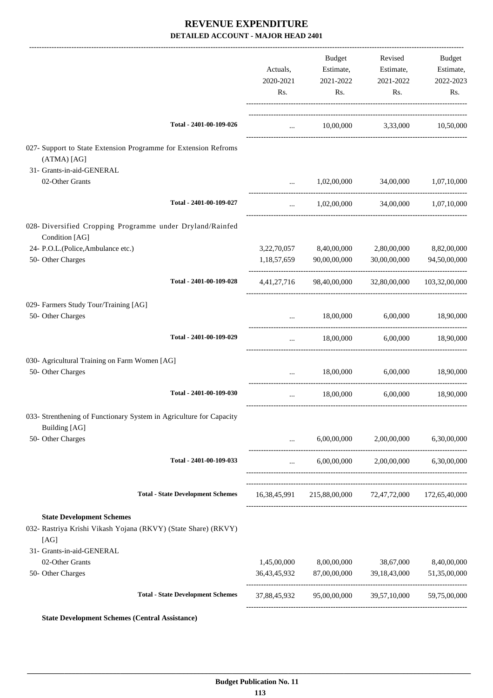|                                                                                                            |                                          | Actuals,<br>2020-2021<br>Rs. | Budget<br>Estimate,<br>2021-2022<br>Rs.             | Revised<br>Estimate,<br>2021-2022<br>Rs.              | Budget<br>Estimate,<br>2022-2023<br>Rs. |
|------------------------------------------------------------------------------------------------------------|------------------------------------------|------------------------------|-----------------------------------------------------|-------------------------------------------------------|-----------------------------------------|
|                                                                                                            | Total - 2401-00-109-026                  | $\ddots$                     |                                                     | 10,00,000 3,33,000 10,50,000                          |                                         |
| 027- Support to State Extension Programme for Extension Refroms<br>(ATMA) [AG]                             |                                          |                              |                                                     |                                                       |                                         |
| 31- Grants-in-aid-GENERAL                                                                                  |                                          |                              |                                                     |                                                       |                                         |
| 02-Other Grants                                                                                            |                                          | $\cdots$                     |                                                     | 1,02,00,000 34,00,000 1,07,10,000                     |                                         |
|                                                                                                            | Total - 2401-00-109-027                  | $\cdots$                     |                                                     | 1,02,00,000 34,00,000 1,07,10,000                     |                                         |
| 028- Diversified Cropping Programme under Dryland/Rainfed<br>Condition [AG]                                |                                          |                              |                                                     |                                                       |                                         |
| 24- P.O.L.(Police, Ambulance etc.)<br>50- Other Charges                                                    |                                          |                              | 3,22,70,057 8,40,00,000<br>1,18,57,659 90,00,00,000 | 2,80,00,000<br>30,00,00,000                           | 8,82,00,000<br>94,50,00,000             |
|                                                                                                            | Total - 2401-00-109-028                  |                              |                                                     | 4,41,27,716 98,40,00,000 32,80,00,000 103,32,00,000   |                                         |
| 029- Farmers Study Tour/Training [AG]                                                                      |                                          |                              |                                                     |                                                       |                                         |
| 50- Other Charges                                                                                          |                                          | $\cdots$                     |                                                     | 18,00,000 6,00,000 18,90,000                          |                                         |
|                                                                                                            | Total - 2401-00-109-029                  | $\cdots$                     |                                                     | 18,00,000 6,00,000 18,90,000                          |                                         |
| 030- Agricultural Training on Farm Women [AG]                                                              |                                          |                              |                                                     |                                                       |                                         |
| 50- Other Charges                                                                                          |                                          | $\mathbf{r}$                 | 18,00,000                                           | 6,00,000                                              | 18,90,000                               |
|                                                                                                            | Total - 2401-00-109-030                  |                              |                                                     | 18,00,000 6,00,000 18,90,000                          |                                         |
| 033- Strenthening of Functionary System in Agriculture for Capacity<br>Building [AG]                       |                                          |                              |                                                     |                                                       |                                         |
| 50- Other Charges                                                                                          |                                          | $\cdots$                     |                                                     | 6,00,00,000 2,00,00,000                               | 6,30,00,000                             |
|                                                                                                            | Total - 2401-00-109-033                  | $\cdots$                     |                                                     | $6,00,00,000$ $2,00,00,000$ $6,30,00,000$             |                                         |
|                                                                                                            | <b>Total - State Development Schemes</b> |                              |                                                     | 16,38,45,991 215,88,00,000 72,47,72,000 172,65,40,000 |                                         |
| <b>State Development Schemes</b><br>032- Rastriya Krishi Vikash Yojana (RKVY) (State Share) (RKVY)<br>[AG] |                                          |                              |                                                     |                                                       |                                         |
| 31- Grants-in-aid-GENERAL                                                                                  |                                          |                              |                                                     |                                                       |                                         |
| 02-Other Grants<br>50- Other Charges                                                                       |                                          | 1,45,00,000                  | 8,00,00,000<br>36,43,45,932 87,00,00,000            | 38,67,000<br>39,18,43,000                             | 8,40,00,000<br>51,35,00,000             |
|                                                                                                            | <b>Total - State Development Schemes</b> | 37,88,45,932                 |                                                     | 95,00,00,000 39,57,10,000                             | 59,75,00,000                            |
|                                                                                                            |                                          |                              |                                                     |                                                       |                                         |

**State Development Schemes (Central Assistance)**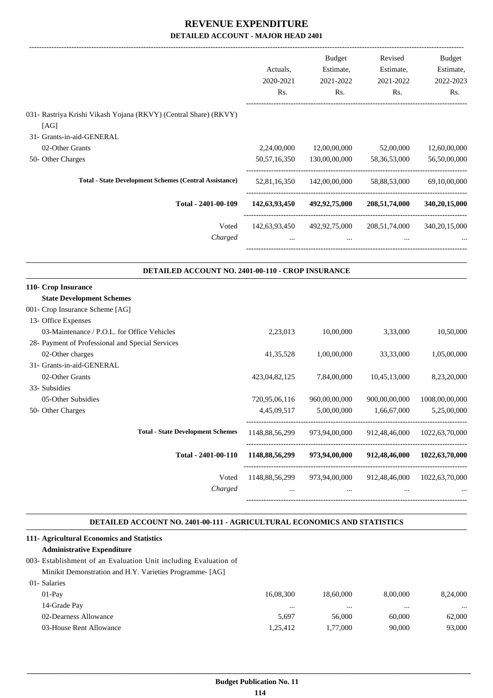|                                                                                                              | Actuals,<br>2020-2021<br>Rs. | <b>Budget</b><br>Estimate,<br>2021-2022<br>Rs. | Revised<br>Estimate,<br>2021-2022<br>Rs. | Budget<br>Estimate,<br>2022-2023<br>Rs. |
|--------------------------------------------------------------------------------------------------------------|------------------------------|------------------------------------------------|------------------------------------------|-----------------------------------------|
| 031- Rastriya Krishi Vikash Yojana (RKVY) (Central Share) (RKVY)<br>[AG]                                     |                              |                                                |                                          |                                         |
| 31- Grants-in-aid-GENERAL                                                                                    |                              |                                                |                                          |                                         |
| 02-Other Grants                                                                                              | 2,24,00,000                  | 12,00,00,000                                   | 52,00,000                                | 12,60,00,000                            |
| 50- Other Charges                                                                                            | 50, 57, 16, 350              | 130,00,00,000                                  | 58, 36, 53, 000                          | 56,50,00,000                            |
| <b>Total - State Development Schemes (Central Assistance)</b>                                                | 52,81,16,350                 | 142,00,00,000                                  | 58,88,53,000                             | 69,10,00,000                            |
| Total - 2401-00-109                                                                                          | 142,63,93,450                | 492,92,75,000                                  | 208,51,74,000                            | 340,20,15,000                           |
| Voted<br>Charged                                                                                             |                              | 142,63,93,450 492,92,75,000<br>$\cdots$        | 208,51,74,000                            | 340, 20, 15, 000                        |
|                                                                                                              |                              |                                                |                                          |                                         |
| DETAILED ACCOUNT NO. 2401-00-110 - CROP INSURANCE<br>110- Crop Insurance<br><b>State Development Schemes</b> |                              |                                                |                                          |                                         |
| 001- Crop Insurance Scheme [AG]                                                                              |                              |                                                |                                          |                                         |
| 13- Office Expenses                                                                                          |                              |                                                |                                          |                                         |
| 03-Maintenance / P.O.L. for Office Vehicles                                                                  | 2,23,013                     | 10,00,000                                      | 3,33,000                                 | 10,50,000                               |
| 28- Payment of Professional and Special Services                                                             |                              |                                                |                                          |                                         |
| 02-Other charges                                                                                             | 41, 35, 528                  | 1,00,00,000                                    | 33,33,000                                | 1,05,00,000                             |
| 31- Grants-in-aid-GENERAL                                                                                    |                              |                                                |                                          |                                         |
| 02-Other Grants                                                                                              | 423,04,82,125                | 7,84,00,000                                    | 10,45,13,000                             | 8,23,20,000                             |
| 33- Subsidies                                                                                                |                              |                                                |                                          |                                         |
| 05-Other Subsidies<br>50- Other Charges                                                                      | 720,95,06,116<br>4,45,09,517 | 960,00,00,000<br>5,00,00,000                   | 900,00,00,000<br>1,66,67,000             | 1008,00,00,000<br>5,25,00,000           |
| <b>Total - State Development Schemes</b>                                                                     | 1148,88,56,299               | 973,94,00,000                                  | 912,48,46,000                            | 1022,63,70,000                          |
| Total - 2401-00-110                                                                                          | 1148,88,56,299               | 973,94,00,000                                  | 912,48,46,000                            | 1022,63,70,000                          |

#### **DETAILED ACCOUNT NO. 2401-00-111 - AGRICULTURAL ECONOMICS AND STATISTICS .**

### **111- Agricultural Economics and Statistics**

### **Administrative Expenditure**

### 003- Establishment of an Evaluation Unit including Evaluation of Minikit Demonstration and H.Y. Varieties Programme- [AG]

|                         | 16,08,300 | 18,60,000 | 8,00,000 | 8,24,000 |
|-------------------------|-----------|-----------|----------|----------|
| 14-Grade Pay            | $\cdots$  | $\cdots$  | $\cdots$ | $\cdots$ |
| 02-Dearness Allowance   | 5.697     | 56,000    | 60,000   | 62,000   |
| 03-House Rent Allowance | 1.25.412  | 1.77.000  | 90,000   | 93,000   |
|                         |           |           |          |          |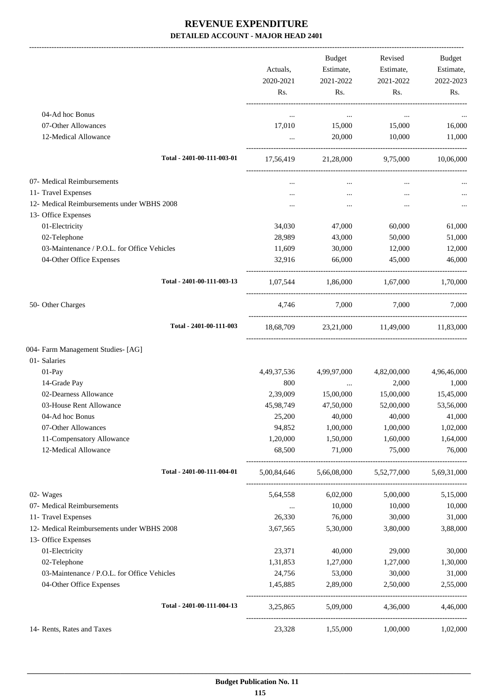|                                                                   | Actuals,<br>2020-2021<br>Rs. | Budget<br>Estimate,<br>2021-2022<br>Rs.         | Revised<br>Estimate,<br>2021-2022<br>Rs. | Budget<br>Estimate,<br>2022-2023<br>Rs. |
|-------------------------------------------------------------------|------------------------------|-------------------------------------------------|------------------------------------------|-----------------------------------------|
| 04-Ad hoc Bonus                                                   | $\cdots$                     | $\cdots$                                        | $\ldots$                                 |                                         |
| 07-Other Allowances                                               | 17,010                       | 15,000                                          | 15,000                                   | 16,000                                  |
| 12-Medical Allowance                                              | $\ddotsc$                    | 20,000                                          | 10,000                                   | 11,000                                  |
| Total - 2401-00-111-003-01                                        | 17,56,419                    | 21,28,000 9,75,000 10,06,000                    |                                          |                                         |
| 07- Medical Reimbursements                                        |                              | $\cdots$                                        | $\cdots$                                 |                                         |
| 11- Travel Expenses                                               | $\cdots$                     | $\cdots$                                        | $\cdots$                                 |                                         |
| 12- Medical Reimbursements under WBHS 2008                        |                              | $\cdots$                                        | $\cdots$                                 |                                         |
| 13- Office Expenses                                               |                              |                                                 |                                          |                                         |
| 01-Electricity                                                    | 34,030                       | 47,000                                          | 60,000                                   | 61,000                                  |
| 02-Telephone                                                      | 28,989                       | 43,000                                          | 50,000                                   | 51,000                                  |
| 03-Maintenance / P.O.L. for Office Vehicles                       | 11,609                       | 30,000                                          | 12,000                                   | 12,000                                  |
| 04-Other Office Expenses                                          | 32,916                       | 66,000                                          | 45,000                                   | 46,000                                  |
| Total - 2401-00-111-003-13                                        | 1,07,544                     | 1,86,000                                        | 1,67,000                                 | 1,70,000                                |
| 50- Other Charges                                                 |                              | 4,746 7,000 7,000                               |                                          | 7,000                                   |
| Total - 2401-00-111-003                                           | 18,68,709                    |                                                 | 23,21,000 11,49,000 11,83,000            |                                         |
| 004- Farm Management Studies- [AG]                                |                              |                                                 |                                          |                                         |
| 01- Salaries                                                      |                              |                                                 |                                          |                                         |
| $01-Pay$                                                          | 4,49,37,536                  | 4,99,97,000                                     | 4,82,00,000                              | 4,96,46,000                             |
| 14-Grade Pay                                                      | 800                          | $\cdots$                                        | 2,000                                    | 1,000                                   |
| 02-Dearness Allowance                                             | 2,39,009                     | 15,00,000                                       | 15,00,000                                | 15,45,000                               |
| 03-House Rent Allowance                                           | 45,98,749                    | 47,50,000                                       | 52,00,000                                | 53,56,000                               |
| 04-Ad hoc Bonus                                                   | 25,200                       | 40,000                                          | 40,000                                   | 41,000                                  |
| 07-Other Allowances                                               | 94,852                       | 1,00,000                                        | 1,00,000                                 | 1,02,000                                |
| 11-Compensatory Allowance<br>12-Medical Allowance                 | 1,20,000<br>68,500           | 1,50,000<br>71,000                              | 1,60,000<br>75,000                       | 1,64,000<br>76,000                      |
| Total - 2401-00-111-004-01                                        |                              | 5,00,84,646 5,66,08,000 5,52,77,000 5,69,31,000 |                                          |                                         |
|                                                                   |                              |                                                 |                                          |                                         |
| 02- Wages                                                         | 5,64,558                     | 6,02,000                                        | 5,00,000                                 | 5,15,000                                |
| 07- Medical Reimbursements                                        | $\cdots$                     | 10,000                                          | 10,000                                   | 10,000                                  |
| 11- Travel Expenses                                               | 26,330                       | 76,000                                          | 30,000                                   | 31,000                                  |
| 12- Medical Reimbursements under WBHS 2008<br>13- Office Expenses | 3,67,565                     | 5,30,000                                        | 3,80,000                                 | 3,88,000                                |
| 01-Electricity                                                    | 23,371                       | 40,000                                          | 29,000                                   | 30,000                                  |
| 02-Telephone                                                      | 1,31,853                     | 1,27,000                                        | 1,27,000                                 | 1,30,000                                |
| 03-Maintenance / P.O.L. for Office Vehicles                       | 24,756                       | 53,000                                          | 30,000                                   | 31,000                                  |
| 04-Other Office Expenses                                          | 1,45,885                     | 2,89,000                                        | 2,50,000                                 | 2,55,000                                |
| Total - 2401-00-111-004-13                                        | 3,25,865                     | 5,09,000                                        | 4,36,000                                 | 4,46,000                                |
| 14- Rents, Rates and Taxes                                        | 23,328                       | 1,55,000                                        | 1,00,000                                 | 1,02,000                                |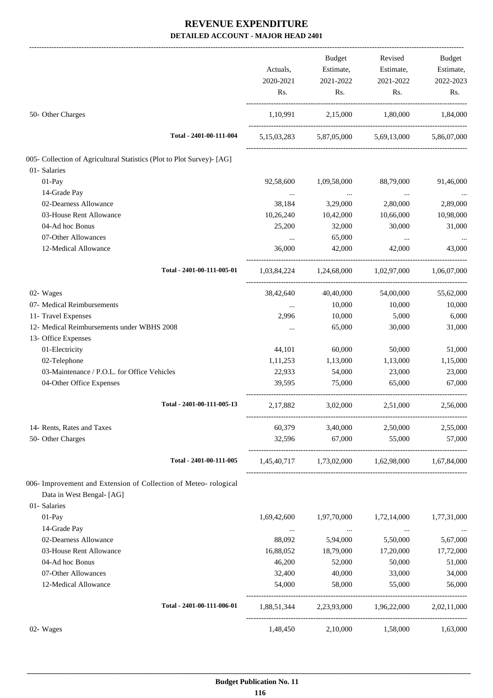|                                                                        | Actuals,<br>2020-2021 | Budget<br>Estimate,<br>2021-2022 | Revised<br>Estimate,<br>2021-2022               | Budget<br>Estimate,<br>2022-2023 |
|------------------------------------------------------------------------|-----------------------|----------------------------------|-------------------------------------------------|----------------------------------|
|                                                                        | Rs.                   | Rs.                              | Rs.                                             | Rs.                              |
| 50- Other Charges                                                      |                       | 1,10,991 2,15,000                | 1,80,000                                        | 1,84,000                         |
| Total - 2401-00-111-004                                                |                       |                                  | 5,15,03,283 5,87,05,000 5,69,13,000             | 5,86,07,000                      |
| 005- Collection of Agricultural Statistics (Plot to Plot Survey)- [AG] |                       |                                  |                                                 |                                  |
| 01- Salaries                                                           |                       |                                  |                                                 |                                  |
| 01-Pay                                                                 | 92,58,600             | 1,09,58,000                      | 88,79,000                                       | 91,46,000                        |
| 14-Grade Pay                                                           | $\cdots$              | $\cdots$                         | $\cdots$                                        |                                  |
| 02-Dearness Allowance                                                  | 38,184                | 3,29,000                         | 2,80,000                                        | 2,89,000                         |
| 03-House Rent Allowance                                                | 10,26,240             | 10,42,000                        | 10,66,000                                       | 10,98,000                        |
| 04-Ad hoc Bonus                                                        | 25,200                | 32,000                           | 30,000                                          | 31,000                           |
| 07-Other Allowances                                                    | $\cdots$              | 65,000                           |                                                 |                                  |
| 12-Medical Allowance                                                   | 36,000                | 42,000                           | $\cdots$<br>42,000                              | 43,000                           |
| Total - 2401-00-111-005-01                                             |                       |                                  | 1,03,84,224 1,24,68,000 1,02,97,000 1,06,07,000 |                                  |
| 02- Wages                                                              | 38,42,640             | 40,40,000                        | 54,00,000                                       | 55,62,000                        |
| 07- Medical Reimbursements                                             | $\cdots$              | 10,000                           | 10,000                                          | 10,000                           |
| 11- Travel Expenses                                                    | 2,996                 | 10,000                           | 5,000                                           | 6,000                            |
| 12- Medical Reimbursements under WBHS 2008                             | $\cdots$              | 65,000                           | 30,000                                          | 31,000                           |
| 13- Office Expenses                                                    |                       |                                  |                                                 |                                  |
| 01-Electricity                                                         | 44,101                | 60,000                           | 50,000                                          | 51,000                           |
| 02-Telephone                                                           | 1,11,253              | 1,13,000                         | 1,13,000                                        | 1,15,000                         |
| 03-Maintenance / P.O.L. for Office Vehicles                            | 22,933                | 54,000                           | 23,000                                          | 23,000                           |
| 04-Other Office Expenses                                               | 39,595                | 75,000                           | 65,000                                          | 67,000                           |
| Total - 2401-00-111-005-13                                             | 2,17,882              | 3,02,000                         | 2,51,000                                        | 2,56,000                         |
| 14- Rents, Rates and Taxes                                             | 60,379                | 3,40,000                         | 2,50,000                                        | 2,55,000                         |
| 50- Other Charges                                                      | 32,596                | 67,000                           | 55,000                                          | 57,000                           |
| Total - 2401-00-111-005                                                |                       |                                  | 1,45,40,717 1,73,02,000 1,62,98,000 1,67,84,000 |                                  |
| 006- Improvement and Extension of Collection of Meteo- rological       |                       |                                  |                                                 |                                  |
| Data in West Bengal- [AG]                                              |                       |                                  |                                                 |                                  |
| 01- Salaries                                                           |                       |                                  |                                                 |                                  |
| 01-Pay                                                                 | 1,69,42,600           | 1,97,70,000                      | 1,72,14,000                                     | 1,77,31,000                      |
| 14-Grade Pay                                                           | $\cdots$              | $\cdots$                         | $\ddotsc$                                       |                                  |
| 02-Dearness Allowance                                                  | 88,092                | 5,94,000                         | 5,50,000                                        | 5,67,000                         |
| 03-House Rent Allowance                                                | 16,88,052             | 18,79,000                        | 17,20,000                                       | 17,72,000                        |
| 04-Ad hoc Bonus                                                        | 46,200                | 52,000                           | 50,000                                          | 51,000                           |
| 07-Other Allowances                                                    | 32,400                | 40,000                           | 33,000                                          | 34,000                           |
| 12-Medical Allowance                                                   | 54,000                | 58,000                           | 55,000                                          | 56,000                           |
| Total - 2401-00-111-006-01                                             |                       |                                  | 1,88,51,344 2,23,93,000 1,96,22,000             | 2,02,11,000                      |
| 02- Wages                                                              | 1,48,450              | 2,10,000                         | 1,58,000                                        | 1,63,000                         |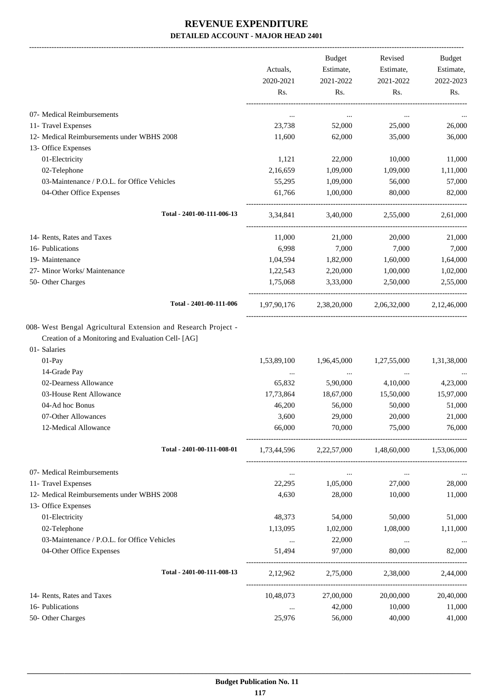-------------------------------------------------------------------------------------------------------------------------------------------------------------------------------

|                                                                                                                                                | Actuals,<br>2020-2021<br>Rs. | <b>Budget</b><br>Estimate,<br>2021-2022<br>Rs. | Revised<br>Estimate,<br>2021-2022<br>Rs. | <b>Budget</b><br>Estimate,<br>2022-2023<br>Rs. |
|------------------------------------------------------------------------------------------------------------------------------------------------|------------------------------|------------------------------------------------|------------------------------------------|------------------------------------------------|
| 07- Medical Reimbursements                                                                                                                     | $\ddotsc$                    | $\cdots$                                       | $\cdots$                                 |                                                |
| 11- Travel Expenses                                                                                                                            | 23,738                       | 52,000                                         | 25,000                                   | 26,000                                         |
| 12- Medical Reimbursements under WBHS 2008                                                                                                     | 11,600                       | 62,000                                         | 35,000                                   | 36,000                                         |
| 13- Office Expenses                                                                                                                            |                              |                                                |                                          |                                                |
| 01-Electricity                                                                                                                                 | 1,121                        | 22,000                                         | 10,000                                   | 11,000                                         |
| 02-Telephone                                                                                                                                   | 2,16,659                     | 1,09,000                                       | 1,09,000                                 | 1,11,000                                       |
| 03-Maintenance / P.O.L. for Office Vehicles                                                                                                    | 55,295                       | 1,09,000                                       | 56,000                                   | 57,000                                         |
| 04-Other Office Expenses                                                                                                                       | 61,766                       | 1,00,000                                       | 80,000                                   | 82,000                                         |
| Total - 2401-00-111-006-13                                                                                                                     | 3,34,841                     | 3,40,000                                       | 2,55,000                                 | 2.61.000                                       |
| 14- Rents, Rates and Taxes                                                                                                                     | 11,000                       | 21,000                                         | 20,000                                   | 21,000                                         |
| 16- Publications                                                                                                                               | 6,998                        | 7,000                                          | 7,000                                    | 7,000                                          |
| 19- Maintenance                                                                                                                                | 1,04,594                     | 1,82,000                                       | 1,60,000                                 | 1,64,000                                       |
| 27- Minor Works/ Maintenance                                                                                                                   | 1,22,543                     | 2,20,000                                       | 1,00,000                                 | 1,02,000                                       |
| 50- Other Charges                                                                                                                              | 1,75,068                     | 3,33,000                                       | 2,50,000                                 | 2,55,000                                       |
| Total - 2401-00-111-006                                                                                                                        | 1,97,90,176                  | 2,38,20,000                                    | 2,06,32,000                              | 2,12,46,000                                    |
| 008- West Bengal Agricultural Extension and Research Project -<br>Creation of a Monitoring and Evaluation Cell- [AG]<br>01- Salaries<br>01-Pay | 1,53,89,100                  | 1,96,45,000                                    | 1,27,55,000                              | 1,31,38,000                                    |
| 14-Grade Pay                                                                                                                                   | $\ldots$                     | $\cdots$                                       | $\cdots$                                 |                                                |
| 02-Dearness Allowance<br>03-House Rent Allowance                                                                                               | 65,832                       | 5,90,000                                       | 4,10,000                                 | 4,23,000                                       |
| 04-Ad hoc Bonus                                                                                                                                | 17,73,864                    | 18,67,000                                      | 15,50,000                                | 15,97,000                                      |
| 07-Other Allowances                                                                                                                            | 46,200<br>3,600              | 56,000<br>29,000                               | 50,000<br>20,000                         | 51,000<br>21,000                               |
| 12-Medical Allowance                                                                                                                           | 66,000                       | 70,000                                         | 75,000                                   | 76,000                                         |
| Total - 2401-00-111-008-01                                                                                                                     | 1,73,44,596                  |                                                | 2,22,57,000 1,48,60,000                  | 1,53,06,000                                    |
| 07- Medical Reimbursements                                                                                                                     | $\cdots$                     | $\cdots$                                       | $\cdots$                                 |                                                |
| 11- Travel Expenses                                                                                                                            | 22,295                       | 1,05,000                                       | 27,000                                   | 28,000                                         |
| 12- Medical Reimbursements under WBHS 2008                                                                                                     | 4,630                        | 28,000                                         | 10,000                                   | 11,000                                         |
| 13- Office Expenses                                                                                                                            |                              |                                                |                                          |                                                |
| 01-Electricity                                                                                                                                 | 48,373                       | 54,000                                         | 50,000                                   | 51,000                                         |
| 02-Telephone                                                                                                                                   | 1,13,095                     | 1,02,000                                       | 1,08,000                                 | 1,11,000                                       |
| 03-Maintenance / P.O.L. for Office Vehicles                                                                                                    | $\cdots$                     | 22,000                                         | $\cdots$                                 |                                                |
| 04-Other Office Expenses                                                                                                                       | 51,494                       | 97,000                                         | 80,000                                   | 82,000                                         |
| Total - 2401-00-111-008-13                                                                                                                     | 2,12,962                     | 2,75,000                                       | 2,38,000                                 | 2,44,000                                       |
| 14- Rents, Rates and Taxes                                                                                                                     | 10,48,073                    | 27,00,000                                      | 20,00,000                                | 20,40,000                                      |
| 16- Publications                                                                                                                               | $\ldots$                     | 42,000                                         | 10,000                                   | 11,000                                         |
| 50- Other Charges                                                                                                                              | 25,976                       | 56,000                                         | 40,000                                   | 41,000                                         |
|                                                                                                                                                |                              |                                                |                                          |                                                |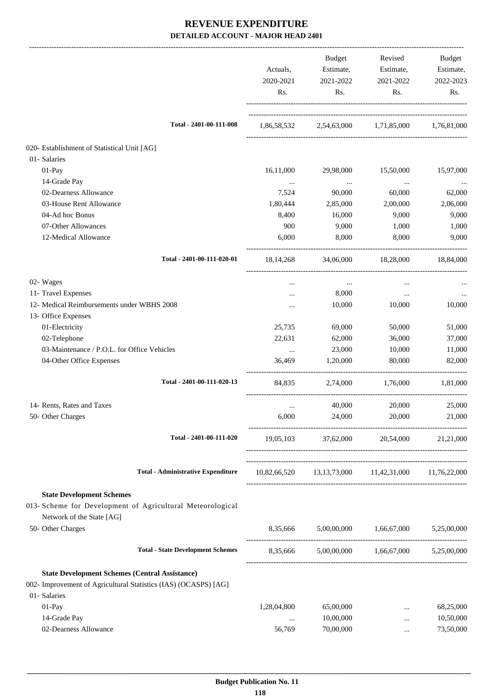|                                                                 | Actuals,<br>2020-2021<br>Rs. | Budget<br>Estimate,<br>2021-2022<br>Rs.             | Revised<br>Estimate,<br>2021-2022<br>Rs. | Budget<br>Estimate,<br>2022-2023<br>Rs. |
|-----------------------------------------------------------------|------------------------------|-----------------------------------------------------|------------------------------------------|-----------------------------------------|
| Total - 2401-00-111-008                                         | 1,86,58,532                  |                                                     | 2,54,63,000 1,71,85,000 1,76,81,000      |                                         |
| 020- Establishment of Statistical Unit [AG]                     |                              |                                                     |                                          |                                         |
| 01- Salaries                                                    |                              |                                                     |                                          |                                         |
| 01-Pay                                                          | 16,11,000                    | 29,98,000                                           | 15,50,000                                | 15,97,000                               |
| 14-Grade Pay                                                    | $\ldots$                     | $\cdots$                                            | $\ldots$                                 | $\cdots$                                |
| 02-Dearness Allowance                                           | 7,524                        | 90,000                                              | 60,000                                   | 62,000                                  |
| 03-House Rent Allowance                                         | 1,80,444                     | 2,85,000                                            | 2,00,000                                 | 2,06,000                                |
| 04-Ad hoc Bonus                                                 | 8,400                        | 16,000                                              | 9,000                                    | 9,000                                   |
| 07-Other Allowances                                             | 900                          | 9,000                                               | 1,000                                    | 1,000                                   |
| 12-Medical Allowance                                            | 6,000                        | 8,000                                               | 8,000                                    | 9.000                                   |
| Total - 2401-00-111-020-01                                      | 18, 14, 268                  | 34,06,000                                           | 18,28,000                                | 18,84,000                               |
| 02- Wages                                                       | $\cdots$                     | $\ldots$                                            | $\cdots$                                 |                                         |
| 11- Travel Expenses                                             |                              | 8,000                                               | $\cdots$                                 |                                         |
| 12- Medical Reimbursements under WBHS 2008                      | $\cdots$                     | 10,000                                              | 10,000                                   | 10,000                                  |
| 13- Office Expenses                                             |                              |                                                     |                                          |                                         |
| 01-Electricity                                                  | 25,735                       | 69,000                                              | 50,000                                   | 51,000                                  |
| 02-Telephone                                                    | 22,631                       | 62,000                                              | 36,000                                   | 37,000                                  |
| 03-Maintenance / P.O.L. for Office Vehicles                     | $\cdots$                     | 23,000                                              | 10,000                                   | 11,000                                  |
| 04-Other Office Expenses                                        | 36,469                       | 1,20,000                                            | 80,000                                   | 82,000                                  |
| Total - 2401-00-111-020-13                                      | 84,835                       | 2,74,000                                            | 1,76,000                                 | 1,81,000                                |
| 14- Rents, Rates and Taxes                                      |                              | 40,000                                              | 20,000                                   | 25,000                                  |
| 50- Other Charges                                               | 6,000                        | 24,000                                              | 20,000                                   | 21,000                                  |
| Total - 2401-00-111-020                                         |                              | 19,05,103 37,62,000 20,54,000                       |                                          | 21,21,000                               |
| <b>Total - Administrative Expenditure</b>                       |                              | 10,82,66,520 13,13,73,000 11,42,31,000 11,76,22,000 |                                          |                                         |
| <b>State Development Schemes</b>                                |                              |                                                     |                                          |                                         |
| 013- Scheme for Development of Agricultural Meteorological      |                              |                                                     |                                          |                                         |
| Network of the State [AG]                                       |                              |                                                     |                                          |                                         |
| 50- Other Charges                                               |                              | 8,35,666 5,00,00,000 1,66,67,000 5,25,00,000        |                                          |                                         |
| <b>Total - State Development Schemes</b>                        |                              | 8,35,666 5,00,00,000 1,66,67,000 5,25,00,000        |                                          |                                         |
| <b>State Development Schemes (Central Assistance)</b>           |                              |                                                     |                                          |                                         |
| 002- Improvement of Agricultural Statistics (IAS) (OCASPS) [AG] |                              |                                                     |                                          |                                         |
| 01- Salaries                                                    |                              |                                                     |                                          |                                         |
| 01-Pay                                                          | 1,28,04,800                  | 65,00,000                                           | $\cdots$                                 | 68,25,000                               |
| 14-Grade Pay                                                    |                              | 10,00,000                                           |                                          | 10,50,000                               |
| 02-Dearness Allowance                                           | 56,769                       | 70,00,000                                           | $\ddotsc$                                | 73,50,000                               |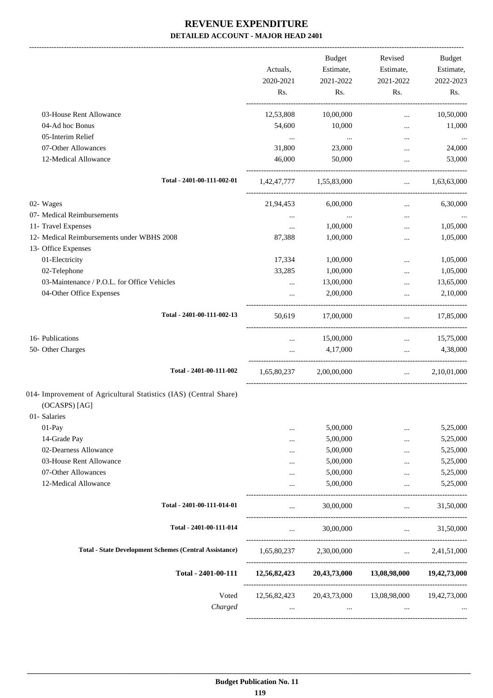|                                                                                                    | Actuals,<br>2020-2021<br>Rs. | Budget<br>Estimate,<br>2021-2022<br>Rs. | Revised<br>Estimate,<br>2021-2022<br>Rs.                                     | Budget<br>Estimate,<br>2022-2023<br>Rs.                    |
|----------------------------------------------------------------------------------------------------|------------------------------|-----------------------------------------|------------------------------------------------------------------------------|------------------------------------------------------------|
| 03-House Rent Allowance                                                                            | 12,53,808                    | 10,00,000                               | $\cdots$                                                                     | 10,50,000                                                  |
| 04-Ad hoc Bonus                                                                                    | 54,600                       | 10,000                                  | $\cdots$                                                                     | 11,000                                                     |
| 05-Interim Relief                                                                                  | $\ldots$                     | $\sim 100$ and $\sim 100$               | $\cdots$                                                                     | $\cdots$                                                   |
| 07-Other Allowances                                                                                | 31,800                       | 23,000                                  | $\cdots$                                                                     | 24,000                                                     |
| 12-Medical Allowance                                                                               | 46,000                       | 50,000                                  | $\cdots$                                                                     | 53,000                                                     |
| Total - 2401-00-111-002-01                                                                         |                              | 1,42,47,777 1,55,83,000                 | $\mathbf{L}$ , and $\mathbf{L}$ and $\mathbf{L}$                             | 1,63,63,000                                                |
| 02- Wages                                                                                          | 21,94,453                    | 6,00,000                                | $\cdots$                                                                     | 6,30,000                                                   |
| 07- Medical Reimbursements                                                                         | $\cdots$                     | $\cdots$                                | $\cdots$                                                                     |                                                            |
| 11- Travel Expenses                                                                                | $\cdots$                     | 1,00,000                                | $\cdots$                                                                     | 1,05,000                                                   |
| 12- Medical Reimbursements under WBHS 2008                                                         | 87,388                       | 1,00,000                                | $\cdots$                                                                     | 1,05,000                                                   |
| 13- Office Expenses                                                                                |                              |                                         |                                                                              |                                                            |
| 01-Electricity                                                                                     | 17,334                       | 1,00,000                                | $\cdots$                                                                     | 1,05,000                                                   |
| 02-Telephone                                                                                       | 33,285                       | 1,00,000                                | $\cdots$                                                                     | 1,05,000                                                   |
| 03-Maintenance / P.O.L. for Office Vehicles                                                        | $\cdots$                     | 13,00,000                               | $\cdots$                                                                     | 13,65,000                                                  |
| 04-Other Office Expenses                                                                           |                              | 2,00,000                                | $\cdots$                                                                     | 2,10,000                                                   |
| Total - 2401-00-111-002-13                                                                         | 50,619                       | 17,00,000                               | <b>Second Contract</b>                                                       | 17,85,000                                                  |
| 16- Publications                                                                                   | $\cdots$                     | 15,00,000                               | $\mathbf{r}$                                                                 | 15,75,000                                                  |
| 50- Other Charges                                                                                  |                              | 4,17,000                                |                                                                              | 4,38,000<br>$\mathbf{r}$ and $\mathbf{r}$ and $\mathbf{r}$ |
| Total - 2401-00-111-002                                                                            | 1,65,80,237                  | 2,00,00,000                             | $\mathbf{r}$                                                                 | 2,10,01,000                                                |
| 014- Improvement of Agricultural Statistics (IAS) (Central Share)<br>(OCASPS) [AG]<br>01- Salaries |                              |                                         |                                                                              |                                                            |
| 01-Pay                                                                                             |                              | 5,00,000                                | $\cdots$                                                                     | 5,25,000                                                   |
| 14-Grade Pay                                                                                       |                              | 5,00,000                                |                                                                              | 5,25,000                                                   |
| 02-Dearness Allowance                                                                              | .                            | 5,00,000                                | $\cdots$                                                                     | 5,25,000                                                   |
| 03-House Rent Allowance                                                                            | .                            | 5,00,000                                | $\ddotsc$                                                                    | 5,25,000                                                   |
| 07-Other Allowances                                                                                |                              | 5,00,000                                | $\cdots$                                                                     | 5,25,000                                                   |
| 12-Medical Allowance                                                                               |                              | 5,00,000                                |                                                                              | 5,25,000                                                   |
| Total - 2401-00-111-014-01                                                                         | $\cdots$                     | 30,00,000                               | $\ddots$                                                                     | 31,50,000                                                  |
| Total - 2401-00-111-014                                                                            | $\cdots$                     | 30,00,000                               | $\mathbf{1}$ and $\mathbf{1}$ are $\mathbf{1}$ . The set of the $\mathbf{1}$ | 31,50,000                                                  |
| <b>Total - State Development Schemes (Central Assistance)</b>                                      | 1,65,80,237                  | 2,30,00,000                             | $\mathbf{r}$ and $\mathbf{r}$ and $\mathbf{r}$                               | 2,41,51,000                                                |
| Total - 2401-00-111                                                                                | 12,56,82,423                 |                                         | 20,43,73,000 13,08,98,000                                                    | 19,42,73,000                                               |
| Voted                                                                                              | 12,56,82,423                 | 20,43,73,000                            | 13,08,98,000                                                                 | 19,42,73,000                                               |
| Charged                                                                                            | $\cdots$                     | $\cdots$                                | $\cdots$                                                                     |                                                            |
|                                                                                                    |                              |                                         |                                                                              |                                                            |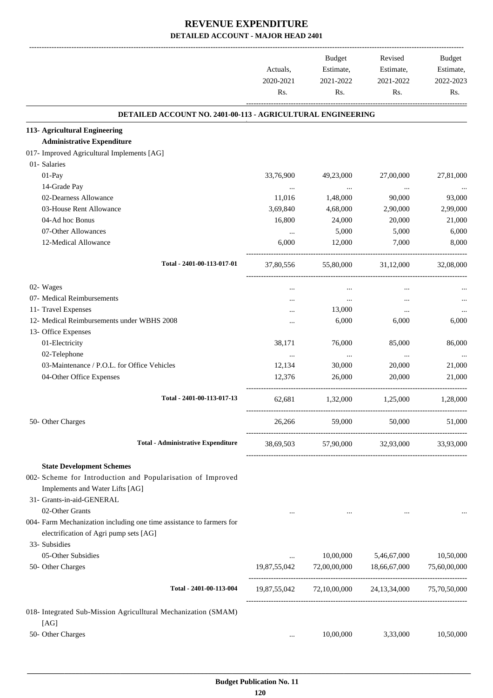|                                                                         | Actuals,<br>2020-2021<br>Rs. | Budget<br>Estimate,<br>2021-2022<br>Rs. | Revised<br>Estimate,<br>2021-2022<br>Rs.            | Budget<br>Estimate,<br>2022-2023<br>Rs. |
|-------------------------------------------------------------------------|------------------------------|-----------------------------------------|-----------------------------------------------------|-----------------------------------------|
| DETAILED ACCOUNT NO. 2401-00-113 - AGRICULTURAL ENGINEERING             |                              |                                         |                                                     |                                         |
| 113- Agricultural Engineering                                           |                              |                                         |                                                     |                                         |
| <b>Administrative Expenditure</b>                                       |                              |                                         |                                                     |                                         |
| 017- Improved Agricultural Implements [AG]                              |                              |                                         |                                                     |                                         |
| 01- Salaries                                                            |                              |                                         |                                                     |                                         |
| 01-Pay                                                                  | 33,76,900                    | 49,23,000                               | 27,00,000                                           | 27,81,000                               |
| 14-Grade Pay                                                            | $\cdots$                     | $\ldots$                                | $\ldots$                                            |                                         |
| 02-Dearness Allowance                                                   | 11,016                       | 1,48,000                                | 90,000                                              | 93,000                                  |
| 03-House Rent Allowance                                                 | 3,69,840                     | 4,68,000                                | 2,90,000                                            | 2,99,000                                |
| 04-Ad hoc Bonus                                                         | 16,800                       | 24,000                                  | 20,000                                              | 21,000                                  |
| 07-Other Allowances                                                     | $\cdots$                     | 5,000                                   | 5,000                                               | 6,000                                   |
| 12-Medical Allowance                                                    | 6,000                        | 12,000                                  | 7,000                                               | 8,000                                   |
| Total - 2401-00-113-017-01                                              | 37,80,556                    | 55,80,000                               | 31,12,000                                           | 32,08,000                               |
| 02- Wages                                                               |                              |                                         |                                                     |                                         |
| 07- Medical Reimbursements                                              |                              | $\cdots$                                |                                                     |                                         |
| 11- Travel Expenses                                                     |                              | 13,000                                  |                                                     |                                         |
| 12- Medical Reimbursements under WBHS 2008                              |                              | 6,000                                   | 6,000                                               | 6,000                                   |
| 13- Office Expenses                                                     |                              |                                         |                                                     |                                         |
| 01-Electricity                                                          | 38,171                       | 76,000                                  | 85,000                                              | 86,000                                  |
| 02-Telephone                                                            | $\cdots$                     | $\ldots$                                | $\cdots$                                            |                                         |
|                                                                         | 12,134                       | 30,000                                  | 20,000                                              | 21,000                                  |
| 03-Maintenance / P.O.L. for Office Vehicles<br>04-Other Office Expenses | 12,376                       | 26,000                                  | 20,000                                              | 21,000                                  |
| Total - 2401-00-113-017-13                                              | 62,681                       | 1,32,000                                | 1,25,000                                            | 1,28,000                                |
| 50- Other Charges                                                       | 26,266                       | 59,000                                  | 50,000                                              | 51,000                                  |
| <b>Total - Administrative Expenditure</b>                               |                              |                                         | 38,69,503 57,90,000 32,93,000 33,93,000             |                                         |
| <b>State Development Schemes</b>                                        |                              |                                         |                                                     |                                         |
| 002- Scheme for Introduction and Popularisation of Improved             |                              |                                         |                                                     |                                         |
| Implements and Water Lifts [AG]                                         |                              |                                         |                                                     |                                         |
| 31- Grants-in-aid-GENERAL                                               |                              |                                         |                                                     |                                         |
| 02-Other Grants                                                         |                              |                                         |                                                     |                                         |
| 004- Farm Mechanization including one time assistance to farmers for    |                              |                                         |                                                     |                                         |
| electrification of Agri pump sets [AG]                                  |                              |                                         |                                                     |                                         |
| 33- Subsidies                                                           |                              |                                         |                                                     |                                         |
| 05-Other Subsidies                                                      | $\cdots$                     | 10,00,000                               | 5,46,67,000                                         | 10,50,000                               |
| 50- Other Charges                                                       | 19,87,55,042                 | 72,00,00,000 18,66,67,000               |                                                     | 75,60,00,000                            |
| Total - 2401-00-113-004                                                 |                              |                                         | 19,87,55,042 72,10,00,000 24,13,34,000 75,70,50,000 |                                         |
| 018- Integrated Sub-Mission Agriculltural Mechanization (SMAM)          |                              |                                         |                                                     |                                         |
| [AG]                                                                    |                              |                                         |                                                     |                                         |
| 50- Other Charges                                                       | $\cdots$                     | 10,00,000                               | 3,33,000                                            | 10,50,000                               |
|                                                                         |                              |                                         |                                                     |                                         |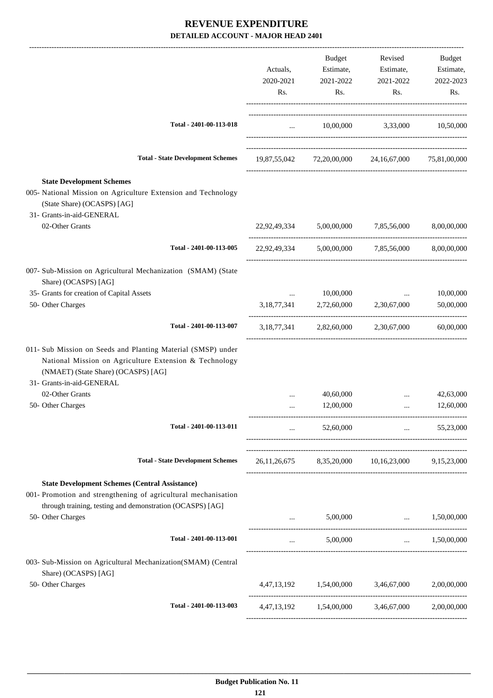|                                                                                                                                                                                                           | Actuals,<br>2020-2021<br>Rs.                                    | Budget<br>Estimate,<br>2021-2022<br>Rs. | Revised<br>Estimate,<br>2021-2022<br>Rs.            | Budget<br>Estimate,<br>2022-2023<br>Rs. |
|-----------------------------------------------------------------------------------------------------------------------------------------------------------------------------------------------------------|-----------------------------------------------------------------|-----------------------------------------|-----------------------------------------------------|-----------------------------------------|
| Total - 2401-00-113-018                                                                                                                                                                                   | $\mathbf{1}$ and $\mathbf{1}$ and $\mathbf{1}$ and $\mathbf{1}$ |                                         | 10,00,000 3,33,000 10,50,000                        |                                         |
| <b>Total - State Development Schemes</b>                                                                                                                                                                  |                                                                 |                                         | 19,87,55,042 72,20,00,000 24,16,67,000 75,81,00,000 |                                         |
| <b>State Development Schemes</b><br>005- National Mission on Agriculture Extension and Technology<br>(State Share) (OCASPS) [AG]<br>31- Grants-in-aid-GENERAL                                             |                                                                 |                                         |                                                     |                                         |
| 02-Other Grants                                                                                                                                                                                           |                                                                 | 22.92.49.334 5.00.00.000                | 7,85,56,000                                         | 8,00,00,000                             |
| Total - 2401-00-113-005                                                                                                                                                                                   |                                                                 |                                         | 22,92,49,334 5,00,00,000 7,85,56,000                | 8,00,00,000                             |
| 007- Sub-Mission on Agricultural Mechanization (SMAM) (State<br>Share) (OCASPS) [AG]                                                                                                                      |                                                                 |                                         |                                                     |                                         |
| 35- Grants for creation of Capital Assets                                                                                                                                                                 | $\cdots$                                                        | 10,00,000                               | $\cdots$                                            | 10,00,000                               |
| 50- Other Charges                                                                                                                                                                                         | 3,18,77,341                                                     |                                         | 2,72,60,000 2,30,67,000                             | 50,00,000                               |
| Total - 2401-00-113-007                                                                                                                                                                                   |                                                                 |                                         | 3,18,77,341 2,82,60,000 2,30,67,000                 | 60,00,000                               |
| 011- Sub Mission on Seeds and Planting Material (SMSP) under<br>National Mission on Agriculture Extension & Technology<br>(NMAET) (State Share) (OCASPS) [AG]<br>31- Grants-in-aid-GENERAL                |                                                                 |                                         |                                                     |                                         |
| 02-Other Grants                                                                                                                                                                                           |                                                                 | 40,60,000                               |                                                     | 42,63,000                               |
| 50- Other Charges                                                                                                                                                                                         | $\ddotsc$                                                       | 12,00,000                               | $\ddotsc$                                           | 12,60,000                               |
| Total - 2401-00-113-011                                                                                                                                                                                   | $\cdots$                                                        | 52,60,000                               | <b>Section Contract</b>                             | 55,23,000                               |
| <b>Total - State Development Schemes</b>                                                                                                                                                                  |                                                                 |                                         | 26,11,26,675 8,35,20,000 10,16,23,000 9,15,23,000   |                                         |
| <b>State Development Schemes (Central Assistance)</b><br>001- Promotion and strengthening of agricultural mechanisation<br>through training, testing and demonstration (OCASPS) [AG]<br>50- Other Charges | $\cdots$                                                        | 5,00,000                                | <b>Section</b> 1999                                 | 1,50,00,000                             |
| Total - 2401-00-113-001                                                                                                                                                                                   | $\cdots$                                                        | 5,00,000                                |                                                     | $\ldots$ 1.50,00,000                    |
| 003- Sub-Mission on Agricultural Mechanization(SMAM) (Central<br>Share) (OCASPS) [AG]                                                                                                                     |                                                                 |                                         |                                                     |                                         |
| 50- Other Charges                                                                                                                                                                                         |                                                                 |                                         | 4,47,13,192 1,54,00,000 3,46,67,000 2,00,00,000     |                                         |
| Total - 2401-00-113-003                                                                                                                                                                                   |                                                                 |                                         | 4,47,13,192 1,54,00,000 3,46,67,000                 | 2,00,00,000                             |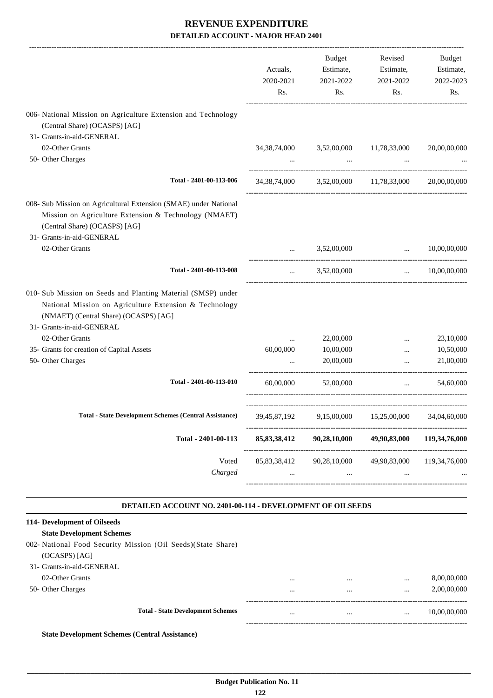|                                                                                                                                                                                              | Actuals,<br>2020-2021<br>Rs.    | Budget<br>Estimate,<br>2021-2022<br>Rs.              | Revised<br>Estimate,<br>2021-2022<br>Rs.                               | Budget<br>Estimate,<br>2022-2023<br>Rs.            |
|----------------------------------------------------------------------------------------------------------------------------------------------------------------------------------------------|---------------------------------|------------------------------------------------------|------------------------------------------------------------------------|----------------------------------------------------|
| 006- National Mission on Agriculture Extension and Technology<br>(Central Share) (OCASPS) [AG]                                                                                               |                                 |                                                      |                                                                        |                                                    |
| 31- Grants-in-aid-GENERAL                                                                                                                                                                    |                                 |                                                      |                                                                        |                                                    |
| 02-Other Grants                                                                                                                                                                              | 34, 38, 74, 000                 |                                                      | 3,52,00,000 11,78,33,000                                               | 20,00,00,000                                       |
| 50- Other Charges                                                                                                                                                                            |                                 |                                                      | and the state of the state<br>$\cdots$                                 |                                                    |
| Total - 2401-00-113-006                                                                                                                                                                      |                                 | 34, 38, 74, 000 3, 52, 00, 000 11, 78, 33, 000       |                                                                        | 20,00,00,000                                       |
| 008- Sub Mission on Agricultural Extension (SMAE) under National<br>Mission on Agriculture Extension & Technology (NMAET)<br>(Central Share) (OCASPS) [AG]<br>31- Grants-in-aid-GENERAL      |                                 |                                                      |                                                                        |                                                    |
| 02-Other Grants                                                                                                                                                                              |                                 | 3,52,00,000                                          | $\mathbf{r}$ , and the state of $\mathbf{r}$                           | 10,00,00,000                                       |
| Total - 2401-00-113-008                                                                                                                                                                      | $\cdots$                        | 3,52,00,000                                          | $\mathbf{r}$ and $\mathbf{r}$                                          | 10,00,00,000                                       |
| 010- Sub Mission on Seeds and Planting Material (SMSP) under<br>National Mission on Agriculture Extension & Technology<br>(NMAET) (Central Share) (OCASPS) [AG]<br>31- Grants-in-aid-GENERAL |                                 |                                                      |                                                                        |                                                    |
| 02-Other Grants                                                                                                                                                                              | $\cdots$                        | 22,00,000                                            | $\cdots$                                                               | 23,10,000                                          |
| 35- Grants for creation of Capital Assets                                                                                                                                                    | 60,00,000                       | 10,00,000                                            | $\cdots$                                                               | 10,50,000                                          |
| 50- Other Charges                                                                                                                                                                            | $\ddotsc$                       | 20,00,000                                            | $\ddotsc$                                                              | 21,00,000                                          |
| Total - 2401-00-113-010                                                                                                                                                                      | 60,00,000                       | 52,00,000                                            | $\sim 10^{-10}$                                                        | 54,60,000                                          |
| Total - State Development Schemes (Central Assistance) 39,45,87,192 9,15,00,000 15,25,00,000 34,04,60,000                                                                                    |                                 |                                                      |                                                                        |                                                    |
| Total - 2401-00-113                                                                                                                                                                          | 85,83,38,412                    | 90,28,10,000                                         | 49,90,83,000                                                           | 119,34,76,000                                      |
| Voted<br>Charged                                                                                                                                                                             | $\mathbf{a}$ , and $\mathbf{a}$ | 85,83,38,412 90,28,10,000<br>_______________________ | <b>The Committee Committee</b><br>$\cdots$<br>------------------------ | 49,90,83,000 119,34,76,000<br>-------------------- |
| <b>DETAILED ACCOUNT NO. 2401-00-114 - DEVELOPMENT OF OILSEEDS</b>                                                                                                                            |                                 |                                                      |                                                                        |                                                    |
| 114- Development of Oilseeds<br><b>State Development Schemes</b><br>002- National Food Security Mission (Oil Seeds)(State Share)<br>(OCASPS) [AG]<br>31- Grants-in-aid-GENERAL               |                                 |                                                      |                                                                        |                                                    |

| . Crams-m-ald-Crepter AL - ا د |  |
|--------------------------------|--|
| 02-Other Grants                |  |

|                   | <b>Total - State Development Schemes</b> |          | <br>         | 10,00,00,000 |
|-------------------|------------------------------------------|----------|--------------|--------------|
| 50- Other Charges |                                          | $\cdots$ | <br>$\cdots$ | 2,00,00,000  |
| 02-Other Grants   |                                          | $\cdots$ | <br>         | 8,00,00,000  |

**State Development Schemes (Central Assistance)**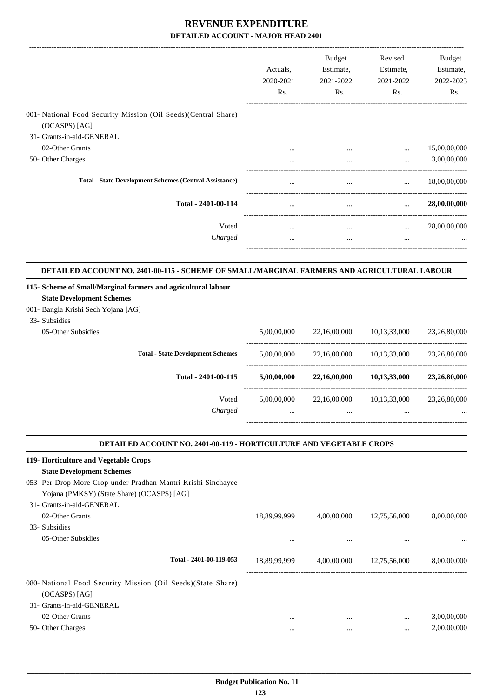|                                                                                                               | Actuals,<br>2020-2021<br>Rs. | <b>Budget</b><br>Estimate,<br>2021-2022<br>Rs. | Revised<br>Estimate,<br>2021-2022<br>Rs. | Budget<br>Estimate,<br>2022-2023<br>Rs. |
|---------------------------------------------------------------------------------------------------------------|------------------------------|------------------------------------------------|------------------------------------------|-----------------------------------------|
| 001- National Food Security Mission (Oil Seeds) (Central Share)<br>(OCASPS) [AG]<br>31- Grants-in-aid-GENERAL |                              |                                                |                                          |                                         |
| 02-Other Grants                                                                                               | $\cdots$                     | $\cdots$                                       | $\cdots$                                 | 15,00,00,000                            |
| 50- Other Charges                                                                                             | $\cdots$                     | $\cdots$                                       | $\cdots$                                 | 3,00,00,000                             |
| <b>Total - State Development Schemes (Central Assistance)</b>                                                 | $\cdots$                     | $\cdots$                                       | $\cdots$                                 | 18,00,00,000                            |
| Total - 2401-00-114                                                                                           | $\cdots$                     | $\cdots$                                       |                                          | 28,00,00,000                            |
| Voted                                                                                                         | $\cdots$                     | $\cdots$                                       | $\cdots$                                 | 28,00,00,000                            |
| Charged                                                                                                       | $\cdots$                     | $\cdots$                                       | $\cdots$                                 | $\cdots$                                |
|                                                                                                               |                              |                                                |                                          |                                         |

#### **DETAILED ACCOUNT NO. 2401-00-115 - SCHEME OF SMALL/MARGINAL FARMERS AND AGRICULTURAL LABOUR .**

| 115- Scheme of Small/Marginal farmers and agricultural labour<br><b>State Development Schemes</b><br>001 - Bangla Krishi Sech Yojana [AG]<br>33- Subsidies |             |              |              |              |
|------------------------------------------------------------------------------------------------------------------------------------------------------------|-------------|--------------|--------------|--------------|
| 05-Other Subsidies                                                                                                                                         | 5,00,00,000 | 22,16,00,000 | 10,13,33,000 | 23,26,80,000 |
| <b>Total - State Development Schemes</b>                                                                                                                   | 5,00,00,000 | 22,16,00,000 | 10.13.33.000 | 23,26,80,000 |
| Total - 2401-00-115                                                                                                                                        | 5,00,00,000 | 22,16,00,000 | 10,13,33,000 | 23,26,80,000 |
| Voted                                                                                                                                                      | 5,00,00,000 | 22,16,00,000 | 10.13.33.000 | 23,26,80,000 |
| Charged                                                                                                                                                    | $\cdots$    | $\cdots$     | $\cdots$     | $\cdots$     |

### **DETAILED ACCOUNT NO. 2401-00-119 - HORTICULTURE AND VEGETABLE CROPS**

.

| 119- Horticulture and Vegetable Crops                         |              |             |              |             |
|---------------------------------------------------------------|--------------|-------------|--------------|-------------|
| <b>State Development Schemes</b>                              |              |             |              |             |
| 053- Per Drop More Crop under Pradhan Mantri Krishi Sinchayee |              |             |              |             |
| Yojana (PMKSY) (State Share) (OCASPS) [AG]                    |              |             |              |             |
| 31- Grants-in-aid-GENERAL                                     |              |             |              |             |
| 02-Other Grants                                               | 18,89,99,999 | 4,00,00,000 | 12,75,56,000 | 8,00,00,000 |
| 33- Subsidies                                                 |              |             |              |             |
| 05-Other Subsidies                                            | $\cdots$     | $\cdots$    | $\cdots$     | $\cdots$    |
| Total - 2401-00-119-053                                       | 18,89,99,999 | 4,00,00,000 | 12,75,56,000 | 8,00,00,000 |
| 080- National Food Security Mission (Oil Seeds) (State Share) |              |             |              |             |
| (OCASPS) [AG]                                                 |              |             |              |             |
| 31- Grants-in-aid-GENERAL                                     |              |             |              |             |
| 02-Other Grants                                               | $\cdots$     |             | $\cdots$     | 3,00,00,000 |
| 50- Other Charges                                             | $\cdots$     | $\cdots$    | $\cdots$     | 2,00,00,000 |
|                                                               |              |             |              |             |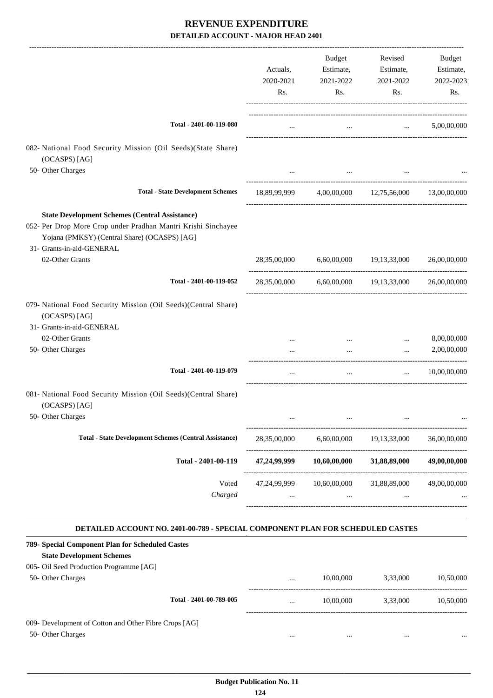|                                                                                                                                                                                                     | Actuals,<br>2020-2021<br>Rs. | Budget<br>Estimate,<br>2021-2022<br>Rs. | Revised<br>Estimate,<br>2021-2022<br>Rs.           | Budget<br>Estimate,<br>2022-2023<br>Rs. |
|-----------------------------------------------------------------------------------------------------------------------------------------------------------------------------------------------------|------------------------------|-----------------------------------------|----------------------------------------------------|-----------------------------------------|
| Total - 2401-00-119-080                                                                                                                                                                             | $\cdots$                     |                                         | and the state of the state of the state of         | 5,00,00,000                             |
| 082- National Food Security Mission (Oil Seeds)(State Share)<br>(OCASPS) [AG]                                                                                                                       |                              |                                         |                                                    |                                         |
| 50- Other Charges                                                                                                                                                                                   |                              |                                         |                                                    |                                         |
| <b>Total - State Development Schemes</b>                                                                                                                                                            |                              |                                         | 18,89,99,999 4,00,00,000 12,75,56,000 13,00,00,000 |                                         |
|                                                                                                                                                                                                     |                              |                                         |                                                    |                                         |
| <b>State Development Schemes (Central Assistance)</b><br>052- Per Drop More Crop under Pradhan Mantri Krishi Sinchayee<br>Yojana (PMKSY) (Central Share) (OCASPS) [AG]<br>31- Grants-in-aid-GENERAL |                              |                                         |                                                    |                                         |
| 02-Other Grants                                                                                                                                                                                     |                              |                                         | 28,35,00,000 6,60,00,000 19,13,33,000 26,00,00,000 |                                         |
| Total - 2401-00-119-052                                                                                                                                                                             | 28,35,00,000                 |                                         | 6,60,00,000 19,13,33,000                           | 26,00,00,000                            |
| 079- National Food Security Mission (Oil Seeds)(Central Share)<br>(OCASPS) [AG]<br>31- Grants-in-aid-GENERAL                                                                                        |                              |                                         |                                                    |                                         |
| 02-Other Grants                                                                                                                                                                                     |                              |                                         | $\cdots$                                           | 8,00,00,000                             |
| 50- Other Charges                                                                                                                                                                                   |                              | $\ddots$                                | $\cdots$                                           | 2,00,00,000                             |
| Total - 2401-00-119-079                                                                                                                                                                             | $\cdots$                     | $\cdots$                                | $\cdots$                                           | 10,00,00,000                            |
| 081- National Food Security Mission (Oil Seeds)(Central Share)<br>(OCASPS) [AG]                                                                                                                     |                              |                                         |                                                    |                                         |
| 50- Other Charges                                                                                                                                                                                   |                              |                                         |                                                    |                                         |
| <b>Total - State Development Schemes (Central Assistance)</b>                                                                                                                                       | 28,35,00,000                 |                                         | 6,60,00,000 19,13,33,000                           | 36,00,00,000                            |
| Total - 2401-00-119                                                                                                                                                                                 | 47,24,99,999                 | 10,60,00,000                            | 31,88,89,000                                       | 49,00,00,000                            |
| Voted<br>Charged                                                                                                                                                                                    | $\cdots$                     | $\ddots$                                | 47,24,99,999 10,60,00,000 31,88,89,000<br>$\cdots$ | 49,00,00,000                            |
| DETAILED ACCOUNT NO. 2401-00-789 - SPECIAL COMPONENT PLAN FOR SCHEDULED CASTES                                                                                                                      |                              |                                         |                                                    |                                         |
| 789- Special Component Plan for Scheduled Castes                                                                                                                                                    |                              |                                         |                                                    |                                         |
| <b>State Development Schemes</b><br>005- Oil Seed Production Programme [AG]                                                                                                                         |                              |                                         |                                                    |                                         |
| 50- Other Charges                                                                                                                                                                                   |                              |                                         | 10,00,000 3,33,000                                 | 10,50,000                               |
| Total - 2401-00-789-005                                                                                                                                                                             |                              |                                         | 10,00,000 3,33,000                                 | 10,50,000                               |
| 009- Development of Cotton and Other Fibre Crops [AG]<br>50- Other Charges                                                                                                                          | $\cdots$                     | $\cdots$                                | $\cdots$                                           |                                         |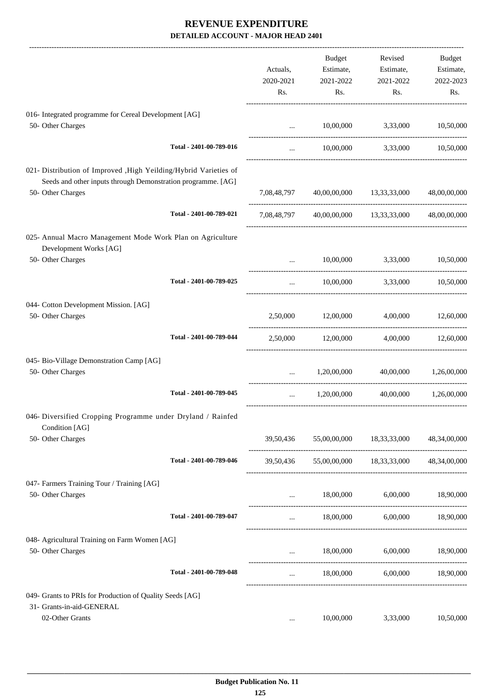|                                                                                                                                                        |                         | Actuals,<br>2020-2021<br>Rs. | <b>Budget</b><br>Estimate,<br>2021-2022<br>Rs. | Revised<br>Estimate,<br>2021-2022<br>Rs.         | Budget<br>Estimate,<br>2022-2023<br>Rs. |
|--------------------------------------------------------------------------------------------------------------------------------------------------------|-------------------------|------------------------------|------------------------------------------------|--------------------------------------------------|-----------------------------------------|
| 016- Integrated programme for Cereal Development [AG]<br>50- Other Charges                                                                             |                         | $\cdots$                     | 10,00,000                                      | 3,33,000                                         | 10,50,000                               |
|                                                                                                                                                        | Total - 2401-00-789-016 | $\cdots$                     |                                                | 10,00,000 3,33,000 10,50,000                     |                                         |
| 021- Distribution of Improved , High Yeilding/Hybrid Varieties of<br>Seeds and other inputs through Demonstration programme. [AG]<br>50- Other Charges |                         |                              | 7,08,48,797 40,00,00,000 13,33,33,000          |                                                  | 48,00,00,000                            |
|                                                                                                                                                        | Total - 2401-00-789-021 |                              |                                                | 7,08,48,797 40,00,00,000 13,33,33,000            | 48,00,00,000                            |
| 025- Annual Macro Management Mode Work Plan on Agriculture<br>Development Works [AG]                                                                   |                         |                              |                                                |                                                  |                                         |
| 50- Other Charges                                                                                                                                      |                         |                              | 10,00,000                                      | 3,33,000                                         | 10,50,000                               |
|                                                                                                                                                        | Total - 2401-00-789-025 | $\cdots$                     |                                                | 10,00,000 3,33,000                               | 10,50,000                               |
| 044- Cotton Development Mission. [AG]<br>50- Other Charges                                                                                             |                         |                              | 2,50,000 12,00,000                             | 4,00,000                                         | 12,60,000                               |
|                                                                                                                                                        | Total - 2401-00-789-044 |                              | 2,50,000 12,00,000                             |                                                  | 4,00,000 12,60,000                      |
| 045- Bio-Village Demonstration Camp [AG]<br>50- Other Charges                                                                                          |                         | $\mathbf{r}$                 | 1,20,00,000                                    | 40,00,000                                        | 1,26,00,000                             |
|                                                                                                                                                        | Total - 2401-00-789-045 | $\cdots$                     | 1,20,00,000                                    |                                                  | 40,00,000 1,26,00,000                   |
| 046- Diversified Cropping Programme under Dryland / Rainfed<br>Condition [AG]                                                                          |                         |                              |                                                |                                                  |                                         |
| 50- Other Charges                                                                                                                                      |                         |                              |                                                | 39,50,436 55,00,00,000 18,33,33,000 48,34,00,000 |                                         |
|                                                                                                                                                        | Total - 2401-00-789-046 |                              |                                                | 39,50,436 55,00,00,000 18,33,33,000 48,34,00,000 |                                         |
| 047- Farmers Training Tour / Training [AG]<br>50- Other Charges                                                                                        |                         |                              |                                                | $18,00,000$ $6,00,000$ $18,90,000$               |                                         |
|                                                                                                                                                        | Total - 2401-00-789-047 | $\cdots$                     |                                                | 18,00,000 6,00,000 18,90,000                     |                                         |
| 048- Agricultural Training on Farm Women [AG]<br>50- Other Charges                                                                                     |                         | $\cdots$                     | 18,00,000                                      |                                                  | 6,00,000 18,90,000                      |
|                                                                                                                                                        | Total - 2401-00-789-048 | $\cdots$                     |                                                | 18,00,000 6,00,000 18,90,000                     |                                         |
| 049- Grants to PRIs for Production of Quality Seeds [AG]<br>31- Grants-in-aid-GENERAL                                                                  |                         |                              |                                                |                                                  |                                         |
| 02-Other Grants                                                                                                                                        |                         | $\cdots$                     | 10,00,000                                      | 3,33,000                                         | 10,50,000                               |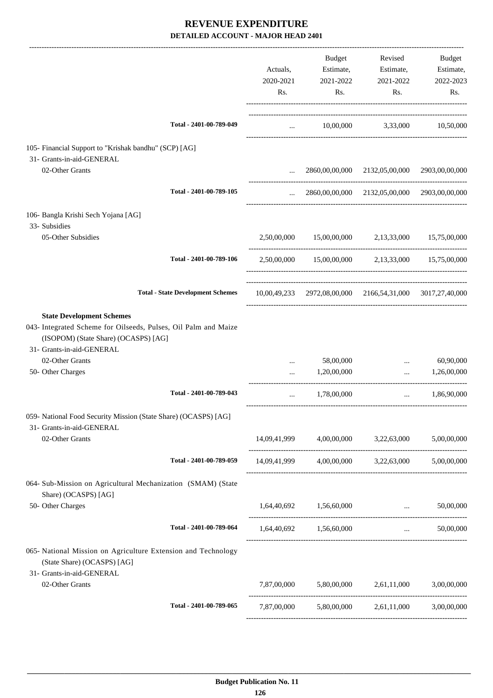|                                                                                                                                                                                             |             | Budget                                             | Revised                                                   | Budget                     |
|---------------------------------------------------------------------------------------------------------------------------------------------------------------------------------------------|-------------|----------------------------------------------------|-----------------------------------------------------------|----------------------------|
|                                                                                                                                                                                             | Actuals,    | Estimate,                                          | Estimate,                                                 | Estimate,                  |
|                                                                                                                                                                                             | 2020-2021   | 2021-2022                                          | 2021-2022                                                 | 2022-2023                  |
|                                                                                                                                                                                             | Rs.         | Rs.                                                | Rs.                                                       | Rs.                        |
| Total - 2401-00-789-049                                                                                                                                                                     |             |                                                    | 10,00,000 3,33,000 10,50,000                              |                            |
|                                                                                                                                                                                             |             | $\mathbf{1}$ , and $\mathbf{1}$ , and $\mathbf{1}$ |                                                           |                            |
| 105- Financial Support to "Krishak bandhu" (SCP) [AG]<br>31- Grants-in-aid-GENERAL                                                                                                          |             |                                                    |                                                           |                            |
| 02-Other Grants                                                                                                                                                                             |             |                                                    | 2860,00,00,000 2132,05,00,000 2903,00,00,000              |                            |
| Total - 2401-00-789-105                                                                                                                                                                     | $\cdots$    |                                                    | 2860,00,00,000 2132,05,00,000 2903,00,00,000              |                            |
| 106- Bangla Krishi Sech Yojana [AG]                                                                                                                                                         |             |                                                    |                                                           |                            |
| 33- Subsidies                                                                                                                                                                               |             |                                                    |                                                           |                            |
| 05-Other Subsidies                                                                                                                                                                          |             |                                                    | 2,50,00,000 15,00,00,000 2,13,33,000 15,75,00,000         |                            |
| Total - 2401-00-789-106                                                                                                                                                                     |             |                                                    | 2,50,00,000 15,00,00,000 2,13,33,000 15,75,00,000         |                            |
| <b>Total - State Development Schemes</b>                                                                                                                                                    |             |                                                    | 10,00,49,233 2972,08,00,000 2166,54,31,000 3017,27,40,000 |                            |
| <b>State Development Schemes</b><br>043- Integrated Scheme for Oilseeds, Pulses, Oil Palm and Maize<br>(ISOPOM) (State Share) (OCASPS) [AG]<br>31- Grants-in-aid-GENERAL<br>02-Other Grants |             | 58,00,000                                          |                                                           | 60,90,000                  |
| 50- Other Charges                                                                                                                                                                           | $\cdots$    | 1,20,00,000                                        | $\cdots$                                                  | 1,26,00,000                |
| Total - 2401-00-789-043                                                                                                                                                                     | $\cdots$    | 1,78,00,000                                        | -----------------------------------<br>$\cdots$           | 1,86,90,000                |
| 059- National Food Security Mission (State Share) (OCASPS) [AG]<br>31- Grants-in-aid-GENERAL                                                                                                |             |                                                    | ------------------------------------                      |                            |
| 02-Other Grants                                                                                                                                                                             |             |                                                    | 14,09,41,999 4,00,00,000 3,22,63,000 5,00,00,000          |                            |
| Total - 2401-00-789-059                                                                                                                                                                     |             |                                                    | 14,09,41,999 4,00,00,000 3,22,63,000 5,00,00,000          |                            |
| 064- Sub-Mission on Agricultural Mechanization (SMAM) (State<br>Share) (OCASPS) [AG]                                                                                                        |             |                                                    |                                                           |                            |
| 50- Other Charges                                                                                                                                                                           |             | 1,64,40,692   1,56,60,000                          | $\mathbf{r}$                                              | 50,00,000                  |
| Total - 2401-00-789-064                                                                                                                                                                     |             | 1,64,40,692 1,56,60,000                            |                                                           | 50,00,000<br>and the state |
| 065- National Mission on Agriculture Extension and Technology<br>(State Share) (OCASPS) [AG]<br>31- Grants-in-aid-GENERAL                                                                   |             |                                                    |                                                           |                            |
| 02-Other Grants                                                                                                                                                                             |             |                                                    | 7,87,00,000 5,80,00,000 2,61,11,000 3,00,00,000           |                            |
| Total - 2401-00-789-065                                                                                                                                                                     | 7,87,00,000 | 5,80,00,000                                        | 2,61,11,000                                               | 3,00,00,000                |
|                                                                                                                                                                                             |             |                                                    |                                                           |                            |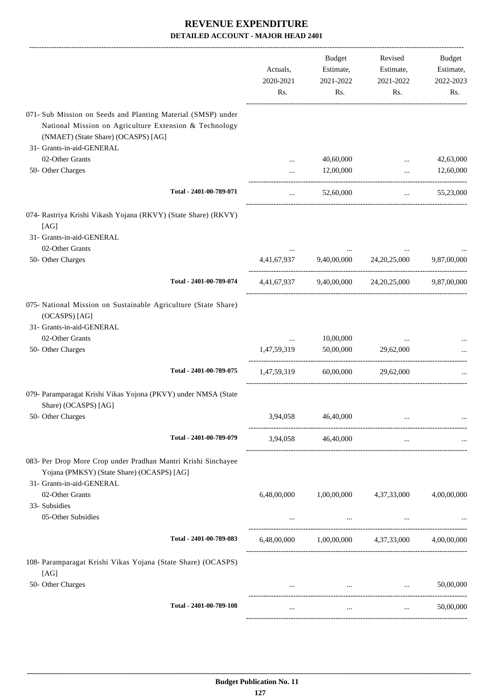|                                                                                                                                                                                            | Actuals,<br>2020-2021<br>Rs. | Budget<br>Estimate,<br>2021-2022<br>Rs. | Revised<br>Estimate,<br>2021-2022<br>Rs.                | Budget<br>Estimate,<br>2022-2023<br>Rs. |
|--------------------------------------------------------------------------------------------------------------------------------------------------------------------------------------------|------------------------------|-----------------------------------------|---------------------------------------------------------|-----------------------------------------|
| 071- Sub Mission on Seeds and Planting Material (SMSP) under<br>National Mission on Agriculture Extension & Technology<br>(NMAET) (State Share) (OCASPS) [AG]<br>31- Grants-in-aid-GENERAL |                              |                                         |                                                         |                                         |
| 02-Other Grants                                                                                                                                                                            | $\cdots$                     | 40,60,000                               | $\cdots$                                                | 42,63,000                               |
| 50- Other Charges                                                                                                                                                                          |                              | 12,00,000                               | $\ddotsc$                                               | 12,60,000                               |
| Total - 2401-00-789-071                                                                                                                                                                    | $\cdots$                     | 52,60,000                               | $\ddotsc$                                               | 55,23,000                               |
| 074- Rastriya Krishi Vikash Yojana (RKVY) (State Share) (RKVY)<br>[AG]<br>31- Grants-in-aid-GENERAL                                                                                        |                              |                                         |                                                         |                                         |
| 02-Other Grants<br>50- Other Charges                                                                                                                                                       |                              | 4,41,67,937 9,40,00,000 24,20,25,000    |                                                         | 9,87,00,000                             |
| Total - 2401-00-789-074                                                                                                                                                                    |                              |                                         | 4,41,67,937 9,40,00,000 24,20,25,000 9,87,00,000        |                                         |
| 075- National Mission on Sustainable Agriculture (State Share)<br>(OCASPS) [AG]<br>31- Grants-in-aid-GENERAL                                                                               |                              |                                         |                                                         |                                         |
| 02-Other Grants                                                                                                                                                                            | $\cdots$                     | 10,00,000                               |                                                         |                                         |
| 50- Other Charges                                                                                                                                                                          | 1,47,59,319                  | 50,00,000                               | 29,62,000                                               |                                         |
| Total - 2401-00-789-075                                                                                                                                                                    | 1,47,59,319                  | 60,00,000                               | 29,62,000                                               |                                         |
| 079- Paramparagat Krishi Vikas Yojona (PKVY) under NMSA (State<br>Share) (OCASPS) [AG]                                                                                                     |                              |                                         |                                                         |                                         |
| 50- Other Charges                                                                                                                                                                          | 3,94,058                     | 46,40,000                               |                                                         |                                         |
| Total - 2401-00-789-079                                                                                                                                                                    |                              | 3,94,058 46,40,000                      | $\cdots$                                                |                                         |
| 083- Per Drop More Crop under Pradhan Mantri Krishi Sinchayee<br>Yojana (PMKSY) (State Share) (OCASPS) [AG]<br>31- Grants-in-aid-GENERAL                                                   |                              |                                         |                                                         |                                         |
| 02-Other Grants                                                                                                                                                                            | 6,48,00,000                  | 1,00,00,000                             | 4,37,33,000                                             | 4,00,00,000                             |
| 33- Subsidies                                                                                                                                                                              |                              |                                         |                                                         |                                         |
| 05-Other Subsidies                                                                                                                                                                         | $\cdots$                     | $\ldots$                                | $\ldots$                                                |                                         |
| Total - 2401-00-789-083                                                                                                                                                                    |                              |                                         | $6,48,00,000$ $1,00,00,000$ $4,37,33,000$ $4,00,00,000$ |                                         |
| 108- Paramparagat Krishi Vikas Yojana (State Share) (OCASPS)<br>[AG]                                                                                                                       |                              |                                         |                                                         |                                         |
| 50- Other Charges                                                                                                                                                                          | $\cdots$                     |                                         | the contract of the contract of the contract of the     | 50,00,000                               |
| Total - 2401-00-789-108                                                                                                                                                                    | $\cdots$                     | $\cdots$                                | $\cdots$                                                | 50,00,000                               |
|                                                                                                                                                                                            |                              |                                         |                                                         |                                         |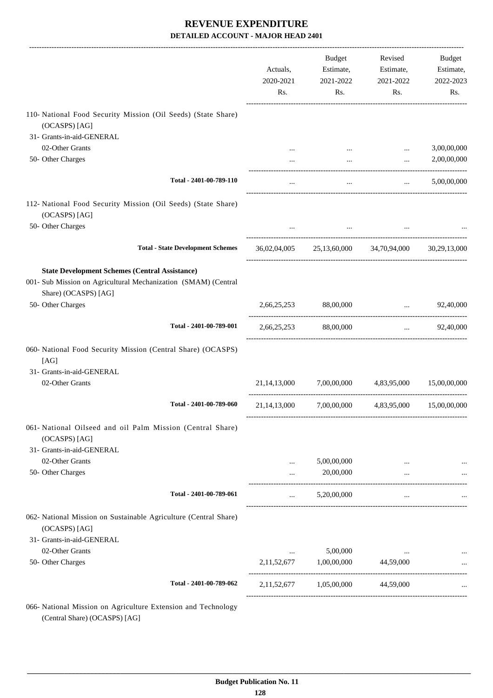|                                                                                                                                                 | Actuals,<br>2020-2021<br>Rs. | Budget<br>Estimate,<br>2021-2022<br>Rs. | Revised<br>Estimate,<br>2021-2022<br>Rs.       | Budget<br>Estimate,<br>2022-2023<br>Rs. |
|-------------------------------------------------------------------------------------------------------------------------------------------------|------------------------------|-----------------------------------------|------------------------------------------------|-----------------------------------------|
| 110- National Food Security Mission (Oil Seeds) (State Share)                                                                                   |                              |                                         |                                                |                                         |
| (OCASPS) [AG]                                                                                                                                   |                              |                                         |                                                |                                         |
| 31- Grants-in-aid-GENERAL                                                                                                                       |                              |                                         |                                                |                                         |
| 02-Other Grants                                                                                                                                 |                              |                                         | $\ddotsc$                                      | 3,00,00,000                             |
| 50- Other Charges                                                                                                                               |                              | $\cdots$                                | $\cdots$                                       | 2,00,00,000                             |
| Total - 2401-00-789-110                                                                                                                         | $\cdots$                     | $\cdots$                                | $\mathbf{r}$ and $\mathbf{r}$ and $\mathbf{r}$ | 5,00,00,000                             |
| 112- National Food Security Mission (Oil Seeds) (State Share)<br>(OCASPS) [AG]                                                                  |                              |                                         |                                                |                                         |
| 50- Other Charges                                                                                                                               |                              | $\sim 10^{-11}$                         |                                                |                                         |
| <b>Total - State Development Schemes</b>                                                                                                        |                              |                                         | 36,02,04,005 25,13,60,000 34,70,94,000         | 30,29,13,000                            |
| <b>State Development Schemes (Central Assistance)</b><br>001- Sub Mission on Agricultural Mechanization (SMAM) (Central<br>Share) (OCASPS) [AG] |                              |                                         |                                                |                                         |
| 50- Other Charges                                                                                                                               |                              | 2,66,25,253 88,00,000                   | and the control of the control of              | 92,40,000                               |
| Total - 2401-00-789-001                                                                                                                         |                              | 2,66,25,253 88,00,000                   |                                                | $\ldots$ 92,40,000                      |
| 060- National Food Security Mission (Central Share) (OCASPS)<br>[AG]                                                                            |                              |                                         |                                                |                                         |
| 31- Grants-in-aid-GENERAL                                                                                                                       |                              |                                         |                                                |                                         |
| 02-Other Grants                                                                                                                                 | 21, 14, 13, 000              | 7,00,00,000                             | 4,83,95,000                                    | 15,00,00,000                            |
| Total - 2401-00-789-060                                                                                                                         | 21, 14, 13, 000              | 7,00,00,000                             | 4,83,95,000                                    | 15,00,00,000                            |
| 061- National Oilseed and oil Palm Mission (Central Share)<br>(OCASPS) [AG]                                                                     |                              |                                         |                                                |                                         |
| 31- Grants-in-aid-GENERAL                                                                                                                       |                              |                                         |                                                |                                         |
| 02-Other Grants                                                                                                                                 |                              | 5,00,00,000                             |                                                |                                         |
| 50- Other Charges                                                                                                                               |                              | 20,00,000                               |                                                |                                         |
| Total - 2401-00-789-061                                                                                                                         | $\cdots$                     | 5,20,00,000                             | $\cdots$                                       |                                         |
| 062- National Mission on Sustainable Agriculture (Central Share)<br>(OCASPS) [AG]                                                               |                              |                                         |                                                |                                         |
| 31- Grants-in-aid-GENERAL                                                                                                                       |                              |                                         |                                                |                                         |
| 02-Other Grants<br>50- Other Charges                                                                                                            | $\cdots$<br>2, 11, 52, 677   | 5,00,000<br>1,00,00,000                 | 44,59,000                                      |                                         |
|                                                                                                                                                 |                              |                                         |                                                |                                         |
| Total - 2401-00-789-062                                                                                                                         | 2, 11, 52, 677               | 1,05,00,000                             | 44,59,000                                      |                                         |
| 066- National Mission on Agriculture Extension and Technology                                                                                   |                              |                                         |                                                |                                         |

(Central Share) (OCASPS) [AG]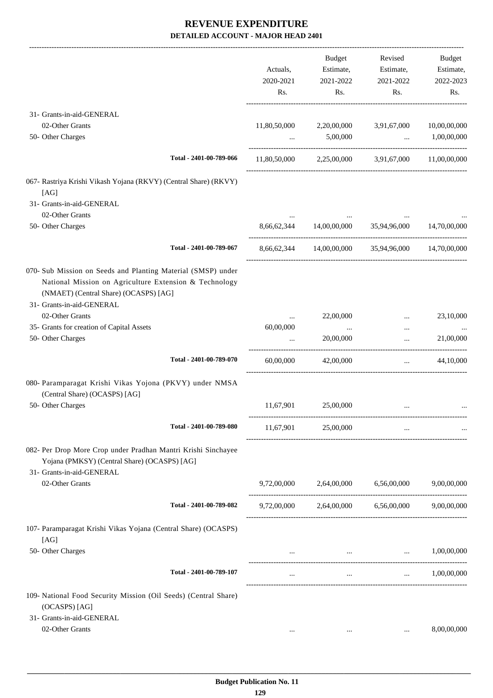|                                                                                                                                                                                              | Actuals,<br>2020-2021<br>Rs. | Budget<br>Estimate,<br>2021-2022<br>Rs. | Revised<br>Estimate,<br>2021-2022<br>Rs.           | Budget<br>Estimate,<br>2022-2023<br>Rs. |
|----------------------------------------------------------------------------------------------------------------------------------------------------------------------------------------------|------------------------------|-----------------------------------------|----------------------------------------------------|-----------------------------------------|
| 31- Grants-in-aid-GENERAL                                                                                                                                                                    |                              |                                         |                                                    |                                         |
| 02-Other Grants                                                                                                                                                                              | 11,80,50,000                 | 2,20,00,000                             | 3,91,67,000                                        | 10,00,00,000                            |
| 50- Other Charges                                                                                                                                                                            | $\cdots$                     | 5,00,000                                | $\ddots$                                           | 1,00,00,000                             |
| Total - 2401-00-789-066                                                                                                                                                                      |                              |                                         | 11,80,50,000 2,25,00,000 3,91,67,000 11,00,00,000  |                                         |
| 067- Rastriya Krishi Vikash Yojana (RKVY) (Central Share) (RKVY)<br>[AG]                                                                                                                     |                              |                                         |                                                    |                                         |
| 31- Grants-in-aid-GENERAL                                                                                                                                                                    |                              |                                         |                                                    |                                         |
| 02-Other Grants<br>50- Other Charges                                                                                                                                                         |                              | 8,66,62,344 14,00,00,000 35,94,96,000   |                                                    | 14,70,00,000                            |
| Total - 2401-00-789-067                                                                                                                                                                      |                              |                                         | 8,66,62,344 14,00,00,000 35,94,96,000 14,70,00,000 |                                         |
| 070- Sub Mission on Seeds and Planting Material (SMSP) under<br>National Mission on Agriculture Extension & Technology<br>(NMAET) (Central Share) (OCASPS) [AG]<br>31- Grants-in-aid-GENERAL |                              |                                         |                                                    |                                         |
| 02-Other Grants                                                                                                                                                                              | $\cdots$                     | 22,00,000                               | $\cdots$                                           | 23,10,000                               |
| 35- Grants for creation of Capital Assets                                                                                                                                                    | 60,00,000                    | $\cdots$                                | $\cdots$                                           |                                         |
| 50- Other Charges                                                                                                                                                                            |                              | 20,00,000                               | $\cdots$                                           | 21,00,000                               |
| Total - 2401-00-789-070                                                                                                                                                                      | 60,00,000                    | 42,00,000                               | $\cdots$                                           | 44,10,000                               |
| 080- Paramparagat Krishi Vikas Yojona (PKVY) under NMSA<br>(Central Share) (OCASPS) [AG]                                                                                                     |                              |                                         |                                                    |                                         |
| 50- Other Charges                                                                                                                                                                            | 11,67,901                    | 25,00,000                               |                                                    |                                         |
| Total - 2401-00-789-080                                                                                                                                                                      | 11,67,901                    | 25,00,000                               | $\cdots$                                           |                                         |
| 082- Per Drop More Crop under Pradhan Mantri Krishi Sinchayee<br>Yojana (PMKSY) (Central Share) (OCASPS) [AG]<br>31- Grants-in-aid-GENERAL                                                   |                              |                                         |                                                    |                                         |
| 02-Other Grants                                                                                                                                                                              |                              |                                         | 9,72,00,000 2,64,00,000 6,56,00,000 9,00,00,000    |                                         |
| Total - 2401-00-789-082                                                                                                                                                                      |                              |                                         | 9,72,00,000 2,64,00,000 6,56,00,000 9,00,00,000    |                                         |
| 107- Paramparagat Krishi Vikas Yojana (Central Share) (OCASPS)<br>[AG]                                                                                                                       |                              |                                         |                                                    |                                         |
| 50- Other Charges                                                                                                                                                                            |                              |                                         | the contract of the contract of the contract of    | 1,00,00,000                             |
| Total - 2401-00-789-107                                                                                                                                                                      |                              | $\sim 100$ km s $^{-1}$                 |                                                    | $\ldots$ 1,00,00,000                    |
| 109- National Food Security Mission (Oil Seeds) (Central Share)<br>(OCASPS) [AG]                                                                                                             |                              |                                         |                                                    |                                         |
| 31- Grants-in-aid-GENERAL                                                                                                                                                                    |                              |                                         |                                                    |                                         |
| 02-Other Grants                                                                                                                                                                              | $\cdots$                     | $\cdots$                                | $\cdots$                                           | 8,00,00,000                             |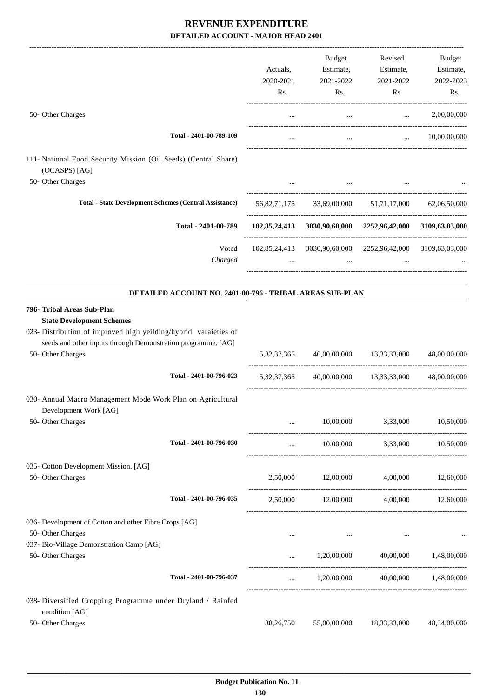|                                                                                                                                                                                                                         | Actuals,<br>2020-2021<br>Rs. | Budget<br>Estimate,<br>2021-2022<br>Rs. | Revised<br>Estimate,<br>2021-2022<br>Rs.                               | Budget<br>Estimate,<br>2022-2023<br>Rs. |
|-------------------------------------------------------------------------------------------------------------------------------------------------------------------------------------------------------------------------|------------------------------|-----------------------------------------|------------------------------------------------------------------------|-----------------------------------------|
| 50- Other Charges                                                                                                                                                                                                       |                              |                                         |                                                                        | 2,00,00,000                             |
|                                                                                                                                                                                                                         | $\cdots$                     | $\ldots$                                | $\mathbf{r}$ , $\mathbf{r}$ , $\mathbf{r}$                             |                                         |
| Total - 2401-00-789-109                                                                                                                                                                                                 |                              | $\cdots$                                | $\mathbf{r}$                                                           | 10,00,00,000                            |
| 111- National Food Security Mission (Oil Seeds) (Central Share)<br>(OCASPS) [AG]<br>50- Other Charges                                                                                                                   |                              |                                         |                                                                        |                                         |
|                                                                                                                                                                                                                         | $\cdots$                     | $\cdots$                                |                                                                        |                                         |
| <b>Total - State Development Schemes (Central Assistance)</b>                                                                                                                                                           |                              |                                         | 56,82,71,175 33,69,00,000 51,71,17,000 62,06,50,000                    |                                         |
| Total - 2401-00-789                                                                                                                                                                                                     |                              |                                         | 102,85,24,413 3030,90,60,000 2252,96,42,000 3109,63,03,000             |                                         |
| Voted<br>Charged                                                                                                                                                                                                        |                              | $\cdots$                                | 102,85,24,413 3030,90,60,000 2252,96,42,000 3109,63,03,000<br>$\cdots$ |                                         |
| DETAILED ACCOUNT NO. 2401-00-796 - TRIBAL AREAS SUB-PLAN                                                                                                                                                                |                              |                                         |                                                                        |                                         |
| 796- Tribal Areas Sub-Plan<br><b>State Development Schemes</b><br>023- Distribution of improved high yeilding/hybrid varaieties of<br>seeds and other inputs through Demonstration programme. [AG]<br>50- Other Charges | 5, 32, 37, 365               |                                         | 40,00,00,000 13,33,33,000                                              | 48,00,00,000                            |
| Total - 2401-00-796-023                                                                                                                                                                                                 |                              |                                         | 5,32,37,365 40,00,00,000 13,33,33,000 48,00,00,000                     |                                         |
| 030- Annual Macro Management Mode Work Plan on Agricultural<br>Development Work [AG]<br>50- Other Charges                                                                                                               |                              | 10,00,000                               | 3,33,000                                                               | 10,50,000                               |
| Total - 2401-00-796-030                                                                                                                                                                                                 |                              |                                         | 10,00,000 3,33,000 10,50,000                                           |                                         |
| 035- Cotton Development Mission. [AG]<br>50- Other Charges                                                                                                                                                              |                              | 2,50,000 12,00,000                      | 4,00,000                                                               | 12,60,000                               |
| Total - 2401-00-796-035                                                                                                                                                                                                 |                              |                                         | 2,50,000 12,00,000 4,00,000 12,60,000                                  |                                         |
| 036- Development of Cotton and other Fibre Crops [AG]<br>50- Other Charges                                                                                                                                              | $\cdots$                     | $\cdots$                                | $\ldots$                                                               |                                         |
| 037- Bio-Village Demonstration Camp [AG]<br>50- Other Charges                                                                                                                                                           |                              | 1,20,00,000                             | 40,00,000 1,48,00,000                                                  |                                         |
| Total - 2401-00-796-037                                                                                                                                                                                                 | $\cdots$                     |                                         | 1,20,00,000 40,00,000 1,48,00,000                                      |                                         |
| 038- Diversified Cropping Programme under Dryland / Rainfed<br>condition [AG]                                                                                                                                           |                              |                                         |                                                                        |                                         |
| 50- Other Charges                                                                                                                                                                                                       | 38,26,750                    | 55,00,00,000                            | 18, 33, 33, 000                                                        | 48,34,00,000                            |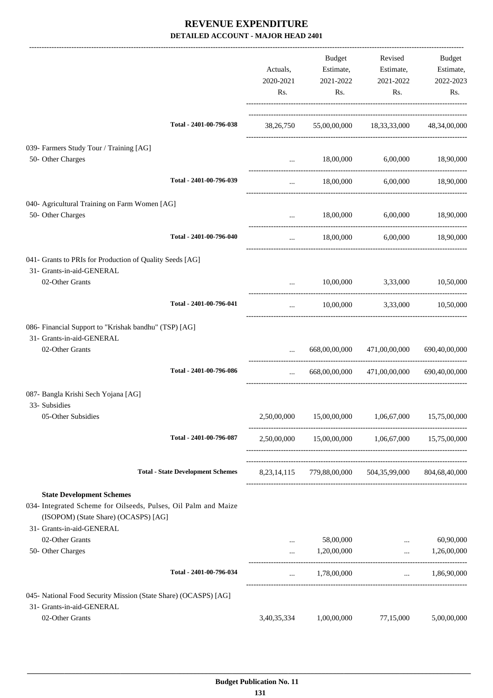|                                                                                                                                             |                                          | Actuals,<br>2020-2021<br>Rs. | Budget<br>Estimate,<br>2021-2022<br>Rs.            | Revised<br>Estimate,<br>2021-2022<br>Rs.                                 | Budget<br>Estimate,<br>2022-2023<br>Rs. |
|---------------------------------------------------------------------------------------------------------------------------------------------|------------------------------------------|------------------------------|----------------------------------------------------|--------------------------------------------------------------------------|-----------------------------------------|
|                                                                                                                                             | Total - 2401-00-796-038                  |                              |                                                    | 38,26,750 55,00,00,000 18,33,33,000 48,34,00,000                         |                                         |
| 039- Farmers Study Tour / Training [AG]<br>50- Other Charges                                                                                |                                          | $\cdots$                     | 18,00,000                                          | 6,00,000 18,90,000                                                       |                                         |
|                                                                                                                                             | Total - 2401-00-796-039                  | $\cdots$                     |                                                    | 18,00,000 6,00,000 18,90,000                                             |                                         |
| 040- Agricultural Training on Farm Women [AG]<br>50- Other Charges                                                                          |                                          |                              |                                                    | $18,00,000$ $6,00,000$ $18,90,000$                                       |                                         |
|                                                                                                                                             | Total - 2401-00-796-040                  | $\cdots$                     |                                                    | 18,00,000 6,00,000 18,90,000                                             |                                         |
| 041- Grants to PRIs for Production of Quality Seeds [AG]<br>31- Grants-in-aid-GENERAL<br>02-Other Grants                                    |                                          |                              | $\mathbf{1}$ , and $\mathbf{1}$ , and $\mathbf{1}$ | 10,00,000 3,33,000 10,50,000                                             |                                         |
|                                                                                                                                             | Total - 2401-00-796-041                  | $\cdots$                     |                                                    | 10,00,000 3,33,000 10,50,000                                             |                                         |
| 086- Financial Support to "Krishak bandhu" (TSP) [AG]<br>31- Grants-in-aid-GENERAL<br>02-Other Grants                                       | Total - 2401-00-796-086                  | $\cdots$                     | 668,00,00,000                                      | 668,00,00,000 471,00,00,000 690,40,00,000<br>471,00,00,000 690,40,00,000 |                                         |
| 087- Bangla Krishi Sech Yojana [AG]                                                                                                         |                                          |                              |                                                    |                                                                          |                                         |
| 33- Subsidies<br>05-Other Subsidies                                                                                                         |                                          |                              |                                                    | 2,50,00,000 15,00,00,000 1,06,67,000 15,75,00,000                        |                                         |
|                                                                                                                                             | Total - 2401-00-796-087                  | 2,50,00,000                  |                                                    | 15,00,00,000 1,06,67,000 15,75,00,000                                    |                                         |
|                                                                                                                                             | <b>Total - State Development Schemes</b> |                              |                                                    | 8,23,14,115 779,88,00,000 504,35,99,000 804,68,40,000                    |                                         |
| <b>State Development Schemes</b><br>034- Integrated Scheme for Oilseeds, Pulses, Oil Palm and Maize<br>(ISOPOM) (State Share) (OCASPS) [AG] |                                          |                              |                                                    |                                                                          |                                         |
| 31- Grants-in-aid-GENERAL<br>02-Other Grants                                                                                                |                                          |                              | 58,00,000                                          | $\cdots$                                                                 | 60,90,000                               |
| 50- Other Charges                                                                                                                           |                                          |                              | 1,20,00,000                                        | $\cdots$                                                                 | 1,26,00,000                             |
|                                                                                                                                             | Total - 2401-00-796-034                  | $\cdots$                     | 1,78,00,000                                        |                                                                          | $\ldots$ 1,86,90,000                    |
| 045- National Food Security Mission (State Share) (OCASPS) [AG]                                                                             |                                          |                              |                                                    |                                                                          |                                         |
| 31- Grants-in-aid-GENERAL<br>02-Other Grants                                                                                                |                                          | 3,40,35,334                  | 1,00,00,000                                        | 77,15,000                                                                | 5,00,00,000                             |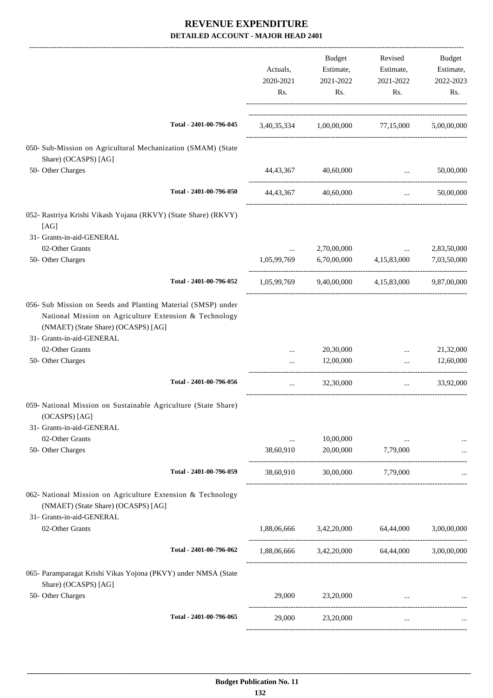|                                                                                                                                                                                                               | Actuals,<br>2020-2021<br>Rs. |          | Budget<br>Estimate,<br>2021-2022<br>Rs.       | Revised<br>Estimate,<br>2021-2022<br>Rs. | Budget<br>Estimate,<br>2022-2023<br>Rs. |
|---------------------------------------------------------------------------------------------------------------------------------------------------------------------------------------------------------------|------------------------------|----------|-----------------------------------------------|------------------------------------------|-----------------------------------------|
| Total - 2401-00-796-045                                                                                                                                                                                       |                              |          | 3,40,35,334 1,00,00,000 77,15,000             |                                          | 5,00,00,000                             |
| 050- Sub-Mission on Agricultural Mechanization (SMAM) (State<br>Share) (OCASPS) [AG]                                                                                                                          |                              |          |                                               |                                          |                                         |
| 50- Other Charges                                                                                                                                                                                             | 44,43,367                    |          | 40,60,000                                     |                                          | 50,00,000<br><b>Section Contracts</b>   |
| Total - 2401-00-796-050                                                                                                                                                                                       |                              |          | 44,43,367 40,60,000                           | $\cdots$                                 | 50,00,000                               |
| 052- Rastriya Krishi Vikash Yojana (RKVY) (State Share) (RKVY)<br>[AG]                                                                                                                                        |                              |          |                                               |                                          |                                         |
| 31- Grants-in-aid-GENERAL<br>02-Other Grants                                                                                                                                                                  |                              | $\cdots$ | 2,70,00,000                                   | $\ddots$                                 | 2,83,50,000                             |
| 50- Other Charges                                                                                                                                                                                             | 1,05,99,769                  |          |                                               | 6,70,00,000 4,15,83,000                  | 7,03,50,000                             |
| Total - 2401-00-796-052                                                                                                                                                                                       | 1,05,99,769                  |          |                                               | 9,40,00,000 4,15,83,000                  | 9,87,00,000                             |
| 056- Sub Mission on Seeds and Planting Material (SMSP) under<br>National Mission on Agriculture Extension & Technology<br>(NMAET) (State Share) (OCASPS) [AG]<br>31- Grants-in-aid-GENERAL<br>02-Other Grants |                              | $\cdots$ | 20,30,000                                     | $\cdots$                                 | 21,32,000                               |
| 50- Other Charges                                                                                                                                                                                             |                              | $\cdots$ | 12,00,000                                     | $\cdots$                                 | 12,60,000                               |
| Total - 2401-00-796-056                                                                                                                                                                                       |                              | $\cdots$ | 32,30,000                                     | $\cdots$                                 | 33,92,000                               |
| 059- National Mission on Sustainable Agriculture (State Share)<br>(OCASPS) [AG]<br>31- Grants-in-aid-GENERAL                                                                                                  |                              |          |                                               |                                          |                                         |
| 02-Other Grants                                                                                                                                                                                               |                              |          | 10,00,000                                     |                                          |                                         |
| 50- Other Charges                                                                                                                                                                                             | 38,60,910                    |          | 20,00,000                                     | 7,79,000                                 |                                         |
| Total - 2401-00-796-059                                                                                                                                                                                       | 38,60,910                    |          | 30,00,000                                     | 7,79,000                                 |                                         |
| 062- National Mission on Agriculture Extension & Technology<br>(NMAET) (State Share) (OCASPS) [AG]<br>31- Grants-in-aid-GENERAL                                                                               |                              |          |                                               |                                          |                                         |
| 02-Other Grants                                                                                                                                                                                               |                              |          | 1,88,06,666 3,42,20,000 64,44,000 3,00,00,000 |                                          |                                         |
| Total - 2401-00-796-062                                                                                                                                                                                       |                              |          | 1,88,06,666 3,42,20,000 64,44,000 3,00,00,000 |                                          |                                         |
| 065- Paramparagat Krishi Vikas Yojona (PKVY) under NMSA (State<br>Share) (OCASPS) [AG]                                                                                                                        |                              |          |                                               |                                          |                                         |
| 50- Other Charges                                                                                                                                                                                             |                              | 29,000   | 23,20,000                                     | <b>Section</b>                           |                                         |
| Total - 2401-00-796-065                                                                                                                                                                                       |                              | 29,000   | 23,20,000                                     | $\cdots$                                 |                                         |
|                                                                                                                                                                                                               |                              |          |                                               |                                          |                                         |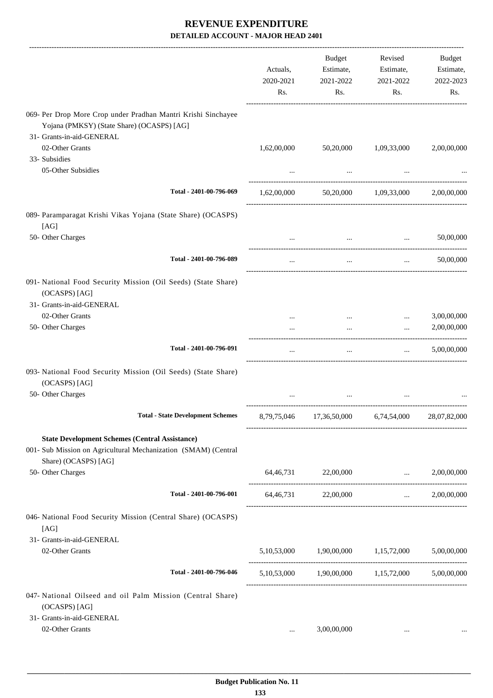|                                                                                                                                                 | Actuals,<br>2020-2021<br>Rs. | Budget<br>Estimate,<br>2021-2022<br>Rs.         | Revised<br>Estimate,<br>2021-2022<br>Rs. | Budget<br>Estimate,<br>2022-2023<br>Rs. |
|-------------------------------------------------------------------------------------------------------------------------------------------------|------------------------------|-------------------------------------------------|------------------------------------------|-----------------------------------------|
| 069- Per Drop More Crop under Pradhan Mantri Krishi Sinchayee<br>Yojana (PMKSY) (State Share) (OCASPS) [AG]                                     |                              |                                                 |                                          |                                         |
| 31- Grants-in-aid-GENERAL                                                                                                                       |                              |                                                 |                                          |                                         |
| 02-Other Grants<br>33- Subsidies                                                                                                                | 1,62,00,000                  | 50,20,000                                       | 1,09,33,000                              | 2,00,00,000                             |
| 05-Other Subsidies                                                                                                                              |                              |                                                 |                                          |                                         |
| Total - 2401-00-796-069                                                                                                                         | 1,62,00,000                  |                                                 | 50,20,000 1,09,33,000                    | 2,00,00,000                             |
| 089- Paramparagat Krishi Vikas Yojana (State Share) (OCASPS)                                                                                    |                              |                                                 |                                          |                                         |
| [AG]<br>50- Other Charges                                                                                                                       |                              | $\mathbf{r}$ , $\mathbf{r}$                     | <b>Sales Control</b>                     | 50,00,000                               |
| Total - 2401-00-796-089                                                                                                                         |                              | $\cdots$                                        | $\cdots$                                 | 50,00,000                               |
| 091- National Food Security Mission (Oil Seeds) (State Share)<br>(OCASPS) [AG]<br>31- Grants-in-aid-GENERAL                                     |                              |                                                 |                                          |                                         |
| 02-Other Grants                                                                                                                                 |                              |                                                 | $\cdots$                                 | 3,00,00,000                             |
| 50- Other Charges                                                                                                                               |                              | $\cdots$                                        |                                          | 2,00,00,000                             |
| Total - 2401-00-796-091                                                                                                                         | $\cdots$                     | $\cdots$                                        | $\mathbf{r}$ and $\mathbf{r}$            | 5,00,00,000                             |
| 093- National Food Security Mission (Oil Seeds) (State Share)<br>(OCASPS) [AG]                                                                  |                              |                                                 |                                          |                                         |
| 50- Other Charges                                                                                                                               |                              |                                                 |                                          |                                         |
| <b>Total - State Development Schemes</b>                                                                                                        | 8,79,75,046                  |                                                 | 17,36,50,000 6,74,54,000                 | 28,07,82,000                            |
| <b>State Development Schemes (Central Assistance)</b><br>001- Sub Mission on Agricultural Mechanization (SMAM) (Central<br>Share) (OCASPS) [AG] |                              |                                                 |                                          |                                         |
| 50- Other Charges                                                                                                                               |                              | 64,46,731 22,00,000                             | $\ldots$ 2,00,00,000                     |                                         |
| Total - 2401-00-796-001                                                                                                                         |                              | 64,46,731 22,00,000                             |                                          | $\ldots$ 2,00,00,000                    |
| 046- National Food Security Mission (Central Share) (OCASPS)<br>[AG]                                                                            |                              |                                                 |                                          |                                         |
| 31- Grants-in-aid-GENERAL<br>02-Other Grants                                                                                                    |                              | 5,10,53,000 1,90,00,000 1,15,72,000 5,00,00,000 |                                          |                                         |
| Total - 2401-00-796-046                                                                                                                         |                              | 5,10,53,000 1,90,00,000 1,15,72,000 5,00,00,000 |                                          |                                         |
| 047- National Oilseed and oil Palm Mission (Central Share)<br>(OCASPS) [AG]                                                                     |                              |                                                 |                                          |                                         |
| 31- Grants-in-aid-GENERAL                                                                                                                       |                              |                                                 |                                          |                                         |
| 02-Other Grants                                                                                                                                 | $\cdots$                     | 3,00,00,000                                     | $\cdots$                                 |                                         |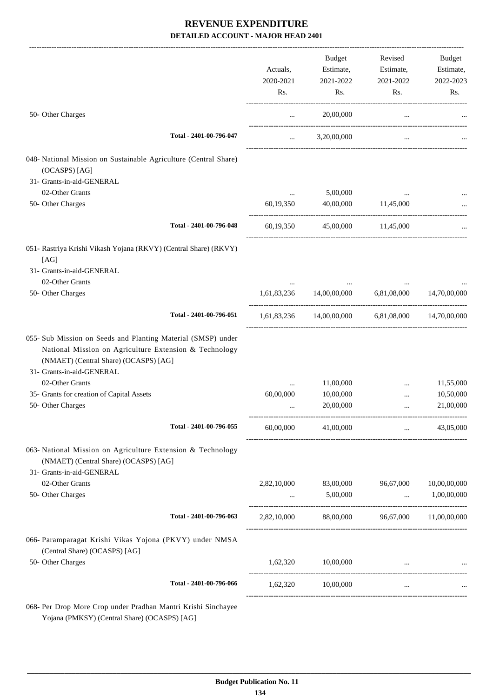|                                                                                                                                                                                              |             | Budget                                            | Revised                        | Budget               |
|----------------------------------------------------------------------------------------------------------------------------------------------------------------------------------------------|-------------|---------------------------------------------------|--------------------------------|----------------------|
|                                                                                                                                                                                              | Actuals,    | Estimate,                                         | Estimate,                      | Estimate,            |
|                                                                                                                                                                                              | 2020-2021   | 2021-2022                                         | 2021-2022                      | 2022-2023            |
|                                                                                                                                                                                              | Rs.         | Rs.                                               | Rs.                            | Rs.                  |
| 50- Other Charges                                                                                                                                                                            | $\cdots$    | 20,00,000                                         | $\cdots$                       |                      |
| Total - 2401-00-796-047                                                                                                                                                                      | $\cdots$    | 3,20,00,000                                       | $\cdots$                       |                      |
| 048- National Mission on Sustainable Agriculture (Central Share)                                                                                                                             |             |                                                   |                                |                      |
| (OCASPS) [AG]                                                                                                                                                                                |             |                                                   |                                |                      |
| 31- Grants-in-aid-GENERAL                                                                                                                                                                    |             |                                                   |                                |                      |
| 02-Other Grants                                                                                                                                                                              | $\cdots$    | 5,00,000                                          |                                |                      |
| 50- Other Charges                                                                                                                                                                            | 60,19,350   | 40,00,000                                         | 11,45,000                      |                      |
| Total - 2401-00-796-048                                                                                                                                                                      | 60,19,350   |                                                   | 45,00,000 11,45,000            |                      |
| 051- Rastriya Krishi Vikash Yojana (RKVY) (Central Share) (RKVY)                                                                                                                             |             |                                                   |                                |                      |
| [AG]<br>31- Grants-in-aid-GENERAL                                                                                                                                                            |             |                                                   |                                |                      |
|                                                                                                                                                                                              |             |                                                   |                                |                      |
| 02-Other Grants<br>50- Other Charges                                                                                                                                                         |             | 1,61,83,236 14,00,00,000 6,81,08,000 14,70,00,000 |                                |                      |
|                                                                                                                                                                                              |             |                                                   |                                |                      |
| Total - 2401-00-796-051                                                                                                                                                                      |             | 1,61,83,236 14,00,00,000 6,81,08,000 14,70,00,000 |                                |                      |
| 055- Sub Mission on Seeds and Planting Material (SMSP) under<br>National Mission on Agriculture Extension & Technology<br>(NMAET) (Central Share) (OCASPS) [AG]<br>31- Grants-in-aid-GENERAL |             |                                                   |                                |                      |
| 02-Other Grants                                                                                                                                                                              | $\cdots$    | 11,00,000                                         | $\cdots$                       | 11,55,000            |
| 35- Grants for creation of Capital Assets                                                                                                                                                    | 60,00,000   | 10,00,000                                         |                                | 10,50,000            |
| 50- Other Charges                                                                                                                                                                            | $\cdots$    | 20,00,000                                         | $\cdots$                       | 21,00,000            |
| Total - 2401-00-796-055                                                                                                                                                                      | 60,00,000   | 41,00,000                                         | $\sim 10^{-10}$                | 43,05,000            |
| 063- National Mission on Agriculture Extension & Technology<br>(NMAET) (Central Share) (OCASPS) [AG]<br>31- Grants-in-aid-GENERAL                                                            |             |                                                   |                                |                      |
| 02-Other Grants                                                                                                                                                                              |             | 2,82,10,000 83,00,000                             | 96,67,000 10,00,00,000         |                      |
| 50- Other Charges                                                                                                                                                                            |             | $\ldots$ 5,00,000                                 |                                | $\ldots$ 1,00,00,000 |
| Total - 2401-00-796-063                                                                                                                                                                      | 2,82,10,000 | 88,00,000 96,67,000 11,00,00,000                  |                                |                      |
| 066- Paramparagat Krishi Vikas Yojona (PKVY) under NMSA<br>(Central Share) (OCASPS) [AG]                                                                                                     |             |                                                   |                                |                      |
| 50- Other Charges                                                                                                                                                                            |             | 1,62,320 10,00,000                                | and the company of the company |                      |
| Total - 2401-00-796-066                                                                                                                                                                      |             | 1,62,320 10,00,000                                | $\cdots$                       |                      |
| 068- Per Drop More Crop under Pradhan Mantri Krishi Sinchayee                                                                                                                                |             |                                                   |                                |                      |

Yojana (PMKSY) (Central Share) (OCASPS) [AG]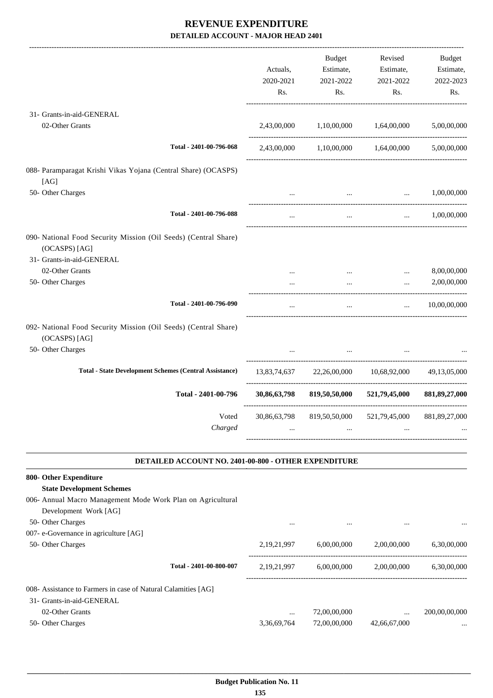|                                                                                                                                  | Actuals,<br>2020-2021<br>Rs. | Budget<br>Estimate,<br>2021-2022<br>Rs.                      | Revised<br>Estimate,<br>2021-2022<br>Rs. | Budget<br>Estimate,<br>2022-2023<br>Rs. |
|----------------------------------------------------------------------------------------------------------------------------------|------------------------------|--------------------------------------------------------------|------------------------------------------|-----------------------------------------|
| 31- Grants-in-aid-GENERAL                                                                                                        |                              |                                                              |                                          |                                         |
| 02-Other Grants                                                                                                                  | 2,43,00,000                  | 1,10,00,000 1,64,00,000                                      |                                          | 5,00,00,000                             |
| Total - 2401-00-796-068                                                                                                          |                              | 2,43,00,000 1,10,00,000 1,64,00,000                          |                                          | 5,00,00,000                             |
| 088- Paramparagat Krishi Vikas Yojana (Central Share) (OCASPS)<br>[AG]                                                           |                              |                                                              |                                          |                                         |
| 50- Other Charges                                                                                                                | $\cdots$                     | $\mathbf{a}$ , and $\mathbf{b}$                              | $\ddots$                                 | 1,00,00,000                             |
| Total - 2401-00-796-088                                                                                                          | $\cdots$                     | $\cdots$                                                     | $\ldots$ 1,00,00,000                     |                                         |
| 090- National Food Security Mission (Oil Seeds) (Central Share)<br>(OCASPS) [AG]<br>31- Grants-in-aid-GENERAL<br>02-Other Grants |                              | $\cdots$                                                     | $\cdots$                                 | 8,00,00,000                             |
| 50- Other Charges                                                                                                                | $\cdots$                     | $\cdots$                                                     | $\cdots$                                 | 2,00,00,000                             |
| Total - 2401-00-796-090                                                                                                          | $\cdots$                     | $\cdots$                                                     | $\mathbf{r}$ , and $\mathbf{r}$          | 10,00,00,000                            |
| 092- National Food Security Mission (Oil Seeds) (Central Share)<br>(OCASPS) [AG]<br>50- Other Charges                            |                              |                                                              |                                          |                                         |
| <b>Total - State Development Schemes (Central Assistance)</b>                                                                    |                              | 13,83,74,637 22,26,00,000 10,68,92,000 49,13,05,000          |                                          |                                         |
| Total - 2401-00-796                                                                                                              |                              | 30,86,63,798 819,50,50,000 521,79,45,000 881,89,27,000       |                                          |                                         |
| Charged                                                                                                                          |                              | Voted 30,86,63,798 819,50,50,000 521,79,45,000 881,89,27,000 |                                          |                                         |
| DETAILED ACCOUNT NO. 2401-00-800 - OTHER EXPENDITURE                                                                             |                              |                                                              |                                          |                                         |

| 006- Annual Macro Management Mode Work Plan on Agricultural   |                |              |              |               |
|---------------------------------------------------------------|----------------|--------------|--------------|---------------|
| Development Work [AG]                                         |                |              |              |               |
| 50- Other Charges                                             | $\cdots$       | $\cdots$     | $\cdots$     | $\cdots$      |
| 007- e-Governance in agriculture [AG]                         |                |              |              |               |
| 50- Other Charges                                             | 2, 19, 21, 997 | 6.00.00.000  | 2,00,00,000  | 6.30.00.000   |
| Total - 2401-00-800-007                                       | 2, 19, 21, 997 | 6,00,00,000  | 2,00,00,000  | 6.30.00.000   |
| 008- Assistance to Farmers in case of Natural Calamities [AG] |                |              |              |               |
| 31- Grants-in-aid-GENERAL                                     |                |              |              |               |
| 02-Other Grants                                               | $\cdots$       | 72,00,00,000 | $\cdots$     | 200,00,00,000 |
| 50- Other Charges                                             | 3,36,69,764    | 72,00,00,000 | 42,66,67,000 | $\cdots$      |
|                                                               |                |              |              |               |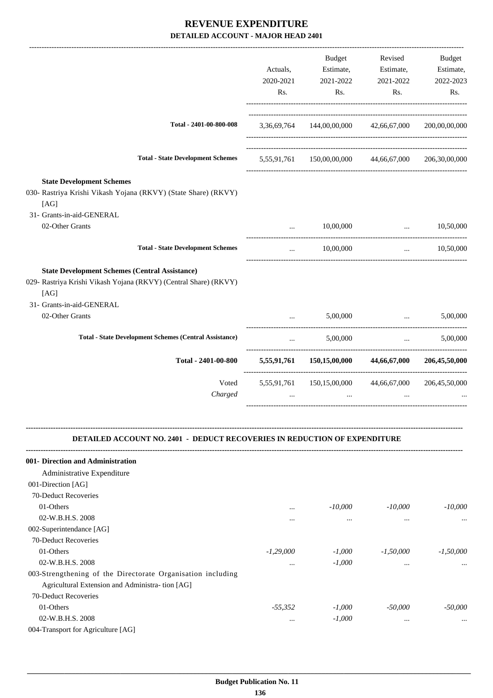|                                                                                                                                   | Actuals,<br>2020-2021<br>Rs.    | <b>Budget</b><br>Estimate,<br>2021-2022<br>Rs.       | Revised<br>Estimate,<br>2021-2022<br>Rs.   | Budget<br>Estimate,<br>2022-2023<br>Rs. |
|-----------------------------------------------------------------------------------------------------------------------------------|---------------------------------|------------------------------------------------------|--------------------------------------------|-----------------------------------------|
| Total - 2401-00-800-008                                                                                                           |                                 | 3,36,69,764 144,00,00,000 42,66,67,000               |                                            | 200,00,00,000                           |
| <b>Total - State Development Schemes</b>                                                                                          |                                 | 5,55,91,761 150,00,00,000 44,66,67,000 206,30,00,000 |                                            |                                         |
| <b>State Development Schemes</b><br>030- Rastriya Krishi Vikash Yojana (RKVY) (State Share) (RKVY)<br>[AG]                        |                                 |                                                      |                                            |                                         |
| 31- Grants-in-aid-GENERAL<br>02-Other Grants                                                                                      | $\cdots$                        | 10,00,000                                            | and the contract of the contract of the    | 10,50,000                               |
|                                                                                                                                   |                                 |                                                      | ----------------------------------         |                                         |
| <b>Total - State Development Schemes</b>                                                                                          | $\cdots$                        | 10,00,000                                            |                                            | $\ldots$ 10,50,000                      |
| <b>State Development Schemes (Central Assistance)</b><br>029- Rastriya Krishi Vikash Yojana (RKVY) (Central Share) (RKVY)<br>[AG] |                                 |                                                      |                                            |                                         |
| 31- Grants-in-aid-GENERAL<br>02-Other Grants                                                                                      |                                 | 5,00,000                                             | <b>Contract Contract Contract Contract</b> | 5,00,000                                |
|                                                                                                                                   |                                 |                                                      | ------------------------------------       |                                         |
| <b>Total - State Development Schemes (Central Assistance)</b>                                                                     | $\mathbf{r}$ , and $\mathbf{r}$ | 5,00,000                                             |                                            | 5,00,000<br><b>Second Committee</b>     |
| Total - 2401-00-800                                                                                                               |                                 | 5,55,91,761 150,15,00,000 44,66,67,000               |                                            | 206,45,50,000                           |
| Voted<br>Charged                                                                                                                  |                                 | 5,55,91,761 150,15,00,000 44,66,67,000               |                                            | 206,45,50,000                           |
| <b>DETAILED ACCOUNT NO. 2401 - DEDUCT RECOVERIES IN REDUCTION OF EXPENDITURE</b>                                                  |                                 |                                                      |                                            |                                         |
| 001- Direction and Administration                                                                                                 |                                 |                                                      |                                            |                                         |
| Administrative Expenditure                                                                                                        |                                 |                                                      |                                            |                                         |
| 001-Direction [AG]                                                                                                                |                                 |                                                      |                                            |                                         |
| 70-Deduct Recoveries                                                                                                              |                                 |                                                      |                                            |                                         |
| 01-Others                                                                                                                         | $\cdots$                        | $-10,000$                                            | $-10,000$                                  | $-10,000$                               |
| 02-W.B.H.S. 2008                                                                                                                  | .                               | $\cdots$                                             | $\cdots$                                   | $\ddotsc$                               |
| 002-Superintendance [AG]                                                                                                          |                                 |                                                      |                                            |                                         |
| 70-Deduct Recoveries                                                                                                              |                                 |                                                      |                                            |                                         |
| 01-Others                                                                                                                         | $-1,29,000$                     | $-1,000$                                             | $-1,50,000$                                | $-1,50,000$                             |
| 02-W.B.H.S. 2008                                                                                                                  |                                 | $-1,000$                                             | $\cdots$                                   |                                         |
| 003-Strengthening of the Directorate Organisation including                                                                       |                                 |                                                      |                                            |                                         |
| Agricultural Extension and Administra- tion [AG]                                                                                  |                                 |                                                      |                                            |                                         |
| 70-Deduct Recoveries                                                                                                              |                                 |                                                      |                                            |                                         |
| 01-Others                                                                                                                         | $-55,352$                       | $-1,000$                                             | $-50,000$                                  | $-50,000$                               |
| 02-W.B.H.S. 2008                                                                                                                  | $\ldots$                        | $-1,000$                                             | $\cdots$                                   |                                         |

004-Transport for Agriculture [AG]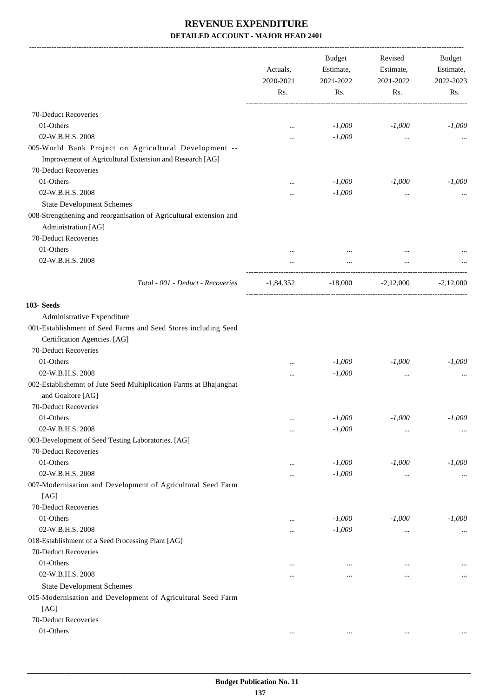|                                                                                                                                          | Actuals,<br>2020-2021<br>Rs. | <b>Budget</b><br>Estimate,<br>2021-2022<br>Rs. | Revised<br>Estimate,<br>2021-2022<br>Rs. | Budget<br>Estimate,<br>2022-2023<br>Rs. |
|------------------------------------------------------------------------------------------------------------------------------------------|------------------------------|------------------------------------------------|------------------------------------------|-----------------------------------------|
| 70-Deduct Recoveries                                                                                                                     |                              |                                                |                                          |                                         |
| 01-Others                                                                                                                                | $\cdots$                     | $-1,000$                                       | $-1,000$                                 | $-1,000$                                |
| 02-W.B.H.S. 2008                                                                                                                         | .                            | $-1,000$                                       | $\cdots$                                 |                                         |
| 005-World Bank Project on Agricultural Development --<br>Improvement of Agricultural Extension and Research [AG]<br>70-Deduct Recoveries |                              |                                                |                                          |                                         |
| 01-Others                                                                                                                                |                              | $-1,000$                                       | $-1,000$                                 | $-1,000$                                |
| 02-W.B.H.S. 2008                                                                                                                         |                              | $-1,000$                                       |                                          |                                         |
| <b>State Development Schemes</b>                                                                                                         |                              |                                                |                                          |                                         |
| 008-Strengthening and reorganisation of Agricultural extension and<br>Administration [AG]                                                |                              |                                                |                                          |                                         |
| 70-Deduct Recoveries                                                                                                                     |                              |                                                |                                          |                                         |
| 01-Others                                                                                                                                |                              |                                                |                                          |                                         |
| 02-W.B.H.S. 2008                                                                                                                         |                              |                                                |                                          |                                         |
| Total - 001 - Deduct - Recoveries                                                                                                        | $-1,84,352$                  | $-18,000$                                      | $-2,12,000$                              | $-2,12,000$                             |
| 103- Seeds                                                                                                                               |                              |                                                |                                          |                                         |
| Administrative Expenditure                                                                                                               |                              |                                                |                                          |                                         |
| 001-Establishment of Seed Farms and Seed Stores including Seed<br>Certification Agencies. [AG]                                           |                              |                                                |                                          |                                         |
| 70-Deduct Recoveries                                                                                                                     |                              |                                                |                                          |                                         |
| 01-Others                                                                                                                                |                              | $-1,000$                                       | $-1,000$                                 | $-1,000$                                |
| 02-W.B.H.S. 2008                                                                                                                         |                              | $-1,000$                                       |                                          |                                         |
| 002-Establishemnt of Jute Seed Multiplication Farms at Bhajanghat<br>and Goaltore [AG]                                                   |                              |                                                |                                          |                                         |
| 70-Deduct Recoveries                                                                                                                     |                              |                                                |                                          |                                         |
| 01-Others                                                                                                                                | $\cdots$                     | $\text{-}1,\!000$                              | $-1,000$                                 | $-1,000$                                |
| 02-W.B.H.S. 2008                                                                                                                         |                              | $-1,000$                                       | $\ddotsc$                                |                                         |
| 003-Development of Seed Testing Laboratories. [AG]<br>70-Deduct Recoveries                                                               |                              |                                                |                                          |                                         |
| 01-Others                                                                                                                                |                              | $-1,000$                                       | $-1,000$                                 | $-1,000$                                |
| 02-W.B.H.S. 2008                                                                                                                         |                              | $-1,000$                                       |                                          |                                         |
| 007-Modernisation and Development of Agricultural Seed Farm<br>[AG]                                                                      |                              |                                                | $\cdots$                                 | $\cdots$                                |
| 70-Deduct Recoveries                                                                                                                     |                              |                                                |                                          |                                         |
| 01-Others                                                                                                                                |                              | $-1,000$                                       | $-1,000$                                 | $-1,000$                                |
| 02-W.B.H.S. 2008                                                                                                                         | $\ddotsc$                    | $-1,000$                                       | $\cdots$                                 | $\cdots$                                |
| 018-Establishment of a Seed Processing Plant [AG]                                                                                        |                              |                                                |                                          |                                         |
| 70-Deduct Recoveries                                                                                                                     |                              |                                                |                                          |                                         |
| 01-Others                                                                                                                                | $\ddotsc$                    | $\cdots$                                       |                                          |                                         |
| 02-W.B.H.S. 2008                                                                                                                         |                              |                                                | $\cdots$                                 | $\cdots$                                |
| <b>State Development Schemes</b>                                                                                                         |                              |                                                |                                          |                                         |
| 015-Modernisation and Development of Agricultural Seed Farm<br>[AG]                                                                      |                              |                                                |                                          |                                         |
| 70-Deduct Recoveries                                                                                                                     |                              |                                                |                                          |                                         |
| 01-Others                                                                                                                                | $\cdots$                     | $\cdots$                                       | $\ldots$                                 |                                         |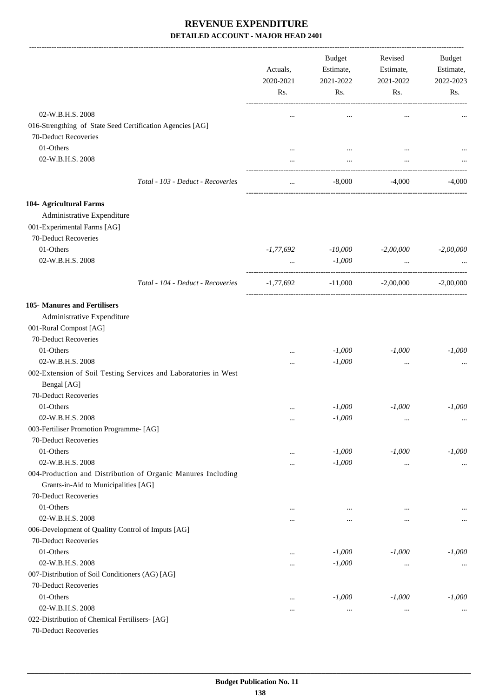|                                                                        |                                                                 | Actuals,<br>2020-2021<br>Rs. | Budget<br>Estimate,<br>2021-2022<br>Rs. | Revised<br>Estimate,<br>2021-2022<br>Rs. | Budget<br>Estimate,<br>2022-2023<br>Rs. |
|------------------------------------------------------------------------|-----------------------------------------------------------------|------------------------------|-----------------------------------------|------------------------------------------|-----------------------------------------|
| 02-W.B.H.S. 2008                                                       |                                                                 |                              |                                         |                                          |                                         |
| 70-Deduct Recoveries                                                   | 016-Strengthing of State Seed Certification Agencies [AG]       |                              | $\cdots$                                | $\cdots$                                 |                                         |
| 01-Others                                                              |                                                                 |                              |                                         |                                          |                                         |
| 02-W.B.H.S. 2008                                                       |                                                                 |                              | $\cdots$<br>$\cdots$                    | $\cdots$                                 |                                         |
|                                                                        | Total - 103 - Deduct - Recoveries                               | $\cdots$                     | $-8,000$                                | -4,000                                   | $-4,000$                                |
|                                                                        |                                                                 |                              |                                         |                                          |                                         |
| 104- Agricultural Farms                                                |                                                                 |                              |                                         |                                          |                                         |
| Administrative Expenditure                                             |                                                                 |                              |                                         |                                          |                                         |
| 001-Experimental Farms [AG]                                            |                                                                 |                              |                                         |                                          |                                         |
| 70-Deduct Recoveries                                                   |                                                                 |                              |                                         |                                          |                                         |
| 01-Others                                                              |                                                                 | -1,77,692                    | -10,000                                 | $-2,00,000$                              | $-2,00,000$                             |
| 02-W.B.H.S. 2008                                                       |                                                                 | $\ddotsc$                    | $-1,000$                                | $\ddotsc$                                |                                         |
|                                                                        | Total - 104 - Deduct - Recoveries                               | -1,77,692                    | $-11,000$                               | $-2,00,000$                              | $-2,00,000$                             |
| 105- Manures and Fertilisers                                           |                                                                 |                              |                                         |                                          |                                         |
| Administrative Expenditure                                             |                                                                 |                              |                                         |                                          |                                         |
| 001-Rural Compost [AG]                                                 |                                                                 |                              |                                         |                                          |                                         |
| 70-Deduct Recoveries                                                   |                                                                 |                              |                                         |                                          |                                         |
| 01-Others                                                              |                                                                 |                              | $-1,000$                                | $-1,000$                                 | $-1,000$                                |
| 02-W.B.H.S. 2008                                                       |                                                                 |                              | $-1,000$                                |                                          |                                         |
|                                                                        | 002-Extension of Soil Testing Services and Laboratories in West |                              |                                         |                                          |                                         |
| Bengal [AG]                                                            |                                                                 |                              |                                         |                                          |                                         |
| 70-Deduct Recoveries                                                   |                                                                 |                              |                                         |                                          |                                         |
| 01-Others                                                              |                                                                 |                              | $-1,000$                                | $-1.000$                                 | $-1,000$                                |
| 02-W.B.H.S. 2008                                                       |                                                                 | $\cdots$                     | $-1,000$                                | $\ldots$                                 | $\cdots$                                |
| 003-Fertiliser Promotion Programme- [AG]                               |                                                                 |                              |                                         |                                          |                                         |
| 70-Deduct Recoveries                                                   |                                                                 |                              |                                         |                                          |                                         |
| 01-Others                                                              |                                                                 |                              | $-1,000$                                | $-1,000$                                 | $-1,000$                                |
| 02-W.B.H.S. 2008                                                       |                                                                 |                              | $-1,000$                                | $\cdots$                                 | $\cdots$                                |
|                                                                        | 004-Production and Distribution of Organic Manures Including    |                              |                                         |                                          |                                         |
| Grants-in-Aid to Municipalities [AG]                                   |                                                                 |                              |                                         |                                          |                                         |
| 70-Deduct Recoveries                                                   |                                                                 |                              |                                         |                                          |                                         |
| 01-Others                                                              |                                                                 | $\cdots$                     | $\cdots$                                |                                          |                                         |
| 02-W.B.H.S. 2008                                                       |                                                                 | $\cdots$                     | $\cdots$                                | $\ddotsc$                                | $\cdots$                                |
| 006-Development of Qualitty Control of Imputs [AG]                     |                                                                 |                              |                                         |                                          |                                         |
| 70-Deduct Recoveries                                                   |                                                                 |                              |                                         |                                          |                                         |
| 01-Others                                                              |                                                                 |                              | $-1,000$                                | $-1,000$                                 | $-1,000$                                |
| 02-W.B.H.S. 2008                                                       |                                                                 |                              | $-1,000$                                | $\ldots$                                 | $\cdots$                                |
| 007-Distribution of Soil Conditioners (AG) [AG]                        |                                                                 |                              |                                         |                                          |                                         |
| 70-Deduct Recoveries                                                   |                                                                 |                              |                                         |                                          |                                         |
| 01-Others                                                              |                                                                 |                              | $-1,000$                                | $-1,000$                                 | $-1,000$                                |
| 02-W.B.H.S. 2008                                                       |                                                                 | $\cdots$                     | $\cdots$                                | $\ddotsc$                                | $\cdots$                                |
| 022-Distribution of Chemical Fertilisers- [AG]<br>70-Deduct Recoveries |                                                                 |                              |                                         |                                          |                                         |
|                                                                        |                                                                 |                              |                                         |                                          |                                         |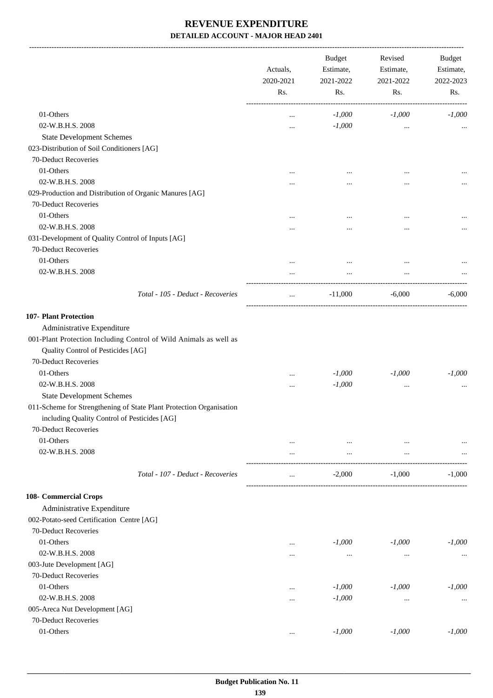-------------------------------------------------------------------------------------------------------------------------------------------------------------------------------

|                                                                           | Actuals,<br>2020-2021<br>Rs. | <b>Budget</b><br>Estimate,<br>2021-2022<br>Rs. | Revised<br>Estimate,<br>2021-2022<br>Rs. | <b>Budget</b><br>Estimate,<br>2022-2023<br>Rs. |
|---------------------------------------------------------------------------|------------------------------|------------------------------------------------|------------------------------------------|------------------------------------------------|
| 01-Others                                                                 |                              | $-1,000$                                       | $-1,000$                                 | $-1,000$                                       |
| 02-W.B.H.S. 2008                                                          |                              | $-1,000$                                       |                                          |                                                |
| <b>State Development Schemes</b>                                          |                              |                                                |                                          |                                                |
| 023-Distribution of Soil Conditioners [AG]                                |                              |                                                |                                          |                                                |
| 70-Deduct Recoveries                                                      |                              |                                                |                                          |                                                |
| 01-Others                                                                 |                              |                                                |                                          |                                                |
| 02-W.B.H.S. 2008                                                          | $\cdots$                     |                                                |                                          |                                                |
| 029-Production and Distribution of Organic Manures [AG]                   |                              | $\cdots$                                       |                                          |                                                |
| 70-Deduct Recoveries                                                      |                              |                                                |                                          |                                                |
| 01-Others                                                                 |                              |                                                |                                          |                                                |
|                                                                           | $\cdots$                     | $\cdots$                                       |                                          |                                                |
| 02-W.B.H.S. 2008                                                          |                              | $\cdots$                                       |                                          |                                                |
| 031-Development of Quality Control of Inputs [AG]<br>70-Deduct Recoveries |                              |                                                |                                          |                                                |
| 01-Others                                                                 | $\cdots$                     | $\cdots$                                       | $\cdots$                                 |                                                |
| 02-W.B.H.S. 2008                                                          |                              |                                                |                                          |                                                |
|                                                                           |                              |                                                |                                          |                                                |
| Total - 105 - Deduct - Recoveries                                         | $\cdots$                     | $-11,000$                                      | $-6,000$                                 | $-6,000$                                       |
| 107- Plant Protection                                                     |                              |                                                |                                          |                                                |
| Administrative Expenditure                                                |                              |                                                |                                          |                                                |
| 001-Plant Protection Including Control of Wild Animals as well as         |                              |                                                |                                          |                                                |
| Quality Control of Pesticides [AG]                                        |                              |                                                |                                          |                                                |
| 70-Deduct Recoveries                                                      |                              |                                                |                                          |                                                |
| 01-Others                                                                 |                              | $-1,000$                                       | $-1,000$                                 | $-1,000$                                       |
| 02-W.B.H.S. 2008                                                          |                              | $-1,000$                                       |                                          |                                                |
| <b>State Development Schemes</b>                                          |                              |                                                |                                          |                                                |
| 011-Scheme for Strengthening of State Plant Protection Organisation       |                              |                                                |                                          |                                                |
| including Quality Control of Pesticides [AG]                              |                              |                                                |                                          |                                                |
| 70-Deduct Recoveries                                                      |                              |                                                |                                          |                                                |
| 01-Others                                                                 |                              |                                                |                                          |                                                |
| 02-W.B.H.S. 2008                                                          | $\cdots$                     | $\cdots$                                       |                                          |                                                |
|                                                                           | $\cdots$                     | $\cdots$                                       |                                          |                                                |
| Total - 107 - Deduct - Recoveries                                         | $\cdots$                     | $-2,000$                                       | $-1,000$                                 | $-1,000$                                       |
| 108- Commercial Crops                                                     |                              |                                                |                                          |                                                |
| Administrative Expenditure                                                |                              |                                                |                                          |                                                |
| 002-Potato-seed Certification Centre [AG]                                 |                              |                                                |                                          |                                                |
| 70-Deduct Recoveries                                                      |                              |                                                |                                          |                                                |
| 01-Others                                                                 |                              | $-1,000$                                       | $-1,000$                                 | $-1,000$                                       |
| 02-W.B.H.S. 2008                                                          | $\cdots$                     | $\cdots$                                       | $\cdots$                                 | $\cdots$                                       |
| 003-Jute Development [AG]                                                 |                              |                                                |                                          |                                                |
| 70-Deduct Recoveries                                                      |                              |                                                |                                          |                                                |
| 01-Others                                                                 |                              | $-1,000$                                       | $-1,000$                                 | $-1,000$                                       |
| 02-W.B.H.S. 2008                                                          |                              | $-1,000$                                       | $\cdots$                                 |                                                |
| 005-Areca Nut Development [AG]                                            |                              |                                                |                                          |                                                |
| 70-Deduct Recoveries                                                      |                              |                                                |                                          |                                                |
| 01-Others                                                                 | $\cdots$                     | $-1,000$                                       | $-1,000$                                 | $-1,000$                                       |
|                                                                           |                              |                                                |                                          |                                                |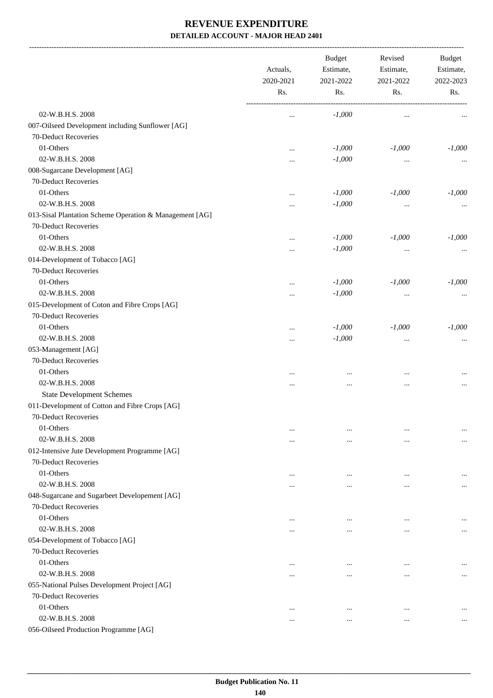-------------------------------------------------------------------------------------------------------------------------------------------------------------------------------

|                                                         | Actuals,<br>2020-2021<br>Rs. | <b>Budget</b><br>Estimate,<br>2021-2022 | Revised<br>Estimate,<br>2021-2022<br>Rs. | <b>Budget</b><br>Estimate,<br>2022-2023<br>Rs. |
|---------------------------------------------------------|------------------------------|-----------------------------------------|------------------------------------------|------------------------------------------------|
|                                                         |                              | Rs.                                     |                                          |                                                |
| 02-W.B.H.S. 2008                                        |                              | $-1,000$                                | $\cdots$                                 | $\cdots$                                       |
| 007-Oilseed Development including Sunflower [AG]        |                              |                                         |                                          |                                                |
| 70-Deduct Recoveries                                    |                              |                                         |                                          |                                                |
| 01-Others                                               |                              | $-1,000$                                | $-1,000$                                 | $-1,000$                                       |
| 02-W.B.H.S. 2008                                        |                              | $-1,000$                                | $\cdots$                                 | $\cdots$                                       |
| 008-Sugarcane Development [AG]                          |                              |                                         |                                          |                                                |
| 70-Deduct Recoveries                                    |                              |                                         |                                          |                                                |
| 01-Others                                               | $\cdots$                     | $-1,000$                                | $-1,000$                                 | $-1,000$                                       |
| 02-W.B.H.S. 2008                                        |                              | $-1,000$                                | $\cdots$                                 | $\cdots$                                       |
| 013-Sisal Plantation Scheme Operation & Management [AG] |                              |                                         |                                          |                                                |
| 70-Deduct Recoveries                                    |                              |                                         |                                          |                                                |
| 01-Others                                               |                              | $-1,000$                                | $-1,000$                                 | $-1,000$                                       |
| 02-W.B.H.S. 2008                                        |                              | $-1,000$                                | $\cdots$                                 | $\cdots$                                       |
| 014-Development of Tobacco [AG]                         |                              |                                         |                                          |                                                |
| 70-Deduct Recoveries                                    |                              |                                         |                                          |                                                |
| 01-Others                                               |                              | $-1,000$                                | $-1,000$                                 | $-1,000$                                       |
| 02-W.B.H.S. 2008                                        | $\cdots$                     | $-1,000$                                | $\cdots$                                 | $\cdots$                                       |
| 015-Development of Coton and Fibre Crops [AG]           |                              |                                         |                                          |                                                |
| 70-Deduct Recoveries                                    |                              |                                         |                                          |                                                |
| 01-Others                                               |                              | $-1,000$                                | $-1,000$                                 | $-1,000$                                       |
| 02-W.B.H.S. 2008                                        |                              | $-1,000$                                |                                          | $\ddotsc$                                      |
| 053-Management [AG]                                     |                              |                                         | $\cdots$                                 |                                                |
| 70-Deduct Recoveries                                    |                              |                                         |                                          |                                                |
| 01-Others                                               |                              |                                         |                                          |                                                |
| 02-W.B.H.S. 2008                                        | $\cdots$                     | $\cdots$                                | $\cdots$                                 |                                                |
|                                                         |                              | $\cdots$                                | $\cdots$                                 | $\cdots$                                       |
| <b>State Development Schemes</b>                        |                              |                                         |                                          |                                                |
| 011-Development of Cotton and Fibre Crops [AG]          |                              |                                         |                                          |                                                |
| 70-Deduct Recoveries                                    |                              |                                         |                                          |                                                |
| 01-Others                                               |                              | $\ddotsc$                               | $\cdots$                                 |                                                |
| 02-W.B.H.S. 2008                                        |                              |                                         | $\cdots$                                 | $\cdots$                                       |
| 012-Intensive Jute Development Programme [AG]           |                              |                                         |                                          |                                                |
| 70-Deduct Recoveries                                    |                              |                                         |                                          |                                                |
| 01-Others                                               |                              | $\ddotsc$                               | $\cdots$                                 |                                                |
| 02-W.B.H.S. 2008                                        |                              |                                         | $\cdots$                                 | $\cdots$                                       |
| 048-Sugarcane and Sugarbeet Developement [AG]           |                              |                                         |                                          |                                                |
| 70-Deduct Recoveries                                    |                              |                                         |                                          |                                                |
| 01-Others                                               | $\ddotsc$                    | $\cdots$                                | $\cdots$                                 |                                                |
| 02-W.B.H.S. 2008                                        |                              | $\cdots$                                | $\cdots$                                 | $\cdots$                                       |
| 054-Development of Tobacco [AG]                         |                              |                                         |                                          |                                                |
| 70-Deduct Recoveries                                    |                              |                                         |                                          |                                                |
| 01-Others                                               | $\cdots$                     | $\ddotsc$                               | $\cdots$                                 |                                                |
| 02-W.B.H.S. 2008                                        |                              | $\cdots$                                | $\cdots$                                 | $\cdots$                                       |
| 055-National Pulses Development Project [AG]            |                              |                                         |                                          |                                                |
| 70-Deduct Recoveries                                    |                              |                                         |                                          |                                                |
| 01-Others                                               | $\ddotsc$                    | $\cdots$                                | $\cdots$                                 |                                                |
| 02-W.B.H.S. 2008                                        | $\cdots$                     | $\cdots$                                | $\cdots$                                 | $\cdots$                                       |
| 056-Oilseed Production Programme [AG]                   |                              |                                         |                                          |                                                |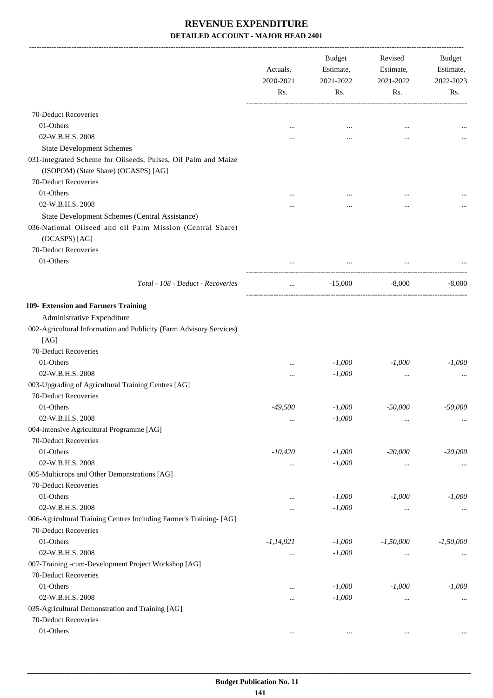|                                                                                                                              | Actuals,<br>2020-2021 | Budget<br>Estimate,<br>2021-2022 | Revised<br>Estimate,<br>2021-2022 | Budget<br>Estimate,<br>2022-2023 |
|------------------------------------------------------------------------------------------------------------------------------|-----------------------|----------------------------------|-----------------------------------|----------------------------------|
|                                                                                                                              | Rs.                   | Rs.                              | Rs.                               | Rs.                              |
| 70-Deduct Recoveries                                                                                                         |                       |                                  |                                   |                                  |
| 01-Others                                                                                                                    | $\cdots$              | $\cdots$                         | $\cdots$                          |                                  |
| 02-W.B.H.S. 2008                                                                                                             | .                     |                                  | $\ddotsc$                         |                                  |
| <b>State Development Schemes</b>                                                                                             |                       |                                  |                                   |                                  |
| 031-Integrated Scheme for Oilseeds, Pulses, Oil Palm and Maize<br>(ISOPOM) (State Share) (OCASPS) [AG]                       |                       |                                  |                                   |                                  |
| 70-Deduct Recoveries                                                                                                         |                       |                                  |                                   |                                  |
| 01-Others                                                                                                                    |                       | $\cdots$                         |                                   |                                  |
| 02-W.B.H.S. 2008                                                                                                             |                       |                                  |                                   |                                  |
| State Development Schemes (Central Assistance)<br>036-National Oilseed and oil Palm Mission (Central Share)<br>(OCASPS) [AG] |                       |                                  |                                   |                                  |
| 70-Deduct Recoveries                                                                                                         |                       |                                  |                                   |                                  |
| 01-Others                                                                                                                    |                       | $\cdots$                         |                                   |                                  |
| Total - 108 - Deduct - Recoveries                                                                                            | $\cdots$              | $-15,000$                        | $-8,000$                          | $-8,000$                         |
| 109- Extension and Farmers Training                                                                                          |                       |                                  |                                   |                                  |
| Administrative Expenditure                                                                                                   |                       |                                  |                                   |                                  |
| 002-Agricultural Information and Publicity (Farm Advisory Services)<br>[AG]                                                  |                       |                                  |                                   |                                  |
| 70-Deduct Recoveries                                                                                                         |                       |                                  |                                   |                                  |
| 01-Others                                                                                                                    |                       | $-1,000$                         | $-1,000$                          | $-1,000$                         |
| 02-W.B.H.S. 2008                                                                                                             |                       | $-1,000$                         | $\cdots$                          |                                  |
| 003-Upgrading of Agricultural Training Centres [AG]                                                                          |                       |                                  |                                   |                                  |
| 70-Deduct Recoveries                                                                                                         |                       |                                  |                                   |                                  |
| 01-Others                                                                                                                    | $-49,500$             | $-1,000$                         | $-50,000$                         | $-50,000$                        |
| 02-W.B.H.S. 2008                                                                                                             | $\cdots$              | $-1,000$                         | $\ldots$                          | $\ldots$                         |
| 004-Intensive Agricultural Programme [AG]                                                                                    |                       |                                  |                                   |                                  |
| 70-Deduct Recoveries                                                                                                         |                       |                                  |                                   |                                  |
| 01-Others                                                                                                                    | $-10,420$             | $-1,000$                         | $-20,000$                         | $-20,000$                        |
| 02-W.B.H.S. 2008                                                                                                             |                       | $-1,000$                         | $\cdots$                          | $\cdots$                         |
| 005-Multicrops and Other Demonstrations [AG]                                                                                 |                       |                                  |                                   |                                  |
| 70-Deduct Recoveries                                                                                                         |                       |                                  |                                   |                                  |
| 01-Others                                                                                                                    |                       | $-1,000$                         | $-1,000$                          | $-1,000$                         |
| 02-W.B.H.S. 2008<br>006-Agricultural Training Centres Including Farmer's Training- [AG]<br>70-Deduct Recoveries              |                       | $-1,000$                         | $\cdots$                          | $\cdots$                         |
| 01-Others                                                                                                                    | $-1, 14, 921$         | $-1,000$                         | $-1,50,000$                       | $-1,50,000$                      |
| 02-W.B.H.S. 2008                                                                                                             |                       | $-1,000$                         |                                   |                                  |
| 007-Training -cum-Development Project Workshop [AG]                                                                          |                       |                                  | $\cdots$                          |                                  |
| 70-Deduct Recoveries                                                                                                         |                       |                                  |                                   |                                  |
| 01-Others                                                                                                                    |                       | $-1,000$                         | $-1,000$                          | $-1,000$                         |
| 02-W.B.H.S. 2008                                                                                                             |                       | $-1,000$                         | $\cdots$                          | $\cdots$                         |
| 035-Agricultural Demonstration and Training [AG]                                                                             |                       |                                  |                                   |                                  |
| 70-Deduct Recoveries                                                                                                         |                       |                                  |                                   |                                  |
| 01-Others                                                                                                                    | $\ldots$              | $\ldots$                         | $\ldots$                          | $\ldots$                         |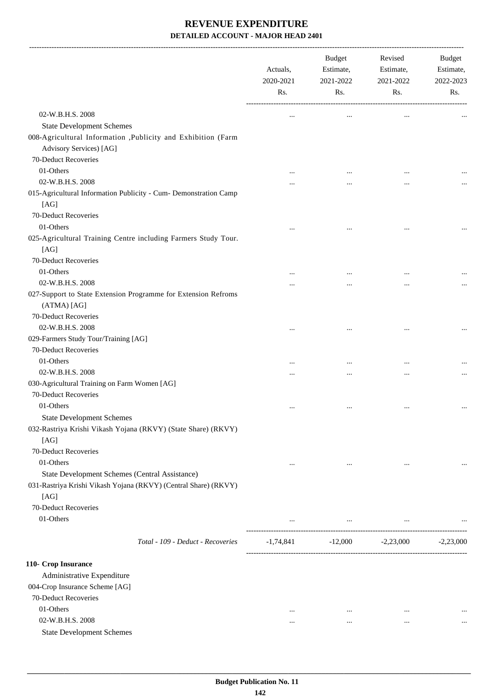|                                                                                                                           | Actuals,<br>2020-2021<br>Rs. | Budget<br>Estimate,<br>2021-2022<br>Rs. | Revised<br>Estimate,<br>2021-2022<br>Rs.  | Budget<br>Estimate,<br>2022-2023<br>Rs. |
|---------------------------------------------------------------------------------------------------------------------------|------------------------------|-----------------------------------------|-------------------------------------------|-----------------------------------------|
| 02-W.B.H.S. 2008                                                                                                          | $\ddotsc$                    | $\cdots$                                | $\cdots$                                  |                                         |
| <b>State Development Schemes</b>                                                                                          |                              |                                         |                                           |                                         |
| 008-Agricultural Information ,Publicity and Exhibition (Farm<br>Advisory Services) [AG]                                   |                              |                                         |                                           |                                         |
| 70-Deduct Recoveries                                                                                                      |                              |                                         |                                           |                                         |
| 01-Others                                                                                                                 |                              |                                         |                                           |                                         |
| 02-W.B.H.S. 2008                                                                                                          | .                            |                                         |                                           |                                         |
| 015-Agricultural Information Publicity - Cum- Demonstration Camp                                                          |                              |                                         |                                           |                                         |
| [AG]                                                                                                                      |                              |                                         |                                           |                                         |
| 70-Deduct Recoveries                                                                                                      |                              |                                         |                                           |                                         |
| 01-Others                                                                                                                 |                              |                                         |                                           |                                         |
| 025-Agricultural Training Centre including Farmers Study Tour.<br>[AG]                                                    |                              |                                         |                                           |                                         |
| 70-Deduct Recoveries                                                                                                      |                              |                                         |                                           |                                         |
| 01-Others                                                                                                                 |                              |                                         |                                           |                                         |
| 02-W.B.H.S. 2008                                                                                                          |                              |                                         |                                           |                                         |
| 027-Support to State Extension Programme for Extension Refroms<br>(ATMA) [AG]                                             |                              |                                         |                                           |                                         |
| 70-Deduct Recoveries                                                                                                      |                              |                                         |                                           |                                         |
| 02-W.B.H.S. 2008                                                                                                          |                              |                                         |                                           |                                         |
| 029-Farmers Study Tour/Training [AG]                                                                                      |                              |                                         |                                           |                                         |
| 70-Deduct Recoveries                                                                                                      |                              |                                         |                                           |                                         |
| 01-Others                                                                                                                 |                              | $\cdots$                                | $\ddotsc$                                 |                                         |
| 02-W.B.H.S. 2008                                                                                                          | .                            |                                         |                                           |                                         |
| 030-Agricultural Training on Farm Women [AG]                                                                              |                              |                                         |                                           |                                         |
| 70-Deduct Recoveries                                                                                                      |                              |                                         |                                           |                                         |
| 01-Others                                                                                                                 | $\cdots$                     | $\cdots$                                | $\cdots$                                  |                                         |
| <b>State Development Schemes</b>                                                                                          |                              |                                         |                                           |                                         |
| 032-Rastriya Krishi Vikash Yojana (RKVY) (State Share) (RKVY)<br>[AG]                                                     |                              |                                         |                                           |                                         |
| 70-Deduct Recoveries                                                                                                      |                              |                                         |                                           |                                         |
| 01-Others                                                                                                                 | $\cdots$                     | $\cdots$                                | $\cdots$                                  |                                         |
| State Development Schemes (Central Assistance)<br>031-Rastriya Krishi Vikash Yojana (RKVY) (Central Share) (RKVY)<br>[AG] |                              |                                         |                                           |                                         |
| 70-Deduct Recoveries                                                                                                      |                              |                                         |                                           |                                         |
| 01-Others                                                                                                                 | $\cdots$                     |                                         | and the state of the state of<br>$\cdots$ |                                         |
| Total - 109 - Deduct - Recoveries                                                                                         |                              | $-1,74,841$ $-12,000$ $-2,23,000$       |                                           | $-2,23,000$                             |
| 110- Crop Insurance                                                                                                       |                              |                                         |                                           |                                         |
| Administrative Expenditure                                                                                                |                              |                                         |                                           |                                         |
| 004-Crop Insurance Scheme [AG]                                                                                            |                              |                                         |                                           |                                         |
| 70-Deduct Recoveries                                                                                                      |                              |                                         |                                           |                                         |
| 01-Others                                                                                                                 | $\cdots$                     | $\cdots$                                |                                           |                                         |
| 02-W.B.H.S. 2008                                                                                                          | $\cdots$                     | $\cdots$                                | $\cdots$                                  |                                         |
| <b>State Development Schemes</b>                                                                                          |                              |                                         |                                           |                                         |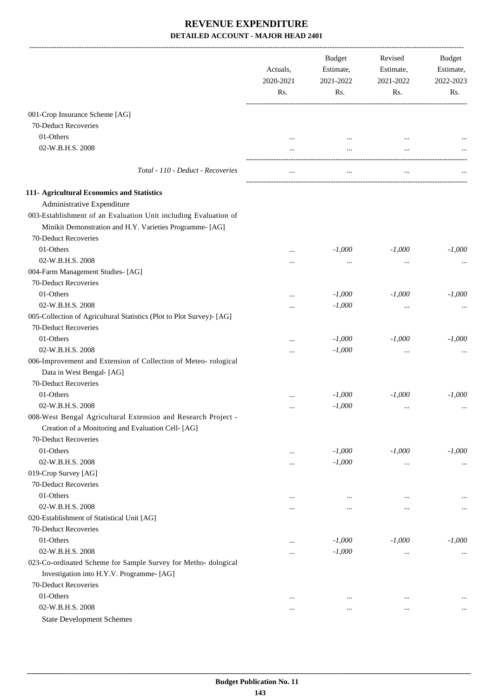|                                                                                                                             | Actuals,<br>2020-2021 | <b>Budget</b><br>Estimate,<br>2021-2022 | Revised<br>Estimate,<br>2021-2022 | Budget<br>Estimate,<br>2022-2023 |
|-----------------------------------------------------------------------------------------------------------------------------|-----------------------|-----------------------------------------|-----------------------------------|----------------------------------|
|                                                                                                                             | Rs.                   | Rs.                                     | Rs.                               | Rs.                              |
| 001-Crop Insurance Scheme [AG]                                                                                              |                       |                                         |                                   |                                  |
| 70-Deduct Recoveries                                                                                                        |                       |                                         |                                   |                                  |
| 01-Others                                                                                                                   |                       |                                         |                                   |                                  |
| 02-W.B.H.S. 2008                                                                                                            |                       | <br>                                    | $\ddotsc$                         |                                  |
| Total - 110 - Deduct - Recoveries                                                                                           |                       |                                         |                                   |                                  |
| 111- Agricultural Economics and Statistics                                                                                  |                       |                                         |                                   |                                  |
| Administrative Expenditure                                                                                                  |                       |                                         |                                   |                                  |
| 003-Establishment of an Evaluation Unit including Evaluation of<br>Minikit Demonstration and H.Y. Varieties Programme- [AG] |                       |                                         |                                   |                                  |
| 70-Deduct Recoveries                                                                                                        |                       |                                         |                                   |                                  |
| 01-Others                                                                                                                   |                       | $-1,000$                                | $-1,000$                          | $-1,000$                         |
| 02-W.B.H.S. 2008                                                                                                            |                       | $\cdots$                                | $\cdots$                          |                                  |
| 004-Farm Management Studies- [AG]                                                                                           |                       |                                         |                                   |                                  |
| 70-Deduct Recoveries                                                                                                        |                       |                                         |                                   |                                  |
| 01-Others                                                                                                                   |                       | $-1,000$                                | $-1,000$                          | $-1,000$                         |
| 02-W.B.H.S. 2008                                                                                                            |                       | $-1,000$                                | $\cdots$                          |                                  |
| 005-Collection of Agricultural Statistics (Plot to Plot Survey)- [AG]                                                       |                       |                                         |                                   |                                  |
| 70-Deduct Recoveries                                                                                                        |                       |                                         |                                   |                                  |
| 01-Others                                                                                                                   | $\cdots$              | $-1,000$                                | $-1,000$                          | $-1,000$                         |
| 02-W.B.H.S. 2008                                                                                                            |                       | $-1,000$                                | $\cdots$                          |                                  |
| 006-Improvement and Extension of Collection of Meteo-rological<br>Data in West Bengal- [AG]                                 |                       |                                         |                                   |                                  |
| 70-Deduct Recoveries                                                                                                        |                       |                                         |                                   |                                  |
| 01-Others                                                                                                                   |                       | $-1,000$                                | $-1,000$                          | $-1,000$                         |
| 02-W.B.H.S. 2008                                                                                                            | $\cdots$              | $-1,000$                                | $\cdots$                          |                                  |
| 008-West Bengal Agricultural Extension and Research Project -                                                               |                       |                                         |                                   |                                  |
| Creation of a Monitoring and Evaluation Cell- [AG]                                                                          |                       |                                         |                                   |                                  |
| 70-Deduct Recoveries                                                                                                        |                       |                                         |                                   |                                  |
| 01-Others                                                                                                                   | $\cdots$              | $-1,000$                                | $-1,000$                          | $-1,000$                         |
| 02-W.B.H.S. 2008                                                                                                            |                       | $-1,000$                                | $\ldots$                          |                                  |
| 019-Crop Survey [AG]                                                                                                        |                       |                                         |                                   |                                  |
| 70-Deduct Recoveries                                                                                                        |                       |                                         |                                   |                                  |
| 01-Others                                                                                                                   | $\ddotsc$             | $\cdots$                                | $\ddotsc$                         |                                  |
| 02-W.B.H.S. 2008                                                                                                            |                       |                                         | $\ddotsc$                         |                                  |
| 020-Establishment of Statistical Unit [AG]                                                                                  |                       |                                         |                                   |                                  |
| 70-Deduct Recoveries                                                                                                        |                       |                                         |                                   |                                  |
| 01-Others                                                                                                                   | $\ddotsc$             | $-1,000$                                | $-1,000$                          | $-1,000$                         |
| 02-W.B.H.S. 2008                                                                                                            |                       | $-1,000$                                | $\cdots$                          | $\cdots$                         |
| 023-Co-ordinated Scheme for Sample Survey for Metho- dological                                                              |                       |                                         |                                   |                                  |
| Investigation into H.Y.V. Programme- [AG]                                                                                   |                       |                                         |                                   |                                  |
| 70-Deduct Recoveries                                                                                                        |                       |                                         |                                   |                                  |
| 01-Others                                                                                                                   | $\ddotsc$             | $\ddotsc$                               | $\ddotsc$                         |                                  |
| 02-W.B.H.S. 2008                                                                                                            | $\ddotsc$             | $\ddotsc$                               | $\ddotsc$                         | $\cdots$                         |
| <b>State Development Schemes</b>                                                                                            |                       |                                         |                                   |                                  |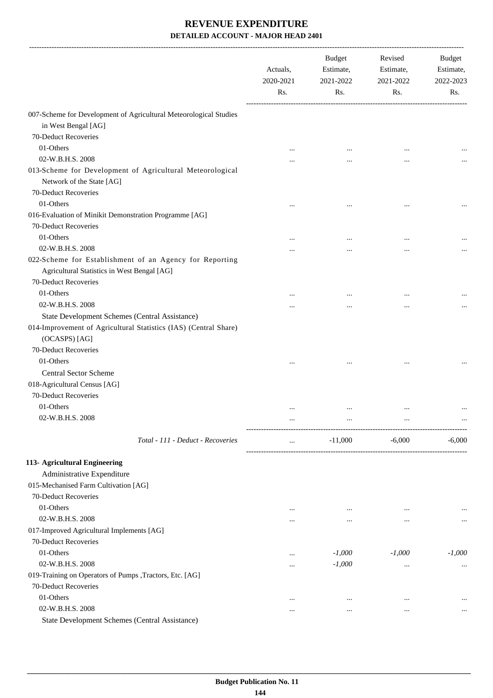|                                                                                                        | Actuals,<br>2020-2021<br>Rs. | Budget<br>Estimate,<br>2021-2022<br>Rs. | Revised<br>Estimate,<br>2021-2022<br>Rs. | Budget<br>Estimate,<br>2022-2023<br>Rs. |
|--------------------------------------------------------------------------------------------------------|------------------------------|-----------------------------------------|------------------------------------------|-----------------------------------------|
| 007-Scheme for Development of Agricultural Meteorological Studies                                      |                              |                                         |                                          |                                         |
| in West Bengal [AG]                                                                                    |                              |                                         |                                          |                                         |
| 70-Deduct Recoveries                                                                                   |                              |                                         |                                          |                                         |
| 01-Others                                                                                              | $\cdots$                     | $\cdots$                                | $\ddotsc$                                |                                         |
| 02-W.B.H.S. 2008                                                                                       |                              |                                         | $\cdots$                                 |                                         |
| 013-Scheme for Development of Agricultural Meteorological<br>Network of the State [AG]                 |                              |                                         |                                          |                                         |
| 70-Deduct Recoveries                                                                                   |                              |                                         |                                          |                                         |
| 01-Others                                                                                              | $\cdots$                     |                                         | $\ddotsc$                                |                                         |
| 016-Evaluation of Minikit Demonstration Programme [AG]<br>70-Deduct Recoveries                         |                              |                                         |                                          |                                         |
| 01-Others                                                                                              | $\cdots$                     | $\cdots$                                | $\ddotsc$                                |                                         |
| 02-W.B.H.S. 2008                                                                                       |                              |                                         | $\cdots$                                 |                                         |
| 022-Scheme for Establishment of an Agency for Reporting<br>Agricultural Statistics in West Bengal [AG] |                              |                                         |                                          |                                         |
| 70-Deduct Recoveries                                                                                   |                              |                                         |                                          |                                         |
| 01-Others                                                                                              |                              |                                         |                                          |                                         |
| 02-W.B.H.S. 2008                                                                                       | .                            |                                         | $\ddotsc$                                |                                         |
| State Development Schemes (Central Assistance)                                                         |                              |                                         |                                          |                                         |
| 014-Improvement of Agricultural Statistics (IAS) (Central Share)<br>(OCASPS) [AG]                      |                              |                                         |                                          |                                         |
| 70-Deduct Recoveries                                                                                   |                              |                                         |                                          |                                         |
| 01-Others                                                                                              |                              |                                         |                                          |                                         |
| <b>Central Sector Scheme</b>                                                                           |                              |                                         |                                          |                                         |
| 018-Agricultural Census [AG]                                                                           |                              |                                         |                                          |                                         |
| 70-Deduct Recoveries                                                                                   |                              |                                         |                                          |                                         |
| 01-Others                                                                                              | $\cdots$                     | $\cdots$                                |                                          |                                         |
| 02-W.B.H.S. 2008                                                                                       | $\cdots$                     |                                         |                                          |                                         |
| Total - 111 - Deduct - Recoveries                                                                      | $\cdots$                     | $-11,000$                               | $-6,000$                                 | $-6,000$                                |
| 113- Agricultural Engineering                                                                          |                              |                                         |                                          |                                         |
| Administrative Expenditure                                                                             |                              |                                         |                                          |                                         |
| 015-Mechanised Farm Cultivation [AG]                                                                   |                              |                                         |                                          |                                         |
| 70-Deduct Recoveries                                                                                   |                              |                                         |                                          |                                         |
| 01-Others                                                                                              | $\cdots$                     | $\cdots$                                | $\cdots$                                 |                                         |
| 02-W.B.H.S. 2008                                                                                       |                              | $\cdots$                                | $\cdots$                                 | $\cdots$                                |
| 017-Improved Agricultural Implements [AG]                                                              |                              |                                         |                                          |                                         |
| 70-Deduct Recoveries                                                                                   |                              |                                         |                                          |                                         |
| 01-Others                                                                                              |                              | $-1,000$                                | $-1,000$                                 | $-1,000$                                |
| 02-W.B.H.S. 2008                                                                                       |                              | $-1,000$                                | $\cdots$                                 | $\cdots$                                |
| 019-Training on Operators of Pumps , Tractors, Etc. [AG]                                               |                              |                                         |                                          |                                         |
| 70-Deduct Recoveries                                                                                   |                              |                                         |                                          |                                         |
| 01-Others                                                                                              |                              | $\cdots$                                | $\ddotsc$                                |                                         |
| 02-W.B.H.S. 2008                                                                                       |                              | $\cdots$                                |                                          | $\cdots$                                |
| State Development Schemes (Central Assistance)                                                         |                              |                                         |                                          |                                         |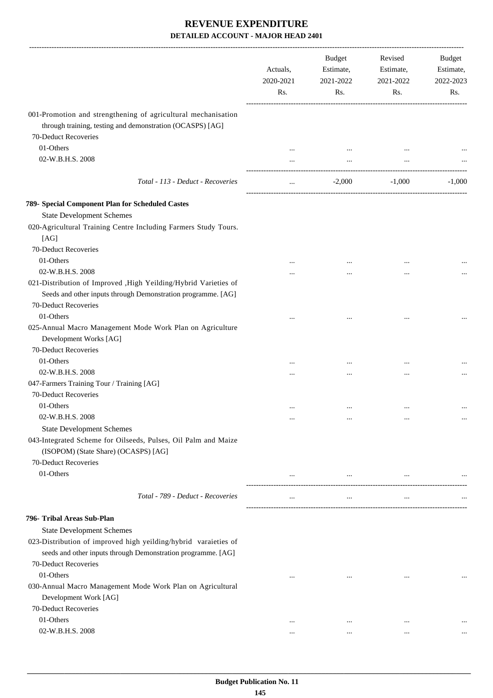|                                                                                                                                  | Actuals,<br>2020-2021<br>Rs. | <b>Budget</b><br>Estimate,<br>2021-2022<br>Rs. | Revised<br>Estimate,<br>2021-2022<br>Rs. | Budget<br>Estimate,<br>2022-2023<br>Rs. |
|----------------------------------------------------------------------------------------------------------------------------------|------------------------------|------------------------------------------------|------------------------------------------|-----------------------------------------|
| 001-Promotion and strengthening of agricultural mechanisation<br>through training, testing and demonstration (OCASPS) [AG]       |                              |                                                |                                          |                                         |
| 70-Deduct Recoveries                                                                                                             |                              |                                                |                                          |                                         |
| 01-Others                                                                                                                        | $\cdots$                     | $\cdots$                                       |                                          |                                         |
| 02-W.B.H.S. 2008                                                                                                                 |                              | $\cdots$                                       |                                          |                                         |
| Total - 113 - Deduct - Recoveries                                                                                                | $\cdots$                     | $-2,000$                                       | $-1,000$                                 | $-1,000$                                |
| 789- Special Component Plan for Scheduled Castes                                                                                 |                              |                                                |                                          |                                         |
| <b>State Development Schemes</b>                                                                                                 |                              |                                                |                                          |                                         |
| 020-Agricultural Training Centre Including Farmers Study Tours.<br>[AG]                                                          |                              |                                                |                                          |                                         |
| 70-Deduct Recoveries                                                                                                             |                              |                                                |                                          |                                         |
| 01-Others                                                                                                                        |                              |                                                |                                          |                                         |
| 02-W.B.H.S. 2008                                                                                                                 |                              |                                                |                                          |                                         |
| 021-Distribution of Improved , High Yeilding/Hybrid Varieties of<br>Seeds and other inputs through Demonstration programme. [AG] |                              |                                                |                                          |                                         |
| 70-Deduct Recoveries                                                                                                             |                              |                                                |                                          |                                         |
| 01-Others                                                                                                                        |                              |                                                |                                          |                                         |
| 025-Annual Macro Management Mode Work Plan on Agriculture<br>Development Works [AG]                                              |                              |                                                |                                          |                                         |
| 70-Deduct Recoveries                                                                                                             |                              |                                                |                                          |                                         |
| 01-Others                                                                                                                        |                              | $\cdots$                                       |                                          |                                         |
| 02-W.B.H.S. 2008                                                                                                                 |                              |                                                |                                          |                                         |
| 047-Farmers Training Tour / Training [AG]                                                                                        |                              |                                                |                                          |                                         |
| 70-Deduct Recoveries                                                                                                             |                              |                                                |                                          |                                         |
| 01-Others                                                                                                                        |                              |                                                | $\ddotsc$                                |                                         |
| 02-W.B.H.S. 2008                                                                                                                 | $\cdots$                     | $\cdots$                                       | $\cdots$                                 | $\cdots$                                |
| <b>State Development Schemes</b>                                                                                                 |                              |                                                |                                          |                                         |
| 043-Integrated Scheme for Oilseeds, Pulses, Oil Palm and Maize<br>(ISOPOM) (State Share) (OCASPS) [AG]                           |                              |                                                |                                          |                                         |
| 70-Deduct Recoveries                                                                                                             |                              |                                                |                                          |                                         |
| 01-Others                                                                                                                        | $\cdots$                     | $\ldots$                                       | $\cdots$                                 |                                         |
| Total - 789 - Deduct - Recoveries                                                                                                | $\cdots$                     | $\cdots$                                       | $\cdots$                                 |                                         |
| 796- Tribal Areas Sub-Plan                                                                                                       |                              |                                                |                                          |                                         |
| <b>State Development Schemes</b>                                                                                                 |                              |                                                |                                          |                                         |
| 023-Distribution of improved high yeilding/hybrid varaieties of                                                                  |                              |                                                |                                          |                                         |
| seeds and other inputs through Demonstration programme. [AG]                                                                     |                              |                                                |                                          |                                         |
| 70-Deduct Recoveries                                                                                                             |                              |                                                |                                          |                                         |
| 01-Others                                                                                                                        |                              | $\cdots$                                       | $\ddotsc$                                |                                         |
| 030-Annual Macro Management Mode Work Plan on Agricultural                                                                       |                              |                                                |                                          |                                         |
| Development Work [AG]                                                                                                            |                              |                                                |                                          |                                         |
| 70-Deduct Recoveries                                                                                                             |                              |                                                |                                          |                                         |
| 01-Others                                                                                                                        | $\ddotsc$                    | $\cdots$                                       | $\ddotsc$                                |                                         |
| 02-W.B.H.S. 2008                                                                                                                 | $\cdots$                     | $\cdots$                                       | $\cdots$                                 |                                         |
|                                                                                                                                  |                              |                                                |                                          |                                         |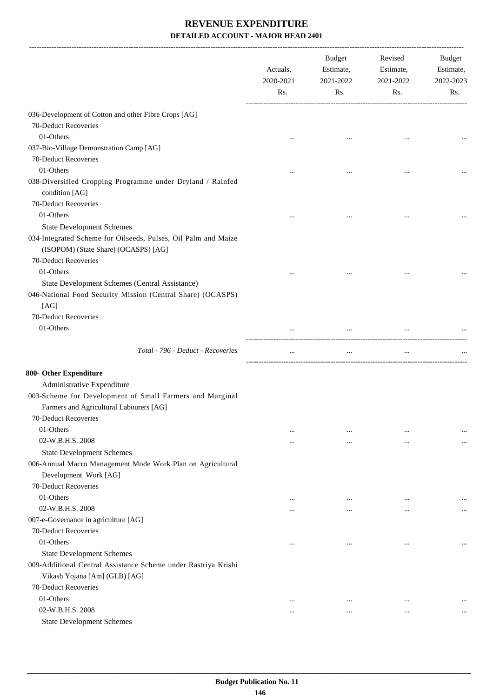|                                                                                                                       | Actuals,<br>2020-2021<br>Rs. | Budget<br>Estimate,<br>2021-2022<br>Rs. | Revised<br>Estimate,<br>2021-2022<br>Rs. | Budget<br>Estimate,<br>2022-2023<br>Rs. |
|-----------------------------------------------------------------------------------------------------------------------|------------------------------|-----------------------------------------|------------------------------------------|-----------------------------------------|
| 036-Development of Cotton and other Fibre Crops [AG]                                                                  |                              |                                         |                                          |                                         |
| 70-Deduct Recoveries                                                                                                  |                              |                                         |                                          |                                         |
| 01-Others                                                                                                             |                              | $\cdots$                                | $\cdots$                                 |                                         |
| 037-Bio-Village Demonstration Camp [AG]                                                                               |                              |                                         |                                          |                                         |
| 70-Deduct Recoveries                                                                                                  |                              |                                         |                                          |                                         |
| 01-Others                                                                                                             | $\cdots$                     | $\cdots$                                | $\cdots$                                 |                                         |
| 038-Diversified Cropping Programme under Dryland / Rainfed<br>condition [AG]                                          |                              |                                         |                                          |                                         |
| 70-Deduct Recoveries                                                                                                  |                              |                                         |                                          |                                         |
| 01-Others                                                                                                             |                              |                                         |                                          |                                         |
| <b>State Development Schemes</b>                                                                                      |                              |                                         |                                          |                                         |
| 034-Integrated Scheme for Oilseeds, Pulses, Oil Palm and Maize<br>(ISOPOM) (State Share) (OCASPS) [AG]                |                              |                                         |                                          |                                         |
| 70-Deduct Recoveries                                                                                                  |                              |                                         |                                          |                                         |
| 01-Others                                                                                                             |                              |                                         |                                          |                                         |
| State Development Schemes (Central Assistance)<br>046-National Food Security Mission (Central Share) (OCASPS)<br>[AG] |                              |                                         |                                          |                                         |
| 70-Deduct Recoveries                                                                                                  |                              |                                         |                                          |                                         |
| 01-Others                                                                                                             |                              |                                         |                                          |                                         |
| Total - 796 - Deduct - Recoveries                                                                                     | $\cdots$                     | $\cdots$                                | $\cdots$                                 |                                         |
| 800- Other Expenditure                                                                                                |                              |                                         |                                          |                                         |
| Administrative Expenditure                                                                                            |                              |                                         |                                          |                                         |
| 003-Scheme for Development of Small Farmers and Marginal                                                              |                              |                                         |                                          |                                         |
| Farmers and Agricultural Labourers [AG]                                                                               |                              |                                         |                                          |                                         |
| 70-Deduct Recoveries                                                                                                  |                              |                                         |                                          |                                         |
| 01-Others                                                                                                             |                              | $\cdots$                                |                                          |                                         |
| 02-W.B.H.S. 2008                                                                                                      |                              | $\cdots$                                | $\cdots$                                 | $\cdots$                                |
| <b>State Development Schemes</b>                                                                                      |                              |                                         |                                          |                                         |
| 006-Annual Macro Management Mode Work Plan on Agricultural<br>Development Work [AG]                                   |                              |                                         |                                          |                                         |
| 70-Deduct Recoveries                                                                                                  |                              |                                         |                                          |                                         |
| 01-Others                                                                                                             | $\cdots$                     | $\cdots$                                | $\cdots$                                 | $\cdots$                                |
| 02-W.B.H.S. 2008                                                                                                      | $\cdots$                     | $\cdots$                                | $\cdots$                                 | $\cdots$                                |
| 007-e-Governance in agriculture [AG]                                                                                  |                              |                                         |                                          |                                         |
| 70-Deduct Recoveries                                                                                                  |                              |                                         |                                          |                                         |
| 01-Others                                                                                                             | $\cdots$                     | $\cdots$                                | $\cdots$                                 | $\cdots$                                |
| <b>State Development Schemes</b>                                                                                      |                              |                                         |                                          |                                         |
| 009-Additional Central Assistance Scheme under Rastriya Krishi                                                        |                              |                                         |                                          |                                         |
| Vikash Yojana [Am] (GLB) [AG]                                                                                         |                              |                                         |                                          |                                         |
| 70-Deduct Recoveries                                                                                                  |                              |                                         |                                          |                                         |
| 01-Others                                                                                                             |                              | $\cdots$                                |                                          |                                         |
| 02-W.B.H.S. 2008                                                                                                      |                              |                                         |                                          | $\cdots$                                |
| <b>State Development Schemes</b>                                                                                      |                              |                                         |                                          |                                         |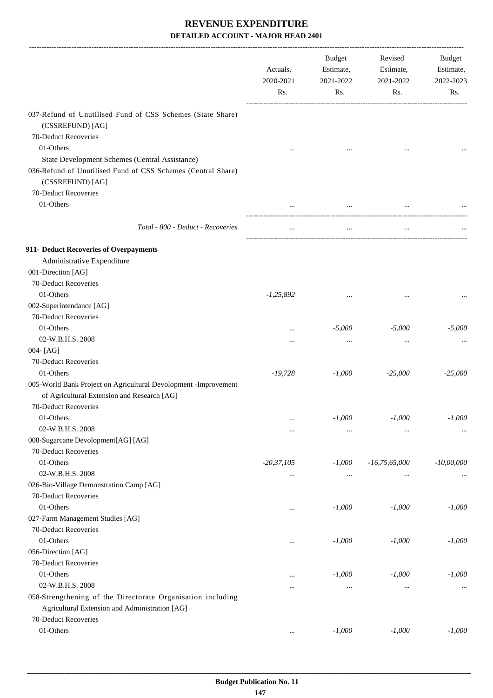|                                                                 | Actuals,<br>2020-2021<br>Rs. | Budget<br>Estimate,<br>2021-2022<br>Rs. | Revised<br>Estimate,<br>2021-2022<br>Rs. | Budget<br>Estimate,<br>2022-2023<br>Rs. |
|-----------------------------------------------------------------|------------------------------|-----------------------------------------|------------------------------------------|-----------------------------------------|
| 037-Refund of Unutilised Fund of CSS Schemes (State Share)      |                              |                                         |                                          |                                         |
| (CSSREFUND) [AG]                                                |                              |                                         |                                          |                                         |
| 70-Deduct Recoveries                                            |                              |                                         |                                          |                                         |
| 01-Others                                                       |                              |                                         |                                          |                                         |
| <b>State Development Schemes (Central Assistance)</b>           |                              |                                         |                                          |                                         |
| 036-Refund of Unutilised Fund of CSS Schemes (Central Share)    |                              |                                         |                                          |                                         |
| (CSSREFUND) [AG]                                                |                              |                                         |                                          |                                         |
| 70-Deduct Recoveries                                            |                              |                                         |                                          |                                         |
| 01-Others                                                       |                              | $\cdots$                                |                                          |                                         |
|                                                                 |                              |                                         |                                          |                                         |
| Total - 800 - Deduct - Recoveries                               | $\cdots$                     | $\cdots$                                | $\cdots$                                 |                                         |
| 911- Deduct Recoveries of Overpayments                          |                              |                                         |                                          |                                         |
| Administrative Expenditure                                      |                              |                                         |                                          |                                         |
| 001-Direction [AG]                                              |                              |                                         |                                          |                                         |
| 70-Deduct Recoveries                                            |                              |                                         |                                          |                                         |
| 01-Others                                                       | $-1,25,892$                  |                                         |                                          |                                         |
| 002-Superintendance [AG]                                        |                              |                                         |                                          |                                         |
| 70-Deduct Recoveries                                            |                              |                                         |                                          |                                         |
| 01-Others                                                       |                              | $-5,000$                                | $-5,000$                                 | $-5,000$                                |
| 02-W.B.H.S. 2008                                                |                              | $\cdots$                                |                                          |                                         |
| 004-[AG]                                                        |                              |                                         |                                          |                                         |
| 70-Deduct Recoveries                                            |                              |                                         |                                          |                                         |
| 01-Others                                                       | $-19,728$                    | $-1,000$                                | $-25,000$                                | $-25,000$                               |
| 005-World Bank Project on Agricultural Devolopment -Improvement |                              |                                         |                                          |                                         |
| of Agricultural Extension and Research [AG]                     |                              |                                         |                                          |                                         |
| 70-Deduct Recoveries                                            |                              |                                         |                                          |                                         |
| 01-Others                                                       | $\cdots$                     | $-1,000$                                | $-1,000$                                 | $\text{-}1,000$                         |
| 02-W.B.H.S. 2008                                                |                              | $\cdots$                                | $\ddotsc$                                | $\cdots$                                |
| 008-Sugarcane Devolopment[AG] [AG]                              |                              |                                         |                                          |                                         |
| 70-Deduct Recoveries                                            |                              |                                         |                                          |                                         |
| 01-Others                                                       | $-20,37,105$                 | $-1,000$                                | $-16,75,65,000$                          | $-10,00,000$                            |
| 02-W.B.H.S. 2008                                                |                              | $\cdots$                                | $\cdots$                                 |                                         |
| 026-Bio-Village Demonstration Camp [AG]                         |                              |                                         |                                          |                                         |
| 70-Deduct Recoveries                                            |                              |                                         |                                          |                                         |
| 01-Others                                                       |                              | $-1,000$                                | $-1,000$                                 | $-1,000$                                |
| 027-Farm Management Studies [AG]                                |                              |                                         |                                          |                                         |
| 70-Deduct Recoveries                                            |                              |                                         |                                          |                                         |
| 01-Others                                                       | $\cdots$                     | $-1,000$                                | $-1,000$                                 | $-1,000$                                |
| 056-Direction [AG]                                              |                              |                                         |                                          |                                         |
| 70-Deduct Recoveries                                            |                              |                                         |                                          |                                         |
| 01-Others                                                       |                              | $-1,000$                                | $-1,000$                                 | $-1,000$                                |
| 02-W.B.H.S. 2008                                                | $\cdots$                     | $\cdots$                                | $\cdots$                                 | $\cdots$                                |
| 058-Strengthening of the Directorate Organisation including     |                              |                                         |                                          |                                         |
| Agricultural Extension and Administration [AG]                  |                              |                                         |                                          |                                         |
| 70-Deduct Recoveries                                            |                              |                                         |                                          |                                         |
| 01-Others                                                       | $\ldots$                     | $-1,000$                                | $-1,000$                                 | $-1,000$                                |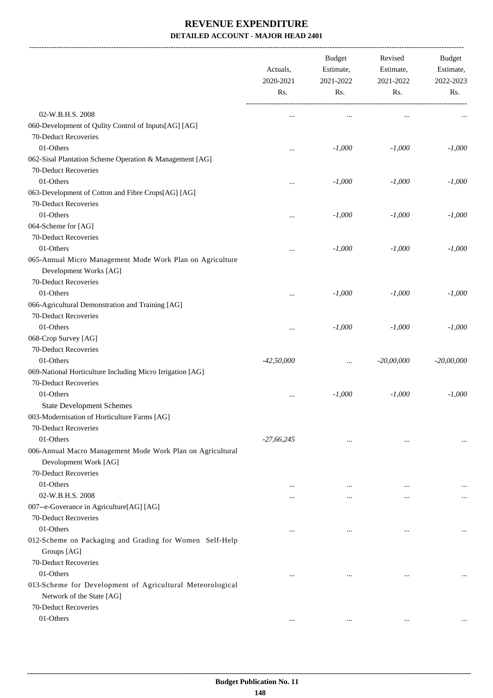-------------------------------------------------------------------------------------------------------------------------------------------------------------------------------

|                                                            | Actuals,<br>2020-2021<br>Rs. | <b>Budget</b><br>Estimate,<br>2021-2022<br>Rs. | Revised<br>Estimate,<br>2021-2022<br>Rs. | <b>Budget</b><br>Estimate,<br>2022-2023<br>Rs. |
|------------------------------------------------------------|------------------------------|------------------------------------------------|------------------------------------------|------------------------------------------------|
| 02-W.B.H.S. 2008                                           | $\ddotsc$                    | $\cdots$                                       | $\cdots$                                 |                                                |
| 060-Development of Qulity Control of Inputs[AG] [AG]       |                              |                                                |                                          |                                                |
| 70-Deduct Recoveries                                       |                              |                                                |                                          |                                                |
| 01-Others                                                  |                              | $-1,000$                                       | $-1,000$                                 | $-1,000$                                       |
| 062-Sisal Plantation Scheme Operation & Management [AG]    |                              |                                                |                                          |                                                |
| 70-Deduct Recoveries                                       |                              |                                                |                                          |                                                |
| 01-Others                                                  |                              | $-1,000$                                       | $-1,000$                                 | $-1,000$                                       |
| 063-Development of Cotton and Fibre Crops[AG] [AG]         |                              |                                                |                                          |                                                |
| 70-Deduct Recoveries                                       |                              |                                                |                                          |                                                |
| 01-Others                                                  |                              | $-1,000$                                       | $-1,000$                                 | $-1,000$                                       |
| 064-Scheme for [AG]                                        |                              |                                                |                                          |                                                |
| 70-Deduct Recoveries                                       |                              |                                                |                                          |                                                |
| 01-Others                                                  |                              | $-1,000$                                       | $-1,000$                                 | $-1,000$                                       |
| 065-Annual Micro Management Mode Work Plan on Agriculture  |                              |                                                |                                          |                                                |
| Development Works [AG]                                     |                              |                                                |                                          |                                                |
| 70-Deduct Recoveries                                       |                              |                                                |                                          |                                                |
| 01-Others                                                  | $\cdots$                     | $-1,000$                                       | $-1,000$                                 | $-1,000$                                       |
| 066-Agricultural Demonstration and Training [AG]           |                              |                                                |                                          |                                                |
| 70-Deduct Recoveries                                       |                              |                                                |                                          |                                                |
| 01-Others                                                  |                              | $-1,000$                                       | $-1,000$                                 | $-1,000$                                       |
| 068-Crop Survey [AG]                                       |                              |                                                |                                          |                                                |
| 70-Deduct Recoveries                                       |                              |                                                |                                          |                                                |
| 01-Others                                                  | $-42,50,000$                 | $\cdots$                                       | $-20,00,000$                             | $-20,00,000$                                   |
| 069-National Horticulture Including Micro Irrigation [AG]  |                              |                                                |                                          |                                                |
| 70-Deduct Recoveries                                       |                              |                                                |                                          |                                                |
| 01-Others                                                  | $\cdots$                     | $-1,000$                                       | $-1,000$                                 | $-1,000$                                       |
| <b>State Development Schemes</b>                           |                              |                                                |                                          |                                                |
| 003-Modernisation of Horticulture Farms [AG]               |                              |                                                |                                          |                                                |
| 70-Deduct Recoveries                                       |                              |                                                |                                          |                                                |
| 01-Others                                                  | $-27,66,245$                 | $\cdots$                                       | $\ddotsc$                                |                                                |
| 006-Annual Macro Management Mode Work Plan on Agricultural |                              |                                                |                                          |                                                |
| Devolopment Work [AG]                                      |                              |                                                |                                          |                                                |
| 70-Deduct Recoveries                                       |                              |                                                |                                          |                                                |
| 01-Others                                                  | $\cdots$                     | $\cdots$                                       | $\ddotsc$                                |                                                |
| 02-W.B.H.S. 2008                                           | $\cdots$                     | $\cdots$                                       | $\cdots$                                 | $\cdots$                                       |
| 007--e-Goverance in Agriculture[AG] [AG]                   |                              |                                                |                                          |                                                |
| 70-Deduct Recoveries                                       |                              |                                                |                                          |                                                |
| 01-Others                                                  | $\cdots$                     | $\cdots$                                       | $\ddotsc$                                |                                                |
| 012-Scheme on Packaging and Grading for Women Self-Help    |                              |                                                |                                          |                                                |
| Groups [AG]                                                |                              |                                                |                                          |                                                |
| 70-Deduct Recoveries                                       |                              |                                                |                                          |                                                |
| 01-Others                                                  |                              |                                                | $\ddotsc$                                |                                                |
| 013-Scheme for Development of Agricultural Meteorological  |                              |                                                |                                          |                                                |
| Network of the State [AG]                                  |                              |                                                |                                          |                                                |
| 70-Deduct Recoveries                                       |                              |                                                |                                          |                                                |
| 01-Others                                                  | $\ddotsc$                    | $\cdots$                                       | $\cdots$                                 |                                                |
|                                                            |                              |                                                |                                          |                                                |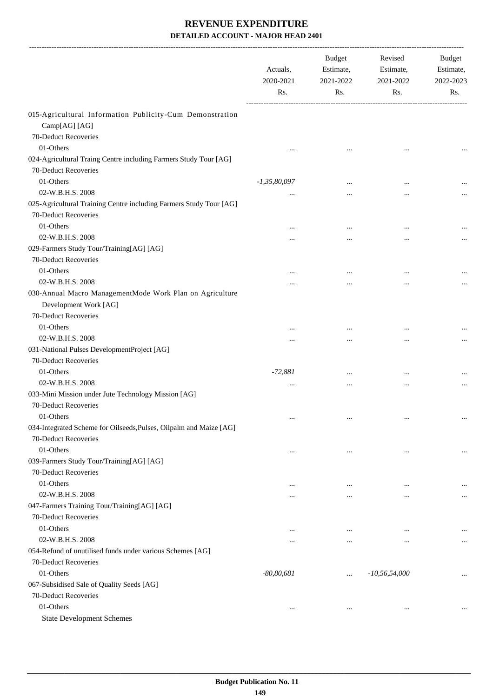|                                                                                            | Actuals,<br>2020-2021<br>Rs. | <b>Budget</b><br>Estimate,<br>2021-2022<br>Rs. | Revised<br>Estimate,<br>2021-2022<br>Rs. | Budget<br>Estimate,<br>2022-2023<br>Rs. |
|--------------------------------------------------------------------------------------------|------------------------------|------------------------------------------------|------------------------------------------|-----------------------------------------|
| 015-Agricultural Information Publicity-Cum Demonstration                                   |                              |                                                |                                          |                                         |
| Camp[AG] [AG]                                                                              |                              |                                                |                                          |                                         |
| 70-Deduct Recoveries                                                                       |                              |                                                |                                          |                                         |
| 01-Others                                                                                  |                              |                                                |                                          |                                         |
| 024-Agricultural Traing Centre including Farmers Study Tour [AG]                           |                              |                                                |                                          |                                         |
| 70-Deduct Recoveries                                                                       |                              |                                                |                                          |                                         |
| 01-Others                                                                                  | $-1,35,80,097$               | $\ddotsc$                                      | $\ddotsc$                                |                                         |
| 02-W.B.H.S. 2008                                                                           |                              |                                                |                                          |                                         |
| 025-Agricultural Training Centre including Farmers Study Tour [AG]<br>70-Deduct Recoveries |                              |                                                |                                          |                                         |
| 01-Others                                                                                  |                              | $\ddotsc$                                      | $\ddotsc$                                |                                         |
| 02-W.B.H.S. 2008                                                                           |                              | $\cdots$                                       |                                          |                                         |
| 029-Farmers Study Tour/Training[AG] [AG]                                                   |                              |                                                |                                          |                                         |
| 70-Deduct Recoveries                                                                       |                              |                                                |                                          |                                         |
| 01-Others                                                                                  |                              | $\cdots$                                       |                                          |                                         |
| 02-W.B.H.S. 2008                                                                           |                              |                                                |                                          |                                         |
| 030-Annual Macro ManagementMode Work Plan on Agriculture<br>Development Work [AG]          |                              |                                                |                                          |                                         |
| 70-Deduct Recoveries                                                                       |                              |                                                |                                          |                                         |
| 01-Others                                                                                  |                              | $\ddotsc$                                      |                                          |                                         |
| 02-W.B.H.S. 2008                                                                           | $\cdots$                     | $\cdots$                                       | $\ddotsc$                                |                                         |
| 031-National Pulses DevelopmentProject [AG]                                                |                              |                                                |                                          |                                         |
| 70-Deduct Recoveries                                                                       |                              |                                                |                                          |                                         |
| 01-Others                                                                                  | $-72,881$                    | $\ddotsc$                                      |                                          |                                         |
| 02-W.B.H.S. 2008                                                                           | $\ddotsc$                    | $\ddotsc$                                      | $\ddotsc$                                |                                         |
| 033-Mini Mission under Jute Technology Mission [AG]                                        |                              |                                                |                                          |                                         |
| 70-Deduct Recoveries                                                                       |                              |                                                |                                          |                                         |
| 01-Others                                                                                  | $\cdots$                     | $\ldots$                                       | $\cdots$                                 | $\cdots$                                |
| 034-Integrated Scheme for Oilseeds, Pulses, Oilpalm and Maize [AG]                         |                              |                                                |                                          |                                         |
| 70-Deduct Recoveries                                                                       |                              |                                                |                                          |                                         |
| 01-Others                                                                                  | $\ddotsc$                    | $\ddotsc$                                      | $\cdots$                                 | $\cdots$                                |
| 039-Farmers Study Tour/Training[AG] [AG]                                                   |                              |                                                |                                          |                                         |
| 70-Deduct Recoveries                                                                       |                              |                                                |                                          |                                         |
| 01-Others                                                                                  | $\ddotsc$                    | $\ddotsc$                                      | $\ddotsc$                                | $\cdots$                                |
| 02-W.B.H.S. 2008                                                                           |                              | $\ddotsc$                                      | $\ddotsc$                                | $\cdots$                                |
| 047-Farmers Training Tour/Training[AG] [AG]                                                |                              |                                                |                                          |                                         |
| 70-Deduct Recoveries                                                                       |                              |                                                |                                          |                                         |
| 01-Others                                                                                  | $\cdots$                     | $\cdots$                                       |                                          |                                         |
| 02-W.B.H.S. 2008                                                                           | $\cdots$                     | $\cdots$                                       | $\cdots$                                 | $\cdots$                                |
| 054-Refund of unutilised funds under various Schemes [AG]                                  |                              |                                                |                                          |                                         |
| 70-Deduct Recoveries                                                                       |                              |                                                |                                          |                                         |
| 01-Others                                                                                  | $-80, 80, 681$               | $\cdots$                                       | $-10, 56, 54, 000$                       | $\cdots$                                |
| 067-Subsidised Sale of Quality Seeds [AG]                                                  |                              |                                                |                                          |                                         |
| 70-Deduct Recoveries                                                                       |                              |                                                |                                          |                                         |
| 01-Others                                                                                  | $\cdots$                     | $\cdots$                                       | $\cdots$                                 |                                         |
| <b>State Development Schemes</b>                                                           |                              |                                                |                                          |                                         |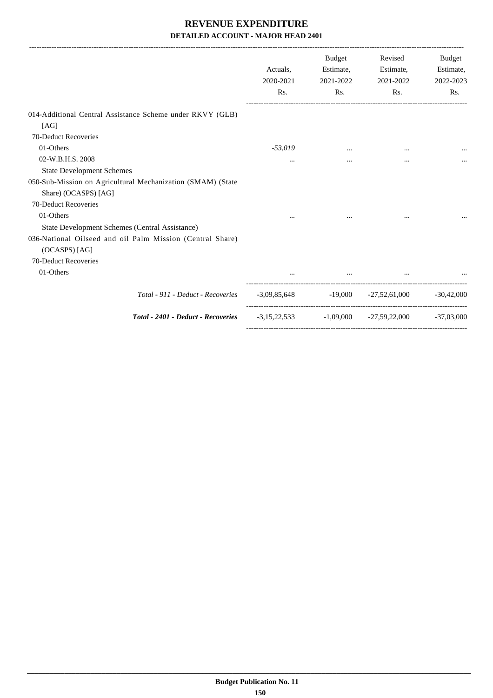|                                                                            | Actuals.<br>2020-2021<br>Rs. | <b>Budget</b><br>Estimate,<br>2021-2022<br>Rs. | Revised<br>Estimate,<br>2021-2022<br>Rs.              | <b>Budget</b><br>Estimate,<br>2022-2023<br>Rs. |
|----------------------------------------------------------------------------|------------------------------|------------------------------------------------|-------------------------------------------------------|------------------------------------------------|
| 014-Additional Central Assistance Scheme under RKVY (GLB)                  |                              |                                                |                                                       |                                                |
| [AG]                                                                       |                              |                                                |                                                       |                                                |
| 70-Deduct Recoveries                                                       |                              |                                                |                                                       |                                                |
| 01-Others                                                                  | $-53,019$                    |                                                | $\cdots$                                              |                                                |
| 02-W.B.H.S. 2008                                                           | $\cdots$                     | $\cdots$                                       | $\cdots$                                              |                                                |
| <b>State Development Schemes</b>                                           |                              |                                                |                                                       |                                                |
| 050-Sub-Mission on Agricultural Mechanization (SMAM) (State                |                              |                                                |                                                       |                                                |
| Share) (OCASPS) [AG]                                                       |                              |                                                |                                                       |                                                |
| 70-Deduct Recoveries                                                       |                              |                                                |                                                       |                                                |
| 01-Others                                                                  |                              |                                                |                                                       |                                                |
| State Development Schemes (Central Assistance)                             |                              |                                                |                                                       |                                                |
| 036-National Oilseed and oil Palm Mission (Central Share)<br>(OCASPS) [AG] |                              |                                                |                                                       |                                                |
| 70-Deduct Recoveries                                                       |                              |                                                |                                                       |                                                |
| 01-Others                                                                  |                              |                                                |                                                       |                                                |
| Total - 911 - Deduct - Recoveries                                          |                              |                                                | $-3,09,85,648$ $-19,000$ $-27,52,61,000$ $-30,42,000$ |                                                |
| Total - 2401 - Deduct - Recoveries                                         | $-3,15,22,533$               |                                                | $-1,09,000$ $-27,59,22,000$ $-37,03,000$              |                                                |
|                                                                            |                              |                                                |                                                       |                                                |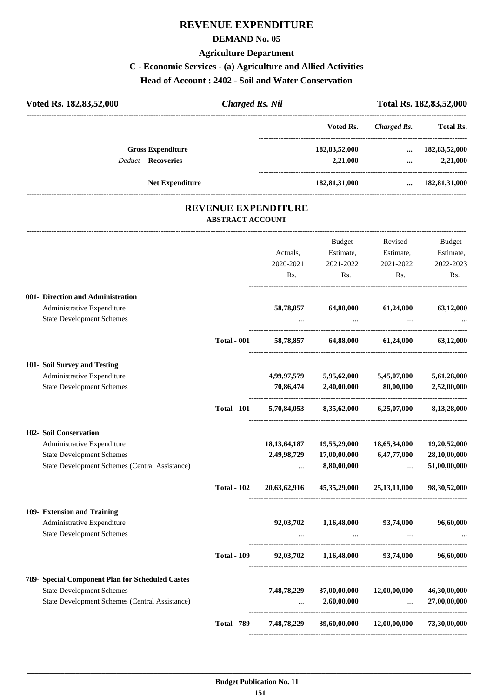#### **REVENUE EXPENDITURE**

#### **DEMAND No. 05**

#### **Agriculture Department**

#### **C - Economic Services - (a) Agriculture and Allied Activities**

**Head of Account : 2402 - Soil and Water Conservation**

| Voted Rs. 182,83,52,000           | <b>Charged Rs. Nil</b>                                |           |                  |             | Total Rs. 182, 83, 52, 000 |
|-----------------------------------|-------------------------------------------------------|-----------|------------------|-------------|----------------------------|
|                                   |                                                       |           | Voted Rs.        | Charged Rs. | <b>Total Rs.</b>           |
| <b>Gross Expenditure</b>          |                                                       |           | 182, 83, 52, 000 | $\cdots$    | 182, 83, 52, 000           |
| <b>Deduct - Recoveries</b>        |                                                       |           | $-2,21,000$      | $\cdots$    | $-2,21,000$                |
| <b>Net Expenditure</b>            |                                                       |           | 182,81,31,000    |             | 182,81,31,000              |
|                                   | <b>REVENUE EXPENDITURE</b><br><b>ABSTRACT ACCOUNT</b> |           |                  |             |                            |
|                                   |                                                       |           | Budget           | Revised     | Budget                     |
|                                   |                                                       | Actuals,  | Estimate,        | Estimate,   | Estimate,                  |
|                                   |                                                       | 2020-2021 | 2021-2022        | 2021-2022   | 2022-2023                  |
|                                   |                                                       | Rs.       | Rs.              | Rs.         | Rs.                        |
| 001- Direction and Administration |                                                       |           |                  |             |                            |
| Administrative Expenditure        |                                                       | 58,78,857 | 64,88,000        | 61,24,000   | 63,12,000                  |
| <b>State Development Schemes</b>  |                                                       | $\cdots$  | $\cdots$         | $\cdots$    | $\cdots$                   |

----------------------------------------------------------------------------------------

----------------------------------------------------------------------------------------

----------------------------------------------------------------------------------------

**Total - 789 7,48,78,229 39,60,00,000 12,00,00,000 73,30,00,000**

|                                                  | <b>Total - 001</b> | 58,78,857       | 64,88,000    | 61,24,000    | 63,12,000       |
|--------------------------------------------------|--------------------|-----------------|--------------|--------------|-----------------|
| 101- Soil Survey and Testing                     |                    |                 |              |              |                 |
| Administrative Expenditure                       |                    | 4,99,97,579     | 5,95,62,000  | 5,45,07,000  | 5,61,28,000     |
| <b>State Development Schemes</b>                 |                    | 70,86,474       | 2,40,00,000  | 80,00,000    | 2,52,00,000     |
|                                                  | <b>Total - 101</b> | 5,70,84,053     | 8,35,62,000  | 6,25,07,000  | 8,13,28,000     |
| <b>102- Soil Conservation</b>                    |                    |                 |              |              |                 |
| Administrative Expenditure                       |                    | 18, 13, 64, 187 | 19,55,29,000 | 18,65,34,000 | 19,20,52,000    |
| <b>State Development Schemes</b>                 |                    | 2,49,98,729     | 17,00,00,000 | 6,47,77,000  | 28,10,00,000    |
| State Development Schemes (Central Assistance)   |                    | $\cdots$        | 8,80,00,000  |              | 51,00,00,000    |
|                                                  | <b>Total - 102</b> | 20,63,62,916    | 45,35,29,000 | 25,13,11,000 | 98, 30, 52, 000 |
| 109- Extension and Training                      |                    |                 |              |              |                 |
| Administrative Expenditure                       |                    | 92,03,702       | 1,16,48,000  | 93,74,000    | 96,60,000       |
| <b>State Development Schemes</b>                 |                    | $\cdots$        |              |              |                 |
|                                                  | <b>Total - 109</b> | 92,03,702       | 1,16,48,000  | 93,74,000    | 96,60,000       |
| 789- Special Component Plan for Scheduled Castes |                    |                 |              |              |                 |
| <b>State Development Schemes</b>                 |                    | 7,48,78,229     | 37,00,00,000 | 12.00.00.000 | 46,30,00,000    |

State Development Schemes (Central Assistance) ... **2,60,00,000** ... **27,00,00,000** ... **27,00,000**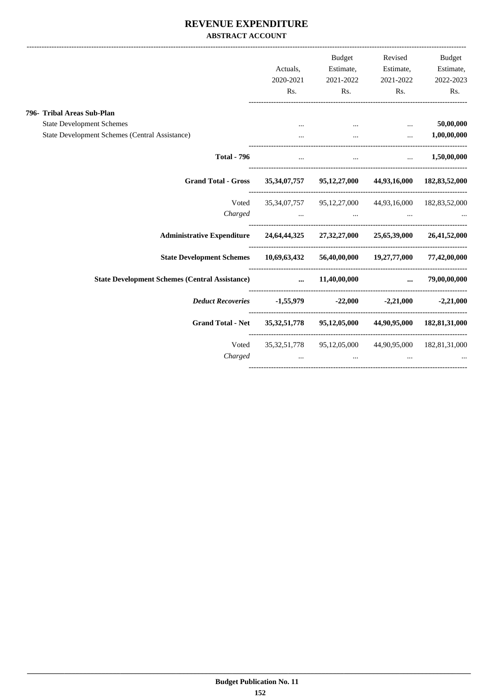#### **REVENUE EXPENDITURE ABSTRACT ACCOUNT**

|                                                                                            | Actuals,<br>2020-2021                                                 | <b>Budget</b><br>2021-2022                                                                                          | Estimate, Estimate, Estimate,<br>2021-2022                      | Revised Budget<br>2022-2023 |
|--------------------------------------------------------------------------------------------|-----------------------------------------------------------------------|---------------------------------------------------------------------------------------------------------------------|-----------------------------------------------------------------|-----------------------------|
|                                                                                            | Rs.                                                                   |                                                                                                                     | Rs. Rs.                                                         | Rs.                         |
| 796- Tribal Areas Sub-Plan                                                                 |                                                                       |                                                                                                                     |                                                                 |                             |
| <b>State Development Schemes</b>                                                           |                                                                       | and the contract of the contract of the contract of the contract of the contract of the contract of the contract of |                                                                 | 50,00,000                   |
| State Development Schemes (Central Assistance)                                             |                                                                       |                                                                                                                     | $\dots$ $1,00,00,000$                                           |                             |
| <b>Total - 796</b>                                                                         | $\cdots$                                                              |                                                                                                                     | $\mathbf{r}$ and $\mathbf{r}$ are the set of $\mathbf{r}$       | $\dots$ 1,50,00,000         |
| Grand Total - Gross 35,34,07,757 95,12,27,000 44,93,16,000 182,83,52,000                   |                                                                       |                                                                                                                     |                                                                 |                             |
| Voted                                                                                      |                                                                       | 35,34,07,757 95,12,27,000 44,93,16,000 182,83,52,000                                                                |                                                                 |                             |
| Charged                                                                                    |                                                                       | the contract of the contract of the contract of the contract of the contract of the contract of the                 |                                                                 |                             |
| Administrative Expenditure 24,64,44,325 27,32,27,000 25,65,39,000 26,41,52,000             |                                                                       |                                                                                                                     |                                                                 |                             |
| State Development Schemes 10,69,63,432 56,40,00,000 19,27,77,000 77,42,00,000              |                                                                       |                                                                                                                     |                                                                 |                             |
| State Development Schemes (Central Assistance) $\ldots$ 11,40,00,000 $\ldots$ 79,00,00,000 |                                                                       |                                                                                                                     |                                                                 |                             |
|                                                                                            | Deduct Recoveries 1,55,979 -22,000 -2,21,000 -2,21,000                |                                                                                                                     |                                                                 |                             |
| <b>Grand Total - Net</b>                                                                   |                                                                       | 35, 32, 51, 778 95, 12, 05, 000 44, 90, 95, 000 182, 81, 31, 000                                                    |                                                                 |                             |
|                                                                                            | Voted 35,32,51,778 95,12,05,000 44,90,95,000 182,81,31,000<br>Charged |                                                                                                                     | $\mathbf{r}$ and $\mathbf{r}$ and $\mathbf{r}$ and $\mathbf{r}$ |                             |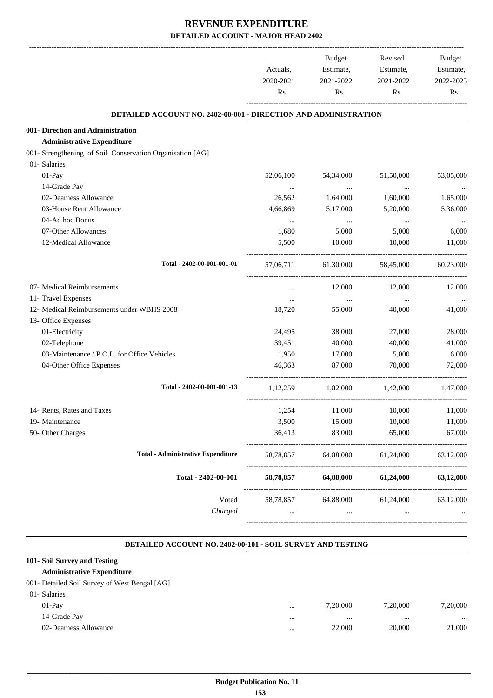|                                                                 | Actuals,<br>2020-2021 | Budget<br>Estimate,<br>2021-2022 | Revised<br>Estimate,<br>2021-2022 | Budget<br>Estimate,<br>2022-2023 |
|-----------------------------------------------------------------|-----------------------|----------------------------------|-----------------------------------|----------------------------------|
|                                                                 | Rs.                   | Rs.                              | Rs.                               | Rs.                              |
| DETAILED ACCOUNT NO. 2402-00-001 - DIRECTION AND ADMINISTRATION |                       |                                  |                                   |                                  |
| 001- Direction and Administration                               |                       |                                  |                                   |                                  |
| <b>Administrative Expenditure</b>                               |                       |                                  |                                   |                                  |
| 001- Strengthening of Soil Conservation Organisation [AG]       |                       |                                  |                                   |                                  |
| 01- Salaries                                                    |                       |                                  |                                   |                                  |
| 01-Pay                                                          | 52,06,100             | 54,34,000                        | 51,50,000                         | 53,05,000                        |
| 14-Grade Pay                                                    | $\cdots$              | $\cdots$                         | $\ldots$                          |                                  |
| 02-Dearness Allowance                                           | 26,562                | 1,64,000                         | 1,60,000                          | 1,65,000                         |
| 03-House Rent Allowance<br>04-Ad hoc Bonus                      | 4,66,869              | 5,17,000                         | 5,20,000                          | 5,36,000                         |
| 07-Other Allowances                                             | $\cdots$<br>1,680     | $\ldots$<br>5,000                | $\cdots$<br>5,000                 | 6,000                            |
| 12-Medical Allowance                                            | 5,500                 | 10,000                           | 10,000                            | 11,000                           |
|                                                                 |                       |                                  |                                   |                                  |
| Total - 2402-00-001-001-01                                      | 57,06,711             | 61,30,000                        | 58,45,000                         | 60,23,000                        |
| 07- Medical Reimbursements                                      | $\cdots$              | 12,000                           | 12,000                            | 12,000                           |
| 11- Travel Expenses                                             | $\cdots$              | $\ldots$                         | $\cdots$                          |                                  |
| 12- Medical Reimbursements under WBHS 2008                      | 18,720                | 55,000                           | 40,000                            | 41,000                           |
| 13- Office Expenses                                             |                       |                                  |                                   |                                  |
| 01-Electricity                                                  | 24,495                | 38,000                           | 27,000                            | 28,000                           |
| 02-Telephone                                                    | 39,451                | 40,000                           | 40,000                            | 41,000                           |
| 03-Maintenance / P.O.L. for Office Vehicles                     | 1,950                 | 17,000                           | 5,000                             | 6,000                            |
| 04-Other Office Expenses                                        | 46.363                | 87,000                           | 70,000                            | 72,000                           |
| Total - 2402-00-001-001-13                                      | 1,12,259              | 1,82,000                         | 1,42,000                          | 1,47,000                         |
| 14- Rents, Rates and Taxes                                      | 1,254                 | 11,000                           | 10,000                            | 11,000                           |
| 19- Maintenance                                                 | 3,500                 | 15,000                           | 10,000                            | 11,000                           |
| 50- Other Charges                                               | 36,413                | 83,000                           | 65,000                            | 67,000                           |
| <b>Total - Administrative Expenditure</b>                       | 58,78,857             | 64,88,000                        | 61,24,000                         | 63,12,000                        |
| Total - 2402-00-001                                             | 58,78,857             | 64,88,000                        | 61,24,000                         | 63,12,000                        |
| Voted                                                           | 58,78,857             | 64,88,000                        | 61,24,000                         | 63,12,000                        |
| Charged                                                         |                       |                                  |                                   |                                  |

#### **DETAILED ACCOUNT NO. 2402-00-101 - SOIL SURVEY AND TESTING .**

.

| 101- Soil Survey and Testing                  |          |          |          |          |
|-----------------------------------------------|----------|----------|----------|----------|
| <b>Administrative Expenditure</b>             |          |          |          |          |
| 001- Detailed Soil Survey of West Bengal [AG] |          |          |          |          |
| 01- Salaries                                  |          |          |          |          |
| $01-Pav$                                      | $\cdots$ | 7,20,000 | 7.20.000 | 7.20.000 |
| 14-Grade Pay                                  |          |          |          |          |
| 02-Dearness Allowance                         |          | 22,000   | 20,000   | 21,000   |
|                                               |          |          |          |          |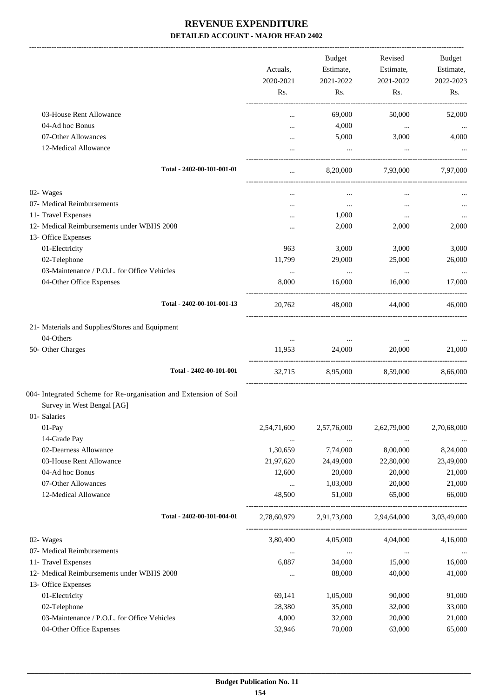|                                                                  |             | Budget      | Revised     | Budget             |
|------------------------------------------------------------------|-------------|-------------|-------------|--------------------|
|                                                                  | Actuals,    | Estimate,   | Estimate,   | Estimate,          |
|                                                                  | 2020-2021   | 2021-2022   | 2021-2022   | 2022-2023          |
|                                                                  | Rs.         | Rs.         | Rs.         | Rs.                |
| 03-House Rent Allowance                                          | $\cdots$    | 69,000      | 50,000      | 52,000             |
| 04-Ad hoc Bonus                                                  |             | 4,000       | $\cdots$    | $\cdots$           |
| 07-Other Allowances                                              |             | 5,000       | 3,000       | 4,000              |
| 12-Medical Allowance                                             |             | $\cdots$    |             |                    |
| Total - 2402-00-101-001-01                                       |             | 8,20,000    | 7,93,000    | 7,97,000           |
| 02- Wages                                                        | $\cdots$    | $\cdots$    | $\cdots$    |                    |
| 07- Medical Reimbursements                                       | $\cdots$    | $\cdots$    |             |                    |
| 11- Travel Expenses                                              |             | 1,000       | $\cdots$    |                    |
| 12- Medical Reimbursements under WBHS 2008                       | $\cdots$    | 2,000       | 2,000       | 2,000              |
| 13- Office Expenses                                              |             |             |             |                    |
| 01-Electricity                                                   | 963         | 3,000       | 3,000       | 3,000              |
| 02-Telephone                                                     | 11,799      | 29,000      | 25,000      | 26,000             |
| 03-Maintenance / P.O.L. for Office Vehicles                      | $\cdots$    | $\cdots$    | $\ddots$    |                    |
| 04-Other Office Expenses                                         | 8,000       | 16,000      | 16,000      | $\ldots$<br>17,000 |
| Total - 2402-00-101-001-13                                       | 20,762      | 48,000      | 44,000      | 46,000             |
| 21- Materials and Supplies/Stores and Equipment                  |             |             |             |                    |
| 04-Others                                                        | $\cdots$    | $\cdots$    | $\cdots$    |                    |
| 50- Other Charges                                                | 11,953      | 24,000      | 20,000      | 21,000             |
| Total - 2402-00-101-001                                          | 32,715      | 8,95,000    | 8,59,000    | 8,66,000           |
| 004- Integrated Scheme for Re-organisation and Extension of Soil |             |             |             |                    |
| Survey in West Bengal [AG]                                       |             |             |             |                    |
| 01- Salaries                                                     |             |             |             |                    |
| 01-Pay                                                           | 2,54,71,600 | 2,57,76,000 | 2,62,79,000 | 2,70,68,000        |
| 14-Grade Pay                                                     | $\cdots$    | $\cdots$    | $\ldots$    |                    |
| 02-Dearness Allowance                                            | 1,30,659    | 7,74,000    | 8,00,000    | 8,24,000           |
| 03-House Rent Allowance                                          | 21,97,620   | 24,49,000   | 22,80,000   | 23,49,000          |
| 04-Ad hoc Bonus                                                  | 12,600      | 20,000      | 20,000      | 21,000             |
| 07-Other Allowances                                              | $\cdots$    | 1,03,000    | 20,000      | 21,000             |
| 12-Medical Allowance                                             | 48,500      | 51,000      | 65,000      | 66,000             |
| Total - 2402-00-101-004-01                                       | 2,78,60,979 | 2,91,73,000 | 2,94,64,000 | 3,03,49,000        |
| 02- Wages                                                        | 3,80,400    | 4,05,000    | 4,04,000    | 4,16,000           |
| 07- Medical Reimbursements                                       | $\cdots$    | $\ldots$    | $\ldots$    | $\cdots$           |
| 11- Travel Expenses                                              | 6,887       | 34,000      | 15,000      | 16,000             |
| 12- Medical Reimbursements under WBHS 2008                       | $\cdots$    | 88,000      | 40,000      | 41,000             |
| 13- Office Expenses                                              |             |             |             |                    |
| 01-Electricity                                                   | 69,141      | 1,05,000    | 90,000      | 91,000             |
| 02-Telephone                                                     | 28,380      | 35,000      | 32,000      | 33,000             |
| 03-Maintenance / P.O.L. for Office Vehicles                      | 4,000       | 32,000      | 20,000      | 21,000             |
| 04-Other Office Expenses                                         | 32,946      | 70,000      | 63,000      | 65,000             |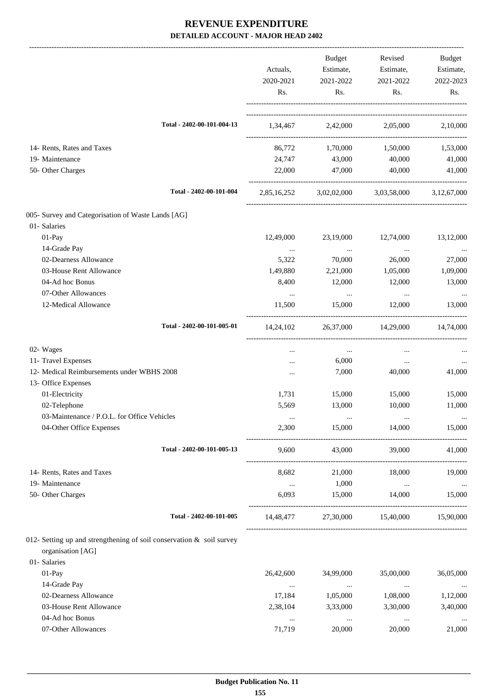|                                                                                           | Actuals,<br>2020-2021<br>Rs. | <b>Budget</b><br>Estimate,<br>2021-2022<br>Rs. | Revised<br>Estimate,<br>2021-2022<br>Rs.        | Budget<br>Estimate,<br>2022-2023<br>Rs. |
|-------------------------------------------------------------------------------------------|------------------------------|------------------------------------------------|-------------------------------------------------|-----------------------------------------|
| Total - 2402-00-101-004-13                                                                |                              | 1,34,467 2,42,000 2,05,000                     |                                                 | 2,10,000                                |
| 14- Rents, Rates and Taxes                                                                |                              | 86,772 1,70,000                                | 1,50,000                                        | 1,53,000                                |
| 19- Maintenance                                                                           | 24,747                       | 43,000                                         | 40,000                                          | 41,000                                  |
| 50- Other Charges                                                                         | 22,000                       | 47,000                                         | 40,000                                          | 41,000                                  |
| Total - 2402-00-101-004                                                                   |                              |                                                | 2,85,16,252 3,02,02,000 3,03,58,000 3,12,67,000 |                                         |
| 005- Survey and Categorisation of Waste Lands [AG]                                        |                              |                                                |                                                 |                                         |
| 01- Salaries                                                                              |                              |                                                |                                                 |                                         |
| 01-Pay                                                                                    | 12,49,000                    | 23,19,000                                      | 12,74,000                                       | 13,12,000                               |
| 14-Grade Pay                                                                              | $\cdots$                     | $\ldots$                                       | $\cdots$                                        |                                         |
| 02-Dearness Allowance                                                                     | 5,322                        | 70,000                                         | 26,000                                          | 27,000                                  |
| 03-House Rent Allowance                                                                   | 1,49,880                     | 2,21,000                                       | 1,05,000                                        | 1,09,000                                |
| 04-Ad hoc Bonus                                                                           | 8,400                        | 12,000                                         | 12,000                                          | 13,000                                  |
| 07-Other Allowances                                                                       | $\cdots$                     | $\cdots$                                       | $\cdots$                                        | $\cdots$                                |
| 12-Medical Allowance                                                                      | 11,500                       | 15,000                                         | 12,000                                          | 13,000                                  |
| Total - 2402-00-101-005-01                                                                | 14,24,102                    |                                                | 26,37,000 14,29,000 14,74,000                   |                                         |
| 02- Wages                                                                                 | $\cdots$                     | $\cdots$                                       | $\cdots$                                        |                                         |
| 11- Travel Expenses                                                                       | $\cdots$                     | 6,000                                          | $\ldots$                                        | $\cdots$                                |
| 12- Medical Reimbursements under WBHS 2008                                                | $\cdots$                     | 7,000                                          | 40,000                                          | 41,000                                  |
| 13- Office Expenses                                                                       |                              |                                                |                                                 |                                         |
| 01-Electricity                                                                            | 1,731                        | 15,000                                         | 15,000                                          | 15,000                                  |
| 02-Telephone                                                                              | 5,569                        | 13,000                                         | 10,000                                          | 11,000                                  |
| 03-Maintenance / P.O.L. for Office Vehicles                                               |                              |                                                |                                                 | $\cdots$                                |
| 04-Other Office Expenses                                                                  | 2,300                        | 15,000                                         | 14,000                                          | 15,000                                  |
| Total - 2402-00-101-005-13                                                                | 9,600                        | 43,000                                         | 39,000                                          | 41,000                                  |
| 14- Rents, Rates and Taxes                                                                | 8,682                        | 21,000                                         | 18,000                                          | 19,000                                  |
| 19- Maintenance                                                                           | $\cdots$                     | 1,000                                          | $\ldots$                                        | $\ldots$                                |
| 50- Other Charges                                                                         | 6,093                        | 15,000                                         | 14,000                                          | 15,000                                  |
| Total - 2402-00-101-005                                                                   | 14,48,477                    | 27,30,000                                      | 15,40,000                                       | 15,90,000                               |
| 012- Setting up and strengthening of soil conservation & soil survey<br>organisation [AG] |                              |                                                |                                                 |                                         |
| 01- Salaries                                                                              |                              |                                                |                                                 |                                         |
| $01-Pay$                                                                                  | 26,42,600                    | 34,99,000                                      | 35,00,000                                       | 36,05,000                               |
| 14-Grade Pay                                                                              |                              |                                                |                                                 |                                         |
| 02-Dearness Allowance                                                                     | $\cdots$<br>17,184           | $\sim 100$ and $\sim 100$<br>1,05,000          | $\ldots$<br>1,08,000                            | $\sim$ $\sim$<br>1,12,000               |
| 03-House Rent Allowance                                                                   | 2,38,104                     |                                                |                                                 |                                         |
| 04-Ad hoc Bonus                                                                           |                              | 3,33,000                                       | 3,30,000                                        | 3,40,000                                |
|                                                                                           | $\ldots$                     | $\ldots$                                       | $\ldots$                                        | $\ldots$                                |
| 07-Other Allowances                                                                       | 71,719                       | 20,000                                         | 20,000                                          | 21,000                                  |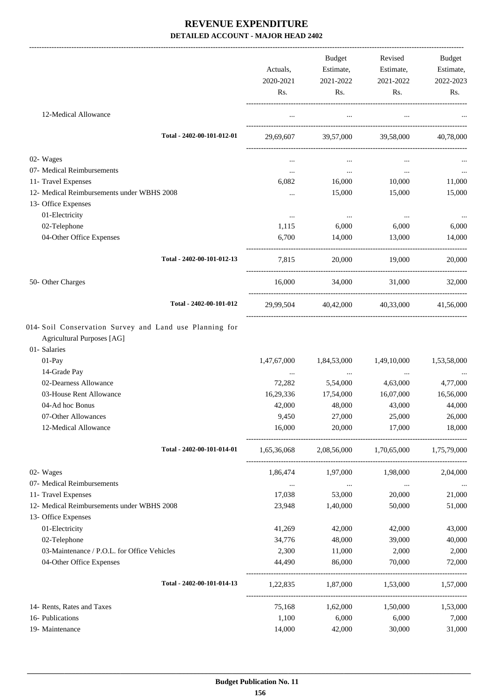| 12-Medical Allowance<br>$\ldots$<br>Total - 2402-00-101-012-01<br>39,57,000 39,58,000<br>29,69,607<br>02- Wages<br>07- Medical Reimbursements<br>$\mathbf{z}$ and $\mathbf{z}$<br>$\cdots$<br>$\cdots$<br>11- Travel Expenses<br>6,082<br>16,000<br>10,000<br>12- Medical Reimbursements under WBHS 2008<br>15,000<br>15,000<br>$\cdots$<br>13- Office Expenses<br>01-Electricity<br>$\ldots$<br>$\sim$ $\sim$<br>$\ldots$<br>02-Telephone<br>1,115<br>6,000<br>6,000<br>6,000<br>04-Other Office Expenses<br>6,700<br>14,000<br>14,000<br>13,000<br>Total - 2402-00-101-012-13<br>20,000 19,000<br>7,815<br>34,000 31,000 32,000<br>50- Other Charges<br>16,000<br>Total - 2402-00-101-012<br>29,99,504 40,42,000 40,33,000 41,56,000<br><b>Agricultural Purposes</b> [AG]<br>01- Salaries<br>01-Pay<br>1,47,67,000<br>1,84,53,000<br>1,49,10,000<br>14-Grade Pay<br>$\ldots$<br>$\cdots$<br>$\cdots$<br>02-Dearness Allowance<br>72,282<br>5,54,000<br>4,63,000<br>03-House Rent Allowance<br>16,29,336<br>17,54,000<br>16,07,000<br>04-Ad hoc Bonus<br>42,000<br>48,000<br>43,000<br>9,450<br>27,000<br>25,000<br>07-Other Allowances<br>16,000<br>20,000<br>17,000<br>12-Medical Allowance<br>Total - 2402-00-101-014-01<br>1,65,36,068 2,08,56,000 1,70,65,000 1,75,79,000<br>02- Wages<br>1,86,474<br>1,97,000<br>1,98,000<br>07- Medical Reimbursements<br>$\cdots$<br>$\cdots$<br>$\ldots$<br>11- Travel Expenses<br>17,038<br>53,000<br>20,000<br>12- Medical Reimbursements under WBHS 2008<br>23,948<br>1,40,000<br>50,000<br>13- Office Expenses<br>01-Electricity<br>41,269<br>42,000<br>42,000<br>02-Telephone<br>34,776<br>48,000<br>39,000<br>03-Maintenance / P.O.L. for Office Vehicles<br>2,300<br>11,000<br>2,000<br>04-Other Office Expenses<br>44,490<br>86,000<br>70,000<br>Total - 2402-00-101-014-13<br>1,87,000<br>1,22,835<br>1,53,000<br>14- Rents, Rates and Taxes<br>75,168<br>1,62,000<br>1,50,000<br>16- Publications<br>1,100<br>6,000<br>6,000 |                 | Actuals,<br>2020-2021<br>Rs. | <b>Budget</b><br>Estimate,<br>2021-2022<br>Rs. | Revised<br>Estimate,<br>2021-2022<br>Rs. | Budget<br>Estimate,<br>2022-2023<br>Rs. |
|----------------------------------------------------------------------------------------------------------------------------------------------------------------------------------------------------------------------------------------------------------------------------------------------------------------------------------------------------------------------------------------------------------------------------------------------------------------------------------------------------------------------------------------------------------------------------------------------------------------------------------------------------------------------------------------------------------------------------------------------------------------------------------------------------------------------------------------------------------------------------------------------------------------------------------------------------------------------------------------------------------------------------------------------------------------------------------------------------------------------------------------------------------------------------------------------------------------------------------------------------------------------------------------------------------------------------------------------------------------------------------------------------------------------------------------------------------------------------------------------------------------------------------------------------------------------------------------------------------------------------------------------------------------------------------------------------------------------------------------------------------------------------------------------------------------------------------------------------------------------------------------------------------------------------------------------------------------------------------|-----------------|------------------------------|------------------------------------------------|------------------------------------------|-----------------------------------------|
|                                                                                                                                                                                                                                                                                                                                                                                                                                                                                                                                                                                                                                                                                                                                                                                                                                                                                                                                                                                                                                                                                                                                                                                                                                                                                                                                                                                                                                                                                                                                                                                                                                                                                                                                                                                                                                                                                                                                                                                  |                 |                              |                                                |                                          |                                         |
|                                                                                                                                                                                                                                                                                                                                                                                                                                                                                                                                                                                                                                                                                                                                                                                                                                                                                                                                                                                                                                                                                                                                                                                                                                                                                                                                                                                                                                                                                                                                                                                                                                                                                                                                                                                                                                                                                                                                                                                  |                 |                              |                                                |                                          | 40,78,000                               |
|                                                                                                                                                                                                                                                                                                                                                                                                                                                                                                                                                                                                                                                                                                                                                                                                                                                                                                                                                                                                                                                                                                                                                                                                                                                                                                                                                                                                                                                                                                                                                                                                                                                                                                                                                                                                                                                                                                                                                                                  |                 |                              |                                                |                                          |                                         |
|                                                                                                                                                                                                                                                                                                                                                                                                                                                                                                                                                                                                                                                                                                                                                                                                                                                                                                                                                                                                                                                                                                                                                                                                                                                                                                                                                                                                                                                                                                                                                                                                                                                                                                                                                                                                                                                                                                                                                                                  |                 |                              |                                                |                                          | $\ldots$                                |
|                                                                                                                                                                                                                                                                                                                                                                                                                                                                                                                                                                                                                                                                                                                                                                                                                                                                                                                                                                                                                                                                                                                                                                                                                                                                                                                                                                                                                                                                                                                                                                                                                                                                                                                                                                                                                                                                                                                                                                                  |                 |                              |                                                |                                          | 11,000                                  |
|                                                                                                                                                                                                                                                                                                                                                                                                                                                                                                                                                                                                                                                                                                                                                                                                                                                                                                                                                                                                                                                                                                                                                                                                                                                                                                                                                                                                                                                                                                                                                                                                                                                                                                                                                                                                                                                                                                                                                                                  |                 |                              |                                                |                                          | 15,000                                  |
|                                                                                                                                                                                                                                                                                                                                                                                                                                                                                                                                                                                                                                                                                                                                                                                                                                                                                                                                                                                                                                                                                                                                                                                                                                                                                                                                                                                                                                                                                                                                                                                                                                                                                                                                                                                                                                                                                                                                                                                  |                 |                              |                                                |                                          |                                         |
|                                                                                                                                                                                                                                                                                                                                                                                                                                                                                                                                                                                                                                                                                                                                                                                                                                                                                                                                                                                                                                                                                                                                                                                                                                                                                                                                                                                                                                                                                                                                                                                                                                                                                                                                                                                                                                                                                                                                                                                  |                 |                              |                                                |                                          |                                         |
|                                                                                                                                                                                                                                                                                                                                                                                                                                                                                                                                                                                                                                                                                                                                                                                                                                                                                                                                                                                                                                                                                                                                                                                                                                                                                                                                                                                                                                                                                                                                                                                                                                                                                                                                                                                                                                                                                                                                                                                  |                 |                              |                                                |                                          | $\cdots$                                |
|                                                                                                                                                                                                                                                                                                                                                                                                                                                                                                                                                                                                                                                                                                                                                                                                                                                                                                                                                                                                                                                                                                                                                                                                                                                                                                                                                                                                                                                                                                                                                                                                                                                                                                                                                                                                                                                                                                                                                                                  |                 |                              |                                                |                                          |                                         |
|                                                                                                                                                                                                                                                                                                                                                                                                                                                                                                                                                                                                                                                                                                                                                                                                                                                                                                                                                                                                                                                                                                                                                                                                                                                                                                                                                                                                                                                                                                                                                                                                                                                                                                                                                                                                                                                                                                                                                                                  |                 |                              |                                                |                                          |                                         |
|                                                                                                                                                                                                                                                                                                                                                                                                                                                                                                                                                                                                                                                                                                                                                                                                                                                                                                                                                                                                                                                                                                                                                                                                                                                                                                                                                                                                                                                                                                                                                                                                                                                                                                                                                                                                                                                                                                                                                                                  |                 |                              |                                                |                                          | 20,000                                  |
|                                                                                                                                                                                                                                                                                                                                                                                                                                                                                                                                                                                                                                                                                                                                                                                                                                                                                                                                                                                                                                                                                                                                                                                                                                                                                                                                                                                                                                                                                                                                                                                                                                                                                                                                                                                                                                                                                                                                                                                  |                 |                              |                                                |                                          |                                         |
| 014- Soil Conservation Survey and Land use Planning for                                                                                                                                                                                                                                                                                                                                                                                                                                                                                                                                                                                                                                                                                                                                                                                                                                                                                                                                                                                                                                                                                                                                                                                                                                                                                                                                                                                                                                                                                                                                                                                                                                                                                                                                                                                                                                                                                                                          |                 |                              |                                                |                                          |                                         |
|                                                                                                                                                                                                                                                                                                                                                                                                                                                                                                                                                                                                                                                                                                                                                                                                                                                                                                                                                                                                                                                                                                                                                                                                                                                                                                                                                                                                                                                                                                                                                                                                                                                                                                                                                                                                                                                                                                                                                                                  |                 |                              |                                                |                                          | 1,53,58,000                             |
|                                                                                                                                                                                                                                                                                                                                                                                                                                                                                                                                                                                                                                                                                                                                                                                                                                                                                                                                                                                                                                                                                                                                                                                                                                                                                                                                                                                                                                                                                                                                                                                                                                                                                                                                                                                                                                                                                                                                                                                  |                 |                              |                                                |                                          | $\cdots$                                |
|                                                                                                                                                                                                                                                                                                                                                                                                                                                                                                                                                                                                                                                                                                                                                                                                                                                                                                                                                                                                                                                                                                                                                                                                                                                                                                                                                                                                                                                                                                                                                                                                                                                                                                                                                                                                                                                                                                                                                                                  |                 |                              |                                                |                                          | 4,77,000                                |
|                                                                                                                                                                                                                                                                                                                                                                                                                                                                                                                                                                                                                                                                                                                                                                                                                                                                                                                                                                                                                                                                                                                                                                                                                                                                                                                                                                                                                                                                                                                                                                                                                                                                                                                                                                                                                                                                                                                                                                                  |                 |                              |                                                |                                          | 16,56,000                               |
|                                                                                                                                                                                                                                                                                                                                                                                                                                                                                                                                                                                                                                                                                                                                                                                                                                                                                                                                                                                                                                                                                                                                                                                                                                                                                                                                                                                                                                                                                                                                                                                                                                                                                                                                                                                                                                                                                                                                                                                  |                 |                              |                                                |                                          | 44,000                                  |
|                                                                                                                                                                                                                                                                                                                                                                                                                                                                                                                                                                                                                                                                                                                                                                                                                                                                                                                                                                                                                                                                                                                                                                                                                                                                                                                                                                                                                                                                                                                                                                                                                                                                                                                                                                                                                                                                                                                                                                                  |                 |                              |                                                |                                          | 26,000                                  |
|                                                                                                                                                                                                                                                                                                                                                                                                                                                                                                                                                                                                                                                                                                                                                                                                                                                                                                                                                                                                                                                                                                                                                                                                                                                                                                                                                                                                                                                                                                                                                                                                                                                                                                                                                                                                                                                                                                                                                                                  |                 |                              |                                                |                                          | 18,000                                  |
|                                                                                                                                                                                                                                                                                                                                                                                                                                                                                                                                                                                                                                                                                                                                                                                                                                                                                                                                                                                                                                                                                                                                                                                                                                                                                                                                                                                                                                                                                                                                                                                                                                                                                                                                                                                                                                                                                                                                                                                  |                 |                              |                                                |                                          |                                         |
|                                                                                                                                                                                                                                                                                                                                                                                                                                                                                                                                                                                                                                                                                                                                                                                                                                                                                                                                                                                                                                                                                                                                                                                                                                                                                                                                                                                                                                                                                                                                                                                                                                                                                                                                                                                                                                                                                                                                                                                  |                 |                              |                                                |                                          | 2,04,000                                |
|                                                                                                                                                                                                                                                                                                                                                                                                                                                                                                                                                                                                                                                                                                                                                                                                                                                                                                                                                                                                                                                                                                                                                                                                                                                                                                                                                                                                                                                                                                                                                                                                                                                                                                                                                                                                                                                                                                                                                                                  |                 |                              |                                                |                                          |                                         |
|                                                                                                                                                                                                                                                                                                                                                                                                                                                                                                                                                                                                                                                                                                                                                                                                                                                                                                                                                                                                                                                                                                                                                                                                                                                                                                                                                                                                                                                                                                                                                                                                                                                                                                                                                                                                                                                                                                                                                                                  |                 |                              |                                                |                                          | 21,000                                  |
|                                                                                                                                                                                                                                                                                                                                                                                                                                                                                                                                                                                                                                                                                                                                                                                                                                                                                                                                                                                                                                                                                                                                                                                                                                                                                                                                                                                                                                                                                                                                                                                                                                                                                                                                                                                                                                                                                                                                                                                  |                 |                              |                                                |                                          | 51,000                                  |
|                                                                                                                                                                                                                                                                                                                                                                                                                                                                                                                                                                                                                                                                                                                                                                                                                                                                                                                                                                                                                                                                                                                                                                                                                                                                                                                                                                                                                                                                                                                                                                                                                                                                                                                                                                                                                                                                                                                                                                                  |                 |                              |                                                |                                          |                                         |
|                                                                                                                                                                                                                                                                                                                                                                                                                                                                                                                                                                                                                                                                                                                                                                                                                                                                                                                                                                                                                                                                                                                                                                                                                                                                                                                                                                                                                                                                                                                                                                                                                                                                                                                                                                                                                                                                                                                                                                                  |                 |                              |                                                |                                          | 43,000                                  |
|                                                                                                                                                                                                                                                                                                                                                                                                                                                                                                                                                                                                                                                                                                                                                                                                                                                                                                                                                                                                                                                                                                                                                                                                                                                                                                                                                                                                                                                                                                                                                                                                                                                                                                                                                                                                                                                                                                                                                                                  |                 |                              |                                                |                                          | 40,000                                  |
|                                                                                                                                                                                                                                                                                                                                                                                                                                                                                                                                                                                                                                                                                                                                                                                                                                                                                                                                                                                                                                                                                                                                                                                                                                                                                                                                                                                                                                                                                                                                                                                                                                                                                                                                                                                                                                                                                                                                                                                  |                 |                              |                                                |                                          | 2,000                                   |
|                                                                                                                                                                                                                                                                                                                                                                                                                                                                                                                                                                                                                                                                                                                                                                                                                                                                                                                                                                                                                                                                                                                                                                                                                                                                                                                                                                                                                                                                                                                                                                                                                                                                                                                                                                                                                                                                                                                                                                                  |                 |                              |                                                |                                          | 72,000                                  |
|                                                                                                                                                                                                                                                                                                                                                                                                                                                                                                                                                                                                                                                                                                                                                                                                                                                                                                                                                                                                                                                                                                                                                                                                                                                                                                                                                                                                                                                                                                                                                                                                                                                                                                                                                                                                                                                                                                                                                                                  |                 |                              |                                                |                                          | 1,57,000                                |
|                                                                                                                                                                                                                                                                                                                                                                                                                                                                                                                                                                                                                                                                                                                                                                                                                                                                                                                                                                                                                                                                                                                                                                                                                                                                                                                                                                                                                                                                                                                                                                                                                                                                                                                                                                                                                                                                                                                                                                                  |                 |                              |                                                |                                          | 1,53,000                                |
|                                                                                                                                                                                                                                                                                                                                                                                                                                                                                                                                                                                                                                                                                                                                                                                                                                                                                                                                                                                                                                                                                                                                                                                                                                                                                                                                                                                                                                                                                                                                                                                                                                                                                                                                                                                                                                                                                                                                                                                  |                 |                              |                                                |                                          | 7,000                                   |
|                                                                                                                                                                                                                                                                                                                                                                                                                                                                                                                                                                                                                                                                                                                                                                                                                                                                                                                                                                                                                                                                                                                                                                                                                                                                                                                                                                                                                                                                                                                                                                                                                                                                                                                                                                                                                                                                                                                                                                                  | 19- Maintenance | 14,000                       | 42,000                                         | 30,000                                   | 31,000                                  |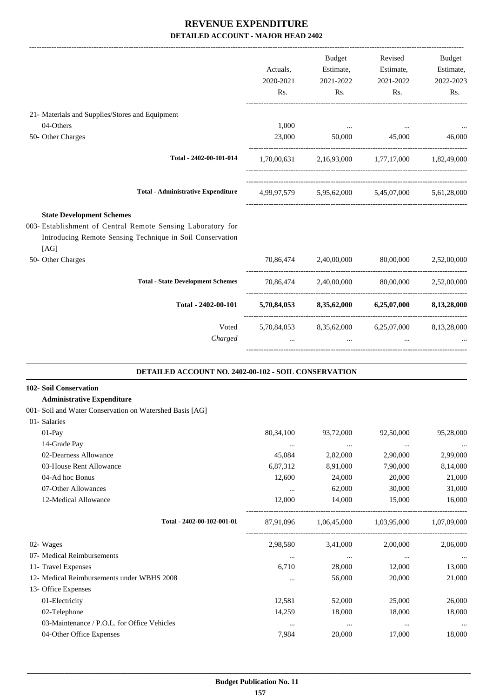|                                                                                                                                  |                                                       | <b>Budget</b>                                           | Revised                                             | Budget    |
|----------------------------------------------------------------------------------------------------------------------------------|-------------------------------------------------------|---------------------------------------------------------|-----------------------------------------------------|-----------|
|                                                                                                                                  | Actuals,                                              | Estimate,                                               | Estimate,                                           | Estimate, |
|                                                                                                                                  | 2020-2021                                             | 2021-2022                                               | 2021-2022                                           | 2022-2023 |
|                                                                                                                                  | Rs.                                                   | Rs.                                                     | Rs.                                                 | Rs.       |
| 21- Materials and Supplies/Stores and Equipment                                                                                  |                                                       |                                                         |                                                     |           |
| 04-Others                                                                                                                        | 1,000                                                 |                                                         | the contract of the contract of the contract of the | $\cdots$  |
| 50- Other Charges                                                                                                                |                                                       | 23,000 50,000 45,000                                    |                                                     | 46,000    |
| Total - 2402-00-101-014                                                                                                          |                                                       | $1,70,00,631$ $2,16,93,000$ $1,77,17,000$ $1,82,49,000$ |                                                     |           |
| <b>Total - Administrative Expenditure</b>                                                                                        |                                                       | 4,99,97,579 5,95,62,000 5,45,07,000 5,61,28,000         |                                                     |           |
| <b>State Development Schemes</b>                                                                                                 |                                                       |                                                         |                                                     |           |
| 003- Establishment of Central Remote Sensing Laboratory for<br>Introducing Remote Sensing Technique in Soil Conservation<br>[AG] |                                                       |                                                         |                                                     |           |
| 50- Other Charges                                                                                                                |                                                       | 70,86,474 2,40,00,000 80,00,000 2,52,00,000             |                                                     |           |
| <b>Total - State Development Schemes</b>                                                                                         |                                                       | 70,86,474 2,40,00,000 80,00,000 2,52,00,000             |                                                     |           |
| Total - 2402-00-101                                                                                                              |                                                       | 5,70,84,053 8,35,62,000 6,25,07,000 8,13,28,000         |                                                     |           |
|                                                                                                                                  | Voted 5,70,84,053 8,35,62,000 6,25,07,000 8,13,28,000 |                                                         |                                                     |           |
| Charged                                                                                                                          | $\ddots$                                              | $\cdots$                                                | $\ddots$                                            |           |
| DETAILED ACCOUNT NO. 2402-00-102 - SOIL CONSERVATION                                                                             |                                                       |                                                         |                                                     |           |

# **102- Soil Conservation**

#### **Administrative Expenditure**

#### 001- Soil and Water Conservation on Watershed Basis [AG]

| 01- Salaries                                |             |             |             |             |
|---------------------------------------------|-------------|-------------|-------------|-------------|
| $01-Pay$                                    | 80, 34, 100 | 93,72,000   | 92,50,000   | 95,28,000   |
| 14-Grade Pay                                | $\cdots$    | $\cdots$    | $\cdots$    |             |
| 02-Dearness Allowance                       | 45,084      | 2,82,000    | 2,90,000    | 2,99,000    |
| 03-House Rent Allowance                     | 6,87,312    | 8,91,000    | 7,90,000    | 8,14,000    |
| 04-Ad hoc Bonus                             | 12,600      | 24,000      | 20,000      | 21,000      |
| 07-Other Allowances                         | $\cdots$    | 62,000      | 30,000      | 31,000      |
| 12-Medical Allowance                        | 12,000      | 14,000      | 15,000      | 16,000      |
| Total - 2402-00-102-001-01                  | 87,91,096   | 1,06,45,000 | 1,03,95,000 | 1,07,09,000 |
| 02- Wages                                   | 2,98,580    | 3,41,000    | 2,00,000    | 2,06,000    |
| 07- Medical Reimbursements                  | $\cdots$    | $\cdots$    | $\cdots$    |             |
| 11- Travel Expenses                         | 6,710       | 28,000      | 12,000      | 13,000      |
| 12- Medical Reimbursements under WBHS 2008  | $\cdots$    | 56,000      | 20,000      | 21,000      |
| 13- Office Expenses                         |             |             |             |             |
| 01-Electricity                              | 12,581      | 52,000      | 25,000      | 26,000      |
| 02-Telephone                                | 14,259      | 18,000      | 18,000      | 18,000      |
| 03-Maintenance / P.O.L. for Office Vehicles | $\cdots$    | $\cdots$    | $\cdots$    | $\cdots$    |
| 04-Other Office Expenses                    | 7,984       | 20,000      | 17,000      | 18,000      |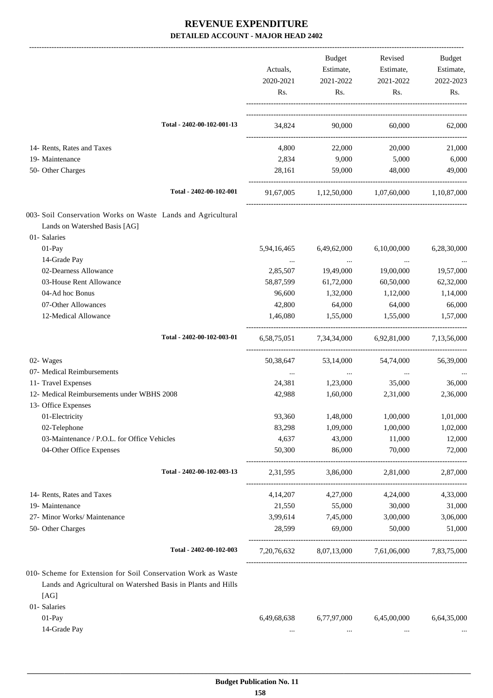|                                                                                                                                        | Actuals,         | Budget<br>Estimate,                 | Revised<br>Estimate, | Budget<br>Estimate, |
|----------------------------------------------------------------------------------------------------------------------------------------|------------------|-------------------------------------|----------------------|---------------------|
|                                                                                                                                        | 2020-2021<br>Rs. | 2021-2022<br>Rs.                    | 2021-2022<br>Rs.     | 2022-2023<br>Rs.    |
| Total - 2402-00-102-001-13                                                                                                             | 34,824           | 90,000                              | 60,000               | 62,000              |
| 14- Rents, Rates and Taxes                                                                                                             | 4,800            | 22,000                              | 20,000               | 21,000              |
| 19- Maintenance                                                                                                                        | 2,834            | 9,000                               | 5,000                | 6,000               |
| 50- Other Charges                                                                                                                      | 28,161           | 59,000                              | 48,000               | 49,000              |
| Total - 2402-00-102-001                                                                                                                |                  | 91,67,005 1,12,50,000 1,07,60,000   |                      | 1,10,87,000         |
| 003- Soil Conservation Works on Waste Lands and Agricultural                                                                           |                  |                                     |                      |                     |
| Lands on Watershed Basis [AG]                                                                                                          |                  |                                     |                      |                     |
| 01- Salaries                                                                                                                           |                  |                                     |                      |                     |
| 01-Pay                                                                                                                                 | 5,94,16,465      | 6,49,62,000                         | 6,10,00,000          | 6,28,30,000         |
| 14-Grade Pay                                                                                                                           | $\cdots$         | $\cdots$                            | $\cdots$             |                     |
| 02-Dearness Allowance                                                                                                                  | 2,85,507         | 19,49,000                           | 19,00,000            | 19,57,000           |
| 03-House Rent Allowance                                                                                                                | 58,87,599        | 61,72,000                           | 60,50,000            | 62,32,000           |
| 04-Ad hoc Bonus                                                                                                                        | 96,600           | 1,32,000                            | 1,12,000             | 1,14,000            |
| 07-Other Allowances                                                                                                                    | 42,800           | 64,000                              | 64,000               | 66,000              |
| 12-Medical Allowance                                                                                                                   | 1,46,080         | 1,55,000                            | 1,55,000             | 1,57,000            |
| Total - 2402-00-102-003-01                                                                                                             |                  | 6,58,75,051 7,34,34,000 6,92,81,000 |                      | 7,13,56,000         |
| 02- Wages                                                                                                                              | 50,38,647        | 53,14,000                           | 54,74,000            | 56,39,000           |
| 07- Medical Reimbursements                                                                                                             | $\cdots$         | $\cdots$                            | $\cdots$             |                     |
| 11- Travel Expenses                                                                                                                    | 24,381           | 1,23,000                            | 35,000               | 36,000              |
| 12- Medical Reimbursements under WBHS 2008<br>13- Office Expenses                                                                      | 42,988           | 1,60,000                            | 2,31,000             | 2,36,000            |
| 01-Electricity                                                                                                                         | 93,360           | 1,48,000                            | 1,00,000             | 1,01,000            |
| 02-Telephone                                                                                                                           | 83,298           | 1,09,000                            | 1,00,000             | 1,02,000            |
| 03-Maintenance / P.O.L. for Office Vehicles                                                                                            | 4,637            | 43,000                              | 11,000               | 12,000              |
| 04-Other Office Expenses                                                                                                               | 50,300           | 86,000                              | 70,000               | 72,000              |
| Total - 2402-00-102-003-13                                                                                                             | 2,31,595         | 3,86,000                            | 2,81,000             | 2,87,000            |
| 14- Rents, Rates and Taxes                                                                                                             | 4,14,207         | 4,27,000                            | 4,24,000             | 4,33,000            |
| 19- Maintenance                                                                                                                        | 21,550           | 55,000                              | 30,000               | 31,000              |
| 27- Minor Works/ Maintenance                                                                                                           | 3,99,614         | 7,45,000                            | 3,00,000             | 3,06,000            |
| 50- Other Charges                                                                                                                      | 28,599           | 69,000                              | 50,000               | 51,000              |
| Total - 2402-00-102-003                                                                                                                | 7, 20, 76, 632   | 8,07,13,000                         | 7,61,06,000          | 7,83,75,000         |
| 010- Scheme for Extension for Soil Conservation Work as Waste<br>Lands and Agricultural on Watershed Basis in Plants and Hills<br>[AG] |                  |                                     |                      |                     |
| 01- Salaries                                                                                                                           |                  |                                     |                      |                     |
| $01-Pay$                                                                                                                               | 6,49,68,638      | 6,77,97,000                         | 6,45,00,000          | 6,64,35,000         |
| 14-Grade Pay                                                                                                                           | $\cdots$         | $\cdots$                            | $\cdots$             |                     |
|                                                                                                                                        |                  |                                     |                      |                     |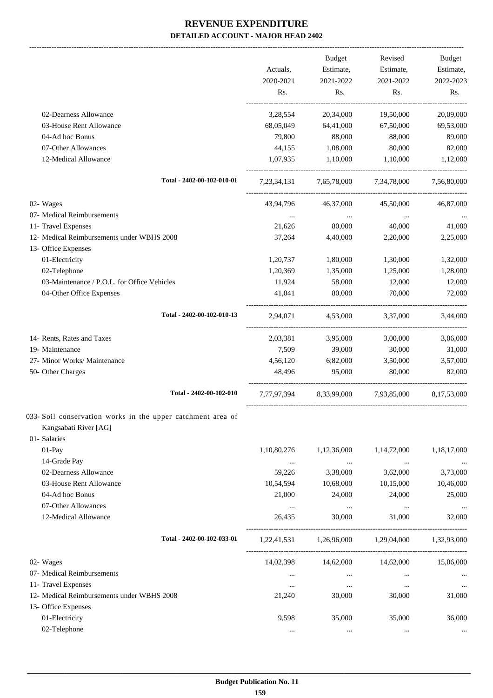|                                                                                      |                    | Budget               | Revised                                         | <b>Budget</b>    |
|--------------------------------------------------------------------------------------|--------------------|----------------------|-------------------------------------------------|------------------|
|                                                                                      | Actuals,           | Estimate,            | Estimate,                                       | Estimate,        |
|                                                                                      | 2020-2021<br>Rs.   | 2021-2022<br>Rs.     | 2021-2022<br>Rs.                                | 2022-2023<br>Rs. |
| 02-Dearness Allowance                                                                | 3,28,554           | 20,34,000            | 19,50,000                                       | 20,09,000        |
| 03-House Rent Allowance                                                              | 68,05,049          | 64,41,000            | 67,50,000                                       | 69,53,000        |
| 04-Ad hoc Bonus                                                                      | 79,800             | 88,000               | 88,000                                          | 89,000           |
| 07-Other Allowances                                                                  | 44,155             | 1,08,000             | 80,000                                          | 82,000           |
| 12-Medical Allowance                                                                 | 1,07,935           | 1,10,000             | 1,10,000                                        | 1,12,000         |
| Total - 2402-00-102-010-01                                                           |                    |                      | 7,23,34,131 7,65,78,000 7,34,78,000             | 7,56,80,000      |
| 02- Wages                                                                            | 43,94,796          | 46,37,000            | 45,50,000                                       | 46,87,000        |
| 07- Medical Reimbursements                                                           |                    |                      |                                                 |                  |
| 11- Travel Expenses                                                                  | 21,626             | 80,000               | 40,000                                          | 41,000           |
| 12- Medical Reimbursements under WBHS 2008                                           | 37,264             | 4,40,000             | 2,20,000                                        | 2,25,000         |
| 13- Office Expenses                                                                  |                    |                      |                                                 |                  |
| 01-Electricity                                                                       | 1,20,737           | 1,80,000             | 1,30,000                                        | 1,32,000         |
| 02-Telephone                                                                         | 1,20,369           | 1,35,000             | 1,25,000                                        | 1,28,000         |
| 03-Maintenance / P.O.L. for Office Vehicles                                          | 11,924             | 58,000               | 12,000                                          | 12,000           |
| 04-Other Office Expenses                                                             | 41,041             | 80,000               | 70,000                                          | 72,000           |
| Total - 2402-00-102-010-13                                                           | 2,94,071           | 4,53,000             | 3,37,000                                        | 3,44,000         |
| 14- Rents, Rates and Taxes                                                           | 2,03,381           | 3,95,000             | 3,00,000                                        | 3,06,000         |
| 19- Maintenance                                                                      | 7,509              | 39,000               | 30,000                                          | 31,000           |
| 27- Minor Works/ Maintenance                                                         | 4,56,120           | 6,82,000             | 3,50,000                                        | 3,57,000         |
| 50- Other Charges                                                                    | 48,496             | 95,000               | 80,000                                          | 82,000           |
| Total - 2402-00-102-010                                                              |                    |                      | 7,77,97,394 8,33,99,000 7,93,85,000             | 8,17,53,000      |
| 033- Soil conservation works in the upper catchment area of<br>Kangsabati River [AG] |                    |                      |                                                 |                  |
| 01- Salaries                                                                         |                    |                      |                                                 |                  |
| 01-Pay                                                                               | 1,10,80,276        | 1,12,36,000          | 1,14,72,000                                     | 1,18,17,000      |
| 14-Grade Pay                                                                         |                    |                      |                                                 |                  |
| 02-Dearness Allowance                                                                | $\ldots$<br>59,226 | $\cdots$<br>3,38,000 | $\cdots$<br>3,62,000                            | 3,73,000         |
| 03-House Rent Allowance                                                              | 10,54,594          | 10,68,000            | 10,15,000                                       | 10,46,000        |
| 04-Ad hoc Bonus                                                                      | 21,000             | 24,000               | 24,000                                          | 25,000           |
| 07-Other Allowances                                                                  | $\cdots$           | $\ldots$             | $\ldots$                                        | $\cdots$         |
| 12-Medical Allowance                                                                 | 26,435             | 30,000               | 31,000                                          | 32,000           |
| Total - 2402-00-102-033-01                                                           |                    |                      | 1,22,41,531 1,26,96,000 1,29,04,000 1,32,93,000 |                  |
| 02- Wages                                                                            | 14,02,398          | 14,62,000            | 14,62,000                                       | 15,06,000        |
| 07- Medical Reimbursements                                                           | $\cdots$           | $\ldots$             | $\cdots$                                        |                  |
| 11- Travel Expenses                                                                  | $\cdots$           | $\cdots$             | $\cdots$                                        | $\cdots$         |
| 12- Medical Reimbursements under WBHS 2008                                           | 21,240             | 30,000               | 30,000                                          | 31,000           |
| 13- Office Expenses                                                                  |                    |                      |                                                 |                  |
| 01-Electricity                                                                       | 9,598              | 35,000               | 35,000                                          | 36,000           |
| 02-Telephone                                                                         | $\cdots$           | $\cdots$             | $\cdots$                                        |                  |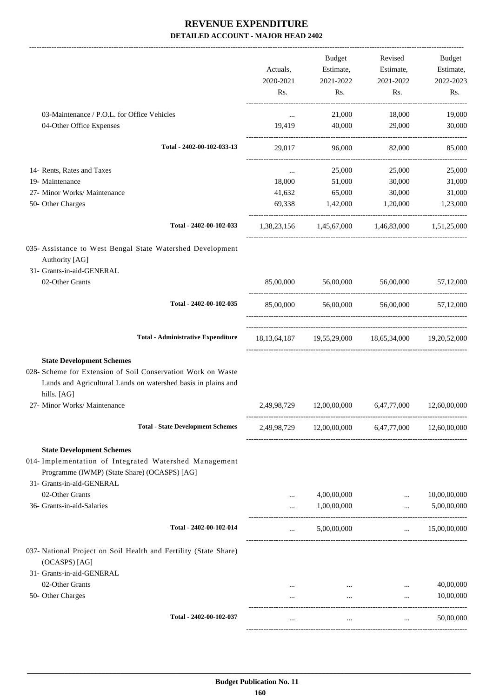|                                                                                                                                              |                      | Budget       | Revised                                                               | Budget       |
|----------------------------------------------------------------------------------------------------------------------------------------------|----------------------|--------------|-----------------------------------------------------------------------|--------------|
|                                                                                                                                              | Actuals,             | Estimate,    | Estimate,                                                             | Estimate,    |
|                                                                                                                                              | 2020-2021            | 2021-2022    | 2021-2022                                                             | 2022-2023    |
|                                                                                                                                              | Rs.                  | Rs.          | Rs.                                                                   | Rs.          |
| 03-Maintenance / P.O.L. for Office Vehicles                                                                                                  | $\cdots$             | 21,000       | 18,000                                                                | 19,000       |
| 04-Other Office Expenses                                                                                                                     | 19,419               | 40,000       | 29,000                                                                | 30,000       |
| Total - 2402-00-102-033-13                                                                                                                   | 29,017               | 96,000       | 82,000                                                                | 85,000       |
| 14- Rents, Rates and Taxes                                                                                                                   | $\cdots$             | 25,000       | 25,000                                                                | 25,000       |
| 19- Maintenance                                                                                                                              | 18,000               | 51,000       | 30,000                                                                | 31,000       |
| 27- Minor Works/ Maintenance                                                                                                                 | 41,632               | 65,000       | 30,000                                                                | 31,000       |
| 50- Other Charges                                                                                                                            | 69,338               | 1,42,000     | 1,20,000                                                              | 1,23,000     |
| Total - 2402-00-102-033                                                                                                                      |                      |              | 1,38,23,156 1,45,67,000 1,46,83,000 1,51,25,000                       |              |
| 035- Assistance to West Bengal State Watershed Development<br>Authority [AG]                                                                 |                      |              |                                                                       |              |
| 31- Grants-in-aid-GENERAL                                                                                                                    |                      |              |                                                                       |              |
| 02-Other Grants                                                                                                                              |                      |              | 85,00,000 56,00,000 56,00,000 57,12,000                               |              |
| Total - 2402-00-102-035                                                                                                                      |                      |              | 85,00,000 56,00,000 56,00,000 57,12,000                               |              |
| <b>Total - Administrative Expenditure</b>                                                                                                    |                      |              | 18, 13, 64, 187   19, 55, 29, 000   18, 65, 34, 000   19, 20, 52, 000 |              |
| <b>State Development Schemes</b>                                                                                                             |                      |              |                                                                       |              |
| 028- Scheme for Extension of Soil Conservation Work on Waste<br>Lands and Agricultural Lands on watershed basis in plains and<br>hills. [AG] |                      |              |                                                                       |              |
| 27- Minor Works/ Maintenance                                                                                                                 | 2,49,98,729          | 12,00,00,000 | 6,47,77,000                                                           | 12,60,00,000 |
| <b>Total - State Development Schemes</b>                                                                                                     |                      |              | 2,49,98,729 12,00,00,000 6,47,77,000                                  | 12,60,00,000 |
| <b>State Development Schemes</b>                                                                                                             |                      |              |                                                                       |              |
| 014- Implementation of Integrated Watershed Management<br>Programme (IWMP) (State Share) (OCASPS) [AG]<br>31- Grants-in-aid-GENERAL          |                      |              |                                                                       |              |
| 02-Other Grants                                                                                                                              |                      | 4,00,00,000  |                                                                       | 10,00,00,000 |
| 36- Grants-in-aid-Salaries                                                                                                                   | $\cdots$<br>$\cdots$ | 1,00,00,000  | $\cdots$<br>$\dddotsc$                                                | 5,00,00,000  |
| Total - 2402-00-102-014                                                                                                                      | $\cdots$             | 5,00,00,000  | $\ldots$ 15,00,00,000                                                 |              |
| 037- National Project on Soil Health and Fertility (State Share)                                                                             |                      |              |                                                                       |              |
| (OCASPS) [AG]                                                                                                                                |                      |              |                                                                       |              |
| 31- Grants-in-aid-GENERAL                                                                                                                    |                      |              |                                                                       |              |
| 02-Other Grants                                                                                                                              | $\cdots$             |              | the contract of the contract of the<br>$\cdots$                       | 40,00,000    |
| 50- Other Charges                                                                                                                            | $\cdots$             | $\cdots$     | $\cdots$                                                              | 10,00,000    |
| Total - 2402-00-102-037                                                                                                                      | $\cdots$             | $\cdots$     | $\cdots$                                                              | 50,00,000    |
|                                                                                                                                              |                      |              |                                                                       |              |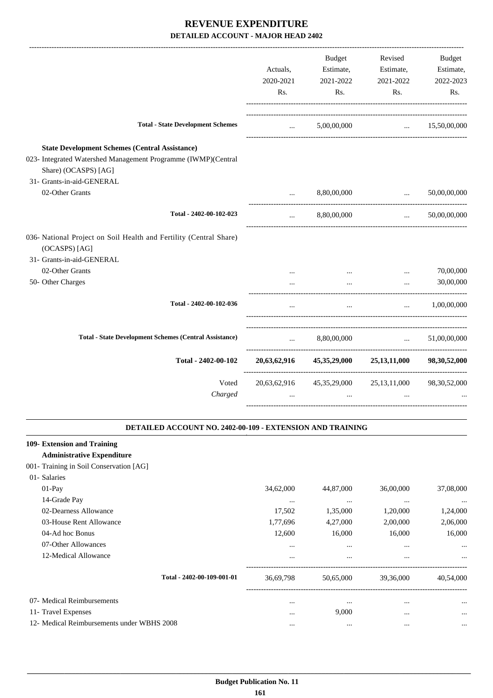|                                                                                                                                                                             | Actuals,<br>2020-2021<br>Rs.    | Budget<br>Estimate,<br>2021-2022<br>Rs.            | Revised<br>Estimate,<br>2021-2022<br>Rs.                                  | Budget<br>Estimate,<br>2022-2023<br>Rs. |
|-----------------------------------------------------------------------------------------------------------------------------------------------------------------------------|---------------------------------|----------------------------------------------------|---------------------------------------------------------------------------|-----------------------------------------|
| <b>Total - State Development Schemes</b>                                                                                                                                    | <b>Second Contract</b>          | 5,00,00,000                                        |                                                                           | $\ldots$ 15,50,00,000                   |
| <b>State Development Schemes (Central Assistance)</b><br>023- Integrated Watershed Management Programme (IWMP)(Central<br>Share) (OCASPS) [AG]<br>31- Grants-in-aid-GENERAL |                                 |                                                    |                                                                           |                                         |
| 02-Other Grants                                                                                                                                                             | $\cdots$                        | 8,80,00,000                                        | $\ddotsc$                                                                 | 50,00,00,000                            |
| Total - 2402-00-102-023                                                                                                                                                     | $\cdots$                        | 8,80,00,000                                        | --------------------------------------<br>$\mathbf{r}$ , and $\mathbf{r}$ | 50,00,00,000                            |
| 036- National Project on Soil Health and Fertility (Central Share)<br>(OCASPS) [AG]                                                                                         |                                 |                                                    |                                                                           |                                         |
| 31- Grants-in-aid-GENERAL<br>02-Other Grants                                                                                                                                |                                 |                                                    |                                                                           | 70,00,000                               |
| 50- Other Charges                                                                                                                                                           | $\cdots$                        | $\cdots$<br>$\cdots$                               | $\cdots$<br>$\cdots$                                                      | 30,00,000                               |
| Total - 2402-00-102-036                                                                                                                                                     | $\cdots$                        | $\cdots$                                           | $\mathbf{r}_{\text{max}}$ and $\mathbf{r}_{\text{max}}$                   | 1,00,00,000                             |
| <b>Total - State Development Schemes (Central Assistance)</b>                                                                                                               | $\cdots$ . The same of $\cdots$ | 8,80,00,000                                        | <b>Contract Contract Contract</b>                                         | 51,00,00,000                            |
| Total - 2402-00-102                                                                                                                                                         |                                 | 20,63,62,916 45,35,29,000 25,13,11,000             |                                                                           | 98, 30, 52, 000                         |
| Voted<br>Charged                                                                                                                                                            |                                 | 20,63,62,916 45,35,29,000 25,13,11,000<br>$\cdots$ |                                                                           | 98, 30, 52, 000                         |
| DETAILED ACCOUNT NO. 2402-00-109 - EXTENSION AND TRAINING                                                                                                                   |                                 |                                                    |                                                                           |                                         |
| 109- Extension and Training<br><b>Administrative Expenditure</b><br>001- Training in Soil Conservation [AG]                                                                 |                                 |                                                    |                                                                           |                                         |
| 01- Salaries<br>01-Pay<br>14-Grade Pay                                                                                                                                      | 34,62,000<br>$\cdots$           | 44,87,000<br>$\cdots$                              | 36,00,000<br>$\cdots$                                                     | 37,08,000<br>$\cdots$                   |

| 1 . <b>0. uu v 1 u</b>                     |                            |           |           |           |           |
|--------------------------------------------|----------------------------|-----------|-----------|-----------|-----------|
| 02-Dearness Allowance                      |                            | 17,502    | 1,35,000  | 1,20,000  | 1,24,000  |
| 03-House Rent Allowance                    |                            | 1,77,696  | 4,27,000  | 2,00,000  | 2,06,000  |
| 04-Ad hoc Bonus                            |                            | 12,600    | 16,000    | 16,000    | 16.000    |
| 07-Other Allowances                        |                            | $\cdots$  | $\cdots$  | $\cdots$  | $\cdots$  |
| 12-Medical Allowance                       |                            | $\cdots$  | $\cdots$  | $\cdots$  | $\cdots$  |
|                                            | Total - 2402-00-109-001-01 | 36,69,798 | 50.65,000 | 39,36,000 | 40,54,000 |
| 07- Medical Reimbursements                 |                            |           |           |           | $\ddotsc$ |
| 11- Travel Expenses                        |                            | $\cdots$  | 9,000     | $\cdots$  | $\cdots$  |
| 12- Medical Reimbursements under WBHS 2008 |                            |           |           |           |           |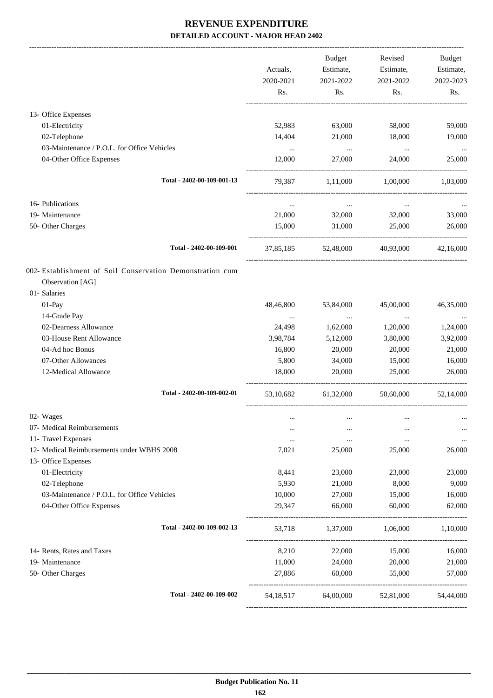| Actuals,<br>2020-2021<br>Rs. | Budget<br>Estimate,<br>2021-2022<br>Rs.                                                        | Revised<br>Estimate,<br>2021-2022<br>Rs.                                                                                             | Budget<br>Estimate,<br>2022-2023<br>Rs.                                                                                                                                              |
|------------------------------|------------------------------------------------------------------------------------------------|--------------------------------------------------------------------------------------------------------------------------------------|--------------------------------------------------------------------------------------------------------------------------------------------------------------------------------------|
|                              |                                                                                                |                                                                                                                                      |                                                                                                                                                                                      |
|                              |                                                                                                |                                                                                                                                      | 59,000                                                                                                                                                                               |
|                              |                                                                                                |                                                                                                                                      | 19,000                                                                                                                                                                               |
|                              |                                                                                                |                                                                                                                                      | $\ldots$                                                                                                                                                                             |
| 12,000                       | 27,000                                                                                         | 24,000                                                                                                                               | 25,000                                                                                                                                                                               |
| 79,387                       | 1,11,000                                                                                       | 1,00,000                                                                                                                             | 1,03,000                                                                                                                                                                             |
| $\cdots$                     | $\ldots$                                                                                       | $\cdots$                                                                                                                             |                                                                                                                                                                                      |
| 21,000                       | 32,000                                                                                         | 32,000                                                                                                                               | 33,000                                                                                                                                                                               |
| 15,000                       | 31,000                                                                                         | 25,000                                                                                                                               | 26,000                                                                                                                                                                               |
|                              |                                                                                                |                                                                                                                                      | 42,16,000                                                                                                                                                                            |
|                              |                                                                                                |                                                                                                                                      |                                                                                                                                                                                      |
|                              |                                                                                                |                                                                                                                                      |                                                                                                                                                                                      |
|                              |                                                                                                |                                                                                                                                      | 46,35,000                                                                                                                                                                            |
|                              |                                                                                                |                                                                                                                                      | 1,24,000                                                                                                                                                                             |
|                              |                                                                                                |                                                                                                                                      | 3,92,000                                                                                                                                                                             |
|                              |                                                                                                |                                                                                                                                      | 21,000                                                                                                                                                                               |
|                              |                                                                                                |                                                                                                                                      | 16,000                                                                                                                                                                               |
| 18,000                       | 20,000                                                                                         | 25,000                                                                                                                               | 26,000                                                                                                                                                                               |
| 53,10,682                    |                                                                                                | 50,60,000                                                                                                                            | 52,14,000                                                                                                                                                                            |
| $\cdots$                     |                                                                                                |                                                                                                                                      |                                                                                                                                                                                      |
| $\cdots$                     |                                                                                                |                                                                                                                                      | $\cdots$                                                                                                                                                                             |
| $\cdots$                     | $\cdots$                                                                                       | $\cdots$                                                                                                                             | $\cdots$                                                                                                                                                                             |
| 7,021                        | 25,000                                                                                         | 25,000                                                                                                                               | 26,000                                                                                                                                                                               |
|                              |                                                                                                |                                                                                                                                      |                                                                                                                                                                                      |
| 8,441                        | 23,000                                                                                         | 23,000                                                                                                                               | 23,000                                                                                                                                                                               |
| 5,930                        | 21,000                                                                                         | 8,000                                                                                                                                | 9,000                                                                                                                                                                                |
| 10,000                       | 27,000                                                                                         | 15,000                                                                                                                               | 16,000                                                                                                                                                                               |
| 29,347                       | 66,000                                                                                         | 60,000                                                                                                                               | 62,000                                                                                                                                                                               |
| 53,718                       |                                                                                                |                                                                                                                                      | 1,10,000                                                                                                                                                                             |
| 8,210                        | 22,000                                                                                         | 15,000                                                                                                                               | 16,000                                                                                                                                                                               |
| 11,000                       | 24,000                                                                                         | 20,000                                                                                                                               | 21,000                                                                                                                                                                               |
| 27,886                       | 60,000                                                                                         | 55,000                                                                                                                               | 57,000                                                                                                                                                                               |
| 54, 18, 517                  |                                                                                                |                                                                                                                                      | 54,44,000                                                                                                                                                                            |
|                              | 52,983<br>14,404<br>$\ldots$<br>48,46,800<br>$\cdots$<br>24,498<br>3,98,784<br>16,800<br>5,800 | 63,000<br>21,000<br>$\sim 100$ and $\sim 100$<br>37,85,185<br>53,84,000<br>$\sim$ $\sim$<br>1,62,000<br>5,12,000<br>20,000<br>34,000 | 58,000<br>18,000<br>$\ldots$<br>52,48,000 40,93,000<br>45,00,000<br>$\ldots$<br>1,20,000<br>3,80,000<br>20,000<br>15,000<br>61,32,000<br>1,37,000 1,06,000<br>64,00,000<br>52,81,000 |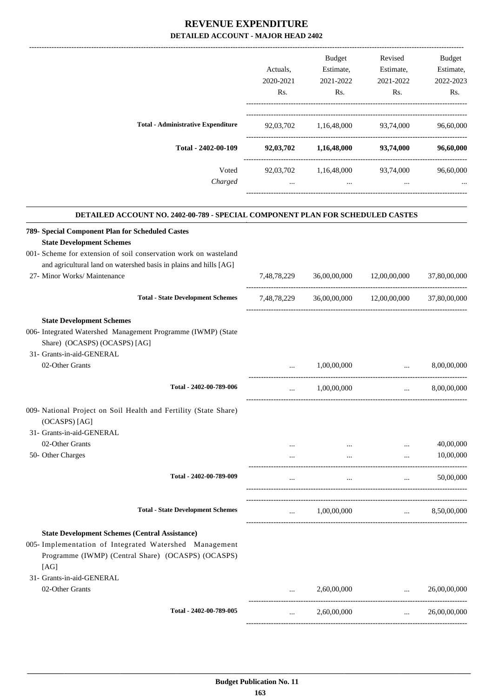|                                           | Actuals.<br>2020-2021<br>Rs. | <b>Budget</b><br>Estimate,<br>2021-2022<br>Rs. | Revised<br>Estimate,<br>2021-2022<br>Rs. | <b>Budget</b><br>Estimate,<br>2022-2023<br>Rs. |
|-------------------------------------------|------------------------------|------------------------------------------------|------------------------------------------|------------------------------------------------|
| <b>Total - Administrative Expenditure</b> | 92,03,702                    | 1,16,48,000                                    | 93,74,000                                | 96,60,000                                      |
| Total - 2402-00-109                       | 92,03,702                    | 1,16,48,000                                    | 93,74,000                                | 96,60,000                                      |
| Voted<br>Charged                          | 92,03,702<br>$\cdots$        | 1,16,48,000<br>$\cdots$                        | 93,74,000<br>$\cdots$                    | 96,60,000<br>$\cdots$                          |

.

-------------------------------------------------------------------------------------------------------------------------------------------------------------------------------

#### **DETAILED ACCOUNT NO. 2402-00-789 - SPECIAL COMPONENT PLAN FOR SCHEDULED CASTES**

| 789- Special Component Plan for Scheduled Castes                                  |             |                      |                                                |                                                             |
|-----------------------------------------------------------------------------------|-------------|----------------------|------------------------------------------------|-------------------------------------------------------------|
| <b>State Development Schemes</b>                                                  |             |                      |                                                |                                                             |
| 001- Scheme for extension of soil conservation work on wasteland                  |             |                      |                                                |                                                             |
| and agricultural land on watershed basis in plains and hills [AG]                 |             |                      |                                                |                                                             |
| 27- Minor Works/ Maintenance                                                      | 7,48,78,229 | 36,00,00,000         | 12,00,00,000                                   | 37,80,00,000                                                |
| <b>Total - State Development Schemes</b>                                          | 7,48,78,229 |                      | 36,00,00,000 12,00,00,000 37,80,00,000         |                                                             |
| <b>State Development Schemes</b>                                                  |             |                      |                                                |                                                             |
| 006- Integrated Watershed Management Programme (IWMP) (State                      |             |                      |                                                |                                                             |
| Share) (OCASPS) (OCASPS) [AG]                                                     |             |                      |                                                |                                                             |
| 31- Grants-in-aid-GENERAL                                                         |             |                      |                                                |                                                             |
| 02-Other Grants                                                                   | $\cdots$    | 1,00,00,000          | $\ddots$                                       | 8,00,00,000                                                 |
| Total - 2402-00-789-006                                                           |             | $\ldots$ 1,00,00,000 | $\mathbf{r}$ and $\mathbf{r}$ and $\mathbf{r}$ | 8,00,00,000                                                 |
| 009- National Project on Soil Health and Fertility (State Share)<br>(OCASPS) [AG] |             |                      |                                                |                                                             |
| 31- Grants-in-aid-GENERAL                                                         |             |                      |                                                |                                                             |
| 02-Other Grants                                                                   |             |                      | $\cdots$                                       | 40,00,000                                                   |
| 50- Other Charges                                                                 |             |                      | $\ddots$<br>and the state of the state of the  | 10,00,000                                                   |
| Total - 2402-00-789-009                                                           | $\cdots$    |                      | <b>Contract Contract Contract Contract</b>     | 50,00,000<br>$\mathbf{r}$ and $\mathbf{r}$ and $\mathbf{r}$ |
| <b>Total - State Development Schemes</b>                                          |             | $1,00,00,000$        |                                                | 8,50,00,000                                                 |
| <b>State Development Schemes (Central Assistance)</b>                             |             |                      |                                                |                                                             |
| 005- Implementation of Integrated Watershed Management                            |             |                      |                                                |                                                             |
| Programme (IWMP) (Central Share) (OCASPS) (OCASPS)<br>[AG]                        |             |                      |                                                |                                                             |
| 31- Grants-in-aid-GENERAL                                                         |             |                      |                                                |                                                             |
| 02-Other Grants                                                                   | $\cdots$    | 2,60,00,000          | $\mathbf{r}$ , and $\mathbf{r}$                | 26,00,00,000                                                |
| Total - 2402-00-789-005                                                           | $\ddots$    | 2,60,00,000          | $\sim 10^{-10}$ km s $^{-1}$                   | 26,00,00,000                                                |
|                                                                                   |             |                      |                                                |                                                             |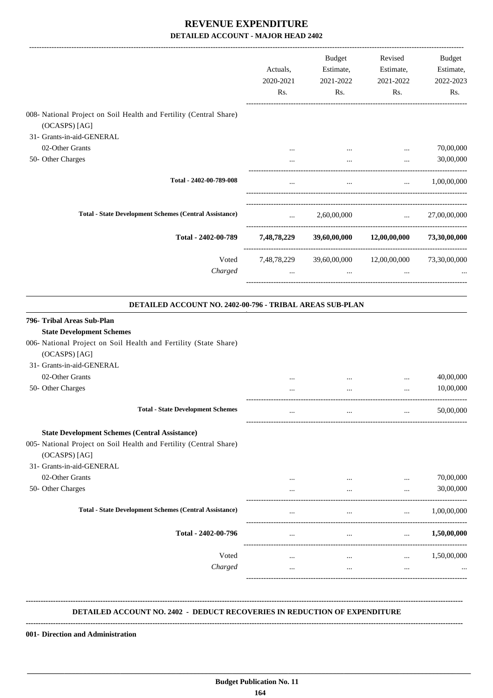|                                                                                                                                                                                  | Actuals,<br>2020-2021<br>Rs. | Budget<br>Estimate,<br>2021-2022<br>Rs.           | Revised<br>Estimate,<br>2021-2022<br>Rs.                          | Budget<br>Estimate,<br>2022-2023<br>Rs. |
|----------------------------------------------------------------------------------------------------------------------------------------------------------------------------------|------------------------------|---------------------------------------------------|-------------------------------------------------------------------|-----------------------------------------|
| 008- National Project on Soil Health and Fertility (Central Share)                                                                                                               |                              |                                                   |                                                                   |                                         |
| (OCASPS) [AG]                                                                                                                                                                    |                              |                                                   |                                                                   |                                         |
| 31- Grants-in-aid-GENERAL                                                                                                                                                        |                              |                                                   |                                                                   |                                         |
| 02-Other Grants                                                                                                                                                                  | $\cdots$                     |                                                   | $\cdots$                                                          | 70,00,000                               |
| 50- Other Charges                                                                                                                                                                |                              |                                                   | -----------------------                                           | 30,00,000                               |
| Total - 2402-00-789-008                                                                                                                                                          | $\cdots$                     | $\cdots$                                          | $\cdots$                                                          | 1,00,00,000                             |
| <b>Total - State Development Schemes (Central Assistance)</b>                                                                                                                    | $\cdots$                     | 2,60,00,000                                       | <b>Contract Contract</b>                                          | 27,00,00,000                            |
| Total - 2402-00-789                                                                                                                                                              | 7,48,78,229                  |                                                   | ------------------------------------<br>39,60,00,000 12,00,00,000 | 73,30,00,000                            |
| Voted<br>Charged                                                                                                                                                                 | $\cdots$                     | 7,48,78,229 39,60,00,000 12,00,00,000<br>$\cdots$ | $\cdots$                                                          | 73,30,00,000                            |
| DETAILED ACCOUNT NO. 2402-00-796 - TRIBAL AREAS SUB-PLAN                                                                                                                         |                              |                                                   |                                                                   |                                         |
| 796- Tribal Areas Sub-Plan<br><b>State Development Schemes</b><br>006- National Project on Soil Health and Fertility (State Share)<br>(OCASPS) [AG]<br>31- Grants-in-aid-GENERAL |                              |                                                   |                                                                   |                                         |
| 02-Other Grants                                                                                                                                                                  |                              |                                                   | $\cdots$                                                          | 40,00,000                               |
| 50- Other Charges                                                                                                                                                                |                              |                                                   |                                                                   | 10,00,000                               |
| <b>Total - State Development Schemes</b>                                                                                                                                         | $\cdots$                     | $\cdots$                                          | $\cdots$                                                          | 50,00,000                               |
| <b>State Development Schemes (Central Assistance)</b>                                                                                                                            |                              |                                                   |                                                                   |                                         |
| 005- National Project on Soil Health and Fertility (Central Share)<br>(OCASPS) [AG]                                                                                              |                              |                                                   |                                                                   |                                         |
| 31- Grants-in-aid-GENERAL                                                                                                                                                        |                              |                                                   |                                                                   |                                         |
| 02-Other Grants                                                                                                                                                                  | $\cdots$                     | $\cdots$                                          |                                                                   | 70,00,000                               |
| 50- Other Charges                                                                                                                                                                | $\cdots$                     | $\cdots$                                          | $\cdots$                                                          | 30,00,000                               |
| <b>Total - State Development Schemes (Central Assistance)</b>                                                                                                                    |                              | $\cdots$                                          | $\cdots$                                                          | 1,00,00,000                             |
| Total - 2402-00-796                                                                                                                                                              | $\cdots$                     | $\cdots$                                          | $\cdots$                                                          | 1,50,00,000                             |
| Voted                                                                                                                                                                            | $\cdots$                     | $\cdots$                                          | $\cdots$                                                          | 1,50,00,000                             |
| Charged                                                                                                                                                                          | $\cdots$                     | $\cdots$                                          | $\ldots$                                                          |                                         |
|                                                                                                                                                                                  |                              |                                                   |                                                                   |                                         |
| <b>DETAILED ACCOUNT NO. 2402 - DEDUCT RECOVERIES IN REDUCTION OF EXPENDITURE</b>                                                                                                 |                              |                                                   |                                                                   |                                         |

**001- Direction and Administration**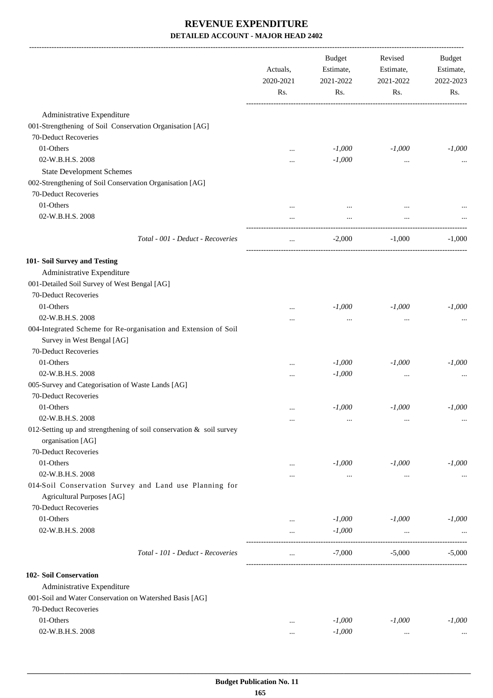|                                                                        | Actuals,<br>2020-2021<br>Rs. | <b>Budget</b><br>Estimate,<br>2021-2022<br>Rs. | Revised<br>Estimate,<br>2021-2022<br>Rs. | Budget<br>Estimate,<br>2022-2023<br>Rs. |
|------------------------------------------------------------------------|------------------------------|------------------------------------------------|------------------------------------------|-----------------------------------------|
| Administrative Expenditure                                             |                              |                                                |                                          |                                         |
| 001-Strengthening of Soil Conservation Organisation [AG]               |                              |                                                |                                          |                                         |
| 70-Deduct Recoveries                                                   |                              |                                                |                                          |                                         |
| 01-Others                                                              |                              | $-1,000$                                       | $-1,000$                                 | $-1,000$                                |
| 02-W.B.H.S. 2008                                                       |                              | $-1,000$                                       | $\cdots$                                 |                                         |
| <b>State Development Schemes</b>                                       |                              |                                                |                                          |                                         |
| 002-Strengthening of Soil Conservation Organisation [AG]               |                              |                                                |                                          |                                         |
| 70-Deduct Recoveries                                                   |                              |                                                |                                          |                                         |
| 01-Others                                                              |                              |                                                |                                          |                                         |
| 02-W.B.H.S. 2008                                                       |                              | $\cdots$                                       | $\cdots$                                 |                                         |
|                                                                        |                              |                                                |                                          |                                         |
| Total - 001 - Deduct - Recoveries                                      | $\cdots$                     | $-2,000$                                       | $-1,000$                                 | $-1,000$                                |
| 101- Soil Survey and Testing                                           |                              |                                                |                                          |                                         |
| Administrative Expenditure                                             |                              |                                                |                                          |                                         |
| 001-Detailed Soil Survey of West Bengal [AG]                           |                              |                                                |                                          |                                         |
| 70-Deduct Recoveries                                                   |                              |                                                |                                          |                                         |
| 01-Others                                                              | $\cdots$                     | $-1,000$                                       | $-1,000$                                 | $-1,000$                                |
| 02-W.B.H.S. 2008                                                       | .                            | $\cdots$                                       | $\cdots$                                 |                                         |
| 004-Integrated Scheme for Re-organisation and Extension of Soil        |                              |                                                |                                          |                                         |
| Survey in West Bengal [AG]                                             |                              |                                                |                                          |                                         |
| 70-Deduct Recoveries                                                   |                              |                                                |                                          |                                         |
| 01-Others                                                              | $\cdots$                     | $-1,000$                                       | $-1,000$                                 | $-1,000$                                |
| 02-W.B.H.S. 2008                                                       | $\cdots$                     | $-1,000$                                       | $\cdots$                                 |                                         |
| 005-Survey and Categorisation of Waste Lands [AG]                      |                              |                                                |                                          |                                         |
| 70-Deduct Recoveries                                                   |                              |                                                |                                          |                                         |
| 01-Others                                                              |                              | $-1,000$                                       | $-1,000$                                 | $-1,000$                                |
| 02-W.B.H.S. 2008                                                       | $\cdots$                     | $\cdots$                                       | $\cdots$                                 | $\cdots$                                |
| 012-Setting up and strengthening of soil conservation $\&$ soil survey |                              |                                                |                                          |                                         |
| organisation [AG]                                                      |                              |                                                |                                          |                                         |
| 70-Deduct Recoveries                                                   |                              |                                                |                                          |                                         |
| 01-Others                                                              | $\cdots$                     | $-1,000$                                       | $-1,000$                                 | $-1,000$                                |
| 02-W.B.H.S. 2008                                                       |                              | $\ldots$                                       | $\cdots$                                 |                                         |
| 014-Soil Conservation Survey and Land use Planning for                 |                              |                                                |                                          |                                         |
| <b>Agricultural Purposes</b> [AG]                                      |                              |                                                |                                          |                                         |
| 70-Deduct Recoveries                                                   |                              |                                                |                                          |                                         |
| 01-Others                                                              | $\cdots$                     | $-1,000$                                       | $-1,000$                                 | $-1,000$                                |
| 02-W.B.H.S. 2008                                                       | <br>---------------          | $-1,000$                                       | $\cdots$<br>------------------------     |                                         |
| Total - 101 - Deduct - Recoveries                                      | $\ddotsc$                    | $-7,000$                                       | $-5,000$                                 | $-5,000$                                |
| 102- Soil Conservation                                                 |                              |                                                |                                          |                                         |
| Administrative Expenditure                                             |                              |                                                |                                          |                                         |
| 001-Soil and Water Conservation on Watershed Basis [AG]                |                              |                                                |                                          |                                         |
| 70-Deduct Recoveries                                                   |                              |                                                |                                          |                                         |
| 01-Others                                                              | $\cdots$                     | $-1,000$                                       | $-1,000$                                 | $-1,000$                                |
| 02-W.B.H.S. 2008                                                       | $\cdots$                     | $-1,000$                                       | $\cdots$                                 |                                         |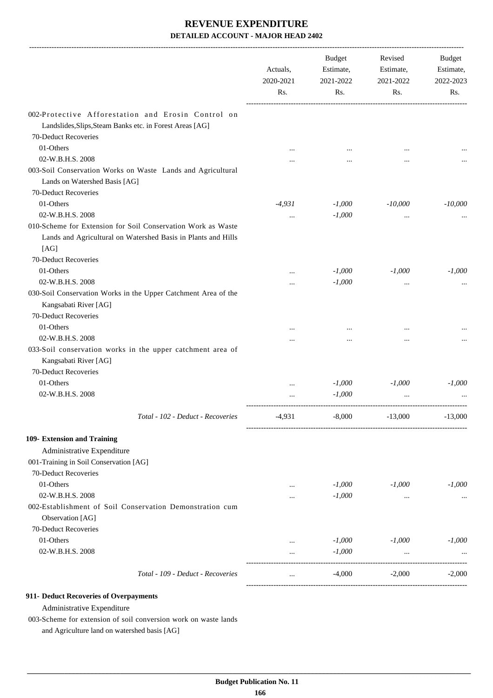|                                                                                                                                        | Actuals,<br>2020-2021<br>Rs. | <b>Budget</b><br>Estimate,<br>2021-2022<br>Rs. | Revised<br>Estimate,<br>2021-2022<br>Rs. | Budget<br>Estimate,<br>2022-2023<br>Rs. |
|----------------------------------------------------------------------------------------------------------------------------------------|------------------------------|------------------------------------------------|------------------------------------------|-----------------------------------------|
| 002-Protective Afforestation and Erosin Control on<br>Landslides, Slips, Steam Banks etc. in Forest Areas [AG]<br>70-Deduct Recoveries |                              |                                                |                                          |                                         |
| 01-Others                                                                                                                              |                              |                                                |                                          |                                         |
| 02-W.B.H.S. 2008                                                                                                                       |                              |                                                | $\cdots$                                 |                                         |
| 003-Soil Conservation Works on Waste Lands and Agricultural<br>Lands on Watershed Basis [AG]<br>70-Deduct Recoveries                   |                              |                                                |                                          |                                         |
| 01-Others                                                                                                                              | $-4,931$                     | $-1,000$                                       | $-10,000$                                | $-10,000$                               |
| 02-W.B.H.S. 2008                                                                                                                       |                              | $-1,000$                                       |                                          |                                         |
| 010-Scheme for Extension for Soil Conservation Work as Waste<br>Lands and Agricultural on Watershed Basis in Plants and Hills<br>[AG]  |                              |                                                | $\ddotsc$                                |                                         |
| 70-Deduct Recoveries                                                                                                                   |                              |                                                |                                          |                                         |
| 01-Others                                                                                                                              |                              | $-1,000$                                       | $-1,000$                                 | $-1,000$                                |
| 02-W.B.H.S. 2008                                                                                                                       |                              | $-1,000$                                       |                                          |                                         |
| 030-Soil Conservation Works in the Upper Catchment Area of the<br>Kangsabati River [AG]<br>70-Deduct Recoveries                        |                              |                                                |                                          |                                         |
| 01-Others                                                                                                                              |                              |                                                |                                          |                                         |
| 02-W.B.H.S. 2008                                                                                                                       |                              |                                                |                                          |                                         |
| 033-Soil conservation works in the upper catchment area of<br>Kangsabati River [AG]<br>70-Deduct Recoveries                            |                              |                                                |                                          |                                         |
| 01-Others                                                                                                                              |                              | $-1,000$                                       | $-1,000$                                 | $-1,000$                                |
| 02-W.B.H.S. 2008                                                                                                                       |                              | $-1,000$                                       |                                          |                                         |
| Total - 102 - Deduct - Recoveries                                                                                                      | $-4,931$                     | $-8,000$                                       | $-13,000$                                | $-13,000$                               |
| 109- Extension and Training                                                                                                            |                              |                                                |                                          |                                         |
| Administrative Expenditure                                                                                                             |                              |                                                |                                          |                                         |
| 001-Training in Soil Conservation [AG]                                                                                                 |                              |                                                |                                          |                                         |
| 70-Deduct Recoveries                                                                                                                   |                              |                                                |                                          |                                         |
| 01-Others                                                                                                                              |                              | $-1,000$                                       | $-1,000$                                 | $-1,000$                                |
| 02-W.B.H.S. 2008                                                                                                                       | $\cdots$                     | $-1,000$                                       | $\cdots$                                 |                                         |
| 002-Establishment of Soil Conservation Demonstration cum<br>Observation [AG]                                                           |                              |                                                |                                          |                                         |
| 70-Deduct Recoveries                                                                                                                   |                              |                                                |                                          |                                         |
| 01-Others                                                                                                                              | $\cdots$                     | $-1,000$                                       | $-1,000$                                 | $-1,000$                                |
| 02-W.B.H.S. 2008                                                                                                                       | $\cdots$                     | $-1,000$                                       | $\cdots$                                 |                                         |
| Total - 109 - Deduct - Recoveries                                                                                                      | $\cdots$                     | $-4,000$                                       | $-2,000$                                 | $-2,000$                                |

#### **911- Deduct Recoveries of Overpayments**

Administrative Expenditure

003-Scheme for extension of soil conversion work on waste lands

and Agriculture land on watershed basis [AG]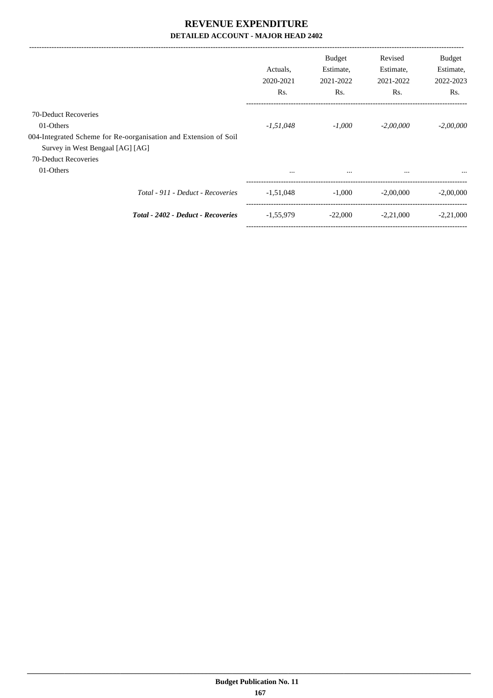|                                                                  | Actuals.<br>2020-2021<br>R <sub>s</sub> . | <b>Budget</b><br>Estimate,<br>2021-2022<br>Rs. | Revised<br>Estimate,<br>2021-2022<br>Rs. | <b>Budget</b><br>Estimate,<br>2022-2023<br>Rs. |
|------------------------------------------------------------------|-------------------------------------------|------------------------------------------------|------------------------------------------|------------------------------------------------|
| 70-Deduct Recoveries                                             |                                           |                                                |                                          |                                                |
| 01-Others                                                        | $-1,51,048$                               | -1.000                                         | $-2,00,000$                              | $-2,00,000$                                    |
| 004-Integrated Scheme for Re-oorganisation and Extension of Soil |                                           |                                                |                                          |                                                |
| Survey in West Bengaal [AG] [AG]                                 |                                           |                                                |                                          |                                                |
| 70-Deduct Recoveries                                             |                                           |                                                |                                          |                                                |
| 01-Others                                                        | $\cdots$                                  | $\cdots$                                       | $\cdots$                                 | $\cdots$                                       |
| Total - 911 - Deduct - Recoveries                                | $-1,51,048$                               | $-1,000$                                       | $-2.00,000$                              | $-2,00,000$                                    |
| Total - 2402 - Deduct - Recoveries                               | $-1,55,979$                               | $-22,000$                                      | $-2,21,000$                              | $-2,21,000$                                    |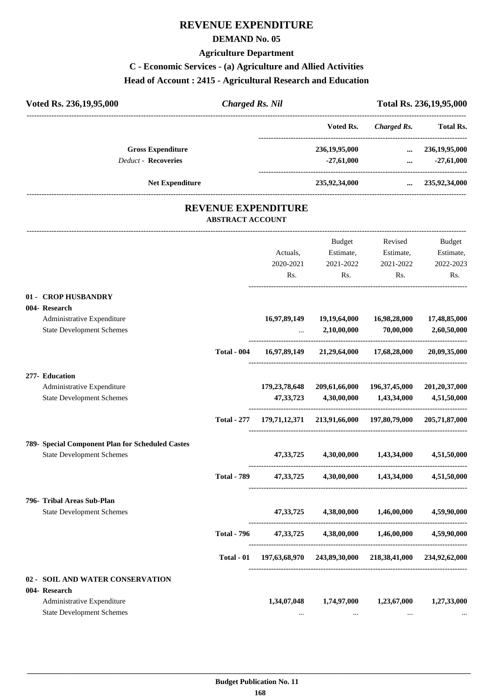## **REVENUE EXPENDITURE**

#### **DEMAND No. 05**

#### **Agriculture Department**

#### **C - Economic Services - (a) Agriculture and Allied Activities**

# **Head of Account : 2415 - Agricultural Research and Education**

| Voted Rs. 236, 19, 95, 000                                     | <b>Charged Rs. Nil</b>                                |                                                                     |                                                                     |                                                                                                                       | Total Rs. 236,19,95,000     |
|----------------------------------------------------------------|-------------------------------------------------------|---------------------------------------------------------------------|---------------------------------------------------------------------|-----------------------------------------------------------------------------------------------------------------------|-----------------------------|
|                                                                |                                                       |                                                                     | Voted Rs.                                                           | <b>Charged Rs.</b>                                                                                                    | <b>Total Rs.</b>            |
| <b>Gross Expenditure</b>                                       |                                                       |                                                                     | 236,19,95,000                                                       | $\ldots$ 236,19,95,000                                                                                                |                             |
| <b>Deduct - Recoveries</b>                                     |                                                       |                                                                     | $-27,61,000$                                                        | <u>and the state of the state of the state of the state of the state of the state of the state of the state of th</u> | $-27,61,000$                |
| <b>Net Expenditure</b>                                         |                                                       |                                                                     |                                                                     | 235,92,34,000  235,92,34,000                                                                                          |                             |
|                                                                | <b>REVENUE EXPENDITURE</b><br><b>ABSTRACT ACCOUNT</b> |                                                                     |                                                                     |                                                                                                                       |                             |
|                                                                |                                                       |                                                                     |                                                                     | Budget Revised                                                                                                        | Budget                      |
|                                                                |                                                       |                                                                     | Actuals, Estimate, Estimate,                                        |                                                                                                                       | Estimate,                   |
|                                                                |                                                       |                                                                     | 2020-2021 2021-2022                                                 | 2021-2022                                                                                                             | 2022-2023                   |
|                                                                |                                                       | Rs.                                                                 | Rs.                                                                 | Rs.                                                                                                                   | Rs.                         |
| 01 - CROP HUSBANDRY                                            |                                                       |                                                                     |                                                                     |                                                                                                                       |                             |
| 004- Research                                                  |                                                       |                                                                     |                                                                     |                                                                                                                       |                             |
| Administrative Expenditure<br><b>State Development Schemes</b> |                                                       |                                                                     | 16,97,89,149 19,19,64,000<br>$\ldots$ 2,10,00,000                   | 16,98,28,000<br>70,00,000                                                                                             | 17,48,85,000<br>2,60,50,000 |
|                                                                | <b>Total - 004</b>                                    |                                                                     | 16,97,89,149 21,29,64,000 17,68,28,000                              |                                                                                                                       | 20,09,35,000                |
| 277- Education                                                 |                                                       |                                                                     |                                                                     |                                                                                                                       |                             |
| Administrative Expenditure                                     |                                                       |                                                                     | 179, 23, 78, 648 209, 61, 66, 000 196, 37, 45, 000 201, 20, 37, 000 |                                                                                                                       |                             |
| <b>State Development Schemes</b>                               |                                                       | 47, 33, 723                                                         | 4,30,00,000                                                         | 1,43,34,000                                                                                                           | 4,51,50,000                 |
|                                                                |                                                       | Total - 277 179,71,12,371 213,91,66,000 197,80,79,000 205,71,87,000 |                                                                     |                                                                                                                       |                             |
| 789- Special Component Plan for Scheduled Castes               |                                                       |                                                                     |                                                                     |                                                                                                                       |                             |
| <b>State Development Schemes</b>                               |                                                       |                                                                     | 47, 33, 725 4, 30, 00, 000 1, 43, 34, 000                           |                                                                                                                       | 4,51,50,000                 |
|                                                                | <b>Total - 789</b>                                    |                                                                     | 47,33,725 4,30,00,000 1,43,34,000 4,51,50,000                       |                                                                                                                       |                             |
|                                                                |                                                       |                                                                     |                                                                     |                                                                                                                       |                             |

#### **796- Tribal Areas Sub-Plan**

| <b>Tribal Areas Sub-Plan</b>     |                    |               |               |               |               |
|----------------------------------|--------------------|---------------|---------------|---------------|---------------|
| <b>State Development Schemes</b> |                    | 47, 33, 725   | 4.38.00.000   | 1.46.00.000   | 4,59,90,000   |
|                                  | <b>Total - 796</b> | 47.33.725     | 4.38.00.000   | 1,46,00,000   | 4,59,90,000   |
|                                  | Total - 01         | 197,63,68,970 | 243,89,30,000 | 218,38,41,000 | 234,92,62,000 |
|                                  |                    |               |               |               |               |

#### **02 - SOIL AND WATER CONSERVATION**

| 004- Research                    |             |             |             |             |
|----------------------------------|-------------|-------------|-------------|-------------|
| Administrative Expenditure       | 1,34,07,048 | 1,74,97,000 | 1.23.67.000 | 1,27,33,000 |
| <b>State Development Schemes</b> | $\cdots$    | $\cdots$    | $\cdots$    | $\cdots$    |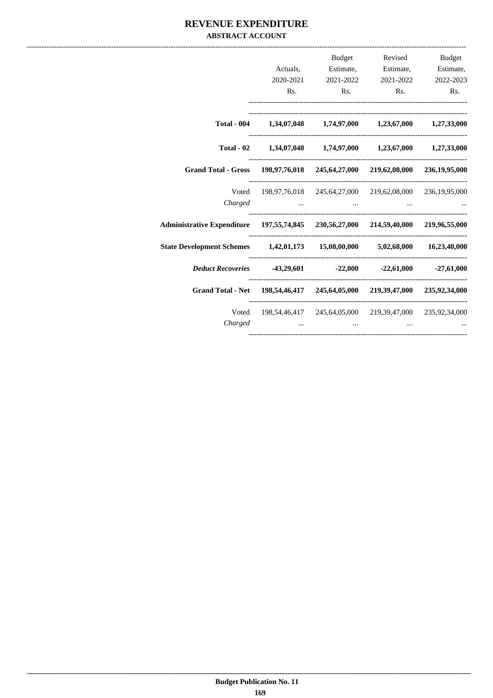#### REVENUE EXPENDITURE **ABSTRACT ACCOUNT**

|                                                                                    | Rs. | <b>Budget</b><br>Actuals, Estimate, Estimate, Estimate,<br>2020-2021 2021-2022 2021-2022 2022-2023<br>$\mathbf{R}$ s. | Rs. | Revised Budget<br>Rs. |
|------------------------------------------------------------------------------------|-----|-----------------------------------------------------------------------------------------------------------------------|-----|-----------------------|
|                                                                                    |     | Total - 004 1,34,07,048 1,74,97,000 1,23,67,000 1,27,33,000                                                           |     |                       |
|                                                                                    |     | Total - 02 1,34,07,048 1,74,97,000 1,23,67,000 1,27,33,000                                                            |     |                       |
| Grand Total - Gross 198,97,76,018 245,64,27,000 219,62,08,000 236,19,95,000        |     |                                                                                                                       |     |                       |
| Charged                                                                            |     | Voted 198,97,76,018 245,64,27,000 219,62,08,000 236,19,95,000                                                         |     |                       |
| Administrative Expenditure 197,55,74,845 230,56,27,000 214,59,40,000 219,96,55,000 |     |                                                                                                                       |     |                       |
| State Development Schemes 1,42,01,173 15,08,00,000 5,02,68,000 16,23,40,000        |     |                                                                                                                       |     |                       |
| Deduct Recoveries   43,29,601 $-22,000$ $-22,61,000$ $-27,61,000$                  |     |                                                                                                                       |     |                       |
| Grand Total - Net 198,54,46,417 245,64,05,000 219,39,47,000 235,92,34,000          |     |                                                                                                                       |     |                       |
| Charged                                                                            |     | Voted 198,54,46,417 245,64,05,000 219,39,47,000 235,92,34,000                                                         |     |                       |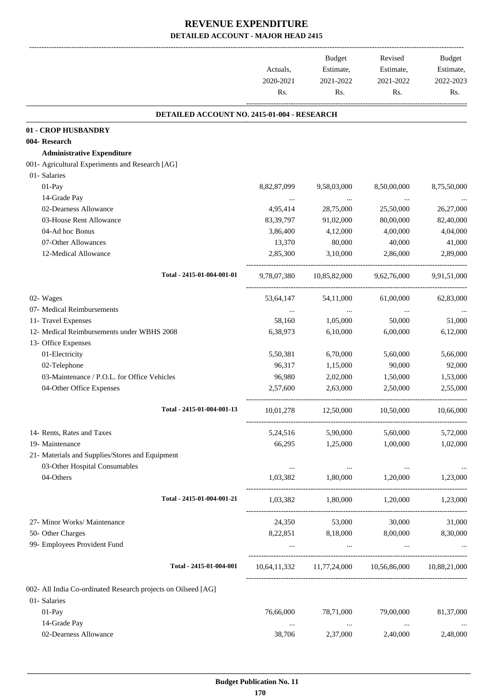|                                                               | Actuals,<br>2020-2021<br>Rs. | <b>Budget</b><br>Estimate,<br>2021-2022<br>Rs.      | Revised<br>Estimate,<br>2021-2022<br>Rs. | <b>Budget</b><br>Estimate,<br>2022-2023<br>Rs. |
|---------------------------------------------------------------|------------------------------|-----------------------------------------------------|------------------------------------------|------------------------------------------------|
| DETAILED ACCOUNT NO. 2415-01-004 - RESEARCH                   |                              |                                                     |                                          |                                                |
| 01 - CROP HUSBANDRY                                           |                              |                                                     |                                          |                                                |
| 004-Research                                                  |                              |                                                     |                                          |                                                |
| <b>Administrative Expenditure</b>                             |                              |                                                     |                                          |                                                |
| 001- Agricultural Experiments and Research [AG]               |                              |                                                     |                                          |                                                |
| 01- Salaries                                                  |                              |                                                     |                                          |                                                |
| 01-Pay                                                        | 8,82,87,099                  | 9,58,03,000                                         | 8,50,00,000                              | 8,75,50,000                                    |
| 14-Grade Pay                                                  | $\cdots$                     | $\cdots$                                            |                                          |                                                |
| 02-Dearness Allowance                                         | 4,95,414                     | 28,75,000                                           | 25,50,000                                | 26,27,000                                      |
| 03-House Rent Allowance                                       | 83, 39, 797                  | 91,02,000                                           | 80,00,000                                | 82,40,000                                      |
| 04-Ad hoc Bonus                                               | 3,86,400                     | 4,12,000                                            | 4,00,000                                 | 4,04,000                                       |
| 07-Other Allowances                                           | 13,370                       | 80,000                                              | 40,000                                   | 41,000                                         |
| 12-Medical Allowance                                          | 2,85,300                     | 3,10,000                                            | 2,86,000                                 | 2,89,000                                       |
| Total - 2415-01-004-001-01                                    | 9,78,07,380                  | 10,85,82,000                                        | 9,62,76,000                              | 9,91,51,000                                    |
| 02- Wages                                                     | 53,64,147                    | 54,11,000                                           | 61,00,000                                | 62,83,000                                      |
| 07- Medical Reimbursements                                    | $\cdots$                     | $\cdots$                                            | $\cdots$                                 |                                                |
| 11- Travel Expenses                                           | 58,160                       | 1,05,000                                            | 50,000                                   | 51,000                                         |
| 12- Medical Reimbursements under WBHS 2008                    | 6,38,973                     | 6,10,000                                            | 6,00,000                                 | 6,12,000                                       |
| 13- Office Expenses                                           |                              |                                                     |                                          |                                                |
| 01-Electricity                                                | 5,50,381                     | 6,70,000                                            | 5,60,000                                 | 5,66,000                                       |
| 02-Telephone                                                  | 96,317                       | 1,15,000                                            | 90,000                                   | 92,000                                         |
| 03-Maintenance / P.O.L. for Office Vehicles                   | 96,980                       | 2,02,000                                            | 1,50,000                                 | 1,53,000                                       |
| 04-Other Office Expenses                                      | 2,57,600                     | 2,63,000                                            | 2,50,000                                 | 2,55,000                                       |
| Total - 2415-01-004-001-13                                    | 10,01,278                    | 12,50,000                                           | 10,50,000                                | 10,66,000                                      |
| 14- Rents, Rates and Taxes                                    |                              | 5,24,516 5,90,000                                   | 5,60,000                                 | 5,72,000                                       |
| 19- Maintenance                                               |                              | 66,295 1,25,000                                     | 1,00,000                                 | 1,02,000                                       |
| 21- Materials and Supplies/Stores and Equipment               |                              |                                                     |                                          |                                                |
| 03-Other Hospital Consumables                                 | $\cdots$                     | $\sim 100$ and $\sim 100$                           | $\cdots$                                 |                                                |
| 04-Others                                                     | 1,03,382                     | 1,80,000                                            | 1,20,000                                 | 1,23,000                                       |
| Total - 2415-01-004-001-21                                    |                              | 1,03,382 1,80,000 1,20,000 1,23,000                 |                                          |                                                |
| 27- Minor Works/ Maintenance                                  |                              | 24,350 53,000 30,000                                |                                          | 31,000                                         |
| 50- Other Charges                                             |                              | 8,22,851 8,18,000 8,00,000 8,30,000                 |                                          |                                                |
| 99- Employees Provident Fund                                  | $\sim 10^{-10}$ m $^{-1}$    | and the contract of the                             | and the contract of the                  |                                                |
| Total - 2415-01-004-001                                       |                              | 10,64,11,332 11,77,24,000 10,56,86,000 10,88,21,000 |                                          |                                                |
| 002- All India Co-ordinated Research projects on Oilseed [AG] |                              |                                                     |                                          |                                                |
| 01- Salaries                                                  |                              |                                                     |                                          |                                                |
| 01-Pay                                                        | 76,66,000                    | 78,71,000                                           | 79,00,000                                | 81,37,000                                      |
| 14-Grade Pay                                                  | $\cdots$                     | $\ldots$                                            | $\ldots$                                 |                                                |
| 02-Dearness Allowance                                         | 38,706                       | 2,37,000                                            | 2,40,000                                 | 2,48,000                                       |
|                                                               |                              |                                                     |                                          |                                                |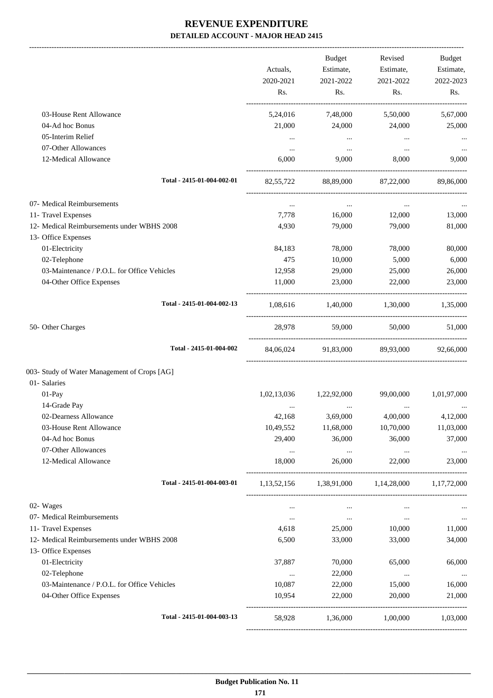|                                              | Actuals,<br>2020-2021<br>Rs. | <b>Budget</b><br>Estimate,<br>2021-2022<br>Rs. | Revised<br>Estimate,<br>2021-2022<br>Rs. | Budget<br>Estimate,<br>2022-2023<br>Rs. |
|----------------------------------------------|------------------------------|------------------------------------------------|------------------------------------------|-----------------------------------------|
| 03-House Rent Allowance                      | 5,24,016                     | 7,48,000                                       | 5,50,000                                 | 5,67,000                                |
| 04-Ad hoc Bonus                              | 21,000                       | 24,000                                         | 24,000                                   | 25,000                                  |
| 05-Interim Relief                            | $\cdots$                     | $\cdots$                                       | $\cdots$                                 |                                         |
| 07-Other Allowances                          | $\cdots$                     | $\cdots$                                       | $\ddotsc$                                | $\ddotsc$                               |
| 12-Medical Allowance                         | 6,000                        | 9,000                                          | 8,000                                    | 9,000                                   |
| Total - 2415-01-004-002-01                   | 82,55,722                    | 88,89,000                                      | 87,22,000                                | 89,86,000                               |
| 07- Medical Reimbursements                   | $\ldots$                     | $\cdots$                                       | $\cdots$                                 |                                         |
| 11- Travel Expenses                          | 7,778                        | 16,000                                         | 12,000                                   | 13,000                                  |
| 12- Medical Reimbursements under WBHS 2008   | 4,930                        | 79,000                                         | 79,000                                   | 81,000                                  |
| 13- Office Expenses<br>01-Electricity        | 84,183                       | 78,000                                         | 78,000                                   | 80,000                                  |
| 02-Telephone                                 | 475                          | 10,000                                         | 5,000                                    | 6,000                                   |
| 03-Maintenance / P.O.L. for Office Vehicles  | 12,958                       | 29,000                                         | 25,000                                   | 26,000                                  |
| 04-Other Office Expenses                     | 11,000                       | 23,000                                         | 22,000                                   | 23,000                                  |
| Total - 2415-01-004-002-13                   | 1,08,616                     | 1,40,000 1,30,000                              |                                          | 1,35,000                                |
| 50- Other Charges                            |                              | 28,978 59,000                                  | 50.000                                   | 51,000                                  |
| Total - 2415-01-004-002                      |                              | 84,06,024 91,83,000 89,93,000                  |                                          | 92,66,000                               |
| 003- Study of Water Management of Crops [AG] |                              |                                                |                                          |                                         |
| 01- Salaries                                 |                              |                                                |                                          |                                         |
| 01-Pay                                       | 1,02,13,036                  | 1,22,92,000                                    | 99,00,000                                | 1,01,97,000                             |
| 14-Grade Pay                                 | $\cdots$                     |                                                |                                          |                                         |
| 02-Dearness Allowance                        | 42,168                       | 3,69,000                                       | 4,00,000                                 | 4,12,000                                |
| 03-House Rent Allowance<br>04-Ad hoc Bonus   | 10,49,552                    | 11,68,000                                      | 10,70,000                                | 11,03,000                               |
| 07-Other Allowances                          | 29,400                       | 36,000                                         | 36,000                                   | 37,000                                  |
| 12-Medical Allowance                         | $\cdots$<br>18,000           | $\cdots$<br>26,000                             | $\cdots$<br>22,000                       | $\cdots$<br>23,000                      |
| Total - 2415-01-004-003-01                   | 1,13,52,156                  | 1,38,91,000 1,14,28,000 1,17,72,000            |                                          |                                         |
| 02- Wages                                    | $\cdots$                     | $\ldots$                                       | $\cdots$                                 |                                         |
| 07- Medical Reimbursements                   | $\cdots$                     | $\cdots$                                       | $\ldots$                                 | $\cdots$                                |
| 11- Travel Expenses                          | 4,618                        | 25,000                                         | 10,000                                   | 11,000                                  |
| 12- Medical Reimbursements under WBHS 2008   | 6,500                        | 33,000                                         | 33,000                                   | 34,000                                  |
| 13- Office Expenses                          |                              |                                                |                                          |                                         |
| 01-Electricity                               | 37,887                       | 70,000                                         | 65,000                                   | 66,000                                  |
| 02-Telephone                                 | $\ldots$                     | 22,000                                         | $\cdots$                                 | $\cdots$                                |
| 03-Maintenance / P.O.L. for Office Vehicles  | 10,087                       | 22,000                                         | 15,000                                   | 16,000                                  |
| 04-Other Office Expenses                     | 10,954                       | 22,000                                         | 20,000                                   | 21,000                                  |
| Total - 2415-01-004-003-13                   | 58,928                       | 1,36,000                                       | 1,00,000                                 | 1,03,000                                |
|                                              |                              |                                                |                                          |                                         |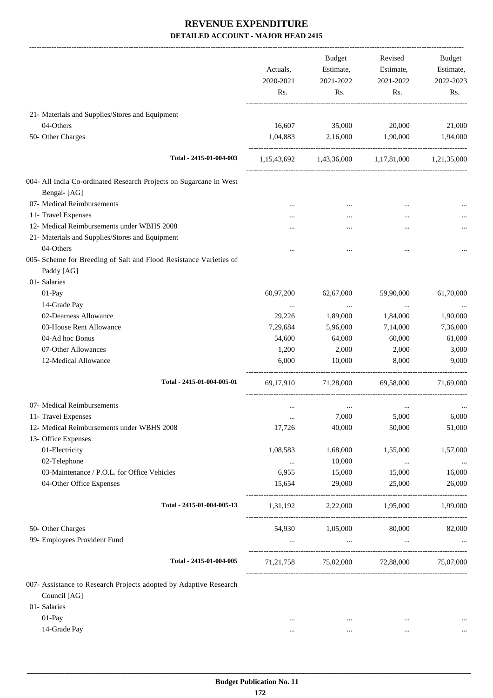|                                                                                  | Actuals,<br>2020-2021<br>Rs. | <b>Budget</b><br>Estimate,<br>2021-2022<br>Rs. | Revised<br>Estimate,<br>2021-2022<br>Rs.        | <b>Budget</b><br>Estimate,<br>2022-2023<br>Rs. |
|----------------------------------------------------------------------------------|------------------------------|------------------------------------------------|-------------------------------------------------|------------------------------------------------|
| 21- Materials and Supplies/Stores and Equipment                                  |                              |                                                |                                                 |                                                |
| 04-Others                                                                        | 16,607                       | 35,000                                         | 20,000                                          | 21,000                                         |
| 50- Other Charges                                                                | 1,04,883                     | 2,16,000                                       | 1,90,000                                        | 1,94,000                                       |
| Total - 2415-01-004-003                                                          |                              |                                                | 1,15,43,692 1,43,36,000 1,17,81,000 1,21,35,000 |                                                |
| 004- All India Co-ordinated Research Projects on Sugarcane in West               |                              |                                                |                                                 |                                                |
| Bengal-[AG]                                                                      |                              |                                                |                                                 |                                                |
| 07- Medical Reimbursements                                                       |                              |                                                |                                                 |                                                |
| 11- Travel Expenses                                                              |                              |                                                |                                                 |                                                |
| 12- Medical Reimbursements under WBHS 2008                                       |                              |                                                |                                                 |                                                |
| 21- Materials and Supplies/Stores and Equipment                                  |                              |                                                |                                                 |                                                |
| 04-Others                                                                        |                              |                                                |                                                 |                                                |
| 005- Scheme for Breeding of Salt and Flood Resistance Varieties of<br>Paddy [AG] |                              |                                                |                                                 |                                                |
| 01- Salaries                                                                     |                              |                                                |                                                 |                                                |
| 01-Pay                                                                           | 60,97,200                    | 62,67,000                                      | 59,90,000                                       | 61,70,000                                      |
| 14-Grade Pay                                                                     | $\cdots$                     | $\ldots$                                       | $\cdots$                                        |                                                |
| 02-Dearness Allowance                                                            | 29,226                       | 1,89,000                                       | 1,84,000                                        | 1,90,000                                       |
| 03-House Rent Allowance                                                          | 7,29,684                     | 5,96,000                                       | 7,14,000                                        | 7,36,000                                       |
| 04-Ad hoc Bonus                                                                  | 54,600                       | 64,000                                         | 60,000                                          | 61,000                                         |
| 07-Other Allowances                                                              | 1,200                        | 2,000                                          | 2,000                                           | 3,000                                          |
| 12-Medical Allowance                                                             | 6,000                        | 10,000                                         | 8,000                                           | 9,000                                          |
| Total - 2415-01-004-005-01                                                       | 69,17,910                    | 71,28,000                                      | 69,58,000                                       | 71,69,000                                      |
| 07- Medical Reimbursements                                                       | $\cdots$                     | $\cdots$                                       |                                                 |                                                |
| 11- Travel Expenses                                                              |                              | 7,000                                          | 5,000                                           | 6,000                                          |
| 12- Medical Reimbursements under WBHS 2008                                       | 17,726                       | 40,000                                         | 50,000                                          | 51,000                                         |
| 13- Office Expenses                                                              |                              |                                                |                                                 |                                                |
| 01-Electricity                                                                   | 1,08,583                     | 1,68,000                                       | 1,55,000                                        | 1,57,000                                       |
| 02-Telephone                                                                     | $\cdots$                     | 10,000                                         | $\cdots$                                        |                                                |
| 03-Maintenance / P.O.L. for Office Vehicles                                      | 6,955                        | 15,000                                         | 15,000                                          | 16,000                                         |
| 04-Other Office Expenses                                                         | 15,654                       | 29,000                                         | 25,000                                          | 26,000                                         |
| Total - 2415-01-004-005-13                                                       | 1,31,192                     | 2,22,000                                       | 1,95,000                                        | 1,99,000                                       |
| 50- Other Charges                                                                | 54,930                       | 1,05,000                                       | 80,000                                          | 82,000                                         |
| 99- Employees Provident Fund                                                     | $\cdots$                     | $\sim$                                         | $\cdots$                                        |                                                |
|                                                                                  |                              |                                                |                                                 |                                                |
| Total - 2415-01-004-005                                                          |                              |                                                | 71,21,758 75,02,000 72,88,000 75,07,000         |                                                |
| 007- Assistance to Research Projects adopted by Adaptive Research                |                              |                                                |                                                 |                                                |
| Council [AG]                                                                     |                              |                                                |                                                 |                                                |
| 01- Salaries                                                                     |                              |                                                |                                                 |                                                |
| 01-Pay                                                                           | $\ddotsc$                    | $\cdots$                                       | $\ddotsc$                                       |                                                |
| 14-Grade Pay                                                                     | $\cdots$                     | $\cdots$                                       | $\cdots$                                        |                                                |
|                                                                                  |                              |                                                |                                                 |                                                |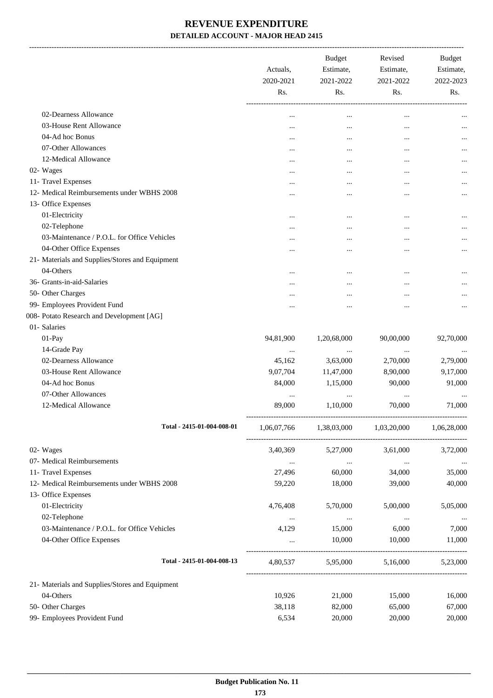-------------------------------------------------------------------------------------------------------------------------------------------------------------------------------

|                                                 | Actuals,<br>2020-2021<br>Rs. | <b>Budget</b><br>Estimate,<br>2021-2022<br>Rs. | Revised<br>Estimate,<br>2021-2022<br>Rs. | <b>Budget</b><br>Estimate,<br>2022-2023<br>Rs. |
|-------------------------------------------------|------------------------------|------------------------------------------------|------------------------------------------|------------------------------------------------|
| 02-Dearness Allowance                           |                              |                                                |                                          |                                                |
| 03-House Rent Allowance                         | $\cdots$                     |                                                |                                          |                                                |
| 04-Ad hoc Bonus                                 | $\cdots$                     |                                                |                                          |                                                |
| 07-Other Allowances                             |                              |                                                |                                          |                                                |
| 12-Medical Allowance                            |                              | $\cdots$                                       |                                          |                                                |
| 02- Wages                                       | $\cdots$                     | $\cdots$                                       |                                          |                                                |
| 11- Travel Expenses                             | $\cdots$                     | $\cdots$                                       | $\cdots$                                 |                                                |
| 12- Medical Reimbursements under WBHS 2008      | $\cdots$                     | $\cdots$                                       |                                          |                                                |
| 13- Office Expenses                             |                              |                                                |                                          |                                                |
| 01-Electricity                                  |                              |                                                |                                          |                                                |
| 02-Telephone                                    |                              |                                                |                                          |                                                |
| 03-Maintenance / P.O.L. for Office Vehicles     | $\cdots$                     |                                                |                                          |                                                |
| 04-Other Office Expenses                        |                              | $\cdots$                                       | $\ddotsc$                                |                                                |
| 21- Materials and Supplies/Stores and Equipment |                              |                                                |                                          |                                                |
| 04-Others                                       | $\cdots$                     | $\cdots$                                       | $\cdots$                                 |                                                |
| 36- Grants-in-aid-Salaries                      | $\cdots$                     |                                                | $\cdots$                                 |                                                |
| 50- Other Charges                               | $\cdots$                     |                                                |                                          |                                                |
| 99- Employees Provident Fund                    |                              |                                                |                                          |                                                |
| 008- Potato Research and Development [AG]       |                              |                                                |                                          |                                                |
| 01- Salaries                                    |                              |                                                |                                          |                                                |
| 01-Pay                                          | 94,81,900                    | 1,20,68,000                                    | 90,00,000                                | 92,70,000                                      |
| 14-Grade Pay                                    |                              |                                                | $\cdots$                                 |                                                |
| 02-Dearness Allowance                           | 45,162                       | 3,63,000                                       | 2,70,000                                 | 2,79,000                                       |
| 03-House Rent Allowance                         | 9,07,704                     | 11,47,000                                      | 8,90,000                                 | 9,17,000                                       |
| 04-Ad hoc Bonus                                 | 84,000                       | 1,15,000                                       | 90,000                                   | 91,000                                         |
| 07-Other Allowances                             | $\cdots$                     | $\cdots$                                       | $\cdots$                                 |                                                |
| 12-Medical Allowance                            | 89,000                       | 1,10,000                                       | 70,000                                   | 71,000                                         |
| Total - 2415-01-004-008-01                      | 1,06,07,766                  | 1,38,03,000                                    | 1,03,20,000                              | 1,06,28,000                                    |
| 02- Wages                                       | 3,40,369                     | 5,27,000                                       | 3,61,000                                 | 3,72,000                                       |
| 07- Medical Reimbursements                      | $\ldots$                     | $\ldots$                                       | $\ldots$                                 | $\cdots$                                       |
| 11- Travel Expenses                             | 27,496                       | 60,000                                         | 34,000                                   | 35,000                                         |
| 12- Medical Reimbursements under WBHS 2008      | 59,220                       | 18,000                                         | 39,000                                   | 40,000                                         |
| 13- Office Expenses                             |                              |                                                |                                          |                                                |
| 01-Electricity                                  | 4,76,408                     | 5,70,000                                       | 5,00,000                                 | 5,05,000                                       |
| 02-Telephone                                    | $\cdots$                     | $\cdots$                                       | $\cdots$                                 |                                                |
| 03-Maintenance / P.O.L. for Office Vehicles     | 4,129                        | 15,000                                         | 6,000                                    | 7,000                                          |
| 04-Other Office Expenses                        |                              | 10,000                                         | 10,000                                   | 11,000                                         |
| Total - 2415-01-004-008-13                      | 4,80,537                     | 5,95,000                                       | 5,16,000                                 | 5,23,000                                       |
| 21- Materials and Supplies/Stores and Equipment |                              |                                                |                                          |                                                |
| 04-Others                                       | 10,926                       | 21,000                                         | 15,000                                   | 16,000                                         |
| 50- Other Charges                               | 38,118                       | 82,000                                         | 65,000                                   | 67,000                                         |
| 99- Employees Provident Fund                    | 6,534                        | 20,000                                         | 20,000                                   | 20,000                                         |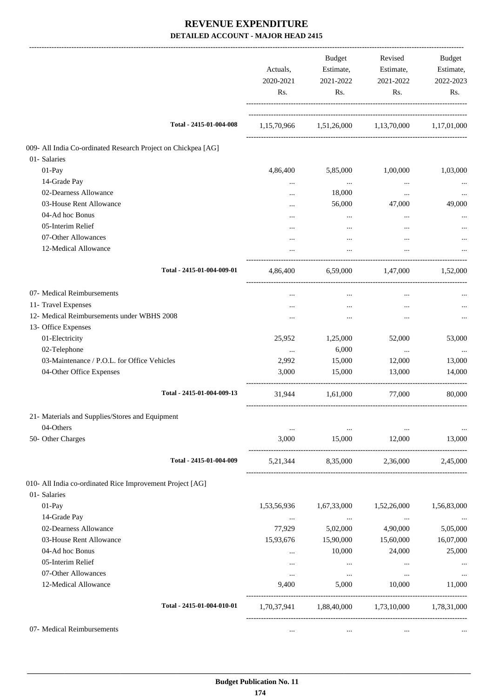|                                                               | Actuals,<br>2020-2021<br>Rs. | Budget<br>Estimate,<br>2021-2022<br>Rs. | Revised<br>Estimate,<br>2021-2022<br>Rs.        | Budget<br>Estimate,<br>2022-2023<br>Rs. |
|---------------------------------------------------------------|------------------------------|-----------------------------------------|-------------------------------------------------|-----------------------------------------|
| Total - 2415-01-004-008                                       |                              |                                         | 1,15,70,966 1,51,26,000 1,13,70,000 1,17,01,000 |                                         |
| 009- All India Co-ordinated Research Project on Chickpea [AG] |                              |                                         |                                                 |                                         |
| 01- Salaries                                                  |                              |                                         |                                                 |                                         |
| $01-Pay$                                                      | 4,86,400                     | 5,85,000                                | 1,00,000                                        | 1,03,000                                |
| 14-Grade Pay                                                  | $\ldots$                     | $\cdots$                                | $\cdots$                                        |                                         |
| 02-Dearness Allowance                                         | $\cdots$                     | 18,000                                  | $\cdots$                                        |                                         |
| 03-House Rent Allowance                                       | $\cdots$                     | 56,000                                  | 47,000                                          | 49,000                                  |
| 04-Ad hoc Bonus                                               |                              | $\cdots$                                |                                                 |                                         |
| 05-Interim Relief                                             |                              | $\cdots$                                | $\cdots$                                        |                                         |
| 07-Other Allowances                                           |                              | $\cdots$                                |                                                 |                                         |
| 12-Medical Allowance                                          |                              | $\cdots$                                |                                                 |                                         |
| Total - 2415-01-004-009-01                                    |                              |                                         | 4,86,400 6,59,000 1,47,000 1,52,000             |                                         |
| 07- Medical Reimbursements                                    | $\cdots$                     | $\cdots$                                | $\cdots$                                        |                                         |
| 11- Travel Expenses                                           | $\cdots$                     | $\cdots$                                | $\cdots$                                        |                                         |
| 12- Medical Reimbursements under WBHS 2008                    | $\cdots$                     | $\cdots$                                | $\cdots$                                        |                                         |
| 13- Office Expenses                                           |                              |                                         |                                                 |                                         |
| 01-Electricity                                                | 25,952                       | 1,25,000                                | 52,000                                          | 53,000                                  |
| 02-Telephone                                                  | $\cdots$                     | 6,000                                   | $\ddots$                                        | $\cdots$                                |
| 03-Maintenance / P.O.L. for Office Vehicles                   | 2,992                        | 15,000                                  | 12,000                                          | 13,000                                  |
| 04-Other Office Expenses                                      | 3,000                        | 15,000                                  | 13,000                                          | 14,000                                  |
| Total - 2415-01-004-009-13                                    | 31,944                       | 1,61,000                                | 77,000                                          | 80,000                                  |
| 21- Materials and Supplies/Stores and Equipment               |                              |                                         |                                                 |                                         |
| 04-Others                                                     | $\cdots$                     |                                         |                                                 |                                         |
| 50- Other Charges                                             | 3,000                        | 15,000                                  | 12,000                                          | 13,000                                  |
| Total - 2415-01-004-009                                       |                              |                                         | 5,21,344 8,35,000 2,36,000                      | 2,45,000                                |
| 010- All India co-ordinated Rice Improvement Project [AG]     |                              |                                         |                                                 |                                         |
| 01- Salaries                                                  |                              |                                         |                                                 |                                         |
| 01-Pay                                                        | 1,53,56,936                  | 1,67,33,000                             | 1,52,26,000                                     | 1,56,83,000                             |
| 14-Grade Pay                                                  | $\cdots$                     | $\cdots$                                | $\cdots$                                        | $\cdots$                                |
| 02-Dearness Allowance                                         | 77,929                       | 5,02,000                                | 4,90,000                                        | 5,05,000                                |
| 03-House Rent Allowance                                       | 15,93,676                    | 15,90,000                               | 15,60,000                                       | 16,07,000                               |
| 04-Ad hoc Bonus                                               | $\cdots$                     | 10,000                                  | 24,000                                          | 25,000                                  |
| 05-Interim Relief                                             | $\cdots$                     | $\cdots$                                | $\ldots$                                        | $\cdots$                                |
| 07-Other Allowances                                           | $\cdots$                     | $\cdots$                                | $\cdots$                                        | $\cdots$                                |
| 12-Medical Allowance                                          | 9,400                        | 5,000                                   | 10,000                                          | 11,000                                  |
| Total - 2415-01-004-010-01                                    | 1,70,37,941                  |                                         | 1,88,40,000 1,73,10,000 1,78,31,000             |                                         |
| 07- Medical Reimbursements                                    | $\cdots$                     | $\cdots$                                | $\ldots$                                        |                                         |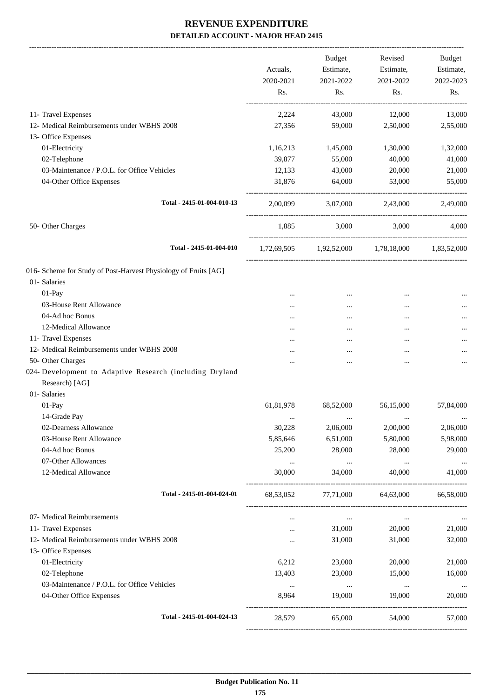-------------------------------------------------------------------------------------------------------------------------------------------------------------------------------

|                                                                 | Actuals,<br>2020-2021<br>Rs. | <b>Budget</b><br>Estimate,<br>2021-2022<br>Rs. | Revised<br>Estimate,<br>2021-2022<br>Rs.        | <b>Budget</b><br>Estimate,<br>2022-2023<br>Rs. |
|-----------------------------------------------------------------|------------------------------|------------------------------------------------|-------------------------------------------------|------------------------------------------------|
|                                                                 |                              |                                                |                                                 |                                                |
| 11- Travel Expenses                                             | 2,224                        | 43,000                                         | 12,000                                          | 13,000                                         |
| 12- Medical Reimbursements under WBHS 2008                      | 27,356                       | 59,000                                         | 2,50,000                                        | 2,55,000                                       |
| 13- Office Expenses                                             |                              |                                                |                                                 |                                                |
| 01-Electricity                                                  | 1,16,213                     | 1,45,000                                       | 1,30,000                                        | 1,32,000                                       |
| 02-Telephone                                                    | 39,877                       | 55,000                                         | 40,000                                          | 41,000                                         |
| 03-Maintenance / P.O.L. for Office Vehicles                     | 12,133                       | 43,000                                         | 20,000                                          | 21,000                                         |
| 04-Other Office Expenses                                        | 31,876                       | 64,000                                         | 53,000                                          | 55,000                                         |
| Total - 2415-01-004-010-13                                      | 2,00,099                     |                                                | 3,07,000 2,43,000                               | 2,49,000                                       |
| 50- Other Charges                                               | 1,885                        | 3,000                                          | 3,000                                           | 4,000                                          |
| Total - 2415-01-004-010                                         |                              |                                                | 1,72,69,505 1,92,52,000 1,78,18,000 1,83,52,000 |                                                |
| 016- Scheme for Study of Post-Harvest Physiology of Fruits [AG] |                              |                                                |                                                 |                                                |
| 01- Salaries                                                    |                              |                                                |                                                 |                                                |
| $01-Pay$                                                        |                              | $\cdots$                                       | $\cdots$                                        |                                                |
| 03-House Rent Allowance                                         | .                            | $\cdots$                                       |                                                 |                                                |
| 04-Ad hoc Bonus                                                 |                              | $\cdots$                                       | $\ddotsc$                                       | $\cdots$                                       |
| 12-Medical Allowance                                            |                              | $\cdots$                                       |                                                 | $\cdots$                                       |
| 11- Travel Expenses                                             | .                            |                                                |                                                 | $\cdots$                                       |
| 12- Medical Reimbursements under WBHS 2008                      |                              |                                                |                                                 |                                                |
| 50- Other Charges                                               |                              |                                                |                                                 | $\cdots$                                       |
| 024- Development to Adaptive Research (including Dryland        |                              |                                                |                                                 |                                                |
| Research) [AG]                                                  |                              |                                                |                                                 |                                                |
| 01-Salaries                                                     |                              |                                                |                                                 |                                                |
| 01-Pay                                                          | 61,81,978                    | 68,52,000                                      | 56,15,000                                       | 57,84,000                                      |
| 14-Grade Pay                                                    | $\ddotsc$                    | $\cdots$                                       | $\ddotsc$                                       |                                                |
| 02-Dearness Allowance                                           | 30,228                       | 2,06,000                                       | 2,00,000                                        | 2,06,000                                       |
| 03-House Rent Allowance                                         | 5,85,646                     | 6,51,000                                       | 5,80,000                                        | 5,98,000                                       |
| 04-Ad hoc Bonus                                                 | 25,200                       | 28,000                                         | 28,000                                          | 29,000                                         |
| 07-Other Allowances                                             | $\cdots$                     | $\ldots$                                       | $\cdots$                                        | $\cdots$                                       |
| 12-Medical Allowance                                            | 30,000                       | 34,000                                         | 40,000                                          | 41,000                                         |
| Total - 2415-01-004-024-01                                      | 68,53,052                    | 77,71,000                                      | 64,63,000                                       | 66,58,000                                      |
| 07- Medical Reimbursements                                      | $\cdots$                     | $\ldots$                                       | $\cdots$                                        |                                                |
| 11- Travel Expenses                                             | $\cdots$                     | 31,000                                         | 20,000                                          | 21,000                                         |
| 12- Medical Reimbursements under WBHS 2008                      |                              | 31,000                                         | 31,000                                          | 32,000                                         |
| 13- Office Expenses                                             |                              |                                                |                                                 |                                                |
| 01-Electricity                                                  | 6,212                        | 23,000                                         | 20,000                                          | 21,000                                         |
| 02-Telephone                                                    | 13,403                       | 23,000                                         | 15,000                                          | 16,000                                         |
| 03-Maintenance / P.O.L. for Office Vehicles                     | $\cdots$                     | $\cdots$                                       | $\cdots$                                        | $\ldots$                                       |
| 04-Other Office Expenses                                        | 8,964                        | 19,000                                         | 19,000                                          | 20,000                                         |
| Total - 2415-01-004-024-13                                      | 28,579                       | 65,000                                         | 54,000                                          | 57,000                                         |
|                                                                 |                              |                                                |                                                 |                                                |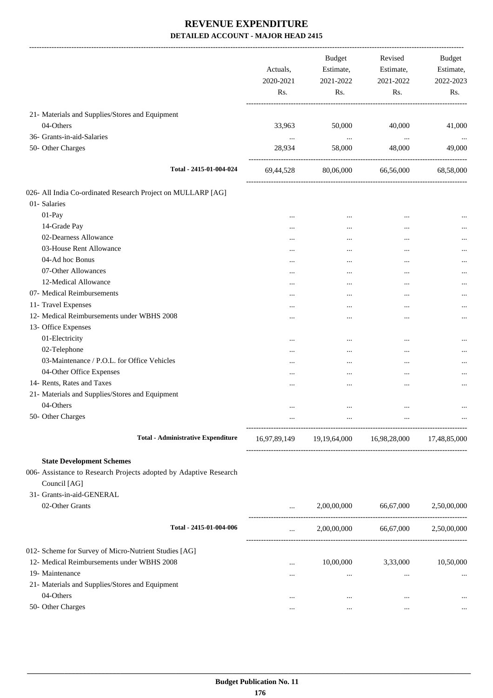|                                                                   | Actuals,<br>2020-2021<br>Rs. | <b>Budget</b><br>Estimate,<br>2021-2022<br>Rs. | Revised<br>Estimate,<br>2021-2022<br>Rs.            | Budget<br>Estimate,<br>2022-2023<br>Rs. |
|-------------------------------------------------------------------|------------------------------|------------------------------------------------|-----------------------------------------------------|-----------------------------------------|
| 21- Materials and Supplies/Stores and Equipment                   |                              |                                                |                                                     |                                         |
| 04-Others                                                         | 33,963                       | 50,000                                         | 40,000                                              | 41,000                                  |
| 36- Grants-in-aid-Salaries                                        | $\ddots$                     | $\cdots$                                       | $\ldots$                                            | $\cdots$                                |
| 50- Other Charges                                                 | 28,934                       | 58,000<br>------------------------------------ | 48,000                                              | 49,000                                  |
| Total - 2415-01-004-024                                           | 69,44,528                    | 80,06,000                                      | 66,56,000                                           | 68,58,000                               |
| 026- All India Co-ordinated Research Project on MULLARP [AG]      |                              |                                                |                                                     |                                         |
| 01- Salaries                                                      |                              |                                                |                                                     |                                         |
| 01-Pay                                                            | $\ddotsc$                    | $\cdots$                                       |                                                     |                                         |
| 14-Grade Pay                                                      | $\cdots$                     | $\cdots$                                       |                                                     |                                         |
| 02-Dearness Allowance                                             | $\cdots$                     | $\cdots$                                       | $\cdots$                                            |                                         |
| 03-House Rent Allowance                                           | $\cdots$                     | $\cdots$                                       |                                                     |                                         |
| 04-Ad hoc Bonus                                                   | $\ddotsc$                    | $\cdots$                                       |                                                     |                                         |
| 07-Other Allowances                                               | $\cdots$                     |                                                | $\ddotsc$                                           |                                         |
| 12-Medical Allowance                                              | $\cdots$                     |                                                | $\ddotsc$                                           |                                         |
| 07- Medical Reimbursements                                        | $\cdots$                     | $\cdots$                                       | $\ddotsc$                                           |                                         |
| 11- Travel Expenses                                               | $\cdots$                     | $\cdots$                                       | $\cdots$                                            |                                         |
| 12- Medical Reimbursements under WBHS 2008                        | $\cdots$                     |                                                | $\ddotsc$                                           |                                         |
| 13- Office Expenses                                               |                              |                                                |                                                     |                                         |
| 01-Electricity                                                    | $\ddotsc$                    | $\cdots$                                       |                                                     |                                         |
| 02-Telephone                                                      | $\cdots$                     | $\cdots$                                       | $\ddotsc$                                           |                                         |
| 03-Maintenance / P.O.L. for Office Vehicles                       | $\cdots$                     |                                                | $\ddotsc$                                           |                                         |
| 04-Other Office Expenses                                          | $\cdots$                     | $\cdots$                                       | $\ddotsc$                                           |                                         |
| 14- Rents, Rates and Taxes                                        | $\cdots$                     | $\cdots$                                       | $\ddotsc$                                           |                                         |
| 21- Materials and Supplies/Stores and Equipment                   |                              |                                                |                                                     |                                         |
| 04-Others                                                         | $\ddotsc$                    | $\cdots$                                       | $\cdots$                                            |                                         |
| 50- Other Charges                                                 |                              |                                                |                                                     |                                         |
| <b>Total - Administrative Expenditure</b>                         |                              |                                                | 16,97,89,149 19,19,64,000 16,98,28,000 17,48,85,000 |                                         |
|                                                                   |                              |                                                |                                                     |                                         |
| <b>State Development Schemes</b>                                  |                              |                                                |                                                     |                                         |
| 006- Assistance to Research Projects adopted by Adaptive Research |                              |                                                |                                                     |                                         |
| Council [AG]                                                      |                              |                                                |                                                     |                                         |
| 31- Grants-in-aid-GENERAL                                         |                              |                                                |                                                     |                                         |
| 02-Other Grants                                                   | $\cdots$                     | 2,00,00,000                                    | 66,67,000                                           | 2,50,00,000                             |
| Total - 2415-01-004-006                                           | $\cdots$                     | 2,00,00,000                                    | 66,67,000                                           | 2,50,00,000                             |
| 012- Scheme for Survey of Micro-Nutrient Studies [AG]             |                              |                                                |                                                     |                                         |
| 12- Medical Reimbursements under WBHS 2008                        | $\cdots$                     |                                                | 10,00,000 3,33,000                                  | 10,50,000                               |
| 19- Maintenance                                                   | $\cdots$                     | $\cdots$                                       | $\cdots$                                            | $\cdots$                                |
| 21- Materials and Supplies/Stores and Equipment                   |                              |                                                |                                                     |                                         |
| 04-Others                                                         | $\cdots$                     | $\cdots$                                       | $\cdots$                                            |                                         |
| 50- Other Charges                                                 | $\cdots$                     | $\cdots$                                       | $\cdots$                                            | $\cdots$                                |
|                                                                   |                              |                                                |                                                     |                                         |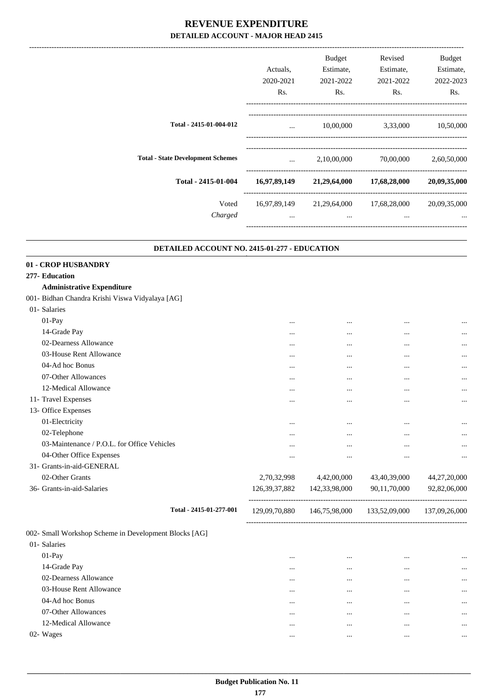|                                          | Actuals.<br>2020-2021    | <b>Budget</b><br>Estimate,<br>2021-2022 | Revised<br>Estimate,<br>2021-2022 | Budget<br>Estimate,<br>2022-2023 |
|------------------------------------------|--------------------------|-----------------------------------------|-----------------------------------|----------------------------------|
|                                          | Rs.                      | Rs.                                     | Rs.                               | Rs.                              |
| Total - 2415-01-004-012                  | $\cdots$                 | 10,00,000                               | 3,33,000                          | 10,50,000                        |
| <b>Total - State Development Schemes</b> | $\cdots$                 | 2,10,00,000                             | 70,00,000                         | 2,60,50,000                      |
| Total - 2415-01-004                      | 16,97,89,149             | 21,29,64,000                            | 17,68,28,000                      | 20,09,35,000                     |
| Voted<br>Charged                         | 16,97,89,149<br>$\cdots$ | 21,29,64,000<br>$\cdots$                | 17,68,28,000<br>$\cdots$          | 20,09,35,000<br>$\cdots$         |
|                                          |                          |                                         |                                   |                                  |

#### **DETAILED ACCOUNT NO. 2415-01-277 - EDUCATION .**

#### **01 - CROP HUSBANDRY 277- Education**

#### **Administrative Expenditure**

#### 001- Bidhan Chandra Krishi Viswa Vidyalaya [AG]

| 01- Salaries                                |                  |               |              |              |
|---------------------------------------------|------------------|---------------|--------------|--------------|
| $01-Pay$                                    | $\cdots$         | $\cdots$      | $\cdots$     | $\cdots$     |
| 14-Grade Pay                                | $\cdots$         | $\cdots$      | $\cdots$     | $\cdots$     |
| 02-Dearness Allowance                       | $\cdots$         | $\cdots$      | $\cdots$     | $\cdots$     |
| 03-House Rent Allowance                     | $\cdots$         | $\cdots$      | $\cdots$     | $\cdots$     |
| 04-Ad hoc Bonus                             | $\cdots$         | $\cdots$      | $\cdots$     | $\cdots$     |
| 07-Other Allowances                         | $\cdots$         | $\cdots$      | $\cdots$     | $\cdots$     |
| 12-Medical Allowance                        | $\cdots$         | $\cdots$      | $\cdots$     | $\cdots$     |
| 11- Travel Expenses                         | $\cdots$         | $\cdots$      | $\cdots$     | $\cdots$     |
| 13- Office Expenses                         |                  |               |              |              |
| 01-Electricity                              | $\cdots$         | $\cdots$      | $\cdots$     | $\cdots$     |
| 02-Telephone                                | $\cdots$         | $\cdots$      | $\cdots$     | $\cdots$     |
| 03-Maintenance / P.O.L. for Office Vehicles | $\cdots$         | $\cdots$      | $\cdots$     | $\cdots$     |
| 04-Other Office Expenses                    | $\cdots$         | $\cdots$      |              | $\cdots$     |
| 31- Grants-in-aid-GENERAL                   |                  |               |              |              |
| 02-Other Grants                             | 2,70,32,998      | 4,42,00,000   | 43,40,39,000 | 44,27,20,000 |
| 36- Grants-in-aid-Salaries                  | 126, 39, 37, 882 | 142,33,98,000 | 90,11,70,000 | 92,82,06,000 |
|                                             |                  |               |              |              |

002- Small Workshop Scheme in Development Blocks [AG]

| 002- Small Workshop Scheme in Development Blocks [AG] |          |      |           |
|-------------------------------------------------------|----------|------|-----------|
| 01- Salaries                                          |          |      |           |
| $01-Pay$                                              | $\cdots$ | <br> | $\ddotsc$ |
| 14-Grade Pay                                          | $\cdots$ | <br> | $\ddotsc$ |
| 02-Dearness Allowance                                 | $\cdots$ | <br> | $\ddotsc$ |
| 03-House Rent Allowance                               | $\cdots$ | <br> | $\ddotsc$ |
| 04-Ad hoc Bonus                                       | $\cdots$ | <br> | $\ddotsc$ |
| 07-Other Allowances                                   | $\cdots$ | <br> | $\ddotsc$ |
| 12-Medical Allowance                                  | $\cdots$ | <br> | $\ddotsc$ |
| 02- Wages                                             |          | <br> | $\cdots$  |

**Total - 2415-01-277-001** 129,09,70,880 146,75,98,000 133,52,09,000 137,09,26,000

-----------------------------------------------------------------------------------------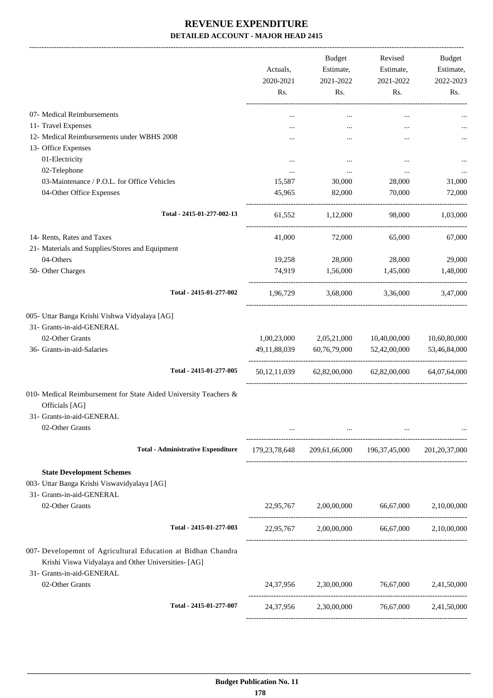|                                                                                                                                                  | Actuals,<br>2020-2021<br>Rs. | <b>Budget</b><br>Estimate,<br>2021-2022<br>Rs.                      | Revised<br>Estimate,<br>2021-2022<br>Rs. | Budget<br>Estimate,<br>2022-2023<br>Rs. |
|--------------------------------------------------------------------------------------------------------------------------------------------------|------------------------------|---------------------------------------------------------------------|------------------------------------------|-----------------------------------------|
| 07- Medical Reimbursements                                                                                                                       |                              | $\cdots$                                                            | $\cdots$                                 |                                         |
| 11- Travel Expenses                                                                                                                              |                              |                                                                     |                                          |                                         |
| 12- Medical Reimbursements under WBHS 2008                                                                                                       |                              |                                                                     |                                          |                                         |
| 13- Office Expenses                                                                                                                              |                              |                                                                     |                                          |                                         |
| 01-Electricity                                                                                                                                   |                              |                                                                     |                                          |                                         |
| 02-Telephone                                                                                                                                     | $\cdots$                     | $\cdots$                                                            | $\ddotsc$                                |                                         |
| 03-Maintenance / P.O.L. for Office Vehicles                                                                                                      | 15,587                       | 30,000                                                              | 28,000                                   | 31,000                                  |
| 04-Other Office Expenses                                                                                                                         | 45,965                       | 82,000                                                              | 70,000                                   | 72,000                                  |
| Total - 2415-01-277-002-13                                                                                                                       | 61,552                       | 1,12,000                                                            | 98,000                                   | 1,03,000                                |
| 14- Rents, Rates and Taxes                                                                                                                       | 41,000                       | 72,000                                                              | 65,000                                   | 67,000                                  |
| 21- Materials and Supplies/Stores and Equipment                                                                                                  |                              |                                                                     |                                          |                                         |
| 04-Others                                                                                                                                        | 19,258                       | 28,000                                                              | 28,000                                   | 29,000                                  |
| 50- Other Charges                                                                                                                                | 74,919                       | 1,56,000                                                            | 1,45,000                                 | 1,48,000                                |
| Total - 2415-01-277-002                                                                                                                          | 1,96,729                     | 3,68,000                                                            | 3,36,000                                 | 3,47,000                                |
| 005- Uttar Banga Krishi Vishwa Vidyalaya [AG]<br>31- Grants-in-aid-GENERAL<br>02-Other Grants<br>36- Grants-in-aid-Salaries                      | 1,00,23,000<br>49,11,88,039  | 2,05,21,000<br>60,76,79,000                                         | 10,40,00,000<br>52,42,00,000             | 10,60,80,000<br>53,46,84,000            |
| Total - 2415-01-277-005                                                                                                                          | 50, 12, 11, 039              | 62,82,00,000                                                        | 62,82,00,000                             | 64,07,64,000                            |
| 010- Medical Reimbursement for State Aided University Teachers &<br>Officials [AG]<br>31- Grants-in-aid-GENERAL<br>02-Other Grants               |                              | $\cdots$                                                            |                                          |                                         |
| <b>Total - Administrative Expenditure</b>                                                                                                        |                              | 179, 23, 78, 648 209, 61, 66, 000 196, 37, 45, 000 201, 20, 37, 000 |                                          |                                         |
| <b>State Development Schemes</b><br>003- Uttar Banga Krishi Viswavidyalaya [AG]<br>31- Grants-in-aid-GENERAL<br>02-Other Grants                  |                              | 22,95,767 2,00,00,000 66,67,000 2,10,00,000                         |                                          |                                         |
| Total - 2415-01-277-003                                                                                                                          | 22,95,767                    |                                                                     | 2,00,00,000 66,67,000 2,10,00,000        |                                         |
| 007- Developemnt of Agricultural Education at Bidhan Chandra<br>Krishi Viswa Vidyalaya and Other Universities- [AG]<br>31- Grants-in-aid-GENERAL |                              |                                                                     |                                          |                                         |
| 02-Other Grants                                                                                                                                  |                              | 24,37,956 2,30,00,000 76,67,000 2,41,50,000                         |                                          |                                         |
| Total - 2415-01-277-007                                                                                                                          | 24,37,956                    | 2,30,00,000                                                         | 76,67,000 2,41,50,000                    |                                         |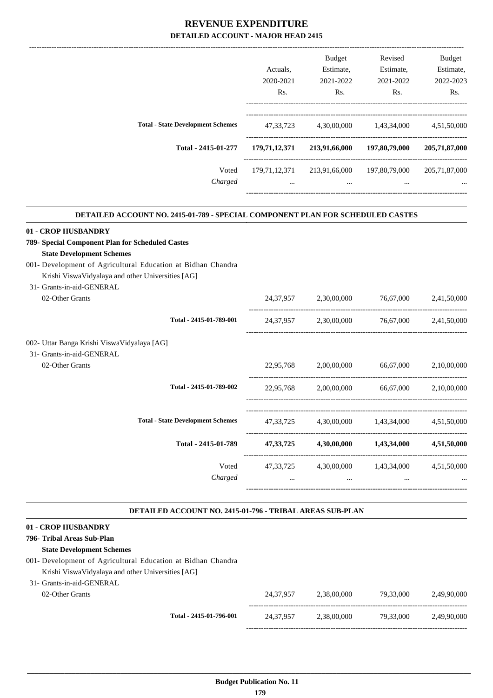|                                          |                     | Actuals.                      | <b>Budget</b><br>Estimate,    | Revised<br>Estimate, | <b>Budget</b><br>Estimate, |
|------------------------------------------|---------------------|-------------------------------|-------------------------------|----------------------|----------------------------|
|                                          |                     | 2020-2021<br>R <sub>s</sub> . | 2021-2022<br>R <sub>s</sub> . | 2021-2022            | 2022-2023<br>Rs.           |
|                                          |                     |                               |                               | Rs.                  |                            |
|                                          |                     |                               |                               |                      |                            |
| <b>Total - State Development Schemes</b> |                     | 47.33.723                     | 4.30.00.000                   | 1,43,34,000          | 4,51,50,000                |
|                                          | Total - 2415-01-277 | 179,71,12,371                 | 213,91,66,000                 | 197,80,79,000        | 205,71,87,000              |
|                                          | Voted               | 179,71,12,371                 | 213,91,66,000                 | 197,80,79,000        | 205,71,87,000              |
|                                          | Charged             | $\cdots$                      | $\cdots$                      | $\cdots$             | $\cdots$                   |
|                                          |                     |                               |                               |                      |                            |

.

#### **DETAILED ACCOUNT NO. 2415-01-789 - SPECIAL COMPONENT PLAN FOR SCHEDULED CASTES .**

| 01 - CROP HUSBANDRY                                          |          |                                                                                                                     |  |
|--------------------------------------------------------------|----------|---------------------------------------------------------------------------------------------------------------------|--|
| 789- Special Component Plan for Scheduled Castes             |          |                                                                                                                     |  |
| <b>State Development Schemes</b>                             |          |                                                                                                                     |  |
| 001- Development of Agricultural Education at Bidhan Chandra |          |                                                                                                                     |  |
| Krishi ViswaVidyalaya and other Universities [AG]            |          |                                                                                                                     |  |
| 31- Grants-in-aid-GENERAL                                    |          |                                                                                                                     |  |
| 02-Other Grants                                              |          | 24,37,957 2,30,00,000 76,67,000 2,41,50,000                                                                         |  |
| Total - 2415-01-789-001                                      |          | 24,37,957 2,30,00,000 76,67,000 2,41,50,000                                                                         |  |
| 002- Uttar Banga Krishi ViswaVidyalaya [AG]                  |          |                                                                                                                     |  |
| 31- Grants-in-aid-GENERAL                                    |          |                                                                                                                     |  |
| 02-Other Grants                                              |          | 22,95,768 2,00,00,000 66,67,000 2,10,00,000                                                                         |  |
| Total - 2415-01-789-002                                      |          | 22,95,768 2,00,00,000 66,67,000 2,10,00,000                                                                         |  |
|                                                              |          |                                                                                                                     |  |
| <b>Total - State Development Schemes</b>                     |          | 47,33,725 4,30,00,000 1,43,34,000 4,51,50,000                                                                       |  |
| Total - 2415-01-789                                          |          | 47,33,725 4,30,00,000 1,43,34,000 4,51,50,000                                                                       |  |
| Voted                                                        |          | 47,33,725 4,30,00,000 1,43,34,000 4,51,50,000                                                                       |  |
| Charged                                                      | $\cdots$ | and the contract of the contract of the contract of the contract of the contract of the contract of the contract of |  |
|                                                              |          |                                                                                                                     |  |
|                                                              |          |                                                                                                                     |  |

#### **DETAILED ACCOUNT NO. 2415-01-796 - TRIBAL AREAS SUB-PLAN .**

|  | 01 - CROP HUSBANDRY |
|--|---------------------|
|  |                     |

# **796- Tribal Areas Sub-Plan**

### **State Development Schemes**

- 001- Development of Agricultural Education at Bidhan Chandra
- Krishi ViswaVidyalaya and other Universities [AG]  $31-$

| 24.37.957<br>2.38.00.000 |           |                          |
|--------------------------|-----------|--------------------------|
|                          | 79.33.000 | 2,49,90,000              |
| 24.37.957                |           | 2,49,90,000              |
|                          |           | 79.33.000<br>2.38.00.000 |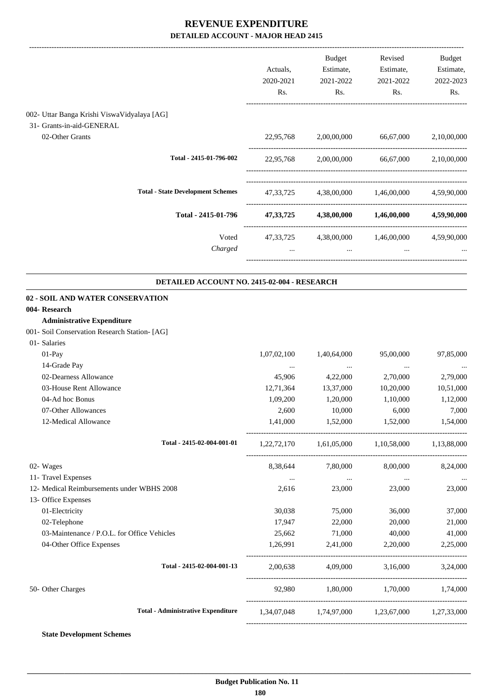|                                               | Actuals,<br>2020-2021<br>Rs. | Budget<br>Estimate,<br>2021-2022<br>Rs. | Revised<br>Estimate,<br>2021-2022<br>Rs.        | Budget<br>Estimate,<br>2022-2023<br>Rs. |
|-----------------------------------------------|------------------------------|-----------------------------------------|-------------------------------------------------|-----------------------------------------|
| 002- Uttar Banga Krishi ViswaVidyalaya [AG]   |                              |                                         |                                                 |                                         |
| 31- Grants-in-aid-GENERAL                     |                              |                                         |                                                 |                                         |
| 02-Other Grants                               |                              | 22,95,768 2,00,00,000                   | 66,67,000                                       | 2,10,00,000                             |
| Total - 2415-01-796-002                       |                              |                                         | 22,95,768 2,00,00,000 66,67,000 2,10,00,000     |                                         |
| <b>Total - State Development Schemes</b>      |                              |                                         | 47,33,725 4,38,00,000 1,46,00,000 4,59,90,000   |                                         |
| Total - 2415-01-796                           |                              |                                         | 47,33,725 4,38,00,000 1,46,00,000 4,59,90,000   |                                         |
| Voted                                         |                              |                                         | 47,33,725 4,38,00,000 1,46,00,000 4,59,90,000   |                                         |
| Charged                                       |                              | $\cdots$                                |                                                 |                                         |
| DETAILED ACCOUNT NO. 2415-02-004 - RESEARCH   |                              |                                         |                                                 |                                         |
| 02 - SOIL AND WATER CONSERVATION              |                              |                                         |                                                 |                                         |
| 004- Research                                 |                              |                                         |                                                 |                                         |
| <b>Administrative Expenditure</b>             |                              |                                         |                                                 |                                         |
| 001- Soil Conservation Research Station- [AG] |                              |                                         |                                                 |                                         |
| 01- Salaries                                  |                              |                                         |                                                 |                                         |
| 01-Pay                                        | 1,07,02,100                  | 1,40,64,000                             | 95,00,000                                       | 97,85,000                               |
| 14-Grade Pay                                  | $\cdots$                     | $\ddots$                                | $\ldots$                                        |                                         |
| 02-Dearness Allowance                         | 45,906                       | 4,22,000                                | 2,70,000                                        | 2,79,000                                |
| 03-House Rent Allowance                       | 12,71,364                    | 13,37,000                               | 10,20,000                                       | 10,51,000                               |
| 04-Ad hoc Bonus                               | 1,09,200                     | 1,20,000                                | 1,10,000                                        | 1,12,000                                |
| 07-Other Allowances                           | 2,600                        | 10,000                                  | 6,000                                           | 7,000                                   |
| 12-Medical Allowance                          |                              |                                         | 1,41,000 1,52,000 1,52,000 1,54,000             |                                         |
| Total - 2415-02-004-001-01                    |                              |                                         | 1,22,72,170 1,61,05,000 1,10,58,000 1,13,88,000 |                                         |
| 02- Wages                                     |                              |                                         | 8,38,644 7,80,000 8,00,000                      | 8,24,000                                |
| 11- Travel Expenses                           |                              | and the control of the control of the   | $\mathbf{1}$ and $\mathbf{1}$ and $\mathbf{1}$  | $\cdots$                                |
| 12- Medical Reimbursements under WBHS 2008    | 2,616                        | 23,000                                  | 23,000                                          | 23,000                                  |
| 13- Office Expenses                           |                              |                                         |                                                 |                                         |
| 01-Electricity                                | 30,038                       | 75,000                                  | 36,000                                          | 37,000                                  |
| 02-Telephone                                  | 17,947                       | 22,000                                  | 20,000                                          | 21,000                                  |
| 03-Maintenance / P.O.L. for Office Vehicles   | 25,662                       | 71,000                                  | 40,000                                          | 41,000                                  |
| 04-Other Office Expenses                      | 1,26,991                     | 2,41,000                                | 2,20,000                                        | 2,25,000                                |
| Total - 2415-02-004-001-13                    |                              |                                         | $2,00,638$ $4,09,000$ $3,16,000$ $3,24,000$     |                                         |
| 50- Other Charges                             |                              |                                         | 92,980 1,80,000 1,70,000 1,74,000               |                                         |
| <b>Total - Administrative Expenditure</b>     |                              |                                         | 1,34,07,048 1,74,97,000 1,23,67,000 1,27,33,000 |                                         |
|                                               |                              |                                         |                                                 |                                         |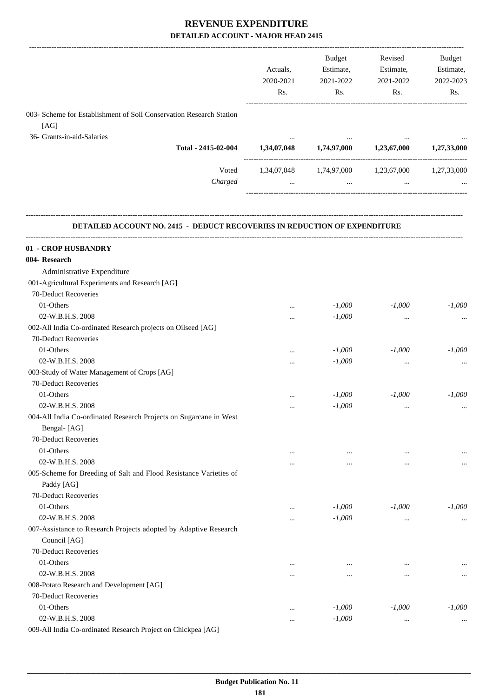|                                                                                  | Actuals,<br>2020-2021<br>Rs. | Budget<br>Estimate,<br>2021-2022<br>Rs. | Revised<br>Estimate,<br>2021-2022<br>Rs.        | Budget<br>Estimate,<br>2022-2023<br>Rs. |
|----------------------------------------------------------------------------------|------------------------------|-----------------------------------------|-------------------------------------------------|-----------------------------------------|
| 003- Scheme for Establishment of Soil Conservation Research Station              |                              |                                         |                                                 |                                         |
| [AG]                                                                             |                              |                                         |                                                 |                                         |
| 36- Grants-in-aid-Salaries                                                       |                              |                                         |                                                 |                                         |
| Total - 2415-02-004                                                              | 1,34,07,048                  |                                         | $1,74,97,000$ $1,23,67,000$                     | 1,27,33,000                             |
| Voted                                                                            |                              |                                         | 1,34,07,048 1,74,97,000 1,23,67,000 1,27,33,000 |                                         |
| Charged                                                                          | $\ddots$                     | $\ddots$                                | $\cdots$                                        |                                         |
| <b>DETAILED ACCOUNT NO. 2415 - DEDUCT RECOVERIES IN REDUCTION OF EXPENDITURE</b> |                              |                                         |                                                 |                                         |
| 01 - CROP HUSBANDRY                                                              |                              |                                         |                                                 |                                         |
| 004- Research                                                                    |                              |                                         |                                                 |                                         |
| Administrative Expenditure                                                       |                              |                                         |                                                 |                                         |
| 001-Agricultural Experiments and Research [AG]                                   |                              |                                         |                                                 |                                         |
| 70-Deduct Recoveries                                                             |                              |                                         |                                                 |                                         |
| 01-Others                                                                        |                              | $-1,000$                                | $-1,000$                                        | $-1,000$                                |
| 02-W.B.H.S. 2008                                                                 | $\cdots$                     | $-1,000$                                |                                                 |                                         |
| 002-All India Co-ordinated Research projects on Oilseed [AG]                     | $\cdots$                     |                                         | $\cdots$                                        |                                         |
| 70-Deduct Recoveries                                                             |                              |                                         |                                                 |                                         |
| 01-Others                                                                        |                              | $-1,000$                                | $-1,000$                                        | $-1,000$                                |
| 02-W.B.H.S. 2008                                                                 | .                            | $-1,000$                                |                                                 |                                         |
| 003-Study of Water Management of Crops [AG]                                      | $\cdots$                     |                                         | $\cdots$                                        | $\cdots$                                |
| 70-Deduct Recoveries                                                             |                              |                                         |                                                 |                                         |
| 01-Others                                                                        |                              | $-1,000$                                | $-1,000$                                        | $-1,000$                                |
| 02-W.B.H.S. 2008                                                                 |                              | $-1,000$                                |                                                 |                                         |
| 004-All India Co-ordinated Research Projects on Sugarcane in West                | $\cdots$                     |                                         | $\cdots$                                        |                                         |
| Bengal-[AG]                                                                      |                              |                                         |                                                 |                                         |
| 70-Deduct Recoveries                                                             |                              |                                         |                                                 |                                         |
| 01-Others                                                                        | $\cdots$                     | $\cdots$                                | $\cdots$                                        | $\cdots$                                |
| 02-W.B.H.S. 2008                                                                 |                              |                                         |                                                 | $\cdots$                                |
| 005-Scheme for Breeding of Salt and Flood Resistance Varieties of                |                              |                                         |                                                 |                                         |
| Paddy [AG]                                                                       |                              |                                         |                                                 |                                         |
| 70-Deduct Recoveries                                                             |                              |                                         |                                                 |                                         |
| 01-Others                                                                        |                              | $-1,000$                                | $-1,000$                                        | $-1,000$                                |
| 02-W.B.H.S. 2008                                                                 |                              | $-1,000$                                | $\cdots$                                        | $\cdots$                                |
| 007-Assistance to Research Projects adopted by Adaptive Research<br>Council [AG] |                              |                                         |                                                 |                                         |
| 70-Deduct Recoveries                                                             |                              |                                         |                                                 |                                         |
| 01-Others                                                                        |                              |                                         |                                                 |                                         |
| 02-W.B.H.S. 2008                                                                 | $\ddotsc$                    | $\ddotsc$                               | $\ddotsc$                                       |                                         |
| 008-Potato Research and Development [AG]                                         | $\ddotsc$                    | $\cdots$                                | $\ddotsc$                                       | $\cdots$                                |
| 70-Deduct Recoveries                                                             |                              |                                         |                                                 |                                         |
| 01-Others                                                                        |                              | $-1,000$                                | $-1,000$                                        | $-1,000$                                |
| 02-W.B.H.S. 2008                                                                 | $\ddotsc$                    | $-1,000$                                |                                                 |                                         |
| 009-All India Co-ordinated Research Project on Chickpea [AG]                     | $\cdots$                     |                                         | $\cdots$                                        |                                         |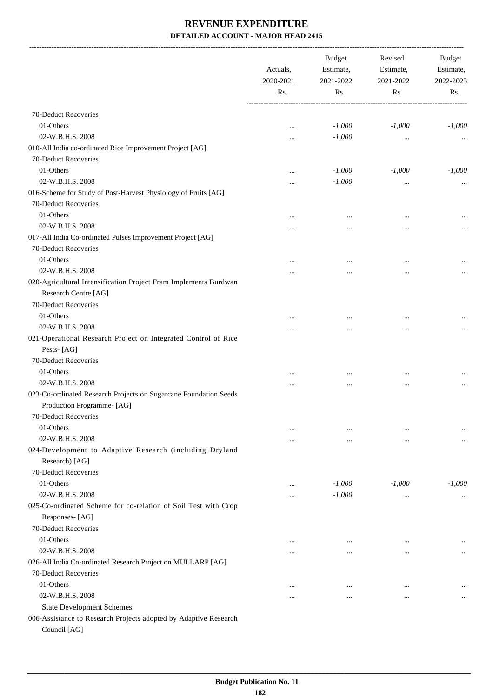-------------------------------------------------------------------------------------------------------------------------------------------------------------------------------

|                                                                  | Actuals,<br>2020-2021 | <b>Budget</b><br>Estimate,<br>2021-2022 | Revised<br>Estimate,<br>2021-2022 | <b>Budget</b><br>Estimate,<br>2022-2023 |  |
|------------------------------------------------------------------|-----------------------|-----------------------------------------|-----------------------------------|-----------------------------------------|--|
|                                                                  | Rs.<br>Rs.            |                                         | Rs.                               | Rs.                                     |  |
| 70-Deduct Recoveries                                             |                       |                                         |                                   |                                         |  |
| 01-Others                                                        | $\cdots$              | $-1,000$                                | $-1,000$                          | $-1,000$                                |  |
| 02-W.B.H.S. 2008                                                 | $\ddotsc$             | $-1,000$                                |                                   |                                         |  |
| 010-All India co-ordinated Rice Improvement Project [AG]         |                       |                                         |                                   |                                         |  |
| 70-Deduct Recoveries                                             |                       |                                         |                                   |                                         |  |
| 01-Others                                                        | $\ddotsc$             | $-1,000$                                | $-1,000$                          | $-1,000$                                |  |
| 02-W.B.H.S. 2008                                                 | $\ddotsc$             | $-1,000$                                |                                   |                                         |  |
| 016-Scheme for Study of Post-Harvest Physiology of Fruits [AG]   |                       |                                         |                                   |                                         |  |
| 70-Deduct Recoveries                                             |                       |                                         |                                   |                                         |  |
| 01-Others                                                        | $\ddotsc$             | $\cdots$                                |                                   |                                         |  |
| 02-W.B.H.S. 2008                                                 | $\cdots$              |                                         |                                   | $\cdots$                                |  |
| 017-All India Co-ordinated Pulses Improvement Project [AG]       |                       |                                         |                                   |                                         |  |
| 70-Deduct Recoveries                                             |                       |                                         |                                   |                                         |  |
| 01-Others                                                        | $\cdots$              | $\cdots$                                |                                   |                                         |  |
| 02-W.B.H.S. 2008                                                 |                       |                                         |                                   | $\cdots$                                |  |
| 020-Agricultural Intensification Project Fram Implements Burdwan |                       |                                         |                                   |                                         |  |
| Research Centre [AG]                                             |                       |                                         |                                   |                                         |  |
| 70-Deduct Recoveries                                             |                       |                                         |                                   |                                         |  |
| 01-Others                                                        |                       |                                         |                                   |                                         |  |
| 02-W.B.H.S. 2008                                                 |                       | $\cdots$                                |                                   | $\cdots$                                |  |
| 021-Operational Research Project on Integrated Control of Rice   |                       |                                         |                                   |                                         |  |
| Pests-[AG]                                                       |                       |                                         |                                   |                                         |  |
| 70-Deduct Recoveries                                             |                       |                                         |                                   |                                         |  |
| 01-Others                                                        | $\ddotsc$             | $\cdots$                                | $\cdots$                          |                                         |  |
| 02-W.B.H.S. 2008                                                 |                       |                                         |                                   | $\cdots$                                |  |
| 023-Co-ordinated Research Projects on Sugarcane Foundation Seeds |                       |                                         |                                   |                                         |  |
| Production Programme- [AG]                                       |                       |                                         |                                   |                                         |  |
| 70-Deduct Recoveries                                             |                       |                                         |                                   |                                         |  |
| 01-Others                                                        | $\cdots$              |                                         |                                   |                                         |  |
| 02-W.B.H.S. 2008                                                 | $\cdots$              | $\cdots$                                |                                   | $\cdots$                                |  |
| 024-Development to Adaptive Research (including Dryland          |                       |                                         |                                   |                                         |  |
| Research) [AG]                                                   |                       |                                         |                                   |                                         |  |
| 70-Deduct Recoveries                                             |                       |                                         |                                   |                                         |  |
| 01-Others                                                        | $\ddotsc$             | $-1,000$                                | $-1,000$                          | $-1,000$                                |  |
| 02-W.B.H.S. 2008                                                 | $\ddotsc$             | $-1,000$                                |                                   | $\cdots$                                |  |
| 025-Co-ordinated Scheme for co-relation of Soil Test with Crop   |                       |                                         |                                   |                                         |  |
| Responses-[AG]                                                   |                       |                                         |                                   |                                         |  |
| 70-Deduct Recoveries                                             |                       |                                         |                                   |                                         |  |
| 01-Others                                                        | $\cdots$              | $\cdots$                                |                                   | $\cdots$                                |  |
| 02-W.B.H.S. 2008                                                 |                       |                                         | $\cdots$                          | $\cdots$                                |  |
| 026-All India Co-ordinated Research Project on MULLARP [AG]      |                       |                                         |                                   |                                         |  |
| 70-Deduct Recoveries                                             |                       |                                         |                                   |                                         |  |
| 01-Others                                                        | $\cdots$              |                                         |                                   |                                         |  |
| 02-W.B.H.S. 2008                                                 | $\cdots$              |                                         |                                   | $\cdots$                                |  |
| <b>State Development Schemes</b>                                 |                       |                                         |                                   |                                         |  |
| 006-Assistance to Research Projects adopted by Adaptive Research |                       |                                         |                                   |                                         |  |
| Council [AG]                                                     |                       |                                         |                                   |                                         |  |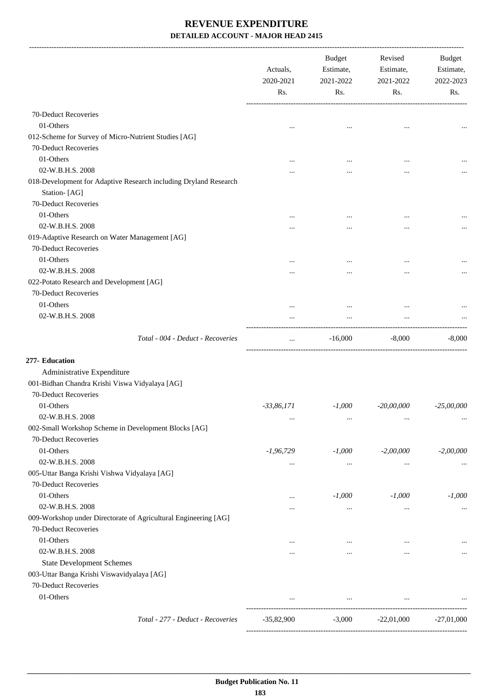-------------------------------------------------------------------------------------------------------------------------------------------------------------------------------

|                                                                                  | Actuals,<br>2020-2021<br>Rs. | <b>Budget</b><br>Estimate,<br>2021-2022<br>Rs. | Revised<br>Estimate,<br>2021-2022<br>Rs. | <b>Budget</b><br>Estimate,<br>2022-2023<br>Rs. |
|----------------------------------------------------------------------------------|------------------------------|------------------------------------------------|------------------------------------------|------------------------------------------------|
| 70-Deduct Recoveries                                                             |                              |                                                |                                          |                                                |
| 01-Others                                                                        | $\ddotsc$                    | $\ddotsc$                                      | $\ddotsc$                                |                                                |
| 012-Scheme for Survey of Micro-Nutrient Studies [AG]                             |                              |                                                |                                          |                                                |
| 70-Deduct Recoveries                                                             |                              |                                                |                                          |                                                |
| 01-Others                                                                        |                              |                                                |                                          |                                                |
| 02-W.B.H.S. 2008                                                                 |                              | .                                              | $\cdots$                                 |                                                |
| 018-Development for Adaptive Research including Dryland Research<br>Station-[AG] |                              |                                                |                                          |                                                |
| 70-Deduct Recoveries                                                             |                              |                                                |                                          |                                                |
| 01-Others                                                                        | $\cdots$                     |                                                |                                          |                                                |
| 02-W.B.H.S. 2008                                                                 |                              |                                                |                                          |                                                |
| 019-Adaptive Research on Water Management [AG]                                   |                              |                                                |                                          |                                                |
| 70-Deduct Recoveries                                                             |                              |                                                |                                          |                                                |
| 01-Others                                                                        |                              | $\cdots$                                       |                                          |                                                |
| 02-W.B.H.S. 2008                                                                 | .                            |                                                |                                          |                                                |
| 022-Potato Research and Development [AG]                                         |                              |                                                |                                          |                                                |
| 70-Deduct Recoveries                                                             |                              |                                                |                                          |                                                |
| 01-Others                                                                        |                              | $\cdots$                                       |                                          |                                                |
| 02-W.B.H.S. 2008                                                                 | $\cdots$                     | $\cdots$                                       | $\cdots$                                 |                                                |
| Total - 004 - Deduct - Recoveries                                                | $\cdots$                     | $-16,000$                                      | $-8,000$                                 | $-8,000$                                       |
| 277- Education                                                                   |                              |                                                |                                          |                                                |
| Administrative Expenditure                                                       |                              |                                                |                                          |                                                |
| 001-Bidhan Chandra Krishi Viswa Vidyalaya [AG]                                   |                              |                                                |                                          |                                                |
| 70-Deduct Recoveries                                                             |                              |                                                |                                          |                                                |
| 01-Others                                                                        | $-33,86,171$                 | $-1,000$                                       | $-20,00,000$                             | $-25,00,000$                                   |
| 02-W.B.H.S. 2008                                                                 | $\cdots$                     | $\cdots$                                       | $\cdots$                                 |                                                |
| 002-Small Workshop Scheme in Development Blocks [AG]                             |                              |                                                |                                          |                                                |
| 70-Deduct Recoveries                                                             |                              |                                                |                                          |                                                |
| 01-Others                                                                        | $-1,96,729$                  | $-1,000$                                       | $-2,00,000$                              | $-2,00,000$                                    |
| 02-W.B.H.S. 2008                                                                 | $\cdots$                     | $\cdots$                                       | $\cdots$                                 | $\cdots$                                       |
| 005-Uttar Banga Krishi Vishwa Vidyalaya [AG]                                     |                              |                                                |                                          |                                                |
| 70-Deduct Recoveries                                                             |                              |                                                |                                          |                                                |
| 01-Others                                                                        | $\cdots$                     | $-1,000$                                       | $-1,000$                                 | $-1,000$                                       |
| 02-W.B.H.S. 2008                                                                 |                              | $\cdots$                                       | $\cdots$                                 |                                                |
| 009-Workshop under Directorate of Agricultural Engineering [AG]                  |                              |                                                |                                          |                                                |
| 70-Deduct Recoveries                                                             |                              |                                                |                                          |                                                |
| 01-Others                                                                        | $\cdots$                     | $\cdots$                                       | $\cdots$                                 |                                                |
| 02-W.B.H.S. 2008                                                                 | $\cdots$                     | $\cdots$                                       | $\cdots$                                 |                                                |
| <b>State Development Schemes</b>                                                 |                              |                                                |                                          |                                                |
| 003-Uttar Banga Krishi Viswavidyalaya [AG]                                       |                              |                                                |                                          |                                                |
| 70-Deduct Recoveries                                                             |                              |                                                |                                          |                                                |
| 01-Others                                                                        |                              | $\cdots$                                       | $\cdots$                                 |                                                |
| Total - 277 - Deduct - Recoveries                                                | $-35,82,900$                 | $-3,000$                                       | $-22,01,000$                             | $-27,01,000$                                   |
|                                                                                  |                              |                                                |                                          |                                                |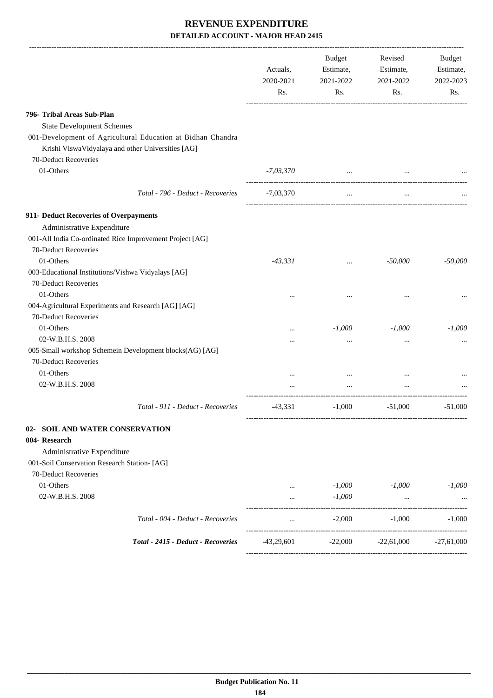-------------------------------------------------------------------------------------------------------------------------------------------------------------------------------

|                                                                                                                                          | Actuals,<br>2020-2021<br>Rs. | <b>Budget</b><br>Estimate,<br>2021-2022<br>Rs.                                  | Revised<br>Estimate,<br>2021-2022<br>Rs. | <b>Budget</b><br>Estimate,<br>2022-2023<br>Rs. |
|------------------------------------------------------------------------------------------------------------------------------------------|------------------------------|---------------------------------------------------------------------------------|------------------------------------------|------------------------------------------------|
| 796- Tribal Areas Sub-Plan                                                                                                               |                              |                                                                                 |                                          |                                                |
| <b>State Development Schemes</b>                                                                                                         |                              |                                                                                 |                                          |                                                |
| 001-Development of Agricultural Education at Bidhan Chandra<br>Krishi ViswaVidyalaya and other Universities [AG]<br>70-Deduct Recoveries |                              |                                                                                 |                                          |                                                |
| 01-Others                                                                                                                                | -7,03,370                    | the contract of the contract of the contract of the contract of the contract of | $\cdots$                                 |                                                |
| Total - 796 - Deduct - Recoveries                                                                                                        | -7,03,370                    | $\cdots$                                                                        | $\cdots$                                 |                                                |
|                                                                                                                                          |                              |                                                                                 |                                          |                                                |
| 911- Deduct Recoveries of Overpayments<br>Administrative Expenditure                                                                     |                              |                                                                                 |                                          |                                                |
| 001-All India Co-ordinated Rice Improvement Project [AG]                                                                                 |                              |                                                                                 |                                          |                                                |
| 70-Deduct Recoveries                                                                                                                     |                              |                                                                                 |                                          |                                                |
| 01-Others                                                                                                                                | $-43,331$                    | $\cdots$                                                                        | $-50,000$                                | $-50,000$                                      |
| 003-Educational Institutions/Vishwa Vidyalays [AG]<br>70-Deduct Recoveries                                                               |                              |                                                                                 |                                          |                                                |
| 01-Others                                                                                                                                | $\ddotsc$                    | $\cdots$                                                                        |                                          | $\cdots$                                       |
| 004-Agricultural Experiments and Research [AG] [AG]<br>70-Deduct Recoveries                                                              |                              |                                                                                 |                                          |                                                |
| 01-Others                                                                                                                                |                              | $-1,000$                                                                        | $-1,000$                                 | $-1,000$                                       |
| 02-W.B.H.S. 2008                                                                                                                         | $\cdots$                     | $\cdots$                                                                        |                                          |                                                |
| 005-Small workshop Schemein Development blocks(AG) [AG]<br>70-Deduct Recoveries                                                          | $\cdots$                     |                                                                                 |                                          | $\cdots$                                       |
| 01-Others                                                                                                                                | $\cdots$                     | $\cdots$                                                                        |                                          |                                                |
| 02-W.B.H.S. 2008                                                                                                                         |                              | $\cdots$                                                                        | $\cdots$                                 |                                                |
| Total - 911 - Deduct - Recoveries                                                                                                        | $-43,331$                    | $-1,000$                                                                        | $-51,000$                                | $-51,000$                                      |
| 02- SOIL AND WATER CONSERVATION                                                                                                          |                              |                                                                                 |                                          |                                                |
| 004- Research                                                                                                                            |                              |                                                                                 |                                          |                                                |
| Administrative Expenditure                                                                                                               |                              |                                                                                 |                                          |                                                |
| 001-Soil Conservation Research Station- [AG]                                                                                             |                              |                                                                                 |                                          |                                                |
| 70-Deduct Recoveries                                                                                                                     |                              |                                                                                 |                                          |                                                |
| 01-Others                                                                                                                                |                              | $-1,000$                                                                        | $-1,000$                                 | $-1,000$                                       |
| 02-W.B.H.S. 2008                                                                                                                         | $\cdots$                     | $-1,000$                                                                        |                                          |                                                |
| Total - 004 - Deduct - Recoveries                                                                                                        | $\cdots$                     | $-2,000$                                                                        | $-1,000$                                 | $-1,000$<br>------------------                 |
| Total - 2415 - Deduct - Recoveries                                                                                                       | $-43,29,601$                 | $-22,000$                                                                       | $-22,61,000$                             | $-27,61,000$                                   |
|                                                                                                                                          |                              |                                                                                 |                                          |                                                |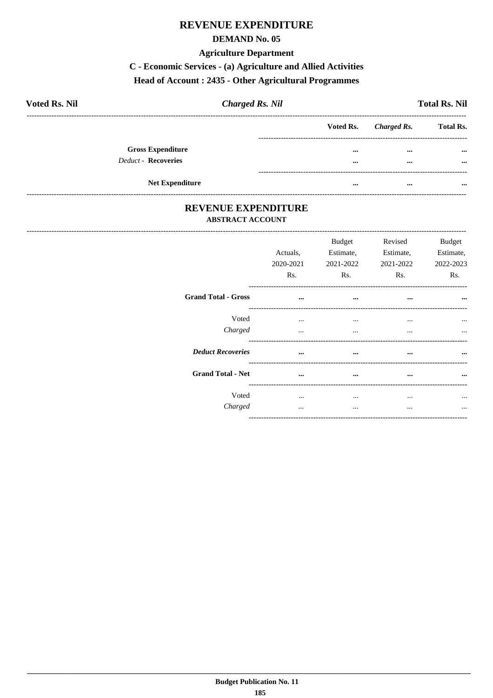### **REVENUE EXPENDITURE**

#### **DEMAND No. 05**

#### **Agriculture Department**

## C - Economic Services - (a) Agriculture and Allied Activities

## Head of Account: 2435 - Other Agricultural Programmes

| <b>Voted Rs. Nil</b>       |                          | <b>Charged Rs. Nil</b> |                       | <b>Total Rs. Nil</b> |
|----------------------------|--------------------------|------------------------|-----------------------|----------------------|
|                            |                          |                        | Voted Rs. Charged Rs. | <b>Total Rs.</b>     |
|                            | <b>Gross Expenditure</b> |                        | <br>$\cdots$          | $\cdots$             |
| <b>Deduct - Recoveries</b> |                          |                        | <br>$\cdots$          | $\cdots$             |
|                            |                          |                        |                       |                      |
|                            | <b>Net Expenditure</b>   |                        | <br>$\cdots$          |                      |

### REVENUE EXPENDITURE **ABSTRACT ACCOUNT**

------------------------------

---------------------------------

|                            | Actuals,<br>2020-2021<br>R <sub>s</sub> . | <b>Budget</b><br>Estimate,<br>2021-2022<br>R <sub>s</sub> . | Revised<br>Estimate,<br>2021-2022<br>Rs. | <b>Budget</b><br>Estimate,<br>2022-2023<br>Rs. |
|----------------------------|-------------------------------------------|-------------------------------------------------------------|------------------------------------------|------------------------------------------------|
| <b>Grand Total - Gross</b> | $\cdots$                                  | $\cdots$                                                    | $\cdots$                                 | $\cdots$                                       |
| Voted<br>Charged           | $\cdots$<br>$\cdots$                      | $\cdots$<br>$\cdots$                                        | $\cdots$<br>$\cdots$                     | $\cdots$<br>$\cdots$                           |
| <b>Deduct Recoveries</b>   | $\ddotsc$                                 | $\cdots$                                                    |                                          | $\cdots$                                       |
| <b>Grand Total - Net</b>   | $\cdots$                                  | $\cdots$                                                    | $\cdots$                                 | $\cdots$                                       |
| Voted<br>Charged           | $\cdots$<br>                              | <br>$\cdots$                                                | $\cdots$<br>                             | $\ddotsc$                                      |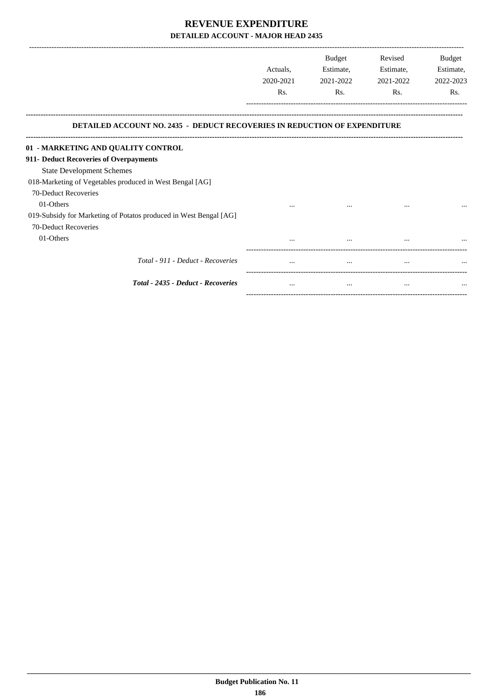|                                                                                  |           | Budget    | Revised   | Budget    |
|----------------------------------------------------------------------------------|-----------|-----------|-----------|-----------|
|                                                                                  | Actuals,  | Estimate, | Estimate, | Estimate, |
|                                                                                  | 2020-2021 | 2021-2022 | 2021-2022 | 2022-2023 |
|                                                                                  | Rs.       | Rs.       | Rs.       | Rs.       |
| <b>DETAILED ACCOUNT NO. 2435 - DEDUCT RECOVERIES IN REDUCTION OF EXPENDITURE</b> |           |           |           |           |
| 01 - MARKETING AND QUALITY CONTROL                                               |           |           |           |           |
| 911- Deduct Recoveries of Overpayments                                           |           |           |           |           |
| <b>State Development Schemes</b>                                                 |           |           |           |           |
| 018-Marketing of Vegetables produced in West Bengal [AG]                         |           |           |           |           |
| 70-Deduct Recoveries                                                             |           |           |           |           |
| 01-Others                                                                        |           |           |           |           |
| 019-Subsidy for Marketing of Potatos produced in West Bengal [AG]                |           |           |           |           |
| 70-Deduct Recoveries                                                             |           |           |           |           |
| 01-Others                                                                        |           |           | $\cdots$  |           |
| Total - 911 - Deduct - Recoveries                                                | $\cdots$  |           | $\cdots$  |           |
| Total - 2435 - Deduct - Recoveries                                               | $\cdots$  | $\cdots$  | $\cdots$  | $\cdots$  |

-----------------------------------------------------------------------------------------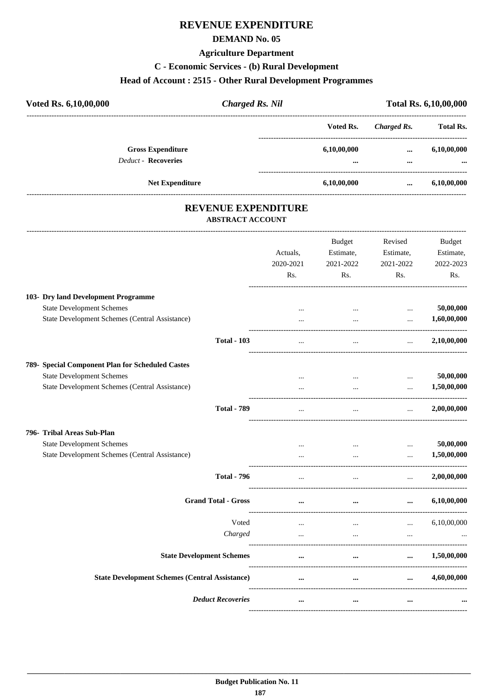### **REVENUE EXPENDITURE**

#### **DEMAND No. 05**

#### **Agriculture Department**

#### **C - Economic Services - (b) Rural Development**

#### **Head of Account : 2515 - Other Rural Development Programmes**

| Voted Rs. 6,10,00,000      | <b>Charged Rs. Nil</b> |             |             | <b>Total Rs. 6,10,00,000</b> |  |
|----------------------------|------------------------|-------------|-------------|------------------------------|--|
|                            |                        | Voted Rs.   | Charged Rs. | <b>Total Rs.</b>             |  |
| <b>Gross Expenditure</b>   |                        | 6,10,00,000 | $\cdots$    | 6,10,00,000                  |  |
| <b>Deduct - Recoveries</b> |                        | $\cdots$    | $\cdots$    | $\cdots$                     |  |
|                            | <b>Net Expenditure</b> | 6,10,00,000 | $\cdots$    | 6,10,00,000                  |  |

# **REVENUE EXPENDITURE**

#### **ABSTRACT ACCOUNT** ---------------------------------------------------------------------------------------------------------------------------------------------------------------------------------

|                                                       | Actuals,<br>2020-2021<br>Rs. | <b>Budget</b><br>Estimate,<br>2021-2022<br>Rs. | Revised<br>Estimate,<br>2021-2022<br>Rs. | <b>Budget</b><br>Estimate,<br>2022-2023<br>Rs. |
|-------------------------------------------------------|------------------------------|------------------------------------------------|------------------------------------------|------------------------------------------------|
| 103- Dry land Development Programme                   |                              |                                                |                                          |                                                |
| <b>State Development Schemes</b>                      | $\cdots$                     | $\ddots$                                       | $\cdots$                                 | 50,00,000                                      |
| State Development Schemes (Central Assistance)        |                              | $\ddotsc$                                      | $\cdots$                                 | 1,60,00,000                                    |
| <b>Total - 103</b>                                    | $\cdots$                     | $\cdots$                                       | $\ddotsc$                                | 2,10,00,000                                    |
| 789- Special Component Plan for Scheduled Castes      |                              |                                                |                                          |                                                |
| <b>State Development Schemes</b>                      | $\ddotsc$                    | $\cdots$                                       | $\cdots$                                 | 50,00,000                                      |
| State Development Schemes (Central Assistance)        | $\ddotsc$                    | $\cdots$                                       | $\ddotsc$                                | 1,50,00,000                                    |
| <b>Total - 789</b>                                    | $\cdots$                     | $\ddots$                                       | $\ddots$                                 | 2,00,00,000                                    |
| 796- Tribal Areas Sub-Plan                            |                              |                                                |                                          |                                                |
| <b>State Development Schemes</b>                      | $\cdots$                     | $\cdots$                                       | $\cdots$                                 | 50,00,000                                      |
| State Development Schemes (Central Assistance)        |                              | $\cdots$                                       | $\cdots$                                 | 1,50,00,000                                    |
| <b>Total - 796</b>                                    | $\cdots$                     | $\ddotsc$                                      | $\ddotsc$                                | 2,00,00,000                                    |
| <b>Grand Total - Gross</b>                            | $\cdots$                     | $\cdots$                                       | $\cdots$                                 | 6,10,00,000                                    |
| Voted                                                 | $\overline{\phantom{a}}$     | $\cdots$                                       | $\cdots$                                 | 6,10,00,000                                    |
| Charged                                               | $\ddotsc$                    | $\cdots$                                       | $\ddotsc$                                |                                                |
| <b>State Development Schemes</b>                      | $\ddotsc$                    | $\ddotsc$                                      |                                          | 1,50,00,000                                    |
| <b>State Development Schemes (Central Assistance)</b> | $\cdots$                     | $\cdots$                                       | $\ddotsc$                                | 4,60,00,000                                    |
| <b>Deduct Recoveries</b>                              | $\cdots$                     | $\cdots$                                       | $\cdots$                                 |                                                |
|                                                       |                              |                                                |                                          |                                                |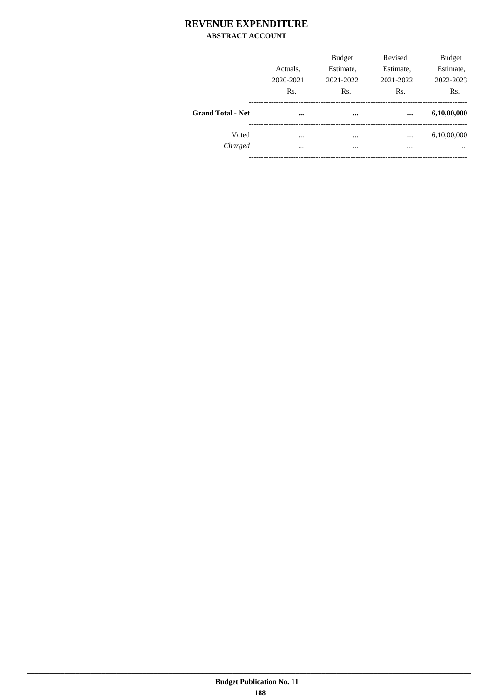### **REVENUE EXPENDITURE ABSTRACT ACCOUNT**

|                          | Actuals,<br>2020-2021<br>Rs. | <b>Budget</b><br>Estimate,<br>2021-2022<br>Rs. | Revised<br>Estimate,<br>2021-2022<br>Rs. | <b>Budget</b><br>Estimate,<br>2022-2023<br>Rs. |
|--------------------------|------------------------------|------------------------------------------------|------------------------------------------|------------------------------------------------|
| <b>Grand Total - Net</b> | $\cdots$                     | $\cdots$                                       |                                          | 6,10,00,000                                    |
| Voted                    | $\cdots$                     | $\cdots$                                       | $\cdots$                                 | 6,10,00,000                                    |
| Charged                  | $\cdots$                     |                                                | $\cdots$                                 | $\cdots$                                       |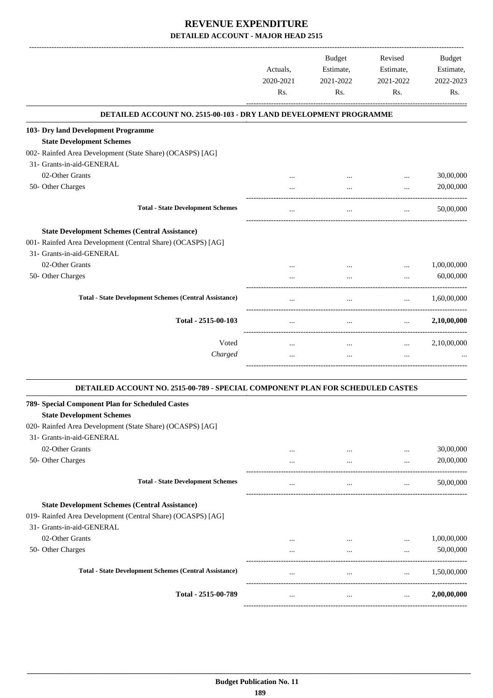|                                                                                | Actuals,<br>2020-2021<br>Rs. | <b>Budget</b><br>Estimate,<br>2021-2022<br>Rs. | Revised<br>Estimate,<br>2021-2022<br>Rs. | <b>Budget</b><br>Estimate,<br>2022-2023<br>Rs. |
|--------------------------------------------------------------------------------|------------------------------|------------------------------------------------|------------------------------------------|------------------------------------------------|
| DETAILED ACCOUNT NO. 2515-00-103 - DRY LAND DEVELOPMENT PROGRAMME              |                              |                                                |                                          |                                                |
| 103- Dry land Development Programme                                            |                              |                                                |                                          |                                                |
| <b>State Development Schemes</b>                                               |                              |                                                |                                          |                                                |
| 002- Rainfed Area Development (State Share) (OCASPS) [AG]                      |                              |                                                |                                          |                                                |
| 31- Grants-in-aid-GENERAL                                                      |                              |                                                |                                          |                                                |
| 02-Other Grants                                                                | $\cdots$                     | $\cdots$                                       | $\cdots$                                 | 30,00,000                                      |
| 50- Other Charges                                                              | $\ddotsc$                    | $\ddotsc$                                      | $\dddotsc$                               | 20,00,000                                      |
| <b>Total - State Development Schemes</b>                                       | $\ddotsc$                    | $\ddotsc$                                      | $\cdots$                                 | 50,00,000                                      |
| <b>State Development Schemes (Central Assistance)</b>                          |                              |                                                |                                          |                                                |
| 001- Rainfed Area Development (Central Share) (OCASPS) [AG]                    |                              |                                                |                                          |                                                |
| 31- Grants-in-aid-GENERAL                                                      |                              |                                                |                                          |                                                |
| 02-Other Grants                                                                | $\ddotsc$                    | $\ddotsc$                                      | $\cdots$                                 | 1,00,00,000                                    |
| 50- Other Charges                                                              | $\cdots$                     | $\ddotsc$                                      | $\dddot{\phantom{0}}$                    | 60,00,000                                      |
| <b>Total - State Development Schemes (Central Assistance)</b>                  | $\cdots$                     | $\cdots$                                       | $\ddots$                                 | 1,60,00,000                                    |
| Total - 2515-00-103                                                            | $\ddotsc$                    | $\ddotsc$                                      | $\cdots$                                 | 2,10,00,000                                    |
| Voted                                                                          | $\cdots$                     | $\cdots$                                       | $\cdots$                                 | 2,10,00,000                                    |
| Charged                                                                        | $\ddotsc$                    | $\cdots$                                       | $\dddotsc$                               |                                                |
| DETAILED ACCOUNT NO. 2515-00-789 - SPECIAL COMPONENT PLAN FOR SCHEDULED CASTES |                              |                                                |                                          |                                                |
| 789- Special Component Plan for Scheduled Castes                               |                              |                                                |                                          |                                                |
| <b>State Development Schemes</b>                                               |                              |                                                |                                          |                                                |
| 020- Rainfed Area Development (State Share) (OCASPS) [AG]                      |                              |                                                |                                          |                                                |
| 31- Grants-in-aid-GENERAL                                                      |                              |                                                |                                          |                                                |
| 02-Other Grants                                                                | $\cdots$                     |                                                | $\cdots$                                 | 30,00,000                                      |
| 50- Other Charges                                                              | $\cdots$                     | $\ddotsc$                                      | $\ddotsc$                                | 20,00,000                                      |

| <b>Total - State Development Schemes</b>                      | $\cdots$ | $\cdots$ | $\cdots$ | 50,00,000   |
|---------------------------------------------------------------|----------|----------|----------|-------------|
| <b>State Development Schemes (Central Assistance)</b>         |          |          |          |             |
| 019- Rainfed Area Development (Central Share) (OCASPS) [AG]   |          |          |          |             |
| 31- Grants-in-aid-GENERAL                                     |          |          |          |             |
| 02-Other Grants                                               | $\cdots$ |          | $\cdots$ | 1,00,00,000 |
| 50- Other Charges                                             |          | $\cdots$ | $\cdots$ | 50,00,000   |
| <b>Total - State Development Schemes (Central Assistance)</b> | $\cdots$ | $\cdots$ | $\cdots$ | 1.50.00.000 |
| Total - 2515-00-789                                           | $\cdots$ |          |          | 2,00,00,000 |

------------------------------------------------------------------------------------------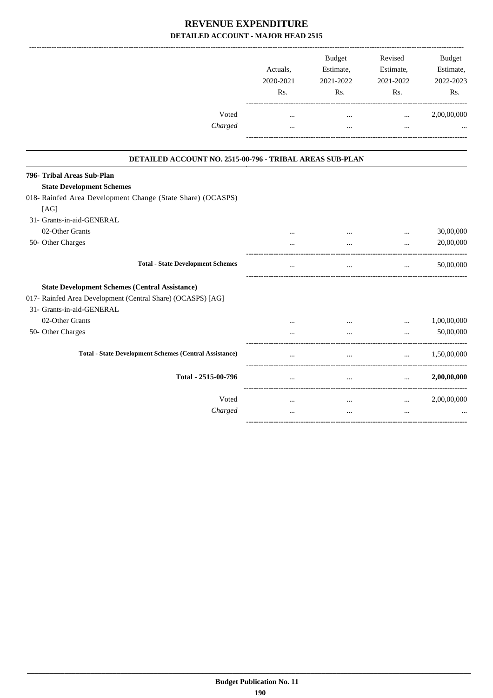|                                                               | Actuals,<br>2020-2021<br>Rs. | <b>Budget</b><br>Estimate,<br>2021-2022<br>Rs. | Revised<br>Estimate,<br>2021-2022<br>Rs. | <b>Budget</b><br>Estimate,<br>2022-2023<br>Rs. |
|---------------------------------------------------------------|------------------------------|------------------------------------------------|------------------------------------------|------------------------------------------------|
| Voted                                                         |                              | $\cdots$                                       | $\cdots$                                 | 2,00,00,000                                    |
| Charged                                                       |                              | $\ddotsc$                                      | $\ddotsc$                                |                                                |
| DETAILED ACCOUNT NO. 2515-00-796 - TRIBAL AREAS SUB-PLAN      |                              |                                                |                                          |                                                |
| 796- Tribal Areas Sub-Plan                                    |                              |                                                |                                          |                                                |
| <b>State Development Schemes</b>                              |                              |                                                |                                          |                                                |
| 018- Rainfed Area Development Change (State Share) (OCASPS)   |                              |                                                |                                          |                                                |
| [AG]                                                          |                              |                                                |                                          |                                                |
| 31- Grants-in-aid-GENERAL                                     |                              |                                                |                                          |                                                |
| 02-Other Grants                                               |                              |                                                | $\ddotsc$                                | 30,00,000                                      |
| 50- Other Charges                                             |                              |                                                | $\ddotsc$                                | 20,00,000                                      |
| <b>Total - State Development Schemes</b>                      |                              | $\cdots$                                       | $\cdots$                                 | 50,00,000                                      |
| <b>State Development Schemes (Central Assistance)</b>         |                              |                                                |                                          |                                                |
| 017- Rainfed Area Development (Central Share) (OCASPS) [AG]   |                              |                                                |                                          |                                                |
| 31- Grants-in-aid-GENERAL                                     |                              |                                                |                                          |                                                |
| 02-Other Grants                                               |                              | $\ddotsc$                                      | $\cdots$                                 | 1,00,00,000                                    |
| 50- Other Charges                                             |                              | $\overline{\phantom{a}}$                       | $\ddotsc$                                | 50,00,000                                      |
| <b>Total - State Development Schemes (Central Assistance)</b> |                              | $\cdots$                                       | $\ddotsc$                                | 1,50,00,000                                    |
| Total - 2515-00-796                                           |                              | $\cdots$                                       | $\cdots$                                 | 2,00,00,000                                    |
| Voted                                                         | $\cdots$                     | $\cdots$                                       | $\cdots$                                 | 2,00,00,000                                    |
| Charged                                                       | $\cdots$                     | $\cdots$                                       | $\cdots$                                 |                                                |
|                                                               |                              |                                                |                                          |                                                |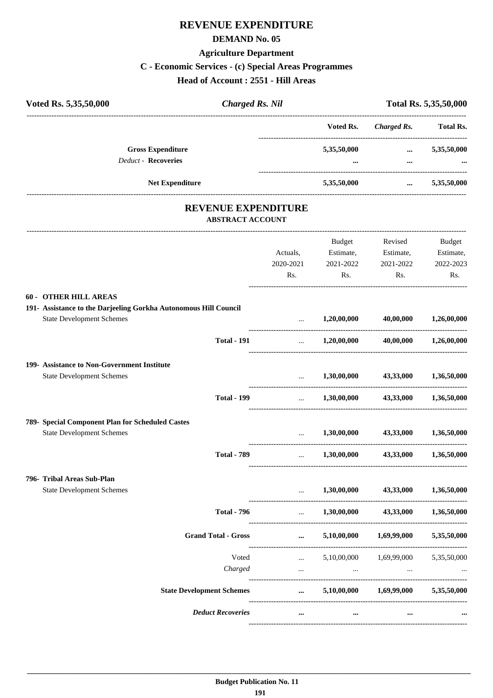## **REVENUE EXPENDITURE**

#### **DEMAND No. 05**

#### **Agriculture Department**

#### **C - Economic Services - (c) Special Areas Programmes**

**Head of Account : 2551 - Hill Areas**

| Voted Rs. 5,35,50,000<br><b>Charged Rs. Nil</b>                                                      |                                   |                           |                                         | Total Rs. 5,35,50,000 |
|------------------------------------------------------------------------------------------------------|-----------------------------------|---------------------------|-----------------------------------------|-----------------------|
|                                                                                                      |                                   | Voted Rs.                 | <b>Charged Rs.</b>                      | <b>Total Rs.</b>      |
| <b>Gross Expenditure</b><br><b>Deduct - Recoveries</b>                                               |                                   | 5,35,50,000               | $\cdots$                                | 5,35,50,000           |
|                                                                                                      |                                   |                           | $\cdots$                                |                       |
| Net Expenditure                                                                                      |                                   | 5,35,50,000               | $\cdots$                                | 5,35,50,000           |
| <b>REVENUE EXPENDITURE</b><br><b>ABSTRACT ACCOUNT</b>                                                |                                   |                           |                                         |                       |
|                                                                                                      |                                   | Budget                    | Revised                                 | Budget                |
|                                                                                                      | Actuals,                          | Estimate,                 | Estimate,                               | Estimate,             |
|                                                                                                      | 2020-2021                         | 2021-2022                 | 2021-2022                               | 2022-2023             |
|                                                                                                      | Rs.                               | Rs.                       | Rs.                                     | Rs.                   |
| <b>60 - OTHER HILL AREAS</b>                                                                         |                                   |                           |                                         |                       |
| 191- Assistance to the Darjeeling Gorkha Autonomous Hill Council<br><b>State Development Schemes</b> | $\cdots$                          | $1,20,00,000$ $40,00,000$ |                                         | 1,26,00,000           |
| <b>Total - 191</b>                                                                                   | $\ddotsc$                         |                           | $1,20,00,000$ $40,00,000$               | 1,26,00,000           |
| 199- Assistance to Non-Government Institute                                                          |                                   |                           |                                         |                       |
| <b>State Development Schemes</b>                                                                     | ---------------------------       | 1,30,00,000               | 43,33,000                               | 1,36,50,000           |
| <b>Total - 199</b>                                                                                   |                                   |                           | $1,30,00,000$ $43,33,000$ $1,36,50,000$ |                       |
| 789- Special Component Plan for Scheduled Castes                                                     |                                   |                           |                                         |                       |
| <b>State Development Schemes</b>                                                                     | $\cdots$                          | 1,30,00,000               | 43,33,000                               | 1,36,50,000           |
| <b>Total - 789</b>                                                                                   |                                   | 1,30,00,000               | 43,33,000                               | 1.36.50.000           |
| 796- Tribal Areas Sub-Plan                                                                           |                                   |                           |                                         |                       |
| <b>State Development Schemes</b>                                                                     | $\cdots$                          | 1,30,00,000               | 43,33,000                               | 1,36,50,000           |
| <b>Total - 796</b>                                                                                   | $\mathbf{r}$ , and $\mathbf{r}$   | 1,30,00,000               | 43,33,000                               | 1,36,50,000           |
| <b>Grand Total - Gross</b>                                                                           | $\cdots$                          | 5,10,00,000               | 1,69,99,000                             | 5,35,50,000           |
| Voted                                                                                                | $\mathbf{1}$ , and $\mathbf{1}$   | 5,10,00,000               | 1,69,99,000                             | 5,35,50,000           |
| Charged                                                                                              | $\mathbf{1.1}$ and $\mathbf{1.1}$ | $\cdots$                  | $\cdots$                                |                       |
| <b>State Development Schemes</b>                                                                     | $\cdots$                          |                           | $5,10,00,000$ $1,69,99,000$             | 5,35,50,000           |
| <b>Deduct Recoveries</b>                                                                             | $\cdots$                          |                           |                                         |                       |

----------------------------------------------------------------------------------------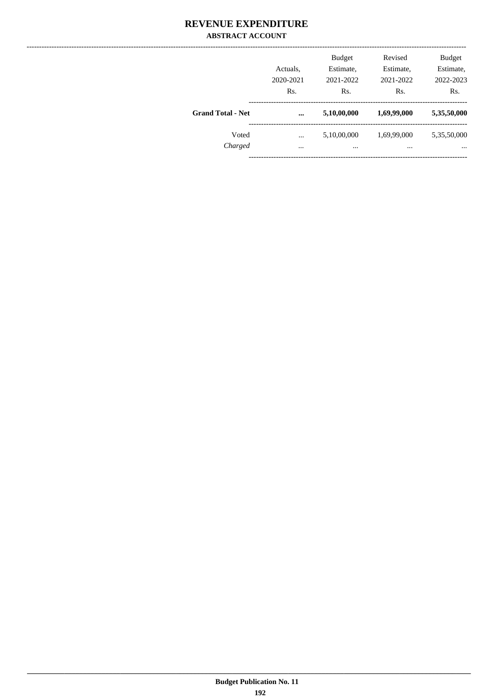### **REVENUE EXPENDITURE ABSTRACT ACCOUNT**

|                          | Actuals,<br>2020-2021<br>Rs. | <b>Budget</b><br>Estimate,<br>2021-2022<br>Rs. | Revised<br>Estimate,<br>2021-2022<br>Rs. | <b>Budget</b><br>Estimate,<br>2022-2023<br>Rs. |
|--------------------------|------------------------------|------------------------------------------------|------------------------------------------|------------------------------------------------|
| <b>Grand Total - Net</b> | $\ddotsc$                    | 5,10,00,000                                    | 1,69,99,000                              | 5,35,50,000                                    |
| Voted                    |                              | 5,10,00,000                                    | 1,69,99,000                              | 5,35,50,000                                    |
| Charged                  | $\cdots$                     | $\cdots$                                       | $\cdots$                                 | $\cdots$                                       |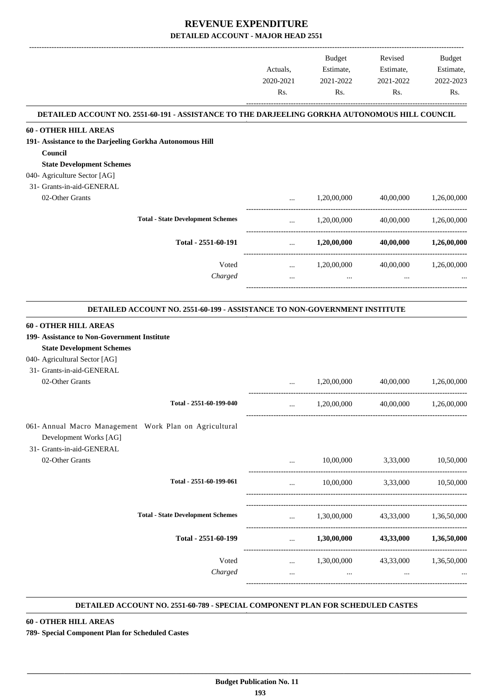|                                                          |                                                                                                | Actuals,<br>2020-2021<br>Rs.    | Budget<br>Estimate,<br>2021-2022<br>Rs. | Revised<br>Estimate,<br>2021-2022<br>Rs. | Budget<br>Estimate,<br>2022-2023<br>Rs. |
|----------------------------------------------------------|------------------------------------------------------------------------------------------------|---------------------------------|-----------------------------------------|------------------------------------------|-----------------------------------------|
|                                                          | DETAILED ACCOUNT NO. 2551-60-191 - ASSISTANCE TO THE DARJEELING GORKHA AUTONOMOUS HILL COUNCIL |                                 |                                         |                                          |                                         |
| <b>60 - OTHER HILL AREAS</b>                             |                                                                                                |                                 |                                         |                                          |                                         |
| 191- Assistance to the Darjeeling Gorkha Autonomous Hill |                                                                                                |                                 |                                         |                                          |                                         |
| Council                                                  |                                                                                                |                                 |                                         |                                          |                                         |
| <b>State Development Schemes</b>                         |                                                                                                |                                 |                                         |                                          |                                         |
| 040- Agriculture Sector [AG]                             |                                                                                                |                                 |                                         |                                          |                                         |
| 31- Grants-in-aid-GENERAL                                |                                                                                                |                                 |                                         |                                          |                                         |
| 02-Other Grants                                          |                                                                                                | $\cdots$                        | 1,20,00,000                             | 40,00,000                                | 1,26,00,000                             |
|                                                          | <b>Total - State Development Schemes</b>                                                       | $\cdots$ . The same of $\cdots$ |                                         | 1,20,00,000 40,00,000 1,26,00,000        |                                         |
|                                                          | Total - 2551-60-191                                                                            | $\cdots$                        | 1,20,00,000                             | 40,00,000                                | 1,26,00,000                             |
|                                                          | Voted                                                                                          | $\cdots$                        | 1,20,00,000                             |                                          | 40,00,000 1,26,00,000                   |
|                                                          | Charged                                                                                        |                                 | and the state of the state<br>$\cdots$  | $\ddotsc$                                |                                         |
|                                                          |                                                                                                |                                 |                                         |                                          |                                         |
|                                                          | DETAILED ACCOUNT NO. 2551-60-199 - ASSISTANCE TO NON-GOVERNMENT INSTITUTE                      |                                 |                                         |                                          |                                         |
| <b>60 - OTHER HILL AREAS</b>                             |                                                                                                |                                 |                                         |                                          |                                         |
| 199- Assistance to Non-Government Institute              |                                                                                                |                                 |                                         |                                          |                                         |
| <b>State Development Schemes</b>                         |                                                                                                |                                 |                                         |                                          |                                         |
| 040- Agricultural Sector [AG]                            |                                                                                                |                                 |                                         |                                          |                                         |
| 31- Grants-in-aid-GENERAL                                |                                                                                                |                                 |                                         |                                          |                                         |
| 02-Other Grants                                          |                                                                                                | $\cdots$                        | 1,20,00,000                             | 40,00,000                                | 1,26,00,000                             |
|                                                          | Total - 2551-60-199-040                                                                        | $\cdots$                        | 1,20,00,000                             | 40,00,000                                | 1,26,00,000                             |
|                                                          |                                                                                                |                                 |                                         |                                          |                                         |
| 061- Annual Macro Management Work Plan on Agricultural   |                                                                                                |                                 |                                         |                                          |                                         |
| Development Works [AG]                                   |                                                                                                |                                 |                                         |                                          |                                         |
| 31- Grants-in-aid-GENERAL                                |                                                                                                |                                 |                                         |                                          |                                         |
| 02-Other Grants                                          |                                                                                                | $\cdots$                        |                                         | 10,00,000 3,33,000                       | 10,50,000                               |
|                                                          | Total - 2551-60-199-061                                                                        | $\cdots$                        | 10,00,000 3,33,000 10,50,000            |                                          |                                         |
|                                                          | <b>Total - State Development Schemes</b>                                                       |                                 |                                         |                                          |                                         |
|                                                          |                                                                                                | <b>Sales Control</b>            | 1,30,00,000                             |                                          | 43,33,000 1,36,50,000                   |
|                                                          | Total - 2551-60-199                                                                            | $\mathbf{m}$ and $\mathbf{m}$   |                                         | $1,30,00,000$ $43,33,000$ $1,36,50,000$  |                                         |
|                                                          | Voted                                                                                          |                                 | $1,30,00,000$ $43,33,000$ $1,36,50,000$ |                                          |                                         |
|                                                          | Charged                                                                                        | $\cdots$                        | $\cdots$                                | $\cdots$                                 |                                         |
|                                                          |                                                                                                |                                 |                                         |                                          |                                         |

#### **DETAILED ACCOUNT NO. 2551-60-789 - SPECIAL COMPONENT PLAN FOR SCHEDULED CASTES .**

.

#### **60 - OTHER HILL AREAS**

**789- Special Component Plan for Scheduled Castes**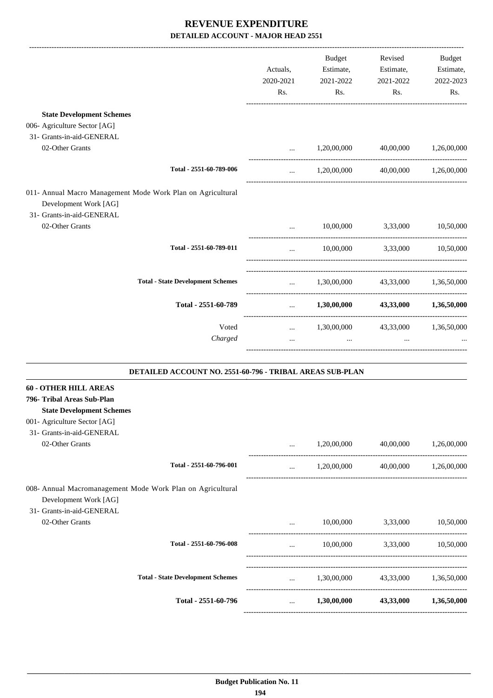|                                                             |                          | Budget                                  | Revised                                 | <b>Budget</b> |
|-------------------------------------------------------------|--------------------------|-----------------------------------------|-----------------------------------------|---------------|
|                                                             | Actuals,                 | Estimate,                               | Estimate,                               | Estimate,     |
|                                                             | 2020-2021                | 2021-2022                               | 2021-2022                               | 2022-2023     |
|                                                             | Rs.                      | Rs.                                     | Rs.                                     | Rs.           |
| <b>State Development Schemes</b>                            |                          |                                         |                                         |               |
| 006- Agriculture Sector [AG]                                |                          |                                         |                                         |               |
| 31- Grants-in-aid-GENERAL                                   |                          |                                         |                                         |               |
| 02-Other Grants                                             | $\cdots$                 | 1,20,00,000                             | 40,00,000                               | 1,26,00,000   |
| Total - 2551-60-789-006                                     | $\cdots$                 |                                         | 1,20,00,000 40,00,000 1,26,00,000       |               |
| 011- Annual Macro Management Mode Work Plan on Agricultural |                          |                                         |                                         |               |
| Development Work [AG]                                       |                          |                                         |                                         |               |
| 31- Grants-in-aid-GENERAL                                   |                          |                                         |                                         |               |
| 02-Other Grants                                             | $\cdots$                 | 10,00,000                               | 3,33,000                                | 10,50,000     |
| Total - 2551-60-789-011                                     | $\cdots$                 |                                         | 10,00,000 3,33,000 10,50,000            |               |
| <b>Total - State Development Schemes</b>                    |                          | $1,30,00,000$ $43,33,000$ $1,36,50,000$ |                                         |               |
| Total - 2551-60-789                                         | <b>Contract Contract</b> |                                         | $1,30,00,000$ $43,33,000$ $1,36,50,000$ |               |
| Voted                                                       |                          | $1,30,00,000$ $43,33,000$ $1,36,50,000$ |                                         |               |
| Charged                                                     | $\cdots$                 | $\mathbf{r}$                            | $\cdots$                                |               |
| DETAILED ACCOUNT NO. 2551-60-796 - TRIBAL AREAS SUB-PLAN    |                          |                                         |                                         |               |
| <b>60 - OTHER HILL AREAS</b><br>796- Tribal Areas Sub-Plan  |                          |                                         |                                         |               |

#### **State Development Schemes**

001- Agriculture Sector [AG]

| $\cdots$<br>$\cdots$ | 10,00,000<br>1,30,00,000 | 3,33,000<br>43,33,000 | 1,36,50,000 |
|----------------------|--------------------------|-----------------------|-------------|
|                      |                          |                       | 10,50,000   |
|                      |                          |                       |             |
| $\cdots$             | 10,00,000                | 3,33,000              | 10,50,000   |
|                      |                          |                       |             |
|                      |                          |                       |             |
|                      |                          |                       |             |
| $\cdots$             | 1,20,00,000              | 40,00,000             | 1,26,00,000 |
| $\cdots$             | 1,20,00,000              | 40,00,000             | 1,26,00,000 |
|                      |                          |                       |             |
|                      |                          |                       |             |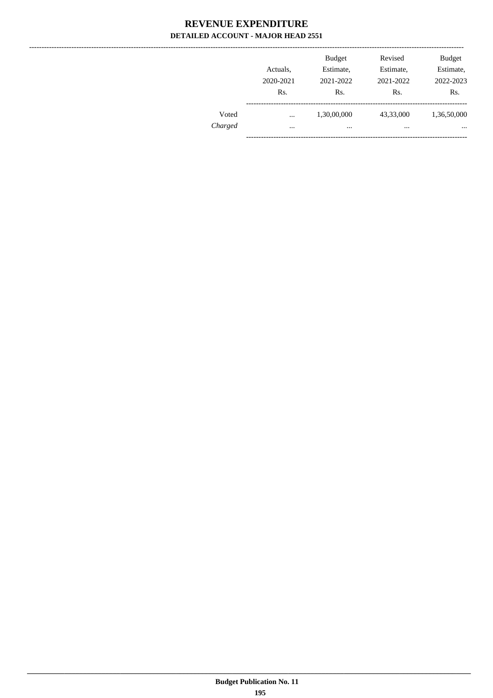|         | Actuals,<br>2020-2021<br>R <sub>s</sub> . | <b>Budget</b><br>Estimate,<br>2021-2022<br>Rs. | Revised<br>Estimate,<br>2021-2022<br>Rs. | <b>Budget</b><br>Estimate,<br>2022-2023<br>Rs. |
|---------|-------------------------------------------|------------------------------------------------|------------------------------------------|------------------------------------------------|
| Voted   | $\cdots$                                  | 1,30,00,000                                    | 43,33,000                                | 1,36,50,000                                    |
| Charged | $\cdots$                                  | $\cdots$                                       | $\cdots$                                 | $\cdots$                                       |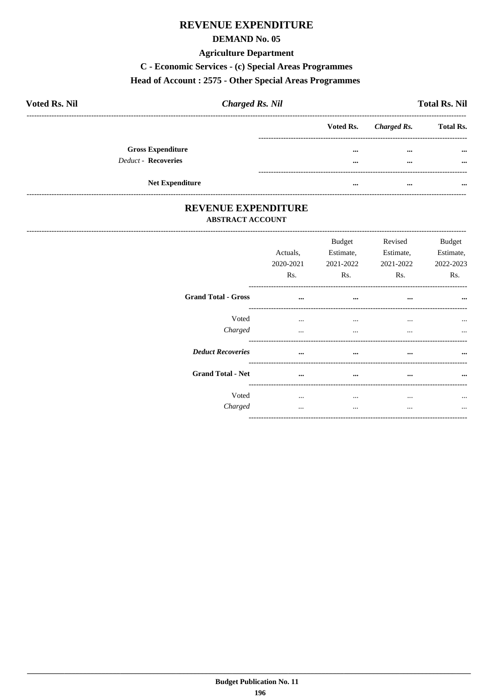### **REVENUE EXPENDITURE**

#### **DEMAND No. 05**

#### **Agriculture Department**

C - Economic Services - (c) Special Areas Programmes

#### Head of Account: 2575 - Other Special Areas Programmes

| <b>Voted Rs. Nil</b>       | <b>Charged Rs. Nil</b> |                         |             | <b>Total Rs. Nil</b> |
|----------------------------|------------------------|-------------------------|-------------|----------------------|
|                            |                        | Voted Rs.               | Charged Rs. | <b>Total Rs.</b>     |
| <b>Gross Expenditure</b>   |                        | $\cdots$                | $\cdots$    | $\cdots$             |
| <b>Deduct - Recoveries</b> |                        | $\cdots$                | $\cdots$    | $\cdots$             |
|                            |                        |                         |             |                      |
| <b>Net Expenditure</b>     |                        | $\bullet\bullet\bullet$ | $\cdots$    | $\cdots$             |

### REVENUE EXPENDITURE **ABSTRACT ACCOUNT**

------------------------------------

|                            | Actuals,<br>2020-2021<br>R <sub>s</sub> . | <b>Budget</b><br>Estimate,<br>2021-2022<br>R <sub>s</sub> . | Revised<br>Estimate,<br>2021-2022<br>Rs. | <b>Budget</b><br>Estimate.<br>2022-2023<br>Rs. |
|----------------------------|-------------------------------------------|-------------------------------------------------------------|------------------------------------------|------------------------------------------------|
| <b>Grand Total - Gross</b> | $\cdots$                                  | $\cdots$                                                    | $\cdots$                                 | $\cdots$                                       |
| Voted                      | $\cdots$                                  | $\cdots$                                                    | $\cdots$                                 |                                                |
| Charged                    | $\cdots$                                  | $\cdots$                                                    | $\cdots$                                 | $\cdots$                                       |
| <b>Deduct Recoveries</b>   | $\ddotsc$                                 | $\cdots$                                                    | $\cdots$                                 |                                                |
| <b>Grand Total - Net</b>   | $\cdots$                                  | $\cdots$                                                    | $\cdots$                                 |                                                |
| Voted                      | $\cdots$                                  | $\cdots$                                                    | $\cdots$                                 |                                                |
| Charged                    |                                           | $\cdots$                                                    | $\cdots$                                 |                                                |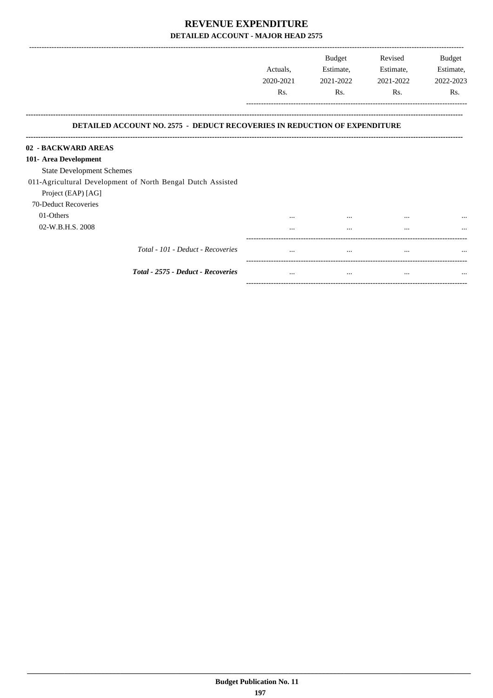|                                                                                                         | Actuals,<br>2020-2021<br>Rs. | Budget<br>Estimate,<br>2021-2022<br>Rs. | Revised<br>Estimate,<br>2021-2022<br>Rs. | <b>Budget</b><br>Estimate,<br>2022-2023<br>Rs. |
|---------------------------------------------------------------------------------------------------------|------------------------------|-----------------------------------------|------------------------------------------|------------------------------------------------|
| <b>DETAILED ACCOUNT NO. 2575 - DEDUCT RECOVERIES IN REDUCTION OF EXPENDITURE</b><br>02 - BACKWARD AREAS |                              |                                         |                                          |                                                |
| 101- Area Development                                                                                   |                              |                                         |                                          |                                                |
| <b>State Development Schemes</b>                                                                        |                              |                                         |                                          |                                                |
| 011-Agricultural Development of North Bengal Dutch Assisted                                             |                              |                                         |                                          |                                                |
| Project (EAP) [AG]                                                                                      |                              |                                         |                                          |                                                |
| 70-Deduct Recoveries                                                                                    |                              |                                         |                                          |                                                |
| 01-Others                                                                                               |                              | $\cdots$                                | $\cdots$                                 |                                                |
| 02-W.B.H.S. 2008                                                                                        | .                            |                                         | $\ddotsc$                                |                                                |
| Total - 101 - Deduct - Recoveries                                                                       | $\cdots$                     | $\cdots$                                | $\cdots$                                 | $\ddotsc$                                      |
| Total - 2575 - Deduct - Recoveries                                                                      | $\cdots$                     | $\cdots$                                | $\cdots$                                 | $\cdots$                                       |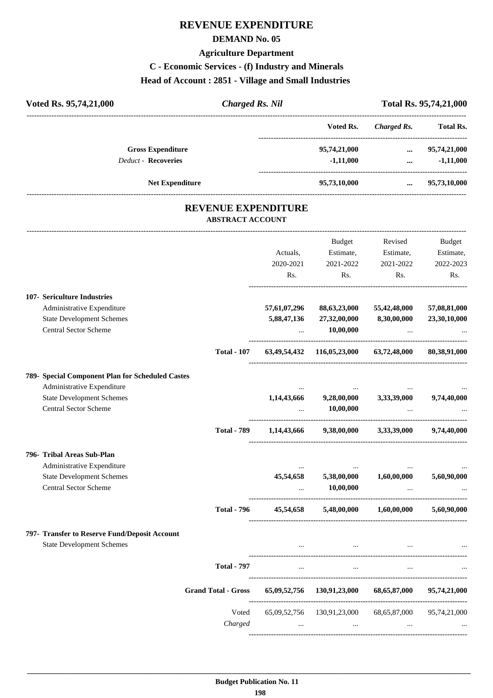## **REVENUE EXPENDITURE**

#### **DEMAND No. 05**

#### **Agriculture Department**

### **C - Economic Services - (f) Industry and Minerals**

#### **Head of Account : 2851 - Village and Small Industries**

| Voted Rs. 95,74,21,000     | <b>Charged Rs. Nil</b> |              |             | Total Rs. 95,74,21,000 |
|----------------------------|------------------------|--------------|-------------|------------------------|
|                            |                        | Voted Rs.    | Charged Rs. | <b>Total Rs.</b>       |
| <b>Gross Expenditure</b>   |                        | 95,74,21,000 | $\cdots$    | 95,74,21,000           |
| <b>Deduct - Recoveries</b> |                        | $-1,11,000$  | $\cdots$    | $-1,11,000$            |
| <b>Net Expenditure</b>     |                        | 95,73,10,000 |             | 95,73,10,000           |
|                            |                        |              |             |                        |

### **REVENUE EXPENDITURE ABSTRACT ACCOUNT**

---------------------------------------------------------------------------------------------------------------------------------------------------------------------------------

|                                                                                                                                                    |                    | Actuals,<br>2020-2021<br>R <sub>s</sub> . | <b>Budget</b><br>Estimate,<br>2021-2022<br>Rs.                     | Revised<br>Estimate,<br>2021-2022<br>Rs.   | <b>Budget</b><br>Estimate,<br>2022-2023<br>Rs. |
|----------------------------------------------------------------------------------------------------------------------------------------------------|--------------------|-------------------------------------------|--------------------------------------------------------------------|--------------------------------------------|------------------------------------------------|
| 107- Sericulture Industries<br>Administrative Expenditure<br><b>State Development Schemes</b><br><b>Central Sector Scheme</b>                      |                    | 57,61,07,296<br>5,88,47,136<br>$\ddotsc$  | 88, 63, 23, 000<br>27,32,00,000<br>10,00,000                       | 55,42,48,000<br>8,30,00,000                | 57,08,81,000<br>23,30,10,000                   |
|                                                                                                                                                    | <b>Total - 107</b> |                                           | 63,49,54,432 116,05,23,000 63,72,48,000                            |                                            | 80,38,91,000                                   |
| 789- Special Component Plan for Scheduled Castes<br>Administrative Expenditure<br><b>State Development Schemes</b><br><b>Central Sector Scheme</b> |                    | 1,14,43,666                               | 9,28,00,000<br>10,00,000                                           | 3,33,39,000                                | 9,74,40,000                                    |
|                                                                                                                                                    | <b>Total - 789</b> |                                           | $1,14,43,666$ $9,38,00,000$ $3,33,39,000$                          |                                            | 9,74,40,000                                    |
| 796- Tribal Areas Sub-Plan<br>Administrative Expenditure<br><b>State Development Schemes</b><br><b>Central Sector Scheme</b>                       | <b>Total - 796</b> | 45,54,658<br>45,54,658                    | --------------------------------------<br>5,38,00,000<br>10,00,000 | 1,60,00,000<br>$5,48,00,000$ $1,60,00,000$ | 5,60,90,000<br>5.60.90.000                     |
| 797- Transfer to Reserve Fund/Deposit Account<br><b>State Development Schemes</b>                                                                  |                    |                                           | $\sim$ $\sim$                                                      |                                            |                                                |
|                                                                                                                                                    | <b>Total - 797</b> | <b>Second Contract</b>                    | $\sim$ $\sim$ $\sim$                                               |                                            |                                                |
| <b>Grand Total - Gross</b>                                                                                                                         |                    |                                           | 65,09,52,756 130,91,23,000                                         | 68,65,87,000                               | 95,74,21,000                                   |
|                                                                                                                                                    | Voted<br>Charged   | $\cdots$                                  | 65,09,52,756 130,91,23,000                                         | 68,65,87,000                               | 95,74,21,000                                   |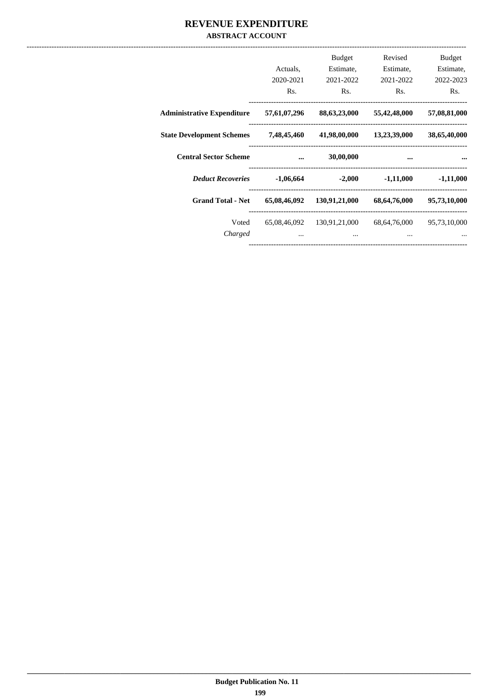### REVENUE EXPENDITURE **ABSTRACT ACCOUNT**

|                                   | Actuals.<br>2020-2021<br>Rs. | <b>Budget</b><br>Estimate.<br>2021-2022<br>Rs. | Revised<br>Estimate,<br>2021-2022<br>Rs. | <b>Budget</b><br>Estimate,<br>2022-2023<br>Rs. |
|-----------------------------------|------------------------------|------------------------------------------------|------------------------------------------|------------------------------------------------|
| <b>Administrative Expenditure</b> | 57,61,07,296                 | 88,63,23,000                                   | 55,42,48,000                             | 57,08,81,000                                   |
| <b>State Development Schemes</b>  | 7,48,45,460                  | 41,98,00,000                                   | 13,23,39,000                             | 38,65,40,000                                   |
| <b>Central Sector Scheme</b>      | $\ddotsc$                    | 30,00,000                                      | $\cdots$                                 |                                                |
| <b>Deduct Recoveries</b>          | $-1,06,664$                  | $-2,000$                                       | $-1,11,000$                              | $-1,11,000$                                    |
|                                   |                              |                                                |                                          |                                                |
| <b>Grand Total - Net</b>          | 65,08,46,092                 | 130,91,21,000                                  | 68,64,76,000                             | 95,73,10,000                                   |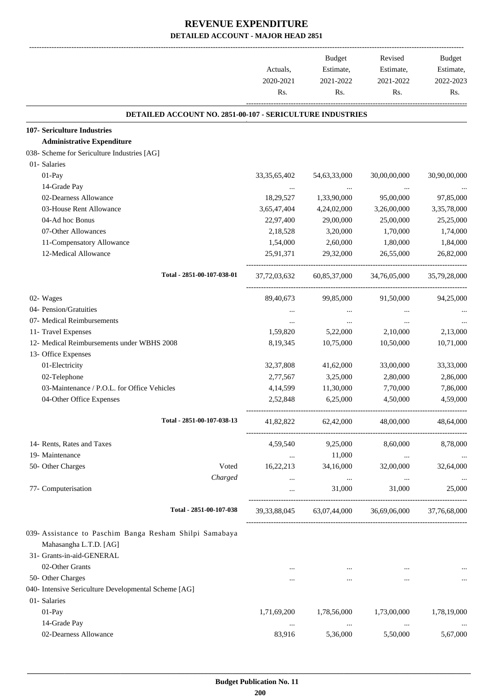|                                                                                                                | Actuals,<br>2020-2021<br>Rs. | Budget<br>Estimate,<br>2021-2022<br>Rs. | Revised<br>Estimate,<br>2021-2022<br>Rs.            | Budget<br>Estimate,<br>2022-2023<br>Rs. |
|----------------------------------------------------------------------------------------------------------------|------------------------------|-----------------------------------------|-----------------------------------------------------|-----------------------------------------|
| DETAILED ACCOUNT NO. 2851-00-107 - SERICULTURE INDUSTRIES                                                      |                              |                                         |                                                     |                                         |
| 107- Sericulture Industries                                                                                    |                              |                                         |                                                     |                                         |
| <b>Administrative Expenditure</b>                                                                              |                              |                                         |                                                     |                                         |
| 038- Scheme for Sericulture Industries [AG]                                                                    |                              |                                         |                                                     |                                         |
| 01- Salaries                                                                                                   |                              |                                         |                                                     |                                         |
| 01-Pay                                                                                                         | 33, 35, 65, 402              | 54,63,33,000                            | 30,00,00,000                                        | 30,90,00,000                            |
| 14-Grade Pay                                                                                                   | $\cdots$                     |                                         |                                                     |                                         |
| 02-Dearness Allowance                                                                                          | 18,29,527                    | 1,33,90,000                             | 95,00,000                                           | 97,85,000                               |
| 03-House Rent Allowance                                                                                        | 3,65,47,404                  | 4,24,02,000                             | 3,26,00,000                                         | 3,35,78,000                             |
| 04-Ad hoc Bonus                                                                                                | 22,97,400                    | 29,00,000                               | 25,00,000                                           | 25,25,000                               |
| 07-Other Allowances                                                                                            | 2,18,528                     | 3,20,000                                | 1,70,000                                            | 1,74,000                                |
| 11-Compensatory Allowance                                                                                      | 1,54,000                     | 2,60,000                                | 1,80,000                                            | 1,84,000                                |
| 12-Medical Allowance                                                                                           | 25,91,371                    | 29,32,000                               | 26,55,000                                           | 26,82,000                               |
| Total - 2851-00-107-038-01                                                                                     |                              | 37,72,03,632 60,85,37,000               | 34,76,05,000                                        | 35,79,28,000                            |
| 02- Wages                                                                                                      | 89,40,673                    | 99,85,000                               | 91,50,000                                           | 94,25,000                               |
| 04- Pension/Gratuities                                                                                         | $\cdots$                     |                                         |                                                     |                                         |
| 07- Medical Reimbursements                                                                                     | $\cdots$                     | $\cdots$                                | $\cdots$                                            |                                         |
| 11- Travel Expenses                                                                                            | 1,59,820                     | 5,22,000                                | 2,10,000                                            | 2,13,000                                |
| 12- Medical Reimbursements under WBHS 2008                                                                     | 8,19,345                     | 10,75,000                               | 10,50,000                                           | 10,71,000                               |
| 13- Office Expenses                                                                                            |                              |                                         |                                                     |                                         |
| 01-Electricity                                                                                                 | 32,37,808                    | 41,62,000                               | 33,00,000                                           | 33,33,000                               |
| 02-Telephone                                                                                                   | 2,77,567                     | 3,25,000                                | 2,80,000                                            | 2,86,000                                |
| 03-Maintenance / P.O.L. for Office Vehicles                                                                    | 4,14,599                     | 11,30,000                               | 7,70,000                                            | 7,86,000                                |
| 04-Other Office Expenses                                                                                       | 2,52,848                     | 6,25,000                                | 4,50,000                                            | 4,59,000                                |
| Total - 2851-00-107-038-13                                                                                     | 41,82,822                    | 62,42,000                               | 48,00,000                                           | 48,64,000                               |
| 14- Rents, Rates and Taxes                                                                                     | 4,59,540                     | 9,25,000                                | 8,60,000                                            | 8,78,000                                |
| 19- Maintenance                                                                                                | $\cdots$                     | 11,000                                  | $\ddotsc$                                           |                                         |
| 50- Other Charges<br>Voted                                                                                     | 16,22,213                    | 34,16,000                               | 32,00,000                                           | 32,64,000                               |
| Charged                                                                                                        | $\cdots$                     | $\ldots$                                | $\cdots$                                            |                                         |
| 77- Computerisation                                                                                            | $\cdots$                     | 31,000                                  | 31,000                                              | 25,000                                  |
| Total - 2851-00-107-038                                                                                        |                              |                                         | 39,33,88,045 63,07,44,000 36,69,06,000 37,76,68,000 |                                         |
| 039- Assistance to Paschim Banga Resham Shilpi Samabaya<br>Mahasangha L.T.D. [AG]<br>31- Grants-in-aid-GENERAL |                              |                                         |                                                     |                                         |
| 02-Other Grants                                                                                                |                              |                                         |                                                     |                                         |
| 50- Other Charges                                                                                              |                              | $\cdots$                                |                                                     |                                         |
| 040- Intensive Sericulture Developmental Scheme [AG]                                                           |                              |                                         |                                                     |                                         |
| 01- Salaries                                                                                                   |                              |                                         |                                                     |                                         |
| 01-Pay                                                                                                         | 1,71,69,200                  | 1,78,56,000                             | 1,73,00,000                                         | 1,78,19,000                             |
| 14-Grade Pay                                                                                                   | $\cdots$                     | $\cdots$                                | $\cdots$                                            |                                         |
| 02-Dearness Allowance                                                                                          | 83,916                       | 5,36,000                                | 5,50,000                                            | 5,67,000                                |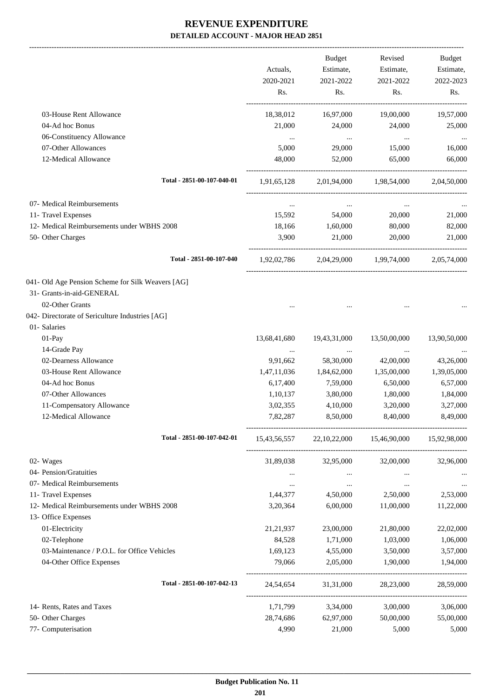|                                                                                                   | Actuals,<br>2020-2021<br>Rs. | <b>Budget</b><br>Estimate,<br>2021-2022<br>Rs. | Revised<br>Estimate,<br>2021-2022<br>Rs. | Budget<br>Estimate,<br>2022-2023<br>Rs. |
|---------------------------------------------------------------------------------------------------|------------------------------|------------------------------------------------|------------------------------------------|-----------------------------------------|
| 03-House Rent Allowance                                                                           | 18,38,012                    | 16,97,000                                      | 19,00,000                                | 19,57,000                               |
| 04-Ad hoc Bonus                                                                                   | 21,000                       | 24,000                                         | 24,000                                   | 25,000                                  |
| 06-Constituency Allowance                                                                         | $\ddots$                     | $\sim$ $\sim$                                  | $\ldots$                                 |                                         |
| 07-Other Allowances                                                                               | 5,000                        | 29,000                                         | 15,000                                   | 16,000                                  |
| 12-Medical Allowance                                                                              | 48,000                       | 52,000                                         | 65,000                                   | 66,000                                  |
| Total - 2851-00-107-040-01                                                                        |                              |                                                | 1,91,65,128 2,01,94,000 1,98,54,000      | 2,04,50,000                             |
| 07- Medical Reimbursements                                                                        | $\cdots$                     | $\ldots$                                       | $\ldots$                                 |                                         |
| 11- Travel Expenses                                                                               | 15,592                       | 54,000                                         | 20,000                                   | 21,000                                  |
| 12- Medical Reimbursements under WBHS 2008                                                        | 18,166                       | 1,60,000                                       | 80,000                                   | 82,000                                  |
| 50- Other Charges                                                                                 | 3,900                        | 21,000                                         | 20,000                                   | 21,000                                  |
| Total - 2851-00-107-040                                                                           | 1,92,02,786                  |                                                | 2,04,29,000 1,99,74,000                  | 2,05,74,000                             |
| 041- Old Age Pension Scheme for Silk Weavers [AG]<br>31- Grants-in-aid-GENERAL<br>02-Other Grants |                              |                                                |                                          |                                         |
| 042- Directorate of Sericulture Industries [AG]                                                   |                              |                                                |                                          |                                         |
| 01- Salaries                                                                                      |                              |                                                |                                          |                                         |
| 01-Pay                                                                                            | 13,68,41,680                 | 19,43,31,000                                   | 13,50,00,000                             | 13,90,50,000                            |
| 14-Grade Pay                                                                                      | $\cdots$                     | $\cdots$                                       | $\cdots$                                 |                                         |
| 02-Dearness Allowance                                                                             | 9,91,662                     | 58,30,000                                      | 42,00,000                                | 43,26,000                               |
| 03-House Rent Allowance                                                                           | 1,47,11,036                  | 1,84,62,000                                    | 1,35,00,000                              | 1,39,05,000                             |
| 04-Ad hoc Bonus                                                                                   | 6,17,400                     | 7,59,000                                       | 6,50,000                                 | 6,57,000                                |
| 07-Other Allowances                                                                               | 1,10,137                     | 3,80,000                                       | 1,80,000                                 | 1,84,000                                |
| 11-Compensatory Allowance                                                                         | 3,02,355                     | 4,10,000                                       | 3,20,000                                 | 3,27,000                                |
| 12-Medical Allowance                                                                              | 7,82,287                     | 8,50,000                                       | 8,40,000                                 | 8,49,000                                |
| Total - 2851-00-107-042-01                                                                        | 15,43,56,557                 |                                                | 22, 10, 22, 000 15, 46, 90, 000          | 15,92,98,000                            |
| 02- Wages                                                                                         | 31,89,038                    | 32,95,000                                      | 32,00,000                                | 32,96,000                               |
| 04- Pension/Gratuities                                                                            | $\cdots$                     | $\cdots$                                       | $\cdots$                                 |                                         |
| 07- Medical Reimbursements                                                                        | $\cdots$                     | $\cdots$                                       | $\cdots$                                 | $\cdots$                                |
| 11- Travel Expenses                                                                               | 1,44,377                     | 4,50,000                                       | 2,50,000                                 | 2,53,000                                |
| 12- Medical Reimbursements under WBHS 2008<br>13- Office Expenses                                 | 3,20,364                     | 6,00,000                                       | 11,00,000                                | 11,22,000                               |
| 01-Electricity                                                                                    | 21, 21, 937                  | 23,00,000                                      | 21,80,000                                | 22,02,000                               |
| 02-Telephone                                                                                      | 84,528                       | 1,71,000                                       | 1,03,000                                 | 1,06,000                                |
| 03-Maintenance / P.O.L. for Office Vehicles                                                       | 1,69,123                     | 4,55,000                                       | 3,50,000                                 | 3,57,000                                |
| 04-Other Office Expenses                                                                          | 79,066                       | 2,05,000                                       | 1,90,000                                 | 1,94,000                                |
| Total - 2851-00-107-042-13                                                                        | 24,54,654                    | 31,31,000                                      | 28,23,000                                | 28,59,000                               |
| 14- Rents, Rates and Taxes                                                                        | 1,71,799                     | 3,34,000                                       | 3,00,000                                 | 3,06,000                                |
| 50- Other Charges                                                                                 | 28,74,686                    | 62,97,000                                      | 50,00,000                                | 55,00,000                               |
| 77- Computerisation                                                                               | 4,990                        | 21,000                                         | 5,000                                    | 5,000                                   |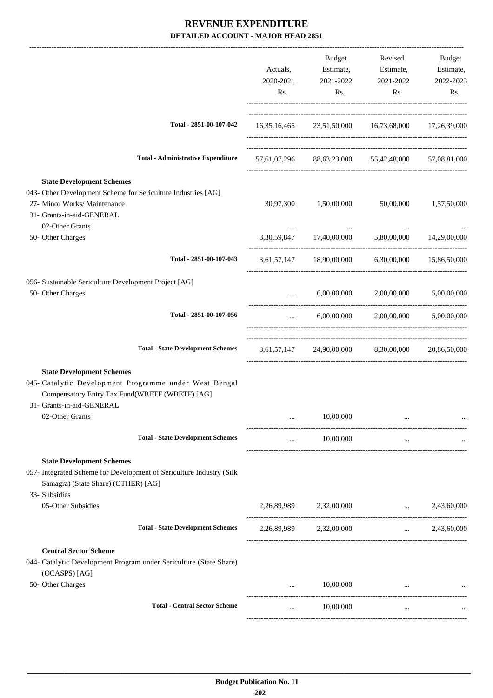|                                                                                                                                                                           | Actuals,<br>2020-2021<br>Rs.                                                                                                      | Budget<br>Estimate,<br>2021-2022<br>Rs. | Revised<br>Estimate,<br>2021-2022<br>Rs.            | Budget<br>Estimate,<br>2022-2023<br>Rs. |
|---------------------------------------------------------------------------------------------------------------------------------------------------------------------------|-----------------------------------------------------------------------------------------------------------------------------------|-----------------------------------------|-----------------------------------------------------|-----------------------------------------|
| Total - 2851-00-107-042                                                                                                                                                   |                                                                                                                                   |                                         | 16,35,16,465 23,51,50,000 16,73,68,000 17,26,39,000 |                                         |
| <b>Total - Administrative Expenditure</b>                                                                                                                                 |                                                                                                                                   |                                         | 57,61,07,296 88,63,23,000 55,42,48,000 57,08,81,000 |                                         |
| <b>State Development Schemes</b><br>043- Other Development Scheme for Sericulture Industries [AG]<br>27- Minor Works/ Maintenance<br>31- Grants-in-aid-GENERAL            | 30,97,300                                                                                                                         | 1,50,00,000                             | 50,00,000                                           | 1,57,50,000                             |
| 02-Other Grants<br>50- Other Charges                                                                                                                                      |                                                                                                                                   |                                         | 3,30,59,847 17,40,00,000 5,80,00,000 14,29,00,000   |                                         |
| Total - 2851-00-107-043                                                                                                                                                   |                                                                                                                                   |                                         | 3,61,57,147 18,90,00,000 6,30,00,000 15,86,50,000   |                                         |
| 056- Sustainable Sericulture Development Project [AG]<br>50- Other Charges                                                                                                | $\mathbf{1}_{\mathbf{1}_{\mathbf{2}}\mathbf{1}_{\mathbf{3}}\mathbf{2}_{\mathbf{4}}\mathbf{3}_{\mathbf{5}}\mathbf{4}_{\mathbf{6}}$ |                                         | $6,00,00,000$ $2,00,00,000$ $5,00,00,000$           |                                         |
| Total - 2851-00-107-056                                                                                                                                                   | $\cdots$ . The same of $\cdots$                                                                                                   |                                         | $6,00,00,000$ $2,00,00,000$ $5,00,00,000$           |                                         |
| <b>Total - State Development Schemes</b>                                                                                                                                  |                                                                                                                                   |                                         | 3,61,57,147 24,90,00,000 8,30,00,000 20,86,50,000   |                                         |
| <b>State Development Schemes</b><br>045- Catalytic Development Programme under West Bengal<br>Compensatory Entry Tax Fund(WBETF (WBETF) [AG]<br>31- Grants-in-aid-GENERAL |                                                                                                                                   |                                         |                                                     |                                         |
| 02-Other Grants                                                                                                                                                           |                                                                                                                                   | 10,00,000                               |                                                     |                                         |
| <b>Total - State Development Schemes</b>                                                                                                                                  | $\cdots$                                                                                                                          | 10,00,000                               | $\cdots$                                            |                                         |
| <b>State Development Schemes</b><br>057- Integrated Scheme for Development of Sericulture Industry (Silk<br>Samagra) (State Share) (OTHER) [AG]<br>33- Subsidies          |                                                                                                                                   |                                         |                                                     |                                         |
| 05-Other Subsidies                                                                                                                                                        |                                                                                                                                   | 2,26,89,989 2,32,00,000                 | $\cdots$                                            | 2,43,60,000                             |
| <b>Total - State Development Schemes</b>                                                                                                                                  |                                                                                                                                   | 2,26,89,989 2,32,00,000                 | $\mathbf{r}$ and $\mathbf{r}$ and $\mathbf{r}$      | 2,43,60,000                             |
| <b>Central Sector Scheme</b><br>044- Catalytic Development Program under Sericulture (State Share)<br>(OCASPS) [AG]                                                       |                                                                                                                                   |                                         |                                                     |                                         |
| 50- Other Charges                                                                                                                                                         | $\cdots$                                                                                                                          | 10,00,000                               |                                                     |                                         |
| <b>Total - Central Sector Scheme</b>                                                                                                                                      | $\cdots$                                                                                                                          | 10,00,000                               | $\cdots$                                            |                                         |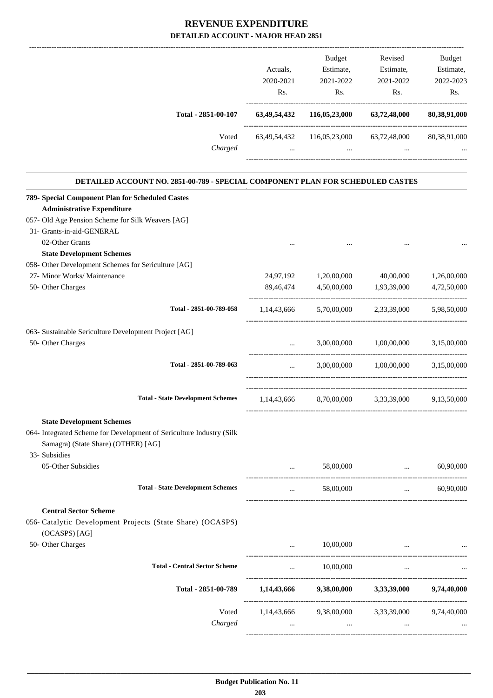|                                                                                                                                                 | Actuals,<br>2020-2021<br>Rs. | Budget<br>Estimate,<br>2021-2022<br>Rs.                     | Revised<br>Estimate,<br>2021-2022<br>Rs.                                                                 | Budget<br>Estimate,<br>2022-2023<br>Rs.        |
|-------------------------------------------------------------------------------------------------------------------------------------------------|------------------------------|-------------------------------------------------------------|----------------------------------------------------------------------------------------------------------|------------------------------------------------|
| Total - 2851-00-107                                                                                                                             |                              | 63,49,54,432 116,05,23,000 63,72,48,000 80,38,91,000        |                                                                                                          |                                                |
| Voted                                                                                                                                           |                              | 63,49,54,432 116,05,23,000 63,72,48,000 80,38,91,000        |                                                                                                          |                                                |
| Charged                                                                                                                                         | $\cdots$                     |                                                             | and the company of the company of the<br>$\sim$ $\sim$ $\sim$                                            |                                                |
| DETAILED ACCOUNT NO. 2851-00-789 - SPECIAL COMPONENT PLAN FOR SCHEDULED CASTES                                                                  |                              |                                                             |                                                                                                          |                                                |
| 789- Special Component Plan for Scheduled Castes                                                                                                |                              |                                                             |                                                                                                          |                                                |
| <b>Administrative Expenditure</b>                                                                                                               |                              |                                                             |                                                                                                          |                                                |
| 057- Old Age Pension Scheme for Silk Weavers [AG]<br>31- Grants-in-aid-GENERAL                                                                  |                              |                                                             |                                                                                                          |                                                |
| 02-Other Grants                                                                                                                                 |                              |                                                             |                                                                                                          |                                                |
| <b>State Development Schemes</b>                                                                                                                | $\cdots$                     |                                                             |                                                                                                          |                                                |
| 058- Other Development Schemes for Sericulture [AG]                                                                                             |                              |                                                             |                                                                                                          |                                                |
| 27- Minor Works/ Maintenance                                                                                                                    |                              | 24,97,192 1,20,00,000 40,00,000 1,26,00,000                 |                                                                                                          |                                                |
| 50- Other Charges                                                                                                                               |                              | 89,46,474 4,50,00,000 1,93,39,000 4,72,50,000               |                                                                                                          |                                                |
|                                                                                                                                                 |                              |                                                             |                                                                                                          |                                                |
| Total - 2851-00-789-058                                                                                                                         |                              | 1,14,43,666 5,70,00,000 2,33,39,000 5,98,50,000             |                                                                                                          |                                                |
| 063- Sustainable Sericulture Development Project [AG]                                                                                           |                              |                                                             |                                                                                                          |                                                |
| 50- Other Charges                                                                                                                               |                              | $\mathbf{m}^{\mathrm{max}}$ and $\mathbf{m}^{\mathrm{max}}$ | 3,00,00,000 1,00,00,000 3,15,00,000                                                                      |                                                |
| Total - 2851-00-789-063                                                                                                                         | --------------------------   | $3,00,00,000$ $1,00,00,000$ $3,15,00,000$                   |                                                                                                          |                                                |
| <b>Total - State Development Schemes</b>                                                                                                        |                              | 1,14,43,666 8,70,00,000 3,33,39,000 9,13,50,000             |                                                                                                          |                                                |
|                                                                                                                                                 |                              |                                                             |                                                                                                          |                                                |
| <b>State Development Schemes</b><br>064- Integrated Scheme for Development of Sericulture Industry (Silk<br>Samagra) (State Share) (OTHER) [AG] |                              |                                                             |                                                                                                          |                                                |
| 33- Subsidies<br>05-Other Subsidies                                                                                                             | $\cdots$                     | 58,00,000                                                   | $\mathbf{r}$ and $\mathbf{r}$ and $\mathbf{r}$ and $\mathbf{r}$<br>------------------------------------- | 60,90,000                                      |
| <b>Total - State Development Schemes</b>                                                                                                        | $\cdots$                     | 58,00,000                                                   |                                                                                                          | 60,90,000<br><b>Contract Contract Contract</b> |
| <b>Central Sector Scheme</b>                                                                                                                    |                              |                                                             |                                                                                                          |                                                |
| 056- Catalytic Development Projects (State Share) (OCASPS)<br>(OCASPS) [AG]                                                                     |                              |                                                             |                                                                                                          |                                                |
| 50- Other Charges                                                                                                                               | $\cdots$                     | 10,00,000                                                   | the contract of the contract of the contract of                                                          |                                                |
| <b>Total - Central Sector Scheme</b>                                                                                                            | $\cdots$                     | 10,00,000                                                   | $\cdots$                                                                                                 |                                                |
| Total - 2851-00-789                                                                                                                             |                              | $1,14,43,666$ $9,38,00,000$ $3,33,39,000$ $9,74,40,000$     |                                                                                                          |                                                |
| Voted                                                                                                                                           |                              | 1,14,43,666 9,38,00,000 3,33,39,000 9,74,40,000             |                                                                                                          |                                                |
| Charged                                                                                                                                         | $\cdots$                     | $\cdots$                                                    | $\cdots$                                                                                                 |                                                |
|                                                                                                                                                 |                              |                                                             |                                                                                                          |                                                |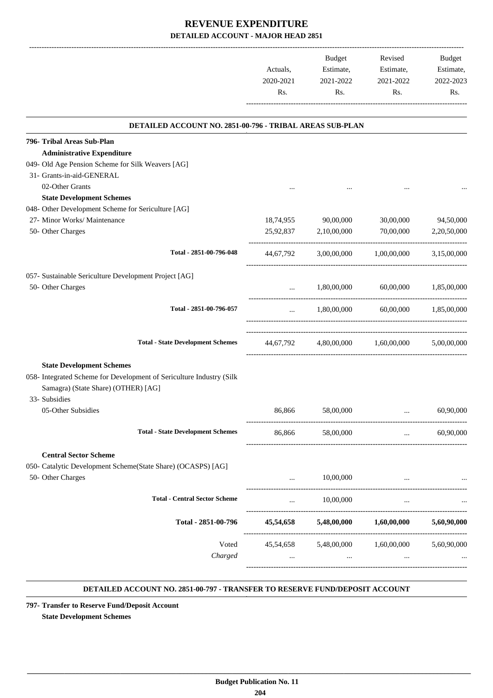|                                                                                        | Actuals,<br>2020-2021<br>Rs. | Budget<br>Estimate,<br>2021-2022<br>Rs. | Revised<br>Estimate,<br>2021-2022<br>Rs.      | Budget<br>Estimate,<br>2022-2023<br>Rs. |
|----------------------------------------------------------------------------------------|------------------------------|-----------------------------------------|-----------------------------------------------|-----------------------------------------|
|                                                                                        |                              |                                         |                                               |                                         |
| DETAILED ACCOUNT NO. 2851-00-796 - TRIBAL AREAS SUB-PLAN                               |                              |                                         |                                               |                                         |
| 796- Tribal Areas Sub-Plan                                                             |                              |                                         |                                               |                                         |
| <b>Administrative Expenditure</b><br>049- Old Age Pension Scheme for Silk Weavers [AG] |                              |                                         |                                               |                                         |
| 31- Grants-in-aid-GENERAL                                                              |                              |                                         |                                               |                                         |
| 02-Other Grants                                                                        |                              |                                         |                                               |                                         |
| <b>State Development Schemes</b>                                                       |                              |                                         |                                               |                                         |
| 048- Other Development Scheme for Sericulture [AG]                                     |                              |                                         |                                               |                                         |
| 27- Minor Works/ Maintenance                                                           |                              | 18,74,955 90,00,000                     | 30,00,000                                     | 94,50,000                               |
| 50- Other Charges                                                                      |                              | 25,92,837 2,10,00,000                   | 70,00,000                                     | 2,20,50,000                             |
|                                                                                        |                              |                                         |                                               |                                         |
| Total - 2851-00-796-048                                                                |                              |                                         | 44,67,792 3,00,00,000 1,00,00,000             | 3,15,00,000                             |
| 057- Sustainable Sericulture Development Project [AG]                                  |                              |                                         |                                               |                                         |
| 50- Other Charges                                                                      |                              |                                         | $1,80,00,000$ $60,00,000$ $1,85,00,000$       |                                         |
|                                                                                        | $\mathbf{1}$                 |                                         |                                               |                                         |
| Total - 2851-00-796-057                                                                |                              |                                         | $1,80,00,000$ $60,00,000$ $1,85,00,000$       |                                         |
|                                                                                        |                              |                                         |                                               |                                         |
|                                                                                        |                              |                                         |                                               |                                         |
| <b>Total - State Development Schemes</b>                                               |                              |                                         | 44,67,792 4,80,00,000 1,60,00,000 5,00,00,000 |                                         |
| <b>State Development Schemes</b>                                                       |                              |                                         |                                               |                                         |
| 058- Integrated Scheme for Development of Sericulture Industry (Silk                   |                              |                                         |                                               |                                         |
| Samagra) (State Share) (OTHER) [AG]                                                    |                              |                                         |                                               |                                         |
| 33- Subsidies                                                                          |                              |                                         |                                               |                                         |
| 05-Other Subsidies                                                                     | 86.866                       | 58,00,000                               |                                               | 60,90,000                               |
|                                                                                        |                              |                                         |                                               |                                         |
| <b>Total - State Development Schemes</b>                                               | 86,866                       | 58,00,000                               | <b>Second Committee</b>                       | 60,90,000                               |
|                                                                                        |                              |                                         |                                               |                                         |
| <b>Central Sector Scheme</b>                                                           |                              |                                         |                                               |                                         |
| 050- Catalytic Development Scheme(State Share) (OCASPS) [AG]<br>50- Other Charges      |                              | 10,00,000                               |                                               |                                         |
|                                                                                        | $\cdots$                     |                                         |                                               |                                         |
| <b>Total - Central Sector Scheme</b>                                                   | $\cdots$                     | 10,00,000                               | $\cdots$                                      |                                         |
|                                                                                        |                              |                                         |                                               |                                         |
| Total - 2851-00-796                                                                    |                              |                                         | 45,54,658 5,48,00,000 1,60,00,000 5,60,90,000 |                                         |
|                                                                                        |                              |                                         |                                               |                                         |
| Voted                                                                                  |                              |                                         | 45,54,658 5,48,00,000 1,60,00,000 5,60,90,000 |                                         |
| Charged                                                                                | $\cdots$                     | $\cdots$                                | $\cdots$                                      |                                         |
|                                                                                        |                              |                                         |                                               |                                         |

#### **DETAILED ACCOUNT NO. 2851-00-797 - TRANSFER TO RESERVE FUND/DEPOSIT ACCOUNT .**

**797- Transfer to Reserve Fund/Deposit Account State Development Schemes**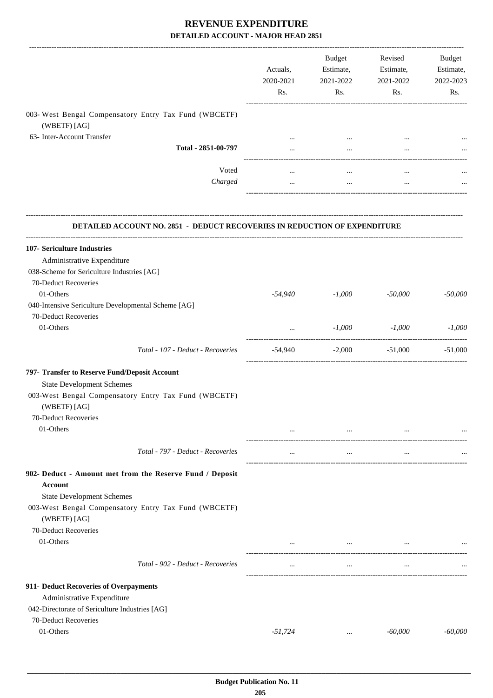|                                                                                  | Actuals,<br>2020-2021<br>Rs. | Budget<br>Estimate,<br>2021-2022<br>Rs. | Revised<br>Estimate,<br>2021-2022<br>Rs.                                    | Budget<br>Estimate,<br>2022-2023<br>Rs. |
|----------------------------------------------------------------------------------|------------------------------|-----------------------------------------|-----------------------------------------------------------------------------|-----------------------------------------|
| 003- West Bengal Compensatory Entry Tax Fund (WBCETF)                            |                              |                                         |                                                                             |                                         |
| (WBETF) [AG]                                                                     |                              |                                         |                                                                             |                                         |
| 63- Inter-Account Transfer                                                       | $\cdots$                     | $\cdots$                                | $\cdots$                                                                    |                                         |
| Total - 2851-00-797                                                              | $\cdots$                     | $\cdots$                                |                                                                             |                                         |
| Voted                                                                            |                              |                                         |                                                                             |                                         |
| Charged                                                                          | $\cdots$                     | $\cdots$                                | $\cdots$                                                                    |                                         |
| <b>DETAILED ACCOUNT NO. 2851 - DEDUCT RECOVERIES IN REDUCTION OF EXPENDITURE</b> |                              |                                         |                                                                             |                                         |
| 107- Sericulture Industries                                                      |                              |                                         |                                                                             |                                         |
| Administrative Expenditure                                                       |                              |                                         |                                                                             |                                         |
| 038-Scheme for Sericulture Industries [AG]                                       |                              |                                         |                                                                             |                                         |
| 70-Deduct Recoveries                                                             |                              |                                         |                                                                             |                                         |
| 01-Others                                                                        | $-54,940$                    | $-1,000$                                | $-50,000$                                                                   | $-50,000$                               |
| 040-Intensive Sericulture Developmental Scheme [AG]                              |                              |                                         |                                                                             |                                         |
| 70-Deduct Recoveries                                                             |                              |                                         |                                                                             |                                         |
| 01-Others                                                                        | $\cdots$                     | $-1,000$                                | $-1,000$                                                                    | $-1,000$                                |
| Total - 107 - Deduct - Recoveries                                                | -54,940                      |                                         | ----------------------<br>-----------------<br>$-2,000$ $-51,000$ $-51,000$ |                                         |
| 797- Transfer to Reserve Fund/Deposit Account                                    |                              |                                         |                                                                             |                                         |
| <b>State Development Schemes</b>                                                 |                              |                                         |                                                                             |                                         |
| 003-West Bengal Compensatory Entry Tax Fund (WBCETF)<br>(WBETF) [AG]             |                              |                                         |                                                                             |                                         |
| 70-Deduct Recoveries                                                             |                              |                                         |                                                                             |                                         |
| 01-Others                                                                        |                              | $\cdots$                                | $\cdots$                                                                    |                                         |
| Total - 797 - Deduct - Recoveries                                                |                              | $\cdots$                                | $\cdots$                                                                    |                                         |
| 902- Deduct - Amount met from the Reserve Fund / Deposit<br>Account              |                              |                                         |                                                                             |                                         |
| <b>State Development Schemes</b>                                                 |                              |                                         |                                                                             |                                         |
| 003-West Bengal Compensatory Entry Tax Fund (WBCETF)<br>(WBETF) [AG]             |                              |                                         |                                                                             |                                         |
| 70-Deduct Recoveries                                                             |                              |                                         |                                                                             |                                         |
| 01-Others                                                                        |                              | $\cdots$                                | $\cdots$                                                                    |                                         |
| Total - 902 - Deduct - Recoveries                                                | $\cdots$                     | $\cdots$                                | $\cdots$                                                                    |                                         |
| 911- Deduct Recoveries of Overpayments                                           |                              |                                         |                                                                             |                                         |
| Administrative Expenditure                                                       |                              |                                         |                                                                             |                                         |
| 042-Directorate of Sericulture Industries [AG]                                   |                              |                                         |                                                                             |                                         |
| 70-Deduct Recoveries                                                             |                              |                                         |                                                                             |                                         |
| 01-Others                                                                        | $-51,724$                    | $\cdots$                                | $-60,000$                                                                   | $-60,000$                               |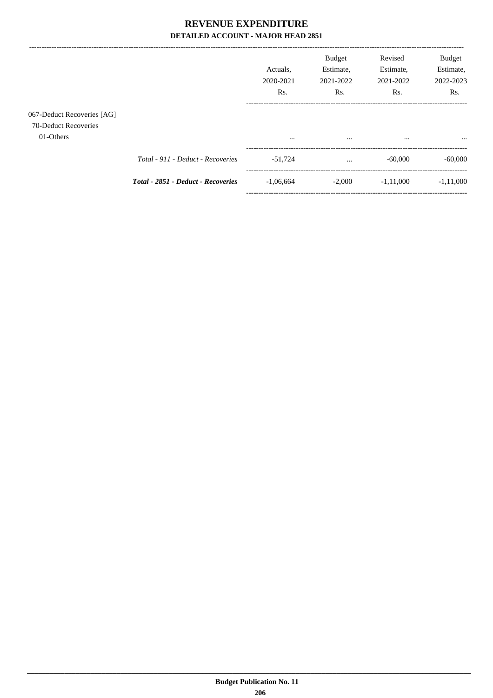$---$ 

|                                                                 |                                    | Actuals.<br>2020-2021<br>R <sub>s</sub> . | <b>Budget</b><br>Estimate,<br>2021-2022<br>Rs. | Revised<br>Estimate,<br>2021-2022<br>Rs. | <b>Budget</b><br>Estimate,<br>2022-2023<br>Rs. |
|-----------------------------------------------------------------|------------------------------------|-------------------------------------------|------------------------------------------------|------------------------------------------|------------------------------------------------|
| 067-Deduct Recoveries [AG]<br>70-Deduct Recoveries<br>01-Others |                                    | $\cdots$                                  | $\cdots$                                       | $\cdots$                                 | $\cdots$                                       |
|                                                                 | Total - 911 - Deduct - Recoveries  | $-51.724$                                 | $\cdots$                                       | $-60,000$                                | $-60,000$                                      |
|                                                                 | Total - 2851 - Deduct - Recoveries | $-1,06,664$                               | $-2,000$                                       | $-1.11,000$                              | $-1.11,000$                                    |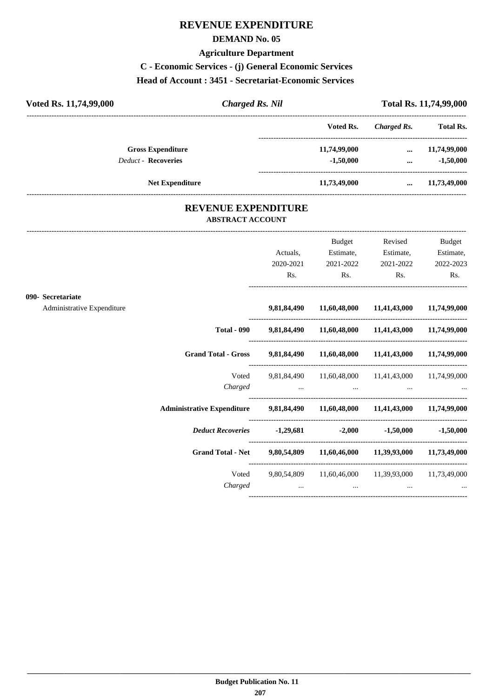### **REVENUE EXPENDITURE**

#### **DEMAND No. 05**

#### **Agriculture Department**

**C - Economic Services - (j) General Economic Services**

#### **Head of Account : 3451 - Secretariat-Economic Services**

| Voted Rs. 11,74,99,000     | <b>Charged Rs. Nil</b> |              | <b>Total Rs. 11,74,99,000</b> |                  |
|----------------------------|------------------------|--------------|-------------------------------|------------------|
|                            |                        | Voted Rs.    | Charged Rs.                   | <b>Total Rs.</b> |
| <b>Gross Expenditure</b>   |                        | 11,74,99,000 | $\cdots$                      | 11,74,99,000     |
| <b>Deduct - Recoveries</b> |                        | $-1,50,000$  | $\cdots$                      | $-1,50,000$      |
| <b>Net Expenditure</b>     |                        | 11,73,49,000 | $\cdots$                      | 11,73,49,000     |

### **REVENUE EXPENDITURE ABSTRACT ACCOUNT**

---------------------------------------------------------------------------------------------------------------------------------------------------------------------------------

|                                                 |                                                                               | Actuals,<br>2020-2021<br>Rs. | <b>Budget</b><br>Estimate,<br>2021-2022<br>$\mathbf{Rs.}$ | Revised<br>Estimate,<br>2021-2022<br>$\mathbf{Rs.}$            | <b>Budget</b><br>Estimate,<br>2022-2023<br>Rs. |
|-------------------------------------------------|-------------------------------------------------------------------------------|------------------------------|-----------------------------------------------------------|----------------------------------------------------------------|------------------------------------------------|
| 090- Secretariate<br>Administrative Expenditure |                                                                               |                              |                                                           | 9,81,84,490 11,60,48,000 11,41,43,000 11,74,99,000             |                                                |
|                                                 |                                                                               |                              |                                                           | Total - 090 9,81,84,490 11,60,48,000 11,41,43,000 11,74,99,000 |                                                |
|                                                 | Grand Total - Gross 9,81,84,490 11,60,48,000 11,41,43,000 11,74,99,000        |                              |                                                           |                                                                |                                                |
|                                                 | Voted                                                                         |                              |                                                           | 9,81,84,490 11,60,48,000 11,41,43,000 11,74,99,000             |                                                |
|                                                 | Administrative Expenditure 9,81,84,490 11,60,48,000 11,41,43,000 11,74,99,000 |                              |                                                           |                                                                |                                                |
|                                                 | Deduct Recoveries 1,29,681 -2,000 -1,50,000                                   |                              |                                                           |                                                                | $-1,50,000$                                    |
|                                                 | Grand Total - Net 9,80,54,809 11,60,46,000 11,39,93,000 11,73,49,000          |                              |                                                           |                                                                |                                                |
|                                                 | Voted<br>Charged                                                              |                              | $\cdots$                                                  | 9,80,54,809 11,60,46,000 11,39,93,000 11,73,49,000<br>$\cdots$ |                                                |
|                                                 |                                                                               |                              |                                                           |                                                                |                                                |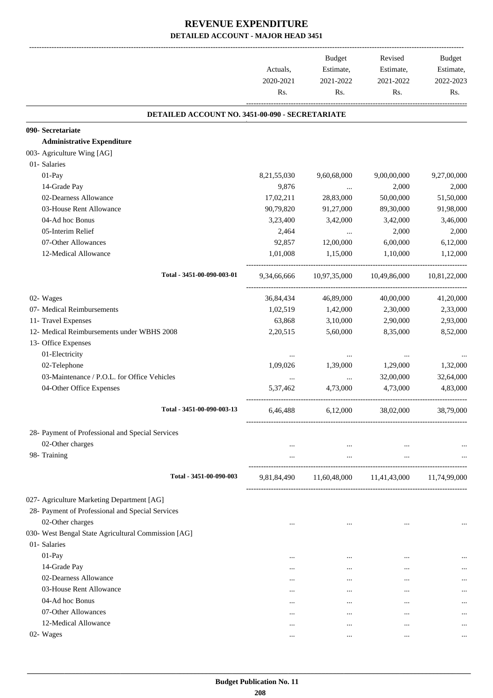|                                                     | Actuals,<br>2020-2021<br>Rs. | <b>Budget</b><br>Estimate,<br>2021-2022<br>Rs.           | Revised<br>Estimate,<br>2021-2022<br>Rs. | <b>Budget</b><br>Estimate,<br>2022-2023<br>Rs. |
|-----------------------------------------------------|------------------------------|----------------------------------------------------------|------------------------------------------|------------------------------------------------|
| DETAILED ACCOUNT NO. 3451-00-090 - SECRETARIATE     |                              |                                                          |                                          |                                                |
| 090- Secretariate                                   |                              |                                                          |                                          |                                                |
| <b>Administrative Expenditure</b>                   |                              |                                                          |                                          |                                                |
| 003- Agriculture Wing [AG]                          |                              |                                                          |                                          |                                                |
| 01- Salaries                                        |                              |                                                          |                                          |                                                |
| 01-Pay                                              | 8,21,55,030                  | 9,60,68,000                                              | 9,00,00,000                              | 9,27,00,000                                    |
| 14-Grade Pay                                        | 9,876                        | $\cdots$                                                 | 2,000                                    | 2,000                                          |
| 02-Dearness Allowance                               | 17,02,211                    | 28,83,000                                                | 50,00,000                                | 51,50,000                                      |
| 03-House Rent Allowance                             | 90,79,820                    | 91,27,000                                                | 89,30,000                                | 91,98,000                                      |
| 04-Ad hoc Bonus                                     | 3,23,400                     | 3,42,000                                                 | 3,42,000                                 | 3,46,000                                       |
| 05-Interim Relief                                   | 2,464                        | $\ldots$                                                 | 2,000                                    | 2,000                                          |
| 07-Other Allowances                                 | 92,857                       | 12,00,000                                                | 6,00,000                                 | 6,12,000                                       |
| 12-Medical Allowance                                | 1,01,008                     | 1,15,000                                                 | 1,10,000                                 | 1,12,000                                       |
| Total - 3451-00-090-003-01                          | 9,34,66,666                  | 10,97,35,000                                             | 10,49,86,000                             | 10,81,22,000                                   |
| 02- Wages                                           | 36,84,434                    | 46,89,000                                                | 40,00,000                                | 41,20,000                                      |
| 07- Medical Reimbursements                          | 1,02,519                     | 1,42,000                                                 | 2,30,000                                 | 2,33,000                                       |
| 11- Travel Expenses                                 | 63,868                       | 3,10,000                                                 | 2,90,000                                 | 2,93,000                                       |
| 12- Medical Reimbursements under WBHS 2008          | 2,20,515                     | 5,60,000                                                 | 8,35,000                                 | 8,52,000                                       |
| 13- Office Expenses                                 |                              |                                                          |                                          |                                                |
| 01-Electricity                                      |                              |                                                          |                                          |                                                |
| 02-Telephone                                        | 1,09,026                     | 1,39,000                                                 | 1,29,000                                 | 1,32,000                                       |
| 03-Maintenance / P.O.L. for Office Vehicles         |                              | $\ldots$                                                 | 32,00,000                                | 32,64,000                                      |
| 04-Other Office Expenses                            | 5.37.462                     | 4,73,000                                                 | 4,73,000                                 | 4,83,000                                       |
| Total - 3451-00-090-003-13                          | 6,46,488                     | 6,12,000                                                 | 38,02,000                                | 38,79,000                                      |
| 28- Payment of Professional and Special Services    |                              |                                                          |                                          |                                                |
| 02-Other charges                                    | $\cdots$                     | $\ldots$                                                 | $\ldots$                                 |                                                |
| 98- Training                                        | $\cdots$                     | $\sim 10^{-10}$                                          | $\cdots$                                 | $\ldots$                                       |
| Total - 3451-00-090-003                             |                              | 9,81,84,490   11,60,48,000   11,41,43,000   11,74,99,000 |                                          |                                                |
|                                                     |                              |                                                          |                                          |                                                |
| 027- Agriculture Marketing Department [AG]          |                              |                                                          |                                          |                                                |
| 28- Payment of Professional and Special Services    |                              |                                                          |                                          |                                                |
| 02-Other charges                                    | $\cdots$                     | $\cdots$                                                 | $\cdots$                                 | $\cdots$                                       |
| 030- West Bengal State Agricultural Commission [AG] |                              |                                                          |                                          |                                                |
| 01- Salaries                                        |                              |                                                          |                                          |                                                |
| 01-Pay                                              |                              | $\cdots$                                                 | $\cdots$                                 | $\cdots$                                       |
| 14-Grade Pay                                        | $\cdots$                     | $\cdots$                                                 | $\cdots$                                 | $\cdots$                                       |
| 02-Dearness Allowance                               | $\cdots$                     | $\cdots$                                                 | $\cdots$                                 |                                                |
| 03-House Rent Allowance                             | $\cdots$                     | $\cdots$                                                 | $\cdots$                                 | $\cdots$                                       |
| 04-Ad hoc Bonus                                     | $\cdots$                     | $\cdots$                                                 |                                          | $\cdots$                                       |
| 07-Other Allowances                                 | $\cdots$                     | $\cdots$                                                 | $\cdots$                                 |                                                |
| 12-Medical Allowance                                | $\cdots$                     | $\cdots$                                                 | $\cdots$                                 |                                                |
| 02- Wages                                           |                              | $\cdots$                                                 | $\cdots$                                 | $\cdots$                                       |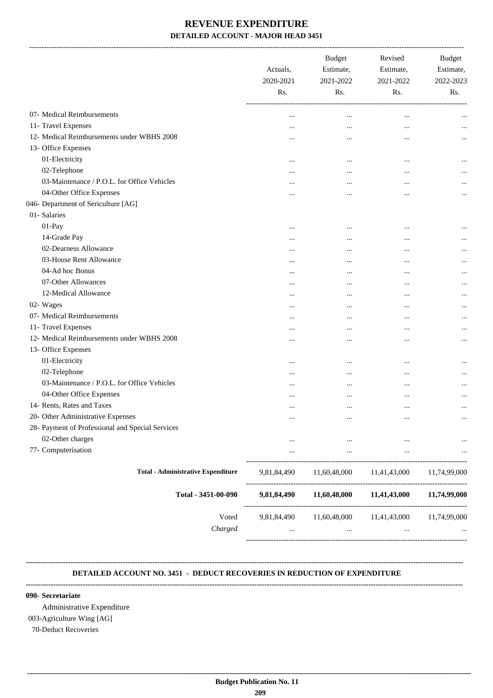-------------------------------------------------------------------------------------------------------------------------------------------------------------------------------

|                                                  | Actuals,<br>2020-2021<br>Rs. | <b>Budget</b><br>Estimate,<br>2021-2022<br>Rs.     | Revised<br>Estimate,<br>2021-2022<br>Rs. | <b>Budget</b><br>Estimate,<br>2022-2023<br>Rs. |
|--------------------------------------------------|------------------------------|----------------------------------------------------|------------------------------------------|------------------------------------------------|
| 07- Medical Reimbursements                       | $\ddotsc$                    | $\cdots$                                           | $\cdots$                                 |                                                |
| 11- Travel Expenses                              | $\ddotsc$                    | $\ddotsc$                                          | $\ddotsc$                                |                                                |
| 12- Medical Reimbursements under WBHS 2008       | $\ddotsc$                    |                                                    | $\ddotsc$                                |                                                |
| 13- Office Expenses                              |                              |                                                    |                                          |                                                |
| 01-Electricity                                   | $\cdots$                     | $\ddotsc$                                          | $\ddotsc$                                |                                                |
| 02-Telephone                                     | $\cdots$                     | $\ddotsc$                                          | $\ddotsc$                                |                                                |
| 03-Maintenance / P.O.L. for Office Vehicles      | $\ddotsc$                    |                                                    |                                          |                                                |
| 04-Other Office Expenses                         |                              | $\ddotsc$                                          |                                          |                                                |
| 046- Department of Sericulture [AG]              |                              |                                                    |                                          |                                                |
| 01- Salaries                                     |                              |                                                    |                                          |                                                |
| 01-Pay                                           | $\ddotsc$                    | $\ddotsc$                                          | $\ddotsc$                                |                                                |
| 14-Grade Pay                                     | $\ddotsc$                    | $\ddotsc$                                          | $\ddotsc$                                |                                                |
| 02-Dearness Allowance                            | $\cdots$                     | $\ddotsc$                                          | $\ddotsc$                                |                                                |
| 03-House Rent Allowance                          | $\ddotsc$                    | $\ddotsc$                                          | $\ddotsc$                                |                                                |
| 04-Ad hoc Bonus                                  | $\ddotsc$                    |                                                    | $\ddotsc$                                |                                                |
| 07-Other Allowances                              | $\ddotsc$                    | $\ddotsc$                                          | $\ddotsc$                                |                                                |
| 12-Medical Allowance                             | $\cdots$                     | $\ddotsc$                                          | $\ddotsc$                                |                                                |
| 02- Wages                                        | $\ddotsc$                    |                                                    | $\ddotsc$                                |                                                |
| 07- Medical Reimbursements                       | $\ddotsc$                    |                                                    | $\ddotsc$                                |                                                |
| 11- Travel Expenses                              | $\ddotsc$                    | $\ddotsc$                                          | $\ddotsc$                                |                                                |
| 12- Medical Reimbursements under WBHS 2008       | $\ddotsc$                    | $\ddotsc$                                          | $\ddotsc$                                |                                                |
| 13- Office Expenses                              |                              |                                                    |                                          |                                                |
| 01-Electricity                                   | $\ddotsc$                    |                                                    | $\ddotsc$                                |                                                |
| 02-Telephone                                     | $\ddotsc$                    | $\ddotsc$                                          | $\ddotsc$                                |                                                |
| 03-Maintenance / P.O.L. for Office Vehicles      | $\ddotsc$                    |                                                    | $\ddotsc$                                |                                                |
| 04-Other Office Expenses                         | $\ddotsc$                    |                                                    | $\ddotsc$                                |                                                |
| 14- Rents, Rates and Taxes                       | $\cdots$                     | $\ddotsc$                                          | $\ddotsc$                                |                                                |
| 20- Other Administrative Expenses                | $\ddotsc$                    | $\ddotsc$                                          | $\ddotsc$                                |                                                |
| 28- Payment of Professional and Special Services |                              |                                                    |                                          |                                                |
| 02-Other charges                                 | $\cdots$                     | $\cdots$                                           |                                          |                                                |
| 77- Computerisation                              | $\cdots$                     | $\ldots$                                           | $\cdots$                                 |                                                |
| <b>Total - Administrative Expenditure</b>        | 9,81,84,490                  | 11,60,48,000                                       | 11,41,43,000                             | 11,74,99,000                                   |
| Total - 3451-00-090                              | 9,81,84,490                  | 11,60,48,000                                       | 11,41,43,000                             | 11,74,99,000                                   |
| Voted<br>Charged                                 | 9,81,84,490<br>$\cdots$      | 11,60,48,000 11,41,43,000 11,74,99,000<br>$\cdots$ | $\cdots$                                 |                                                |
|                                                  |                              |                                                    |                                          |                                                |

#### **DETAILED ACCOUNT NO. 3451 - DEDUCT RECOVERIES IN REDUCTION OF EXPENDITURE**

**--------------------------------------------------------------------------------------------------------------------------------------------------------------------------------**

**--------------------------------------------------------------------------------------------------------------------------------------------------------------------------------**

 **\_\_\_\_\_\_\_\_\_\_\_\_\_\_\_\_\_\_\_\_\_\_\_\_\_\_\_\_\_\_\_\_\_\_\_\_\_\_\_\_\_\_\_\_\_\_\_\_\_\_\_\_\_\_\_\_\_\_\_\_\_\_\_\_\_\_\_\_\_\_\_\_\_\_\_\_\_\_\_\_\_\_\_\_\_\_\_\_\_\_\_\_\_\_\_\_\_\_\_\_\_\_\_\_\_\_\_\_\_\_\_\_\_\_\_\_\_\_\_**

#### **090- Secretariate**

Administrative Expenditure 003-Agriculture Wing [AG] 70-Deduct Recoveries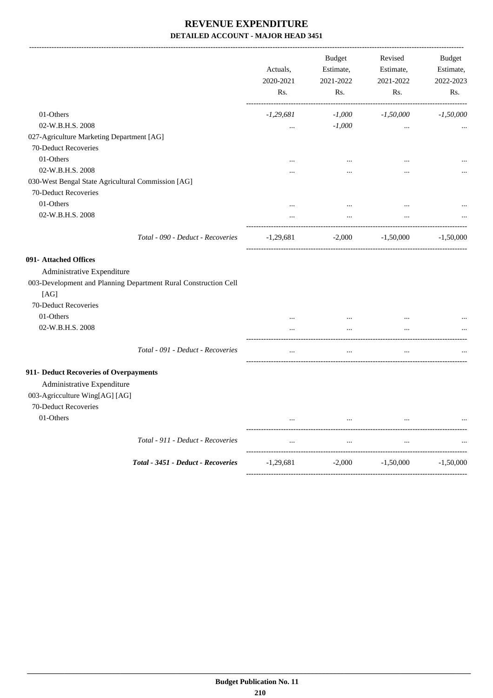-------------------------------------------------------------------------------------------------------------------------------------------------------------------------------

|                                                    |                                                                 | Actuals,<br>2020-2021<br>Rs. | <b>Budget</b><br>Estimate,<br>2021-2022<br>Rs. | Revised<br>Estimate,<br>2021-2022<br>Rs. | <b>Budget</b><br>Estimate,<br>2022-2023<br>Rs. |
|----------------------------------------------------|-----------------------------------------------------------------|------------------------------|------------------------------------------------|------------------------------------------|------------------------------------------------|
| 01-Others                                          |                                                                 | $-1,29,681$                  | $-1,000$                                       | $-1,50,000$                              | $-1,50,000$                                    |
| 02-W.B.H.S. 2008                                   |                                                                 | $\ddotsc$                    | $-1,000$                                       | $\cdots$                                 |                                                |
| 027-Agriculture Marketing Department [AG]          |                                                                 |                              |                                                |                                          |                                                |
| 70-Deduct Recoveries                               |                                                                 |                              |                                                |                                          |                                                |
| 01-Others                                          |                                                                 | $\ddotsc$                    | $\cdots$                                       | $\ddotsc$                                |                                                |
| 02-W.B.H.S. 2008                                   |                                                                 | $\cdots$                     | $\cdots$                                       | $\cdots$                                 |                                                |
| 030-West Bengal State Agricultural Commission [AG] |                                                                 |                              |                                                |                                          |                                                |
| 70-Deduct Recoveries                               |                                                                 |                              |                                                |                                          |                                                |
| 01-Others                                          |                                                                 | $\cdots$                     | $\ldots$                                       | $\ddotsc$                                |                                                |
| 02-W.B.H.S. 2008                                   |                                                                 | $\ddotsc$                    | $\ldots$                                       | $\ddotsc$                                |                                                |
|                                                    | Total - 090 - Deduct - Recoveries                               | $-1,29,681$                  | $-2,000$                                       | $-1,50,000$                              | $-1,50,000$                                    |
| 091- Attached Offices                              |                                                                 |                              |                                                |                                          |                                                |
| Administrative Expenditure                         |                                                                 |                              |                                                |                                          |                                                |
|                                                    | 003-Development and Planning Department Rural Construction Cell |                              |                                                |                                          |                                                |
| [AG]                                               |                                                                 |                              |                                                |                                          |                                                |
| 70-Deduct Recoveries                               |                                                                 |                              |                                                |                                          |                                                |
| 01-Others                                          |                                                                 | $\cdots$                     | $\cdots$                                       | $\cdots$                                 |                                                |
| 02-W.B.H.S. 2008                                   |                                                                 | $\ddotsc$                    | $\cdots$                                       | $\cdots$                                 |                                                |
|                                                    | Total - 091 - Deduct - Recoveries                               | $\ddotsc$                    | $\cdots$                                       | $\dddotsc$                               |                                                |
| 911- Deduct Recoveries of Overpayments             |                                                                 |                              |                                                |                                          |                                                |
| Administrative Expenditure                         |                                                                 |                              |                                                |                                          |                                                |
| 003-Agricculture Wing[AG] [AG]                     |                                                                 |                              |                                                |                                          |                                                |
| 70-Deduct Recoveries                               |                                                                 |                              |                                                |                                          |                                                |
| 01-Others                                          |                                                                 |                              | $\cdots$                                       | $\cdots$                                 |                                                |
|                                                    | Total - 911 - Deduct - Recoveries                               | $\ddotsc$                    | $\cdots$                                       | $\ddotsc$                                |                                                |
|                                                    | Total - 3451 - Deduct - Recoveries                              | $-1,29,681$                  | $-2,000$                                       | $-1,50,000$                              | $-1,50,000$                                    |
|                                                    |                                                                 |                              |                                                |                                          |                                                |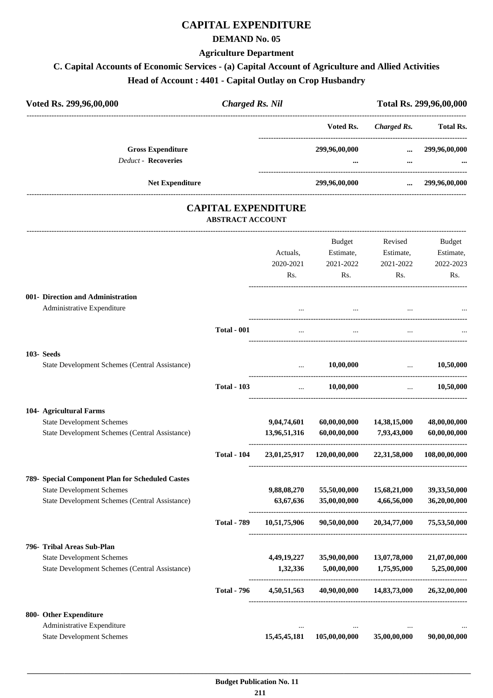### **CAPITAL EXPENDITURE**

#### **DEMAND No. 05**

#### **Agriculture Department**

#### **C. Capital Accounts of Economic Services - (a) Capital Account of Agriculture and Allied Activities Head of Account : 4401 - Capital Outlay on Crop Husbandry**

| <b>Head of Account: 4401 - Capital Outlay on Crop Husbandry</b> |                        |               |             |                         |  |
|-----------------------------------------------------------------|------------------------|---------------|-------------|-------------------------|--|
| Voted Rs. 299,96,00,000                                         | <b>Charged Rs. Nil</b> |               |             | Total Rs. 299,96,00,000 |  |
|                                                                 |                        | Voted Rs.     | Charged Rs. | <b>Total Rs.</b>        |  |
| <b>Gross Expenditure</b>                                        |                        | 299,96,00,000 | $\cdots$    | 299,96,00,000           |  |
| <b>Deduct - Recoveries</b>                                      |                        | $\cdots$      |             | $\bullet\bullet\bullet$ |  |
| <b>Net Expenditure</b>                                          |                        | 299,96,00,000 | $\cdots$    | 299,96,00,000           |  |

### **CAPITAL EXPENDITURE ABSTRACT ACCOUNT**

---------------------------------------------------------------------------------------------------------------------------------------------------------------------------------

|                                                                                                                                        |                    | Actuals,<br>2020-2021<br>Rs. | <b>Budget</b><br>Estimate,<br>2021-2022<br>Rs. | Revised<br>Estimate,<br>2021-2022<br>Rs. | <b>Budget</b><br>Estimate,<br>2022-2023<br>Rs. |
|----------------------------------------------------------------------------------------------------------------------------------------|--------------------|------------------------------|------------------------------------------------|------------------------------------------|------------------------------------------------|
| 001- Direction and Administration<br>Administrative Expenditure                                                                        |                    | $\ddotsc$                    |                                                |                                          |                                                |
|                                                                                                                                        | <b>Total - 001</b> | $\ddotsc$                    |                                                |                                          |                                                |
| 103- Seeds<br>State Development Schemes (Central Assistance)                                                                           |                    | $\ldots$                     | 10,00,000                                      | $\ddotsc$                                | 10,50,000                                      |
|                                                                                                                                        | <b>Total - 103</b> | $\ddotsc$                    | 10,00,000                                      | $\ddotsc$                                | 10,50,000                                      |
| 104- Agricultural Farms<br><b>State Development Schemes</b><br>State Development Schemes (Central Assistance)                          |                    | 9,04,74,601<br>13,96,51,316  | 60,00,00,000<br>60,00,00,000                   | 14,38,15,000<br>7,93,43,000              | 48,00,00,000<br>60,00,00,000                   |
|                                                                                                                                        | <b>Total - 104</b> | 23,01,25,917                 | 120,00,00,000                                  | 22,31,58,000                             | 108,00,00,000                                  |
| 789- Special Component Plan for Scheduled Castes<br><b>State Development Schemes</b><br>State Development Schemes (Central Assistance) |                    | 9,88,08,270<br>63,67,636     | 55,50,00,000<br>35,00,00,000                   | 15,68,21,000<br>4,66,56,000              | 39,33,50,000<br>36,20,00,000                   |
|                                                                                                                                        | <b>Total - 789</b> | 10,51,75,906                 | 90,50,00,000                                   | 20,34,77,000                             | 75,53,50,000                                   |
| 796- Tribal Areas Sub-Plan<br><b>State Development Schemes</b><br>State Development Schemes (Central Assistance)                       |                    | 4,49,19,227<br>1,32,336      | 35,90,00,000<br>5,00,00,000                    | 13,07,78,000<br>1,75,95,000              | 21,07,00,000<br>5,25,00,000                    |
|                                                                                                                                        | <b>Total - 796</b> | 4,50,51,563                  | 40,90,00,000                                   | 14,83,73,000                             | 26,32,00,000                                   |
| 800- Other Expenditure<br>Administrative Expenditure<br><b>State Development Schemes</b>                                               |                    | 15,45,45,181                 | 105,00,00,000                                  | 35,00,00,000                             | 90,00,00,000                                   |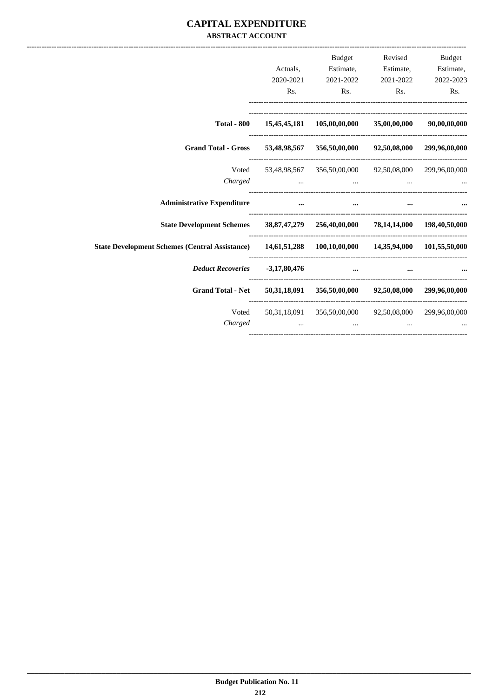### **CAPITAL EXPENDITURE ABSTRACT ACCOUNT**

|                                                                                                      | Actuals,<br>2020-2021<br>Rs. | Budget<br>2021-2022<br>Rs.                                               | Revised<br>Estimate, Estimate, Estimate,<br>2021-2022<br>Rs. | <b>Budget</b><br>2022-2023<br>Rs. |
|------------------------------------------------------------------------------------------------------|------------------------------|--------------------------------------------------------------------------|--------------------------------------------------------------|-----------------------------------|
|                                                                                                      |                              |                                                                          |                                                              |                                   |
|                                                                                                      |                              | Total - 800 $15,45,45,181$ $105,00,00,000$ $35,00,00,000$ $90,00,00,000$ |                                                              |                                   |
| Grand Total - Gross 53,48,98,567 356,50,00,000 92,50,08,000 299,96,00,000                            |                              |                                                                          |                                                              |                                   |
| Charged                                                                                              |                              | Voted 53,48,98,567 356,50,00,000 92,50,08,000 299,96,00,000              |                                                              |                                   |
| <b>Administrative Expenditure</b>                                                                    | $\cdots$                     | the contract of the contract of the contract of the                      | $\cdots$                                                     |                                   |
| State Development Schemes 38, 87, 47, 279 256, 40, 00, 000 78, 14, 14, 000 198, 40, 50, 000          |                              |                                                                          |                                                              |                                   |
| State Development Schemes (Central Assistance) 14,61,51,288 100,10,00,000 14,35,94,000 101,55,50,000 |                              |                                                                          |                                                              |                                   |
| Deduct Recoveries -3,17,80,476                                                                       |                              |                                                                          | $\cdots$                                                     |                                   |
| Grand Total - Net 50,31,18,091 356,50,00,000 92,50,08,000 299,96,00,000                              |                              |                                                                          |                                                              |                                   |
| Voted<br>Charged                                                                                     |                              | 50,31,18,091  356,50,00,000  92,50,08,000  299,96,00,000                 |                                                              |                                   |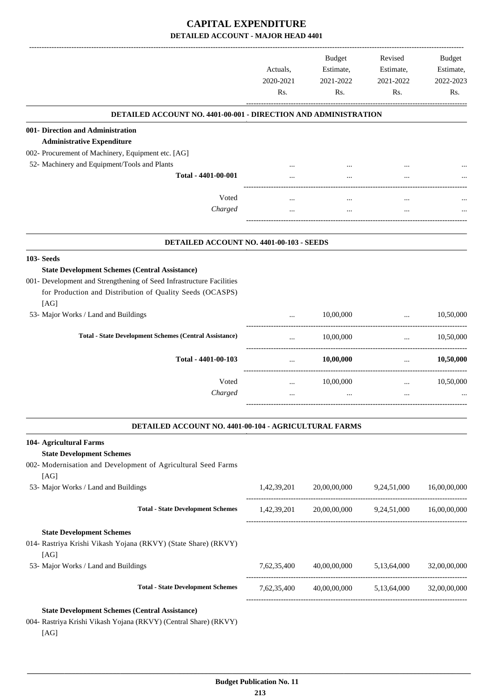### **CAPITAL EXPENDITURE DETAILED ACCOUNT - MAJOR HEAD 4401**

|                                                                                                                                           | Actuals,<br>2020-2021<br>Rs. | <b>Budget</b><br>Estimate,<br>2021-2022<br>Rs.    | Revised<br>Estimate,<br>2021-2022<br>Rs. | Budget<br>Estimate,<br>2022-2023<br>Rs. |
|-------------------------------------------------------------------------------------------------------------------------------------------|------------------------------|---------------------------------------------------|------------------------------------------|-----------------------------------------|
| <b>DETAILED ACCOUNT NO. 4401-00-001 - DIRECTION AND ADMINISTRATION</b>                                                                    |                              |                                                   |                                          |                                         |
| 001- Direction and Administration                                                                                                         |                              |                                                   |                                          |                                         |
| <b>Administrative Expenditure</b>                                                                                                         |                              |                                                   |                                          |                                         |
| 002- Procurement of Machinery, Equipment etc. [AG]                                                                                        |                              |                                                   |                                          |                                         |
| 52- Machinery and Equipment/Tools and Plants                                                                                              |                              |                                                   |                                          |                                         |
| Total - 4401-00-001                                                                                                                       |                              |                                                   |                                          |                                         |
| Voted                                                                                                                                     |                              |                                                   | $\ddotsc$                                |                                         |
| Charged                                                                                                                                   |                              | $\cdots$                                          |                                          |                                         |
| DETAILED ACCOUNT NO. 4401-00-103 - SEEDS                                                                                                  |                              |                                                   |                                          |                                         |
| <b>103-Seeds</b>                                                                                                                          |                              |                                                   |                                          |                                         |
| <b>State Development Schemes (Central Assistance)</b>                                                                                     |                              |                                                   |                                          |                                         |
| 001- Development and Strengthening of Seed Infrastructure Facilities<br>for Production and Distribution of Quality Seeds (OCASPS)<br>[AG] |                              |                                                   |                                          |                                         |
| 53- Major Works / Land and Buildings                                                                                                      |                              | 10,00,000                                         | $\cdots$                                 | 10,50,000                               |
| <b>Total - State Development Schemes (Central Assistance)</b>                                                                             |                              | 10,00,000                                         | $\cdots$                                 | 10,50,000                               |
| Total - 4401-00-103                                                                                                                       | $\cdots$                     | 10,00,000                                         | $\cdots$                                 | 10,50,000                               |
| Voted                                                                                                                                     | $\cdots$                     | 10,00,000                                         | $\cdots$                                 | 10,50,000                               |
| Charged                                                                                                                                   |                              | $\cdots$                                          | $\ddotsc$                                |                                         |
| DETAILED ACCOUNT NO. 4401-00-104 - AGRICULTURAL FARMS                                                                                     |                              |                                                   |                                          |                                         |
| 104- Agricultural Farms                                                                                                                   |                              |                                                   |                                          |                                         |
| <b>State Development Schemes</b>                                                                                                          |                              |                                                   |                                          |                                         |
| 002- Modernisation and Development of Agricultural Seed Farms                                                                             |                              |                                                   |                                          |                                         |
| [AG]                                                                                                                                      |                              |                                                   |                                          |                                         |
| 53- Major Works / Land and Buildings                                                                                                      | 1,42,39,201                  | 20,00,00,000 9,24,51,000                          |                                          | 16,00,00,000                            |
| <b>Total - State Development Schemes</b>                                                                                                  |                              | 1,42,39,201 20,00,00,000 9,24,51,000 16,00,00,000 |                                          |                                         |
| <b>State Development Schemes</b>                                                                                                          |                              |                                                   |                                          |                                         |
| 014- Rastriya Krishi Vikash Yojana (RKVY) (State Share) (RKVY)<br>[AG]                                                                    |                              |                                                   |                                          |                                         |
| 53- Major Works / Land and Buildings                                                                                                      | 7,62,35,400                  | 40,00,00,000 5,13,64,000                          |                                          | 32,00,00,000                            |
| <b>Total - State Development Schemes</b>                                                                                                  |                              | 7,62,35,400 40,00,00,000 5,13,64,000 32,00,00,000 |                                          |                                         |
| <b>State Development Schemes (Central Assistance)</b>                                                                                     |                              |                                                   |                                          |                                         |
| 004- Rastriya Krishi Vikash Yojana (RKVY) (Central Share) (RKVY)<br>[AG]                                                                  |                              |                                                   |                                          |                                         |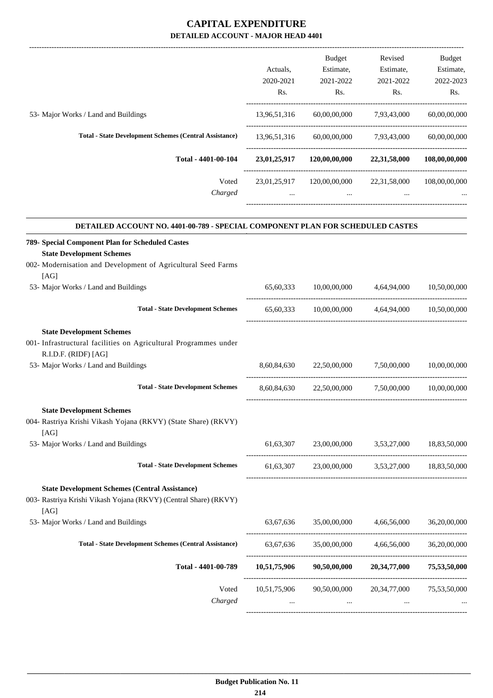|                                                                                          |              | <b>Budget</b>                          | Revised                               | <b>Budget</b> |
|------------------------------------------------------------------------------------------|--------------|----------------------------------------|---------------------------------------|---------------|
|                                                                                          | Actuals,     | Estimate,                              | Estimate,                             | Estimate,     |
|                                                                                          | 2020-2021    | 2021-2022                              | 2021-2022                             | 2022-2023     |
|                                                                                          | Rs.          | Rs.                                    | Rs.                                   | Rs.           |
| 53- Major Works / Land and Buildings                                                     | 13,96,51,316 |                                        | 60,00,00,000 7,93,43,000              | 60,00,00,000  |
| <b>Total - State Development Schemes (Central Assistance)</b>                            | 13,96,51,316 |                                        | 60,00,00,000 7,93,43,000              | 60,00,00,000  |
| Total - 4401-00-104                                                                      |              | 23,01,25,917 120,00,00,000             | 22,31,58,000                          | 108,00,00,000 |
| Voted                                                                                    | 23,01,25,917 |                                        | 120,00,00,000 22,31,58,000            | 108,00,00,000 |
| Charged                                                                                  |              |                                        |                                       |               |
| DETAILED ACCOUNT NO. 4401-00-789 - SPECIAL COMPONENT PLAN FOR SCHEDULED CASTES           |              |                                        |                                       |               |
| 789- Special Component Plan for Scheduled Castes<br><b>State Development Schemes</b>     |              |                                        |                                       |               |
| 002- Modernisation and Development of Agricultural Seed Farms<br>[AG]                    |              |                                        |                                       |               |
| 53- Major Works / Land and Buildings                                                     | 65,60,333    | 10,00,00,000                           | 4,64,94,000                           | 10,50,00,000  |
| <b>Total - State Development Schemes</b>                                                 |              | 65,60,333 10,00,00,000 4,64,94,000     |                                       | 10,50,00,000  |
| <b>State Development Schemes</b>                                                         |              |                                        |                                       |               |
| 001- Infrastructural facilities on Agricultural Programmes under<br>R.I.D.F. (RIDF) [AG] |              |                                        |                                       |               |
| 53- Major Works / Land and Buildings                                                     | 8,60,84,630  | 22,50,00,000                           | 7,50,00,000                           | 10.00.00.000  |
| <b>Total - State Development Schemes</b>                                                 | 8,60,84,630  | 22,50,00,000                           | 7,50,00,000                           | 10,00,00,000  |
| <b>State Development Schemes</b>                                                         |              |                                        |                                       |               |
| 004- Rastriya Krishi Vikash Yojana (RKVY) (State Share) (RKVY)<br>[AG]                   |              |                                        |                                       |               |
| 53- Major Works / Land and Buildings                                                     | 61, 63, 307  | 23,00,00,000 3,53,27,000 18,83,50,000  |                                       |               |
| <b>Total - State Development Schemes</b>                                                 | 61,63,307    |                                        | 23,00,00,000 3,53,27,000 18,83,50,000 |               |
| <b>State Development Schemes (Central Assistance)</b>                                    |              |                                        |                                       |               |
| 003- Rastriya Krishi Vikash Yojana (RKVY) (Central Share) (RKVY)<br>[AG]                 |              |                                        |                                       |               |
| 53- Major Works / Land and Buildings                                                     | 63,67,636    | 35,00,00,000                           | 4,66,56,000                           | 36,20,00,000  |
| <b>Total - State Development Schemes (Central Assistance)</b>                            |              | 63,67,636 35,00,00,000 4,66,56,000     |                                       | 36,20,00,000  |
| Total - 4401-00-789                                                                      | 10,51,75,906 | 90,50,00,000                           | 20,34,77,000                          | 75,53,50,000  |
| Voted                                                                                    |              | 10,51,75,906 90,50,00,000 20,34,77,000 |                                       | 75,53,50,000  |
| Charged                                                                                  |              |                                        |                                       |               |
|                                                                                          |              |                                        |                                       |               |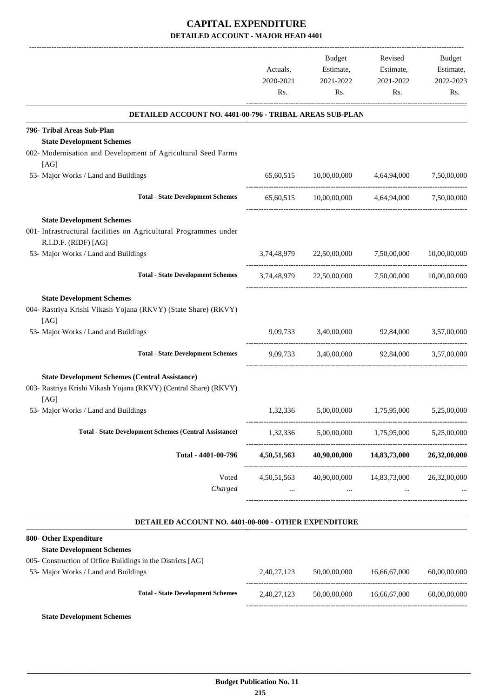|                                                                                                                                         |                       | Budget                               | Revised                                        | Budget                 |
|-----------------------------------------------------------------------------------------------------------------------------------------|-----------------------|--------------------------------------|------------------------------------------------|------------------------|
|                                                                                                                                         | Actuals,<br>2020-2021 | Estimate,<br>2021-2022               | Estimate,<br>2021-2022                         | Estimate,<br>2022-2023 |
|                                                                                                                                         | Rs.                   | Rs.                                  | Rs.                                            | Rs.                    |
| <b>DETAILED ACCOUNT NO. 4401-00-796 - TRIBAL AREAS SUB-PLAN</b>                                                                         |                       |                                      |                                                |                        |
| 796- Tribal Areas Sub-Plan                                                                                                              |                       |                                      |                                                |                        |
| <b>State Development Schemes</b><br>002- Modernisation and Development of Agricultural Seed Farms<br>[AG]                               |                       |                                      |                                                |                        |
| 53- Major Works / Land and Buildings                                                                                                    |                       |                                      | 65,60,515 10,00,00,000 4,64,94,000 7,50,00,000 |                        |
| <b>Total - State Development Schemes</b>                                                                                                |                       |                                      | 65,60,515 10,00,00,000 4,64,94,000             | 7,50,00,000            |
| <b>State Development Schemes</b><br>001- Infrastructural facilities on Agricultural Programmes under<br>R.I.D.F. (RIDF) [AG]            |                       |                                      |                                                |                        |
| 53- Major Works / Land and Buildings                                                                                                    |                       | 3,74,48,979 22,50,00,000 7,50,00,000 |                                                | 10,00,00,000           |
| <b>Total - State Development Schemes</b>                                                                                                | 3,74,48,979           |                                      | 22,50,00,000 7,50,00,000                       | 10,00,00,000           |
| <b>State Development Schemes</b><br>004- Rastriya Krishi Vikash Yojana (RKVY) (State Share) (RKVY)<br>[AG]                              |                       |                                      |                                                |                        |
| 53- Major Works / Land and Buildings                                                                                                    |                       |                                      | 9,09,733 3,40,00,000 92,84,000                 | 3,57,00,000            |
| <b>Total - State Development Schemes</b>                                                                                                |                       |                                      | 9,09,733 3,40,00,000 92,84,000 3,57,00,000     |                        |
| <b>State Development Schemes (Central Assistance)</b><br>003- Rastriya Krishi Vikash Yojana (RKVY) (Central Share) (RKVY)<br>[AG]       |                       |                                      |                                                |                        |
| 53- Major Works / Land and Buildings                                                                                                    | 1,32,336              | 5,00,00,000                          | 1,75,95,000                                    | 5,25,00,000            |
| <b>Total - State Development Schemes (Central Assistance)</b>                                                                           | 1,32,336              |                                      | 5,00,00,000 1,75,95,000 5,25,00,000            |                        |
| Total - 4401-00-796                                                                                                                     | 4,50,51,563           | 40,90,00,000                         | 14,83,73,000                                   | 26,32,00,000           |
| Voted<br>Charged                                                                                                                        | 4,50,51,563           | 40,90,00,000<br>$\cdots$             | 14,83,73,000                                   | 26,32,00,000           |
| DETAILED ACCOUNT NO. 4401-00-800 - OTHER EXPENDITURE                                                                                    |                       |                                      |                                                |                        |
| 800- Other Expenditure                                                                                                                  |                       |                                      |                                                |                        |
| <b>State Development Schemes</b><br>005- Construction of Office Buildings in the Districts [AG]<br>53- Major Works / Land and Buildings | 2,40,27,123           | 50,00,00,000                         | 16,66,67,000                                   | 60,00,00,000           |
|                                                                                                                                         |                       |                                      |                                                |                        |
| <b>Total - State Development Schemes</b>                                                                                                | 2,40,27,123           | 50,00,00,000                         | 16,66,67,000                                   | 60,00,00,000           |

**State Development Schemes**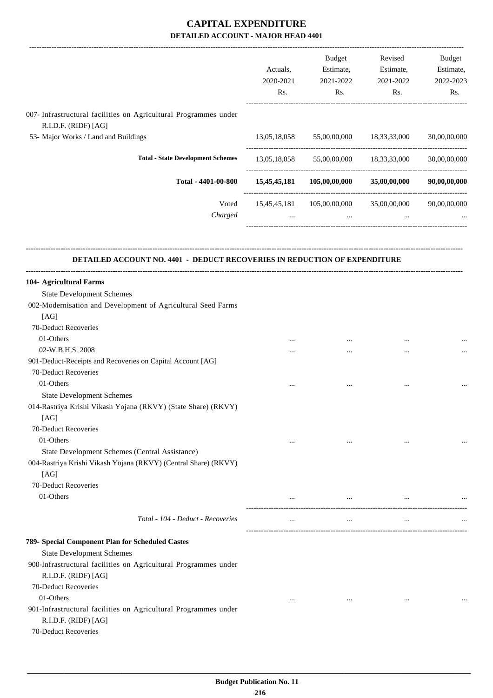|                                                                                          | Actuals,<br>2020-2021<br>Rs. | Budget<br>Estimate,<br>2021-2022<br>Rs.             | Revised<br>Estimate,<br>2021-2022<br>Rs. | Budget<br>Estimate,<br>2022-2023<br>Rs. |
|------------------------------------------------------------------------------------------|------------------------------|-----------------------------------------------------|------------------------------------------|-----------------------------------------|
| 007- Infrastructural facilities on Agricultural Programmes under<br>R.I.D.F. (RIDF) [AG] |                              |                                                     |                                          |                                         |
| 53- Major Works / Land and Buildings                                                     |                              | 13,05,18,058 55,00,00,000 18,33,33,000              |                                          | 30,00,00,000                            |
| <b>Total - State Development Schemes</b>                                                 |                              | 13,05,18,058 55,00,00,000 18,33,33,000              |                                          | 30,00,00,000                            |
| Total - 4401-00-800                                                                      |                              | $15,45,45,181$ $105,00,00,000$ $35,00,00,000$       |                                          | 90,00,00,000                            |
| Voted<br>Charged                                                                         | $\cdots$                     | 15,45,45,181 105,00,00,000 35,00,00,000<br>$\cdots$ | $\cdots$                                 | 90,00,00,000                            |
| <b>DETAILED ACCOUNT NO. 4401 - DEDUCT RECOVERIES IN REDUCTION OF EXPENDITURE</b>         |                              |                                                     |                                          |                                         |
| 104- Agricultural Farms                                                                  |                              |                                                     |                                          |                                         |
| <b>State Development Schemes</b>                                                         |                              |                                                     |                                          |                                         |
| 002-Modernisation and Development of Agricultural Seed Farms                             |                              |                                                     |                                          |                                         |
| [AG]                                                                                     |                              |                                                     |                                          |                                         |
| 70-Deduct Recoveries                                                                     |                              |                                                     |                                          |                                         |
| 01-Others                                                                                |                              |                                                     |                                          |                                         |
| 02-W.B.H.S. 2008                                                                         |                              |                                                     |                                          |                                         |
| 901-Deduct-Receipts and Recoveries on Capital Account [AG]                               |                              |                                                     |                                          |                                         |
| 70-Deduct Recoveries                                                                     |                              |                                                     |                                          |                                         |
| 01-Others                                                                                |                              |                                                     |                                          |                                         |
| <b>State Development Schemes</b>                                                         |                              |                                                     |                                          |                                         |
| 014-Rastriya Krishi Vikash Yojana (RKVY) (State Share) (RKVY)                            |                              |                                                     |                                          |                                         |
| [AG]                                                                                     |                              |                                                     |                                          |                                         |
|                                                                                          |                              |                                                     |                                          |                                         |
| 70-Deduct Recoveries                                                                     |                              |                                                     |                                          |                                         |
| 01-Others                                                                                | $\cdots$                     | $\cdots$                                            | $\cdots$                                 |                                         |
| State Development Schemes (Central Assistance)                                           |                              |                                                     |                                          |                                         |
| 004-Rastriya Krishi Vikash Yojana (RKVY) (Central Share) (RKVY)                          |                              |                                                     |                                          |                                         |
| [AG]                                                                                     |                              |                                                     |                                          |                                         |
| 70-Deduct Recoveries<br>01-Others                                                        |                              |                                                     |                                          |                                         |
|                                                                                          | $\cdots$                     | $\cdots$                                            | $\cdots$                                 |                                         |
| Total - 104 - Deduct - Recoveries                                                        | $\cdots$                     | $\cdots$                                            | $\cdots$                                 |                                         |
| 789- Special Component Plan for Scheduled Castes                                         |                              |                                                     |                                          |                                         |
| <b>State Development Schemes</b>                                                         |                              |                                                     |                                          |                                         |
| 900-Infrastructural facilities on Agricultural Programmes under<br>R.I.D.F. (RIDF) [AG]  |                              |                                                     |                                          |                                         |
| 70-Deduct Recoveries<br>01-Others                                                        |                              |                                                     |                                          |                                         |
| 901-Infrastructural facilities on Agricultural Programmes under<br>R.I.D.F. (RIDF) [AG]  | $\cdots$                     | $\cdots$                                            | $\cdots$                                 |                                         |
| 70-Deduct Recoveries                                                                     |                              |                                                     |                                          |                                         |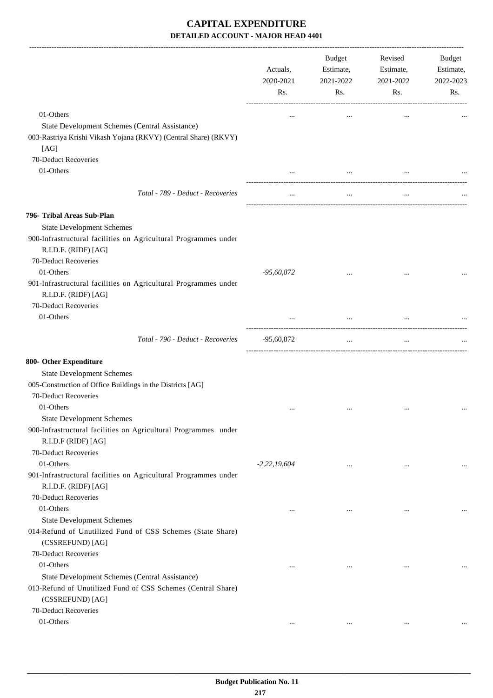|                                                                                                                              | Actuals,<br>2020-2021<br>Rs. | Budget<br>Estimate,<br>2021-2022<br>Rs. | Revised<br>Estimate,<br>2021-2022<br>Rs. | Budget<br>Estimate,<br>2022-2023<br>Rs. |
|------------------------------------------------------------------------------------------------------------------------------|------------------------------|-----------------------------------------|------------------------------------------|-----------------------------------------|
| 01-Others                                                                                                                    |                              | $\cdots$                                | $\cdots$                                 |                                         |
| State Development Schemes (Central Assistance)                                                                               |                              |                                         |                                          |                                         |
| 003-Rastriya Krishi Vikash Yojana (RKVY) (Central Share) (RKVY)<br>[AG]                                                      |                              |                                         |                                          |                                         |
| 70-Deduct Recoveries                                                                                                         |                              |                                         |                                          |                                         |
| 01-Others                                                                                                                    |                              | $\cdots$                                |                                          |                                         |
| Total - 789 - Deduct - Recoveries                                                                                            | $\cdots$                     | $\ldots$                                | $\cdots$                                 |                                         |
| 796- Tribal Areas Sub-Plan                                                                                                   |                              |                                         |                                          |                                         |
| <b>State Development Schemes</b>                                                                                             |                              |                                         |                                          |                                         |
| 900-Infrastructural facilities on Agricultural Programmes under<br>R.I.D.F. (RIDF) [AG]                                      |                              |                                         |                                          |                                         |
| 70-Deduct Recoveries                                                                                                         |                              |                                         |                                          |                                         |
| 01-Others<br>901-Infrastructural facilities on Agricultural Programmes under<br>R.I.D.F. (RIDF) [AG]<br>70-Deduct Recoveries | $-95,60,872$                 |                                         |                                          |                                         |
| 01-Others                                                                                                                    |                              |                                         |                                          |                                         |
|                                                                                                                              |                              | $\cdots$                                |                                          |                                         |
| Total - 796 - Deduct - Recoveries                                                                                            | $-95,60,872$                 | $\cdots$                                | $\cdots$                                 |                                         |
| 800- Other Expenditure                                                                                                       |                              |                                         |                                          |                                         |
| <b>State Development Schemes</b>                                                                                             |                              |                                         |                                          |                                         |
| 005-Construction of Office Buildings in the Districts [AG]                                                                   |                              |                                         |                                          |                                         |
| 70-Deduct Recoveries                                                                                                         |                              |                                         |                                          |                                         |
| 01-Others                                                                                                                    |                              | $\cdots$                                | $\cdots$                                 |                                         |
| <b>State Development Schemes</b>                                                                                             |                              |                                         |                                          |                                         |
| 900-Infrastructural facilities on Agricultural Programmes under<br>R.I.D.F (RIDF) [AG]                                       |                              |                                         |                                          |                                         |
| 70-Deduct Recoveries                                                                                                         |                              |                                         |                                          |                                         |
| 01-Others                                                                                                                    | $-2,22,19,604$               | $\cdots$                                | $\ddotsc$                                | $\cdots$                                |
| 901-Infrastructural facilities on Agricultural Programmes under<br>R.I.D.F. (RIDF) [AG]                                      |                              |                                         |                                          |                                         |
| 70-Deduct Recoveries                                                                                                         |                              |                                         |                                          |                                         |
| 01-Others                                                                                                                    | $\cdots$                     | $\cdots$                                | $\ddotsc$                                |                                         |
| <b>State Development Schemes</b>                                                                                             |                              |                                         |                                          |                                         |
| 014-Refund of Unutilized Fund of CSS Schemes (State Share)                                                                   |                              |                                         |                                          |                                         |
| (CSSREFUND) [AG]                                                                                                             |                              |                                         |                                          |                                         |
| 70-Deduct Recoveries                                                                                                         |                              |                                         |                                          |                                         |
| 01-Others                                                                                                                    | $\cdots$                     | $\ddotsc$                               | $\ddotsc$                                |                                         |
| State Development Schemes (Central Assistance)                                                                               |                              |                                         |                                          |                                         |
| 013-Refund of Unutilized Fund of CSS Schemes (Central Share)<br>(CSSREFUND) [AG]                                             |                              |                                         |                                          |                                         |
| 70-Deduct Recoveries                                                                                                         |                              |                                         |                                          |                                         |
| 01-Others                                                                                                                    | $\cdots$                     | $\cdots$                                | $\ldots$                                 |                                         |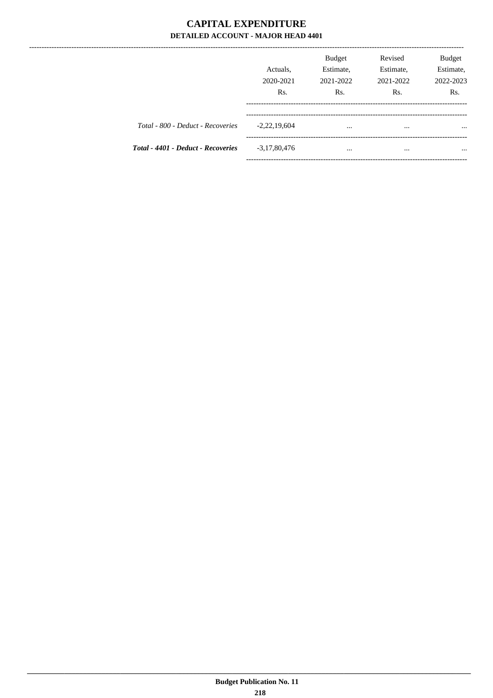|                                    | Actuals,<br>2020-2021<br>Rs. | <b>Budget</b><br>Estimate,<br>2021-2022<br>Rs. | Revised<br>Estimate,<br>2021-2022<br>Rs. | Budget<br>Estimate,<br>2022-2023<br>Rs. |
|------------------------------------|------------------------------|------------------------------------------------|------------------------------------------|-----------------------------------------|
| Total - 800 - Deduct - Recoveries  | $-2,22,19,604$               | $\cdots$                                       | $\cdots$                                 | $\cdots$                                |
| Total - 4401 - Deduct - Recoveries | $-3,17,80,476$               | $\cdots$                                       | $\cdots$                                 | $\cdots$                                |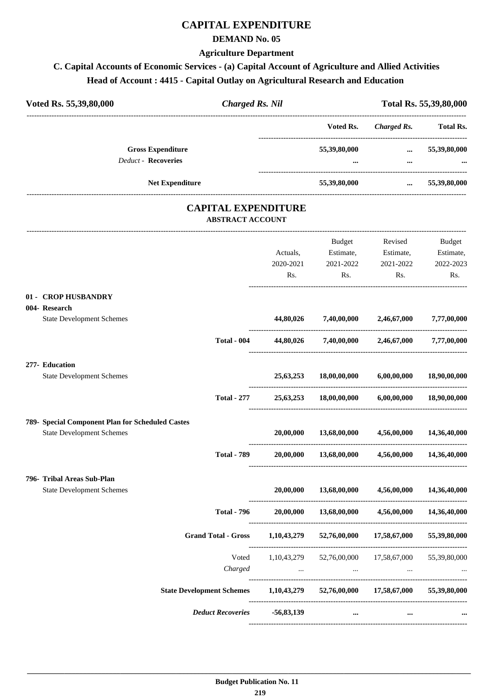# **CAPITAL EXPENDITURE**

#### **DEMAND No. 05**

#### **Agriculture Department**

# **C. Capital Accounts of Economic Services - (a) Capital Account of Agriculture and Allied Activities Head of Account : 4415 - Capital Outlay on Agricultural Research and Education**

| Voted Rs. 55,39,80,000                                 | <b>Charged Rs. Nil</b>                                |                          |                                                    |                       | Total Rs. 55,39,80,000 |
|--------------------------------------------------------|-------------------------------------------------------|--------------------------|----------------------------------------------------|-----------------------|------------------------|
|                                                        |                                                       |                          | Voted Rs.                                          | Charged Rs. Total Rs. |                        |
| <b>Gross Expenditure</b><br><b>Deduct - Recoveries</b> |                                                       |                          | 55,39,80,000                                       | $\cdots$              | 55,39,80,000           |
| Net Expenditure                                        |                                                       |                          | 55,39,80,000                                       | $\cdots$              | 55,39,80,000           |
|                                                        |                                                       |                          |                                                    |                       |                        |
|                                                        | <b>CAPITAL EXPENDITURE</b><br><b>ABSTRACT ACCOUNT</b> |                          |                                                    |                       |                        |
|                                                        |                                                       |                          | Budget                                             | Revised               | Budget                 |
|                                                        |                                                       | Actuals,                 |                                                    | Estimate, Estimate,   | Estimate,              |
|                                                        |                                                       | 2020-2021                | 2021-2022                                          | 2021-2022             | 2022-2023              |
|                                                        |                                                       | Rs.                      | Rs.                                                | Rs.                   | Rs.                    |
| 01 - CROP HUSBANDRY                                    |                                                       |                          |                                                    |                       |                        |
| 004- Research                                          |                                                       |                          |                                                    |                       |                        |
| <b>State Development Schemes</b>                       |                                                       | 44,80,026                | 7,40,00,000 2,46,67,000                            |                       | 7,77,00,000            |
|                                                        | <b>Total - 004</b>                                    | 44,80,026                | 7,40,00,000 2,46,67,000 7,77,00,000                |                       |                        |
| 277- Education                                         |                                                       |                          |                                                    |                       |                        |
| <b>State Development Schemes</b>                       |                                                       | 25,63,253                | 18,00,00,000                                       | 6,00,00,000           | 18,90,00,000           |
|                                                        | <b>Total - 277</b>                                    | 25,63,253                | 18,00,00,000                                       | 6,00,00,000           | 18,90,00,000           |
| 789- Special Component Plan for Scheduled Castes       |                                                       |                          |                                                    |                       |                        |
| <b>State Development Schemes</b>                       |                                                       | 20,00,000                | 13,68,00,000                                       | 4,56,00,000           | 14,36,40,000           |
|                                                        | <b>Total - 789</b>                                    | 20,00,000                | 13,68,00,000                                       | 4,56,00,000           | 14,36,40,000           |
| 796- Tribal Areas Sub-Plan                             |                                                       |                          |                                                    |                       |                        |
| <b>State Development Schemes</b>                       |                                                       | 20,00,000                | 13,68,00,000                                       | 4,56,00,000           | 14,36,40,000           |
|                                                        | <b>Total - 796</b>                                    | 20,00,000                | 13,68,00,000                                       | 4,56,00,000           | 14,36,40,000           |
|                                                        | <b>Grand Total - Gross</b>                            | 1,10,43,279              | 52,76,00,000                                       | 17,58,67,000          | 55,39,80,000           |
|                                                        | Voted                                                 | 1,10,43,279              | 52,76,00,000                                       | 17,58,67,000          | 55,39,80,000           |
|                                                        | Charged                                               | <b>Contract Contract</b> | $\cdots$                                           | $\cdots$              |                        |
| <b>State Development Schemes</b>                       |                                                       |                          | 1,10,43,279 52,76,00,000 17,58,67,000 55,39,80,000 |                       |                        |
|                                                        | <b>Deduct Recoveries</b>                              | $-56,83,139$             | $\cdots$                                           |                       |                        |
|                                                        |                                                       |                          |                                                    |                       |                        |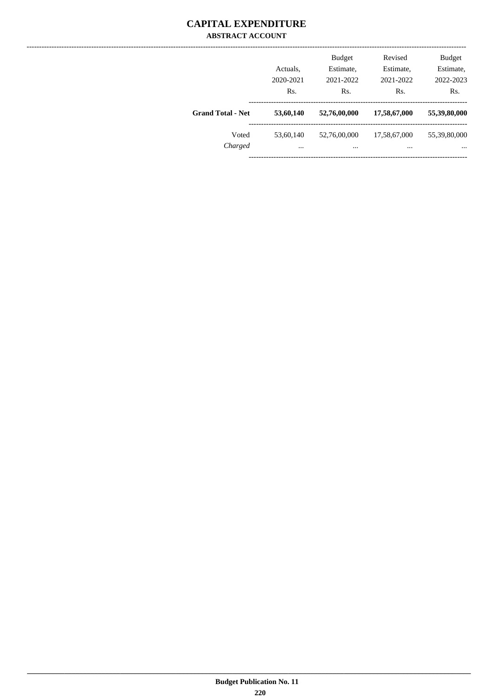#### **CAPITAL EXPENDITURE ABSTRACT ACCOUNT**

|                          | Actuals,<br>2020-2021<br>Rs. | <b>Budget</b><br>Estimate,<br>2021-2022<br>Rs. | Revised<br>Estimate,<br>2021-2022<br>Rs. | <b>Budget</b><br>Estimate,<br>2022-2023<br>Rs. |
|--------------------------|------------------------------|------------------------------------------------|------------------------------------------|------------------------------------------------|
| <b>Grand Total - Net</b> | 53,60,140                    | 52,76,00,000                                   | 17,58,67,000                             | 55,39,80,000                                   |
| Voted<br>Charged         | 53,60,140<br>$\cdots$        | 52,76,00,000<br>$\cdots$                       | 17,58,67,000<br>                         | 55,39,80,000<br>$\cdots$                       |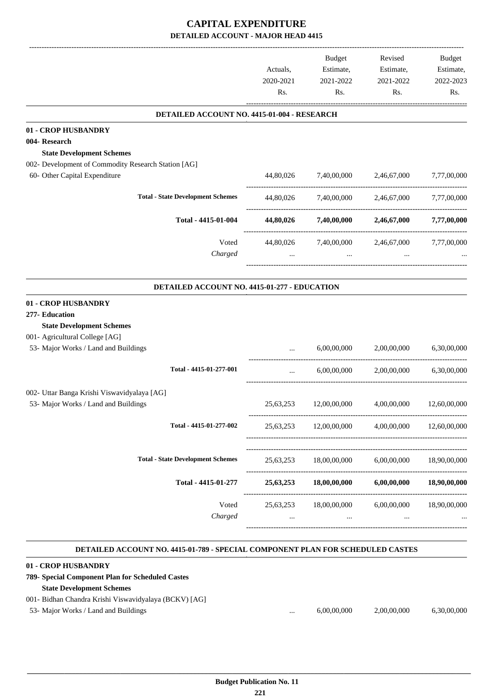| Actuals,<br>2020-2021<br>Rs.<br>DETAILED ACCOUNT NO. 4415-01-004 - RESEARCH<br><b>01 - CROP HUSBANDRY</b><br>004-Research | Estimate,<br>2021-2022<br>Rs.<br>7,40,00,000 | Estimate,<br>2021-2022<br>Rs.<br>2,46,67,000 | Estimate,<br>2022-2023<br>Rs. |
|---------------------------------------------------------------------------------------------------------------------------|----------------------------------------------|----------------------------------------------|-------------------------------|
|                                                                                                                           |                                              |                                              |                               |
|                                                                                                                           |                                              |                                              |                               |
|                                                                                                                           |                                              |                                              |                               |
|                                                                                                                           |                                              |                                              |                               |
|                                                                                                                           |                                              |                                              |                               |
| <b>State Development Schemes</b>                                                                                          |                                              |                                              |                               |
| 002- Development of Commodity Research Station [AG]                                                                       |                                              |                                              |                               |
| 60- Other Capital Expenditure<br>44,80,026                                                                                |                                              |                                              | 7,77,00,000                   |
| <b>Total - State Development Schemes</b><br>44,80,026                                                                     | 7,40,00,000                                  | 2,46,67,000                                  | 7,77,00,000                   |
| Total - 4415-01-004<br>44,80,026                                                                                          | 7,40,00,000                                  | 2,46,67,000                                  | 7,77,00,000                   |
| Voted<br>44,80,026                                                                                                        | 7,40,00,000                                  | 2,46,67,000                                  | 7,77,00,000                   |
| Charged<br>$\cdots$                                                                                                       | $\ldots$                                     |                                              |                               |
| DETAILED ACCOUNT NO. 4415-01-277 - EDUCATION                                                                              |                                              |                                              |                               |
| 01 - CROP HUSBANDRY<br>277- Education                                                                                     |                                              |                                              |                               |
| <b>State Development Schemes</b>                                                                                          |                                              |                                              |                               |
| 001- Agricultural College [AG]                                                                                            |                                              |                                              |                               |
| 53- Major Works / Land and Buildings                                                                                      | 6,00,00,000                                  | 2,00,00,000                                  | 6,30,00,000                   |
|                                                                                                                           |                                              |                                              |                               |
| Total - 4415-01-277-001<br>$\cdots$                                                                                       | 6,00,00,000                                  | 2,00,00,000                                  | 6,30,00,000                   |
| 002- Uttar Banga Krishi Viswavidyalaya [AG]                                                                               |                                              |                                              |                               |
| 53- Major Works / Land and Buildings<br>25,63,253                                                                         | 12,00,00,000                                 | 4,00,00,000                                  | 12,60,00,000                  |
| Total - 4415-01-277-002<br>25,63,253                                                                                      | 12,00,00,000                                 | 4,00,00,000                                  | 12,60,00,000                  |
|                                                                                                                           |                                              |                                              |                               |
| <b>Total - State Development Schemes</b><br>25,63,253                                                                     | 18,00,00,000                                 | 6,00,00,000                                  | 18,90,00,000                  |
| Total - 4415-01-277<br>25,63,253                                                                                          | 18,00,00,000                                 | 6,00,00,000                                  | 18,90,00,000                  |
| Voted<br>25,63,253                                                                                                        | 18,00,00,000                                 | 6,00,00,000                                  | 18,90,00,000                  |
| Charged<br>$\cdots$                                                                                                       | $\cdots$                                     | $\cdots$                                     |                               |
|                                                                                                                           |                                              |                                              |                               |

#### **DETAILED ACCOUNT NO. 4415-01-789 - SPECIAL COMPONENT PLAN FOR SCHEDULED CASTES**

| 01 - CROP HUSBANDRY                                    |          |             |             |             |
|--------------------------------------------------------|----------|-------------|-------------|-------------|
| 789- Special Component Plan for Scheduled Castes       |          |             |             |             |
| <b>State Development Schemes</b>                       |          |             |             |             |
| 001 - Bidhan Chandra Krishi Viswavidyalaya (BCKV) [AG] |          |             |             |             |
| 53- Major Works / Land and Buildings                   | $\cdots$ | 6,00,00,000 | 2,00,00,000 | 6.30.00.000 |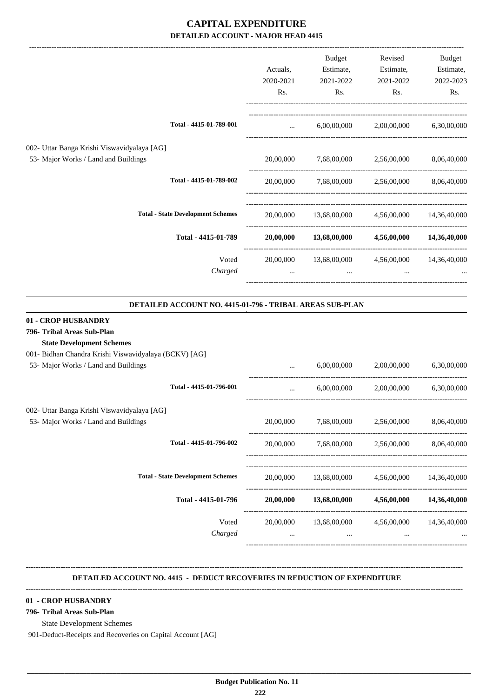|                                                                                                                                                                                        |                  | Actuals,<br>2020-2021<br>Rs. | <b>Budget</b><br>Estimate,<br>2021-2022<br>Rs. | Revised<br>Estimate,<br>2021-2022<br>Rs. | Budget<br>Estimate,<br>2022-2023<br>Rs. |
|----------------------------------------------------------------------------------------------------------------------------------------------------------------------------------------|------------------|------------------------------|------------------------------------------------|------------------------------------------|-----------------------------------------|
| Total - 4415-01-789-001                                                                                                                                                                |                  | $\cdots$                     | 6,00,00,000                                    | 2,00,00,000                              | 6,30,00,000                             |
| 002- Uttar Banga Krishi Viswavidyalaya [AG]<br>53- Major Works / Land and Buildings                                                                                                    |                  | 20,00,000                    | 7,68,00,000                                    | 2,56,00,000                              | 8,06,40,000                             |
| Total - 4415-01-789-002                                                                                                                                                                |                  | 20,00,000                    | 7,68,00,000                                    | 2,56,00,000                              | 8,06,40,000                             |
| <b>Total - State Development Schemes</b>                                                                                                                                               |                  | 20,00,000                    | 13,68,00,000                                   | 4,56,00,000                              | 14,36,40,000                            |
| Total - 4415-01-789                                                                                                                                                                    |                  | 20,00,000                    | 13,68,00,000                                   | 4,56,00,000                              | 14,36,40,000                            |
|                                                                                                                                                                                        | Voted<br>Charged | 20,00,000<br>$\cdots$        | 13,68,00,000<br>$\cdots$                       | 4,56,00,000                              | 14,36,40,000                            |
| DETAILED ACCOUNT NO. 4415-01-796 - TRIBAL AREAS SUB-PLAN                                                                                                                               |                  |                              |                                                |                                          |                                         |
| 01 - CROP HUSBANDRY<br>796- Tribal Areas Sub-Plan<br><b>State Development Schemes</b><br>001- Bidhan Chandra Krishi Viswavidyalaya (BCKV) [AG]<br>53- Major Works / Land and Buildings |                  |                              | 6,00,00,000                                    | 2,00,00,000                              | 6,30,00,000                             |
| Total - 4415-01-796-001                                                                                                                                                                |                  |                              | 6,00,00,000                                    | 2,00,00,000                              | 6,30,00,000                             |
| 002- Uttar Banga Krishi Viswavidyalaya [AG]<br>53- Major Works / Land and Buildings                                                                                                    |                  | 20,00,000                    | 7,68,00,000                                    | 2,56,00,000                              | 8,06,40,000                             |
| Total - 4415-01-796-002                                                                                                                                                                |                  | 20,00,000                    | 7,68,00,000                                    | 2,56,00,000                              | 8,06,40,000                             |
| <b>Total - State Development Schemes</b>                                                                                                                                               |                  | 20,00,000                    | ________________________<br>13,68,00,000       | 4,56,00,000                              | 14,36,40,000                            |
| Total - 4415-01-796                                                                                                                                                                    |                  | 20,00,000                    | 13,68,00,000                                   | 4,56,00,000                              | 14,36,40,000                            |

Voted 20,00,000 13,68,00,000 4,56,00,000 14,36,40,000 harved ... ... *Charged* ... ... ... ... -----------------------------------------------------------------------------------------

------------------------------------------------------------------------------------------

**--------------------------------------------------------------------------------------------------------------------------------------------------------------------------------**

#### **DETAILED ACCOUNT NO. 4415 - DEDUCT RECOVERIES IN REDUCTION OF EXPENDITURE**

#### **--------------------------------------------------------------------------------------------------------------------------------------------------------------------------------**

#### **01 - CROP HUSBANDRY**

#### **796- Tribal Areas Sub-Plan**

State Development Schemes

901-Deduct-Receipts and Recoveries on Capital Account [AG]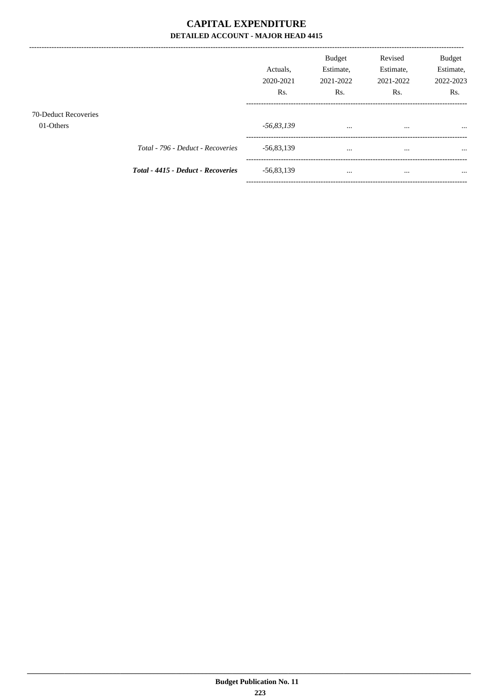-----------------------------------

|                                          |                                    | Actuals.<br>2020-2021<br>R <sub>s</sub> . | <b>Budget</b><br>Estimate,<br>2021-2022<br>R <sub>s</sub> . | Revised<br>Estimate,<br>2021-2022<br>Rs. | <b>Budget</b><br>Estimate,<br>2022-2023<br>Rs. |
|------------------------------------------|------------------------------------|-------------------------------------------|-------------------------------------------------------------|------------------------------------------|------------------------------------------------|
| <b>70-Deduct Recoveries</b><br>01-Others |                                    | -56,83,139                                | $\cdots$                                                    | $\cdots$                                 | $\cdots$                                       |
|                                          | Total - 796 - Deduct - Recoveries  | $-56,83,139$                              | $\cdots$                                                    | $\cdots$                                 | $\cdots$                                       |
|                                          | Total - 4415 - Deduct - Recoveries | $-56,83,139$                              | $\cdots$                                                    | $\cdots$                                 | $\cdots$                                       |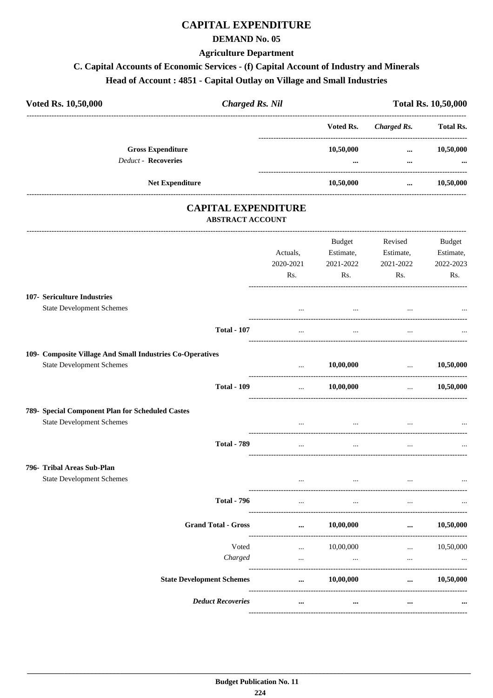# **CAPITAL EXPENDITURE**

#### **DEMAND No. 05**

#### **Agriculture Department**

# C. Capital Accounts of Economic Services - (f) Capital Account of Industry and Minerals

# Head of Account: 4851 - Capital Outlay on Village and Small Industries

| Voted Rs. 10,50,000                                                                           | <b>Charged Rs. Nil</b> |           | <b>Total Rs. 10,50,000</b>         |                  |
|-----------------------------------------------------------------------------------------------|------------------------|-----------|------------------------------------|------------------|
|                                                                                               |                        | Voted Rs. | <b>Charged Rs.</b>                 | <b>Total Rs.</b> |
| <b>Gross Expenditure</b>                                                                      |                        | 10,50,000 | $\cdots$                           | 10,50,000        |
| Deduct - Recoveries                                                                           |                        | $\cdots$  | $\cdots$                           |                  |
| Net Expenditure                                                                               |                        | 10,50,000 | $\cdots$                           | 10,50,000        |
| <b>CAPITAL EXPENDITURE</b><br><b>ABSTRACT ACCOUNT</b>                                         |                        |           |                                    |                  |
|                                                                                               |                        | Budget    | Revised                            | <b>Budget</b>    |
|                                                                                               | Actuals,               | Estimate, | Estimate,                          | Estimate,        |
|                                                                                               | 2020-2021              | 2021-2022 | 2021-2022                          | 2022-2023        |
|                                                                                               | Rs.                    | Rs.       | Rs.                                | Rs.              |
| 107- Sericulture Industries<br><b>State Development Schemes</b>                               |                        | $\cdots$  |                                    |                  |
| <b>Total - 107</b>                                                                            | $\cdots$               | $\cdots$  |                                    |                  |
|                                                                                               |                        |           |                                    |                  |
| 109- Composite Village And Small Industries Co-Operatives<br><b>State Development Schemes</b> | and the state          | 10,00,000 | $\ldots$ 10,50,000                 |                  |
| <b>Total - 109</b>                                                                            | $\cdots$               | 10,00,000 | $\cdots$ . The same state $\cdots$ | 10,50,000        |
| 789- Special Component Plan for Scheduled Castes                                              |                        |           |                                    |                  |
| <b>State Development Schemes</b>                                                              |                        | $\cdots$  |                                    |                  |
| <b>Total - 789</b>                                                                            | $\cdots$               | $\cdots$  | $\cdots$                           |                  |
| 796- Tribal Areas Sub-Plan                                                                    |                        |           |                                    |                  |
| <b>State Development Schemes</b>                                                              |                        | $\cdots$  |                                    |                  |
| <b>Total - 796</b>                                                                            | $\cdots$               | $\cdots$  | $\cdots$                           |                  |
| <b>Grand Total - Gross</b>                                                                    | $\cdots$               | 10,00,000 | $\cdots$                           | 10,50,000        |
| Voted                                                                                         | $\cdots$               | 10,00,000 | $\cdots$                           | 10,50,000        |
| Charged                                                                                       | $\cdots$               | $\cdots$  | $\cdots$                           |                  |
| <b>State Development Schemes</b>                                                              | $\cdots$               | 10,00,000 | $\cdots$                           | 10,50,000        |
| <b>Deduct Recoveries</b>                                                                      |                        |           |                                    |                  |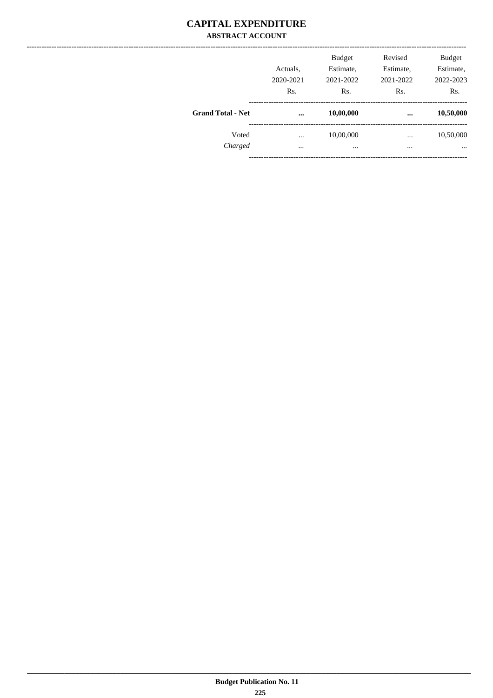#### **CAPITAL EXPENDITURE ABSTRACT ACCOUNT**

|                          | Actuals,<br>2020-2021<br>Rs. | <b>Budget</b><br>Estimate,<br>2021-2022<br>Rs. | Revised<br>Estimate,<br>2021-2022<br>Rs. | <b>Budget</b><br>Estimate,<br>2022-2023<br>Rs. |
|--------------------------|------------------------------|------------------------------------------------|------------------------------------------|------------------------------------------------|
| <b>Grand Total - Net</b> | $\cdots$                     | 10,00,000                                      |                                          | 10,50,000                                      |
| Voted                    |                              | 10,00,000                                      | $\cdots$                                 | 10,50,000                                      |
| Charged                  | $\ddotsc$                    | $\cdots$                                       | $\cdots$                                 | $\cdots$                                       |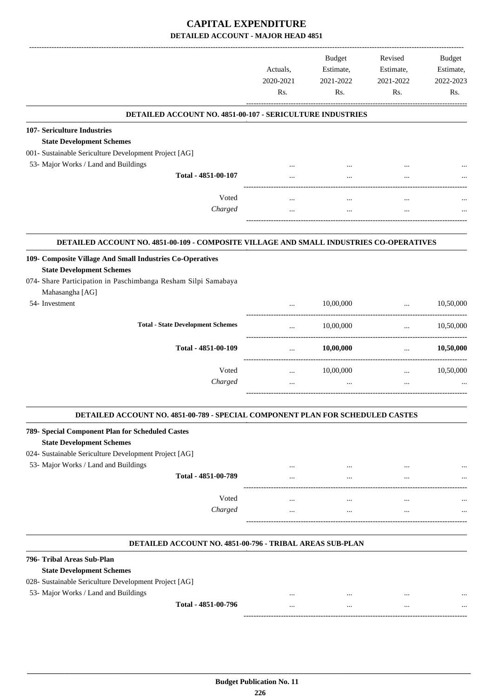| DETAILED ACCOUNT NO. 4851-00-107 - SERICULTURE INDUSTRIES<br>107- Sericulture Industries<br><b>State Development Schemes</b><br>001- Sustainable Sericulture Development Project [AG]<br>53- Major Works / Land and Buildings<br>Total - 4851-00-107<br>$\ddotsc$<br>Voted<br><br>$\cdots$<br>$\ddotsc$<br>Charged<br><br>$\cdots$<br>DETAILED ACCOUNT NO. 4851-00-109 - COMPOSITE VILLAGE AND SMALL INDUSTRIES CO-OPERATIVES<br>109- Composite Village And Small Industries Co-Operatives<br><b>State Development Schemes</b><br>074- Share Participation in Paschimbanga Resham Silpi Samabaya<br>Mahasangha [AG]<br>54- Investment<br>10,00,000<br>$\cdots$<br>$\cdots$<br>-----------------------------------<br><b>Total - State Development Schemes</b><br>10,00,000<br>$\cdots$<br>$\cdots$<br>----------------------------------<br>Total - 4851-00-109<br>10,00,000<br>$\cdots$<br>$\cdots$<br>Voted<br>10,00,000<br>$\cdots$<br>$\cdots$<br>Charged<br>$\cdots$<br>$\cdots$<br>$\cdots$<br>DETAILED ACCOUNT NO. 4851-00-789 - SPECIAL COMPONENT PLAN FOR SCHEDULED CASTES<br>789- Special Component Plan for Scheduled Castes<br><b>State Development Schemes</b><br>024- Sustainable Sericulture Development Project [AG]<br>53- Major Works / Land and Buildings<br><br>$\cdots$<br>$\ddotsc$<br>Total - 4851-00-789<br><br>$\ddotsc$<br>Voted<br><br>$\cdots$<br>$\ddotsc$<br>Charged<br>$\cdots$<br><br>$\cdots$<br>DETAILED ACCOUNT NO. 4851-00-796 - TRIBAL AREAS SUB-PLAN<br>796- Tribal Areas Sub-Plan<br><b>State Development Schemes</b><br>028- Sustainable Sericulture Development Project [AG]<br>53- Major Works / Land and Buildings<br>Total - 4851-00-796<br>$\cdots$<br><br>$\cdots$ | Actuals,<br>2020-2021<br>Rs. | <b>Budget</b><br>Estimate,<br>2021-2022<br>Rs. | Revised<br>Estimate,<br>2021-2022<br>Rs. | Budget<br>Estimate,<br>2022-2023<br>Rs. |
|------------------------------------------------------------------------------------------------------------------------------------------------------------------------------------------------------------------------------------------------------------------------------------------------------------------------------------------------------------------------------------------------------------------------------------------------------------------------------------------------------------------------------------------------------------------------------------------------------------------------------------------------------------------------------------------------------------------------------------------------------------------------------------------------------------------------------------------------------------------------------------------------------------------------------------------------------------------------------------------------------------------------------------------------------------------------------------------------------------------------------------------------------------------------------------------------------------------------------------------------------------------------------------------------------------------------------------------------------------------------------------------------------------------------------------------------------------------------------------------------------------------------------------------------------------------------------------------------------------------------------------------------------------------------------------------------------------------|------------------------------|------------------------------------------------|------------------------------------------|-----------------------------------------|
|                                                                                                                                                                                                                                                                                                                                                                                                                                                                                                                                                                                                                                                                                                                                                                                                                                                                                                                                                                                                                                                                                                                                                                                                                                                                                                                                                                                                                                                                                                                                                                                                                                                                                                                  |                              |                                                |                                          |                                         |
|                                                                                                                                                                                                                                                                                                                                                                                                                                                                                                                                                                                                                                                                                                                                                                                                                                                                                                                                                                                                                                                                                                                                                                                                                                                                                                                                                                                                                                                                                                                                                                                                                                                                                                                  |                              |                                                |                                          |                                         |
|                                                                                                                                                                                                                                                                                                                                                                                                                                                                                                                                                                                                                                                                                                                                                                                                                                                                                                                                                                                                                                                                                                                                                                                                                                                                                                                                                                                                                                                                                                                                                                                                                                                                                                                  |                              |                                                |                                          |                                         |
|                                                                                                                                                                                                                                                                                                                                                                                                                                                                                                                                                                                                                                                                                                                                                                                                                                                                                                                                                                                                                                                                                                                                                                                                                                                                                                                                                                                                                                                                                                                                                                                                                                                                                                                  |                              |                                                |                                          |                                         |
|                                                                                                                                                                                                                                                                                                                                                                                                                                                                                                                                                                                                                                                                                                                                                                                                                                                                                                                                                                                                                                                                                                                                                                                                                                                                                                                                                                                                                                                                                                                                                                                                                                                                                                                  |                              |                                                |                                          |                                         |
|                                                                                                                                                                                                                                                                                                                                                                                                                                                                                                                                                                                                                                                                                                                                                                                                                                                                                                                                                                                                                                                                                                                                                                                                                                                                                                                                                                                                                                                                                                                                                                                                                                                                                                                  |                              |                                                |                                          |                                         |
|                                                                                                                                                                                                                                                                                                                                                                                                                                                                                                                                                                                                                                                                                                                                                                                                                                                                                                                                                                                                                                                                                                                                                                                                                                                                                                                                                                                                                                                                                                                                                                                                                                                                                                                  |                              |                                                |                                          |                                         |
|                                                                                                                                                                                                                                                                                                                                                                                                                                                                                                                                                                                                                                                                                                                                                                                                                                                                                                                                                                                                                                                                                                                                                                                                                                                                                                                                                                                                                                                                                                                                                                                                                                                                                                                  |                              |                                                |                                          |                                         |
|                                                                                                                                                                                                                                                                                                                                                                                                                                                                                                                                                                                                                                                                                                                                                                                                                                                                                                                                                                                                                                                                                                                                                                                                                                                                                                                                                                                                                                                                                                                                                                                                                                                                                                                  |                              |                                                |                                          |                                         |
|                                                                                                                                                                                                                                                                                                                                                                                                                                                                                                                                                                                                                                                                                                                                                                                                                                                                                                                                                                                                                                                                                                                                                                                                                                                                                                                                                                                                                                                                                                                                                                                                                                                                                                                  |                              |                                                |                                          |                                         |
|                                                                                                                                                                                                                                                                                                                                                                                                                                                                                                                                                                                                                                                                                                                                                                                                                                                                                                                                                                                                                                                                                                                                                                                                                                                                                                                                                                                                                                                                                                                                                                                                                                                                                                                  |                              |                                                |                                          |                                         |
|                                                                                                                                                                                                                                                                                                                                                                                                                                                                                                                                                                                                                                                                                                                                                                                                                                                                                                                                                                                                                                                                                                                                                                                                                                                                                                                                                                                                                                                                                                                                                                                                                                                                                                                  |                              |                                                |                                          |                                         |
|                                                                                                                                                                                                                                                                                                                                                                                                                                                                                                                                                                                                                                                                                                                                                                                                                                                                                                                                                                                                                                                                                                                                                                                                                                                                                                                                                                                                                                                                                                                                                                                                                                                                                                                  |                              |                                                |                                          |                                         |
|                                                                                                                                                                                                                                                                                                                                                                                                                                                                                                                                                                                                                                                                                                                                                                                                                                                                                                                                                                                                                                                                                                                                                                                                                                                                                                                                                                                                                                                                                                                                                                                                                                                                                                                  |                              |                                                |                                          |                                         |
|                                                                                                                                                                                                                                                                                                                                                                                                                                                                                                                                                                                                                                                                                                                                                                                                                                                                                                                                                                                                                                                                                                                                                                                                                                                                                                                                                                                                                                                                                                                                                                                                                                                                                                                  |                              |                                                |                                          | 10,50,000                               |
|                                                                                                                                                                                                                                                                                                                                                                                                                                                                                                                                                                                                                                                                                                                                                                                                                                                                                                                                                                                                                                                                                                                                                                                                                                                                                                                                                                                                                                                                                                                                                                                                                                                                                                                  |                              |                                                |                                          | 10,50,000                               |
|                                                                                                                                                                                                                                                                                                                                                                                                                                                                                                                                                                                                                                                                                                                                                                                                                                                                                                                                                                                                                                                                                                                                                                                                                                                                                                                                                                                                                                                                                                                                                                                                                                                                                                                  |                              |                                                |                                          |                                         |
|                                                                                                                                                                                                                                                                                                                                                                                                                                                                                                                                                                                                                                                                                                                                                                                                                                                                                                                                                                                                                                                                                                                                                                                                                                                                                                                                                                                                                                                                                                                                                                                                                                                                                                                  |                              |                                                |                                          | 10,50,000                               |
|                                                                                                                                                                                                                                                                                                                                                                                                                                                                                                                                                                                                                                                                                                                                                                                                                                                                                                                                                                                                                                                                                                                                                                                                                                                                                                                                                                                                                                                                                                                                                                                                                                                                                                                  |                              |                                                |                                          | 10,50,000                               |
|                                                                                                                                                                                                                                                                                                                                                                                                                                                                                                                                                                                                                                                                                                                                                                                                                                                                                                                                                                                                                                                                                                                                                                                                                                                                                                                                                                                                                                                                                                                                                                                                                                                                                                                  |                              |                                                |                                          |                                         |
|                                                                                                                                                                                                                                                                                                                                                                                                                                                                                                                                                                                                                                                                                                                                                                                                                                                                                                                                                                                                                                                                                                                                                                                                                                                                                                                                                                                                                                                                                                                                                                                                                                                                                                                  |                              |                                                |                                          |                                         |
|                                                                                                                                                                                                                                                                                                                                                                                                                                                                                                                                                                                                                                                                                                                                                                                                                                                                                                                                                                                                                                                                                                                                                                                                                                                                                                                                                                                                                                                                                                                                                                                                                                                                                                                  |                              |                                                |                                          |                                         |
|                                                                                                                                                                                                                                                                                                                                                                                                                                                                                                                                                                                                                                                                                                                                                                                                                                                                                                                                                                                                                                                                                                                                                                                                                                                                                                                                                                                                                                                                                                                                                                                                                                                                                                                  |                              |                                                |                                          |                                         |
|                                                                                                                                                                                                                                                                                                                                                                                                                                                                                                                                                                                                                                                                                                                                                                                                                                                                                                                                                                                                                                                                                                                                                                                                                                                                                                                                                                                                                                                                                                                                                                                                                                                                                                                  |                              |                                                |                                          |                                         |
|                                                                                                                                                                                                                                                                                                                                                                                                                                                                                                                                                                                                                                                                                                                                                                                                                                                                                                                                                                                                                                                                                                                                                                                                                                                                                                                                                                                                                                                                                                                                                                                                                                                                                                                  |                              |                                                |                                          |                                         |
|                                                                                                                                                                                                                                                                                                                                                                                                                                                                                                                                                                                                                                                                                                                                                                                                                                                                                                                                                                                                                                                                                                                                                                                                                                                                                                                                                                                                                                                                                                                                                                                                                                                                                                                  |                              |                                                |                                          |                                         |
|                                                                                                                                                                                                                                                                                                                                                                                                                                                                                                                                                                                                                                                                                                                                                                                                                                                                                                                                                                                                                                                                                                                                                                                                                                                                                                                                                                                                                                                                                                                                                                                                                                                                                                                  |                              |                                                |                                          |                                         |
|                                                                                                                                                                                                                                                                                                                                                                                                                                                                                                                                                                                                                                                                                                                                                                                                                                                                                                                                                                                                                                                                                                                                                                                                                                                                                                                                                                                                                                                                                                                                                                                                                                                                                                                  |                              |                                                |                                          |                                         |
|                                                                                                                                                                                                                                                                                                                                                                                                                                                                                                                                                                                                                                                                                                                                                                                                                                                                                                                                                                                                                                                                                                                                                                                                                                                                                                                                                                                                                                                                                                                                                                                                                                                                                                                  |                              |                                                |                                          |                                         |
|                                                                                                                                                                                                                                                                                                                                                                                                                                                                                                                                                                                                                                                                                                                                                                                                                                                                                                                                                                                                                                                                                                                                                                                                                                                                                                                                                                                                                                                                                                                                                                                                                                                                                                                  |                              |                                                |                                          |                                         |
|                                                                                                                                                                                                                                                                                                                                                                                                                                                                                                                                                                                                                                                                                                                                                                                                                                                                                                                                                                                                                                                                                                                                                                                                                                                                                                                                                                                                                                                                                                                                                                                                                                                                                                                  |                              |                                                |                                          |                                         |
|                                                                                                                                                                                                                                                                                                                                                                                                                                                                                                                                                                                                                                                                                                                                                                                                                                                                                                                                                                                                                                                                                                                                                                                                                                                                                                                                                                                                                                                                                                                                                                                                                                                                                                                  |                              |                                                |                                          |                                         |
|                                                                                                                                                                                                                                                                                                                                                                                                                                                                                                                                                                                                                                                                                                                                                                                                                                                                                                                                                                                                                                                                                                                                                                                                                                                                                                                                                                                                                                                                                                                                                                                                                                                                                                                  |                              |                                                |                                          |                                         |
|                                                                                                                                                                                                                                                                                                                                                                                                                                                                                                                                                                                                                                                                                                                                                                                                                                                                                                                                                                                                                                                                                                                                                                                                                                                                                                                                                                                                                                                                                                                                                                                                                                                                                                                  |                              |                                                |                                          |                                         |
|                                                                                                                                                                                                                                                                                                                                                                                                                                                                                                                                                                                                                                                                                                                                                                                                                                                                                                                                                                                                                                                                                                                                                                                                                                                                                                                                                                                                                                                                                                                                                                                                                                                                                                                  |                              |                                                |                                          |                                         |
|                                                                                                                                                                                                                                                                                                                                                                                                                                                                                                                                                                                                                                                                                                                                                                                                                                                                                                                                                                                                                                                                                                                                                                                                                                                                                                                                                                                                                                                                                                                                                                                                                                                                                                                  |                              |                                                |                                          |                                         |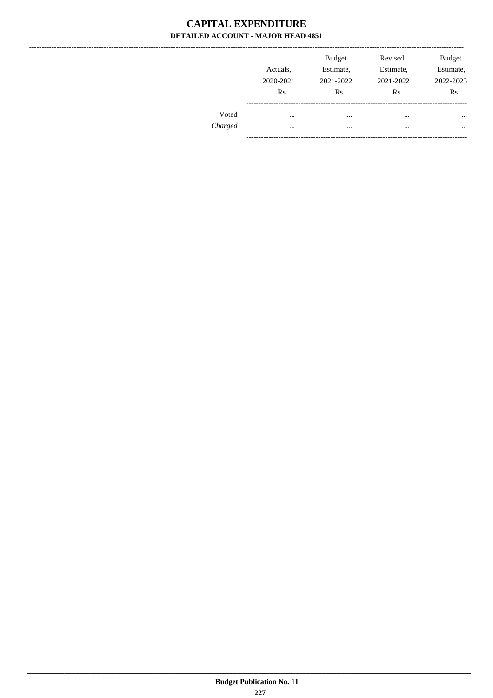|         | Actuals.<br>2020-2021<br>Rs. | <b>Budget</b><br>Estimate,<br>2021-2022<br>Rs. | Revised<br>Estimate,<br>2021-2022<br>Rs. | <b>Budget</b><br>Estimate,<br>2022-2023<br>Rs. |
|---------|------------------------------|------------------------------------------------|------------------------------------------|------------------------------------------------|
| Voted   |                              | $\cdots$                                       | $\cdots$                                 | $\cdots$                                       |
| Charged |                              |                                                | $\cdots$                                 | $\cdots$                                       |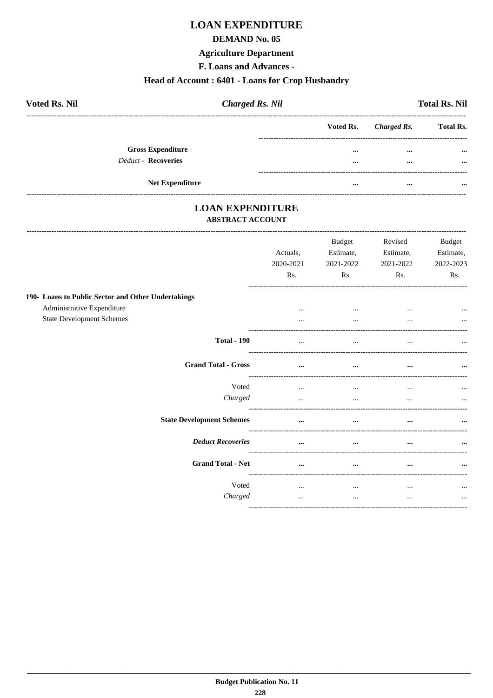# **LOAN EXPENDITURE**

#### **DEMAND No. 05**

#### **Agriculture Department**

F. Loans and Advances -

#### Head of Account: 6401 - Loans for Crop Husbandry

| <b>Voted Rs. Nil</b>     | <b>Charged Rs. Nil</b> |          |                       | <b>Total Rs. Nil</b> |
|--------------------------|------------------------|----------|-----------------------|----------------------|
|                          |                        |          | Voted Rs. Charged Rs. | <b>Total Rs.</b>     |
| <b>Gross Expenditure</b> |                        | $\cdots$ | $\cdots$              | $\cdots$             |
| Deduct - Recoveries      |                        |          | $\cdots$              | $\cdots$             |
| <b>Net Expenditure</b>   |                        |          | $\cdots$              |                      |

# **LOAN EXPENDITURE**

--------------------------

#### ABSTRACT ACCOUNT

|                                                    | Actuals,<br>2020-2021<br>Rs. | <b>Budget</b><br>Estimate,<br>2021-2022<br>Rs. | Revised<br>Estimate,<br>2021-2022<br>Rs. | <b>Budget</b><br>Estimate,<br>2022-2023<br>Rs. |
|----------------------------------------------------|------------------------------|------------------------------------------------|------------------------------------------|------------------------------------------------|
| 190- Loans to Public Sector and Other Undertakings |                              |                                                |                                          |                                                |
| Administrative Expenditure                         | $\cdots$                     | $\ddotsc$                                      |                                          | $\cdots$                                       |
| <b>State Development Schemes</b>                   | $\cdots$                     | $\cdots$                                       |                                          | $\cdots$                                       |
| <b>Total - 190</b>                                 |                              | $\cdots$                                       | $\cdots$                                 | $\ddotsc$                                      |
| <b>Grand Total - Gross</b>                         | $\cdots$                     | $\cdots$                                       | $\cdots$                                 | $\cdots$                                       |
| Voted                                              | $\cdots$                     |                                                | $\cdots$                                 | $\cdots$                                       |
| Charged                                            | $\ddotsc$                    | $\cdots$                                       |                                          | $\cdots$                                       |
| <b>State Development Schemes</b>                   |                              | $\cdots$                                       |                                          | $\cdots$                                       |
| <b>Deduct Recoveries</b>                           |                              | $\cdots$                                       | $\cdots$                                 | $\cdots$                                       |
| <b>Grand Total - Net</b>                           |                              | $\cdots$                                       | $\cdots$                                 | $\cdots$                                       |
| Voted                                              | $\cdots$                     | $\cdots$                                       | $\cdots$                                 | $\cdots$                                       |
| Charged                                            | $\cdots$                     | $\cdots$                                       | $\cdots$                                 | $\cdots$                                       |